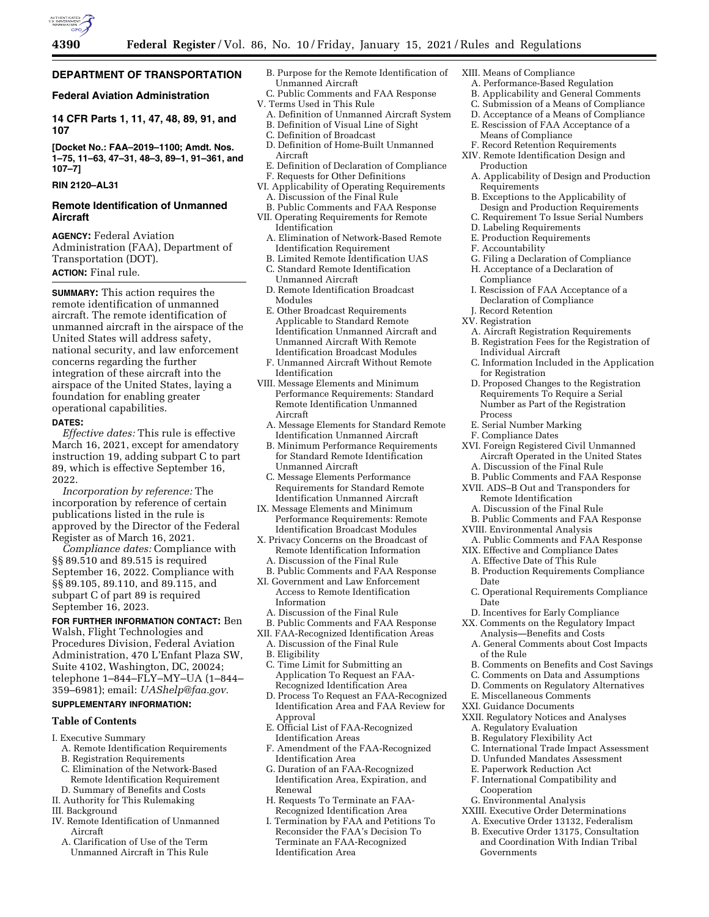

## **DEPARTMENT OF TRANSPORTATION**

## **Federal Aviation Administration**

**14 CFR Parts 1, 11, 47, 48, 89, 91, and 107** 

**[Docket No.: FAA–2019–1100; Amdt. Nos. 1–75, 11–63, 47–31, 48–3, 89–1, 91–361, and 107–7]** 

## **RIN 2120–AL31**

## **Remote Identification of Unmanned Aircraft**

**AGENCY:** Federal Aviation Administration (FAA), Department of Transportation (DOT). **ACTION:** Final rule.

**SUMMARY:** This action requires the remote identification of unmanned aircraft. The remote identification of unmanned aircraft in the airspace of the United States will address safety, national security, and law enforcement concerns regarding the further integration of these aircraft into the airspace of the United States, laying a foundation for enabling greater operational capabilities.

### **DATES:**

*Effective dates:* This rule is effective March 16, 2021, except for amendatory instruction 19, adding subpart C to part 89, which is effective September 16, 2022.

*Incorporation by reference:* The incorporation by reference of certain publications listed in the rule is approved by the Director of the Federal Register as of March 16, 2021.

*Compliance dates:* Compliance with §§ 89.510 and 89.515 is required September 16, 2022. Compliance with §§ 89.105, 89.110, and 89.115, and subpart C of part 89 is required September 16, 2023.

## **FOR FURTHER INFORMATION CONTACT:** Ben Walsh, Flight Technologies and Procedures Division, Federal Aviation Administration, 470 L'Enfant Plaza SW, Suite 4102, Washington, DC, 20024; telephone 1–844–FLY–MY–UA (1–844– 359–6981); email: *UAShelp@faa.gov.*

# **SUPPLEMENTARY INFORMATION:**

## **Table of Contents**

- I. Executive Summary
	- A. Remote Identification Requirements B. Registration Requirements
- C. Elimination of the Network-Based Remote Identification Requirement
- D. Summary of Benefits and Costs
- II. Authority for This Rulemaking
- III. Background
- IV. Remote Identification of Unmanned Aircraft
	- A. Clarification of Use of the Term Unmanned Aircraft in This Rule
- B. Purpose for the Remote Identification of Unmanned Aircraft
- C. Public Comments and FAA Response V. Terms Used in This Rule
- A. Definition of Unmanned Aircraft System B. Definition of Visual Line of Sight
- C. Definition of Broadcast
- D. Definition of Home-Built Unmanned
- Aircraft E. Definition of Declaration of Compliance
- F. Requests for Other Definitions
- VI. Applicability of Operating Requirements A. Discussion of the Final Rule
- B. Public Comments and FAA Response VII. Operating Requirements for Remote Identification
	- A. Elimination of Network-Based Remote Identification Requirement
	- B. Limited Remote Identification UAS
	- C. Standard Remote Identification Unmanned Aircraft
	- D. Remote Identification Broadcast Modules
	- E. Other Broadcast Requirements Applicable to Standard Remote Identification Unmanned Aircraft and Unmanned Aircraft With Remote Identification Broadcast Modules
- F. Unmanned Aircraft Without Remote Identification
- VIII. Message Elements and Minimum Performance Requirements: Standard Remote Identification Unmanned Aircraft
	- A. Message Elements for Standard Remote Identification Unmanned Aircraft
	- B. Minimum Performance Requirements for Standard Remote Identification Unmanned Aircraft
	- C. Message Elements Performance Requirements for Standard Remote Identification Unmanned Aircraft
- IX. Message Elements and Minimum Performance Requirements: Remote Identification Broadcast Modules
- X. Privacy Concerns on the Broadcast of Remote Identification Information A. Discussion of the Final Rule
- B. Public Comments and FAA Response
- XI. Government and Law Enforcement Access to Remote Identification Information
	- A. Discussion of the Final Rule
- B. Public Comments and FAA Response
- XII. FAA-Recognized Identification Areas
- A. Discussion of the Final Rule
- B. Eligibility
- C. Time Limit for Submitting an Application To Request an FAA-Recognized Identification Area
- D. Process To Request an FAA-Recognized Identification Area and FAA Review for Approval
- E. Official List of FAA-Recognized Identification Areas
- F. Amendment of the FAA-Recognized Identification Area
- G. Duration of an FAA-Recognized Identification Area, Expiration, and Renewal
- H. Requests To Terminate an FAA-Recognized Identification Area
- I. Termination by FAA and Petitions To Reconsider the FAA's Decision To Terminate an FAA-Recognized Identification Area
- XIII. Means of Compliance
	- A. Performance-Based Regulation
	- B. Applicability and General Comments
	- C. Submission of a Means of Compliance D. Acceptance of a Means of Compliance
	- E. Rescission of FAA Acceptance of a
	- Means of Compliance
	- F. Record Retention Requirements
- XIV. Remote Identification Design and Production
- A. Applicability of Design and Production Requirements
- B. Exceptions to the Applicability of
- Design and Production Requirements
- C. Requirement To Issue Serial Numbers
- D. Labeling Requirements
- E. Production Requirements
- F. Accountability
- G. Filing a Declaration of Compliance
- H. Acceptance of a Declaration of **Compliance**
- I. Rescission of FAA Acceptance of a Declaration of Compliance
- J. Record Retention
- XV. Registration
	- A. Aircraft Registration Requirements
	- B. Registration Fees for the Registration of Individual Aircraft
	- C. Information Included in the Application for Registration
	- D. Proposed Changes to the Registration Requirements To Require a Serial Number as Part of the Registration Process
- E. Serial Number Marking
- F. Compliance Dates
- XVI. Foreign Registered Civil Unmanned Aircraft Operated in the United States
- A. Discussion of the Final Rule
- B. Public Comments and FAA Response XVII. ADS–B Out and Transponders for Remote Identification
- A. Discussion of the Final Rule
- B. Public Comments and FAA Response
- XVIII. Environmental Analysis
- A. Public Comments and FAA Response
- XIX. Effective and Compliance Dates
	- A. Effective Date of This Rule
	- B. Production Requirements Compliance Date
	- C. Operational Requirements Compliance Date
	- D. Incentives for Early Compliance
- XX. Comments on the Regulatory Impact Analysis—Benefits and Costs
	- A. General Comments about Cost Impacts of the Rule B. Comments on Benefits and Cost Savings

C. Comments on Data and Assumptions D. Comments on Regulatory Alternatives

C. International Trade Impact Assessment D. Unfunded Mandates Assessment E. Paperwork Reduction Act F. International Compatibility and

E. Miscellaneous Comments XXI. Guidance Documents

G. Environmental Analysis XXIII. Executive Order Determinations A. Executive Order 13132, Federalism B. Executive Order 13175, Consultation and Coordination With Indian Tribal

Cooperation

Governments

XXII. Regulatory Notices and Analyses A. Regulatory Evaluation B. Regulatory Flexibility Act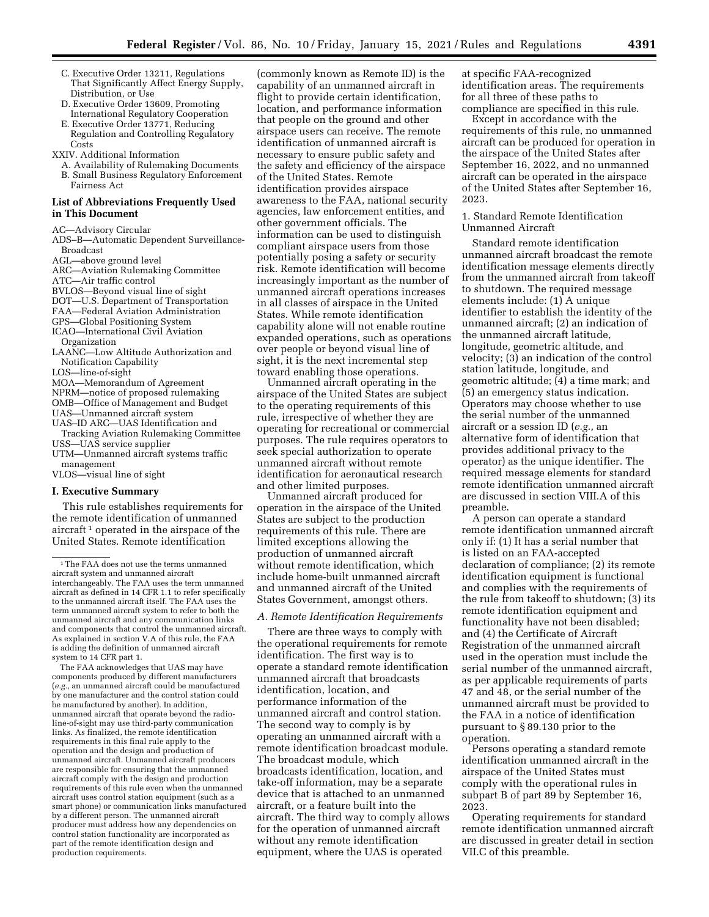- C. Executive Order 13211, Regulations That Significantly Affect Energy Supply, Distribution, or Use
- D. Executive Order 13609, Promoting International Regulatory Cooperation
- E. Executive Order 13771, Reducing Regulation and Controlling Regulatory Costs
- XXIV. Additional Information
- A. Availability of Rulemaking Documents B. Small Business Regulatory Enforcement Fairness Act

### **List of Abbreviations Frequently Used in This Document**

- AC—Advisory Circular
- ADS–B—Automatic Dependent Surveillance-Broadcast
- AGL—above ground level
- ARC—Aviation Rulemaking Committee
- ATC—Air traffic control
- BVLOS—Beyond visual line of sight
- DOT—U.S. Department of Transportation
- FAA—Federal Aviation Administration
- GPS—Global Positioning System
- ICAO—International Civil Aviation Organization
- LAANC—Low Altitude Authorization and Notification Capability
- LOS—line-of-sight
- MOA—Memorandum of Agreement
- NPRM—notice of proposed rulemaking
- OMB—Office of Management and Budget
- UAS—Unmanned aircraft system
- UAS–ID ARC—UAS Identification and
- Tracking Aviation Rulemaking Committee USS—UAS service supplier
- 
- UTM—Unmanned aircraft systems traffic management
- VLOS—visual line of sight

### **I. Executive Summary**

This rule establishes requirements for the remote identification of unmanned aircraft 1 operated in the airspace of the United States. Remote identification

The FAA acknowledges that UAS may have components produced by different manufacturers (*e.g.,* an unmanned aircraft could be manufactured by one manufacturer and the control station could be manufactured by another). In addition, unmanned aircraft that operate beyond the radioline-of-sight may use third-party communication links. As finalized, the remote identification requirements in this final rule apply to the operation and the design and production of unmanned aircraft. Unmanned aircraft producers are responsible for ensuring that the unmanned aircraft comply with the design and production requirements of this rule even when the unmanned aircraft uses control station equipment (such as a smart phone) or communication links manufactured by a different person. The unmanned aircraft producer must address how any dependencies on control station functionality are incorporated as part of the remote identification design and production requirements.

(commonly known as Remote ID) is the capability of an unmanned aircraft in flight to provide certain identification, location, and performance information that people on the ground and other airspace users can receive. The remote identification of unmanned aircraft is necessary to ensure public safety and the safety and efficiency of the airspace of the United States. Remote identification provides airspace awareness to the FAA, national security agencies, law enforcement entities, and other government officials. The information can be used to distinguish compliant airspace users from those potentially posing a safety or security risk. Remote identification will become increasingly important as the number of unmanned aircraft operations increases in all classes of airspace in the United States. While remote identification capability alone will not enable routine expanded operations, such as operations over people or beyond visual line of sight, it is the next incremental step toward enabling those operations.

Unmanned aircraft operating in the airspace of the United States are subject to the operating requirements of this rule, irrespective of whether they are operating for recreational or commercial purposes. The rule requires operators to seek special authorization to operate unmanned aircraft without remote identification for aeronautical research and other limited purposes.

Unmanned aircraft produced for operation in the airspace of the United States are subject to the production requirements of this rule. There are limited exceptions allowing the production of unmanned aircraft without remote identification, which include home-built unmanned aircraft and unmanned aircraft of the United States Government, amongst others.

### *A. Remote Identification Requirements*

There are three ways to comply with the operational requirements for remote identification. The first way is to operate a standard remote identification unmanned aircraft that broadcasts identification, location, and performance information of the unmanned aircraft and control station. The second way to comply is by operating an unmanned aircraft with a remote identification broadcast module. The broadcast module, which broadcasts identification, location, and take-off information, may be a separate device that is attached to an unmanned aircraft, or a feature built into the aircraft. The third way to comply allows for the operation of unmanned aircraft without any remote identification equipment, where the UAS is operated

at specific FAA-recognized identification areas. The requirements for all three of these paths to compliance are specified in this rule.

Except in accordance with the requirements of this rule, no unmanned aircraft can be produced for operation in the airspace of the United States after September 16, 2022, and no unmanned aircraft can be operated in the airspace of the United States after September 16, 2023.

### 1. Standard Remote Identification Unmanned Aircraft

Standard remote identification unmanned aircraft broadcast the remote identification message elements directly from the unmanned aircraft from takeoff to shutdown. The required message elements include: (1) A unique identifier to establish the identity of the unmanned aircraft; (2) an indication of the unmanned aircraft latitude, longitude, geometric altitude, and velocity; (3) an indication of the control station latitude, longitude, and geometric altitude; (4) a time mark; and (5) an emergency status indication. Operators may choose whether to use the serial number of the unmanned aircraft or a session ID (*e.g.,* an alternative form of identification that provides additional privacy to the operator) as the unique identifier. The required message elements for standard remote identification unmanned aircraft are discussed in section VIII.A of this preamble.

A person can operate a standard remote identification unmanned aircraft only if: (1) It has a serial number that is listed on an FAA-accepted declaration of compliance; (2) its remote identification equipment is functional and complies with the requirements of the rule from takeoff to shutdown; (3) its remote identification equipment and functionality have not been disabled; and (4) the Certificate of Aircraft Registration of the unmanned aircraft used in the operation must include the serial number of the unmanned aircraft, as per applicable requirements of parts 47 and 48, or the serial number of the unmanned aircraft must be provided to the FAA in a notice of identification pursuant to § 89.130 prior to the operation.

Persons operating a standard remote identification unmanned aircraft in the airspace of the United States must comply with the operational rules in subpart B of part 89 by September 16, 2023.

Operating requirements for standard remote identification unmanned aircraft are discussed in greater detail in section VII.C of this preamble.

<sup>1</sup>The FAA does not use the terms unmanned aircraft system and unmanned aircraft interchangeably. The FAA uses the term unmanned aircraft as defined in 14 CFR 1.1 to refer specifically to the unmanned aircraft itself. The FAA uses the term unmanned aircraft system to refer to both the unmanned aircraft and any communication links and components that control the unmanned aircraft. As explained in section V.A of this rule, the FAA is adding the definition of unmanned aircraft system to 14 CFR part 1.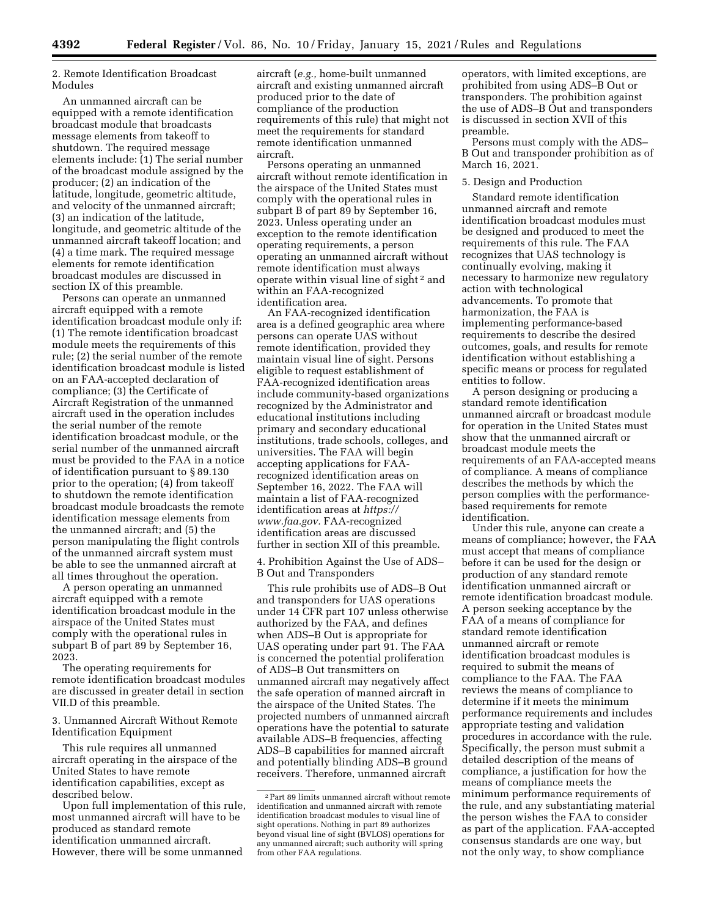2. Remote Identification Broadcast Modules

An unmanned aircraft can be equipped with a remote identification broadcast module that broadcasts message elements from takeoff to shutdown. The required message elements include: (1) The serial number of the broadcast module assigned by the producer; (2) an indication of the latitude, longitude, geometric altitude, and velocity of the unmanned aircraft; (3) an indication of the latitude, longitude, and geometric altitude of the unmanned aircraft takeoff location; and (4) a time mark. The required message elements for remote identification broadcast modules are discussed in section IX of this preamble.

Persons can operate an unmanned aircraft equipped with a remote identification broadcast module only if: (1) The remote identification broadcast module meets the requirements of this rule; (2) the serial number of the remote identification broadcast module is listed on an FAA-accepted declaration of compliance; (3) the Certificate of Aircraft Registration of the unmanned aircraft used in the operation includes the serial number of the remote identification broadcast module, or the serial number of the unmanned aircraft must be provided to the FAA in a notice of identification pursuant to § 89.130 prior to the operation; (4) from takeoff to shutdown the remote identification broadcast module broadcasts the remote identification message elements from the unmanned aircraft; and (5) the person manipulating the flight controls of the unmanned aircraft system must be able to see the unmanned aircraft at all times throughout the operation.

A person operating an unmanned aircraft equipped with a remote identification broadcast module in the airspace of the United States must comply with the operational rules in subpart B of part 89 by September 16, 2023.

The operating requirements for remote identification broadcast modules are discussed in greater detail in section VII.D of this preamble.

3. Unmanned Aircraft Without Remote Identification Equipment

This rule requires all unmanned aircraft operating in the airspace of the United States to have remote identification capabilities, except as described below.

Upon full implementation of this rule, most unmanned aircraft will have to be produced as standard remote identification unmanned aircraft. However, there will be some unmanned

aircraft (*e.g.,* home-built unmanned aircraft and existing unmanned aircraft produced prior to the date of compliance of the production requirements of this rule) that might not meet the requirements for standard remote identification unmanned aircraft.

Persons operating an unmanned aircraft without remote identification in the airspace of the United States must comply with the operational rules in subpart B of part 89 by September 16, 2023. Unless operating under an exception to the remote identification operating requirements, a person operating an unmanned aircraft without remote identification must always operate within visual line of sight 2 and within an FAA-recognized identification area.

An FAA-recognized identification area is a defined geographic area where persons can operate UAS without remote identification, provided they maintain visual line of sight. Persons eligible to request establishment of FAA-recognized identification areas include community-based organizations recognized by the Administrator and educational institutions including primary and secondary educational institutions, trade schools, colleges, and universities. The FAA will begin accepting applications for FAArecognized identification areas on September 16, 2022. The FAA will maintain a list of FAA-recognized identification areas at *https:// www.faa.gov.* FAA-recognized identification areas are discussed further in section XII of this preamble.

4. Prohibition Against the Use of ADS– B Out and Transponders

This rule prohibits use of ADS–B Out and transponders for UAS operations under 14 CFR part 107 unless otherwise authorized by the FAA, and defines when ADS–B Out is appropriate for UAS operating under part 91. The FAA is concerned the potential proliferation of ADS–B Out transmitters on unmanned aircraft may negatively affect the safe operation of manned aircraft in the airspace of the United States. The projected numbers of unmanned aircraft operations have the potential to saturate available ADS–B frequencies, affecting ADS–B capabilities for manned aircraft and potentially blinding ADS–B ground receivers. Therefore, unmanned aircraft

operators, with limited exceptions, are prohibited from using ADS–B Out or transponders. The prohibition against the use of ADS–B Out and transponders is discussed in section XVII of this preamble.

Persons must comply with the ADS– B Out and transponder prohibition as of March 16, 2021.

### 5. Design and Production

Standard remote identification unmanned aircraft and remote identification broadcast modules must be designed and produced to meet the requirements of this rule. The FAA recognizes that UAS technology is continually evolving, making it necessary to harmonize new regulatory action with technological advancements. To promote that harmonization, the FAA is implementing performance-based requirements to describe the desired outcomes, goals, and results for remote identification without establishing a specific means or process for regulated entities to follow.

A person designing or producing a standard remote identification unmanned aircraft or broadcast module for operation in the United States must show that the unmanned aircraft or broadcast module meets the requirements of an FAA-accepted means of compliance. A means of compliance describes the methods by which the person complies with the performancebased requirements for remote identification.

Under this rule, anyone can create a means of compliance; however, the FAA must accept that means of compliance before it can be used for the design or production of any standard remote identification unmanned aircraft or remote identification broadcast module. A person seeking acceptance by the FAA of a means of compliance for standard remote identification unmanned aircraft or remote identification broadcast modules is required to submit the means of compliance to the FAA. The FAA reviews the means of compliance to determine if it meets the minimum performance requirements and includes appropriate testing and validation procedures in accordance with the rule. Specifically, the person must submit a detailed description of the means of compliance, a justification for how the means of compliance meets the minimum performance requirements of the rule, and any substantiating material the person wishes the FAA to consider as part of the application. FAA-accepted consensus standards are one way, but not the only way, to show compliance

<sup>2</sup>Part 89 limits unmanned aircraft without remote identification and unmanned aircraft with remote identification broadcast modules to visual line of sight operations. Nothing in part 89 authorizes beyond visual line of sight (BVLOS) operations for any unmanned aircraft; such authority will spring from other FAA regulations.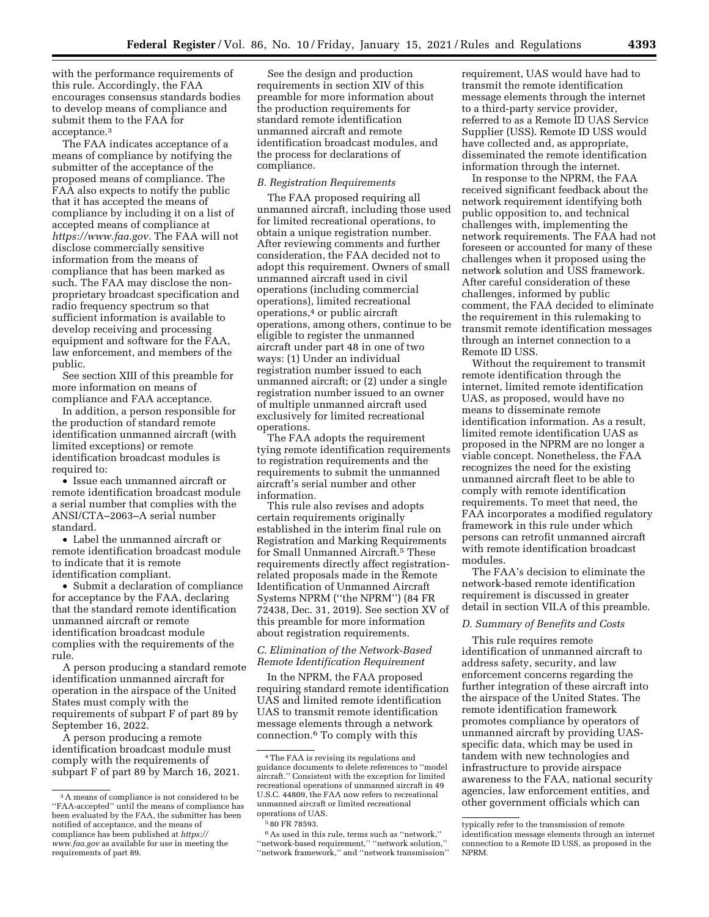with the performance requirements of this rule. Accordingly, the FAA encourages consensus standards bodies to develop means of compliance and submit them to the FAA for acceptance.3

The FAA indicates acceptance of a means of compliance by notifying the submitter of the acceptance of the proposed means of compliance. The FAA also expects to notify the public that it has accepted the means of compliance by including it on a list of accepted means of compliance at *https://www.faa.gov.* The FAA will not disclose commercially sensitive information from the means of compliance that has been marked as such. The FAA may disclose the nonproprietary broadcast specification and radio frequency spectrum so that sufficient information is available to develop receiving and processing equipment and software for the FAA, law enforcement, and members of the public.

See section XIII of this preamble for more information on means of compliance and FAA acceptance.

In addition, a person responsible for the production of standard remote identification unmanned aircraft (with limited exceptions) or remote identification broadcast modules is required to:

• Issue each unmanned aircraft or remote identification broadcast module a serial number that complies with the ANSI/CTA–2063–A serial number standard.

• Label the unmanned aircraft or remote identification broadcast module to indicate that it is remote identification compliant.

• Submit a declaration of compliance for acceptance by the FAA, declaring that the standard remote identification unmanned aircraft or remote identification broadcast module complies with the requirements of the rule.

A person producing a standard remote identification unmanned aircraft for operation in the airspace of the United States must comply with the requirements of subpart F of part 89 by September 16, 2022.

A person producing a remote identification broadcast module must comply with the requirements of subpart F of part 89 by March 16, 2021.

See the design and production requirements in section XIV of this preamble for more information about the production requirements for standard remote identification unmanned aircraft and remote identification broadcast modules, and the process for declarations of compliance.

## *B. Registration Requirements*

The FAA proposed requiring all unmanned aircraft, including those used for limited recreational operations, to obtain a unique registration number. After reviewing comments and further consideration, the FAA decided not to adopt this requirement. Owners of small unmanned aircraft used in civil operations (including commercial operations), limited recreational operations,4 or public aircraft operations, among others, continue to be eligible to register the unmanned aircraft under part 48 in one of two ways: (1) Under an individual registration number issued to each unmanned aircraft; or (2) under a single registration number issued to an owner of multiple unmanned aircraft used exclusively for limited recreational operations.

The FAA adopts the requirement tying remote identification requirements to registration requirements and the requirements to submit the unmanned aircraft's serial number and other information.

This rule also revises and adopts certain requirements originally established in the interim final rule on Registration and Marking Requirements for Small Unmanned Aircraft.5 These requirements directly affect registrationrelated proposals made in the Remote Identification of Unmanned Aircraft Systems NPRM (''the NPRM'') (84 FR 72438, Dec. 31, 2019). See section XV of this preamble for more information about registration requirements.

## *C. Elimination of the Network-Based Remote Identification Requirement*

In the NPRM, the FAA proposed requiring standard remote identification UAS and limited remote identification UAS to transmit remote identification message elements through a network connection.6 To comply with this

requirement, UAS would have had to transmit the remote identification message elements through the internet to a third-party service provider, referred to as a Remote ID UAS Service Supplier (USS). Remote ID USS would have collected and, as appropriate, disseminated the remote identification information through the internet.

In response to the NPRM, the FAA received significant feedback about the network requirement identifying both public opposition to, and technical challenges with, implementing the network requirements. The FAA had not foreseen or accounted for many of these challenges when it proposed using the network solution and USS framework. After careful consideration of these challenges, informed by public comment, the FAA decided to eliminate the requirement in this rulemaking to transmit remote identification messages through an internet connection to a Remote ID USS.

Without the requirement to transmit remote identification through the internet, limited remote identification UAS, as proposed, would have no means to disseminate remote identification information. As a result, limited remote identification UAS as proposed in the NPRM are no longer a viable concept. Nonetheless, the FAA recognizes the need for the existing unmanned aircraft fleet to be able to comply with remote identification requirements. To meet that need, the FAA incorporates a modified regulatory framework in this rule under which persons can retrofit unmanned aircraft with remote identification broadcast modules.

The FAA's decision to eliminate the network-based remote identification requirement is discussed in greater detail in section VII.A of this preamble.

## *D. Summary of Benefits and Costs*

This rule requires remote identification of unmanned aircraft to address safety, security, and law enforcement concerns regarding the further integration of these aircraft into the airspace of the United States. The remote identification framework promotes compliance by operators of unmanned aircraft by providing UASspecific data, which may be used in tandem with new technologies and infrastructure to provide airspace awareness to the FAA, national security agencies, law enforcement entities, and other government officials which can

<sup>3</sup>A means of compliance is not considered to be ''FAA-accepted'' until the means of compliance has been evaluated by the FAA, the submitter has been notified of acceptance, and the means of compliance has been published at *https:// www.faa.gov* as available for use in meeting the requirements of part 89.

<sup>4</sup>The FAA is revising its regulations and guidance documents to delete references to ''model aircraft.'' Consistent with the exception for limited recreational operations of unmanned aircraft in 49 U.S.C. 44809, the FAA now refers to recreational unmanned aircraft or limited recreational operations of UAS.

<sup>5</sup> 80 FR 78593.

 $^6\mathrm{As}$  used in this rule, terms such as ''network,'' ''network-based requirement,'' ''network solution,'' ''network framework,'' and ''network transmission''

typically refer to the transmission of remote identification message elements through an internet connection to a Remote ID USS, as proposed in the NPRM.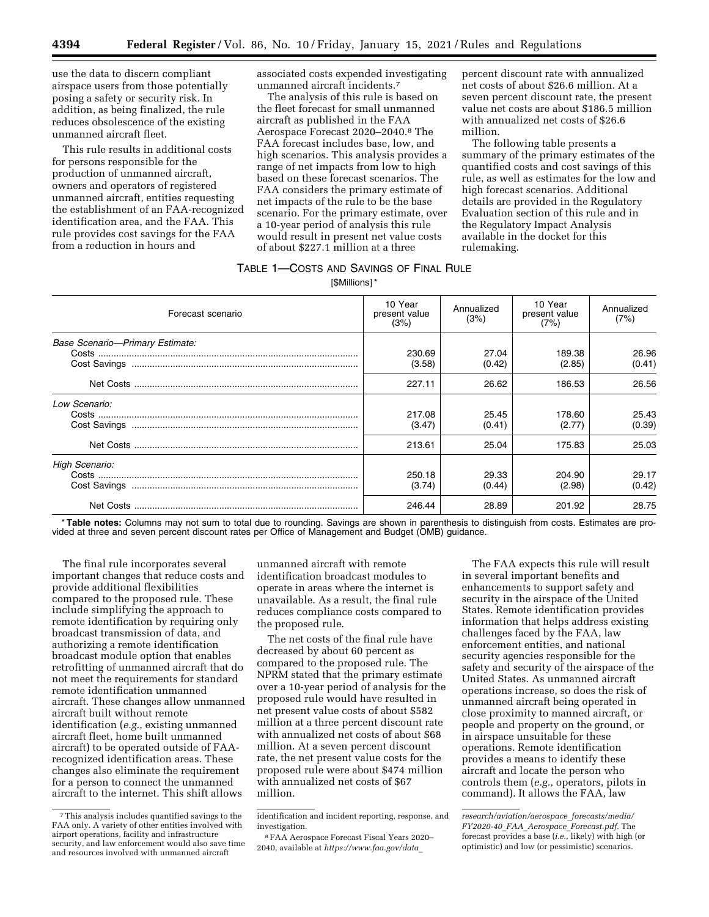use the data to discern compliant airspace users from those potentially posing a safety or security risk. In addition, as being finalized, the rule reduces obsolescence of the existing unmanned aircraft fleet.

This rule results in additional costs for persons responsible for the production of unmanned aircraft, owners and operators of registered unmanned aircraft, entities requesting the establishment of an FAA-recognized identification area, and the FAA. This rule provides cost savings for the FAA from a reduction in hours and

associated costs expended investigating unmanned aircraft incidents.7

The analysis of this rule is based on the fleet forecast for small unmanned aircraft as published in the FAA Aerospace Forecast 2020–2040.8 The FAA forecast includes base, low, and high scenarios. This analysis provides a range of net impacts from low to high based on these forecast scenarios. The FAA considers the primary estimate of net impacts of the rule to be the base scenario. For the primary estimate, over a 10-year period of analysis this rule would result in present net value costs of about \$227.1 million at a three

percent discount rate with annualized net costs of about \$26.6 million. At a seven percent discount rate, the present value net costs are about \$186.5 million with annualized net costs of \$26.6 million.

The following table presents a summary of the primary estimates of the quantified costs and cost savings of this rule, as well as estimates for the low and high forecast scenarios. Additional details are provided in the Regulatory Evaluation section of this rule and in the Regulatory Impact Analysis available in the docket for this rulemaking.

# TABLE 1—COSTS AND SAVINGS OF FINAL RULE

[\$Millions] \*

| Forecast scenario               | 10 Year<br>present value<br>(3%) | Annualized<br>(3%) | 10 Year<br>present value<br>(7%) | Annualized<br>(7%) |
|---------------------------------|----------------------------------|--------------------|----------------------------------|--------------------|
| Base Scenario-Primary Estimate: | 230.69<br>(3.58)                 | 27.04<br>(0.42)    | 189.38<br>(2.85)                 | 26.96<br>(0.41)    |
|                                 | 227.11                           | 26.62              | 186.53                           | 26.56              |
| Low Scenario:                   | 217.08<br>(3.47)                 | 25.45<br>(0.41)    | 178.60<br>(2.77)                 | 25.43<br>(0.39)    |
|                                 | 213.61                           | 25.04              | 175.83                           | 25.03              |
| High Scenario:                  | 250.18<br>(3.74)                 | 29.33<br>(0.44)    | 204.90<br>(2.98)                 | 29.17<br>(0.42)    |
|                                 | 246.44                           | 28.89              | 201.92                           | 28.75              |

\* **Table notes:** Columns may not sum to total due to rounding. Savings are shown in parenthesis to distinguish from costs. Estimates are provided at three and seven percent discount rates per Office of Management and Budget (OMB) guidance.

The final rule incorporates several important changes that reduce costs and provide additional flexibilities compared to the proposed rule. These include simplifying the approach to remote identification by requiring only broadcast transmission of data, and authorizing a remote identification broadcast module option that enables retrofitting of unmanned aircraft that do not meet the requirements for standard remote identification unmanned aircraft. These changes allow unmanned aircraft built without remote identification (*e.g.,* existing unmanned aircraft fleet, home built unmanned aircraft) to be operated outside of FAArecognized identification areas. These changes also eliminate the requirement for a person to connect the unmanned aircraft to the internet. This shift allows

unmanned aircraft with remote identification broadcast modules to operate in areas where the internet is unavailable. As a result, the final rule reduces compliance costs compared to the proposed rule.

The net costs of the final rule have decreased by about 60 percent as compared to the proposed rule. The NPRM stated that the primary estimate over a 10-year period of analysis for the proposed rule would have resulted in net present value costs of about \$582 million at a three percent discount rate with annualized net costs of about \$68 million. At a seven percent discount rate, the net present value costs for the proposed rule were about \$474 million with annualized net costs of \$67 million.

The FAA expects this rule will result in several important benefits and enhancements to support safety and security in the airspace of the United States. Remote identification provides information that helps address existing challenges faced by the FAA, law enforcement entities, and national security agencies responsible for the safety and security of the airspace of the United States. As unmanned aircraft operations increase, so does the risk of unmanned aircraft being operated in close proximity to manned aircraft, or people and property on the ground, or in airspace unsuitable for these operations. Remote identification provides a means to identify these aircraft and locate the person who controls them (*e.g.,* operators, pilots in command). It allows the FAA, law

<sup>7</sup>This analysis includes quantified savings to the FAA only. A variety of other entities involved with airport operations, facility and infrastructure security, and law enforcement would also save time and resources involved with unmanned aircraft

identification and incident reporting, response, and investigation.

<sup>8</sup>FAA Aerospace Forecast Fiscal Years 2020– 2040, available at *https://www.faa.gov/data*\_

*research/aviation/aerospace*\_*forecasts/media/ FY2020-40*\_*FAA*\_*Aerospace*\_*Forecast.pdf.* The forecast provides a base (*i.e.,* likely) with high (or optimistic) and low (or pessimistic) scenarios.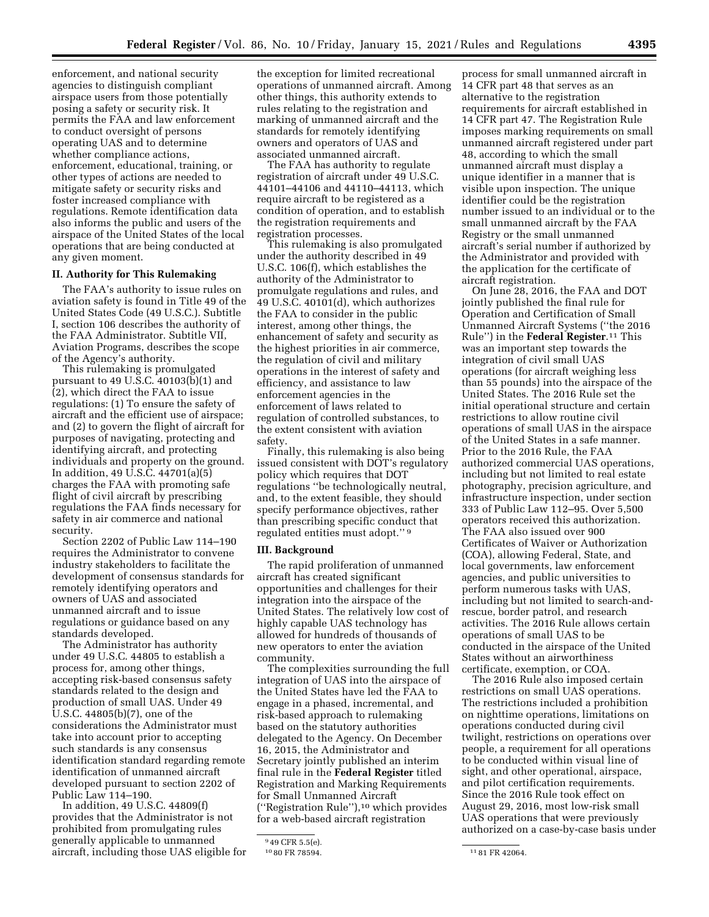enforcement, and national security agencies to distinguish compliant airspace users from those potentially posing a safety or security risk. It permits the FAA and law enforcement to conduct oversight of persons operating UAS and to determine whether compliance actions, enforcement, educational, training, or other types of actions are needed to mitigate safety or security risks and foster increased compliance with regulations. Remote identification data also informs the public and users of the airspace of the United States of the local operations that are being conducted at any given moment.

## **II. Authority for This Rulemaking**

The FAA's authority to issue rules on aviation safety is found in Title 49 of the United States Code (49 U.S.C.). Subtitle I, section 106 describes the authority of the FAA Administrator. Subtitle VII, Aviation Programs, describes the scope of the Agency's authority.

This rulemaking is promulgated pursuant to 49 U.S.C. 40103(b)(1) and (2), which direct the FAA to issue regulations: (1) To ensure the safety of aircraft and the efficient use of airspace; and (2) to govern the flight of aircraft for purposes of navigating, protecting and identifying aircraft, and protecting individuals and property on the ground. In addition, 49 U.S.C. 44701(a)(5) charges the FAA with promoting safe flight of civil aircraft by prescribing regulations the FAA finds necessary for safety in air commerce and national security.

Section 2202 of Public Law 114–190 requires the Administrator to convene industry stakeholders to facilitate the development of consensus standards for remotely identifying operators and owners of UAS and associated unmanned aircraft and to issue regulations or guidance based on any standards developed.

The Administrator has authority under 49 U.S.C. 44805 to establish a process for, among other things, accepting risk-based consensus safety standards related to the design and production of small UAS. Under 49 U.S.C. 44805(b)(7), one of the considerations the Administrator must take into account prior to accepting such standards is any consensus identification standard regarding remote identification of unmanned aircraft developed pursuant to section 2202 of Public Law 114–190.

In addition, 49 U.S.C. 44809(f) provides that the Administrator is not prohibited from promulgating rules generally applicable to unmanned aircraft, including those UAS eligible for

the exception for limited recreational operations of unmanned aircraft. Among other things, this authority extends to rules relating to the registration and marking of unmanned aircraft and the standards for remotely identifying owners and operators of UAS and associated unmanned aircraft.

The FAA has authority to regulate registration of aircraft under 49 U.S.C. 44101–44106 and 44110–44113, which require aircraft to be registered as a condition of operation, and to establish the registration requirements and registration processes.

This rulemaking is also promulgated under the authority described in 49 U.S.C. 106(f), which establishes the authority of the Administrator to promulgate regulations and rules, and 49 U.S.C. 40101(d), which authorizes the FAA to consider in the public interest, among other things, the enhancement of safety and security as the highest priorities in air commerce, the regulation of civil and military operations in the interest of safety and efficiency, and assistance to law enforcement agencies in the enforcement of laws related to regulation of controlled substances, to the extent consistent with aviation safety.

Finally, this rulemaking is also being issued consistent with DOT's regulatory policy which requires that DOT regulations ''be technologically neutral, and, to the extent feasible, they should specify performance objectives, rather than prescribing specific conduct that regulated entities must adopt.'' 9

### **III. Background**

The rapid proliferation of unmanned aircraft has created significant opportunities and challenges for their integration into the airspace of the United States. The relatively low cost of highly capable UAS technology has allowed for hundreds of thousands of new operators to enter the aviation community.

The complexities surrounding the full integration of UAS into the airspace of the United States have led the FAA to engage in a phased, incremental, and risk-based approach to rulemaking based on the statutory authorities delegated to the Agency. On December 16, 2015, the Administrator and Secretary jointly published an interim final rule in the **Federal Register** titled Registration and Marking Requirements for Small Unmanned Aircraft (''Registration Rule''),10 which provides for a web-based aircraft registration

process for small unmanned aircraft in 14 CFR part 48 that serves as an alternative to the registration requirements for aircraft established in 14 CFR part 47. The Registration Rule imposes marking requirements on small unmanned aircraft registered under part 48, according to which the small unmanned aircraft must display a unique identifier in a manner that is visible upon inspection. The unique identifier could be the registration number issued to an individual or to the small unmanned aircraft by the FAA Registry or the small unmanned aircraft's serial number if authorized by the Administrator and provided with the application for the certificate of aircraft registration.

On June 28, 2016, the FAA and DOT jointly published the final rule for Operation and Certification of Small Unmanned Aircraft Systems (''the 2016 Rule'') in the **Federal Register**.11 This was an important step towards the integration of civil small UAS operations (for aircraft weighing less than 55 pounds) into the airspace of the United States. The 2016 Rule set the initial operational structure and certain restrictions to allow routine civil operations of small UAS in the airspace of the United States in a safe manner. Prior to the 2016 Rule, the FAA authorized commercial UAS operations, including but not limited to real estate photography, precision agriculture, and infrastructure inspection, under section 333 of Public Law 112–95. Over 5,500 operators received this authorization. The FAA also issued over 900 Certificates of Waiver or Authorization (COA), allowing Federal, State, and local governments, law enforcement agencies, and public universities to perform numerous tasks with UAS, including but not limited to search-andrescue, border patrol, and research activities. The 2016 Rule allows certain operations of small UAS to be conducted in the airspace of the United States without an airworthiness certificate, exemption, or COA.

The 2016 Rule also imposed certain restrictions on small UAS operations. The restrictions included a prohibition on nighttime operations, limitations on operations conducted during civil twilight, restrictions on operations over people, a requirement for all operations to be conducted within visual line of sight, and other operational, airspace, and pilot certification requirements. Since the 2016 Rule took effect on August 29, 2016, most low-risk small UAS operations that were previously authorized on a case-by-case basis under

<sup>949</sup> CFR 5.5(e).<br>1080 FR 78594.

<sup>11 81</sup> FR 42064.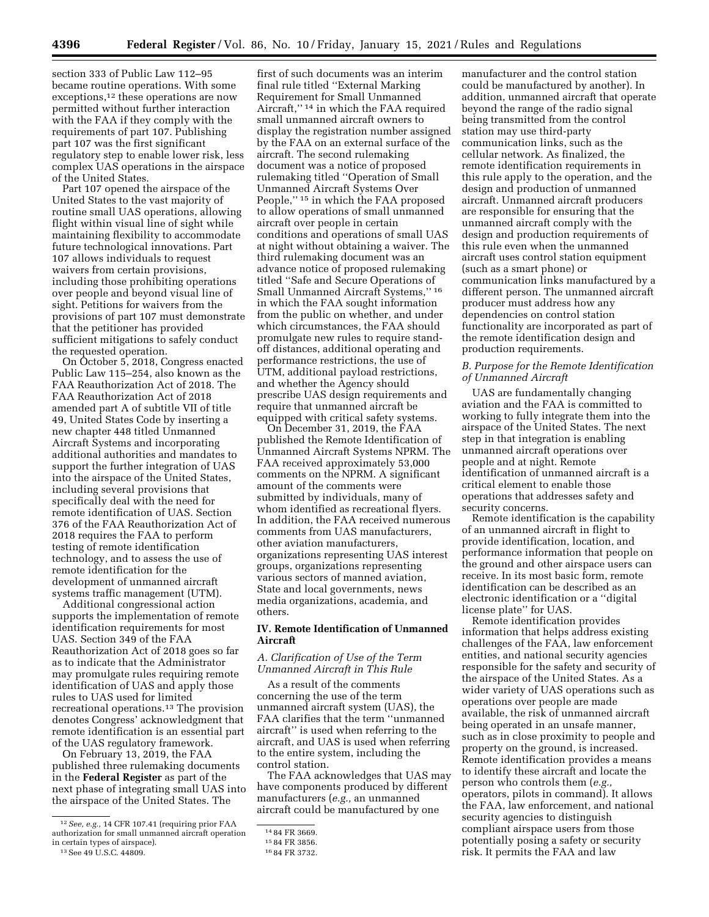section 333 of Public Law 112–95 became routine operations. With some exceptions,<sup>12</sup> these operations are now permitted without further interaction with the FAA if they comply with the requirements of part 107. Publishing part 107 was the first significant regulatory step to enable lower risk, less complex UAS operations in the airspace of the United States.

Part 107 opened the airspace of the United States to the vast majority of routine small UAS operations, allowing flight within visual line of sight while maintaining flexibility to accommodate future technological innovations. Part 107 allows individuals to request waivers from certain provisions, including those prohibiting operations over people and beyond visual line of sight. Petitions for waivers from the provisions of part 107 must demonstrate that the petitioner has provided sufficient mitigations to safely conduct the requested operation.

On October 5, 2018, Congress enacted Public Law 115–254, also known as the FAA Reauthorization Act of 2018. The FAA Reauthorization Act of 2018 amended part A of subtitle VII of title 49, United States Code by inserting a new chapter 448 titled Unmanned Aircraft Systems and incorporating additional authorities and mandates to support the further integration of UAS into the airspace of the United States, including several provisions that specifically deal with the need for remote identification of UAS. Section 376 of the FAA Reauthorization Act of 2018 requires the FAA to perform testing of remote identification technology, and to assess the use of remote identification for the development of unmanned aircraft systems traffic management (UTM).

Additional congressional action supports the implementation of remote identification requirements for most UAS. Section 349 of the FAA Reauthorization Act of 2018 goes so far as to indicate that the Administrator may promulgate rules requiring remote identification of UAS and apply those rules to UAS used for limited recreational operations.13 The provision denotes Congress' acknowledgment that remote identification is an essential part of the UAS regulatory framework.

On February 13, 2019, the FAA published three rulemaking documents in the **Federal Register** as part of the next phase of integrating small UAS into the airspace of the United States. The

first of such documents was an interim final rule titled ''External Marking Requirement for Small Unmanned Aircraft,'' 14 in which the FAA required small unmanned aircraft owners to display the registration number assigned by the FAA on an external surface of the aircraft. The second rulemaking document was a notice of proposed rulemaking titled ''Operation of Small Unmanned Aircraft Systems Over People,'' 15 in which the FAA proposed to allow operations of small unmanned aircraft over people in certain conditions and operations of small UAS at night without obtaining a waiver. The third rulemaking document was an advance notice of proposed rulemaking titled ''Safe and Secure Operations of Small Unmanned Aircraft Systems,'' 16 in which the FAA sought information from the public on whether, and under which circumstances, the FAA should promulgate new rules to require standoff distances, additional operating and performance restrictions, the use of UTM, additional payload restrictions, and whether the Agency should prescribe UAS design requirements and require that unmanned aircraft be equipped with critical safety systems.

On December 31, 2019, the FAA published the Remote Identification of Unmanned Aircraft Systems NPRM. The FAA received approximately 53,000 comments on the NPRM. A significant amount of the comments were submitted by individuals, many of whom identified as recreational flyers. In addition, the FAA received numerous comments from UAS manufacturers, other aviation manufacturers, organizations representing UAS interest groups, organizations representing various sectors of manned aviation, State and local governments, news media organizations, academia, and others.

## **IV. Remote Identification of Unmanned Aircraft**

## *A. Clarification of Use of the Term Unmanned Aircraft in This Rule*

As a result of the comments concerning the use of the term unmanned aircraft system (UAS), the FAA clarifies that the term ''unmanned aircraft'' is used when referring to the aircraft, and UAS is used when referring to the entire system, including the control station.

The FAA acknowledges that UAS may have components produced by different manufacturers (*e.g.,* an unmanned aircraft could be manufactured by one

manufacturer and the control station could be manufactured by another). In addition, unmanned aircraft that operate beyond the range of the radio signal being transmitted from the control station may use third-party communication links, such as the cellular network. As finalized, the remote identification requirements in this rule apply to the operation, and the design and production of unmanned aircraft. Unmanned aircraft producers are responsible for ensuring that the unmanned aircraft comply with the design and production requirements of this rule even when the unmanned aircraft uses control station equipment (such as a smart phone) or communication links manufactured by a different person. The unmanned aircraft producer must address how any dependencies on control station functionality are incorporated as part of the remote identification design and production requirements.

## *B. Purpose for the Remote Identification of Unmanned Aircraft*

UAS are fundamentally changing aviation and the FAA is committed to working to fully integrate them into the airspace of the United States. The next step in that integration is enabling unmanned aircraft operations over people and at night. Remote identification of unmanned aircraft is a critical element to enable those operations that addresses safety and security concerns.

Remote identification is the capability of an unmanned aircraft in flight to provide identification, location, and performance information that people on the ground and other airspace users can receive. In its most basic form, remote identification can be described as an electronic identification or a ''digital license plate'' for UAS.

Remote identification provides information that helps address existing challenges of the FAA, law enforcement entities, and national security agencies responsible for the safety and security of the airspace of the United States. As a wider variety of UAS operations such as operations over people are made available, the risk of unmanned aircraft being operated in an unsafe manner, such as in close proximity to people and property on the ground, is increased. Remote identification provides a means to identify these aircraft and locate the person who controls them (*e.g.,*  operators, pilots in command). It allows the FAA, law enforcement, and national security agencies to distinguish compliant airspace users from those potentially posing a safety or security risk. It permits the FAA and law

<sup>12</sup>*See, e.g.,* 14 CFR 107.41 (requiring prior FAA authorization for small unmanned aircraft operation in certain types of airspace).

<sup>13</sup>See 49 U.S.C. 44809.

<sup>14</sup> 84 FR 3669. 15 84 FR 3856. 16 84 FR 3732.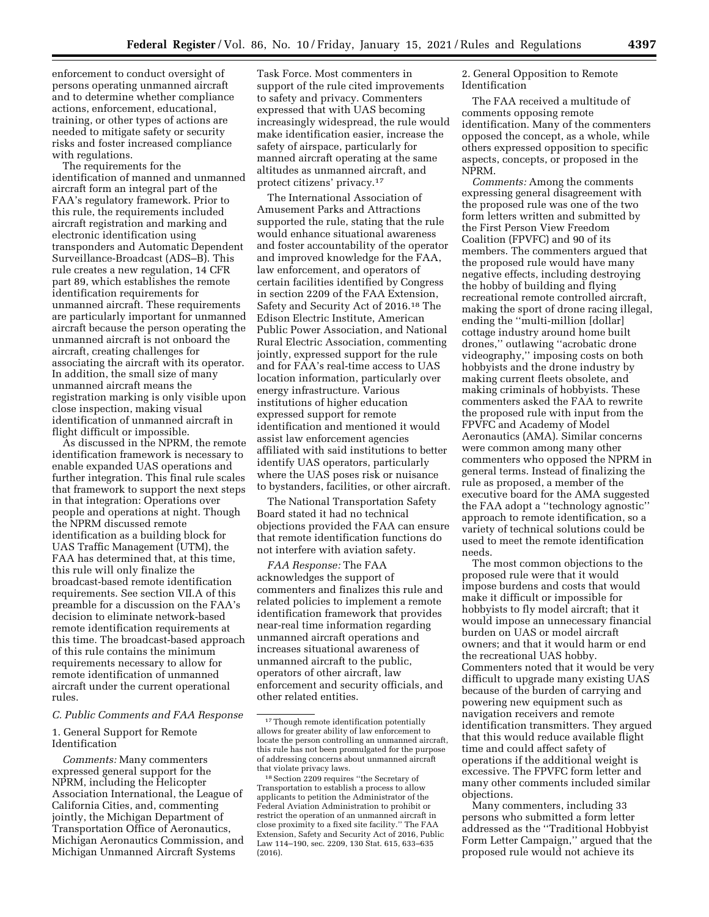enforcement to conduct oversight of persons operating unmanned aircraft and to determine whether compliance actions, enforcement, educational, training, or other types of actions are needed to mitigate safety or security risks and foster increased compliance with regulations.

The requirements for the identification of manned and unmanned aircraft form an integral part of the FAA's regulatory framework. Prior to this rule, the requirements included aircraft registration and marking and electronic identification using transponders and Automatic Dependent Surveillance-Broadcast (ADS–B). This rule creates a new regulation, 14 CFR part 89, which establishes the remote identification requirements for unmanned aircraft. These requirements are particularly important for unmanned aircraft because the person operating the unmanned aircraft is not onboard the aircraft, creating challenges for associating the aircraft with its operator. In addition, the small size of many unmanned aircraft means the registration marking is only visible upon close inspection, making visual identification of unmanned aircraft in flight difficult or impossible.

As discussed in the NPRM, the remote identification framework is necessary to enable expanded UAS operations and further integration. This final rule scales that framework to support the next steps in that integration: Operations over people and operations at night. Though the NPRM discussed remote identification as a building block for UAS Traffic Management (UTM), the FAA has determined that, at this time, this rule will only finalize the broadcast-based remote identification requirements. See section VII.A of this preamble for a discussion on the FAA's decision to eliminate network-based remote identification requirements at this time. The broadcast-based approach of this rule contains the minimum requirements necessary to allow for remote identification of unmanned aircraft under the current operational rules.

## *C. Public Comments and FAA Response*

1. General Support for Remote Identification

*Comments:* Many commenters expressed general support for the NPRM, including the Helicopter Association International, the League of California Cities, and, commenting jointly, the Michigan Department of Transportation Office of Aeronautics, Michigan Aeronautics Commission, and Michigan Unmanned Aircraft Systems

Task Force. Most commenters in support of the rule cited improvements to safety and privacy. Commenters expressed that with UAS becoming increasingly widespread, the rule would make identification easier, increase the safety of airspace, particularly for manned aircraft operating at the same altitudes as unmanned aircraft, and protect citizens' privacy.17

The International Association of Amusement Parks and Attractions supported the rule, stating that the rule would enhance situational awareness and foster accountability of the operator and improved knowledge for the FAA, law enforcement, and operators of certain facilities identified by Congress in section 2209 of the FAA Extension, Safety and Security Act of 2016.18 The Edison Electric Institute, American Public Power Association, and National Rural Electric Association, commenting jointly, expressed support for the rule and for FAA's real-time access to UAS location information, particularly over energy infrastructure. Various institutions of higher education expressed support for remote identification and mentioned it would assist law enforcement agencies affiliated with said institutions to better identify UAS operators, particularly where the UAS poses risk or nuisance to bystanders, facilities, or other aircraft.

The National Transportation Safety Board stated it had no technical objections provided the FAA can ensure that remote identification functions do not interfere with aviation safety.

*FAA Response:* The FAA acknowledges the support of commenters and finalizes this rule and related policies to implement a remote identification framework that provides near-real time information regarding unmanned aircraft operations and increases situational awareness of unmanned aircraft to the public, operators of other aircraft, law enforcement and security officials, and other related entities.

2. General Opposition to Remote Identification

The FAA received a multitude of comments opposing remote identification. Many of the commenters opposed the concept, as a whole, while others expressed opposition to specific aspects, concepts, or proposed in the NPRM.

*Comments:* Among the comments expressing general disagreement with the proposed rule was one of the two form letters written and submitted by the First Person View Freedom Coalition (FPVFC) and 90 of its members. The commenters argued that the proposed rule would have many negative effects, including destroying the hobby of building and flying recreational remote controlled aircraft, making the sport of drone racing illegal, ending the ''multi-million [dollar] cottage industry around home built drones,'' outlawing ''acrobatic drone videography,'' imposing costs on both hobbyists and the drone industry by making current fleets obsolete, and making criminals of hobbyists. These commenters asked the FAA to rewrite the proposed rule with input from the FPVFC and Academy of Model Aeronautics (AMA). Similar concerns were common among many other commenters who opposed the NPRM in general terms. Instead of finalizing the rule as proposed, a member of the executive board for the AMA suggested the FAA adopt a ''technology agnostic'' approach to remote identification, so a variety of technical solutions could be used to meet the remote identification needs.

The most common objections to the proposed rule were that it would impose burdens and costs that would make it difficult or impossible for hobbyists to fly model aircraft; that it would impose an unnecessary financial burden on UAS or model aircraft owners; and that it would harm or end the recreational UAS hobby. Commenters noted that it would be very difficult to upgrade many existing UAS because of the burden of carrying and powering new equipment such as navigation receivers and remote identification transmitters. They argued that this would reduce available flight time and could affect safety of operations if the additional weight is excessive. The FPVFC form letter and many other comments included similar objections.

Many commenters, including 33 persons who submitted a form letter addressed as the ''Traditional Hobbyist Form Letter Campaign,'' argued that the proposed rule would not achieve its

<sup>&</sup>lt;sup>17</sup>Though remote identification potentially allows for greater ability of law enforcement to locate the person controlling an unmanned aircraft, this rule has not been promulgated for the purpose of addressing concerns about unmanned aircraft that violate privacy laws.

<sup>18</sup>Section 2209 requires ''the Secretary of Transportation to establish a process to allow applicants to petition the Administrator of the Federal Aviation Administration to prohibit or restrict the operation of an unmanned aircraft in close proximity to a fixed site facility.'' The FAA Extension, Safety and Security Act of 2016, Public Law 114–190, sec. 2209, 130 Stat. 615, 633–635 (2016).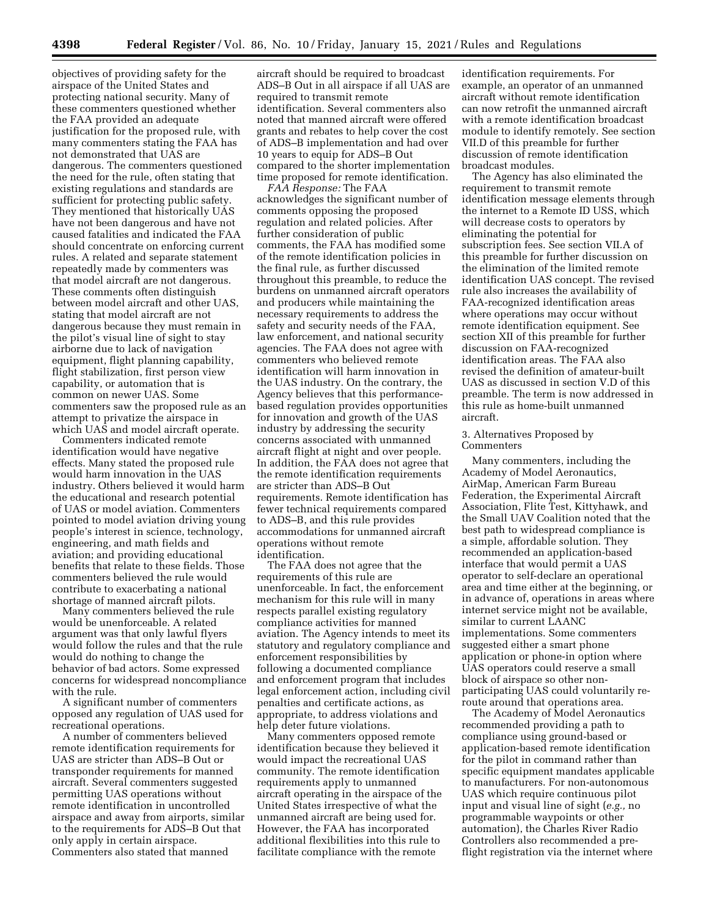objectives of providing safety for the airspace of the United States and protecting national security. Many of these commenters questioned whether the FAA provided an adequate justification for the proposed rule, with many commenters stating the FAA has not demonstrated that UAS are dangerous. The commenters questioned the need for the rule, often stating that existing regulations and standards are sufficient for protecting public safety. They mentioned that historically UAS have not been dangerous and have not caused fatalities and indicated the FAA should concentrate on enforcing current rules. A related and separate statement repeatedly made by commenters was that model aircraft are not dangerous. These comments often distinguish between model aircraft and other UAS, stating that model aircraft are not dangerous because they must remain in the pilot's visual line of sight to stay airborne due to lack of navigation equipment, flight planning capability, flight stabilization, first person view capability, or automation that is common on newer UAS. Some commenters saw the proposed rule as an attempt to privatize the airspace in which UAS and model aircraft operate.

Commenters indicated remote identification would have negative effects. Many stated the proposed rule would harm innovation in the UAS industry. Others believed it would harm the educational and research potential of UAS or model aviation. Commenters pointed to model aviation driving young people's interest in science, technology, engineering, and math fields and aviation; and providing educational benefits that relate to these fields. Those commenters believed the rule would contribute to exacerbating a national shortage of manned aircraft pilots.

Many commenters believed the rule would be unenforceable. A related argument was that only lawful flyers would follow the rules and that the rule would do nothing to change the behavior of bad actors. Some expressed concerns for widespread noncompliance with the rule.

A significant number of commenters opposed any regulation of UAS used for recreational operations.

A number of commenters believed remote identification requirements for UAS are stricter than ADS–B Out or transponder requirements for manned aircraft. Several commenters suggested permitting UAS operations without remote identification in uncontrolled airspace and away from airports, similar to the requirements for ADS–B Out that only apply in certain airspace. Commenters also stated that manned

aircraft should be required to broadcast ADS–B Out in all airspace if all UAS are required to transmit remote identification. Several commenters also noted that manned aircraft were offered grants and rebates to help cover the cost of ADS–B implementation and had over 10 years to equip for ADS–B Out compared to the shorter implementation time proposed for remote identification.

*FAA Response:* The FAA acknowledges the significant number of comments opposing the proposed regulation and related policies. After further consideration of public comments, the FAA has modified some of the remote identification policies in the final rule, as further discussed throughout this preamble, to reduce the burdens on unmanned aircraft operators and producers while maintaining the necessary requirements to address the safety and security needs of the FAA, law enforcement, and national security agencies. The FAA does not agree with commenters who believed remote identification will harm innovation in the UAS industry. On the contrary, the Agency believes that this performancebased regulation provides opportunities for innovation and growth of the UAS industry by addressing the security concerns associated with unmanned aircraft flight at night and over people. In addition, the FAA does not agree that the remote identification requirements are stricter than ADS–B Out requirements. Remote identification has fewer technical requirements compared to ADS–B, and this rule provides accommodations for unmanned aircraft operations without remote identification.

The FAA does not agree that the requirements of this rule are unenforceable. In fact, the enforcement mechanism for this rule will in many respects parallel existing regulatory compliance activities for manned aviation. The Agency intends to meet its statutory and regulatory compliance and enforcement responsibilities by following a documented compliance and enforcement program that includes legal enforcement action, including civil penalties and certificate actions, as appropriate, to address violations and help deter future violations.

Many commenters opposed remote identification because they believed it would impact the recreational UAS community. The remote identification requirements apply to unmanned aircraft operating in the airspace of the United States irrespective of what the unmanned aircraft are being used for. However, the FAA has incorporated additional flexibilities into this rule to facilitate compliance with the remote

identification requirements. For example, an operator of an unmanned aircraft without remote identification can now retrofit the unmanned aircraft with a remote identification broadcast module to identify remotely. See section VII.D of this preamble for further discussion of remote identification broadcast modules.

The Agency has also eliminated the requirement to transmit remote identification message elements through the internet to a Remote ID USS, which will decrease costs to operators by eliminating the potential for subscription fees. See section VII.A of this preamble for further discussion on the elimination of the limited remote identification UAS concept. The revised rule also increases the availability of FAA-recognized identification areas where operations may occur without remote identification equipment. See section XII of this preamble for further discussion on FAA-recognized identification areas. The FAA also revised the definition of amateur-built UAS as discussed in section V.D of this preamble. The term is now addressed in this rule as home-built unmanned aircraft.

## 3. Alternatives Proposed by Commenters

Many commenters, including the Academy of Model Aeronautics, AirMap, American Farm Bureau Federation, the Experimental Aircraft Association, Flite Test, Kittyhawk, and the Small UAV Coalition noted that the best path to widespread compliance is a simple, affordable solution. They recommended an application-based interface that would permit a UAS operator to self-declare an operational area and time either at the beginning, or in advance of, operations in areas where internet service might not be available, similar to current LAANC implementations. Some commenters suggested either a smart phone application or phone-in option where UAS operators could reserve a small block of airspace so other nonparticipating UAS could voluntarily reroute around that operations area.

The Academy of Model Aeronautics recommended providing a path to compliance using ground-based or application-based remote identification for the pilot in command rather than specific equipment mandates applicable to manufacturers. For non-autonomous UAS which require continuous pilot input and visual line of sight (*e.g.,* no programmable waypoints or other automation), the Charles River Radio Controllers also recommended a preflight registration via the internet where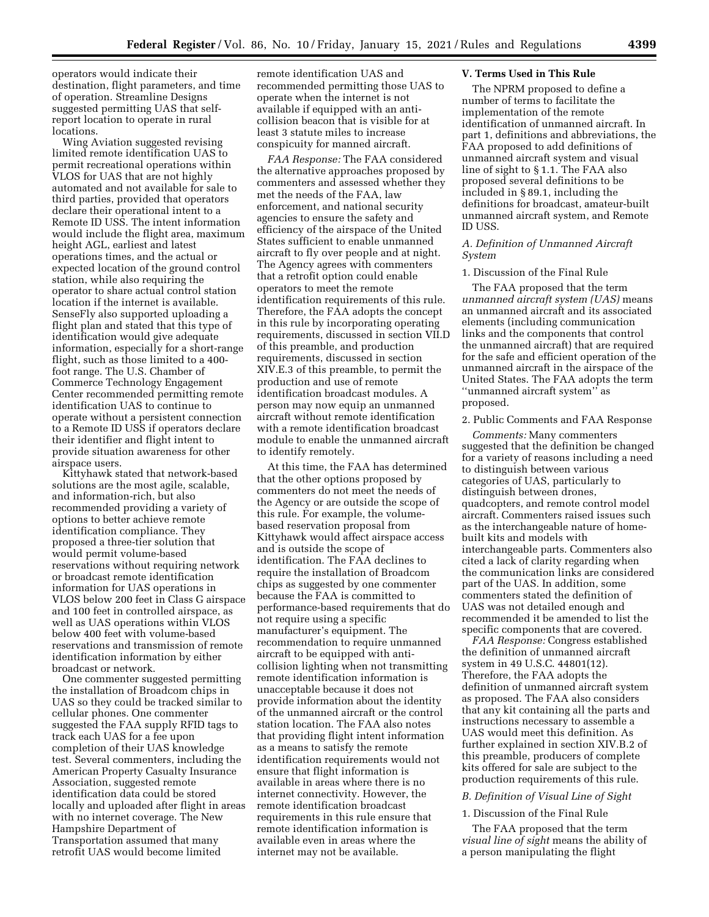operators would indicate their destination, flight parameters, and time of operation. Streamline Designs suggested permitting UAS that selfreport location to operate in rural locations.

Wing Aviation suggested revising limited remote identification UAS to permit recreational operations within VLOS for UAS that are not highly automated and not available for sale to third parties, provided that operators declare their operational intent to a Remote ID USS. The intent information would include the flight area, maximum height AGL, earliest and latest operations times, and the actual or expected location of the ground control station, while also requiring the operator to share actual control station location if the internet is available. SenseFly also supported uploading a flight plan and stated that this type of identification would give adequate information, especially for a short-range flight, such as those limited to a 400 foot range. The U.S. Chamber of Commerce Technology Engagement Center recommended permitting remote identification UAS to continue to operate without a persistent connection to a Remote ID USS if operators declare their identifier and flight intent to provide situation awareness for other airspace users.

Kittyhawk stated that network-based solutions are the most agile, scalable, and information-rich, but also recommended providing a variety of options to better achieve remote identification compliance. They proposed a three-tier solution that would permit volume-based reservations without requiring network or broadcast remote identification information for UAS operations in VLOS below 200 feet in Class G airspace and 100 feet in controlled airspace, as well as UAS operations within VLOS below 400 feet with volume-based reservations and transmission of remote identification information by either broadcast or network.

One commenter suggested permitting the installation of Broadcom chips in UAS so they could be tracked similar to cellular phones. One commenter suggested the FAA supply RFID tags to track each UAS for a fee upon completion of their UAS knowledge test. Several commenters, including the American Property Casualty Insurance Association, suggested remote identification data could be stored locally and uploaded after flight in areas with no internet coverage. The New Hampshire Department of Transportation assumed that many retrofit UAS would become limited

remote identification UAS and recommended permitting those UAS to operate when the internet is not available if equipped with an anticollision beacon that is visible for at least 3 statute miles to increase conspicuity for manned aircraft.

*FAA Response:* The FAA considered the alternative approaches proposed by commenters and assessed whether they met the needs of the FAA, law enforcement, and national security agencies to ensure the safety and efficiency of the airspace of the United States sufficient to enable unmanned aircraft to fly over people and at night. The Agency agrees with commenters that a retrofit option could enable operators to meet the remote identification requirements of this rule. Therefore, the FAA adopts the concept in this rule by incorporating operating requirements, discussed in section VII.D of this preamble, and production requirements, discussed in section XIV.E.3 of this preamble, to permit the production and use of remote identification broadcast modules. A person may now equip an unmanned aircraft without remote identification with a remote identification broadcast module to enable the unmanned aircraft to identify remotely.

At this time, the FAA has determined that the other options proposed by commenters do not meet the needs of the Agency or are outside the scope of this rule. For example, the volumebased reservation proposal from Kittyhawk would affect airspace access and is outside the scope of identification. The FAA declines to require the installation of Broadcom chips as suggested by one commenter because the FAA is committed to performance-based requirements that do not require using a specific manufacturer's equipment. The recommendation to require unmanned aircraft to be equipped with anticollision lighting when not transmitting remote identification information is unacceptable because it does not provide information about the identity of the unmanned aircraft or the control station location. The FAA also notes that providing flight intent information as a means to satisfy the remote identification requirements would not ensure that flight information is available in areas where there is no internet connectivity. However, the remote identification broadcast requirements in this rule ensure that remote identification information is available even in areas where the internet may not be available.

### **V. Terms Used in This Rule**

The NPRM proposed to define a number of terms to facilitate the implementation of the remote identification of unmanned aircraft. In part 1, definitions and abbreviations, the FAA proposed to add definitions of unmanned aircraft system and visual line of sight to § 1.1. The FAA also proposed several definitions to be included in § 89.1, including the definitions for broadcast, amateur-built unmanned aircraft system, and Remote ID USS.

## *A. Definition of Unmanned Aircraft System*

## 1. Discussion of the Final Rule

The FAA proposed that the term *unmanned aircraft system (UAS)* means an unmanned aircraft and its associated elements (including communication links and the components that control the unmanned aircraft) that are required for the safe and efficient operation of the unmanned aircraft in the airspace of the United States. The FAA adopts the term ''unmanned aircraft system'' as proposed.

### 2. Public Comments and FAA Response

*Comments:* Many commenters suggested that the definition be changed for a variety of reasons including a need to distinguish between various categories of UAS, particularly to distinguish between drones, quadcopters, and remote control model aircraft. Commenters raised issues such as the interchangeable nature of homebuilt kits and models with interchangeable parts. Commenters also cited a lack of clarity regarding when the communication links are considered part of the UAS. In addition, some commenters stated the definition of UAS was not detailed enough and recommended it be amended to list the specific components that are covered.

*FAA Response:* Congress established the definition of unmanned aircraft system in 49 U.S.C. 44801(12). Therefore, the FAA adopts the definition of unmanned aircraft system as proposed. The FAA also considers that any kit containing all the parts and instructions necessary to assemble a UAS would meet this definition. As further explained in section XIV.B.2 of this preamble, producers of complete kits offered for sale are subject to the production requirements of this rule.

## *B. Definition of Visual Line of Sight*

### 1. Discussion of the Final Rule

The FAA proposed that the term *visual line of sight* means the ability of a person manipulating the flight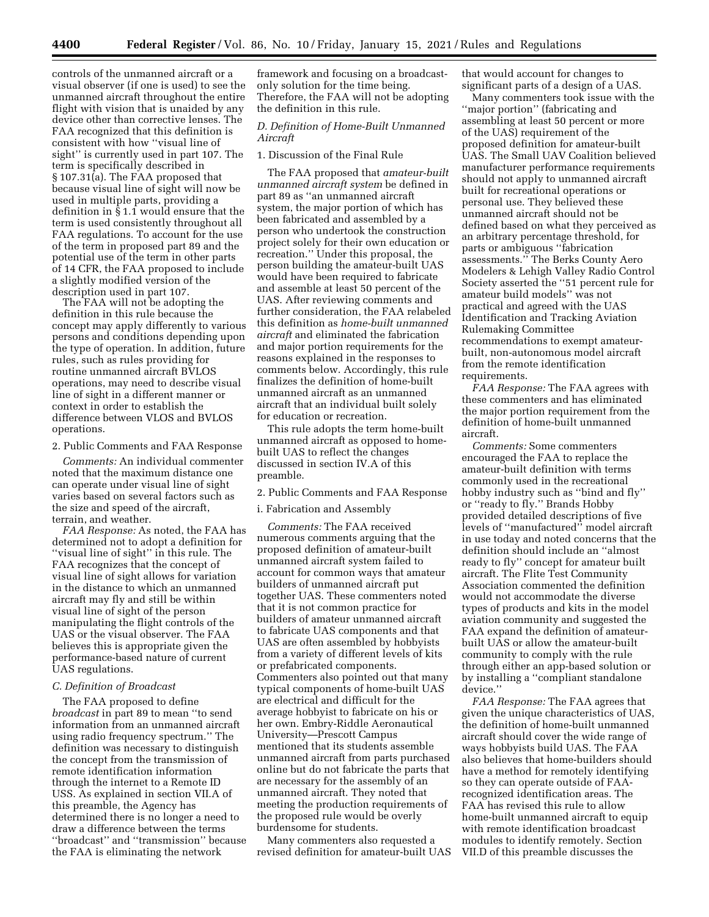controls of the unmanned aircraft or a visual observer (if one is used) to see the unmanned aircraft throughout the entire flight with vision that is unaided by any device other than corrective lenses. The FAA recognized that this definition is consistent with how ''visual line of sight'' is currently used in part 107. The term is specifically described in § 107.31(a). The FAA proposed that because visual line of sight will now be used in multiple parts, providing a definition in § 1.1 would ensure that the term is used consistently throughout all FAA regulations. To account for the use of the term in proposed part 89 and the potential use of the term in other parts of 14 CFR, the FAA proposed to include a slightly modified version of the description used in part 107.

The FAA will not be adopting the definition in this rule because the concept may apply differently to various persons and conditions depending upon the type of operation. In addition, future rules, such as rules providing for routine unmanned aircraft BVLOS operations, may need to describe visual line of sight in a different manner or context in order to establish the difference between VLOS and BVLOS operations.

2. Public Comments and FAA Response

*Comments:* An individual commenter noted that the maximum distance one can operate under visual line of sight varies based on several factors such as the size and speed of the aircraft, terrain, and weather.

*FAA Response:* As noted, the FAA has determined not to adopt a definition for ''visual line of sight'' in this rule. The FAA recognizes that the concept of visual line of sight allows for variation in the distance to which an unmanned aircraft may fly and still be within visual line of sight of the person manipulating the flight controls of the UAS or the visual observer. The FAA believes this is appropriate given the performance-based nature of current UAS regulations.

### *C. Definition of Broadcast*

The FAA proposed to define *broadcast* in part 89 to mean ''to send information from an unmanned aircraft using radio frequency spectrum.'' The definition was necessary to distinguish the concept from the transmission of remote identification information through the internet to a Remote ID USS. As explained in section VII.A of this preamble, the Agency has determined there is no longer a need to draw a difference between the terms ''broadcast'' and ''transmission'' because the FAA is eliminating the network

framework and focusing on a broadcastonly solution for the time being. Therefore, the FAA will not be adopting the definition in this rule.

## *D. Definition of Home-Built Unmanned Aircraft*

#### 1. Discussion of the Final Rule

The FAA proposed that *amateur-built unmanned aircraft system* be defined in part 89 as ''an unmanned aircraft system, the major portion of which has been fabricated and assembled by a person who undertook the construction project solely for their own education or recreation.'' Under this proposal, the person building the amateur-built UAS would have been required to fabricate and assemble at least 50 percent of the UAS. After reviewing comments and further consideration, the FAA relabeled this definition as *home-built unmanned aircraft* and eliminated the fabrication and major portion requirements for the reasons explained in the responses to comments below. Accordingly, this rule finalizes the definition of home-built unmanned aircraft as an unmanned aircraft that an individual built solely for education or recreation.

This rule adopts the term home-built unmanned aircraft as opposed to homebuilt UAS to reflect the changes discussed in section IV.A of this preamble.

2. Public Comments and FAA Response

### i. Fabrication and Assembly

*Comments:* The FAA received numerous comments arguing that the proposed definition of amateur-built unmanned aircraft system failed to account for common ways that amateur builders of unmanned aircraft put together UAS. These commenters noted that it is not common practice for builders of amateur unmanned aircraft to fabricate UAS components and that UAS are often assembled by hobbyists from a variety of different levels of kits or prefabricated components. Commenters also pointed out that many typical components of home-built UAS are electrical and difficult for the average hobbyist to fabricate on his or her own. Embry-Riddle Aeronautical University—Prescott Campus mentioned that its students assemble unmanned aircraft from parts purchased online but do not fabricate the parts that are necessary for the assembly of an unmanned aircraft. They noted that meeting the production requirements of the proposed rule would be overly burdensome for students.

Many commenters also requested a revised definition for amateur-built UAS that would account for changes to significant parts of a design of a UAS.

Many commenters took issue with the ''major portion'' (fabricating and assembling at least 50 percent or more of the UAS) requirement of the proposed definition for amateur-built UAS. The Small UAV Coalition believed manufacturer performance requirements should not apply to unmanned aircraft built for recreational operations or personal use. They believed these unmanned aircraft should not be defined based on what they perceived as an arbitrary percentage threshold, for parts or ambiguous ''fabrication assessments.'' The Berks County Aero Modelers & Lehigh Valley Radio Control Society asserted the ''51 percent rule for amateur build models'' was not practical and agreed with the UAS Identification and Tracking Aviation Rulemaking Committee recommendations to exempt amateurbuilt, non-autonomous model aircraft from the remote identification requirements.

*FAA Response:* The FAA agrees with these commenters and has eliminated the major portion requirement from the definition of home-built unmanned aircraft.

*Comments:* Some commenters encouraged the FAA to replace the amateur-built definition with terms commonly used in the recreational hobby industry such as ''bind and fly'' or ''ready to fly.'' Brands Hobby provided detailed descriptions of five levels of ''manufactured'' model aircraft in use today and noted concerns that the definition should include an ''almost ready to fly'' concept for amateur built aircraft. The Flite Test Community Association commented the definition would not accommodate the diverse types of products and kits in the model aviation community and suggested the FAA expand the definition of amateurbuilt UAS or allow the amateur-built community to comply with the rule through either an app-based solution or by installing a ''compliant standalone device.''

*FAA Response:* The FAA agrees that given the unique characteristics of UAS, the definition of home-built unmanned aircraft should cover the wide range of ways hobbyists build UAS. The FAA also believes that home-builders should have a method for remotely identifying so they can operate outside of FAArecognized identification areas. The FAA has revised this rule to allow home-built unmanned aircraft to equip with remote identification broadcast modules to identify remotely. Section VII.D of this preamble discusses the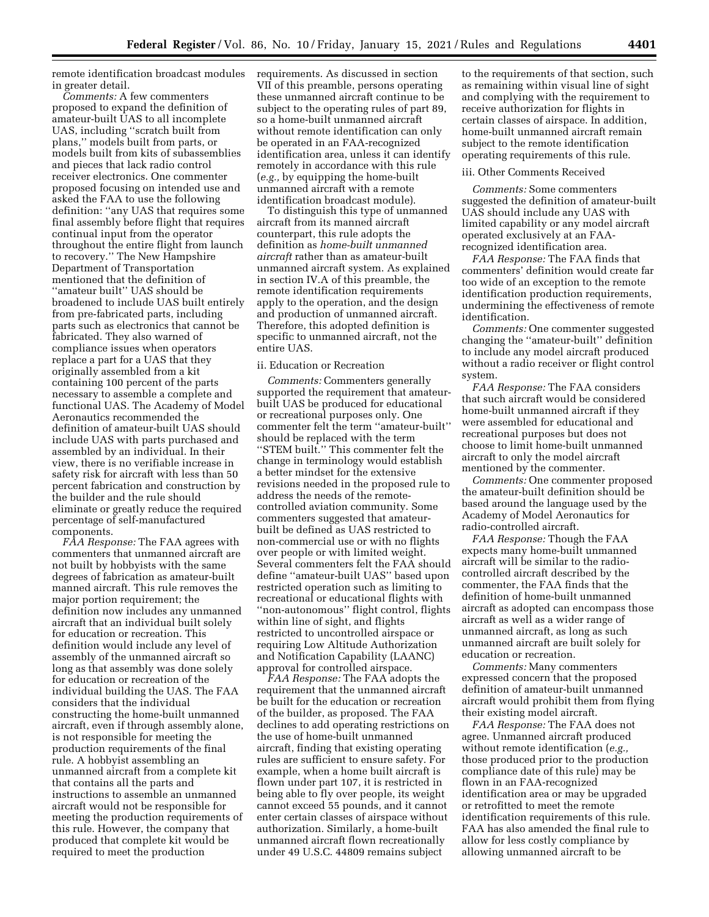remote identification broadcast modules in greater detail.

*Comments:* A few commenters proposed to expand the definition of amateur-built UAS to all incomplete UAS, including ''scratch built from plans,'' models built from parts, or models built from kits of subassemblies and pieces that lack radio control receiver electronics. One commenter proposed focusing on intended use and asked the FAA to use the following definition: ''any UAS that requires some final assembly before flight that requires continual input from the operator throughout the entire flight from launch to recovery.'' The New Hampshire Department of Transportation mentioned that the definition of ''amateur built'' UAS should be broadened to include UAS built entirely from pre-fabricated parts, including parts such as electronics that cannot be fabricated. They also warned of compliance issues when operators replace a part for a UAS that they originally assembled from a kit containing 100 percent of the parts necessary to assemble a complete and functional UAS. The Academy of Model Aeronautics recommended the definition of amateur-built UAS should include UAS with parts purchased and assembled by an individual. In their view, there is no verifiable increase in safety risk for aircraft with less than 50 percent fabrication and construction by the builder and the rule should eliminate or greatly reduce the required percentage of self-manufactured components.

*FAA Response:* The FAA agrees with commenters that unmanned aircraft are not built by hobbyists with the same degrees of fabrication as amateur-built manned aircraft. This rule removes the major portion requirement; the definition now includes any unmanned aircraft that an individual built solely for education or recreation. This definition would include any level of assembly of the unmanned aircraft so long as that assembly was done solely for education or recreation of the individual building the UAS. The FAA considers that the individual constructing the home-built unmanned aircraft, even if through assembly alone, is not responsible for meeting the production requirements of the final rule. A hobbyist assembling an unmanned aircraft from a complete kit that contains all the parts and instructions to assemble an unmanned aircraft would not be responsible for meeting the production requirements of this rule. However, the company that produced that complete kit would be required to meet the production

requirements. As discussed in section VII of this preamble, persons operating these unmanned aircraft continue to be subject to the operating rules of part 89, so a home-built unmanned aircraft without remote identification can only be operated in an FAA-recognized identification area, unless it can identify remotely in accordance with this rule (*e.g.,* by equipping the home-built unmanned aircraft with a remote identification broadcast module).

To distinguish this type of unmanned aircraft from its manned aircraft counterpart, this rule adopts the definition as *home-built unmanned aircraft* rather than as amateur-built unmanned aircraft system. As explained in section IV.A of this preamble, the remote identification requirements apply to the operation, and the design and production of unmanned aircraft. Therefore, this adopted definition is specific to unmanned aircraft, not the entire UAS.

#### ii. Education or Recreation

*Comments:* Commenters generally supported the requirement that amateurbuilt UAS be produced for educational or recreational purposes only. One commenter felt the term ''amateur-built'' should be replaced with the term ''STEM built.'' This commenter felt the change in terminology would establish a better mindset for the extensive revisions needed in the proposed rule to address the needs of the remotecontrolled aviation community. Some commenters suggested that amateurbuilt be defined as UAS restricted to non-commercial use or with no flights over people or with limited weight. Several commenters felt the FAA should define ''amateur-built UAS'' based upon restricted operation such as limiting to recreational or educational flights with ''non-autonomous'' flight control, flights within line of sight, and flights restricted to uncontrolled airspace or requiring Low Altitude Authorization and Notification Capability (LAANC) approval for controlled airspace.

*FAA Response:* The FAA adopts the requirement that the unmanned aircraft be built for the education or recreation of the builder, as proposed. The FAA declines to add operating restrictions on the use of home-built unmanned aircraft, finding that existing operating rules are sufficient to ensure safety. For example, when a home built aircraft is flown under part 107, it is restricted in being able to fly over people, its weight cannot exceed 55 pounds, and it cannot enter certain classes of airspace without authorization. Similarly, a home-built unmanned aircraft flown recreationally under 49 U.S.C. 44809 remains subject

to the requirements of that section, such as remaining within visual line of sight and complying with the requirement to receive authorization for flights in certain classes of airspace. In addition, home-built unmanned aircraft remain subject to the remote identification operating requirements of this rule.

## iii. Other Comments Received

*Comments:* Some commenters suggested the definition of amateur-built UAS should include any UAS with limited capability or any model aircraft operated exclusively at an FAArecognized identification area.

*FAA Response:* The FAA finds that commenters' definition would create far too wide of an exception to the remote identification production requirements, undermining the effectiveness of remote identification.

*Comments:* One commenter suggested changing the ''amateur-built'' definition to include any model aircraft produced without a radio receiver or flight control system.

*FAA Response:* The FAA considers that such aircraft would be considered home-built unmanned aircraft if they were assembled for educational and recreational purposes but does not choose to limit home-built unmanned aircraft to only the model aircraft mentioned by the commenter.

*Comments:* One commenter proposed the amateur-built definition should be based around the language used by the Academy of Model Aeronautics for radio-controlled aircraft.

*FAA Response:* Though the FAA expects many home-built unmanned aircraft will be similar to the radiocontrolled aircraft described by the commenter, the FAA finds that the definition of home-built unmanned aircraft as adopted can encompass those aircraft as well as a wider range of unmanned aircraft, as long as such unmanned aircraft are built solely for education or recreation.

*Comments:* Many commenters expressed concern that the proposed definition of amateur-built unmanned aircraft would prohibit them from flying their existing model aircraft.

*FAA Response:* The FAA does not agree. Unmanned aircraft produced without remote identification (*e.g.,*  those produced prior to the production compliance date of this rule) may be flown in an FAA-recognized identification area or may be upgraded or retrofitted to meet the remote identification requirements of this rule. FAA has also amended the final rule to allow for less costly compliance by allowing unmanned aircraft to be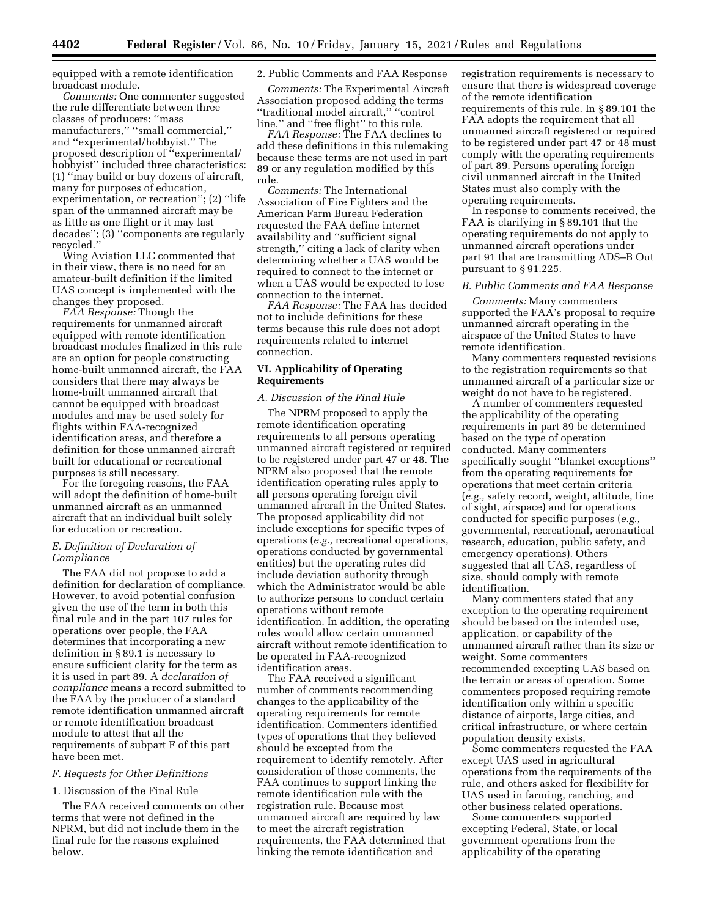equipped with a remote identification broadcast module.

*Comments:* One commenter suggested the rule differentiate between three classes of producers: ''mass manufacturers,'' ''small commercial,'' and ''experimental/hobbyist.'' The proposed description of ''experimental/ hobbyist'' included three characteristics: (1) ''may build or buy dozens of aircraft, many for purposes of education, experimentation, or recreation''; (2) ''life span of the unmanned aircraft may be as little as one flight or it may last decades''; (3) ''components are regularly recycled.''

Wing Aviation LLC commented that in their view, there is no need for an amateur-built definition if the limited UAS concept is implemented with the changes they proposed.

*FAA Response:* Though the requirements for unmanned aircraft equipped with remote identification broadcast modules finalized in this rule are an option for people constructing home-built unmanned aircraft, the FAA considers that there may always be home-built unmanned aircraft that cannot be equipped with broadcast modules and may be used solely for flights within FAA-recognized identification areas, and therefore a definition for those unmanned aircraft built for educational or recreational purposes is still necessary.

For the foregoing reasons, the FAA will adopt the definition of home-built unmanned aircraft as an unmanned aircraft that an individual built solely for education or recreation.

## *E. Definition of Declaration of Compliance*

The FAA did not propose to add a definition for declaration of compliance. However, to avoid potential confusion given the use of the term in both this final rule and in the part 107 rules for operations over people, the FAA determines that incorporating a new definition in § 89.1 is necessary to ensure sufficient clarity for the term as it is used in part 89. A *declaration of compliance* means a record submitted to the FAA by the producer of a standard remote identification unmanned aircraft or remote identification broadcast module to attest that all the requirements of subpart F of this part have been met.

## *F. Requests for Other Definitions*

## 1. Discussion of the Final Rule

The FAA received comments on other terms that were not defined in the NPRM, but did not include them in the final rule for the reasons explained below.

## 2. Public Comments and FAA Response

*Comments:* The Experimental Aircraft Association proposed adding the terms ''traditional model aircraft,'' ''control line,'' and ''free flight'' to this rule.

*FAA Response:* The FAA declines to add these definitions in this rulemaking because these terms are not used in part 89 or any regulation modified by this rule.

*Comments:* The International Association of Fire Fighters and the American Farm Bureau Federation requested the FAA define internet availability and ''sufficient signal strength,'' citing a lack of clarity when determining whether a UAS would be required to connect to the internet or when a UAS would be expected to lose connection to the internet.

*FAA Response:* The FAA has decided not to include definitions for these terms because this rule does not adopt requirements related to internet connection.

## **VI. Applicability of Operating Requirements**

#### *A. Discussion of the Final Rule*

The NPRM proposed to apply the remote identification operating requirements to all persons operating unmanned aircraft registered or required to be registered under part 47 or 48. The NPRM also proposed that the remote identification operating rules apply to all persons operating foreign civil unmanned aircraft in the United States. The proposed applicability did not include exceptions for specific types of operations (*e.g.,* recreational operations, operations conducted by governmental entities) but the operating rules did include deviation authority through which the Administrator would be able to authorize persons to conduct certain operations without remote identification. In addition, the operating rules would allow certain unmanned aircraft without remote identification to be operated in FAA-recognized identification areas.

The FAA received a significant number of comments recommending changes to the applicability of the operating requirements for remote identification. Commenters identified types of operations that they believed should be excepted from the requirement to identify remotely. After consideration of those comments, the FAA continues to support linking the remote identification rule with the registration rule. Because most unmanned aircraft are required by law to meet the aircraft registration requirements, the FAA determined that linking the remote identification and

registration requirements is necessary to ensure that there is widespread coverage of the remote identification requirements of this rule. In § 89.101 the FAA adopts the requirement that all unmanned aircraft registered or required to be registered under part 47 or 48 must comply with the operating requirements of part 89. Persons operating foreign civil unmanned aircraft in the United States must also comply with the operating requirements.

In response to comments received, the FAA is clarifying in § 89.101 that the operating requirements do not apply to unmanned aircraft operations under part 91 that are transmitting ADS–B Out pursuant to § 91.225.

### *B. Public Comments and FAA Response*

*Comments:* Many commenters supported the FAA's proposal to require unmanned aircraft operating in the airspace of the United States to have remote identification.

Many commenters requested revisions to the registration requirements so that unmanned aircraft of a particular size or weight do not have to be registered.

A number of commenters requested the applicability of the operating requirements in part 89 be determined based on the type of operation conducted. Many commenters specifically sought ''blanket exceptions'' from the operating requirements for operations that meet certain criteria (*e.g.,* safety record, weight, altitude, line of sight, airspace) and for operations conducted for specific purposes (*e.g.,*  governmental, recreational, aeronautical research, education, public safety, and emergency operations). Others suggested that all UAS, regardless of size, should comply with remote identification.

Many commenters stated that any exception to the operating requirement should be based on the intended use, application, or capability of the unmanned aircraft rather than its size or weight. Some commenters recommended excepting UAS based on the terrain or areas of operation. Some commenters proposed requiring remote identification only within a specific distance of airports, large cities, and critical infrastructure, or where certain population density exists.

Some commenters requested the FAA except UAS used in agricultural operations from the requirements of the rule, and others asked for flexibility for UAS used in farming, ranching, and other business related operations.

Some commenters supported excepting Federal, State, or local government operations from the applicability of the operating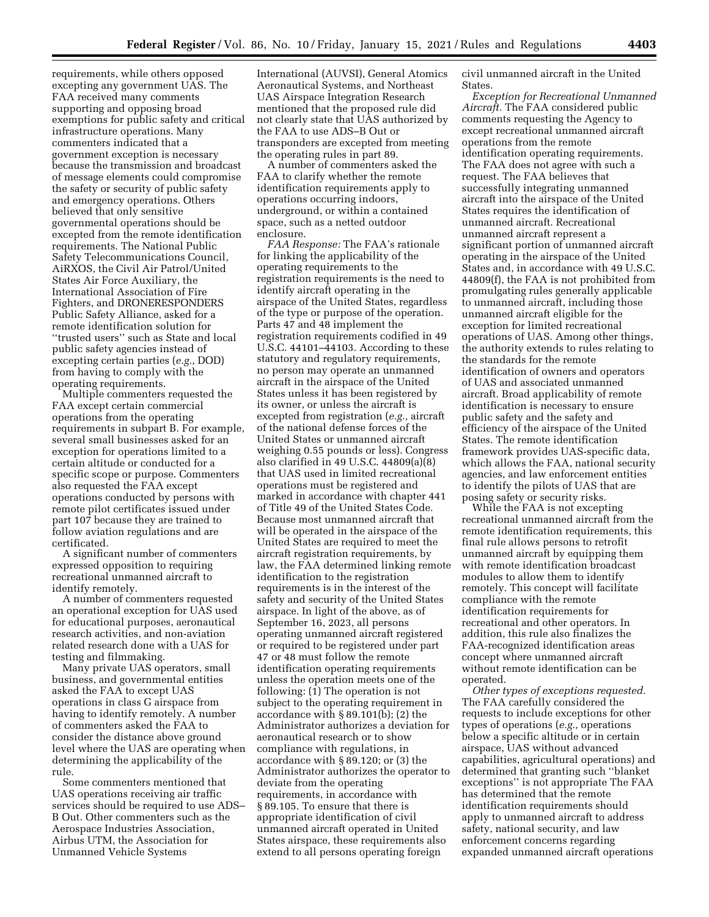requirements, while others opposed excepting any government UAS. The FAA received many comments supporting and opposing broad exemptions for public safety and critical infrastructure operations. Many commenters indicated that a government exception is necessary because the transmission and broadcast of message elements could compromise the safety or security of public safety and emergency operations. Others believed that only sensitive governmental operations should be excepted from the remote identification requirements. The National Public Safety Telecommunications Council, AiRXOS, the Civil Air Patrol/United States Air Force Auxiliary, the International Association of Fire Fighters, and DRONERESPONDERS Public Safety Alliance, asked for a remote identification solution for ''trusted users'' such as State and local public safety agencies instead of excepting certain parties (*e.g.,* DOD) from having to comply with the operating requirements.

Multiple commenters requested the FAA except certain commercial operations from the operating requirements in subpart B. For example, several small businesses asked for an exception for operations limited to a certain altitude or conducted for a specific scope or purpose. Commenters also requested the FAA except operations conducted by persons with remote pilot certificates issued under part 107 because they are trained to follow aviation regulations and are certificated.

A significant number of commenters expressed opposition to requiring recreational unmanned aircraft to identify remotely.

A number of commenters requested an operational exception for UAS used for educational purposes, aeronautical research activities, and non-aviation related research done with a UAS for testing and filmmaking.

Many private UAS operators, small business, and governmental entities asked the FAA to except UAS operations in class G airspace from having to identify remotely. A number of commenters asked the FAA to consider the distance above ground level where the UAS are operating when determining the applicability of the rule.

Some commenters mentioned that UAS operations receiving air traffic services should be required to use ADS– B Out. Other commenters such as the Aerospace Industries Association, Airbus UTM, the Association for Unmanned Vehicle Systems

International (AUVSI), General Atomics Aeronautical Systems, and Northeast UAS Airspace Integration Research mentioned that the proposed rule did not clearly state that UAS authorized by the FAA to use ADS–B Out or transponders are excepted from meeting the operating rules in part 89.

A number of commenters asked the FAA to clarify whether the remote identification requirements apply to operations occurring indoors, underground, or within a contained space, such as a netted outdoor enclosure.

*FAA Response:* The FAA's rationale for linking the applicability of the operating requirements to the registration requirements is the need to identify aircraft operating in the airspace of the United States, regardless of the type or purpose of the operation. Parts 47 and 48 implement the registration requirements codified in 49 U.S.C. 44101–44103. According to these statutory and regulatory requirements, no person may operate an unmanned aircraft in the airspace of the United States unless it has been registered by its owner, or unless the aircraft is excepted from registration (*e.g.,* aircraft of the national defense forces of the United States or unmanned aircraft weighing 0.55 pounds or less). Congress also clarified in 49 U.S.C. 44809(a)(8) that UAS used in limited recreational operations must be registered and marked in accordance with chapter 441 of Title 49 of the United States Code. Because most unmanned aircraft that will be operated in the airspace of the United States are required to meet the aircraft registration requirements, by law, the FAA determined linking remote identification to the registration requirements is in the interest of the safety and security of the United States airspace. In light of the above, as of September 16, 2023, all persons operating unmanned aircraft registered or required to be registered under part 47 or 48 must follow the remote identification operating requirements unless the operation meets one of the following: (1) The operation is not subject to the operating requirement in accordance with § 89.101(b); (2) the Administrator authorizes a deviation for aeronautical research or to show compliance with regulations, in accordance with § 89.120; or (3) the Administrator authorizes the operator to deviate from the operating requirements, in accordance with § 89.105. To ensure that there is appropriate identification of civil unmanned aircraft operated in United States airspace, these requirements also extend to all persons operating foreign

civil unmanned aircraft in the United States.

*Exception for Recreational Unmanned Aircraft.* The FAA considered public comments requesting the Agency to except recreational unmanned aircraft operations from the remote identification operating requirements. The FAA does not agree with such a request. The FAA believes that successfully integrating unmanned aircraft into the airspace of the United States requires the identification of unmanned aircraft. Recreational unmanned aircraft represent a significant portion of unmanned aircraft operating in the airspace of the United States and, in accordance with 49 U.S.C. 44809(f), the FAA is not prohibited from promulgating rules generally applicable to unmanned aircraft, including those unmanned aircraft eligible for the exception for limited recreational operations of UAS. Among other things, the authority extends to rules relating to the standards for the remote identification of owners and operators of UAS and associated unmanned aircraft. Broad applicability of remote identification is necessary to ensure public safety and the safety and efficiency of the airspace of the United States. The remote identification framework provides UAS-specific data, which allows the FAA, national security agencies, and law enforcement entities to identify the pilots of UAS that are posing safety or security risks.

While the FAA is not excepting recreational unmanned aircraft from the remote identification requirements, this final rule allows persons to retrofit unmanned aircraft by equipping them with remote identification broadcast modules to allow them to identify remotely. This concept will facilitate compliance with the remote identification requirements for recreational and other operators. In addition, this rule also finalizes the FAA-recognized identification areas concept where unmanned aircraft without remote identification can be operated.

*Other types of exceptions requested.*  The FAA carefully considered the requests to include exceptions for other types of operations (*e.g.,* operations below a specific altitude or in certain airspace, UAS without advanced capabilities, agricultural operations) and determined that granting such ''blanket exceptions'' is not appropriate The FAA has determined that the remote identification requirements should apply to unmanned aircraft to address safety, national security, and law enforcement concerns regarding expanded unmanned aircraft operations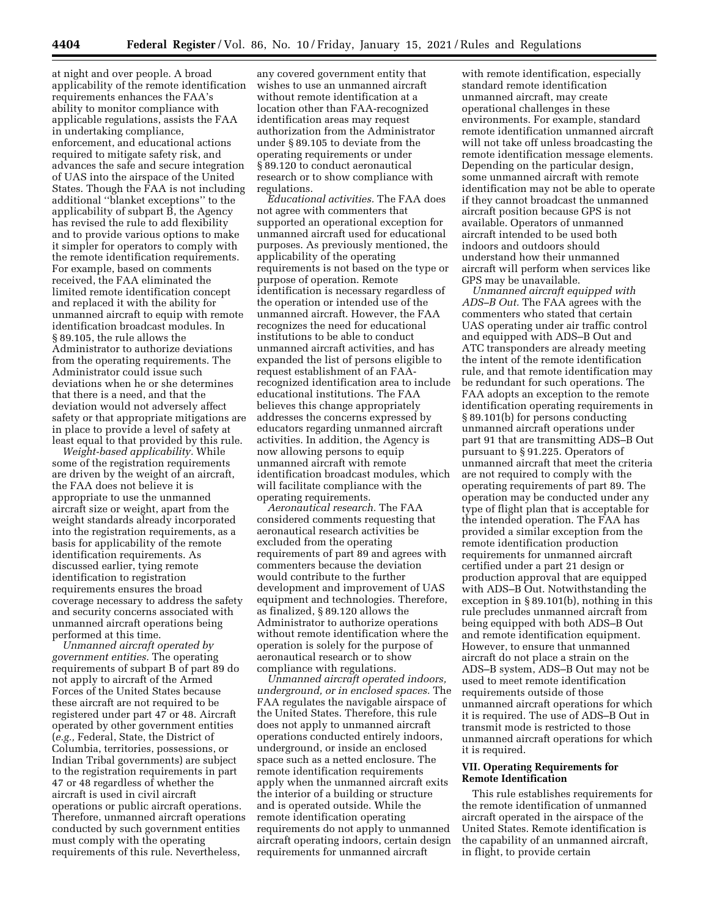at night and over people. A broad applicability of the remote identification requirements enhances the FAA's ability to monitor compliance with applicable regulations, assists the FAA in undertaking compliance, enforcement, and educational actions required to mitigate safety risk, and advances the safe and secure integration of UAS into the airspace of the United States. Though the FAA is not including additional ''blanket exceptions'' to the applicability of subpart B, the Agency has revised the rule to add flexibility and to provide various options to make it simpler for operators to comply with the remote identification requirements. For example, based on comments received, the FAA eliminated the limited remote identification concept and replaced it with the ability for unmanned aircraft to equip with remote identification broadcast modules. In § 89.105, the rule allows the Administrator to authorize deviations from the operating requirements. The Administrator could issue such deviations when he or she determines that there is a need, and that the deviation would not adversely affect safety or that appropriate mitigations are in place to provide a level of safety at least equal to that provided by this rule.

*Weight-based applicability.* While some of the registration requirements are driven by the weight of an aircraft, the FAA does not believe it is appropriate to use the unmanned aircraft size or weight, apart from the weight standards already incorporated into the registration requirements, as a basis for applicability of the remote identification requirements. As discussed earlier, tying remote identification to registration requirements ensures the broad coverage necessary to address the safety and security concerns associated with unmanned aircraft operations being performed at this time.

*Unmanned aircraft operated by government entities.* The operating requirements of subpart B of part 89 do not apply to aircraft of the Armed Forces of the United States because these aircraft are not required to be registered under part 47 or 48. Aircraft operated by other government entities (*e.g.,* Federal, State, the District of Columbia, territories, possessions, or Indian Tribal governments) are subject to the registration requirements in part 47 or 48 regardless of whether the aircraft is used in civil aircraft operations or public aircraft operations. Therefore, unmanned aircraft operations conducted by such government entities must comply with the operating requirements of this rule. Nevertheless,

any covered government entity that wishes to use an unmanned aircraft without remote identification at a location other than FAA-recognized identification areas may request authorization from the Administrator under § 89.105 to deviate from the operating requirements or under § 89.120 to conduct aeronautical research or to show compliance with regulations.

*Educational activities.* The FAA does not agree with commenters that supported an operational exception for unmanned aircraft used for educational purposes. As previously mentioned, the applicability of the operating requirements is not based on the type or purpose of operation. Remote identification is necessary regardless of the operation or intended use of the unmanned aircraft. However, the FAA recognizes the need for educational institutions to be able to conduct unmanned aircraft activities, and has expanded the list of persons eligible to request establishment of an FAArecognized identification area to include educational institutions. The FAA believes this change appropriately addresses the concerns expressed by educators regarding unmanned aircraft activities. In addition, the Agency is now allowing persons to equip unmanned aircraft with remote identification broadcast modules, which will facilitate compliance with the operating requirements.

*Aeronautical research.* The FAA considered comments requesting that aeronautical research activities be excluded from the operating requirements of part 89 and agrees with commenters because the deviation would contribute to the further development and improvement of UAS equipment and technologies. Therefore, as finalized, § 89.120 allows the Administrator to authorize operations without remote identification where the operation is solely for the purpose of aeronautical research or to show compliance with regulations.

*Unmanned aircraft operated indoors, underground, or in enclosed spaces.* The FAA regulates the navigable airspace of the United States. Therefore, this rule does not apply to unmanned aircraft operations conducted entirely indoors, underground, or inside an enclosed space such as a netted enclosure. The remote identification requirements apply when the unmanned aircraft exits the interior of a building or structure and is operated outside. While the remote identification operating requirements do not apply to unmanned aircraft operating indoors, certain design requirements for unmanned aircraft

with remote identification, especially standard remote identification unmanned aircraft, may create operational challenges in these environments. For example, standard remote identification unmanned aircraft will not take off unless broadcasting the remote identification message elements. Depending on the particular design, some unmanned aircraft with remote identification may not be able to operate if they cannot broadcast the unmanned aircraft position because GPS is not available. Operators of unmanned aircraft intended to be used both indoors and outdoors should understand how their unmanned aircraft will perform when services like GPS may be unavailable.

*Unmanned aircraft equipped with ADS–B Out.* The FAA agrees with the commenters who stated that certain UAS operating under air traffic control and equipped with ADS–B Out and ATC transponders are already meeting the intent of the remote identification rule, and that remote identification may be redundant for such operations. The FAA adopts an exception to the remote identification operating requirements in § 89.101(b) for persons conducting unmanned aircraft operations under part 91 that are transmitting ADS–B Out pursuant to § 91.225. Operators of unmanned aircraft that meet the criteria are not required to comply with the operating requirements of part 89. The operation may be conducted under any type of flight plan that is acceptable for the intended operation. The FAA has provided a similar exception from the remote identification production requirements for unmanned aircraft certified under a part 21 design or production approval that are equipped with ADS–B Out. Notwithstanding the exception in § 89.101(b), nothing in this rule precludes unmanned aircraft from being equipped with both ADS–B Out and remote identification equipment. However, to ensure that unmanned aircraft do not place a strain on the ADS–B system, ADS–B Out may not be used to meet remote identification requirements outside of those unmanned aircraft operations for which it is required. The use of ADS–B Out in transmit mode is restricted to those unmanned aircraft operations for which it is required.

## **VII. Operating Requirements for Remote Identification**

This rule establishes requirements for the remote identification of unmanned aircraft operated in the airspace of the United States. Remote identification is the capability of an unmanned aircraft, in flight, to provide certain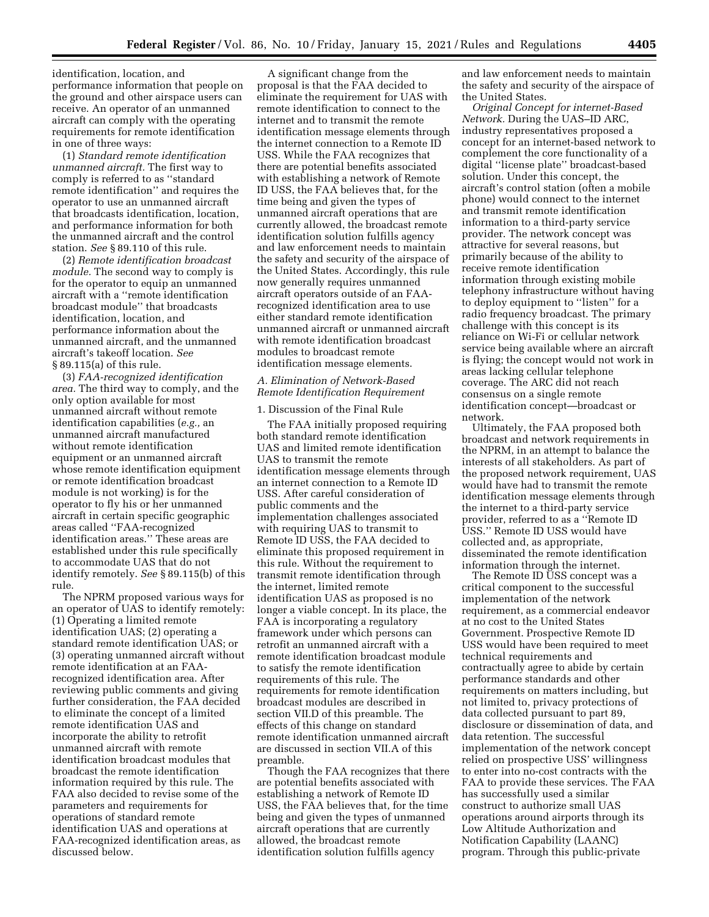identification, location, and performance information that people on the ground and other airspace users can receive. An operator of an unmanned aircraft can comply with the operating requirements for remote identification in one of three ways:

(1) *Standard remote identification unmanned aircraft.* The first way to comply is referred to as ''standard remote identification'' and requires the operator to use an unmanned aircraft that broadcasts identification, location, and performance information for both the unmanned aircraft and the control station. *See* § 89.110 of this rule.

(2) *Remote identification broadcast module.* The second way to comply is for the operator to equip an unmanned aircraft with a ''remote identification broadcast module'' that broadcasts identification, location, and performance information about the unmanned aircraft, and the unmanned aircraft's takeoff location. *See*  § 89.115(a) of this rule.

(3) *FAA-recognized identification area.* The third way to comply, and the only option available for most unmanned aircraft without remote identification capabilities (*e.g.,* an unmanned aircraft manufactured without remote identification equipment or an unmanned aircraft whose remote identification equipment or remote identification broadcast module is not working) is for the operator to fly his or her unmanned aircraft in certain specific geographic areas called ''FAA-recognized identification areas.'' These areas are established under this rule specifically to accommodate UAS that do not identify remotely. *See* § 89.115(b) of this rule.

The NPRM proposed various ways for an operator of UAS to identify remotely: (1) Operating a limited remote identification UAS; (2) operating a standard remote identification UAS; or (3) operating unmanned aircraft without remote identification at an FAArecognized identification area. After reviewing public comments and giving further consideration, the FAA decided to eliminate the concept of a limited remote identification UAS and incorporate the ability to retrofit unmanned aircraft with remote identification broadcast modules that broadcast the remote identification information required by this rule. The FAA also decided to revise some of the parameters and requirements for operations of standard remote identification UAS and operations at FAA-recognized identification areas, as discussed below.

A significant change from the proposal is that the FAA decided to eliminate the requirement for UAS with remote identification to connect to the internet and to transmit the remote identification message elements through the internet connection to a Remote ID USS. While the FAA recognizes that there are potential benefits associated with establishing a network of Remote ID USS, the FAA believes that, for the time being and given the types of unmanned aircraft operations that are currently allowed, the broadcast remote identification solution fulfills agency and law enforcement needs to maintain the safety and security of the airspace of the United States. Accordingly, this rule now generally requires unmanned aircraft operators outside of an FAArecognized identification area to use either standard remote identification unmanned aircraft or unmanned aircraft with remote identification broadcast modules to broadcast remote identification message elements.

## *A. Elimination of Network-Based Remote Identification Requirement*

1. Discussion of the Final Rule

The FAA initially proposed requiring both standard remote identification UAS and limited remote identification UAS to transmit the remote identification message elements through an internet connection to a Remote ID USS. After careful consideration of public comments and the implementation challenges associated with requiring UAS to transmit to Remote ID USS, the FAA decided to eliminate this proposed requirement in this rule. Without the requirement to transmit remote identification through the internet, limited remote identification UAS as proposed is no longer a viable concept. In its place, the FAA is incorporating a regulatory framework under which persons can retrofit an unmanned aircraft with a remote identification broadcast module to satisfy the remote identification requirements of this rule. The requirements for remote identification broadcast modules are described in section VII.D of this preamble. The effects of this change on standard remote identification unmanned aircraft are discussed in section VII.A of this preamble.

Though the FAA recognizes that there are potential benefits associated with establishing a network of Remote ID USS, the FAA believes that, for the time being and given the types of unmanned aircraft operations that are currently allowed, the broadcast remote identification solution fulfills agency

and law enforcement needs to maintain the safety and security of the airspace of the United States.

*Original Concept for internet-Based Network.* During the UAS–ID ARC, industry representatives proposed a concept for an internet-based network to complement the core functionality of a digital ''license plate'' broadcast-based solution. Under this concept, the aircraft's control station (often a mobile phone) would connect to the internet and transmit remote identification information to a third-party service provider. The network concept was attractive for several reasons, but primarily because of the ability to receive remote identification information through existing mobile telephony infrastructure without having to deploy equipment to "listen" for a radio frequency broadcast. The primary challenge with this concept is its reliance on Wi-Fi or cellular network service being available where an aircraft is flying; the concept would not work in areas lacking cellular telephone coverage. The ARC did not reach consensus on a single remote identification concept—broadcast or network.

Ultimately, the FAA proposed both broadcast and network requirements in the NPRM, in an attempt to balance the interests of all stakeholders. As part of the proposed network requirement, UAS would have had to transmit the remote identification message elements through the internet to a third-party service provider, referred to as a ''Remote ID USS.'' Remote ID USS would have collected and, as appropriate, disseminated the remote identification information through the internet.

The Remote ID USS concept was a critical component to the successful implementation of the network requirement, as a commercial endeavor at no cost to the United States Government. Prospective Remote ID USS would have been required to meet technical requirements and contractually agree to abide by certain performance standards and other requirements on matters including, but not limited to, privacy protections of data collected pursuant to part 89, disclosure or dissemination of data, and data retention. The successful implementation of the network concept relied on prospective USS' willingness to enter into no-cost contracts with the FAA to provide these services. The FAA has successfully used a similar construct to authorize small UAS operations around airports through its Low Altitude Authorization and Notification Capability (LAANC) program. Through this public-private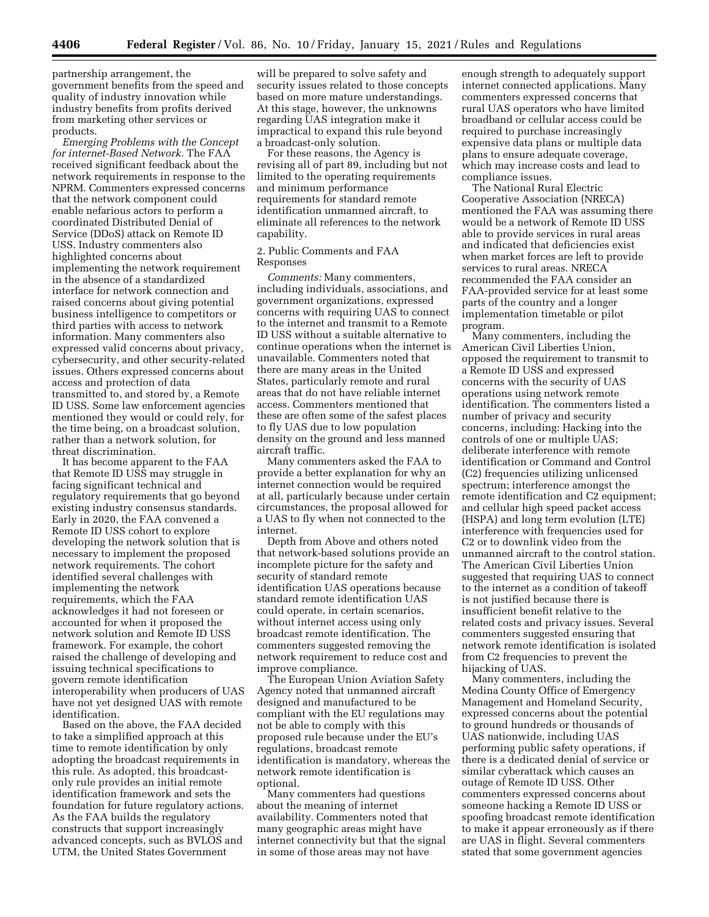partnership arrangement, the government benefits from the speed and quality of industry innovation while industry benefits from profits derived from marketing other services or products.

*Emerging Problems with the Concept for internet-Based Network.* The FAA received significant feedback about the network requirements in response to the NPRM. Commenters expressed concerns that the network component could enable nefarious actors to perform a coordinated Distributed Denial of Service (DDoS) attack on Remote ID USS. Industry commenters also highlighted concerns about implementing the network requirement in the absence of a standardized interface for network connection and raised concerns about giving potential business intelligence to competitors or third parties with access to network information. Many commenters also expressed valid concerns about privacy, cybersecurity, and other security-related issues. Others expressed concerns about access and protection of data transmitted to, and stored by, a Remote ID USS. Some law enforcement agencies mentioned they would or could rely, for the time being, on a broadcast solution, rather than a network solution, for threat discrimination.

It has become apparent to the FAA that Remote ID USS may struggle in facing significant technical and regulatory requirements that go beyond existing industry consensus standards. Early in 2020, the FAA convened a Remote ID USS cohort to explore developing the network solution that is necessary to implement the proposed network requirements. The cohort identified several challenges with implementing the network requirements, which the FAA acknowledges it had not foreseen or accounted for when it proposed the network solution and Remote ID USS framework. For example, the cohort raised the challenge of developing and issuing technical specifications to govern remote identification interoperability when producers of UAS have not yet designed UAS with remote identification.

Based on the above, the FAA decided to take a simplified approach at this time to remote identification by only adopting the broadcast requirements in this rule. As adopted, this broadcastonly rule provides an initial remote identification framework and sets the foundation for future regulatory actions. As the FAA builds the regulatory constructs that support increasingly advanced concepts, such as BVLOS and UTM, the United States Government

will be prepared to solve safety and security issues related to those concepts based on more mature understandings. At this stage, however, the unknowns regarding UAS integration make it impractical to expand this rule beyond a broadcast-only solution.

For these reasons, the Agency is revising all of part 89, including but not limited to the operating requirements and minimum performance requirements for standard remote identification unmanned aircraft, to eliminate all references to the network capability.

## 2. Public Comments and FAA Responses

*Comments:* Many commenters, including individuals, associations, and government organizations, expressed concerns with requiring UAS to connect to the internet and transmit to a Remote ID USS without a suitable alternative to continue operations when the internet is unavailable. Commenters noted that there are many areas in the United States, particularly remote and rural areas that do not have reliable internet access. Commenters mentioned that these are often some of the safest places to fly UAS due to low population density on the ground and less manned aircraft traffic.

Many commenters asked the FAA to provide a better explanation for why an internet connection would be required at all, particularly because under certain circumstances, the proposal allowed for a UAS to fly when not connected to the internet.

Depth from Above and others noted that network-based solutions provide an incomplete picture for the safety and security of standard remote identification UAS operations because standard remote identification UAS could operate, in certain scenarios, without internet access using only broadcast remote identification. The commenters suggested removing the network requirement to reduce cost and improve compliance.

The European Union Aviation Safety Agency noted that unmanned aircraft designed and manufactured to be compliant with the EU regulations may not be able to comply with this proposed rule because under the EU's regulations, broadcast remote identification is mandatory, whereas the network remote identification is optional.

Many commenters had questions about the meaning of internet availability. Commenters noted that many geographic areas might have internet connectivity but that the signal in some of those areas may not have

enough strength to adequately support internet connected applications. Many commenters expressed concerns that rural UAS operators who have limited broadband or cellular access could be required to purchase increasingly expensive data plans or multiple data plans to ensure adequate coverage, which may increase costs and lead to compliance issues.

The National Rural Electric Cooperative Association (NRECA) mentioned the FAA was assuming there would be a network of Remote ID USS able to provide services in rural areas and indicated that deficiencies exist when market forces are left to provide services to rural areas. NRECA recommended the FAA consider an FAA-provided service for at least some parts of the country and a longer implementation timetable or pilot program.

Many commenters, including the American Civil Liberties Union, opposed the requirement to transmit to a Remote ID USS and expressed concerns with the security of UAS operations using network remote identification. The commenters listed a number of privacy and security concerns, including: Hacking into the controls of one or multiple UAS; deliberate interference with remote identification or Command and Control (C2) frequencies utilizing unlicensed spectrum; interference amongst the remote identification and C2 equipment; and cellular high speed packet access (HSPA) and long term evolution (LTE) interference with frequencies used for C2 or to downlink video from the unmanned aircraft to the control station. The American Civil Liberties Union suggested that requiring UAS to connect to the internet as a condition of takeoff is not justified because there is insufficient benefit relative to the related costs and privacy issues. Several commenters suggested ensuring that network remote identification is isolated from C2 frequencies to prevent the hijacking of UAS.

Many commenters, including the Medina County Office of Emergency Management and Homeland Security, expressed concerns about the potential to ground hundreds or thousands of UAS nationwide, including UAS performing public safety operations, if there is a dedicated denial of service or similar cyberattack which causes an outage of Remote ID USS. Other commenters expressed concerns about someone hacking a Remote ID USS or spoofing broadcast remote identification to make it appear erroneously as if there are UAS in flight. Several commenters stated that some government agencies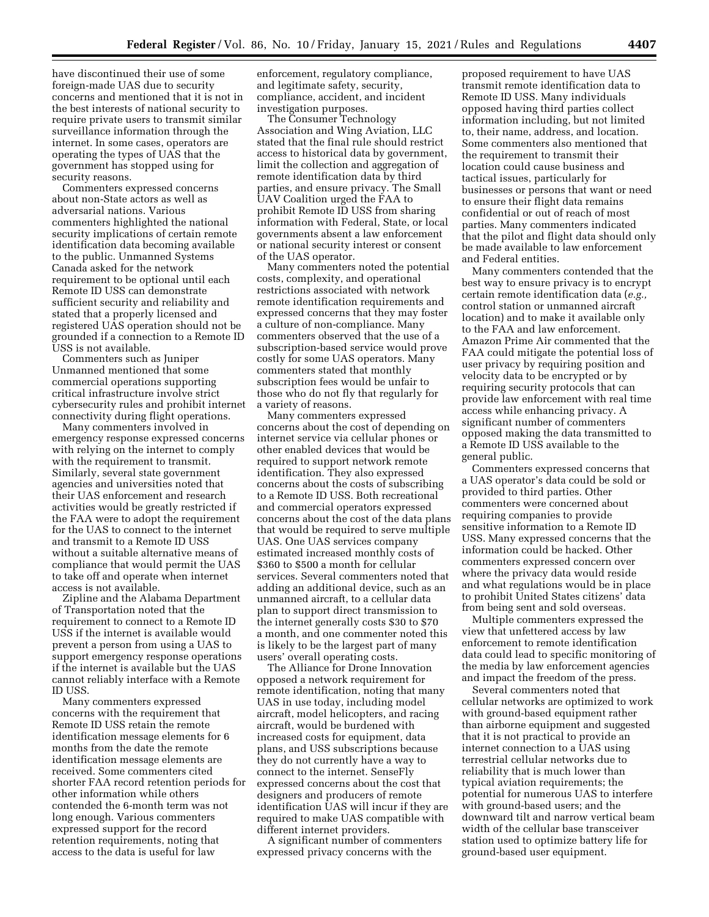have discontinued their use of some foreign-made UAS due to security concerns and mentioned that it is not in the best interests of national security to require private users to transmit similar surveillance information through the internet. In some cases, operators are operating the types of UAS that the government has stopped using for security reasons.

Commenters expressed concerns about non-State actors as well as adversarial nations. Various commenters highlighted the national security implications of certain remote identification data becoming available to the public. Unmanned Systems Canada asked for the network requirement to be optional until each Remote ID USS can demonstrate sufficient security and reliability and stated that a properly licensed and registered UAS operation should not be grounded if a connection to a Remote ID USS is not available.

Commenters such as Juniper Unmanned mentioned that some commercial operations supporting critical infrastructure involve strict cybersecurity rules and prohibit internet connectivity during flight operations.

Many commenters involved in emergency response expressed concerns with relying on the internet to comply with the requirement to transmit. Similarly, several state government agencies and universities noted that their UAS enforcement and research activities would be greatly restricted if the FAA were to adopt the requirement for the UAS to connect to the internet and transmit to a Remote ID USS without a suitable alternative means of compliance that would permit the UAS to take off and operate when internet access is not available.

Zipline and the Alabama Department of Transportation noted that the requirement to connect to a Remote ID USS if the internet is available would prevent a person from using a UAS to support emergency response operations if the internet is available but the UAS cannot reliably interface with a Remote ID USS.

Many commenters expressed concerns with the requirement that Remote ID USS retain the remote identification message elements for 6 months from the date the remote identification message elements are received. Some commenters cited shorter FAA record retention periods for other information while others contended the 6-month term was not long enough. Various commenters expressed support for the record retention requirements, noting that access to the data is useful for law

enforcement, regulatory compliance, and legitimate safety, security, compliance, accident, and incident investigation purposes.

The Consumer Technology Association and Wing Aviation, LLC stated that the final rule should restrict access to historical data by government, limit the collection and aggregation of remote identification data by third parties, and ensure privacy. The Small UAV Coalition urged the FAA to prohibit Remote ID USS from sharing information with Federal, State, or local governments absent a law enforcement or national security interest or consent of the UAS operator.

Many commenters noted the potential costs, complexity, and operational restrictions associated with network remote identification requirements and expressed concerns that they may foster a culture of non-compliance. Many commenters observed that the use of a subscription-based service would prove costly for some UAS operators. Many commenters stated that monthly subscription fees would be unfair to those who do not fly that regularly for a variety of reasons.

Many commenters expressed concerns about the cost of depending on internet service via cellular phones or other enabled devices that would be required to support network remote identification. They also expressed concerns about the costs of subscribing to a Remote ID USS. Both recreational and commercial operators expressed concerns about the cost of the data plans that would be required to serve multiple UAS. One UAS services company estimated increased monthly costs of \$360 to \$500 a month for cellular services. Several commenters noted that adding an additional device, such as an unmanned aircraft, to a cellular data plan to support direct transmission to the internet generally costs \$30 to \$70 a month, and one commenter noted this is likely to be the largest part of many users' overall operating costs.

The Alliance for Drone Innovation opposed a network requirement for remote identification, noting that many UAS in use today, including model aircraft, model helicopters, and racing aircraft, would be burdened with increased costs for equipment, data plans, and USS subscriptions because they do not currently have a way to connect to the internet. SenseFly expressed concerns about the cost that designers and producers of remote identification UAS will incur if they are required to make UAS compatible with different internet providers.

A significant number of commenters expressed privacy concerns with the

proposed requirement to have UAS transmit remote identification data to Remote ID USS. Many individuals opposed having third parties collect information including, but not limited to, their name, address, and location. Some commenters also mentioned that the requirement to transmit their location could cause business and tactical issues, particularly for businesses or persons that want or need to ensure their flight data remains confidential or out of reach of most parties. Many commenters indicated that the pilot and flight data should only be made available to law enforcement and Federal entities.

Many commenters contended that the best way to ensure privacy is to encrypt certain remote identification data (*e.g.,*  control station or unmanned aircraft location) and to make it available only to the FAA and law enforcement. Amazon Prime Air commented that the FAA could mitigate the potential loss of user privacy by requiring position and velocity data to be encrypted or by requiring security protocols that can provide law enforcement with real time access while enhancing privacy. A significant number of commenters opposed making the data transmitted to a Remote ID USS available to the general public.

Commenters expressed concerns that a UAS operator's data could be sold or provided to third parties. Other commenters were concerned about requiring companies to provide sensitive information to a Remote ID USS. Many expressed concerns that the information could be hacked. Other commenters expressed concern over where the privacy data would reside and what regulations would be in place to prohibit United States citizens' data from being sent and sold overseas.

Multiple commenters expressed the view that unfettered access by law enforcement to remote identification data could lead to specific monitoring of the media by law enforcement agencies and impact the freedom of the press.

Several commenters noted that cellular networks are optimized to work with ground-based equipment rather than airborne equipment and suggested that it is not practical to provide an internet connection to a UAS using terrestrial cellular networks due to reliability that is much lower than typical aviation requirements; the potential for numerous UAS to interfere with ground-based users; and the downward tilt and narrow vertical beam width of the cellular base transceiver station used to optimize battery life for ground-based user equipment.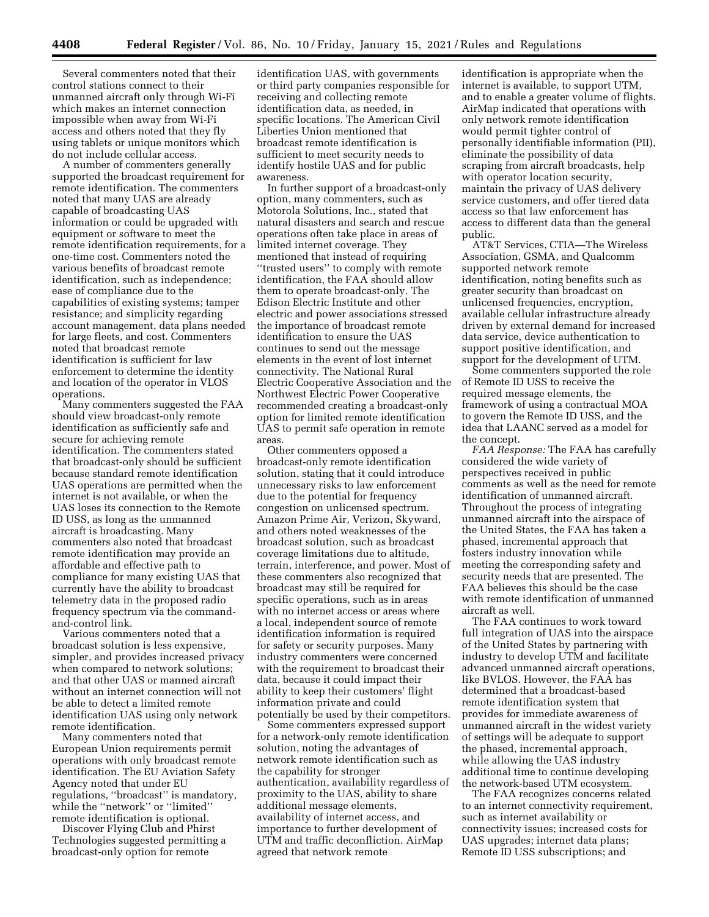Several commenters noted that their control stations connect to their unmanned aircraft only through Wi-Fi which makes an internet connection impossible when away from Wi-Fi access and others noted that they fly using tablets or unique monitors which do not include cellular access.

A number of commenters generally supported the broadcast requirement for remote identification. The commenters noted that many UAS are already capable of broadcasting UAS information or could be upgraded with equipment or software to meet the remote identification requirements, for a one-time cost. Commenters noted the various benefits of broadcast remote identification, such as independence; ease of compliance due to the capabilities of existing systems; tamper resistance; and simplicity regarding account management, data plans needed for large fleets, and cost. Commenters noted that broadcast remote identification is sufficient for law enforcement to determine the identity and location of the operator in VLOS operations.

Many commenters suggested the FAA should view broadcast-only remote identification as sufficiently safe and secure for achieving remote identification. The commenters stated that broadcast-only should be sufficient because standard remote identification UAS operations are permitted when the internet is not available, or when the UAS loses its connection to the Remote ID USS, as long as the unmanned aircraft is broadcasting. Many commenters also noted that broadcast remote identification may provide an affordable and effective path to compliance for many existing UAS that currently have the ability to broadcast telemetry data in the proposed radio frequency spectrum via the commandand-control link.

Various commenters noted that a broadcast solution is less expensive, simpler, and provides increased privacy when compared to network solutions; and that other UAS or manned aircraft without an internet connection will not be able to detect a limited remote identification UAS using only network remote identification.

Many commenters noted that European Union requirements permit operations with only broadcast remote identification. The EU Aviation Safety Agency noted that under EU regulations, ''broadcast'' is mandatory, while the "network" or "limited" remote identification is optional.

Discover Flying Club and Phirst Technologies suggested permitting a broadcast-only option for remote

identification UAS, with governments or third party companies responsible for receiving and collecting remote identification data, as needed, in specific locations. The American Civil Liberties Union mentioned that broadcast remote identification is sufficient to meet security needs to identify hostile UAS and for public awareness.

In further support of a broadcast-only option, many commenters, such as Motorola Solutions, Inc., stated that natural disasters and search and rescue operations often take place in areas of limited internet coverage. They mentioned that instead of requiring ''trusted users'' to comply with remote identification, the FAA should allow them to operate broadcast-only. The Edison Electric Institute and other electric and power associations stressed the importance of broadcast remote identification to ensure the UAS continues to send out the message elements in the event of lost internet connectivity. The National Rural Electric Cooperative Association and the Northwest Electric Power Cooperative recommended creating a broadcast-only option for limited remote identification UAS to permit safe operation in remote areas.

Other commenters opposed a broadcast-only remote identification solution, stating that it could introduce unnecessary risks to law enforcement due to the potential for frequency congestion on unlicensed spectrum. Amazon Prime Air, Verizon, Skyward, and others noted weaknesses of the broadcast solution, such as broadcast coverage limitations due to altitude, terrain, interference, and power. Most of these commenters also recognized that broadcast may still be required for specific operations, such as in areas with no internet access or areas where a local, independent source of remote identification information is required for safety or security purposes. Many industry commenters were concerned with the requirement to broadcast their data, because it could impact their ability to keep their customers' flight information private and could potentially be used by their competitors.

Some commenters expressed support for a network-only remote identification solution, noting the advantages of network remote identification such as the capability for stronger authentication, availability regardless of proximity to the UAS, ability to share additional message elements, availability of internet access, and importance to further development of UTM and traffic deconfliction. AirMap agreed that network remote

identification is appropriate when the internet is available, to support UTM, and to enable a greater volume of flights. AirMap indicated that operations with only network remote identification would permit tighter control of personally identifiable information (PII), eliminate the possibility of data scraping from aircraft broadcasts, help with operator location security, maintain the privacy of UAS delivery service customers, and offer tiered data access so that law enforcement has access to different data than the general public.

AT&T Services, CTIA—The Wireless Association, GSMA, and Qualcomm supported network remote identification, noting benefits such as greater security than broadcast on unlicensed frequencies, encryption, available cellular infrastructure already driven by external demand for increased data service, device authentication to support positive identification, and support for the development of UTM.

Some commenters supported the role of Remote ID USS to receive the required message elements, the framework of using a contractual MOA to govern the Remote ID USS, and the idea that LAANC served as a model for the concept.

*FAA Response:* The FAA has carefully considered the wide variety of perspectives received in public comments as well as the need for remote identification of unmanned aircraft. Throughout the process of integrating unmanned aircraft into the airspace of the United States, the FAA has taken a phased, incremental approach that fosters industry innovation while meeting the corresponding safety and security needs that are presented. The FAA believes this should be the case with remote identification of unmanned aircraft as well.

The FAA continues to work toward full integration of UAS into the airspace of the United States by partnering with industry to develop UTM and facilitate advanced unmanned aircraft operations, like BVLOS. However, the FAA has determined that a broadcast-based remote identification system that provides for immediate awareness of unmanned aircraft in the widest variety of settings will be adequate to support the phased, incremental approach, while allowing the UAS industry additional time to continue developing the network-based UTM ecosystem.

The FAA recognizes concerns related to an internet connectivity requirement, such as internet availability or connectivity issues; increased costs for UAS upgrades; internet data plans; Remote ID USS subscriptions; and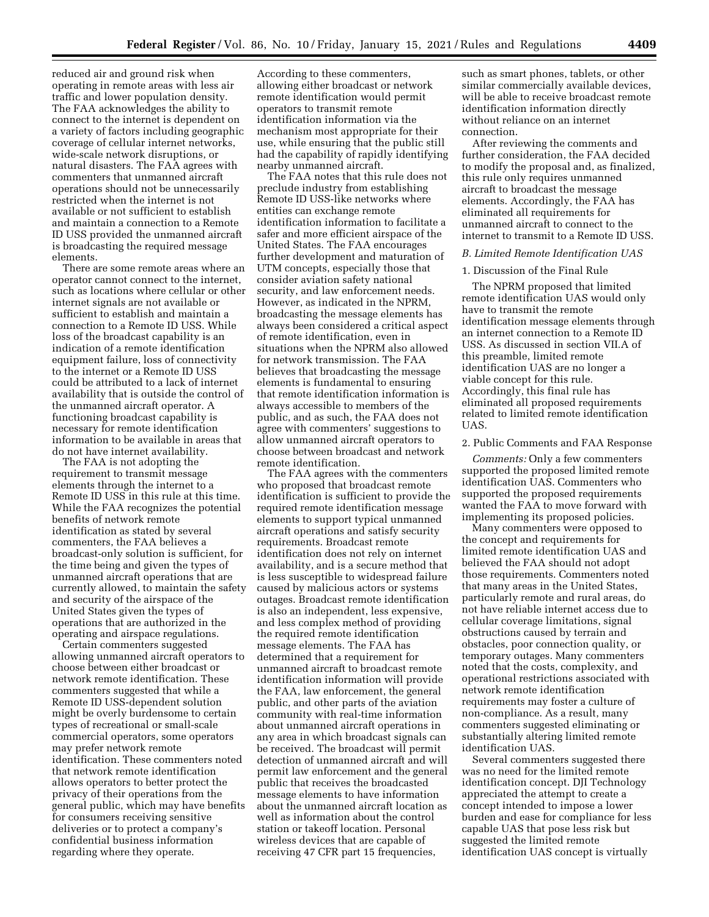reduced air and ground risk when operating in remote areas with less air traffic and lower population density. The FAA acknowledges the ability to connect to the internet is dependent on a variety of factors including geographic coverage of cellular internet networks, wide-scale network disruptions, or natural disasters. The FAA agrees with commenters that unmanned aircraft operations should not be unnecessarily restricted when the internet is not available or not sufficient to establish and maintain a connection to a Remote ID USS provided the unmanned aircraft is broadcasting the required message elements.

There are some remote areas where an operator cannot connect to the internet, such as locations where cellular or other internet signals are not available or sufficient to establish and maintain a connection to a Remote ID USS. While loss of the broadcast capability is an indication of a remote identification equipment failure, loss of connectivity to the internet or a Remote ID USS could be attributed to a lack of internet availability that is outside the control of the unmanned aircraft operator. A functioning broadcast capability is necessary for remote identification information to be available in areas that do not have internet availability.

The FAA is not adopting the requirement to transmit message elements through the internet to a Remote ID USS in this rule at this time. While the FAA recognizes the potential benefits of network remote identification as stated by several commenters, the FAA believes a broadcast-only solution is sufficient, for the time being and given the types of unmanned aircraft operations that are currently allowed, to maintain the safety and security of the airspace of the United States given the types of operations that are authorized in the operating and airspace regulations.

Certain commenters suggested allowing unmanned aircraft operators to choose between either broadcast or network remote identification. These commenters suggested that while a Remote ID USS-dependent solution might be overly burdensome to certain types of recreational or small-scale commercial operators, some operators may prefer network remote identification. These commenters noted that network remote identification allows operators to better protect the privacy of their operations from the general public, which may have benefits for consumers receiving sensitive deliveries or to protect a company's confidential business information regarding where they operate.

According to these commenters, allowing either broadcast or network remote identification would permit operators to transmit remote identification information via the mechanism most appropriate for their use, while ensuring that the public still had the capability of rapidly identifying nearby unmanned aircraft.

The FAA notes that this rule does not preclude industry from establishing Remote ID USS-like networks where entities can exchange remote identification information to facilitate a safer and more efficient airspace of the United States. The FAA encourages further development and maturation of UTM concepts, especially those that consider aviation safety national security, and law enforcement needs. However, as indicated in the NPRM, broadcasting the message elements has always been considered a critical aspect of remote identification, even in situations when the NPRM also allowed for network transmission. The FAA believes that broadcasting the message elements is fundamental to ensuring that remote identification information is always accessible to members of the public, and as such, the FAA does not agree with commenters' suggestions to allow unmanned aircraft operators to choose between broadcast and network remote identification.

The FAA agrees with the commenters who proposed that broadcast remote identification is sufficient to provide the required remote identification message elements to support typical unmanned aircraft operations and satisfy security requirements. Broadcast remote identification does not rely on internet availability, and is a secure method that is less susceptible to widespread failure caused by malicious actors or systems outages. Broadcast remote identification is also an independent, less expensive, and less complex method of providing the required remote identification message elements. The FAA has determined that a requirement for unmanned aircraft to broadcast remote identification information will provide the FAA, law enforcement, the general public, and other parts of the aviation community with real-time information about unmanned aircraft operations in any area in which broadcast signals can be received. The broadcast will permit detection of unmanned aircraft and will permit law enforcement and the general public that receives the broadcasted message elements to have information about the unmanned aircraft location as well as information about the control station or takeoff location. Personal wireless devices that are capable of receiving 47 CFR part 15 frequencies,

such as smart phones, tablets, or other similar commercially available devices, will be able to receive broadcast remote identification information directly without reliance on an internet connection.

After reviewing the comments and further consideration, the FAA decided to modify the proposal and, as finalized, this rule only requires unmanned aircraft to broadcast the message elements. Accordingly, the FAA has eliminated all requirements for unmanned aircraft to connect to the internet to transmit to a Remote ID USS.

## *B. Limited Remote Identification UAS*

### 1. Discussion of the Final Rule

The NPRM proposed that limited remote identification UAS would only have to transmit the remote identification message elements through an internet connection to a Remote ID USS. As discussed in section VII.A of this preamble, limited remote identification UAS are no longer a viable concept for this rule. Accordingly, this final rule has eliminated all proposed requirements related to limited remote identification UAS.

### 2. Public Comments and FAA Response

*Comments:* Only a few commenters supported the proposed limited remote identification UAS. Commenters who supported the proposed requirements wanted the FAA to move forward with implementing its proposed policies.

Many commenters were opposed to the concept and requirements for limited remote identification UAS and believed the FAA should not adopt those requirements. Commenters noted that many areas in the United States, particularly remote and rural areas, do not have reliable internet access due to cellular coverage limitations, signal obstructions caused by terrain and obstacles, poor connection quality, or temporary outages. Many commenters noted that the costs, complexity, and operational restrictions associated with network remote identification requirements may foster a culture of non-compliance. As a result, many commenters suggested eliminating or substantially altering limited remote identification UAS.

Several commenters suggested there was no need for the limited remote identification concept. DJI Technology appreciated the attempt to create a concept intended to impose a lower burden and ease for compliance for less capable UAS that pose less risk but suggested the limited remote identification UAS concept is virtually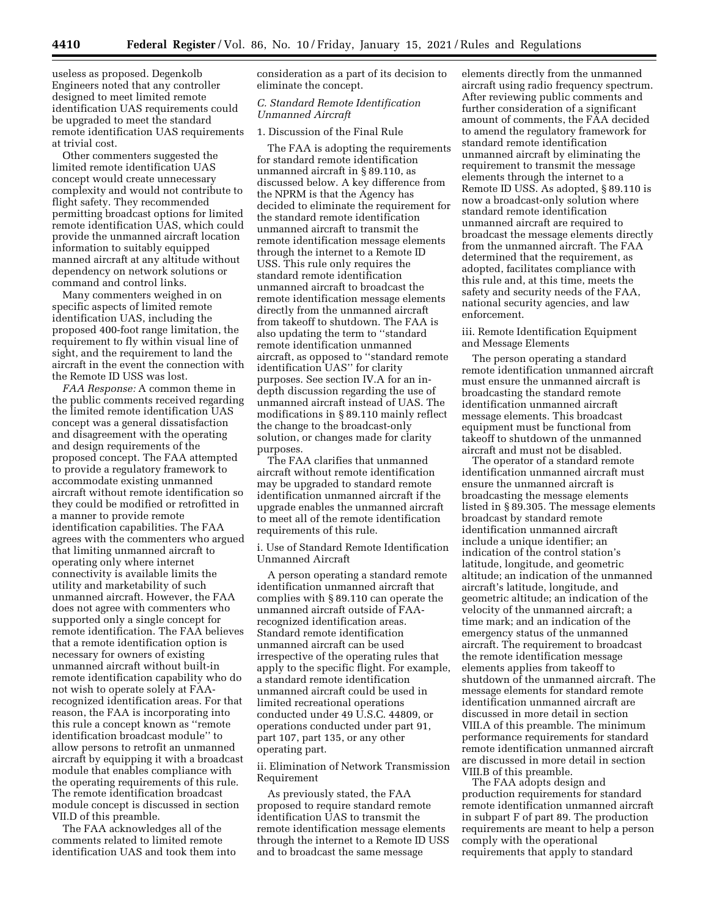useless as proposed. Degenkolb Engineers noted that any controller designed to meet limited remote identification UAS requirements could be upgraded to meet the standard remote identification UAS requirements at trivial cost.

Other commenters suggested the limited remote identification UAS concept would create unnecessary complexity and would not contribute to flight safety. They recommended permitting broadcast options for limited remote identification UAS, which could provide the unmanned aircraft location information to suitably equipped manned aircraft at any altitude without dependency on network solutions or command and control links.

Many commenters weighed in on specific aspects of limited remote identification UAS, including the proposed 400-foot range limitation, the requirement to fly within visual line of sight, and the requirement to land the aircraft in the event the connection with the Remote ID USS was lost.

*FAA Response:* A common theme in the public comments received regarding the limited remote identification UAS concept was a general dissatisfaction and disagreement with the operating and design requirements of the proposed concept. The FAA attempted to provide a regulatory framework to accommodate existing unmanned aircraft without remote identification so they could be modified or retrofitted in a manner to provide remote identification capabilities. The FAA agrees with the commenters who argued that limiting unmanned aircraft to operating only where internet connectivity is available limits the utility and marketability of such unmanned aircraft. However, the FAA does not agree with commenters who supported only a single concept for remote identification. The FAA believes that a remote identification option is necessary for owners of existing unmanned aircraft without built-in remote identification capability who do not wish to operate solely at FAArecognized identification areas. For that reason, the FAA is incorporating into this rule a concept known as ''remote identification broadcast module'' to allow persons to retrofit an unmanned aircraft by equipping it with a broadcast module that enables compliance with the operating requirements of this rule. The remote identification broadcast module concept is discussed in section VII.D of this preamble.

The FAA acknowledges all of the comments related to limited remote identification UAS and took them into consideration as a part of its decision to eliminate the concept.

## *C. Standard Remote Identification Unmanned Aircraft*

## 1. Discussion of the Final Rule

The FAA is adopting the requirements for standard remote identification unmanned aircraft in § 89.110, as discussed below. A key difference from the NPRM is that the Agency has decided to eliminate the requirement for the standard remote identification unmanned aircraft to transmit the remote identification message elements through the internet to a Remote ID USS. This rule only requires the standard remote identification unmanned aircraft to broadcast the remote identification message elements directly from the unmanned aircraft from takeoff to shutdown. The FAA is also updating the term to ''standard remote identification unmanned aircraft, as opposed to ''standard remote identification UAS'' for clarity purposes. See section IV.A for an indepth discussion regarding the use of unmanned aircraft instead of UAS. The modifications in § 89.110 mainly reflect the change to the broadcast-only solution, or changes made for clarity purposes.

The FAA clarifies that unmanned aircraft without remote identification may be upgraded to standard remote identification unmanned aircraft if the upgrade enables the unmanned aircraft to meet all of the remote identification requirements of this rule.

i. Use of Standard Remote Identification Unmanned Aircraft

A person operating a standard remote identification unmanned aircraft that complies with § 89.110 can operate the unmanned aircraft outside of FAArecognized identification areas. Standard remote identification unmanned aircraft can be used irrespective of the operating rules that apply to the specific flight. For example, a standard remote identification unmanned aircraft could be used in limited recreational operations conducted under 49 U.S.C. 44809, or operations conducted under part 91, part 107, part 135, or any other operating part.

ii. Elimination of Network Transmission Requirement

As previously stated, the FAA proposed to require standard remote identification UAS to transmit the remote identification message elements through the internet to a Remote ID USS and to broadcast the same message

elements directly from the unmanned aircraft using radio frequency spectrum. After reviewing public comments and further consideration of a significant amount of comments, the FAA decided to amend the regulatory framework for standard remote identification unmanned aircraft by eliminating the requirement to transmit the message elements through the internet to a Remote ID USS. As adopted, § 89.110 is now a broadcast-only solution where standard remote identification unmanned aircraft are required to broadcast the message elements directly from the unmanned aircraft. The FAA determined that the requirement, as adopted, facilitates compliance with this rule and, at this time, meets the safety and security needs of the FAA, national security agencies, and law enforcement.

## iii. Remote Identification Equipment and Message Elements

The person operating a standard remote identification unmanned aircraft must ensure the unmanned aircraft is broadcasting the standard remote identification unmanned aircraft message elements. This broadcast equipment must be functional from takeoff to shutdown of the unmanned aircraft and must not be disabled.

The operator of a standard remote identification unmanned aircraft must ensure the unmanned aircraft is broadcasting the message elements listed in § 89.305. The message elements broadcast by standard remote identification unmanned aircraft include a unique identifier; an indication of the control station's latitude, longitude, and geometric altitude; an indication of the unmanned aircraft's latitude, longitude, and geometric altitude; an indication of the velocity of the unmanned aircraft; a time mark; and an indication of the emergency status of the unmanned aircraft. The requirement to broadcast the remote identification message elements applies from takeoff to shutdown of the unmanned aircraft. The message elements for standard remote identification unmanned aircraft are discussed in more detail in section VIII.A of this preamble. The minimum performance requirements for standard remote identification unmanned aircraft are discussed in more detail in section VIII.B of this preamble.

The FAA adopts design and production requirements for standard remote identification unmanned aircraft in subpart F of part 89. The production requirements are meant to help a person comply with the operational requirements that apply to standard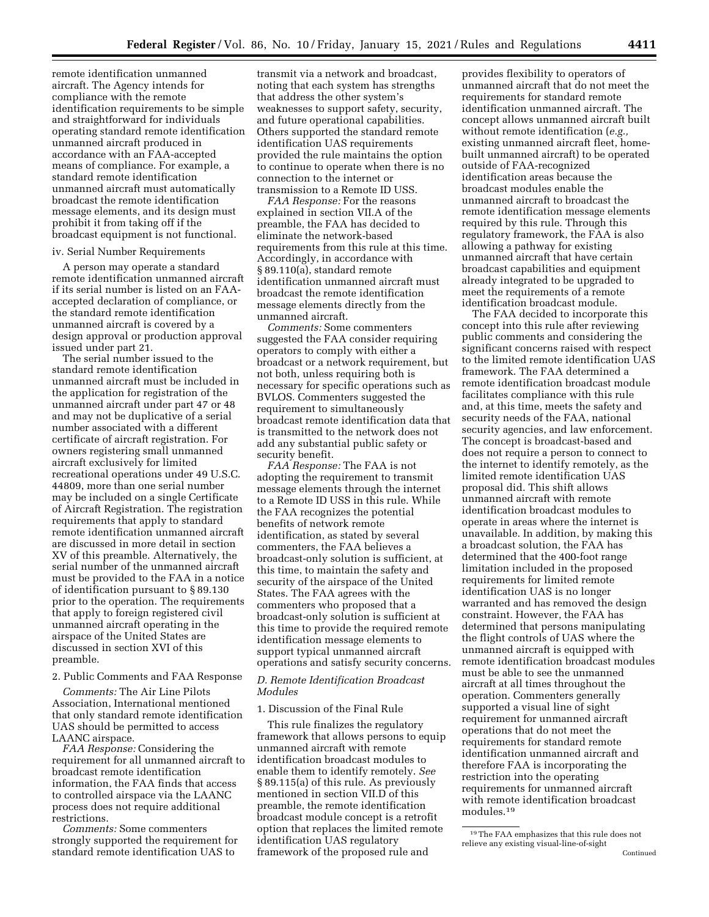remote identification unmanned aircraft. The Agency intends for compliance with the remote identification requirements to be simple and straightforward for individuals operating standard remote identification unmanned aircraft produced in accordance with an FAA-accepted means of compliance. For example, a standard remote identification unmanned aircraft must automatically broadcast the remote identification message elements, and its design must prohibit it from taking off if the broadcast equipment is not functional.

#### iv. Serial Number Requirements

A person may operate a standard remote identification unmanned aircraft if its serial number is listed on an FAAaccepted declaration of compliance, or the standard remote identification unmanned aircraft is covered by a design approval or production approval issued under part 21.

The serial number issued to the standard remote identification unmanned aircraft must be included in the application for registration of the unmanned aircraft under part 47 or 48 and may not be duplicative of a serial number associated with a different certificate of aircraft registration. For owners registering small unmanned aircraft exclusively for limited recreational operations under 49 U.S.C. 44809, more than one serial number may be included on a single Certificate of Aircraft Registration. The registration requirements that apply to standard remote identification unmanned aircraft are discussed in more detail in section XV of this preamble. Alternatively, the serial number of the unmanned aircraft must be provided to the FAA in a notice of identification pursuant to § 89.130 prior to the operation. The requirements that apply to foreign registered civil unmanned aircraft operating in the airspace of the United States are discussed in section XVI of this preamble.

### 2. Public Comments and FAA Response

*Comments:* The Air Line Pilots Association, International mentioned that only standard remote identification UAS should be permitted to access LAANC airspace.

*FAA Response:* Considering the requirement for all unmanned aircraft to broadcast remote identification information, the FAA finds that access to controlled airspace via the LAANC process does not require additional restrictions.

*Comments:* Some commenters strongly supported the requirement for standard remote identification UAS to

transmit via a network and broadcast, noting that each system has strengths that address the other system's weaknesses to support safety, security, and future operational capabilities. Others supported the standard remote identification UAS requirements provided the rule maintains the option to continue to operate when there is no connection to the internet or transmission to a Remote ID USS.

*FAA Response:* For the reasons explained in section VII.A of the preamble, the FAA has decided to eliminate the network-based requirements from this rule at this time. Accordingly, in accordance with § 89.110(a), standard remote identification unmanned aircraft must broadcast the remote identification message elements directly from the unmanned aircraft.

*Comments:* Some commenters suggested the FAA consider requiring operators to comply with either a broadcast or a network requirement, but not both, unless requiring both is necessary for specific operations such as BVLOS. Commenters suggested the requirement to simultaneously broadcast remote identification data that is transmitted to the network does not add any substantial public safety or security benefit.

*FAA Response:* The FAA is not adopting the requirement to transmit message elements through the internet to a Remote ID USS in this rule. While the FAA recognizes the potential benefits of network remote identification, as stated by several commenters, the FAA believes a broadcast-only solution is sufficient, at this time, to maintain the safety and security of the airspace of the United States. The FAA agrees with the commenters who proposed that a broadcast-only solution is sufficient at this time to provide the required remote identification message elements to support typical unmanned aircraft operations and satisfy security concerns.

## *D. Remote Identification Broadcast Modules*

### 1. Discussion of the Final Rule

This rule finalizes the regulatory framework that allows persons to equip unmanned aircraft with remote identification broadcast modules to enable them to identify remotely. *See*  § 89.115(a) of this rule. As previously mentioned in section VII.D of this preamble, the remote identification broadcast module concept is a retrofit option that replaces the limited remote identification UAS regulatory framework of the proposed rule and

provides flexibility to operators of unmanned aircraft that do not meet the requirements for standard remote identification unmanned aircraft. The concept allows unmanned aircraft built without remote identification (*e.g.,*  existing unmanned aircraft fleet, homebuilt unmanned aircraft) to be operated outside of FAA-recognized identification areas because the broadcast modules enable the unmanned aircraft to broadcast the remote identification message elements required by this rule. Through this regulatory framework, the FAA is also allowing a pathway for existing unmanned aircraft that have certain broadcast capabilities and equipment already integrated to be upgraded to meet the requirements of a remote identification broadcast module.

The FAA decided to incorporate this concept into this rule after reviewing public comments and considering the significant concerns raised with respect to the limited remote identification UAS framework. The FAA determined a remote identification broadcast module facilitates compliance with this rule and, at this time, meets the safety and security needs of the FAA, national security agencies, and law enforcement. The concept is broadcast-based and does not require a person to connect to the internet to identify remotely, as the limited remote identification UAS proposal did. This shift allows unmanned aircraft with remote identification broadcast modules to operate in areas where the internet is unavailable. In addition, by making this a broadcast solution, the FAA has determined that the 400-foot range limitation included in the proposed requirements for limited remote identification UAS is no longer warranted and has removed the design constraint. However, the FAA has determined that persons manipulating the flight controls of UAS where the unmanned aircraft is equipped with remote identification broadcast modules must be able to see the unmanned aircraft at all times throughout the operation. Commenters generally supported a visual line of sight requirement for unmanned aircraft operations that do not meet the requirements for standard remote identification unmanned aircraft and therefore FAA is incorporating the restriction into the operating requirements for unmanned aircraft with remote identification broadcast modules.19

<sup>19</sup>The FAA emphasizes that this rule does not relieve any existing visual-line-of-sight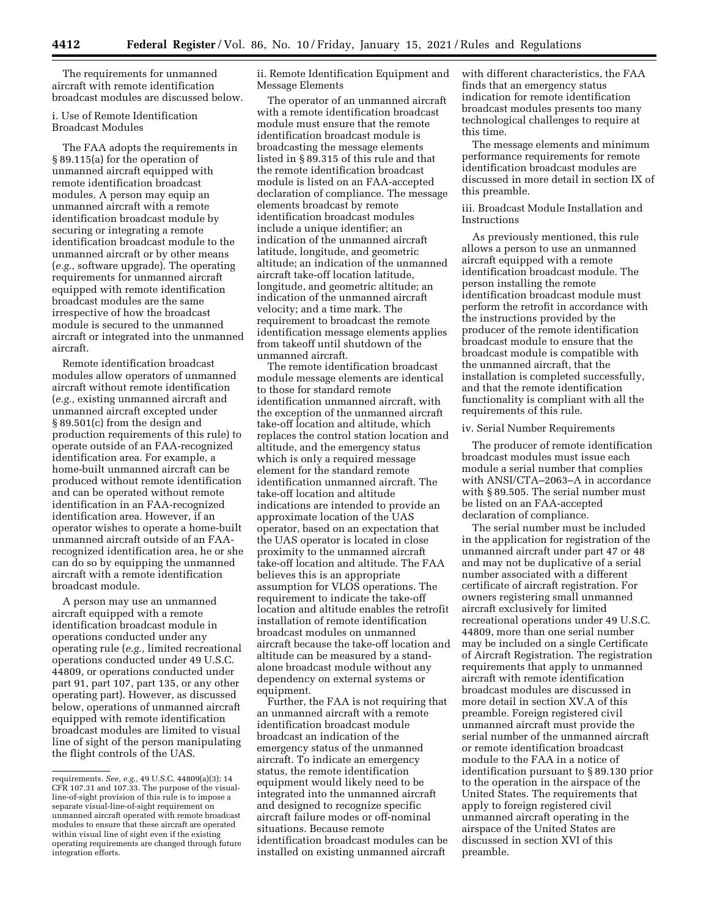The requirements for unmanned aircraft with remote identification broadcast modules are discussed below.

### i. Use of Remote Identification Broadcast Modules

The FAA adopts the requirements in § 89.115(a) for the operation of unmanned aircraft equipped with remote identification broadcast modules. A person may equip an unmanned aircraft with a remote identification broadcast module by securing or integrating a remote identification broadcast module to the unmanned aircraft or by other means (*e.g.,* software upgrade). The operating requirements for unmanned aircraft equipped with remote identification broadcast modules are the same irrespective of how the broadcast module is secured to the unmanned aircraft or integrated into the unmanned aircraft.

Remote identification broadcast modules allow operators of unmanned aircraft without remote identification (*e.g.,* existing unmanned aircraft and unmanned aircraft excepted under § 89.501(c) from the design and production requirements of this rule) to operate outside of an FAA-recognized identification area. For example, a home-built unmanned aircraft can be produced without remote identification and can be operated without remote identification in an FAA-recognized identification area. However, if an operator wishes to operate a home-built unmanned aircraft outside of an FAArecognized identification area, he or she can do so by equipping the unmanned aircraft with a remote identification broadcast module.

A person may use an unmanned aircraft equipped with a remote identification broadcast module in operations conducted under any operating rule (*e.g.,* limited recreational operations conducted under 49 U.S.C. 44809, or operations conducted under part 91, part 107, part 135, or any other operating part). However, as discussed below, operations of unmanned aircraft equipped with remote identification broadcast modules are limited to visual line of sight of the person manipulating the flight controls of the UAS.

ii. Remote Identification Equipment and Message Elements

The operator of an unmanned aircraft with a remote identification broadcast module must ensure that the remote identification broadcast module is broadcasting the message elements listed in § 89.315 of this rule and that the remote identification broadcast module is listed on an FAA-accepted declaration of compliance. The message elements broadcast by remote identification broadcast modules include a unique identifier; an indication of the unmanned aircraft latitude, longitude, and geometric altitude; an indication of the unmanned aircraft take-off location latitude, longitude, and geometric altitude; an indication of the unmanned aircraft velocity; and a time mark. The requirement to broadcast the remote identification message elements applies from takeoff until shutdown of the unmanned aircraft.

The remote identification broadcast module message elements are identical to those for standard remote identification unmanned aircraft, with the exception of the unmanned aircraft take-off location and altitude, which replaces the control station location and altitude, and the emergency status which is only a required message element for the standard remote identification unmanned aircraft. The take-off location and altitude indications are intended to provide an approximate location of the UAS operator, based on an expectation that the UAS operator is located in close proximity to the unmanned aircraft take-off location and altitude. The FAA believes this is an appropriate assumption for VLOS operations. The requirement to indicate the take-off location and altitude enables the retrofit installation of remote identification broadcast modules on unmanned aircraft because the take-off location and altitude can be measured by a standalone broadcast module without any dependency on external systems or equipment.

Further, the FAA is not requiring that an unmanned aircraft with a remote identification broadcast module broadcast an indication of the emergency status of the unmanned aircraft. To indicate an emergency status, the remote identification equipment would likely need to be integrated into the unmanned aircraft and designed to recognize specific aircraft failure modes or off-nominal situations. Because remote identification broadcast modules can be installed on existing unmanned aircraft

with different characteristics, the FAA finds that an emergency status indication for remote identification broadcast modules presents too many technological challenges to require at this time.

The message elements and minimum performance requirements for remote identification broadcast modules are discussed in more detail in section IX of this preamble.

iii. Broadcast Module Installation and Instructions

As previously mentioned, this rule allows a person to use an unmanned aircraft equipped with a remote identification broadcast module. The person installing the remote identification broadcast module must perform the retrofit in accordance with the instructions provided by the producer of the remote identification broadcast module to ensure that the broadcast module is compatible with the unmanned aircraft, that the installation is completed successfully, and that the remote identification functionality is compliant with all the requirements of this rule.

#### iv. Serial Number Requirements

The producer of remote identification broadcast modules must issue each module a serial number that complies with ANSI/CTA–2063–A in accordance with § 89.505. The serial number must be listed on an FAA-accepted declaration of compliance.

The serial number must be included in the application for registration of the unmanned aircraft under part 47 or 48 and may not be duplicative of a serial number associated with a different certificate of aircraft registration. For owners registering small unmanned aircraft exclusively for limited recreational operations under 49 U.S.C. 44809, more than one serial number may be included on a single Certificate of Aircraft Registration. The registration requirements that apply to unmanned aircraft with remote identification broadcast modules are discussed in more detail in section XV.A of this preamble. Foreign registered civil unmanned aircraft must provide the serial number of the unmanned aircraft or remote identification broadcast module to the FAA in a notice of identification pursuant to § 89.130 prior to the operation in the airspace of the United States. The requirements that apply to foreign registered civil unmanned aircraft operating in the airspace of the United States are discussed in section XVI of this preamble.

requirements. *See, e.g.,* 49 U.S.C. 44809(a)(3); 14 CFR 107.31 and 107.33. The purpose of the visualline-of-sight provision of this rule is to impose a separate visual-line-of-sight requirement on unmanned aircraft operated with remote broadcast modules to ensure that these aircraft are operated within visual line of sight even if the existing operating requirements are changed through future integration efforts.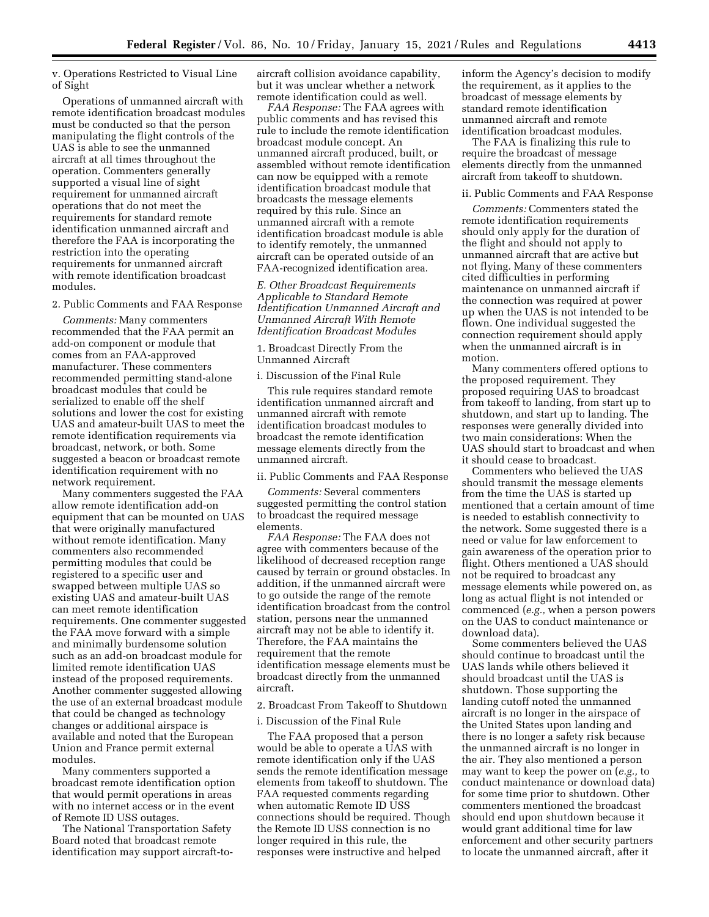v. Operations Restricted to Visual Line of Sight

Operations of unmanned aircraft with remote identification broadcast modules must be conducted so that the person manipulating the flight controls of the UAS is able to see the unmanned aircraft at all times throughout the operation. Commenters generally supported a visual line of sight requirement for unmanned aircraft operations that do not meet the requirements for standard remote identification unmanned aircraft and therefore the FAA is incorporating the restriction into the operating requirements for unmanned aircraft with remote identification broadcast modules.

## 2. Public Comments and FAA Response

*Comments:* Many commenters recommended that the FAA permit an add-on component or module that comes from an FAA-approved manufacturer. These commenters recommended permitting stand-alone broadcast modules that could be serialized to enable off the shelf solutions and lower the cost for existing UAS and amateur-built UAS to meet the remote identification requirements via broadcast, network, or both. Some suggested a beacon or broadcast remote identification requirement with no network requirement.

Many commenters suggested the FAA allow remote identification add-on equipment that can be mounted on UAS that were originally manufactured without remote identification. Many commenters also recommended permitting modules that could be registered to a specific user and swapped between multiple UAS so existing UAS and amateur-built UAS can meet remote identification requirements. One commenter suggested the FAA move forward with a simple and minimally burdensome solution such as an add-on broadcast module for limited remote identification UAS instead of the proposed requirements. Another commenter suggested allowing the use of an external broadcast module that could be changed as technology changes or additional airspace is available and noted that the European Union and France permit external modules.

Many commenters supported a broadcast remote identification option that would permit operations in areas with no internet access or in the event of Remote ID USS outages.

The National Transportation Safety Board noted that broadcast remote identification may support aircraft-toaircraft collision avoidance capability, but it was unclear whether a network remote identification could as well.

*FAA Response:* The FAA agrees with public comments and has revised this rule to include the remote identification broadcast module concept. An unmanned aircraft produced, built, or assembled without remote identification can now be equipped with a remote identification broadcast module that broadcasts the message elements required by this rule. Since an unmanned aircraft with a remote identification broadcast module is able to identify remotely, the unmanned aircraft can be operated outside of an FAA-recognized identification area.

*E. Other Broadcast Requirements Applicable to Standard Remote Identification Unmanned Aircraft and Unmanned Aircraft With Remote Identification Broadcast Modules* 

1. Broadcast Directly From the Unmanned Aircraft

#### i. Discussion of the Final Rule

This rule requires standard remote identification unmanned aircraft and unmanned aircraft with remote identification broadcast modules to broadcast the remote identification message elements directly from the unmanned aircraft.

### ii. Public Comments and FAA Response

*Comments:* Several commenters suggested permitting the control station to broadcast the required message elements.

*FAA Response:* The FAA does not agree with commenters because of the likelihood of decreased reception range caused by terrain or ground obstacles. In addition, if the unmanned aircraft were to go outside the range of the remote identification broadcast from the control station, persons near the unmanned aircraft may not be able to identify it. Therefore, the FAA maintains the requirement that the remote identification message elements must be broadcast directly from the unmanned aircraft.

2. Broadcast From Takeoff to Shutdown

#### i. Discussion of the Final Rule

The FAA proposed that a person would be able to operate a UAS with remote identification only if the UAS sends the remote identification message elements from takeoff to shutdown. The FAA requested comments regarding when automatic Remote ID USS connections should be required. Though the Remote ID USS connection is no longer required in this rule, the responses were instructive and helped

inform the Agency's decision to modify the requirement, as it applies to the broadcast of message elements by standard remote identification unmanned aircraft and remote identification broadcast modules.

The FAA is finalizing this rule to require the broadcast of message elements directly from the unmanned aircraft from takeoff to shutdown.

#### ii. Public Comments and FAA Response

*Comments:* Commenters stated the remote identification requirements should only apply for the duration of the flight and should not apply to unmanned aircraft that are active but not flying. Many of these commenters cited difficulties in performing maintenance on unmanned aircraft if the connection was required at power up when the UAS is not intended to be flown. One individual suggested the connection requirement should apply when the unmanned aircraft is in motion.

Many commenters offered options to the proposed requirement. They proposed requiring UAS to broadcast from takeoff to landing, from start up to shutdown, and start up to landing. The responses were generally divided into two main considerations: When the UAS should start to broadcast and when it should cease to broadcast.

Commenters who believed the UAS should transmit the message elements from the time the UAS is started up mentioned that a certain amount of time is needed to establish connectivity to the network. Some suggested there is a need or value for law enforcement to gain awareness of the operation prior to flight. Others mentioned a UAS should not be required to broadcast any message elements while powered on, as long as actual flight is not intended or commenced (*e.g.,* when a person powers on the UAS to conduct maintenance or download data).

Some commenters believed the UAS should continue to broadcast until the UAS lands while others believed it should broadcast until the UAS is shutdown. Those supporting the landing cutoff noted the unmanned aircraft is no longer in the airspace of the United States upon landing and there is no longer a safety risk because the unmanned aircraft is no longer in the air. They also mentioned a person may want to keep the power on (*e.g.,* to conduct maintenance or download data) for some time prior to shutdown. Other commenters mentioned the broadcast should end upon shutdown because it would grant additional time for law enforcement and other security partners to locate the unmanned aircraft, after it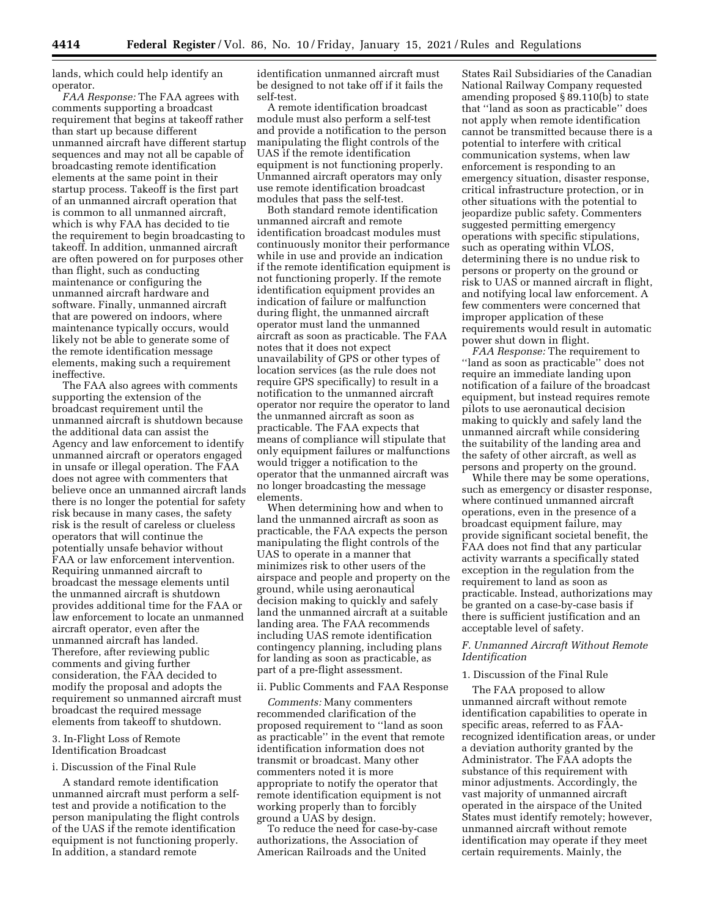lands, which could help identify an operator.

*FAA Response:* The FAA agrees with comments supporting a broadcast requirement that begins at takeoff rather than start up because different unmanned aircraft have different startup sequences and may not all be capable of broadcasting remote identification elements at the same point in their startup process. Takeoff is the first part of an unmanned aircraft operation that is common to all unmanned aircraft, which is why FAA has decided to tie the requirement to begin broadcasting to takeoff. In addition, unmanned aircraft are often powered on for purposes other than flight, such as conducting maintenance or configuring the unmanned aircraft hardware and software. Finally, unmanned aircraft that are powered on indoors, where maintenance typically occurs, would likely not be able to generate some of the remote identification message elements, making such a requirement ineffective.

The FAA also agrees with comments supporting the extension of the broadcast requirement until the unmanned aircraft is shutdown because the additional data can assist the Agency and law enforcement to identify unmanned aircraft or operators engaged in unsafe or illegal operation. The FAA does not agree with commenters that believe once an unmanned aircraft lands there is no longer the potential for safety risk because in many cases, the safety risk is the result of careless or clueless operators that will continue the potentially unsafe behavior without FAA or law enforcement intervention. Requiring unmanned aircraft to broadcast the message elements until the unmanned aircraft is shutdown provides additional time for the FAA or law enforcement to locate an unmanned aircraft operator, even after the unmanned aircraft has landed. Therefore, after reviewing public comments and giving further consideration, the FAA decided to modify the proposal and adopts the requirement so unmanned aircraft must broadcast the required message elements from takeoff to shutdown.

### 3. In-Flight Loss of Remote Identification Broadcast

#### i. Discussion of the Final Rule

A standard remote identification unmanned aircraft must perform a selftest and provide a notification to the person manipulating the flight controls of the UAS if the remote identification equipment is not functioning properly. In addition, a standard remote

identification unmanned aircraft must be designed to not take off if it fails the self-test.

A remote identification broadcast module must also perform a self-test and provide a notification to the person manipulating the flight controls of the UAS if the remote identification equipment is not functioning properly. Unmanned aircraft operators may only use remote identification broadcast modules that pass the self-test.

Both standard remote identification unmanned aircraft and remote identification broadcast modules must continuously monitor their performance while in use and provide an indication if the remote identification equipment is not functioning properly. If the remote identification equipment provides an indication of failure or malfunction during flight, the unmanned aircraft operator must land the unmanned aircraft as soon as practicable. The FAA notes that it does not expect unavailability of GPS or other types of location services (as the rule does not require GPS specifically) to result in a notification to the unmanned aircraft operator nor require the operator to land the unmanned aircraft as soon as practicable. The FAA expects that means of compliance will stipulate that only equipment failures or malfunctions would trigger a notification to the operator that the unmanned aircraft was no longer broadcasting the message elements.

When determining how and when to land the unmanned aircraft as soon as practicable, the FAA expects the person manipulating the flight controls of the UAS to operate in a manner that minimizes risk to other users of the airspace and people and property on the ground, while using aeronautical decision making to quickly and safely land the unmanned aircraft at a suitable landing area. The FAA recommends including UAS remote identification contingency planning, including plans for landing as soon as practicable, as part of a pre-flight assessment.

### ii. Public Comments and FAA Response

*Comments:* Many commenters recommended clarification of the proposed requirement to ''land as soon as practicable'' in the event that remote identification information does not transmit or broadcast. Many other commenters noted it is more appropriate to notify the operator that remote identification equipment is not working properly than to forcibly ground a UAS by design.

To reduce the need for case-by-case authorizations, the Association of American Railroads and the United

States Rail Subsidiaries of the Canadian National Railway Company requested amending proposed § 89.110(b) to state that ''land as soon as practicable'' does not apply when remote identification cannot be transmitted because there is a potential to interfere with critical communication systems, when law enforcement is responding to an emergency situation, disaster response, critical infrastructure protection, or in other situations with the potential to jeopardize public safety. Commenters suggested permitting emergency operations with specific stipulations, such as operating within VLOS, determining there is no undue risk to persons or property on the ground or risk to UAS or manned aircraft in flight, and notifying local law enforcement. A few commenters were concerned that improper application of these requirements would result in automatic power shut down in flight.

*FAA Response:* The requirement to ''land as soon as practicable'' does not require an immediate landing upon notification of a failure of the broadcast equipment, but instead requires remote pilots to use aeronautical decision making to quickly and safely land the unmanned aircraft while considering the suitability of the landing area and the safety of other aircraft, as well as persons and property on the ground.

While there may be some operations, such as emergency or disaster response, where continued unmanned aircraft operations, even in the presence of a broadcast equipment failure, may provide significant societal benefit, the FAA does not find that any particular activity warrants a specifically stated exception in the regulation from the requirement to land as soon as practicable. Instead, authorizations may be granted on a case-by-case basis if there is sufficient justification and an acceptable level of safety.

## *F. Unmanned Aircraft Without Remote Identification*

### 1. Discussion of the Final Rule

The FAA proposed to allow unmanned aircraft without remote identification capabilities to operate in specific areas, referred to as FAArecognized identification areas, or under a deviation authority granted by the Administrator. The FAA adopts the substance of this requirement with minor adjustments. Accordingly, the vast majority of unmanned aircraft operated in the airspace of the United States must identify remotely; however, unmanned aircraft without remote identification may operate if they meet certain requirements. Mainly, the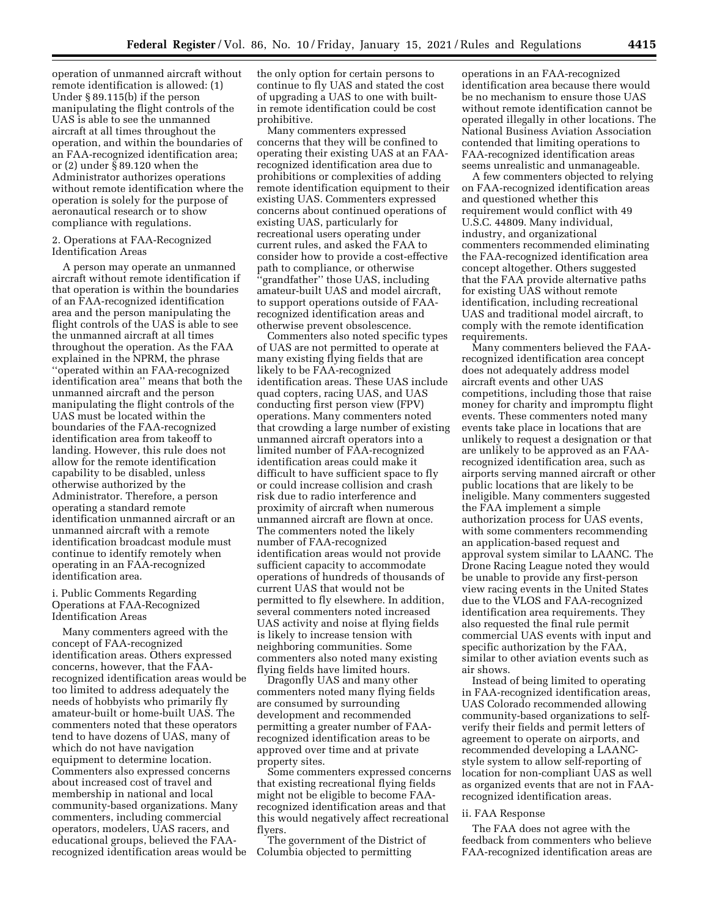operation of unmanned aircraft without remote identification is allowed: (1) Under § 89.115(b) if the person manipulating the flight controls of the UAS is able to see the unmanned aircraft at all times throughout the operation, and within the boundaries of an FAA-recognized identification area; or (2) under § 89.120 when the Administrator authorizes operations without remote identification where the operation is solely for the purpose of aeronautical research or to show compliance with regulations.

## 2. Operations at FAA-Recognized Identification Areas

A person may operate an unmanned aircraft without remote identification if that operation is within the boundaries of an FAA-recognized identification area and the person manipulating the flight controls of the UAS is able to see the unmanned aircraft at all times throughout the operation. As the FAA explained in the NPRM, the phrase ''operated within an FAA-recognized identification area'' means that both the unmanned aircraft and the person manipulating the flight controls of the UAS must be located within the boundaries of the FAA-recognized identification area from takeoff to landing. However, this rule does not allow for the remote identification capability to be disabled, unless otherwise authorized by the Administrator. Therefore, a person operating a standard remote identification unmanned aircraft or an unmanned aircraft with a remote identification broadcast module must continue to identify remotely when operating in an FAA-recognized identification area.

## i. Public Comments Regarding Operations at FAA-Recognized Identification Areas

Many commenters agreed with the concept of FAA-recognized identification areas. Others expressed concerns, however, that the FAArecognized identification areas would be too limited to address adequately the needs of hobbyists who primarily fly amateur-built or home-built UAS. The commenters noted that these operators tend to have dozens of UAS, many of which do not have navigation equipment to determine location. Commenters also expressed concerns about increased cost of travel and membership in national and local community-based organizations. Many commenters, including commercial operators, modelers, UAS racers, and educational groups, believed the FAArecognized identification areas would be the only option for certain persons to continue to fly UAS and stated the cost of upgrading a UAS to one with builtin remote identification could be cost prohibitive.

Many commenters expressed concerns that they will be confined to operating their existing UAS at an FAArecognized identification area due to prohibitions or complexities of adding remote identification equipment to their existing UAS. Commenters expressed concerns about continued operations of existing UAS, particularly for recreational users operating under current rules, and asked the FAA to consider how to provide a cost-effective path to compliance, or otherwise 'grandfather'' those UAS, including amateur-built UAS and model aircraft, to support operations outside of FAArecognized identification areas and otherwise prevent obsolescence.

Commenters also noted specific types of UAS are not permitted to operate at many existing flying fields that are likely to be FAA-recognized identification areas. These UAS include quad copters, racing UAS, and UAS conducting first person view (FPV) operations. Many commenters noted that crowding a large number of existing unmanned aircraft operators into a limited number of FAA-recognized identification areas could make it difficult to have sufficient space to fly or could increase collision and crash risk due to radio interference and proximity of aircraft when numerous unmanned aircraft are flown at once. The commenters noted the likely number of FAA-recognized identification areas would not provide sufficient capacity to accommodate operations of hundreds of thousands of current UAS that would not be permitted to fly elsewhere. In addition, several commenters noted increased UAS activity and noise at flying fields is likely to increase tension with neighboring communities. Some commenters also noted many existing flying fields have limited hours.

Dragonfly UAS and many other commenters noted many flying fields are consumed by surrounding development and recommended permitting a greater number of FAArecognized identification areas to be approved over time and at private property sites.

Some commenters expressed concerns that existing recreational flying fields might not be eligible to become FAArecognized identification areas and that this would negatively affect recreational flyers.

The government of the District of Columbia objected to permitting

operations in an FAA-recognized identification area because there would be no mechanism to ensure those UAS without remote identification cannot be operated illegally in other locations. The National Business Aviation Association contended that limiting operations to FAA-recognized identification areas seems unrealistic and unmanageable.

A few commenters objected to relying on FAA-recognized identification areas and questioned whether this requirement would conflict with 49 U.S.C. 44809. Many individual, industry, and organizational commenters recommended eliminating the FAA-recognized identification area concept altogether. Others suggested that the FAA provide alternative paths for existing UAS without remote identification, including recreational UAS and traditional model aircraft, to comply with the remote identification requirements.

Many commenters believed the FAArecognized identification area concept does not adequately address model aircraft events and other UAS competitions, including those that raise money for charity and impromptu flight events. These commenters noted many events take place in locations that are unlikely to request a designation or that are unlikely to be approved as an FAArecognized identification area, such as airports serving manned aircraft or other public locations that are likely to be ineligible. Many commenters suggested the FAA implement a simple authorization process for UAS events, with some commenters recommending an application-based request and approval system similar to LAANC. The Drone Racing League noted they would be unable to provide any first-person view racing events in the United States due to the VLOS and FAA-recognized identification area requirements. They also requested the final rule permit commercial UAS events with input and specific authorization by the FAA, similar to other aviation events such as air shows.

Instead of being limited to operating in FAA-recognized identification areas, UAS Colorado recommended allowing community-based organizations to selfverify their fields and permit letters of agreement to operate on airports, and recommended developing a LAANCstyle system to allow self-reporting of location for non-compliant UAS as well as organized events that are not in FAArecognized identification areas.

#### ii. FAA Response

The FAA does not agree with the feedback from commenters who believe FAA-recognized identification areas are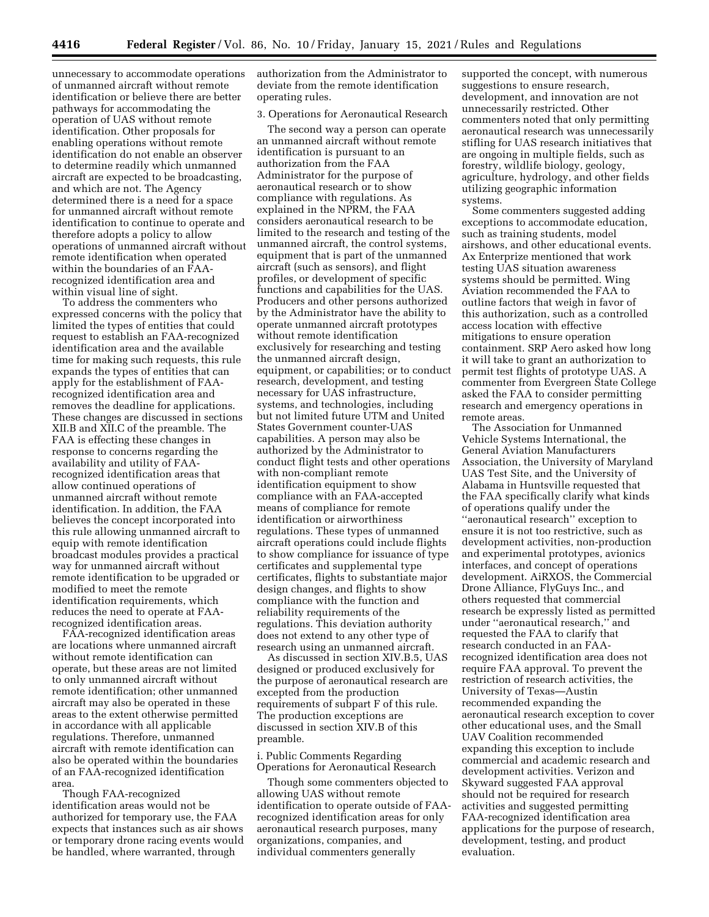unnecessary to accommodate operations of unmanned aircraft without remote identification or believe there are better pathways for accommodating the operation of UAS without remote identification. Other proposals for enabling operations without remote identification do not enable an observer to determine readily which unmanned aircraft are expected to be broadcasting, and which are not. The Agency determined there is a need for a space for unmanned aircraft without remote identification to continue to operate and therefore adopts a policy to allow operations of unmanned aircraft without remote identification when operated within the boundaries of an FAArecognized identification area and within visual line of sight.

To address the commenters who expressed concerns with the policy that limited the types of entities that could request to establish an FAA-recognized identification area and the available time for making such requests, this rule expands the types of entities that can apply for the establishment of FAArecognized identification area and removes the deadline for applications. These changes are discussed in sections XII.B and XII.C of the preamble. The FAA is effecting these changes in response to concerns regarding the availability and utility of FAArecognized identification areas that allow continued operations of unmanned aircraft without remote identification. In addition, the FAA believes the concept incorporated into this rule allowing unmanned aircraft to equip with remote identification broadcast modules provides a practical way for unmanned aircraft without remote identification to be upgraded or modified to meet the remote identification requirements, which reduces the need to operate at FAArecognized identification areas.

FAA-recognized identification areas are locations where unmanned aircraft without remote identification can operate, but these areas are not limited to only unmanned aircraft without remote identification; other unmanned aircraft may also be operated in these areas to the extent otherwise permitted in accordance with all applicable regulations. Therefore, unmanned aircraft with remote identification can also be operated within the boundaries of an FAA-recognized identification area.

Though FAA-recognized identification areas would not be authorized for temporary use, the FAA expects that instances such as air shows or temporary drone racing events would be handled, where warranted, through

authorization from the Administrator to deviate from the remote identification operating rules.

### 3. Operations for Aeronautical Research

The second way a person can operate an unmanned aircraft without remote identification is pursuant to an authorization from the FAA Administrator for the purpose of aeronautical research or to show compliance with regulations. As explained in the NPRM, the FAA considers aeronautical research to be limited to the research and testing of the unmanned aircraft, the control systems, equipment that is part of the unmanned aircraft (such as sensors), and flight profiles, or development of specific functions and capabilities for the UAS. Producers and other persons authorized by the Administrator have the ability to operate unmanned aircraft prototypes without remote identification exclusively for researching and testing the unmanned aircraft design, equipment, or capabilities; or to conduct research, development, and testing necessary for UAS infrastructure, systems, and technologies, including but not limited future UTM and United States Government counter-UAS capabilities. A person may also be authorized by the Administrator to conduct flight tests and other operations with non-compliant remote identification equipment to show compliance with an FAA-accepted means of compliance for remote identification or airworthiness regulations. These types of unmanned aircraft operations could include flights to show compliance for issuance of type certificates and supplemental type certificates, flights to substantiate major design changes, and flights to show compliance with the function and reliability requirements of the regulations. This deviation authority does not extend to any other type of research using an unmanned aircraft.

As discussed in section XIV.B.5, UAS designed or produced exclusively for the purpose of aeronautical research are excepted from the production requirements of subpart F of this rule. The production exceptions are discussed in section XIV.B of this preamble.

i. Public Comments Regarding Operations for Aeronautical Research

Though some commenters objected to allowing UAS without remote identification to operate outside of FAArecognized identification areas for only aeronautical research purposes, many organizations, companies, and individual commenters generally

supported the concept, with numerous suggestions to ensure research, development, and innovation are not unnecessarily restricted. Other commenters noted that only permitting aeronautical research was unnecessarily stifling for UAS research initiatives that are ongoing in multiple fields, such as forestry, wildlife biology, geology, agriculture, hydrology, and other fields utilizing geographic information systems.

Some commenters suggested adding exceptions to accommodate education, such as training students, model airshows, and other educational events. Ax Enterprize mentioned that work testing UAS situation awareness systems should be permitted. Wing Aviation recommended the FAA to outline factors that weigh in favor of this authorization, such as a controlled access location with effective mitigations to ensure operation containment. SRP Aero asked how long it will take to grant an authorization to permit test flights of prototype UAS. A commenter from Evergreen State College asked the FAA to consider permitting research and emergency operations in remote areas.

The Association for Unmanned Vehicle Systems International, the General Aviation Manufacturers Association, the University of Maryland UAS Test Site, and the University of Alabama in Huntsville requested that the FAA specifically clarify what kinds of operations qualify under the ''aeronautical research'' exception to ensure it is not too restrictive, such as development activities, non-production and experimental prototypes, avionics interfaces, and concept of operations development. AiRXOS, the Commercial Drone Alliance, FlyGuys Inc., and others requested that commercial research be expressly listed as permitted under ''aeronautical research,'' and requested the FAA to clarify that research conducted in an FAArecognized identification area does not require FAA approval. To prevent the restriction of research activities, the University of Texas—Austin recommended expanding the aeronautical research exception to cover other educational uses, and the Small UAV Coalition recommended expanding this exception to include commercial and academic research and development activities. Verizon and Skyward suggested FAA approval should not be required for research activities and suggested permitting FAA-recognized identification area applications for the purpose of research, development, testing, and product evaluation.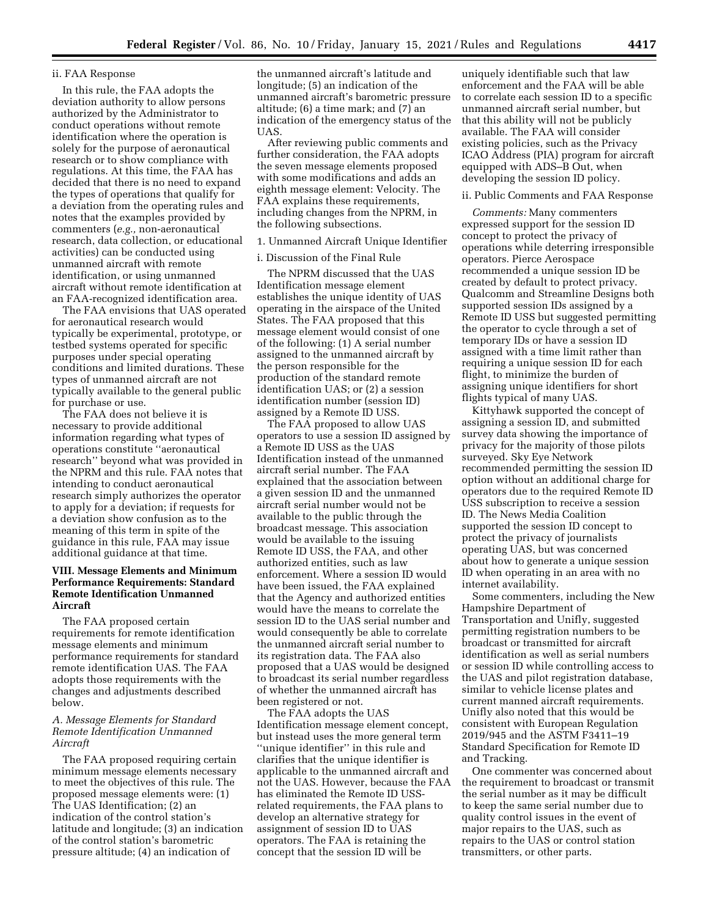## ii. FAA Response

In this rule, the FAA adopts the deviation authority to allow persons authorized by the Administrator to conduct operations without remote identification where the operation is solely for the purpose of aeronautical research or to show compliance with regulations. At this time, the FAA has decided that there is no need to expand the types of operations that qualify for a deviation from the operating rules and notes that the examples provided by commenters (*e.g.,* non-aeronautical research, data collection, or educational activities) can be conducted using unmanned aircraft with remote identification, or using unmanned aircraft without remote identification at an FAA-recognized identification area.

The FAA envisions that UAS operated for aeronautical research would typically be experimental, prototype, or testbed systems operated for specific purposes under special operating conditions and limited durations. These types of unmanned aircraft are not typically available to the general public for purchase or use.

The FAA does not believe it is necessary to provide additional information regarding what types of operations constitute ''aeronautical research'' beyond what was provided in the NPRM and this rule. FAA notes that intending to conduct aeronautical research simply authorizes the operator to apply for a deviation; if requests for a deviation show confusion as to the meaning of this term in spite of the guidance in this rule, FAA may issue additional guidance at that time.

## **VIII. Message Elements and Minimum Performance Requirements: Standard Remote Identification Unmanned Aircraft**

The FAA proposed certain requirements for remote identification message elements and minimum performance requirements for standard remote identification UAS. The FAA adopts those requirements with the changes and adjustments described below.

## *A. Message Elements for Standard Remote Identification Unmanned Aircraft*

The FAA proposed requiring certain minimum message elements necessary to meet the objectives of this rule. The proposed message elements were: (1) The UAS Identification; (2) an indication of the control station's latitude and longitude; (3) an indication of the control station's barometric pressure altitude; (4) an indication of

the unmanned aircraft's latitude and longitude; (5) an indication of the unmanned aircraft's barometric pressure altitude; (6) a time mark; and (7) an indication of the emergency status of the UAS.

After reviewing public comments and further consideration, the FAA adopts the seven message elements proposed with some modifications and adds an eighth message element: Velocity. The FAA explains these requirements, including changes from the NPRM, in the following subsections.

### 1. Unmanned Aircraft Unique Identifier

## i. Discussion of the Final Rule

The NPRM discussed that the UAS Identification message element establishes the unique identity of UAS operating in the airspace of the United States. The FAA proposed that this message element would consist of one of the following: (1) A serial number assigned to the unmanned aircraft by the person responsible for the production of the standard remote identification UAS; or (2) a session identification number (session ID) assigned by a Remote ID USS.

The FAA proposed to allow UAS operators to use a session ID assigned by a Remote ID USS as the UAS Identification instead of the unmanned aircraft serial number. The FAA explained that the association between a given session ID and the unmanned aircraft serial number would not be available to the public through the broadcast message. This association would be available to the issuing Remote ID USS, the FAA, and other authorized entities, such as law enforcement. Where a session ID would have been issued, the FAA explained that the Agency and authorized entities would have the means to correlate the session ID to the UAS serial number and would consequently be able to correlate the unmanned aircraft serial number to its registration data. The FAA also proposed that a UAS would be designed to broadcast its serial number regardless of whether the unmanned aircraft has been registered or not.

The FAA adopts the UAS Identification message element concept, but instead uses the more general term ''unique identifier'' in this rule and clarifies that the unique identifier is applicable to the unmanned aircraft and not the UAS. However, because the FAA has eliminated the Remote ID USSrelated requirements, the FAA plans to develop an alternative strategy for assignment of session ID to UAS operators. The FAA is retaining the concept that the session ID will be

uniquely identifiable such that law enforcement and the FAA will be able to correlate each session ID to a specific unmanned aircraft serial number, but that this ability will not be publicly available. The FAA will consider existing policies, such as the Privacy ICAO Address (PIA) program for aircraft equipped with ADS–B Out, when developing the session ID policy.

### ii. Public Comments and FAA Response

*Comments:* Many commenters expressed support for the session ID concept to protect the privacy of operations while deterring irresponsible operators. Pierce Aerospace recommended a unique session ID be created by default to protect privacy. Qualcomm and Streamline Designs both supported session IDs assigned by a Remote ID USS but suggested permitting the operator to cycle through a set of temporary IDs or have a session ID assigned with a time limit rather than requiring a unique session ID for each flight, to minimize the burden of assigning unique identifiers for short flights typical of many UAS.

Kittyhawk supported the concept of assigning a session ID, and submitted survey data showing the importance of privacy for the majority of those pilots surveyed. Sky Eye Network recommended permitting the session ID option without an additional charge for operators due to the required Remote ID USS subscription to receive a session ID. The News Media Coalition supported the session ID concept to protect the privacy of journalists operating UAS, but was concerned about how to generate a unique session ID when operating in an area with no internet availability.

Some commenters, including the New Hampshire Department of Transportation and Unifly, suggested permitting registration numbers to be broadcast or transmitted for aircraft identification as well as serial numbers or session ID while controlling access to the UAS and pilot registration database, similar to vehicle license plates and current manned aircraft requirements. Unifly also noted that this would be consistent with European Regulation 2019/945 and the ASTM F3411–19 Standard Specification for Remote ID and Tracking.

One commenter was concerned about the requirement to broadcast or transmit the serial number as it may be difficult to keep the same serial number due to quality control issues in the event of major repairs to the UAS, such as repairs to the UAS or control station transmitters, or other parts.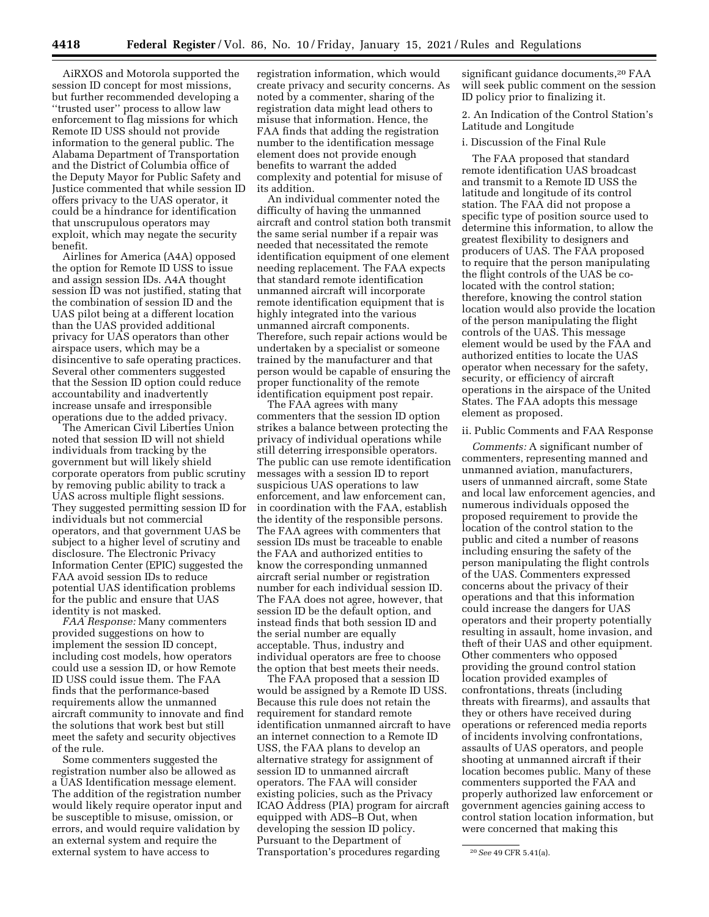AiRXOS and Motorola supported the session ID concept for most missions, but further recommended developing a ''trusted user'' process to allow law enforcement to flag missions for which Remote ID USS should not provide information to the general public. The Alabama Department of Transportation and the District of Columbia office of the Deputy Mayor for Public Safety and Justice commented that while session ID offers privacy to the UAS operator, it could be a hindrance for identification that unscrupulous operators may exploit, which may negate the security benefit.

Airlines for America (A4A) opposed the option for Remote ID USS to issue and assign session IDs. A4A thought session ID was not justified, stating that the combination of session ID and the UAS pilot being at a different location than the UAS provided additional privacy for UAS operators than other airspace users, which may be a disincentive to safe operating practices. Several other commenters suggested that the Session ID option could reduce accountability and inadvertently increase unsafe and irresponsible operations due to the added privacy.

The American Civil Liberties Union noted that session ID will not shield individuals from tracking by the government but will likely shield corporate operators from public scrutiny by removing public ability to track a UAS across multiple flight sessions. They suggested permitting session ID for individuals but not commercial operators, and that government UAS be subject to a higher level of scrutiny and disclosure. The Electronic Privacy Information Center (EPIC) suggested the FAA avoid session IDs to reduce potential UAS identification problems for the public and ensure that UAS identity is not masked.

*FAA Response:* Many commenters provided suggestions on how to implement the session ID concept, including cost models, how operators could use a session ID, or how Remote ID USS could issue them. The FAA finds that the performance-based requirements allow the unmanned aircraft community to innovate and find the solutions that work best but still meet the safety and security objectives of the rule.

Some commenters suggested the registration number also be allowed as a UAS Identification message element. The addition of the registration number would likely require operator input and be susceptible to misuse, omission, or errors, and would require validation by an external system and require the external system to have access to

registration information, which would create privacy and security concerns. As noted by a commenter, sharing of the registration data might lead others to misuse that information. Hence, the FAA finds that adding the registration number to the identification message element does not provide enough benefits to warrant the added complexity and potential for misuse of its addition.

An individual commenter noted the difficulty of having the unmanned aircraft and control station both transmit the same serial number if a repair was needed that necessitated the remote identification equipment of one element needing replacement. The FAA expects that standard remote identification unmanned aircraft will incorporate remote identification equipment that is highly integrated into the various unmanned aircraft components. Therefore, such repair actions would be undertaken by a specialist or someone trained by the manufacturer and that person would be capable of ensuring the proper functionality of the remote identification equipment post repair.

The FAA agrees with many commenters that the session ID option strikes a balance between protecting the privacy of individual operations while still deterring irresponsible operators. The public can use remote identification messages with a session ID to report suspicious UAS operations to law enforcement, and law enforcement can, in coordination with the FAA, establish the identity of the responsible persons. The FAA agrees with commenters that session IDs must be traceable to enable the FAA and authorized entities to know the corresponding unmanned aircraft serial number or registration number for each individual session ID. The FAA does not agree, however, that session ID be the default option, and instead finds that both session ID and the serial number are equally acceptable. Thus, industry and individual operators are free to choose the option that best meets their needs.

The FAA proposed that a session ID would be assigned by a Remote ID USS. Because this rule does not retain the requirement for standard remote identification unmanned aircraft to have an internet connection to a Remote ID USS, the FAA plans to develop an alternative strategy for assignment of session ID to unmanned aircraft operators. The FAA will consider existing policies, such as the Privacy ICAO Address (PIA) program for aircraft equipped with ADS–B Out, when developing the session ID policy. Pursuant to the Department of Transportation's procedures regarding

significant guidance documents,<sup>20</sup> FAA will seek public comment on the session ID policy prior to finalizing it.

2. An Indication of the Control Station's Latitude and Longitude

#### i. Discussion of the Final Rule

The FAA proposed that standard remote identification UAS broadcast and transmit to a Remote ID USS the latitude and longitude of its control station. The FAA did not propose a specific type of position source used to determine this information, to allow the greatest flexibility to designers and producers of UAS. The FAA proposed to require that the person manipulating the flight controls of the UAS be colocated with the control station; therefore, knowing the control station location would also provide the location of the person manipulating the flight controls of the UAS. This message element would be used by the FAA and authorized entities to locate the UAS operator when necessary for the safety, security, or efficiency of aircraft operations in the airspace of the United States. The FAA adopts this message element as proposed.

### ii. Public Comments and FAA Response

*Comments:* A significant number of commenters, representing manned and unmanned aviation, manufacturers, users of unmanned aircraft, some State and local law enforcement agencies, and numerous individuals opposed the proposed requirement to provide the location of the control station to the public and cited a number of reasons including ensuring the safety of the person manipulating the flight controls of the UAS. Commenters expressed concerns about the privacy of their operations and that this information could increase the dangers for UAS operators and their property potentially resulting in assault, home invasion, and theft of their UAS and other equipment. Other commenters who opposed providing the ground control station location provided examples of confrontations, threats (including threats with firearms), and assaults that they or others have received during operations or referenced media reports of incidents involving confrontations, assaults of UAS operators, and people shooting at unmanned aircraft if their location becomes public. Many of these commenters supported the FAA and properly authorized law enforcement or government agencies gaining access to control station location information, but were concerned that making this

<sup>20</sup>*See* 49 CFR 5.41(a).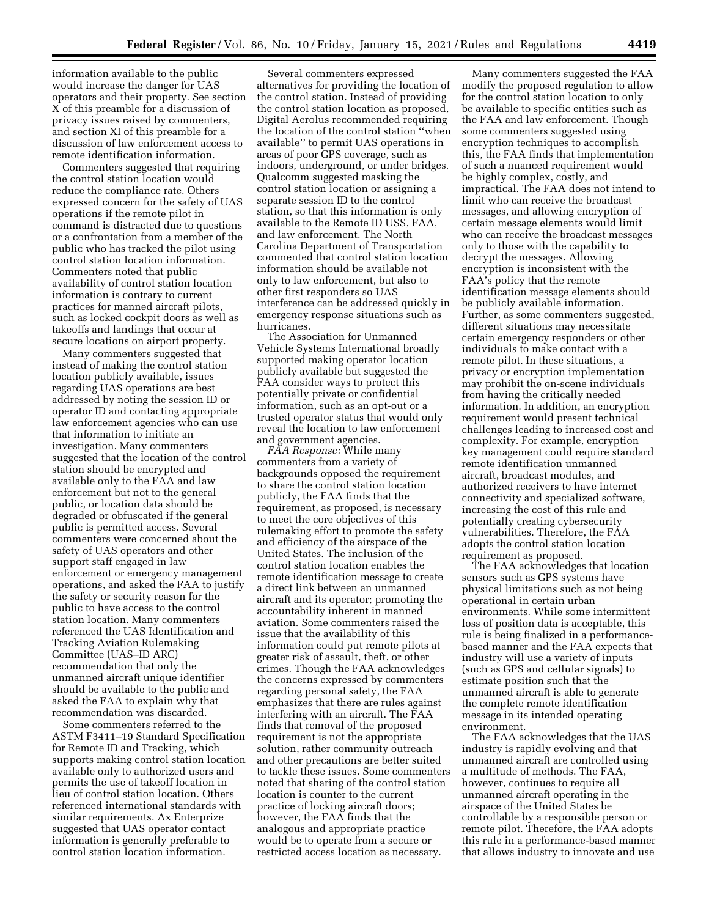information available to the public would increase the danger for UAS operators and their property. See section X of this preamble for a discussion of privacy issues raised by commenters, and section XI of this preamble for a discussion of law enforcement access to remote identification information.

Commenters suggested that requiring the control station location would reduce the compliance rate. Others expressed concern for the safety of UAS operations if the remote pilot in command is distracted due to questions or a confrontation from a member of the public who has tracked the pilot using control station location information. Commenters noted that public availability of control station location information is contrary to current practices for manned aircraft pilots, such as locked cockpit doors as well as takeoffs and landings that occur at secure locations on airport property.

Many commenters suggested that instead of making the control station location publicly available, issues regarding UAS operations are best addressed by noting the session ID or operator ID and contacting appropriate law enforcement agencies who can use that information to initiate an investigation. Many commenters suggested that the location of the control station should be encrypted and available only to the FAA and law enforcement but not to the general public, or location data should be degraded or obfuscated if the general public is permitted access. Several commenters were concerned about the safety of UAS operators and other support staff engaged in law enforcement or emergency management operations, and asked the FAA to justify the safety or security reason for the public to have access to the control station location. Many commenters referenced the UAS Identification and Tracking Aviation Rulemaking Committee (UAS–ID ARC) recommendation that only the unmanned aircraft unique identifier should be available to the public and asked the FAA to explain why that recommendation was discarded.

Some commenters referred to the ASTM F3411–19 Standard Specification for Remote ID and Tracking, which supports making control station location available only to authorized users and permits the use of takeoff location in lieu of control station location. Others referenced international standards with similar requirements. Ax Enterprize suggested that UAS operator contact information is generally preferable to control station location information.

Several commenters expressed alternatives for providing the location of the control station. Instead of providing the control station location as proposed, Digital Aerolus recommended requiring the location of the control station ''when available'' to permit UAS operations in areas of poor GPS coverage, such as indoors, underground, or under bridges. Qualcomm suggested masking the control station location or assigning a separate session ID to the control station, so that this information is only available to the Remote ID USS, FAA, and law enforcement. The North Carolina Department of Transportation commented that control station location information should be available not only to law enforcement, but also to other first responders so UAS interference can be addressed quickly in emergency response situations such as hurricanes.

The Association for Unmanned Vehicle Systems International broadly supported making operator location publicly available but suggested the FAA consider ways to protect this potentially private or confidential information, such as an opt-out or a trusted operator status that would only reveal the location to law enforcement and government agencies.

*FAA Response:* While many commenters from a variety of backgrounds opposed the requirement to share the control station location publicly, the FAA finds that the requirement, as proposed, is necessary to meet the core objectives of this rulemaking effort to promote the safety and efficiency of the airspace of the United States. The inclusion of the control station location enables the remote identification message to create a direct link between an unmanned aircraft and its operator; promoting the accountability inherent in manned aviation. Some commenters raised the issue that the availability of this information could put remote pilots at greater risk of assault, theft, or other crimes. Though the FAA acknowledges the concerns expressed by commenters regarding personal safety, the FAA emphasizes that there are rules against interfering with an aircraft. The FAA finds that removal of the proposed requirement is not the appropriate solution, rather community outreach and other precautions are better suited to tackle these issues. Some commenters noted that sharing of the control station location is counter to the current practice of locking aircraft doors; however, the FAA finds that the analogous and appropriate practice would be to operate from a secure or restricted access location as necessary.

Many commenters suggested the FAA modify the proposed regulation to allow for the control station location to only be available to specific entities such as the FAA and law enforcement. Though some commenters suggested using encryption techniques to accomplish this, the FAA finds that implementation of such a nuanced requirement would be highly complex, costly, and impractical. The FAA does not intend to limit who can receive the broadcast messages, and allowing encryption of certain message elements would limit who can receive the broadcast messages only to those with the capability to decrypt the messages. Allowing encryption is inconsistent with the FAA's policy that the remote identification message elements should be publicly available information. Further, as some commenters suggested, different situations may necessitate certain emergency responders or other individuals to make contact with a remote pilot. In these situations, a privacy or encryption implementation may prohibit the on-scene individuals from having the critically needed information. In addition, an encryption requirement would present technical challenges leading to increased cost and complexity. For example, encryption key management could require standard remote identification unmanned aircraft, broadcast modules, and authorized receivers to have internet connectivity and specialized software, increasing the cost of this rule and potentially creating cybersecurity vulnerabilities. Therefore, the FAA adopts the control station location requirement as proposed.

The FAA acknowledges that location sensors such as GPS systems have physical limitations such as not being operational in certain urban environments. While some intermittent loss of position data is acceptable, this rule is being finalized in a performancebased manner and the FAA expects that industry will use a variety of inputs (such as GPS and cellular signals) to estimate position such that the unmanned aircraft is able to generate the complete remote identification message in its intended operating environment.

The FAA acknowledges that the UAS industry is rapidly evolving and that unmanned aircraft are controlled using a multitude of methods. The FAA, however, continues to require all unmanned aircraft operating in the airspace of the United States be controllable by a responsible person or remote pilot. Therefore, the FAA adopts this rule in a performance-based manner that allows industry to innovate and use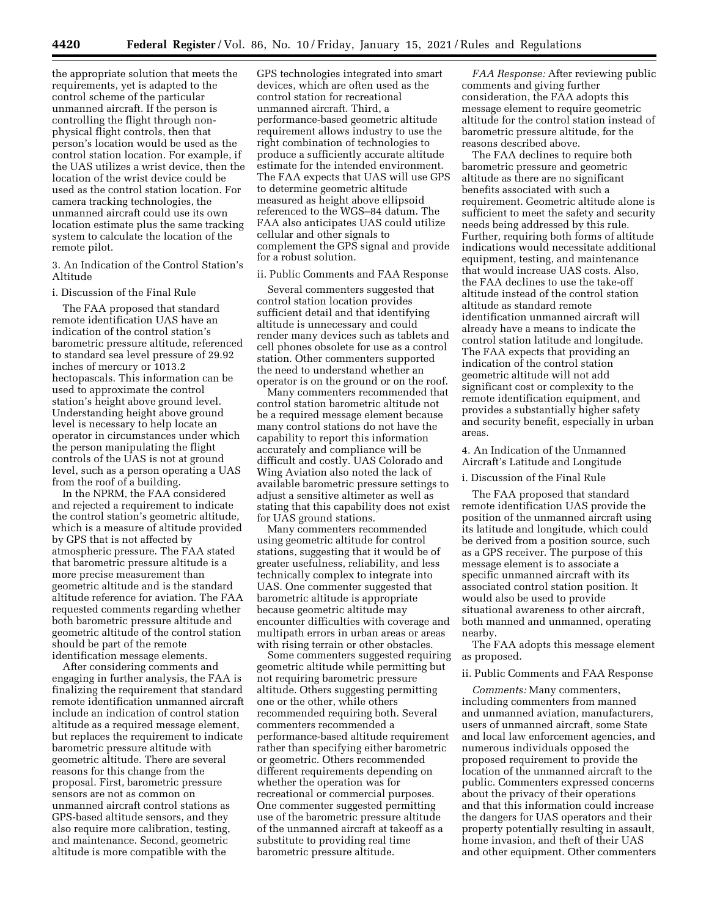the appropriate solution that meets the requirements, yet is adapted to the control scheme of the particular unmanned aircraft. If the person is controlling the flight through nonphysical flight controls, then that person's location would be used as the control station location. For example, if the UAS utilizes a wrist device, then the location of the wrist device could be used as the control station location. For camera tracking technologies, the unmanned aircraft could use its own location estimate plus the same tracking system to calculate the location of the remote pilot.

3. An Indication of the Control Station's Altitude

#### i. Discussion of the Final Rule

The FAA proposed that standard remote identification UAS have an indication of the control station's barometric pressure altitude, referenced to standard sea level pressure of 29.92 inches of mercury or 1013.2 hectopascals. This information can be used to approximate the control station's height above ground level. Understanding height above ground level is necessary to help locate an operator in circumstances under which the person manipulating the flight controls of the UAS is not at ground level, such as a person operating a UAS from the roof of a building.

In the NPRM, the FAA considered and rejected a requirement to indicate the control station's geometric altitude, which is a measure of altitude provided by GPS that is not affected by atmospheric pressure. The FAA stated that barometric pressure altitude is a more precise measurement than geometric altitude and is the standard altitude reference for aviation. The FAA requested comments regarding whether both barometric pressure altitude and geometric altitude of the control station should be part of the remote identification message elements.

After considering comments and engaging in further analysis, the FAA is finalizing the requirement that standard remote identification unmanned aircraft include an indication of control station altitude as a required message element, but replaces the requirement to indicate barometric pressure altitude with geometric altitude. There are several reasons for this change from the proposal. First, barometric pressure sensors are not as common on unmanned aircraft control stations as GPS-based altitude sensors, and they also require more calibration, testing, and maintenance. Second, geometric altitude is more compatible with the

GPS technologies integrated into smart devices, which are often used as the control station for recreational unmanned aircraft. Third, a performance-based geometric altitude requirement allows industry to use the right combination of technologies to produce a sufficiently accurate altitude estimate for the intended environment. The FAA expects that UAS will use GPS to determine geometric altitude measured as height above ellipsoid referenced to the WGS–84 datum. The FAA also anticipates UAS could utilize cellular and other signals to complement the GPS signal and provide for a robust solution.

ii. Public Comments and FAA Response

Several commenters suggested that control station location provides sufficient detail and that identifying altitude is unnecessary and could render many devices such as tablets and cell phones obsolete for use as a control station. Other commenters supported the need to understand whether an operator is on the ground or on the roof.

Many commenters recommended that control station barometric altitude not be a required message element because many control stations do not have the capability to report this information accurately and compliance will be difficult and costly. UAS Colorado and Wing Aviation also noted the lack of available barometric pressure settings to adjust a sensitive altimeter as well as stating that this capability does not exist for UAS ground stations.

Many commenters recommended using geometric altitude for control stations, suggesting that it would be of greater usefulness, reliability, and less technically complex to integrate into UAS. One commenter suggested that barometric altitude is appropriate because geometric altitude may encounter difficulties with coverage and multipath errors in urban areas or areas with rising terrain or other obstacles.

Some commenters suggested requiring geometric altitude while permitting but not requiring barometric pressure altitude. Others suggesting permitting one or the other, while others recommended requiring both. Several commenters recommended a performance-based altitude requirement rather than specifying either barometric or geometric. Others recommended different requirements depending on whether the operation was for recreational or commercial purposes. One commenter suggested permitting use of the barometric pressure altitude of the unmanned aircraft at takeoff as a substitute to providing real time barometric pressure altitude.

*FAA Response:* After reviewing public comments and giving further consideration, the FAA adopts this message element to require geometric altitude for the control station instead of barometric pressure altitude, for the reasons described above.

The FAA declines to require both barometric pressure and geometric altitude as there are no significant benefits associated with such a requirement. Geometric altitude alone is sufficient to meet the safety and security needs being addressed by this rule. Further, requiring both forms of altitude indications would necessitate additional equipment, testing, and maintenance that would increase UAS costs. Also, the FAA declines to use the take-off altitude instead of the control station altitude as standard remote identification unmanned aircraft will already have a means to indicate the control station latitude and longitude. The FAA expects that providing an indication of the control station geometric altitude will not add significant cost or complexity to the remote identification equipment, and provides a substantially higher safety and security benefit, especially in urban areas.

4. An Indication of the Unmanned Aircraft's Latitude and Longitude

## i. Discussion of the Final Rule

The FAA proposed that standard remote identification UAS provide the position of the unmanned aircraft using its latitude and longitude, which could be derived from a position source, such as a GPS receiver. The purpose of this message element is to associate a specific unmanned aircraft with its associated control station position. It would also be used to provide situational awareness to other aircraft, both manned and unmanned, operating nearby.

The FAA adopts this message element as proposed.

#### ii. Public Comments and FAA Response

*Comments:* Many commenters, including commenters from manned and unmanned aviation, manufacturers, users of unmanned aircraft, some State and local law enforcement agencies, and numerous individuals opposed the proposed requirement to provide the location of the unmanned aircraft to the public. Commenters expressed concerns about the privacy of their operations and that this information could increase the dangers for UAS operators and their property potentially resulting in assault, home invasion, and theft of their UAS and other equipment. Other commenters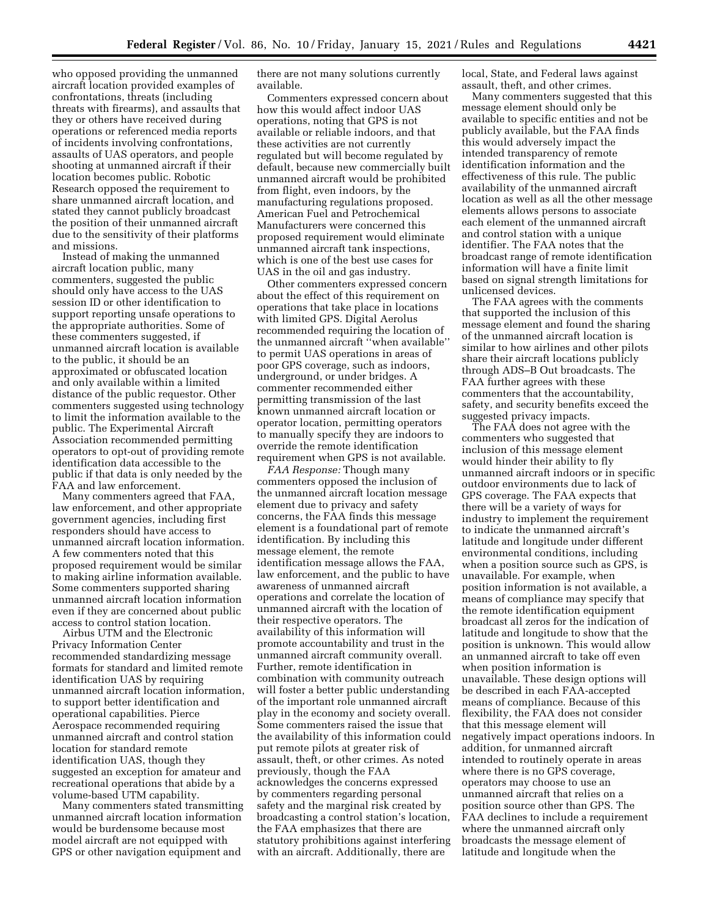who opposed providing the unmanned aircraft location provided examples of confrontations, threats (including threats with firearms), and assaults that they or others have received during operations or referenced media reports of incidents involving confrontations, assaults of UAS operators, and people shooting at unmanned aircraft if their location becomes public. Robotic Research opposed the requirement to share unmanned aircraft location, and stated they cannot publicly broadcast the position of their unmanned aircraft due to the sensitivity of their platforms and missions.

Instead of making the unmanned aircraft location public, many commenters, suggested the public should only have access to the UAS session ID or other identification to support reporting unsafe operations to the appropriate authorities. Some of these commenters suggested, if unmanned aircraft location is available to the public, it should be an approximated or obfuscated location and only available within a limited distance of the public requestor. Other commenters suggested using technology to limit the information available to the public. The Experimental Aircraft Association recommended permitting operators to opt-out of providing remote identification data accessible to the public if that data is only needed by the FAA and law enforcement.

Many commenters agreed that FAA, law enforcement, and other appropriate government agencies, including first responders should have access to unmanned aircraft location information. A few commenters noted that this proposed requirement would be similar to making airline information available. Some commenters supported sharing unmanned aircraft location information even if they are concerned about public access to control station location.

Airbus UTM and the Electronic Privacy Information Center recommended standardizing message formats for standard and limited remote identification UAS by requiring unmanned aircraft location information, to support better identification and operational capabilities. Pierce Aerospace recommended requiring unmanned aircraft and control station location for standard remote identification UAS, though they suggested an exception for amateur and recreational operations that abide by a volume-based UTM capability.

Many commenters stated transmitting unmanned aircraft location information would be burdensome because most model aircraft are not equipped with GPS or other navigation equipment and

there are not many solutions currently available.

Commenters expressed concern about how this would affect indoor UAS operations, noting that GPS is not available or reliable indoors, and that these activities are not currently regulated but will become regulated by default, because new commercially built unmanned aircraft would be prohibited from flight, even indoors, by the manufacturing regulations proposed. American Fuel and Petrochemical Manufacturers were concerned this proposed requirement would eliminate unmanned aircraft tank inspections, which is one of the best use cases for UAS in the oil and gas industry.

Other commenters expressed concern about the effect of this requirement on operations that take place in locations with limited GPS. Digital Aerolus recommended requiring the location of the unmanned aircraft ''when available'' to permit UAS operations in areas of poor GPS coverage, such as indoors, underground, or under bridges. A commenter recommended either permitting transmission of the last known unmanned aircraft location or operator location, permitting operators to manually specify they are indoors to override the remote identification requirement when GPS is not available.

*FAA Response:* Though many commenters opposed the inclusion of the unmanned aircraft location message element due to privacy and safety concerns, the FAA finds this message element is a foundational part of remote identification. By including this message element, the remote identification message allows the FAA, law enforcement, and the public to have awareness of unmanned aircraft operations and correlate the location of unmanned aircraft with the location of their respective operators. The availability of this information will promote accountability and trust in the unmanned aircraft community overall. Further, remote identification in combination with community outreach will foster a better public understanding of the important role unmanned aircraft play in the economy and society overall. Some commenters raised the issue that the availability of this information could put remote pilots at greater risk of assault, theft, or other crimes. As noted previously, though the FAA acknowledges the concerns expressed by commenters regarding personal safety and the marginal risk created by broadcasting a control station's location, the FAA emphasizes that there are statutory prohibitions against interfering with an aircraft. Additionally, there are

local, State, and Federal laws against assault, theft, and other crimes.

Many commenters suggested that this message element should only be available to specific entities and not be publicly available, but the FAA finds this would adversely impact the intended transparency of remote identification information and the effectiveness of this rule. The public availability of the unmanned aircraft location as well as all the other message elements allows persons to associate each element of the unmanned aircraft and control station with a unique identifier. The FAA notes that the broadcast range of remote identification information will have a finite limit based on signal strength limitations for unlicensed devices.

The FAA agrees with the comments that supported the inclusion of this message element and found the sharing of the unmanned aircraft location is similar to how airlines and other pilots share their aircraft locations publicly through ADS–B Out broadcasts. The FAA further agrees with these commenters that the accountability, safety, and security benefits exceed the suggested privacy impacts.

The FAA does not agree with the commenters who suggested that inclusion of this message element would hinder their ability to fly unmanned aircraft indoors or in specific outdoor environments due to lack of GPS coverage. The FAA expects that there will be a variety of ways for industry to implement the requirement to indicate the unmanned aircraft's latitude and longitude under different environmental conditions, including when a position source such as GPS, is unavailable. For example, when position information is not available, a means of compliance may specify that the remote identification equipment broadcast all zeros for the indication of latitude and longitude to show that the position is unknown. This would allow an unmanned aircraft to take off even when position information is unavailable. These design options will be described in each FAA-accepted means of compliance. Because of this flexibility, the FAA does not consider that this message element will negatively impact operations indoors. In addition, for unmanned aircraft intended to routinely operate in areas where there is no GPS coverage, operators may choose to use an unmanned aircraft that relies on a position source other than GPS. The FAA declines to include a requirement where the unmanned aircraft only broadcasts the message element of latitude and longitude when the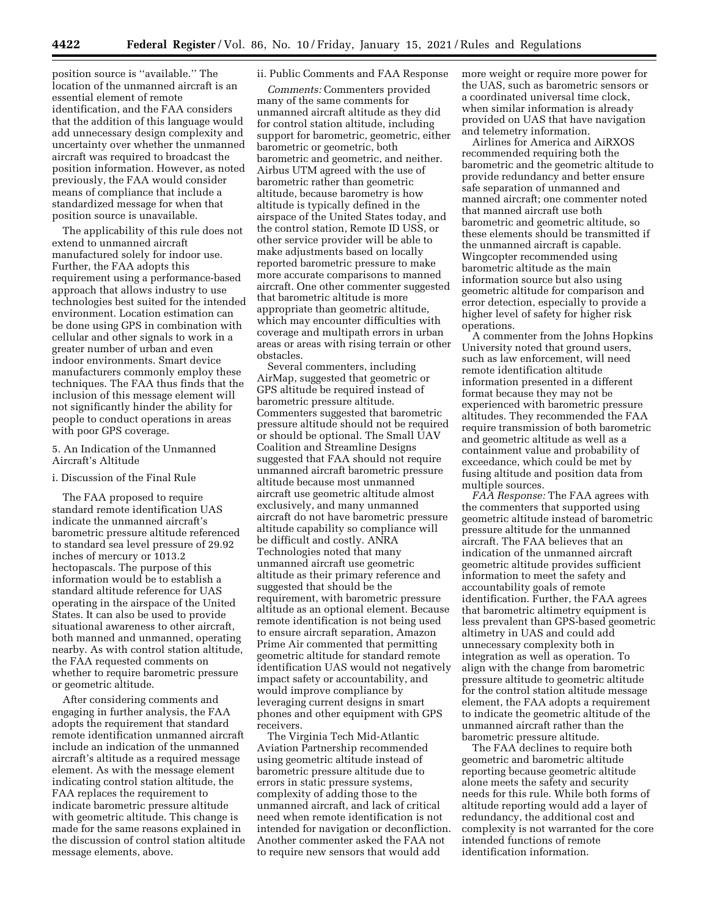position source is ''available.'' The location of the unmanned aircraft is an essential element of remote identification, and the FAA considers that the addition of this language would add unnecessary design complexity and uncertainty over whether the unmanned aircraft was required to broadcast the position information. However, as noted previously, the FAA would consider means of compliance that include a standardized message for when that position source is unavailable.

The applicability of this rule does not extend to unmanned aircraft manufactured solely for indoor use. Further, the FAA adopts this requirement using a performance-based approach that allows industry to use technologies best suited for the intended environment. Location estimation can be done using GPS in combination with cellular and other signals to work in a greater number of urban and even indoor environments. Smart device manufacturers commonly employ these techniques. The FAA thus finds that the inclusion of this message element will not significantly hinder the ability for people to conduct operations in areas with poor GPS coverage.

## 5. An Indication of the Unmanned Aircraft's Altitude

## i. Discussion of the Final Rule

The FAA proposed to require standard remote identification UAS indicate the unmanned aircraft's barometric pressure altitude referenced to standard sea level pressure of 29.92 inches of mercury or 1013.2 hectopascals. The purpose of this information would be to establish a standard altitude reference for UAS operating in the airspace of the United States. It can also be used to provide situational awareness to other aircraft, both manned and unmanned, operating nearby. As with control station altitude, the FAA requested comments on whether to require barometric pressure or geometric altitude.

After considering comments and engaging in further analysis, the FAA adopts the requirement that standard remote identification unmanned aircraft include an indication of the unmanned aircraft's altitude as a required message element. As with the message element indicating control station altitude, the FAA replaces the requirement to indicate barometric pressure altitude with geometric altitude. This change is made for the same reasons explained in the discussion of control station altitude message elements, above.

## ii. Public Comments and FAA Response

*Comments:* Commenters provided many of the same comments for unmanned aircraft altitude as they did for control station altitude, including support for barometric, geometric, either barometric or geometric, both barometric and geometric, and neither. Airbus UTM agreed with the use of barometric rather than geometric altitude, because barometry is how altitude is typically defined in the airspace of the United States today, and the control station, Remote ID USS, or other service provider will be able to make adjustments based on locally reported barometric pressure to make more accurate comparisons to manned aircraft. One other commenter suggested that barometric altitude is more appropriate than geometric altitude, which may encounter difficulties with coverage and multipath errors in urban areas or areas with rising terrain or other obstacles.

Several commenters, including AirMap, suggested that geometric or GPS altitude be required instead of barometric pressure altitude. Commenters suggested that barometric pressure altitude should not be required or should be optional. The Small UAV Coalition and Streamline Designs suggested that FAA should not require unmanned aircraft barometric pressure altitude because most unmanned aircraft use geometric altitude almost exclusively, and many unmanned aircraft do not have barometric pressure altitude capability so compliance will be difficult and costly. ANRA Technologies noted that many unmanned aircraft use geometric altitude as their primary reference and suggested that should be the requirement, with barometric pressure altitude as an optional element. Because remote identification is not being used to ensure aircraft separation, Amazon Prime Air commented that permitting geometric altitude for standard remote identification UAS would not negatively impact safety or accountability, and would improve compliance by leveraging current designs in smart phones and other equipment with GPS receivers.

The Virginia Tech Mid-Atlantic Aviation Partnership recommended using geometric altitude instead of barometric pressure altitude due to errors in static pressure systems, complexity of adding those to the unmanned aircraft, and lack of critical need when remote identification is not intended for navigation or deconfliction. Another commenter asked the FAA not to require new sensors that would add

more weight or require more power for the UAS, such as barometric sensors or a coordinated universal time clock, when similar information is already provided on UAS that have navigation and telemetry information.

Airlines for America and AiRXOS recommended requiring both the barometric and the geometric altitude to provide redundancy and better ensure safe separation of unmanned and manned aircraft; one commenter noted that manned aircraft use both barometric and geometric altitude, so these elements should be transmitted if the unmanned aircraft is capable. Wingcopter recommended using barometric altitude as the main information source but also using geometric altitude for comparison and error detection, especially to provide a higher level of safety for higher risk operations.

A commenter from the Johns Hopkins University noted that ground users, such as law enforcement, will need remote identification altitude information presented in a different format because they may not be experienced with barometric pressure altitudes. They recommended the FAA require transmission of both barometric and geometric altitude as well as a containment value and probability of exceedance, which could be met by fusing altitude and position data from multiple sources.

*FAA Response:* The FAA agrees with the commenters that supported using geometric altitude instead of barometric pressure altitude for the unmanned aircraft. The FAA believes that an indication of the unmanned aircraft geometric altitude provides sufficient information to meet the safety and accountability goals of remote identification. Further, the FAA agrees that barometric altimetry equipment is less prevalent than GPS-based geometric altimetry in UAS and could add unnecessary complexity both in integration as well as operation. To align with the change from barometric pressure altitude to geometric altitude for the control station altitude message element, the FAA adopts a requirement to indicate the geometric altitude of the unmanned aircraft rather than the barometric pressure altitude.

The FAA declines to require both geometric and barometric altitude reporting because geometric altitude alone meets the safety and security needs for this rule. While both forms of altitude reporting would add a layer of redundancy, the additional cost and complexity is not warranted for the core intended functions of remote identification information.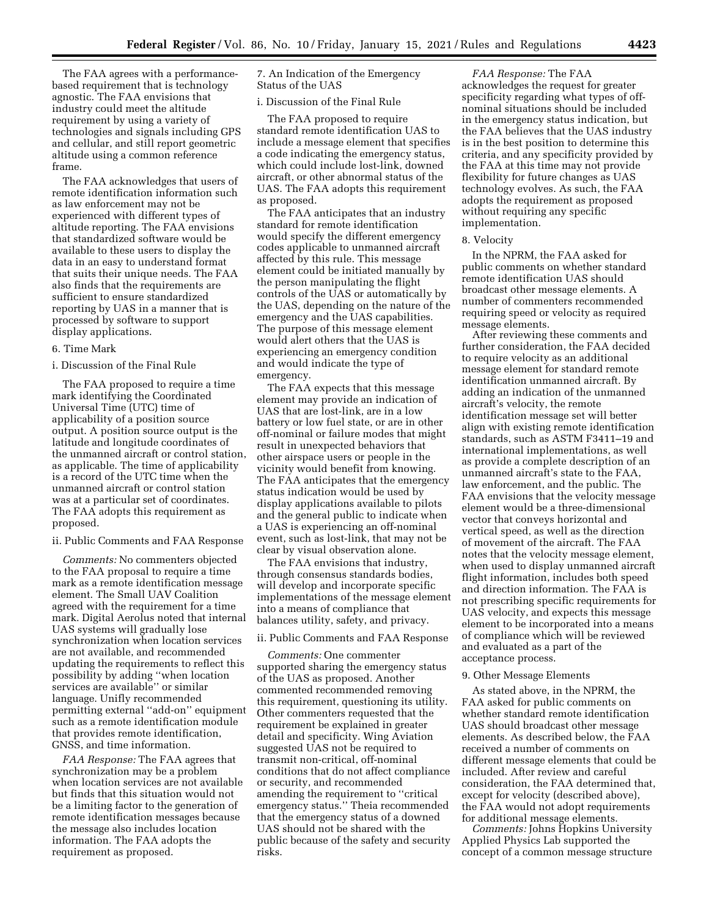The FAA agrees with a performancebased requirement that is technology agnostic. The FAA envisions that industry could meet the altitude requirement by using a variety of technologies and signals including GPS and cellular, and still report geometric altitude using a common reference frame.

The FAA acknowledges that users of remote identification information such as law enforcement may not be experienced with different types of altitude reporting. The FAA envisions that standardized software would be available to these users to display the data in an easy to understand format that suits their unique needs. The FAA also finds that the requirements are sufficient to ensure standardized reporting by UAS in a manner that is processed by software to support display applications.

## 6. Time Mark

i. Discussion of the Final Rule

The FAA proposed to require a time mark identifying the Coordinated Universal Time (UTC) time of applicability of a position source output. A position source output is the latitude and longitude coordinates of the unmanned aircraft or control station, as applicable. The time of applicability is a record of the UTC time when the unmanned aircraft or control station was at a particular set of coordinates. The FAA adopts this requirement as proposed.

ii. Public Comments and FAA Response

*Comments:* No commenters objected to the FAA proposal to require a time mark as a remote identification message element. The Small UAV Coalition agreed with the requirement for a time mark. Digital Aerolus noted that internal UAS systems will gradually lose synchronization when location services are not available, and recommended updating the requirements to reflect this possibility by adding ''when location services are available'' or similar language. Unifly recommended permitting external ''add-on'' equipment such as a remote identification module that provides remote identification, GNSS, and time information.

*FAA Response:* The FAA agrees that synchronization may be a problem when location services are not available but finds that this situation would not be a limiting factor to the generation of remote identification messages because the message also includes location information. The FAA adopts the requirement as proposed.

7. An Indication of the Emergency Status of the UAS

i. Discussion of the Final Rule

The FAA proposed to require standard remote identification UAS to include a message element that specifies a code indicating the emergency status, which could include lost-link, downed aircraft, or other abnormal status of the UAS. The FAA adopts this requirement as proposed.

The FAA anticipates that an industry standard for remote identification would specify the different emergency codes applicable to unmanned aircraft affected by this rule. This message element could be initiated manually by the person manipulating the flight controls of the UAS or automatically by the UAS, depending on the nature of the emergency and the UAS capabilities. The purpose of this message element would alert others that the UAS is experiencing an emergency condition and would indicate the type of emergency.

The FAA expects that this message element may provide an indication of UAS that are lost-link, are in a low battery or low fuel state, or are in other off-nominal or failure modes that might result in unexpected behaviors that other airspace users or people in the vicinity would benefit from knowing. The FAA anticipates that the emergency status indication would be used by display applications available to pilots and the general public to indicate when a UAS is experiencing an off-nominal event, such as lost-link, that may not be clear by visual observation alone.

The FAA envisions that industry, through consensus standards bodies, will develop and incorporate specific implementations of the message element into a means of compliance that balances utility, safety, and privacy.

## ii. Public Comments and FAA Response

*Comments:* One commenter supported sharing the emergency status of the UAS as proposed. Another commented recommended removing this requirement, questioning its utility. Other commenters requested that the requirement be explained in greater detail and specificity. Wing Aviation suggested UAS not be required to transmit non-critical, off-nominal conditions that do not affect compliance or security, and recommended amending the requirement to ''critical emergency status.'' Theia recommended that the emergency status of a downed UAS should not be shared with the public because of the safety and security risks.

*FAA Response:* The FAA acknowledges the request for greater specificity regarding what types of offnominal situations should be included in the emergency status indication, but the FAA believes that the UAS industry is in the best position to determine this criteria, and any specificity provided by the FAA at this time may not provide flexibility for future changes as UAS technology evolves. As such, the FAA adopts the requirement as proposed without requiring any specific implementation.

#### 8. Velocity

In the NPRM, the FAA asked for public comments on whether standard remote identification UAS should broadcast other message elements. A number of commenters recommended requiring speed or velocity as required message elements.

After reviewing these comments and further consideration, the FAA decided to require velocity as an additional message element for standard remote identification unmanned aircraft. By adding an indication of the unmanned aircraft's velocity, the remote identification message set will better align with existing remote identification standards, such as ASTM F3411–19 and international implementations, as well as provide a complete description of an unmanned aircraft's state to the FAA, law enforcement, and the public. The FAA envisions that the velocity message element would be a three-dimensional vector that conveys horizontal and vertical speed, as well as the direction of movement of the aircraft. The FAA notes that the velocity message element, when used to display unmanned aircraft flight information, includes both speed and direction information. The FAA is not prescribing specific requirements for UAS velocity, and expects this message element to be incorporated into a means of compliance which will be reviewed and evaluated as a part of the acceptance process.

### 9. Other Message Elements

As stated above, in the NPRM, the FAA asked for public comments on whether standard remote identification UAS should broadcast other message elements. As described below, the FAA received a number of comments on different message elements that could be included. After review and careful consideration, the FAA determined that, except for velocity (described above), the FAA would not adopt requirements for additional message elements.

*Comments:* Johns Hopkins University Applied Physics Lab supported the concept of a common message structure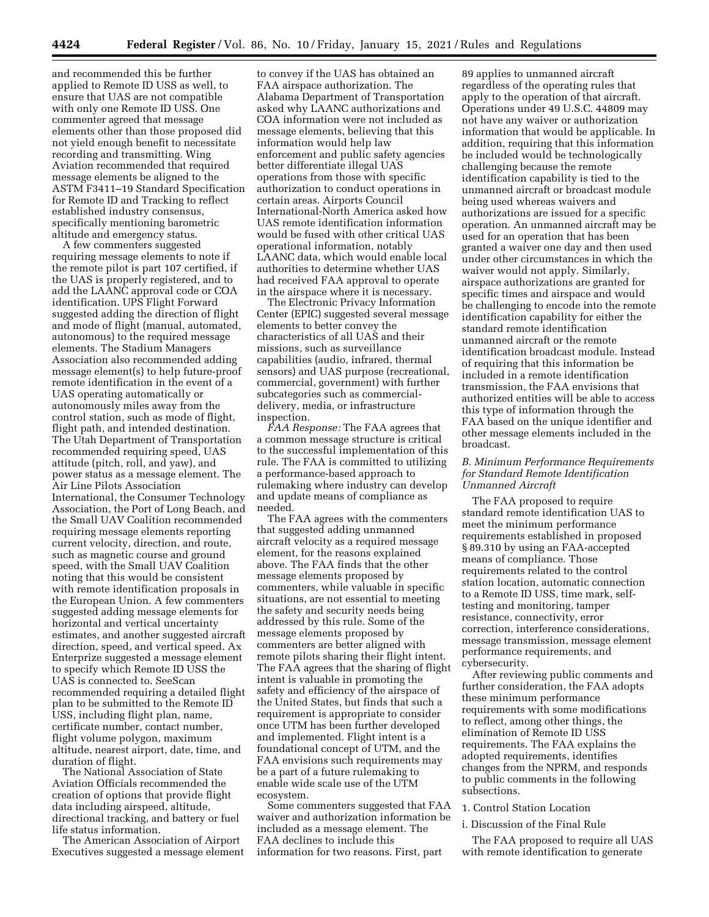and recommended this be further applied to Remote ID USS as well, to ensure that UAS are not compatible with only one Remote ID USS. One commenter agreed that message elements other than those proposed did not yield enough benefit to necessitate recording and transmitting. Wing Aviation recommended that required message elements be aligned to the ASTM F3411–19 Standard Specification for Remote ID and Tracking to reflect established industry consensus, specifically mentioning barometric altitude and emergency status.

A few commenters suggested requiring message elements to note if the remote pilot is part 107 certified, if the UAS is properly registered, and to add the LAANC approval code or COA identification. UPS Flight Forward suggested adding the direction of flight and mode of flight (manual, automated, autonomous) to the required message elements. The Stadium Managers Association also recommended adding message element(s) to help future-proof remote identification in the event of a UAS operating automatically or autonomously miles away from the control station, such as mode of flight, flight path, and intended destination. The Utah Department of Transportation recommended requiring speed, UAS attitude (pitch, roll, and yaw), and power status as a message element. The Air Line Pilots Association International, the Consumer Technology Association, the Port of Long Beach, and the Small UAV Coalition recommended requiring message elements reporting current velocity, direction, and route, such as magnetic course and ground speed, with the Small UAV Coalition noting that this would be consistent with remote identification proposals in the European Union. A few commenters suggested adding message elements for horizontal and vertical uncertainty estimates, and another suggested aircraft direction, speed, and vertical speed. Ax Enterprize suggested a message element to specify which Remote ID USS the UAS is connected to. SeeScan recommended requiring a detailed flight plan to be submitted to the Remote ID USS, including flight plan, name, certificate number, contact number, flight volume polygon, maximum altitude, nearest airport, date, time, and duration of flight.

The National Association of State Aviation Officials recommended the creation of options that provide flight data including airspeed, altitude, directional tracking, and battery or fuel life status information.

The American Association of Airport Executives suggested a message element

to convey if the UAS has obtained an FAA airspace authorization. The Alabama Department of Transportation asked why LAANC authorizations and COA information were not included as message elements, believing that this information would help law enforcement and public safety agencies better differentiate illegal UAS operations from those with specific authorization to conduct operations in certain areas. Airports Council International-North America asked how UAS remote identification information would be fused with other critical UAS operational information, notably LAANC data, which would enable local authorities to determine whether UAS had received FAA approval to operate in the airspace where it is necessary.

The Electronic Privacy Information Center (EPIC) suggested several message elements to better convey the characteristics of all UAS and their missions, such as surveillance capabilities (audio, infrared, thermal sensors) and UAS purpose (recreational, commercial, government) with further subcategories such as commercialdelivery, media, or infrastructure inspection.

*FAA Response:* The FAA agrees that a common message structure is critical to the successful implementation of this rule. The FAA is committed to utilizing a performance-based approach to rulemaking where industry can develop and update means of compliance as needed.

The FAA agrees with the commenters that suggested adding unmanned aircraft velocity as a required message element, for the reasons explained above. The FAA finds that the other message elements proposed by commenters, while valuable in specific situations, are not essential to meeting the safety and security needs being addressed by this rule. Some of the message elements proposed by commenters are better aligned with remote pilots sharing their flight intent. The FAA agrees that the sharing of flight intent is valuable in promoting the safety and efficiency of the airspace of the United States, but finds that such a requirement is appropriate to consider once UTM has been further developed and implemented. Flight intent is a foundational concept of UTM, and the FAA envisions such requirements may be a part of a future rulemaking to enable wide scale use of the UTM ecosystem.

Some commenters suggested that FAA waiver and authorization information be included as a message element. The FAA declines to include this information for two reasons. First, part

89 applies to unmanned aircraft regardless of the operating rules that apply to the operation of that aircraft. Operations under 49 U.S.C. 44809 may not have any waiver or authorization information that would be applicable. In addition, requiring that this information be included would be technologically challenging because the remote identification capability is tied to the unmanned aircraft or broadcast module being used whereas waivers and authorizations are issued for a specific operation. An unmanned aircraft may be used for an operation that has been granted a waiver one day and then used under other circumstances in which the waiver would not apply. Similarly, airspace authorizations are granted for specific times and airspace and would be challenging to encode into the remote identification capability for either the standard remote identification unmanned aircraft or the remote identification broadcast module. Instead of requiring that this information be included in a remote identification transmission, the FAA envisions that authorized entities will be able to access this type of information through the FAA based on the unique identifier and other message elements included in the broadcast.

## *B. Minimum Performance Requirements for Standard Remote Identification Unmanned Aircraft*

The FAA proposed to require standard remote identification UAS to meet the minimum performance requirements established in proposed § 89.310 by using an FAA-accepted means of compliance. Those requirements related to the control station location, automatic connection to a Remote ID USS, time mark, selftesting and monitoring, tamper resistance, connectivity, error correction, interference considerations, message transmission, message element performance requirements, and cybersecurity.

After reviewing public comments and further consideration, the FAA adopts these minimum performance requirements with some modifications to reflect, among other things, the elimination of Remote ID USS requirements. The FAA explains the adopted requirements, identifies changes from the NPRM, and responds to public comments in the following subsections.

1. Control Station Location

i. Discussion of the Final Rule

The FAA proposed to require all UAS with remote identification to generate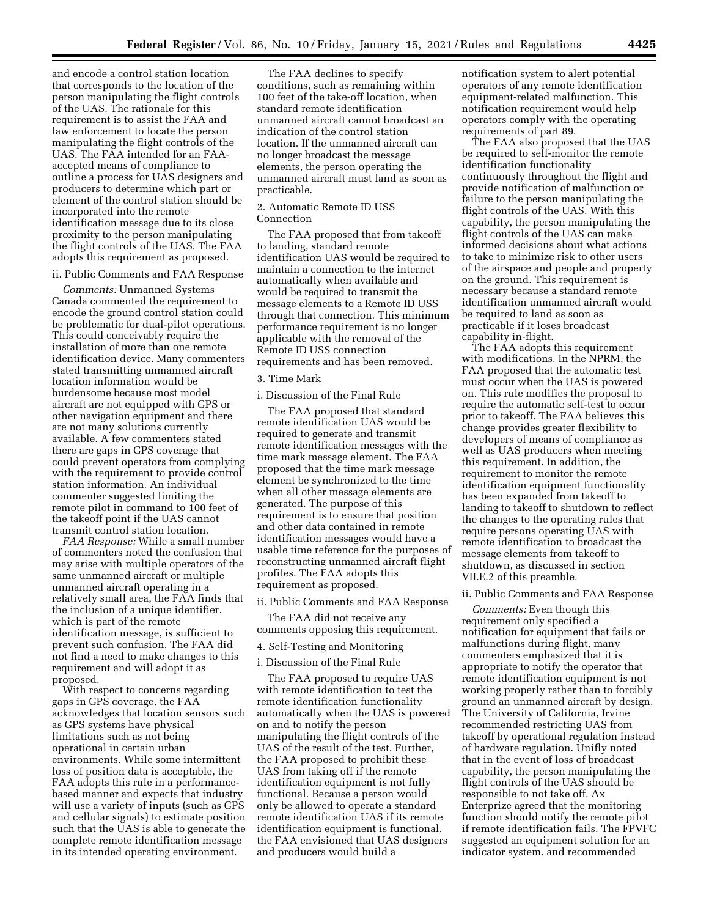and encode a control station location that corresponds to the location of the person manipulating the flight controls of the UAS. The rationale for this requirement is to assist the FAA and law enforcement to locate the person manipulating the flight controls of the UAS. The FAA intended for an FAAaccepted means of compliance to outline a process for UAS designers and producers to determine which part or element of the control station should be incorporated into the remote identification message due to its close proximity to the person manipulating the flight controls of the UAS. The FAA adopts this requirement as proposed.

## ii. Public Comments and FAA Response

*Comments:* Unmanned Systems Canada commented the requirement to encode the ground control station could be problematic for dual-pilot operations. This could conceivably require the installation of more than one remote identification device. Many commenters stated transmitting unmanned aircraft location information would be burdensome because most model aircraft are not equipped with GPS or other navigation equipment and there are not many solutions currently available. A few commenters stated there are gaps in GPS coverage that could prevent operators from complying with the requirement to provide control station information. An individual commenter suggested limiting the remote pilot in command to 100 feet of the takeoff point if the UAS cannot transmit control station location.

*FAA Response:* While a small number of commenters noted the confusion that may arise with multiple operators of the same unmanned aircraft or multiple unmanned aircraft operating in a relatively small area, the FAA finds that the inclusion of a unique identifier, which is part of the remote identification message, is sufficient to prevent such confusion. The FAA did not find a need to make changes to this requirement and will adopt it as proposed.

With respect to concerns regarding gaps in GPS coverage, the FAA acknowledges that location sensors such as GPS systems have physical limitations such as not being operational in certain urban environments. While some intermittent loss of position data is acceptable, the FAA adopts this rule in a performancebased manner and expects that industry will use a variety of inputs (such as GPS and cellular signals) to estimate position such that the UAS is able to generate the complete remote identification message in its intended operating environment.

The FAA declines to specify conditions, such as remaining within 100 feet of the take-off location, when standard remote identification unmanned aircraft cannot broadcast an indication of the control station location. If the unmanned aircraft can no longer broadcast the message elements, the person operating the unmanned aircraft must land as soon as practicable.

## 2. Automatic Remote ID USS Connection

The FAA proposed that from takeoff to landing, standard remote identification UAS would be required to maintain a connection to the internet automatically when available and would be required to transmit the message elements to a Remote ID USS through that connection. This minimum performance requirement is no longer applicable with the removal of the Remote ID USS connection requirements and has been removed.

## 3. Time Mark

i. Discussion of the Final Rule

The FAA proposed that standard remote identification UAS would be required to generate and transmit remote identification messages with the time mark message element. The FAA proposed that the time mark message element be synchronized to the time when all other message elements are generated. The purpose of this requirement is to ensure that position and other data contained in remote identification messages would have a usable time reference for the purposes of reconstructing unmanned aircraft flight profiles. The FAA adopts this requirement as proposed.

ii. Public Comments and FAA Response

The FAA did not receive any comments opposing this requirement.

# 4. Self-Testing and Monitoring

i. Discussion of the Final Rule The FAA proposed to require UAS

with remote identification to test the remote identification functionality automatically when the UAS is powered on and to notify the person manipulating the flight controls of the UAS of the result of the test. Further, the FAA proposed to prohibit these UAS from taking off if the remote identification equipment is not fully functional. Because a person would only be allowed to operate a standard remote identification UAS if its remote identification equipment is functional, the FAA envisioned that UAS designers and producers would build a

notification system to alert potential operators of any remote identification equipment-related malfunction. This notification requirement would help operators comply with the operating requirements of part 89.

The FAA also proposed that the UAS be required to self-monitor the remote identification functionality continuously throughout the flight and provide notification of malfunction or failure to the person manipulating the flight controls of the UAS. With this capability, the person manipulating the flight controls of the UAS can make informed decisions about what actions to take to minimize risk to other users of the airspace and people and property on the ground. This requirement is necessary because a standard remote identification unmanned aircraft would be required to land as soon as practicable if it loses broadcast capability in-flight.

The FAA adopts this requirement with modifications. In the NPRM, the FAA proposed that the automatic test must occur when the UAS is powered on. This rule modifies the proposal to require the automatic self-test to occur prior to takeoff. The FAA believes this change provides greater flexibility to developers of means of compliance as well as UAS producers when meeting this requirement. In addition, the requirement to monitor the remote identification equipment functionality has been expanded from takeoff to landing to takeoff to shutdown to reflect the changes to the operating rules that require persons operating UAS with remote identification to broadcast the message elements from takeoff to shutdown, as discussed in section VII.E.2 of this preamble.

#### ii. Public Comments and FAA Response

*Comments:* Even though this requirement only specified a notification for equipment that fails or malfunctions during flight, many commenters emphasized that it is appropriate to notify the operator that remote identification equipment is not working properly rather than to forcibly ground an unmanned aircraft by design. The University of California, Irvine recommended restricting UAS from takeoff by operational regulation instead of hardware regulation. Unifly noted that in the event of loss of broadcast capability, the person manipulating the flight controls of the UAS should be responsible to not take off. Ax Enterprize agreed that the monitoring function should notify the remote pilot if remote identification fails. The FPVFC suggested an equipment solution for an indicator system, and recommended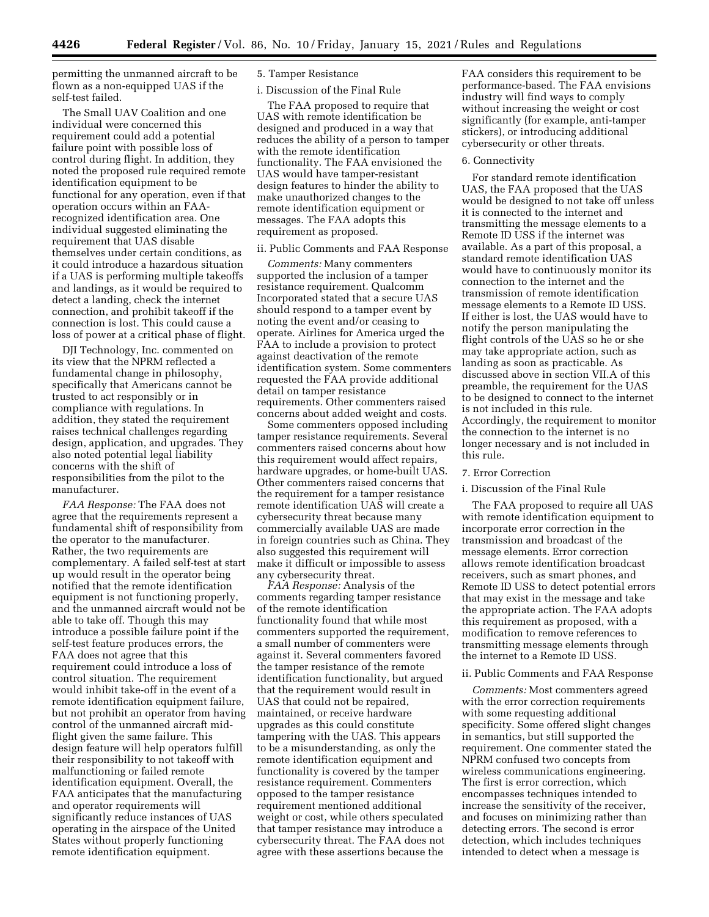permitting the unmanned aircraft to be flown as a non-equipped UAS if the self-test failed.

The Small UAV Coalition and one individual were concerned this requirement could add a potential failure point with possible loss of control during flight. In addition, they noted the proposed rule required remote identification equipment to be functional for any operation, even if that operation occurs within an FAArecognized identification area. One individual suggested eliminating the requirement that UAS disable themselves under certain conditions, as it could introduce a hazardous situation if a UAS is performing multiple takeoffs and landings, as it would be required to detect a landing, check the internet connection, and prohibit takeoff if the connection is lost. This could cause a loss of power at a critical phase of flight.

DJI Technology, Inc. commented on its view that the NPRM reflected a fundamental change in philosophy, specifically that Americans cannot be trusted to act responsibly or in compliance with regulations. In addition, they stated the requirement raises technical challenges regarding design, application, and upgrades. They also noted potential legal liability concerns with the shift of responsibilities from the pilot to the manufacturer.

*FAA Response:* The FAA does not agree that the requirements represent a fundamental shift of responsibility from the operator to the manufacturer. Rather, the two requirements are complementary. A failed self-test at start up would result in the operator being notified that the remote identification equipment is not functioning properly, and the unmanned aircraft would not be able to take off. Though this may introduce a possible failure point if the self-test feature produces errors, the FAA does not agree that this requirement could introduce a loss of control situation. The requirement would inhibit take-off in the event of a remote identification equipment failure, but not prohibit an operator from having control of the unmanned aircraft midflight given the same failure. This design feature will help operators fulfill their responsibility to not takeoff with malfunctioning or failed remote identification equipment. Overall, the FAA anticipates that the manufacturing and operator requirements will significantly reduce instances of UAS operating in the airspace of the United States without properly functioning remote identification equipment.

# 5. Tamper Resistance

### i. Discussion of the Final Rule

The FAA proposed to require that UAS with remote identification be designed and produced in a way that reduces the ability of a person to tamper with the remote identification functionality. The FAA envisioned the UAS would have tamper-resistant design features to hinder the ability to make unauthorized changes to the remote identification equipment or messages. The FAA adopts this requirement as proposed.

## ii. Public Comments and FAA Response

*Comments:* Many commenters supported the inclusion of a tamper resistance requirement. Qualcomm Incorporated stated that a secure UAS should respond to a tamper event by noting the event and/or ceasing to operate. Airlines for America urged the FAA to include a provision to protect against deactivation of the remote identification system. Some commenters requested the FAA provide additional detail on tamper resistance requirements. Other commenters raised concerns about added weight and costs.

Some commenters opposed including tamper resistance requirements. Several commenters raised concerns about how this requirement would affect repairs, hardware upgrades, or home-built UAS. Other commenters raised concerns that the requirement for a tamper resistance remote identification UAS will create a cybersecurity threat because many commercially available UAS are made in foreign countries such as China. They also suggested this requirement will make it difficult or impossible to assess any cybersecurity threat.

*FAA Response:* Analysis of the comments regarding tamper resistance of the remote identification functionality found that while most commenters supported the requirement, a small number of commenters were against it. Several commenters favored the tamper resistance of the remote identification functionality, but argued that the requirement would result in UAS that could not be repaired, maintained, or receive hardware upgrades as this could constitute tampering with the UAS. This appears to be a misunderstanding, as only the remote identification equipment and functionality is covered by the tamper resistance requirement. Commenters opposed to the tamper resistance requirement mentioned additional weight or cost, while others speculated that tamper resistance may introduce a cybersecurity threat. The FAA does not agree with these assertions because the

FAA considers this requirement to be performance-based. The FAA envisions industry will find ways to comply without increasing the weight or cost significantly (for example, anti-tamper stickers), or introducing additional cybersecurity or other threats.

#### 6. Connectivity

For standard remote identification UAS, the FAA proposed that the UAS would be designed to not take off unless it is connected to the internet and transmitting the message elements to a Remote ID USS if the internet was available. As a part of this proposal, a standard remote identification UAS would have to continuously monitor its connection to the internet and the transmission of remote identification message elements to a Remote ID USS. If either is lost, the UAS would have to notify the person manipulating the flight controls of the UAS so he or she may take appropriate action, such as landing as soon as practicable. As discussed above in section VII.A of this preamble, the requirement for the UAS to be designed to connect to the internet is not included in this rule. Accordingly, the requirement to monitor the connection to the internet is no longer necessary and is not included in this rule.

## 7. Error Correction

# i. Discussion of the Final Rule

The FAA proposed to require all UAS with remote identification equipment to incorporate error correction in the transmission and broadcast of the message elements. Error correction allows remote identification broadcast receivers, such as smart phones, and Remote ID USS to detect potential errors that may exist in the message and take the appropriate action. The FAA adopts this requirement as proposed, with a modification to remove references to transmitting message elements through the internet to a Remote ID USS.

### ii. Public Comments and FAA Response

*Comments:* Most commenters agreed with the error correction requirements with some requesting additional specificity. Some offered slight changes in semantics, but still supported the requirement. One commenter stated the NPRM confused two concepts from wireless communications engineering. The first is error correction, which encompasses techniques intended to increase the sensitivity of the receiver, and focuses on minimizing rather than detecting errors. The second is error detection, which includes techniques intended to detect when a message is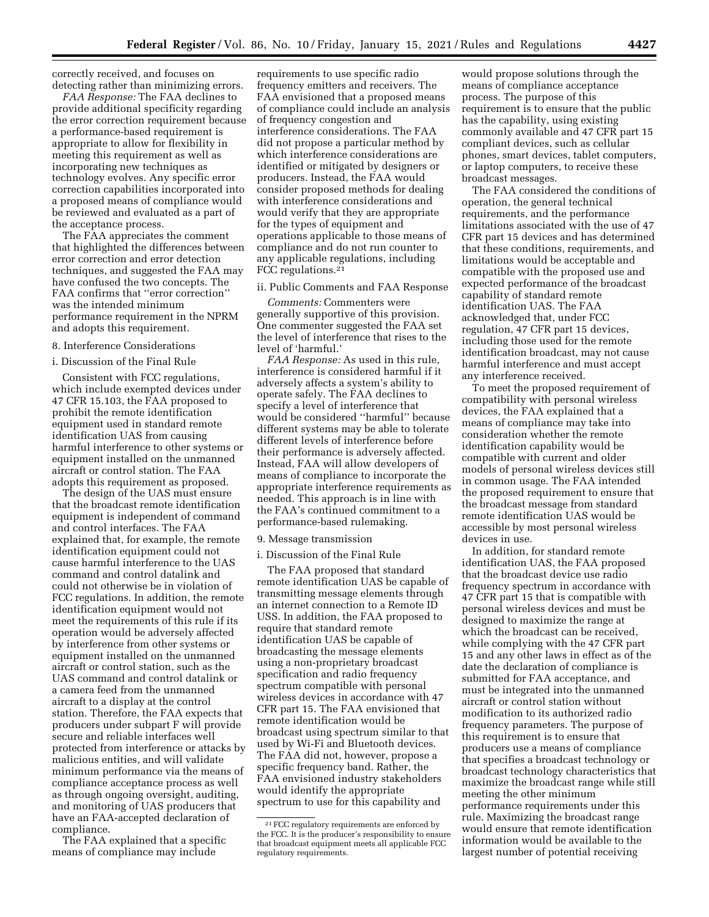correctly received, and focuses on detecting rather than minimizing errors.

*FAA Response:* The FAA declines to provide additional specificity regarding the error correction requirement because a performance-based requirement is appropriate to allow for flexibility in meeting this requirement as well as incorporating new techniques as technology evolves. Any specific error correction capabilities incorporated into a proposed means of compliance would be reviewed and evaluated as a part of the acceptance process.

The FAA appreciates the comment that highlighted the differences between error correction and error detection techniques, and suggested the FAA may have confused the two concepts. The FAA confirms that ''error correction'' was the intended minimum performance requirement in the NPRM and adopts this requirement.

# 8. Interference Considerations

## i. Discussion of the Final Rule

Consistent with FCC regulations, which include exempted devices under 47 CFR 15.103, the FAA proposed to prohibit the remote identification equipment used in standard remote identification UAS from causing harmful interference to other systems or equipment installed on the unmanned aircraft or control station. The FAA adopts this requirement as proposed.

The design of the UAS must ensure that the broadcast remote identification equipment is independent of command and control interfaces. The FAA explained that, for example, the remote identification equipment could not cause harmful interference to the UAS command and control datalink and could not otherwise be in violation of FCC regulations. In addition, the remote identification equipment would not meet the requirements of this rule if its operation would be adversely affected by interference from other systems or equipment installed on the unmanned aircraft or control station, such as the UAS command and control datalink or a camera feed from the unmanned aircraft to a display at the control station. Therefore, the FAA expects that producers under subpart F will provide secure and reliable interfaces well protected from interference or attacks by malicious entities, and will validate minimum performance via the means of compliance acceptance process as well as through ongoing oversight, auditing, and monitoring of UAS producers that have an FAA-accepted declaration of compliance.

The FAA explained that a specific means of compliance may include

requirements to use specific radio frequency emitters and receivers. The FAA envisioned that a proposed means of compliance could include an analysis of frequency congestion and interference considerations. The FAA did not propose a particular method by which interference considerations are identified or mitigated by designers or producers. Instead, the FAA would consider proposed methods for dealing with interference considerations and would verify that they are appropriate for the types of equipment and operations applicable to those means of compliance and do not run counter to any applicable regulations, including FCC regulations.21

### ii. Public Comments and FAA Response

*Comments:* Commenters were generally supportive of this provision. One commenter suggested the FAA set the level of interference that rises to the level of 'harmful.'

*FAA Response:* As used in this rule, interference is considered harmful if it adversely affects a system's ability to operate safely. The FAA declines to specify a level of interference that would be considered ''harmful'' because different systems may be able to tolerate different levels of interference before their performance is adversely affected. Instead, FAA will allow developers of means of compliance to incorporate the appropriate interference requirements as needed. This approach is in line with the FAA's continued commitment to a performance-based rulemaking.

#### 9. Message transmission

### i. Discussion of the Final Rule

The FAA proposed that standard remote identification UAS be capable of transmitting message elements through an internet connection to a Remote ID USS. In addition, the FAA proposed to require that standard remote identification UAS be capable of broadcasting the message elements using a non-proprietary broadcast specification and radio frequency spectrum compatible with personal wireless devices in accordance with 47 CFR part 15. The FAA envisioned that remote identification would be broadcast using spectrum similar to that used by Wi-Fi and Bluetooth devices. The FAA did not, however, propose a specific frequency band. Rather, the FAA envisioned industry stakeholders would identify the appropriate spectrum to use for this capability and

would propose solutions through the means of compliance acceptance process. The purpose of this requirement is to ensure that the public has the capability, using existing commonly available and 47 CFR part 15 compliant devices, such as cellular phones, smart devices, tablet computers, or laptop computers, to receive these broadcast messages.

The FAA considered the conditions of operation, the general technical requirements, and the performance limitations associated with the use of 47 CFR part 15 devices and has determined that these conditions, requirements, and limitations would be acceptable and compatible with the proposed use and expected performance of the broadcast capability of standard remote identification UAS. The FAA acknowledged that, under FCC regulation, 47 CFR part 15 devices, including those used for the remote identification broadcast, may not cause harmful interference and must accept any interference received.

To meet the proposed requirement of compatibility with personal wireless devices, the FAA explained that a means of compliance may take into consideration whether the remote identification capability would be compatible with current and older models of personal wireless devices still in common usage. The FAA intended the proposed requirement to ensure that the broadcast message from standard remote identification UAS would be accessible by most personal wireless devices in use.

In addition, for standard remote identification UAS, the FAA proposed that the broadcast device use radio frequency spectrum in accordance with 47 CFR part 15 that is compatible with personal wireless devices and must be designed to maximize the range at which the broadcast can be received, while complying with the 47 CFR part 15 and any other laws in effect as of the date the declaration of compliance is submitted for FAA acceptance, and must be integrated into the unmanned aircraft or control station without modification to its authorized radio frequency parameters. The purpose of this requirement is to ensure that producers use a means of compliance that specifies a broadcast technology or broadcast technology characteristics that maximize the broadcast range while still meeting the other minimum performance requirements under this rule. Maximizing the broadcast range would ensure that remote identification information would be available to the largest number of potential receiving

<sup>21</sup>FCC regulatory requirements are enforced by the FCC. It is the producer's responsibility to ensure that broadcast equipment meets all applicable FCC regulatory requirements.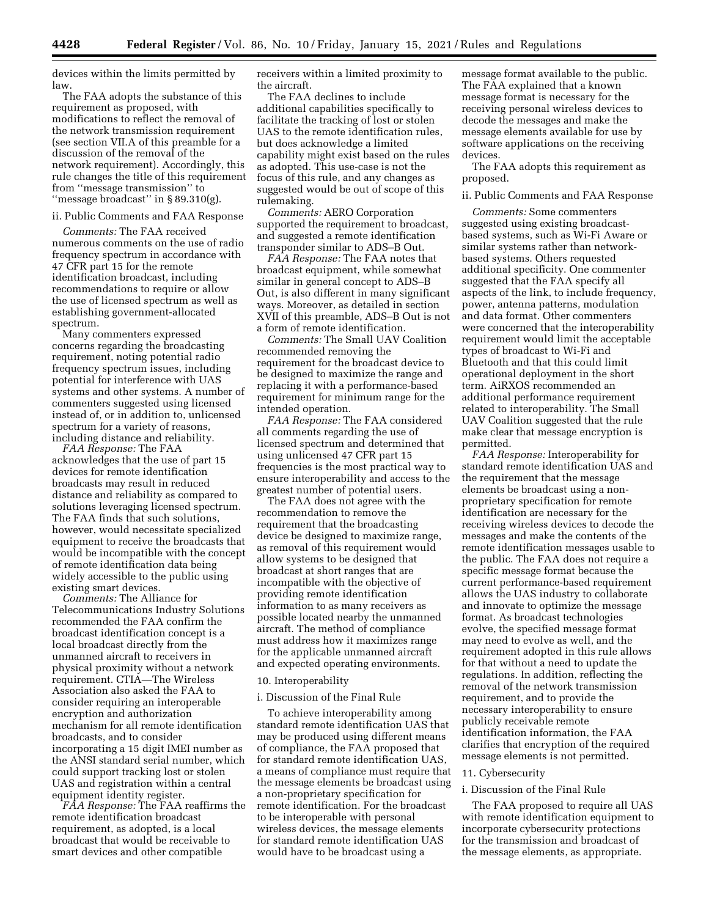devices within the limits permitted by law.

The FAA adopts the substance of this requirement as proposed, with modifications to reflect the removal of the network transmission requirement (see section VII.A of this preamble for a discussion of the removal of the network requirement). Accordingly, this rule changes the title of this requirement from ''message transmission'' to ''message broadcast'' in § 89.310(g).

## ii. Public Comments and FAA Response

*Comments:* The FAA received numerous comments on the use of radio frequency spectrum in accordance with 47 CFR part 15 for the remote identification broadcast, including recommendations to require or allow the use of licensed spectrum as well as establishing government-allocated spectrum.

Many commenters expressed concerns regarding the broadcasting requirement, noting potential radio frequency spectrum issues, including potential for interference with UAS systems and other systems. A number of commenters suggested using licensed instead of, or in addition to, unlicensed spectrum for a variety of reasons, including distance and reliability.

*FAA Response:* The FAA acknowledges that the use of part 15 devices for remote identification broadcasts may result in reduced distance and reliability as compared to solutions leveraging licensed spectrum. The FAA finds that such solutions, however, would necessitate specialized equipment to receive the broadcasts that would be incompatible with the concept of remote identification data being widely accessible to the public using existing smart devices.

*Comments:* The Alliance for Telecommunications Industry Solutions recommended the FAA confirm the broadcast identification concept is a local broadcast directly from the unmanned aircraft to receivers in physical proximity without a network requirement. CTIA—The Wireless Association also asked the FAA to consider requiring an interoperable encryption and authorization mechanism for all remote identification broadcasts, and to consider incorporating a 15 digit IMEI number as the ANSI standard serial number, which could support tracking lost or stolen UAS and registration within a central equipment identity register.

*FAA Response:* The FAA reaffirms the remote identification broadcast requirement, as adopted, is a local broadcast that would be receivable to smart devices and other compatible

receivers within a limited proximity to the aircraft.

The FAA declines to include additional capabilities specifically to facilitate the tracking of lost or stolen UAS to the remote identification rules, but does acknowledge a limited capability might exist based on the rules as adopted. This use-case is not the focus of this rule, and any changes as suggested would be out of scope of this rulemaking.

*Comments:* AERO Corporation supported the requirement to broadcast, and suggested a remote identification transponder similar to ADS–B Out.

*FAA Response:* The FAA notes that broadcast equipment, while somewhat similar in general concept to ADS–B Out, is also different in many significant ways. Moreover, as detailed in section XVII of this preamble, ADS–B Out is not a form of remote identification.

*Comments:* The Small UAV Coalition recommended removing the requirement for the broadcast device to be designed to maximize the range and replacing it with a performance-based requirement for minimum range for the intended operation.

*FAA Response:* The FAA considered all comments regarding the use of licensed spectrum and determined that using unlicensed 47 CFR part 15 frequencies is the most practical way to ensure interoperability and access to the greatest number of potential users.

The FAA does not agree with the recommendation to remove the requirement that the broadcasting device be designed to maximize range, as removal of this requirement would allow systems to be designed that broadcast at short ranges that are incompatible with the objective of providing remote identification information to as many receivers as possible located nearby the unmanned aircraft. The method of compliance must address how it maximizes range for the applicable unmanned aircraft and expected operating environments.

### 10. Interoperability

#### i. Discussion of the Final Rule

To achieve interoperability among standard remote identification UAS that may be produced using different means of compliance, the FAA proposed that for standard remote identification UAS, a means of compliance must require that the message elements be broadcast using a non-proprietary specification for remote identification. For the broadcast to be interoperable with personal wireless devices, the message elements for standard remote identification UAS would have to be broadcast using a

message format available to the public. The FAA explained that a known message format is necessary for the receiving personal wireless devices to decode the messages and make the message elements available for use by software applications on the receiving devices.

The FAA adopts this requirement as proposed.

### ii. Public Comments and FAA Response

*Comments:* Some commenters suggested using existing broadcastbased systems, such as Wi-Fi Aware or similar systems rather than networkbased systems. Others requested additional specificity. One commenter suggested that the FAA specify all aspects of the link, to include frequency, power, antenna patterns, modulation and data format. Other commenters were concerned that the interoperability requirement would limit the acceptable types of broadcast to Wi-Fi and Bluetooth and that this could limit operational deployment in the short term. AiRXOS recommended an additional performance requirement related to interoperability. The Small UAV Coalition suggested that the rule make clear that message encryption is permitted.

*FAA Response:* Interoperability for standard remote identification UAS and the requirement that the message elements be broadcast using a nonproprietary specification for remote identification are necessary for the receiving wireless devices to decode the messages and make the contents of the remote identification messages usable to the public. The FAA does not require a specific message format because the current performance-based requirement allows the UAS industry to collaborate and innovate to optimize the message format. As broadcast technologies evolve, the specified message format may need to evolve as well, and the requirement adopted in this rule allows for that without a need to update the regulations. In addition, reflecting the removal of the network transmission requirement, and to provide the necessary interoperability to ensure publicly receivable remote identification information, the FAA clarifies that encryption of the required message elements is not permitted.

# 11. Cybersecurity

# i. Discussion of the Final Rule

The FAA proposed to require all UAS with remote identification equipment to incorporate cybersecurity protections for the transmission and broadcast of the message elements, as appropriate.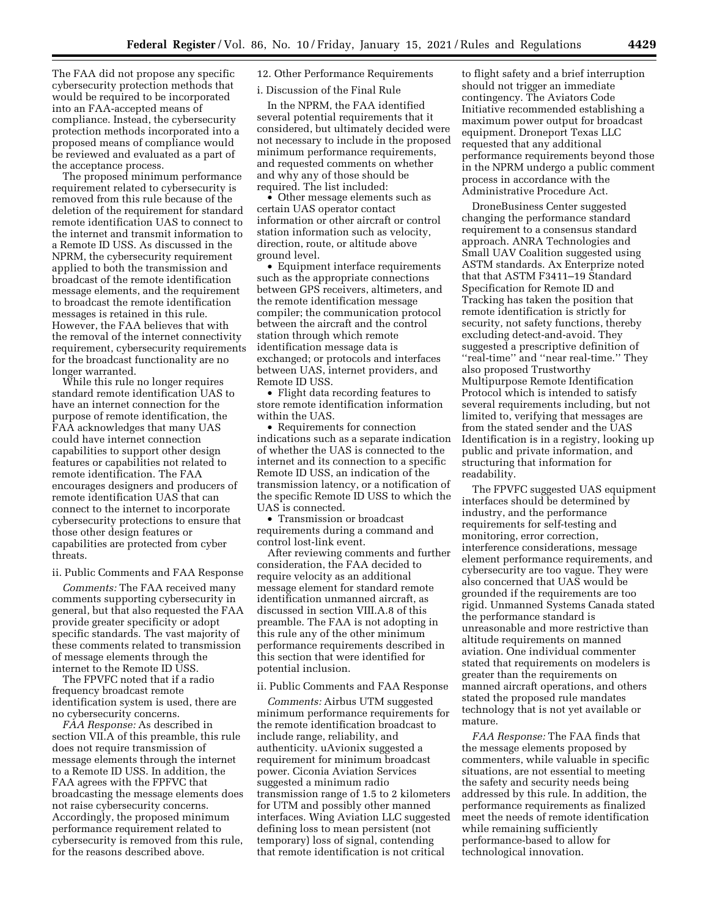The FAA did not propose any specific cybersecurity protection methods that would be required to be incorporated into an FAA-accepted means of compliance. Instead, the cybersecurity protection methods incorporated into a proposed means of compliance would be reviewed and evaluated as a part of the acceptance process.

The proposed minimum performance requirement related to cybersecurity is removed from this rule because of the deletion of the requirement for standard remote identification UAS to connect to the internet and transmit information to a Remote ID USS. As discussed in the NPRM, the cybersecurity requirement applied to both the transmission and broadcast of the remote identification message elements, and the requirement to broadcast the remote identification messages is retained in this rule. However, the FAA believes that with the removal of the internet connectivity requirement, cybersecurity requirements for the broadcast functionality are no longer warranted.

While this rule no longer requires standard remote identification UAS to have an internet connection for the purpose of remote identification, the FAA acknowledges that many UAS could have internet connection capabilities to support other design features or capabilities not related to remote identification. The FAA encourages designers and producers of remote identification UAS that can connect to the internet to incorporate cybersecurity protections to ensure that those other design features or capabilities are protected from cyber threats.

## ii. Public Comments and FAA Response

*Comments:* The FAA received many comments supporting cybersecurity in general, but that also requested the FAA provide greater specificity or adopt specific standards. The vast majority of these comments related to transmission of message elements through the internet to the Remote ID USS.

The FPVFC noted that if a radio frequency broadcast remote identification system is used, there are no cybersecurity concerns.

*FAA Response:* As described in section VII.A of this preamble, this rule does not require transmission of message elements through the internet to a Remote ID USS. In addition, the FAA agrees with the FPFVC that broadcasting the message elements does not raise cybersecurity concerns. Accordingly, the proposed minimum performance requirement related to cybersecurity is removed from this rule, for the reasons described above.

# 12. Other Performance Requirements

i. Discussion of the Final Rule

In the NPRM, the FAA identified several potential requirements that it considered, but ultimately decided were not necessary to include in the proposed minimum performance requirements, and requested comments on whether and why any of those should be required. The list included:

• Other message elements such as certain UAS operator contact information or other aircraft or control station information such as velocity, direction, route, or altitude above ground level.

• Equipment interface requirements such as the appropriate connections between GPS receivers, altimeters, and the remote identification message compiler; the communication protocol between the aircraft and the control station through which remote identification message data is exchanged; or protocols and interfaces between UAS, internet providers, and Remote ID USS.

• Flight data recording features to store remote identification information within the UAS.

• Requirements for connection indications such as a separate indication of whether the UAS is connected to the internet and its connection to a specific Remote ID USS, an indication of the transmission latency, or a notification of the specific Remote ID USS to which the UAS is connected.

• Transmission or broadcast requirements during a command and control lost-link event.

After reviewing comments and further consideration, the FAA decided to require velocity as an additional message element for standard remote identification unmanned aircraft, as discussed in section VIII.A.8 of this preamble. The FAA is not adopting in this rule any of the other minimum performance requirements described in this section that were identified for potential inclusion.

### ii. Public Comments and FAA Response

*Comments:* Airbus UTM suggested minimum performance requirements for the remote identification broadcast to include range, reliability, and authenticity. uAvionix suggested a requirement for minimum broadcast power. Ciconia Aviation Services suggested a minimum radio transmission range of 1.5 to 2 kilometers for UTM and possibly other manned interfaces. Wing Aviation LLC suggested defining loss to mean persistent (not temporary) loss of signal, contending that remote identification is not critical

to flight safety and a brief interruption should not trigger an immediate contingency. The Aviators Code Initiative recommended establishing a maximum power output for broadcast equipment. Droneport Texas LLC requested that any additional performance requirements beyond those in the NPRM undergo a public comment process in accordance with the Administrative Procedure Act.

DroneBusiness Center suggested changing the performance standard requirement to a consensus standard approach. ANRA Technologies and Small UAV Coalition suggested using ASTM standards. Ax Enterprize noted that that ASTM F3411–19 Standard Specification for Remote ID and Tracking has taken the position that remote identification is strictly for security, not safety functions, thereby excluding detect-and-avoid. They suggested a prescriptive definition of ''real-time'' and ''near real-time.'' They also proposed Trustworthy Multipurpose Remote Identification Protocol which is intended to satisfy several requirements including, but not limited to, verifying that messages are from the stated sender and the UAS Identification is in a registry, looking up public and private information, and structuring that information for readability.

The FPVFC suggested UAS equipment interfaces should be determined by industry, and the performance requirements for self-testing and monitoring, error correction, interference considerations, message element performance requirements, and cybersecurity are too vague. They were also concerned that UAS would be grounded if the requirements are too rigid. Unmanned Systems Canada stated the performance standard is unreasonable and more restrictive than altitude requirements on manned aviation. One individual commenter stated that requirements on modelers is greater than the requirements on manned aircraft operations, and others stated the proposed rule mandates technology that is not yet available or mature.

*FAA Response:* The FAA finds that the message elements proposed by commenters, while valuable in specific situations, are not essential to meeting the safety and security needs being addressed by this rule. In addition, the performance requirements as finalized meet the needs of remote identification while remaining sufficiently performance-based to allow for technological innovation.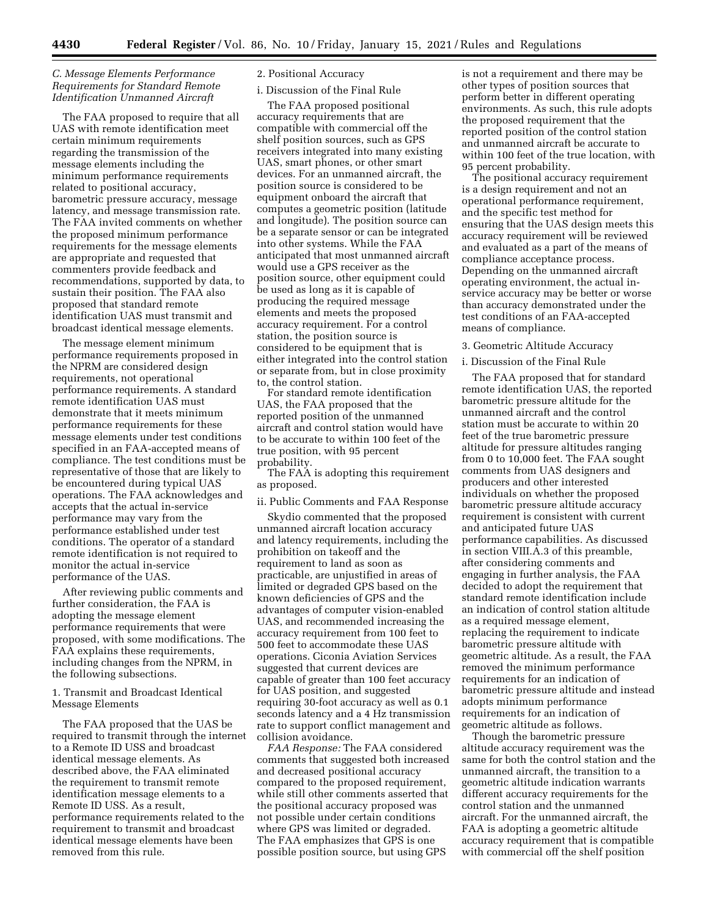## *C. Message Elements Performance Requirements for Standard Remote Identification Unmanned Aircraft*

The FAA proposed to require that all UAS with remote identification meet certain minimum requirements regarding the transmission of the message elements including the minimum performance requirements related to positional accuracy, barometric pressure accuracy, message latency, and message transmission rate. The FAA invited comments on whether the proposed minimum performance requirements for the message elements are appropriate and requested that commenters provide feedback and recommendations, supported by data, to sustain their position. The FAA also proposed that standard remote identification UAS must transmit and broadcast identical message elements.

The message element minimum performance requirements proposed in the NPRM are considered design requirements, not operational performance requirements. A standard remote identification UAS must demonstrate that it meets minimum performance requirements for these message elements under test conditions specified in an FAA-accepted means of compliance. The test conditions must be representative of those that are likely to be encountered during typical UAS operations. The FAA acknowledges and accepts that the actual in-service performance may vary from the performance established under test conditions. The operator of a standard remote identification is not required to monitor the actual in-service performance of the UAS.

After reviewing public comments and further consideration, the FAA is adopting the message element performance requirements that were proposed, with some modifications. The FAA explains these requirements, including changes from the NPRM, in the following subsections.

1. Transmit and Broadcast Identical Message Elements

The FAA proposed that the UAS be required to transmit through the internet to a Remote ID USS and broadcast identical message elements. As described above, the FAA eliminated the requirement to transmit remote identification message elements to a Remote ID USS. As a result, performance requirements related to the requirement to transmit and broadcast identical message elements have been removed from this rule.

## 2. Positional Accuracy

# i. Discussion of the Final Rule

The FAA proposed positional accuracy requirements that are compatible with commercial off the shelf position sources, such as GPS receivers integrated into many existing UAS, smart phones, or other smart devices. For an unmanned aircraft, the position source is considered to be equipment onboard the aircraft that computes a geometric position (latitude and longitude). The position source can be a separate sensor or can be integrated into other systems. While the FAA anticipated that most unmanned aircraft would use a GPS receiver as the position source, other equipment could be used as long as it is capable of producing the required message elements and meets the proposed accuracy requirement. For a control station, the position source is considered to be equipment that is either integrated into the control station or separate from, but in close proximity to, the control station.

For standard remote identification UAS, the FAA proposed that the reported position of the unmanned aircraft and control station would have to be accurate to within 100 feet of the true position, with 95 percent probability.

The FAA is adopting this requirement as proposed.

ii. Public Comments and FAA Response

Skydio commented that the proposed unmanned aircraft location accuracy and latency requirements, including the prohibition on takeoff and the requirement to land as soon as practicable, are unjustified in areas of limited or degraded GPS based on the known deficiencies of GPS and the advantages of computer vision-enabled UAS, and recommended increasing the accuracy requirement from 100 feet to 500 feet to accommodate these UAS operations. Ciconia Aviation Services suggested that current devices are capable of greater than 100 feet accuracy for UAS position, and suggested requiring 30-foot accuracy as well as 0.1 seconds latency and a 4 Hz transmission rate to support conflict management and collision avoidance.

*FAA Response:* The FAA considered comments that suggested both increased and decreased positional accuracy compared to the proposed requirement, while still other comments asserted that the positional accuracy proposed was not possible under certain conditions where GPS was limited or degraded. The FAA emphasizes that GPS is one possible position source, but using GPS

is not a requirement and there may be other types of position sources that perform better in different operating environments. As such, this rule adopts the proposed requirement that the reported position of the control station and unmanned aircraft be accurate to within 100 feet of the true location, with 95 percent probability.

The positional accuracy requirement is a design requirement and not an operational performance requirement, and the specific test method for ensuring that the UAS design meets this accuracy requirement will be reviewed and evaluated as a part of the means of compliance acceptance process. Depending on the unmanned aircraft operating environment, the actual inservice accuracy may be better or worse than accuracy demonstrated under the test conditions of an FAA-accepted means of compliance.

3. Geometric Altitude Accuracy

### i. Discussion of the Final Rule

The FAA proposed that for standard remote identification UAS, the reported barometric pressure altitude for the unmanned aircraft and the control station must be accurate to within 20 feet of the true barometric pressure altitude for pressure altitudes ranging from 0 to 10,000 feet. The FAA sought comments from UAS designers and producers and other interested individuals on whether the proposed barometric pressure altitude accuracy requirement is consistent with current and anticipated future UAS performance capabilities. As discussed in section VIII.A.3 of this preamble, after considering comments and engaging in further analysis, the FAA decided to adopt the requirement that standard remote identification include an indication of control station altitude as a required message element, replacing the requirement to indicate barometric pressure altitude with geometric altitude. As a result, the FAA removed the minimum performance requirements for an indication of barometric pressure altitude and instead adopts minimum performance requirements for an indication of geometric altitude as follows.

Though the barometric pressure altitude accuracy requirement was the same for both the control station and the unmanned aircraft, the transition to a geometric altitude indication warrants different accuracy requirements for the control station and the unmanned aircraft. For the unmanned aircraft, the FAA is adopting a geometric altitude accuracy requirement that is compatible with commercial off the shelf position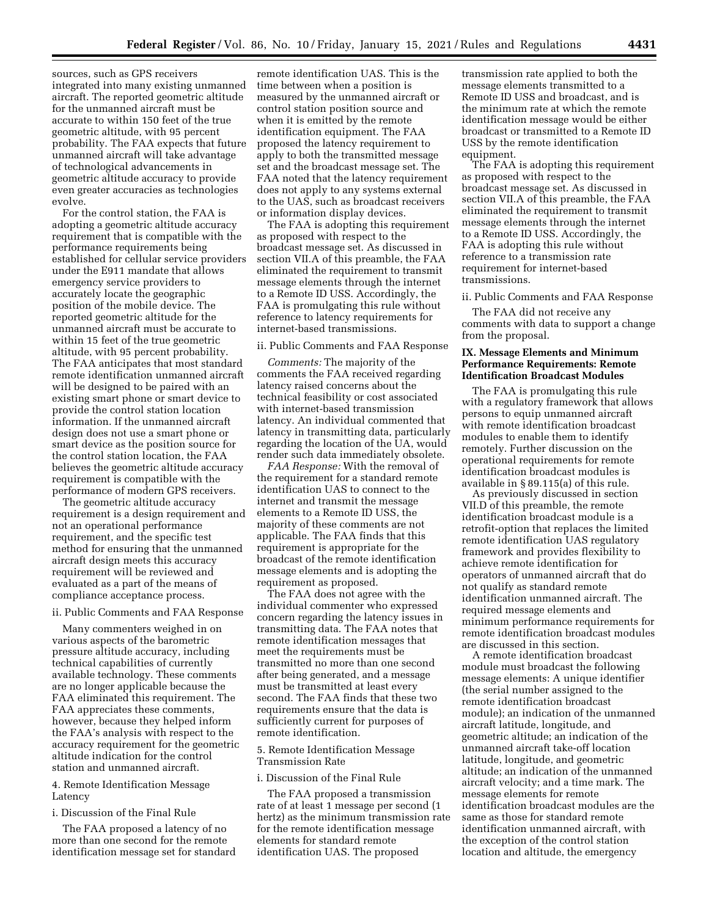sources, such as GPS receivers integrated into many existing unmanned aircraft. The reported geometric altitude for the unmanned aircraft must be accurate to within 150 feet of the true geometric altitude, with 95 percent probability. The FAA expects that future unmanned aircraft will take advantage of technological advancements in geometric altitude accuracy to provide even greater accuracies as technologies evolve.

For the control station, the FAA is adopting a geometric altitude accuracy requirement that is compatible with the performance requirements being established for cellular service providers under the E911 mandate that allows emergency service providers to accurately locate the geographic position of the mobile device. The reported geometric altitude for the unmanned aircraft must be accurate to within 15 feet of the true geometric altitude, with 95 percent probability. The FAA anticipates that most standard remote identification unmanned aircraft will be designed to be paired with an existing smart phone or smart device to provide the control station location information. If the unmanned aircraft design does not use a smart phone or smart device as the position source for the control station location, the FAA believes the geometric altitude accuracy requirement is compatible with the performance of modern GPS receivers.

The geometric altitude accuracy requirement is a design requirement and not an operational performance requirement, and the specific test method for ensuring that the unmanned aircraft design meets this accuracy requirement will be reviewed and evaluated as a part of the means of compliance acceptance process.

#### ii. Public Comments and FAA Response

Many commenters weighed in on various aspects of the barometric pressure altitude accuracy, including technical capabilities of currently available technology. These comments are no longer applicable because the FAA eliminated this requirement. The FAA appreciates these comments, however, because they helped inform the FAA's analysis with respect to the accuracy requirement for the geometric altitude indication for the control station and unmanned aircraft.

### 4. Remote Identification Message Latency

## i. Discussion of the Final Rule

The FAA proposed a latency of no more than one second for the remote identification message set for standard

remote identification UAS. This is the time between when a position is measured by the unmanned aircraft or control station position source and when it is emitted by the remote identification equipment. The FAA proposed the latency requirement to apply to both the transmitted message set and the broadcast message set. The FAA noted that the latency requirement does not apply to any systems external to the UAS, such as broadcast receivers or information display devices.

The FAA is adopting this requirement as proposed with respect to the broadcast message set. As discussed in section VII.A of this preamble, the FAA eliminated the requirement to transmit message elements through the internet to a Remote ID USS. Accordingly, the FAA is promulgating this rule without reference to latency requirements for internet-based transmissions.

#### ii. Public Comments and FAA Response

*Comments:* The majority of the comments the FAA received regarding latency raised concerns about the technical feasibility or cost associated with internet-based transmission latency. An individual commented that latency in transmitting data, particularly regarding the location of the UA, would render such data immediately obsolete.

*FAA Response:* With the removal of the requirement for a standard remote identification UAS to connect to the internet and transmit the message elements to a Remote ID USS, the majority of these comments are not applicable. The FAA finds that this requirement is appropriate for the broadcast of the remote identification message elements and is adopting the requirement as proposed.

The FAA does not agree with the individual commenter who expressed concern regarding the latency issues in transmitting data. The FAA notes that remote identification messages that meet the requirements must be transmitted no more than one second after being generated, and a message must be transmitted at least every second. The FAA finds that these two requirements ensure that the data is sufficiently current for purposes of remote identification.

### 5. Remote Identification Message Transmission Rate

### i. Discussion of the Final Rule

The FAA proposed a transmission rate of at least 1 message per second (1 hertz) as the minimum transmission rate for the remote identification message elements for standard remote identification UAS. The proposed

transmission rate applied to both the message elements transmitted to a Remote ID USS and broadcast, and is the minimum rate at which the remote identification message would be either broadcast or transmitted to a Remote ID USS by the remote identification equipment.

The FAA is adopting this requirement as proposed with respect to the broadcast message set. As discussed in section VII.A of this preamble, the FAA eliminated the requirement to transmit message elements through the internet to a Remote ID USS. Accordingly, the FAA is adopting this rule without reference to a transmission rate requirement for internet-based transmissions.

### ii. Public Comments and FAA Response

The FAA did not receive any comments with data to support a change from the proposal.

# **IX. Message Elements and Minimum Performance Requirements: Remote Identification Broadcast Modules**

The FAA is promulgating this rule with a regulatory framework that allows persons to equip unmanned aircraft with remote identification broadcast modules to enable them to identify remotely. Further discussion on the operational requirements for remote identification broadcast modules is available in § 89.115(a) of this rule.

As previously discussed in section VII.D of this preamble, the remote identification broadcast module is a retrofit-option that replaces the limited remote identification UAS regulatory framework and provides flexibility to achieve remote identification for operators of unmanned aircraft that do not qualify as standard remote identification unmanned aircraft. The required message elements and minimum performance requirements for remote identification broadcast modules are discussed in this section.

A remote identification broadcast module must broadcast the following message elements: A unique identifier (the serial number assigned to the remote identification broadcast module); an indication of the unmanned aircraft latitude, longitude, and geometric altitude; an indication of the unmanned aircraft take-off location latitude, longitude, and geometric altitude; an indication of the unmanned aircraft velocity; and a time mark. The message elements for remote identification broadcast modules are the same as those for standard remote identification unmanned aircraft, with the exception of the control station location and altitude, the emergency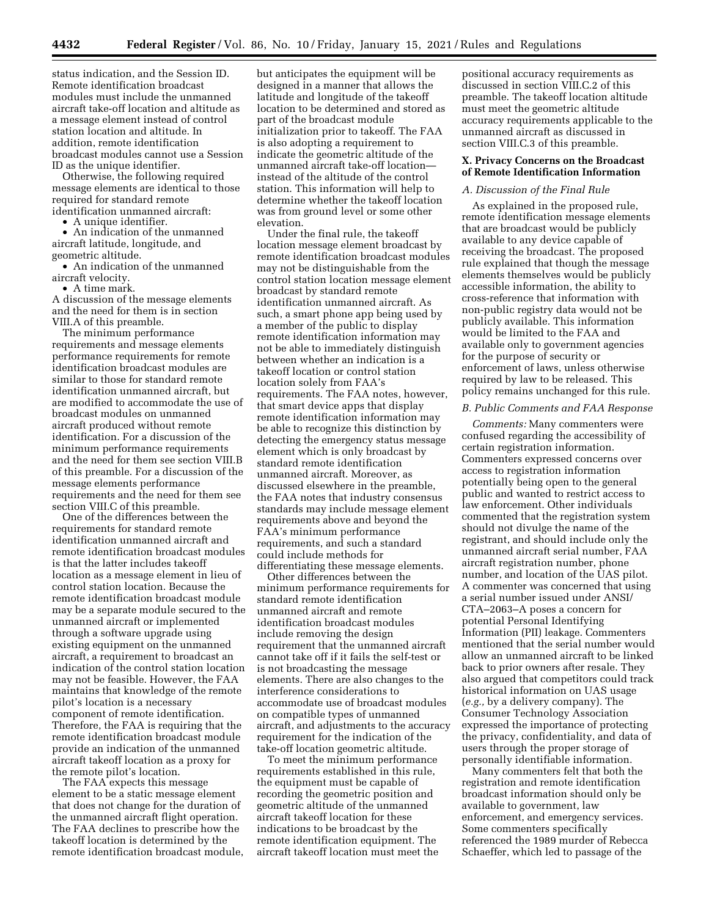status indication, and the Session ID. Remote identification broadcast modules must include the unmanned aircraft take-off location and altitude as a message element instead of control station location and altitude. In addition, remote identification broadcast modules cannot use a Session ID as the unique identifier.

Otherwise, the following required message elements are identical to those required for standard remote identification unmanned aircraft:

• A unique identifier.

• An indication of the unmanned aircraft latitude, longitude, and geometric altitude.

• An indication of the unmanned aircraft velocity.

• A time mark.

A discussion of the message elements and the need for them is in section VIII.A of this preamble.

The minimum performance requirements and message elements performance requirements for remote identification broadcast modules are similar to those for standard remote identification unmanned aircraft, but are modified to accommodate the use of broadcast modules on unmanned aircraft produced without remote identification. For a discussion of the minimum performance requirements and the need for them see section VIII.B of this preamble. For a discussion of the message elements performance requirements and the need for them see section VIII.C of this preamble.

One of the differences between the requirements for standard remote identification unmanned aircraft and remote identification broadcast modules is that the latter includes takeoff location as a message element in lieu of control station location. Because the remote identification broadcast module may be a separate module secured to the unmanned aircraft or implemented through a software upgrade using existing equipment on the unmanned aircraft, a requirement to broadcast an indication of the control station location may not be feasible. However, the FAA maintains that knowledge of the remote pilot's location is a necessary component of remote identification. Therefore, the FAA is requiring that the remote identification broadcast module provide an indication of the unmanned aircraft takeoff location as a proxy for the remote pilot's location.

The FAA expects this message element to be a static message element that does not change for the duration of the unmanned aircraft flight operation. The FAA declines to prescribe how the takeoff location is determined by the remote identification broadcast module,

but anticipates the equipment will be designed in a manner that allows the latitude and longitude of the takeoff location to be determined and stored as part of the broadcast module initialization prior to takeoff. The FAA is also adopting a requirement to indicate the geometric altitude of the unmanned aircraft take-off location instead of the altitude of the control station. This information will help to determine whether the takeoff location was from ground level or some other elevation.

Under the final rule, the takeoff location message element broadcast by remote identification broadcast modules may not be distinguishable from the control station location message element broadcast by standard remote identification unmanned aircraft. As such, a smart phone app being used by a member of the public to display remote identification information may not be able to immediately distinguish between whether an indication is a takeoff location or control station location solely from FAA's requirements. The FAA notes, however, that smart device apps that display remote identification information may be able to recognize this distinction by detecting the emergency status message element which is only broadcast by standard remote identification unmanned aircraft. Moreover, as discussed elsewhere in the preamble, the FAA notes that industry consensus standards may include message element requirements above and beyond the FAA's minimum performance requirements, and such a standard could include methods for differentiating these message elements.

Other differences between the minimum performance requirements for standard remote identification unmanned aircraft and remote identification broadcast modules include removing the design requirement that the unmanned aircraft cannot take off if it fails the self-test or is not broadcasting the message elements. There are also changes to the interference considerations to accommodate use of broadcast modules on compatible types of unmanned aircraft, and adjustments to the accuracy requirement for the indication of the take-off location geometric altitude.

To meet the minimum performance requirements established in this rule, the equipment must be capable of recording the geometric position and geometric altitude of the unmanned aircraft takeoff location for these indications to be broadcast by the remote identification equipment. The aircraft takeoff location must meet the

positional accuracy requirements as discussed in section VIII.C.2 of this preamble. The takeoff location altitude must meet the geometric altitude accuracy requirements applicable to the unmanned aircraft as discussed in section VIII.C.3 of this preamble.

## **X. Privacy Concerns on the Broadcast of Remote Identification Information**

## *A. Discussion of the Final Rule*

As explained in the proposed rule, remote identification message elements that are broadcast would be publicly available to any device capable of receiving the broadcast. The proposed rule explained that though the message elements themselves would be publicly accessible information, the ability to cross-reference that information with non-public registry data would not be publicly available. This information would be limited to the FAA and available only to government agencies for the purpose of security or enforcement of laws, unless otherwise required by law to be released. This policy remains unchanged for this rule.

### *B. Public Comments and FAA Response*

*Comments:* Many commenters were confused regarding the accessibility of certain registration information. Commenters expressed concerns over access to registration information potentially being open to the general public and wanted to restrict access to law enforcement. Other individuals commented that the registration system should not divulge the name of the registrant, and should include only the unmanned aircraft serial number, FAA aircraft registration number, phone number, and location of the UAS pilot. A commenter was concerned that using a serial number issued under ANSI/ CTA–2063–A poses a concern for potential Personal Identifying Information (PII) leakage. Commenters mentioned that the serial number would allow an unmanned aircraft to be linked back to prior owners after resale. They also argued that competitors could track historical information on UAS usage (*e.g.,* by a delivery company). The Consumer Technology Association expressed the importance of protecting the privacy, confidentiality, and data of users through the proper storage of personally identifiable information.

Many commenters felt that both the registration and remote identification broadcast information should only be available to government, law enforcement, and emergency services. Some commenters specifically referenced the 1989 murder of Rebecca Schaeffer, which led to passage of the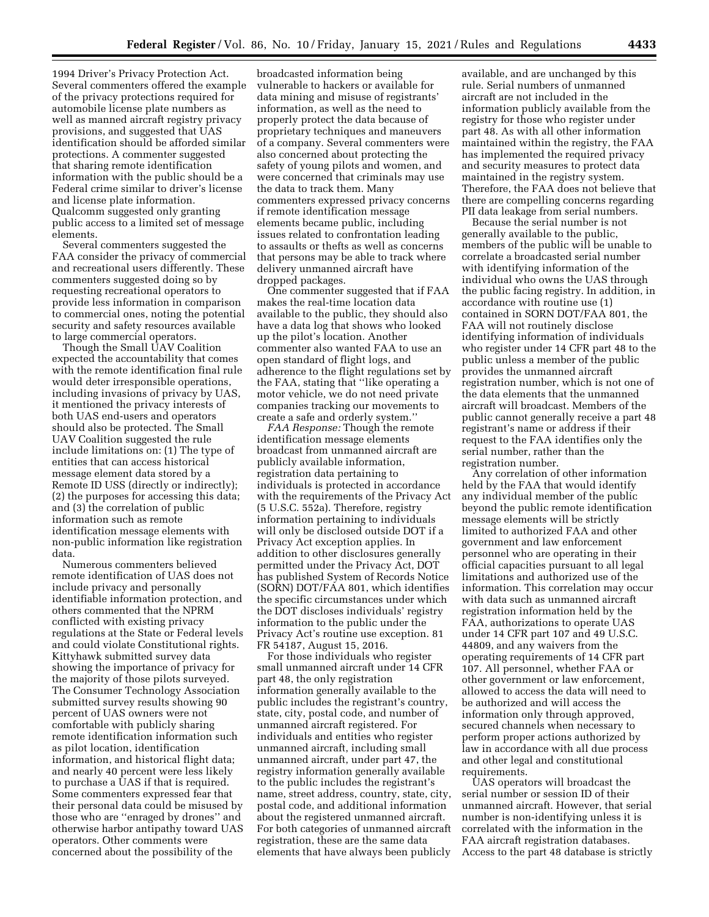1994 Driver's Privacy Protection Act. Several commenters offered the example of the privacy protections required for automobile license plate numbers as well as manned aircraft registry privacy provisions, and suggested that UAS identification should be afforded similar protections. A commenter suggested that sharing remote identification information with the public should be a Federal crime similar to driver's license and license plate information. Qualcomm suggested only granting public access to a limited set of message elements.

Several commenters suggested the FAA consider the privacy of commercial and recreational users differently. These commenters suggested doing so by requesting recreational operators to provide less information in comparison to commercial ones, noting the potential security and safety resources available to large commercial operators.

Though the Small UAV Coalition expected the accountability that comes with the remote identification final rule would deter irresponsible operations, including invasions of privacy by UAS, it mentioned the privacy interests of both UAS end-users and operators should also be protected. The Small UAV Coalition suggested the rule include limitations on: (1) The type of entities that can access historical message element data stored by a Remote ID USS (directly or indirectly); (2) the purposes for accessing this data; and (3) the correlation of public information such as remote identification message elements with non-public information like registration data.

Numerous commenters believed remote identification of UAS does not include privacy and personally identifiable information protection, and others commented that the NPRM conflicted with existing privacy regulations at the State or Federal levels and could violate Constitutional rights. Kittyhawk submitted survey data showing the importance of privacy for the majority of those pilots surveyed. The Consumer Technology Association submitted survey results showing 90 percent of UAS owners were not comfortable with publicly sharing remote identification information such as pilot location, identification information, and historical flight data; and nearly 40 percent were less likely to purchase a UAS if that is required. Some commenters expressed fear that their personal data could be misused by those who are ''enraged by drones'' and otherwise harbor antipathy toward UAS operators. Other comments were concerned about the possibility of the

broadcasted information being vulnerable to hackers or available for data mining and misuse of registrants' information, as well as the need to properly protect the data because of proprietary techniques and maneuvers of a company. Several commenters were also concerned about protecting the safety of young pilots and women, and were concerned that criminals may use the data to track them. Many commenters expressed privacy concerns if remote identification message elements became public, including issues related to confrontation leading to assaults or thefts as well as concerns that persons may be able to track where delivery unmanned aircraft have dropped packages.

One commenter suggested that if FAA makes the real-time location data available to the public, they should also have a data log that shows who looked up the pilot's location. Another commenter also wanted FAA to use an open standard of flight logs, and adherence to the flight regulations set by the FAA, stating that ''like operating a motor vehicle, we do not need private companies tracking our movements to create a safe and orderly system.''

*FAA Response:* Though the remote identification message elements broadcast from unmanned aircraft are publicly available information, registration data pertaining to individuals is protected in accordance with the requirements of the Privacy Act (5 U.S.C. 552a). Therefore, registry information pertaining to individuals will only be disclosed outside DOT if a Privacy Act exception applies. In addition to other disclosures generally permitted under the Privacy Act, DOT has published System of Records Notice (SORN) DOT/FAA 801, which identifies the specific circumstances under which the DOT discloses individuals' registry information to the public under the Privacy Act's routine use exception. 81 FR 54187, August 15, 2016.

For those individuals who register small unmanned aircraft under 14 CFR part 48, the only registration information generally available to the public includes the registrant's country, state, city, postal code, and number of unmanned aircraft registered. For individuals and entities who register unmanned aircraft, including small unmanned aircraft, under part 47, the registry information generally available to the public includes the registrant's name, street address, country, state, city, postal code, and additional information about the registered unmanned aircraft. For both categories of unmanned aircraft registration, these are the same data elements that have always been publicly

available, and are unchanged by this rule. Serial numbers of unmanned aircraft are not included in the information publicly available from the registry for those who register under part 48. As with all other information maintained within the registry, the FAA has implemented the required privacy and security measures to protect data maintained in the registry system. Therefore, the FAA does not believe that there are compelling concerns regarding PII data leakage from serial numbers.

Because the serial number is not generally available to the public, members of the public will be unable to correlate a broadcasted serial number with identifying information of the individual who owns the UAS through the public facing registry. In addition, in accordance with routine use (1) contained in SORN DOT/FAA 801, the FAA will not routinely disclose identifying information of individuals who register under 14 CFR part 48 to the public unless a member of the public provides the unmanned aircraft registration number, which is not one of the data elements that the unmanned aircraft will broadcast. Members of the public cannot generally receive a part 48 registrant's name or address if their request to the FAA identifies only the serial number, rather than the registration number.

Any correlation of other information held by the FAA that would identify any individual member of the public beyond the public remote identification message elements will be strictly limited to authorized FAA and other government and law enforcement personnel who are operating in their official capacities pursuant to all legal limitations and authorized use of the information. This correlation may occur with data such as unmanned aircraft registration information held by the FAA, authorizations to operate UAS under 14 CFR part 107 and 49 U.S.C. 44809, and any waivers from the operating requirements of 14 CFR part 107. All personnel, whether FAA or other government or law enforcement, allowed to access the data will need to be authorized and will access the information only through approved, secured channels when necessary to perform proper actions authorized by law in accordance with all due process and other legal and constitutional requirements.

UAS operators will broadcast the serial number or session ID of their unmanned aircraft. However, that serial number is non-identifying unless it is correlated with the information in the FAA aircraft registration databases. Access to the part 48 database is strictly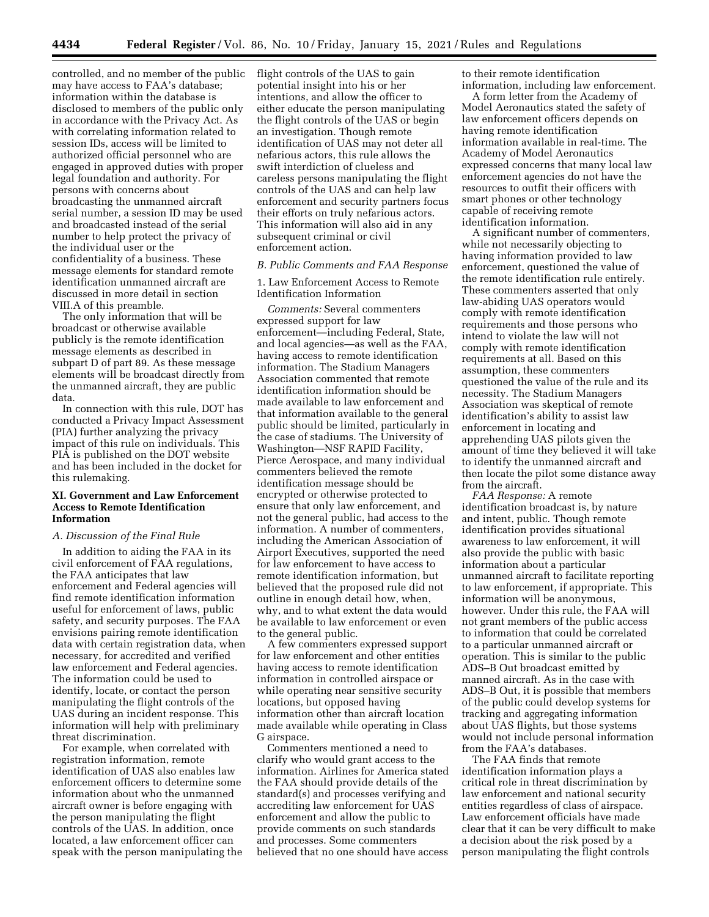controlled, and no member of the public may have access to FAA's database; information within the database is disclosed to members of the public only in accordance with the Privacy Act. As with correlating information related to session IDs, access will be limited to authorized official personnel who are engaged in approved duties with proper legal foundation and authority. For persons with concerns about broadcasting the unmanned aircraft serial number, a session ID may be used and broadcasted instead of the serial number to help protect the privacy of the individual user or the confidentiality of a business. These message elements for standard remote identification unmanned aircraft are discussed in more detail in section VIII.A of this preamble.

The only information that will be broadcast or otherwise available publicly is the remote identification message elements as described in subpart D of part 89. As these message elements will be broadcast directly from the unmanned aircraft, they are public data.

In connection with this rule, DOT has conducted a Privacy Impact Assessment (PIA) further analyzing the privacy impact of this rule on individuals. This PIA is published on the DOT website and has been included in the docket for this rulemaking.

## **XI. Government and Law Enforcement Access to Remote Identification Information**

# *A. Discussion of the Final Rule*

In addition to aiding the FAA in its civil enforcement of FAA regulations, the FAA anticipates that law enforcement and Federal agencies will find remote identification information useful for enforcement of laws, public safety, and security purposes. The FAA envisions pairing remote identification data with certain registration data, when necessary, for accredited and verified law enforcement and Federal agencies. The information could be used to identify, locate, or contact the person manipulating the flight controls of the UAS during an incident response. This information will help with preliminary threat discrimination.

For example, when correlated with registration information, remote identification of UAS also enables law enforcement officers to determine some information about who the unmanned aircraft owner is before engaging with the person manipulating the flight controls of the UAS. In addition, once located, a law enforcement officer can speak with the person manipulating the flight controls of the UAS to gain potential insight into his or her intentions, and allow the officer to either educate the person manipulating the flight controls of the UAS or begin an investigation. Though remote identification of UAS may not deter all nefarious actors, this rule allows the swift interdiction of clueless and careless persons manipulating the flight controls of the UAS and can help law enforcement and security partners focus their efforts on truly nefarious actors. This information will also aid in any subsequent criminal or civil enforcement action.

### *B. Public Comments and FAA Response*

1. Law Enforcement Access to Remote Identification Information

*Comments:* Several commenters expressed support for law enforcement—including Federal, State, and local agencies—as well as the FAA, having access to remote identification information. The Stadium Managers Association commented that remote identification information should be made available to law enforcement and that information available to the general public should be limited, particularly in the case of stadiums. The University of Washington—NSF RAPID Facility, Pierce Aerospace, and many individual commenters believed the remote identification message should be encrypted or otherwise protected to ensure that only law enforcement, and not the general public, had access to the information. A number of commenters, including the American Association of Airport Executives, supported the need for law enforcement to have access to remote identification information, but believed that the proposed rule did not outline in enough detail how, when, why, and to what extent the data would be available to law enforcement or even to the general public.

A few commenters expressed support for law enforcement and other entities having access to remote identification information in controlled airspace or while operating near sensitive security locations, but opposed having information other than aircraft location made available while operating in Class G airspace.

Commenters mentioned a need to clarify who would grant access to the information. Airlines for America stated the FAA should provide details of the standard(s) and processes verifying and accrediting law enforcement for UAS enforcement and allow the public to provide comments on such standards and processes. Some commenters believed that no one should have access

to their remote identification information, including law enforcement.

A form letter from the Academy of Model Aeronautics stated the safety of law enforcement officers depends on having remote identification information available in real-time. The Academy of Model Aeronautics expressed concerns that many local law enforcement agencies do not have the resources to outfit their officers with smart phones or other technology capable of receiving remote identification information.

A significant number of commenters, while not necessarily objecting to having information provided to law enforcement, questioned the value of the remote identification rule entirely. These commenters asserted that only law-abiding UAS operators would comply with remote identification requirements and those persons who intend to violate the law will not comply with remote identification requirements at all. Based on this assumption, these commenters questioned the value of the rule and its necessity. The Stadium Managers Association was skeptical of remote identification's ability to assist law enforcement in locating and apprehending UAS pilots given the amount of time they believed it will take to identify the unmanned aircraft and then locate the pilot some distance away from the aircraft.

*FAA Response:* A remote identification broadcast is, by nature and intent, public. Though remote identification provides situational awareness to law enforcement, it will also provide the public with basic information about a particular unmanned aircraft to facilitate reporting to law enforcement, if appropriate. This information will be anonymous, however. Under this rule, the FAA will not grant members of the public access to information that could be correlated to a particular unmanned aircraft or operation. This is similar to the public ADS–B Out broadcast emitted by manned aircraft. As in the case with ADS–B Out, it is possible that members of the public could develop systems for tracking and aggregating information about UAS flights, but those systems would not include personal information from the FAA's databases.

The FAA finds that remote identification information plays a critical role in threat discrimination by law enforcement and national security entities regardless of class of airspace. Law enforcement officials have made clear that it can be very difficult to make a decision about the risk posed by a person manipulating the flight controls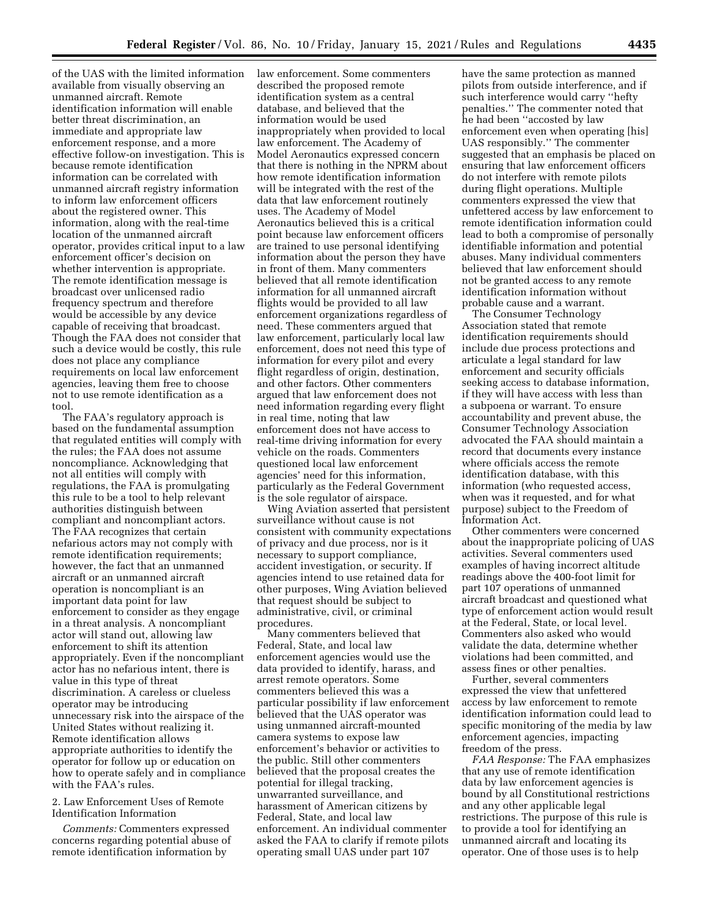of the UAS with the limited information available from visually observing an unmanned aircraft. Remote identification information will enable better threat discrimination, an immediate and appropriate law enforcement response, and a more effective follow-on investigation. This is because remote identification information can be correlated with unmanned aircraft registry information to inform law enforcement officers about the registered owner. This information, along with the real-time location of the unmanned aircraft operator, provides critical input to a law enforcement officer's decision on whether intervention is appropriate. The remote identification message is broadcast over unlicensed radio frequency spectrum and therefore would be accessible by any device capable of receiving that broadcast. Though the FAA does not consider that such a device would be costly, this rule does not place any compliance requirements on local law enforcement agencies, leaving them free to choose not to use remote identification as a tool.

The FAA's regulatory approach is based on the fundamental assumption that regulated entities will comply with the rules; the FAA does not assume noncompliance. Acknowledging that not all entities will comply with regulations, the FAA is promulgating this rule to be a tool to help relevant authorities distinguish between compliant and noncompliant actors. The FAA recognizes that certain nefarious actors may not comply with remote identification requirements; however, the fact that an unmanned aircraft or an unmanned aircraft operation is noncompliant is an important data point for law enforcement to consider as they engage in a threat analysis. A noncompliant actor will stand out, allowing law enforcement to shift its attention appropriately. Even if the noncompliant actor has no nefarious intent, there is value in this type of threat discrimination. A careless or clueless operator may be introducing unnecessary risk into the airspace of the United States without realizing it. Remote identification allows appropriate authorities to identify the operator for follow up or education on how to operate safely and in compliance with the FAA's rules.

2. Law Enforcement Uses of Remote Identification Information

*Comments:* Commenters expressed concerns regarding potential abuse of remote identification information by

law enforcement. Some commenters described the proposed remote identification system as a central database, and believed that the information would be used inappropriately when provided to local law enforcement. The Academy of Model Aeronautics expressed concern that there is nothing in the NPRM about how remote identification information will be integrated with the rest of the data that law enforcement routinely uses. The Academy of Model Aeronautics believed this is a critical point because law enforcement officers are trained to use personal identifying information about the person they have in front of them. Many commenters believed that all remote identification information for all unmanned aircraft flights would be provided to all law enforcement organizations regardless of need. These commenters argued that law enforcement, particularly local law enforcement, does not need this type of information for every pilot and every flight regardless of origin, destination, and other factors. Other commenters argued that law enforcement does not need information regarding every flight in real time, noting that law enforcement does not have access to real-time driving information for every vehicle on the roads. Commenters questioned local law enforcement agencies' need for this information, particularly as the Federal Government is the sole regulator of airspace.

Wing Aviation asserted that persistent surveillance without cause is not consistent with community expectations of privacy and due process, nor is it necessary to support compliance, accident investigation, or security. If agencies intend to use retained data for other purposes, Wing Aviation believed that request should be subject to administrative, civil, or criminal procedures.

Many commenters believed that Federal, State, and local law enforcement agencies would use the data provided to identify, harass, and arrest remote operators. Some commenters believed this was a particular possibility if law enforcement believed that the UAS operator was using unmanned aircraft-mounted camera systems to expose law enforcement's behavior or activities to the public. Still other commenters believed that the proposal creates the potential for illegal tracking, unwarranted surveillance, and harassment of American citizens by Federal, State, and local law enforcement. An individual commenter asked the FAA to clarify if remote pilots operating small UAS under part 107

have the same protection as manned pilots from outside interference, and if such interference would carry ''hefty penalties.'' The commenter noted that he had been ''accosted by law enforcement even when operating [his] UAS responsibly.'' The commenter suggested that an emphasis be placed on ensuring that law enforcement officers do not interfere with remote pilots during flight operations. Multiple commenters expressed the view that unfettered access by law enforcement to remote identification information could lead to both a compromise of personally identifiable information and potential abuses. Many individual commenters believed that law enforcement should not be granted access to any remote identification information without probable cause and a warrant.

The Consumer Technology Association stated that remote identification requirements should include due process protections and articulate a legal standard for law enforcement and security officials seeking access to database information, if they will have access with less than a subpoena or warrant. To ensure accountability and prevent abuse, the Consumer Technology Association advocated the FAA should maintain a record that documents every instance where officials access the remote identification database, with this information (who requested access, when was it requested, and for what purpose) subject to the Freedom of Information Act.

Other commenters were concerned about the inappropriate policing of UAS activities. Several commenters used examples of having incorrect altitude readings above the 400-foot limit for part 107 operations of unmanned aircraft broadcast and questioned what type of enforcement action would result at the Federal, State, or local level. Commenters also asked who would validate the data, determine whether violations had been committed, and assess fines or other penalties.

Further, several commenters expressed the view that unfettered access by law enforcement to remote identification information could lead to specific monitoring of the media by law enforcement agencies, impacting freedom of the press.

*FAA Response:* The FAA emphasizes that any use of remote identification data by law enforcement agencies is bound by all Constitutional restrictions and any other applicable legal restrictions. The purpose of this rule is to provide a tool for identifying an unmanned aircraft and locating its operator. One of those uses is to help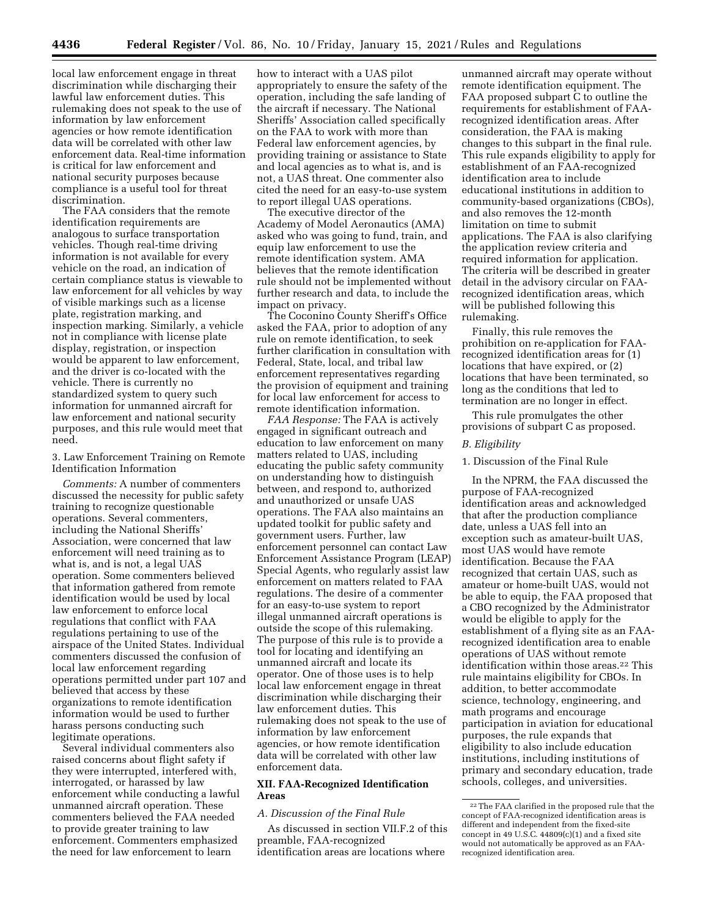local law enforcement engage in threat discrimination while discharging their lawful law enforcement duties. This rulemaking does not speak to the use of information by law enforcement agencies or how remote identification data will be correlated with other law enforcement data. Real-time information is critical for law enforcement and national security purposes because compliance is a useful tool for threat discrimination.

The FAA considers that the remote identification requirements are analogous to surface transportation vehicles. Though real-time driving information is not available for every vehicle on the road, an indication of certain compliance status is viewable to law enforcement for all vehicles by way of visible markings such as a license plate, registration marking, and inspection marking. Similarly, a vehicle not in compliance with license plate display, registration, or inspection would be apparent to law enforcement, and the driver is co-located with the vehicle. There is currently no standardized system to query such information for unmanned aircraft for law enforcement and national security purposes, and this rule would meet that need.

3. Law Enforcement Training on Remote Identification Information

*Comments:* A number of commenters discussed the necessity for public safety training to recognize questionable operations. Several commenters, including the National Sheriffs' Association, were concerned that law enforcement will need training as to what is, and is not, a legal UAS operation. Some commenters believed that information gathered from remote identification would be used by local law enforcement to enforce local regulations that conflict with FAA regulations pertaining to use of the airspace of the United States. Individual commenters discussed the confusion of local law enforcement regarding operations permitted under part 107 and believed that access by these organizations to remote identification information would be used to further harass persons conducting such legitimate operations.

Several individual commenters also raised concerns about flight safety if they were interrupted, interfered with, interrogated, or harassed by law enforcement while conducting a lawful unmanned aircraft operation. These commenters believed the FAA needed to provide greater training to law enforcement. Commenters emphasized the need for law enforcement to learn

how to interact with a UAS pilot appropriately to ensure the safety of the operation, including the safe landing of the aircraft if necessary. The National Sheriffs' Association called specifically on the FAA to work with more than Federal law enforcement agencies, by providing training or assistance to State and local agencies as to what is, and is not, a UAS threat. One commenter also cited the need for an easy-to-use system to report illegal UAS operations.

The executive director of the Academy of Model Aeronautics (AMA) asked who was going to fund, train, and equip law enforcement to use the remote identification system. AMA believes that the remote identification rule should not be implemented without further research and data, to include the impact on privacy.

The Coconino County Sheriff's Office asked the FAA, prior to adoption of any rule on remote identification, to seek further clarification in consultation with Federal, State, local, and tribal law enforcement representatives regarding the provision of equipment and training for local law enforcement for access to remote identification information.

*FAA Response:* The FAA is actively engaged in significant outreach and education to law enforcement on many matters related to UAS, including educating the public safety community on understanding how to distinguish between, and respond to, authorized and unauthorized or unsafe UAS operations. The FAA also maintains an updated toolkit for public safety and government users. Further, law enforcement personnel can contact Law Enforcement Assistance Program (LEAP) Special Agents, who regularly assist law enforcement on matters related to FAA regulations. The desire of a commenter for an easy-to-use system to report illegal unmanned aircraft operations is outside the scope of this rulemaking. The purpose of this rule is to provide a tool for locating and identifying an unmanned aircraft and locate its operator. One of those uses is to help local law enforcement engage in threat discrimination while discharging their law enforcement duties. This rulemaking does not speak to the use of information by law enforcement agencies, or how remote identification data will be correlated with other law enforcement data.

# **XII. FAA-Recognized Identification Areas**

# *A. Discussion of the Final Rule*

As discussed in section VII.F.2 of this preamble, FAA-recognized identification areas are locations where

unmanned aircraft may operate without remote identification equipment. The FAA proposed subpart C to outline the requirements for establishment of FAArecognized identification areas. After consideration, the FAA is making changes to this subpart in the final rule. This rule expands eligibility to apply for establishment of an FAA-recognized identification area to include educational institutions in addition to community-based organizations (CBOs), and also removes the 12-month limitation on time to submit applications. The FAA is also clarifying the application review criteria and required information for application. The criteria will be described in greater detail in the advisory circular on FAArecognized identification areas, which will be published following this rulemaking.

Finally, this rule removes the prohibition on re-application for FAArecognized identification areas for (1) locations that have expired, or (2) locations that have been terminated, so long as the conditions that led to termination are no longer in effect.

This rule promulgates the other provisions of subpart C as proposed.

# *B. Eligibility*

## 1. Discussion of the Final Rule

In the NPRM, the FAA discussed the purpose of FAA-recognized identification areas and acknowledged that after the production compliance date, unless a UAS fell into an exception such as amateur-built UAS, most UAS would have remote identification. Because the FAA recognized that certain UAS, such as amateur or home-built UAS, would not be able to equip, the FAA proposed that a CBO recognized by the Administrator would be eligible to apply for the establishment of a flying site as an FAArecognized identification area to enable operations of UAS without remote identification within those areas.<sup>22</sup> This rule maintains eligibility for CBOs. In addition, to better accommodate science, technology, engineering, and math programs and encourage participation in aviation for educational purposes, the rule expands that eligibility to also include education institutions, including institutions of primary and secondary education, trade schools, colleges, and universities.

<sup>22</sup>The FAA clarified in the proposed rule that the concept of FAA-recognized identification areas is different and independent from the fixed-site concept in 49 U.S.C. 44809(c)(1) and a fixed site would not automatically be approved as an FAArecognized identification area.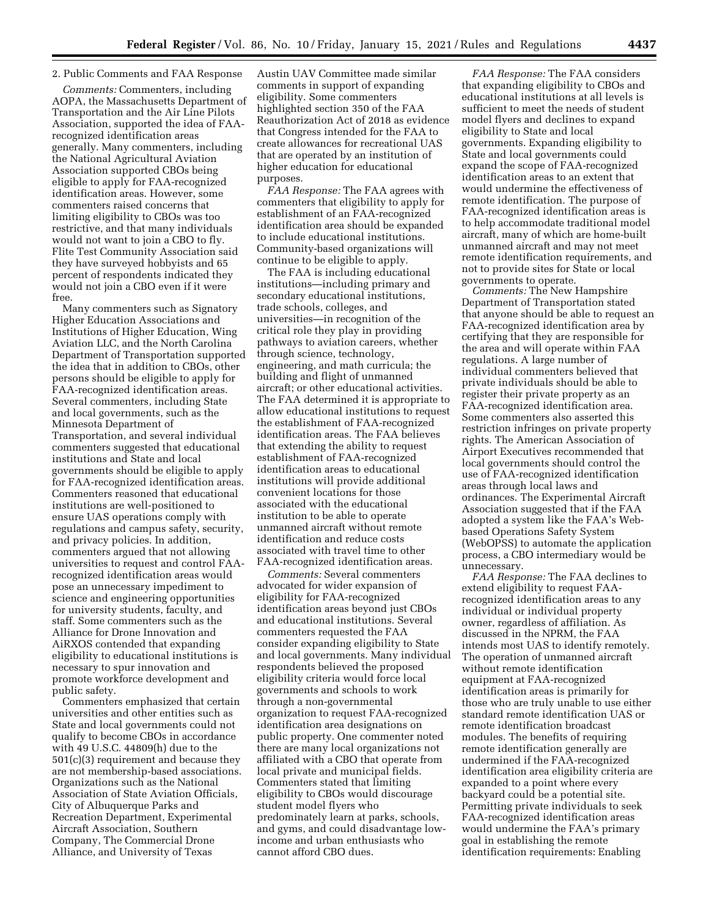# 2. Public Comments and FAA Response

*Comments:* Commenters, including AOPA, the Massachusetts Department of Transportation and the Air Line Pilots Association, supported the idea of FAArecognized identification areas generally. Many commenters, including the National Agricultural Aviation Association supported CBOs being eligible to apply for FAA-recognized identification areas. However, some commenters raised concerns that limiting eligibility to CBOs was too restrictive, and that many individuals would not want to join a CBO to fly. Flite Test Community Association said they have surveyed hobbyists and 65 percent of respondents indicated they would not join a CBO even if it were free.

Many commenters such as Signatory Higher Education Associations and Institutions of Higher Education, Wing Aviation LLC, and the North Carolina Department of Transportation supported the idea that in addition to CBOs, other persons should be eligible to apply for FAA-recognized identification areas. Several commenters, including State and local governments, such as the Minnesota Department of Transportation, and several individual commenters suggested that educational institutions and State and local governments should be eligible to apply for FAA-recognized identification areas. Commenters reasoned that educational institutions are well-positioned to ensure UAS operations comply with regulations and campus safety, security, and privacy policies. In addition, commenters argued that not allowing universities to request and control FAArecognized identification areas would pose an unnecessary impediment to science and engineering opportunities for university students, faculty, and staff. Some commenters such as the Alliance for Drone Innovation and AiRXOS contended that expanding eligibility to educational institutions is necessary to spur innovation and promote workforce development and public safety.

Commenters emphasized that certain universities and other entities such as State and local governments could not qualify to become CBOs in accordance with 49 U.S.C. 44809(h) due to the 501(c)(3) requirement and because they are not membership-based associations. Organizations such as the National Association of State Aviation Officials, City of Albuquerque Parks and Recreation Department, Experimental Aircraft Association, Southern Company, The Commercial Drone Alliance, and University of Texas

Austin UAV Committee made similar comments in support of expanding eligibility. Some commenters highlighted section 350 of the FAA Reauthorization Act of 2018 as evidence that Congress intended for the FAA to create allowances for recreational UAS that are operated by an institution of higher education for educational purposes.

*FAA Response:* The FAA agrees with commenters that eligibility to apply for establishment of an FAA-recognized identification area should be expanded to include educational institutions. Community-based organizations will continue to be eligible to apply.

The FAA is including educational institutions—including primary and secondary educational institutions, trade schools, colleges, and universities—in recognition of the critical role they play in providing pathways to aviation careers, whether through science, technology, engineering, and math curricula; the building and flight of unmanned aircraft; or other educational activities. The FAA determined it is appropriate to allow educational institutions to request the establishment of FAA-recognized identification areas. The FAA believes that extending the ability to request establishment of FAA-recognized identification areas to educational institutions will provide additional convenient locations for those associated with the educational institution to be able to operate unmanned aircraft without remote identification and reduce costs associated with travel time to other FAA-recognized identification areas.

*Comments:* Several commenters advocated for wider expansion of eligibility for FAA-recognized identification areas beyond just CBOs and educational institutions. Several commenters requested the FAA consider expanding eligibility to State and local governments. Many individual respondents believed the proposed eligibility criteria would force local governments and schools to work through a non-governmental organization to request FAA-recognized identification area designations on public property. One commenter noted there are many local organizations not affiliated with a CBO that operate from local private and municipal fields. Commenters stated that limiting eligibility to CBOs would discourage student model flyers who predominately learn at parks, schools, and gyms, and could disadvantage lowincome and urban enthusiasts who cannot afford CBO dues.

*FAA Response:* The FAA considers that expanding eligibility to CBOs and educational institutions at all levels is sufficient to meet the needs of student model flyers and declines to expand eligibility to State and local governments. Expanding eligibility to State and local governments could expand the scope of FAA-recognized identification areas to an extent that would undermine the effectiveness of remote identification. The purpose of FAA-recognized identification areas is to help accommodate traditional model aircraft, many of which are home-built unmanned aircraft and may not meet remote identification requirements, and not to provide sites for State or local governments to operate.

*Comments:* The New Hampshire Department of Transportation stated that anyone should be able to request an FAA-recognized identification area by certifying that they are responsible for the area and will operate within FAA regulations. A large number of individual commenters believed that private individuals should be able to register their private property as an FAA-recognized identification area. Some commenters also asserted this restriction infringes on private property rights. The American Association of Airport Executives recommended that local governments should control the use of FAA-recognized identification areas through local laws and ordinances. The Experimental Aircraft Association suggested that if the FAA adopted a system like the FAA's Webbased Operations Safety System (WebOPSS) to automate the application process, a CBO intermediary would be unnecessary.

*FAA Response:* The FAA declines to extend eligibility to request FAArecognized identification areas to any individual or individual property owner, regardless of affiliation. As discussed in the NPRM, the FAA intends most UAS to identify remotely. The operation of unmanned aircraft without remote identification equipment at FAA-recognized identification areas is primarily for those who are truly unable to use either standard remote identification UAS or remote identification broadcast modules. The benefits of requiring remote identification generally are undermined if the FAA-recognized identification area eligibility criteria are expanded to a point where every backyard could be a potential site. Permitting private individuals to seek FAA-recognized identification areas would undermine the FAA's primary goal in establishing the remote identification requirements: Enabling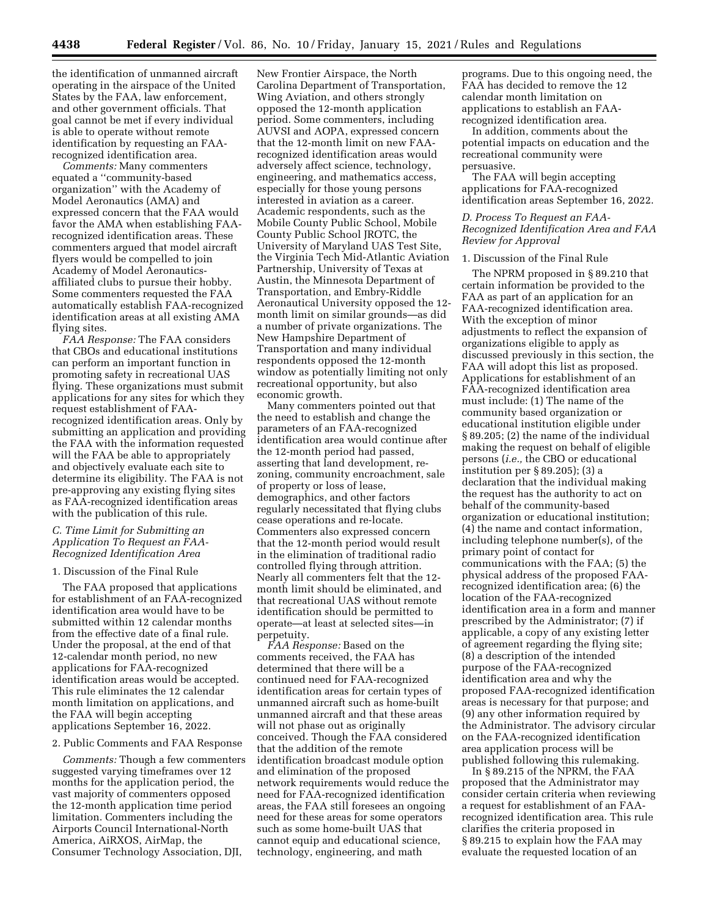the identification of unmanned aircraft operating in the airspace of the United States by the FAA, law enforcement, and other government officials. That goal cannot be met if every individual is able to operate without remote identification by requesting an FAArecognized identification area.

*Comments:* Many commenters equated a ''community-based organization'' with the Academy of Model Aeronautics (AMA) and expressed concern that the FAA would favor the AMA when establishing FAArecognized identification areas. These commenters argued that model aircraft flyers would be compelled to join Academy of Model Aeronauticsaffiliated clubs to pursue their hobby. Some commenters requested the FAA automatically establish FAA-recognized identification areas at all existing AMA flying sites.

*FAA Response:* The FAA considers that CBOs and educational institutions can perform an important function in promoting safety in recreational UAS flying. These organizations must submit applications for any sites for which they request establishment of FAArecognized identification areas. Only by submitting an application and providing the FAA with the information requested will the FAA be able to appropriately and objectively evaluate each site to determine its eligibility. The FAA is not pre-approving any existing flying sites as FAA-recognized identification areas with the publication of this rule.

# *C. Time Limit for Submitting an Application To Request an FAA-Recognized Identification Area*

### 1. Discussion of the Final Rule

The FAA proposed that applications for establishment of an FAA-recognized identification area would have to be submitted within 12 calendar months from the effective date of a final rule. Under the proposal, at the end of that 12-calendar month period, no new applications for FAA-recognized identification areas would be accepted. This rule eliminates the 12 calendar month limitation on applications, and the FAA will begin accepting applications September 16, 2022.

## 2. Public Comments and FAA Response

*Comments:* Though a few commenters suggested varying timeframes over 12 months for the application period, the vast majority of commenters opposed the 12-month application time period limitation. Commenters including the Airports Council International-North America, AiRXOS, AirMap, the Consumer Technology Association, DJI,

New Frontier Airspace, the North Carolina Department of Transportation, Wing Aviation, and others strongly opposed the 12-month application period. Some commenters, including AUVSI and AOPA, expressed concern that the 12-month limit on new FAArecognized identification areas would adversely affect science, technology, engineering, and mathematics access, especially for those young persons interested in aviation as a career. Academic respondents, such as the Mobile County Public School, Mobile County Public School JROTC, the University of Maryland UAS Test Site, the Virginia Tech Mid-Atlantic Aviation Partnership, University of Texas at Austin, the Minnesota Department of Transportation, and Embry-Riddle Aeronautical University opposed the 12 month limit on similar grounds—as did a number of private organizations. The New Hampshire Department of Transportation and many individual respondents opposed the 12-month window as potentially limiting not only recreational opportunity, but also economic growth.

Many commenters pointed out that the need to establish and change the parameters of an FAA-recognized identification area would continue after the 12-month period had passed, asserting that land development, rezoning, community encroachment, sale of property or loss of lease, demographics, and other factors regularly necessitated that flying clubs cease operations and re-locate. Commenters also expressed concern that the 12-month period would result in the elimination of traditional radio controlled flying through attrition. Nearly all commenters felt that the 12 month limit should be eliminated, and that recreational UAS without remote identification should be permitted to operate—at least at selected sites—in perpetuity.

*FAA Response:* Based on the comments received, the FAA has determined that there will be a continued need for FAA-recognized identification areas for certain types of unmanned aircraft such as home-built unmanned aircraft and that these areas will not phase out as originally conceived. Though the FAA considered that the addition of the remote identification broadcast module option and elimination of the proposed network requirements would reduce the need for FAA-recognized identification areas, the FAA still foresees an ongoing need for these areas for some operators such as some home-built UAS that cannot equip and educational science, technology, engineering, and math

programs. Due to this ongoing need, the FAA has decided to remove the 12 calendar month limitation on applications to establish an FAArecognized identification area.

In addition, comments about the potential impacts on education and the recreational community were persuasive.

The FAA will begin accepting applications for FAA-recognized identification areas September 16, 2022.

## *D. Process To Request an FAA-Recognized Identification Area and FAA Review for Approval*

#### 1. Discussion of the Final Rule

The NPRM proposed in § 89.210 that certain information be provided to the FAA as part of an application for an FAA-recognized identification area. With the exception of minor adjustments to reflect the expansion of organizations eligible to apply as discussed previously in this section, the FAA will adopt this list as proposed. Applications for establishment of an FAA-recognized identification area must include: (1) The name of the community based organization or educational institution eligible under § 89.205; (2) the name of the individual making the request on behalf of eligible persons (*i.e.,* the CBO or educational institution per § 89.205); (3) a declaration that the individual making the request has the authority to act on behalf of the community-based organization or educational institution; (4) the name and contact information, including telephone number(s), of the primary point of contact for communications with the FAA; (5) the physical address of the proposed FAArecognized identification area; (6) the location of the FAA-recognized identification area in a form and manner prescribed by the Administrator; (7) if applicable, a copy of any existing letter of agreement regarding the flying site; (8) a description of the intended purpose of the FAA-recognized identification area and why the proposed FAA-recognized identification areas is necessary for that purpose; and (9) any other information required by the Administrator. The advisory circular on the FAA-recognized identification area application process will be published following this rulemaking.

In § 89.215 of the NPRM, the FAA proposed that the Administrator may consider certain criteria when reviewing a request for establishment of an FAArecognized identification area. This rule clarifies the criteria proposed in § 89.215 to explain how the FAA may evaluate the requested location of an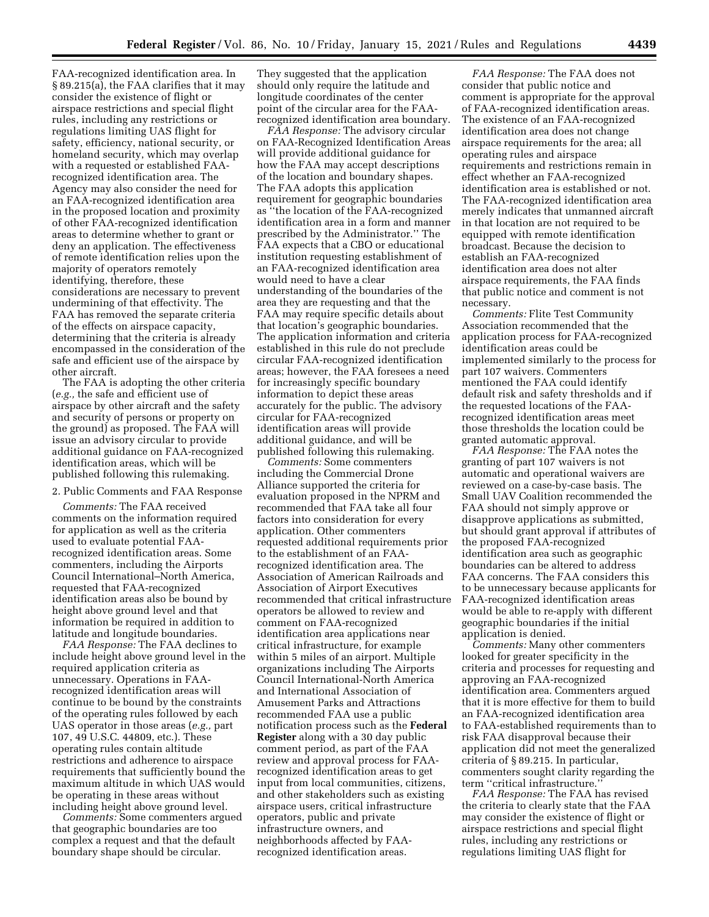FAA-recognized identification area. In § 89.215(a), the FAA clarifies that it may consider the existence of flight or airspace restrictions and special flight rules, including any restrictions or regulations limiting UAS flight for safety, efficiency, national security, or homeland security, which may overlap with a requested or established FAArecognized identification area. The Agency may also consider the need for an FAA-recognized identification area in the proposed location and proximity of other FAA-recognized identification areas to determine whether to grant or deny an application. The effectiveness of remote identification relies upon the majority of operators remotely identifying, therefore, these considerations are necessary to prevent undermining of that effectivity. The FAA has removed the separate criteria of the effects on airspace capacity, determining that the criteria is already encompassed in the consideration of the safe and efficient use of the airspace by other aircraft.

The FAA is adopting the other criteria (*e.g.,* the safe and efficient use of airspace by other aircraft and the safety and security of persons or property on the ground) as proposed. The FAA will issue an advisory circular to provide additional guidance on FAA-recognized identification areas, which will be published following this rulemaking.

2. Public Comments and FAA Response

*Comments:* The FAA received comments on the information required for application as well as the criteria used to evaluate potential FAArecognized identification areas. Some commenters, including the Airports Council International–North America, requested that FAA-recognized identification areas also be bound by height above ground level and that information be required in addition to latitude and longitude boundaries.

*FAA Response:* The FAA declines to include height above ground level in the required application criteria as unnecessary. Operations in FAArecognized identification areas will continue to be bound by the constraints of the operating rules followed by each UAS operator in those areas (*e.g.,* part 107, 49 U.S.C. 44809, etc.). These operating rules contain altitude restrictions and adherence to airspace requirements that sufficiently bound the maximum altitude in which UAS would be operating in these areas without including height above ground level.

*Comments:* Some commenters argued that geographic boundaries are too complex a request and that the default boundary shape should be circular.

They suggested that the application should only require the latitude and longitude coordinates of the center point of the circular area for the FAArecognized identification area boundary.

*FAA Response:* The advisory circular on FAA-Recognized Identification Areas will provide additional guidance for how the FAA may accept descriptions of the location and boundary shapes. The FAA adopts this application requirement for geographic boundaries as ''the location of the FAA-recognized identification area in a form and manner prescribed by the Administrator.'' The FAA expects that a CBO or educational institution requesting establishment of an FAA-recognized identification area would need to have a clear understanding of the boundaries of the area they are requesting and that the FAA may require specific details about that location's geographic boundaries. The application information and criteria established in this rule do not preclude circular FAA-recognized identification areas; however, the FAA foresees a need for increasingly specific boundary information to depict these areas accurately for the public. The advisory circular for FAA-recognized identification areas will provide additional guidance, and will be published following this rulemaking.

*Comments:* Some commenters including the Commercial Drone Alliance supported the criteria for evaluation proposed in the NPRM and recommended that FAA take all four factors into consideration for every application. Other commenters requested additional requirements prior to the establishment of an FAArecognized identification area. The Association of American Railroads and Association of Airport Executives recommended that critical infrastructure operators be allowed to review and comment on FAA-recognized identification area applications near critical infrastructure, for example within 5 miles of an airport. Multiple organizations including The Airports Council International-North America and International Association of Amusement Parks and Attractions recommended FAA use a public notification process such as the **Federal Register** along with a 30 day public comment period, as part of the FAA review and approval process for FAArecognized identification areas to get input from local communities, citizens, and other stakeholders such as existing airspace users, critical infrastructure operators, public and private infrastructure owners, and neighborhoods affected by FAArecognized identification areas.

*FAA Response:* The FAA does not consider that public notice and comment is appropriate for the approval of FAA-recognized identification areas. The existence of an FAA-recognized identification area does not change airspace requirements for the area; all operating rules and airspace requirements and restrictions remain in effect whether an FAA-recognized identification area is established or not. The FAA-recognized identification area merely indicates that unmanned aircraft in that location are not required to be equipped with remote identification broadcast. Because the decision to establish an FAA-recognized identification area does not alter airspace requirements, the FAA finds that public notice and comment is not necessary.

*Comments:* Flite Test Community Association recommended that the application process for FAA-recognized identification areas could be implemented similarly to the process for part 107 waivers. Commenters mentioned the FAA could identify default risk and safety thresholds and if the requested locations of the FAArecognized identification areas meet those thresholds the location could be granted automatic approval.

*FAA Response:* The FAA notes the granting of part 107 waivers is not automatic and operational waivers are reviewed on a case-by-case basis. The Small UAV Coalition recommended the FAA should not simply approve or disapprove applications as submitted, but should grant approval if attributes of the proposed FAA-recognized identification area such as geographic boundaries can be altered to address FAA concerns. The FAA considers this to be unnecessary because applicants for FAA-recognized identification areas would be able to re-apply with different geographic boundaries if the initial application is denied.

*Comments:* Many other commenters looked for greater specificity in the criteria and processes for requesting and approving an FAA-recognized identification area. Commenters argued that it is more effective for them to build an FAA-recognized identification area to FAA-established requirements than to risk FAA disapproval because their application did not meet the generalized criteria of § 89.215. In particular, commenters sought clarity regarding the term ''critical infrastructure.''

*FAA Response:* The FAA has revised the criteria to clearly state that the FAA may consider the existence of flight or airspace restrictions and special flight rules, including any restrictions or regulations limiting UAS flight for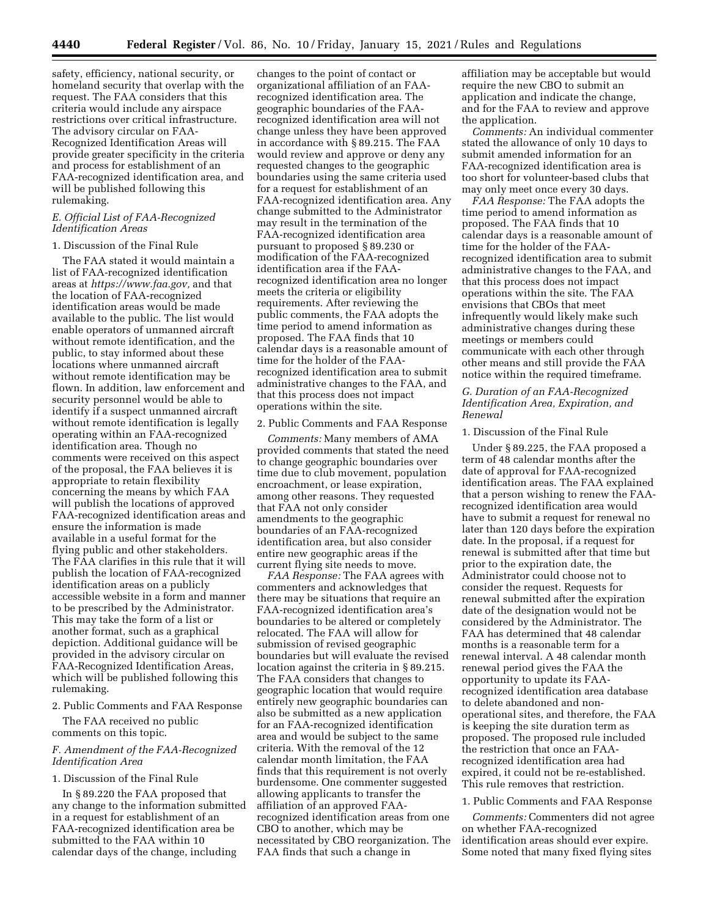safety, efficiency, national security, or homeland security that overlap with the request. The FAA considers that this criteria would include any airspace restrictions over critical infrastructure. The advisory circular on FAA-Recognized Identification Areas will provide greater specificity in the criteria and process for establishment of an FAA-recognized identification area, and will be published following this rulemaking.

## *E. Official List of FAA-Recognized Identification Areas*

### 1. Discussion of the Final Rule

The FAA stated it would maintain a list of FAA-recognized identification areas at *https://www.faa.gov,* and that the location of FAA-recognized identification areas would be made available to the public. The list would enable operators of unmanned aircraft without remote identification, and the public, to stay informed about these locations where unmanned aircraft without remote identification may be flown. In addition, law enforcement and security personnel would be able to identify if a suspect unmanned aircraft without remote identification is legally operating within an FAA-recognized identification area. Though no comments were received on this aspect of the proposal, the FAA believes it is appropriate to retain flexibility concerning the means by which FAA will publish the locations of approved FAA-recognized identification areas and ensure the information is made available in a useful format for the flying public and other stakeholders. The FAA clarifies in this rule that it will publish the location of FAA-recognized identification areas on a publicly accessible website in a form and manner to be prescribed by the Administrator. This may take the form of a list or another format, such as a graphical depiction. Additional guidance will be provided in the advisory circular on FAA-Recognized Identification Areas, which will be published following this rulemaking.

2. Public Comments and FAA Response

The FAA received no public comments on this topic.

## *F. Amendment of the FAA-Recognized Identification Area*

### 1. Discussion of the Final Rule

In § 89.220 the FAA proposed that any change to the information submitted in a request for establishment of an FAA-recognized identification area be submitted to the FAA within 10 calendar days of the change, including

changes to the point of contact or organizational affiliation of an FAArecognized identification area. The geographic boundaries of the FAArecognized identification area will not change unless they have been approved in accordance with § 89.215. The FAA would review and approve or deny any requested changes to the geographic boundaries using the same criteria used for a request for establishment of an FAA-recognized identification area. Any change submitted to the Administrator may result in the termination of the FAA-recognized identification area pursuant to proposed § 89.230 or modification of the FAA-recognized identification area if the FAArecognized identification area no longer meets the criteria or eligibility requirements. After reviewing the public comments, the FAA adopts the time period to amend information as proposed. The FAA finds that 10 calendar days is a reasonable amount of time for the holder of the FAArecognized identification area to submit administrative changes to the FAA, and that this process does not impact operations within the site.

#### 2. Public Comments and FAA Response

*Comments:* Many members of AMA provided comments that stated the need to change geographic boundaries over time due to club movement, population encroachment, or lease expiration, among other reasons. They requested that FAA not only consider amendments to the geographic boundaries of an FAA-recognized identification area, but also consider entire new geographic areas if the current flying site needs to move.

*FAA Response:* The FAA agrees with commenters and acknowledges that there may be situations that require an FAA-recognized identification area's boundaries to be altered or completely relocated. The FAA will allow for submission of revised geographic boundaries but will evaluate the revised location against the criteria in § 89.215. The FAA considers that changes to geographic location that would require entirely new geographic boundaries can also be submitted as a new application for an FAA-recognized identification area and would be subject to the same criteria. With the removal of the 12 calendar month limitation, the FAA finds that this requirement is not overly burdensome. One commenter suggested allowing applicants to transfer the affiliation of an approved FAArecognized identification areas from one CBO to another, which may be necessitated by CBO reorganization. The FAA finds that such a change in

affiliation may be acceptable but would require the new CBO to submit an application and indicate the change, and for the FAA to review and approve the application.

*Comments:* An individual commenter stated the allowance of only 10 days to submit amended information for an FAA-recognized identification area is too short for volunteer-based clubs that may only meet once every 30 days.

*FAA Response:* The FAA adopts the time period to amend information as proposed. The FAA finds that 10 calendar days is a reasonable amount of time for the holder of the FAArecognized identification area to submit administrative changes to the FAA, and that this process does not impact operations within the site. The FAA envisions that CBOs that meet infrequently would likely make such administrative changes during these meetings or members could communicate with each other through other means and still provide the FAA notice within the required timeframe.

## *G. Duration of an FAA-Recognized Identification Area, Expiration, and Renewal*

### 1. Discussion of the Final Rule

Under § 89.225, the FAA proposed a term of 48 calendar months after the date of approval for FAA-recognized identification areas. The FAA explained that a person wishing to renew the FAArecognized identification area would have to submit a request for renewal no later than 120 days before the expiration date. In the proposal, if a request for renewal is submitted after that time but prior to the expiration date, the Administrator could choose not to consider the request. Requests for renewal submitted after the expiration date of the designation would not be considered by the Administrator. The FAA has determined that 48 calendar months is a reasonable term for a renewal interval. A 48 calendar month renewal period gives the FAA the opportunity to update its FAArecognized identification area database to delete abandoned and nonoperational sites, and therefore, the FAA is keeping the site duration term as proposed. The proposed rule included the restriction that once an FAArecognized identification area had expired, it could not be re-established. This rule removes that restriction.

## 1. Public Comments and FAA Response

*Comments:* Commenters did not agree on whether FAA-recognized identification areas should ever expire. Some noted that many fixed flying sites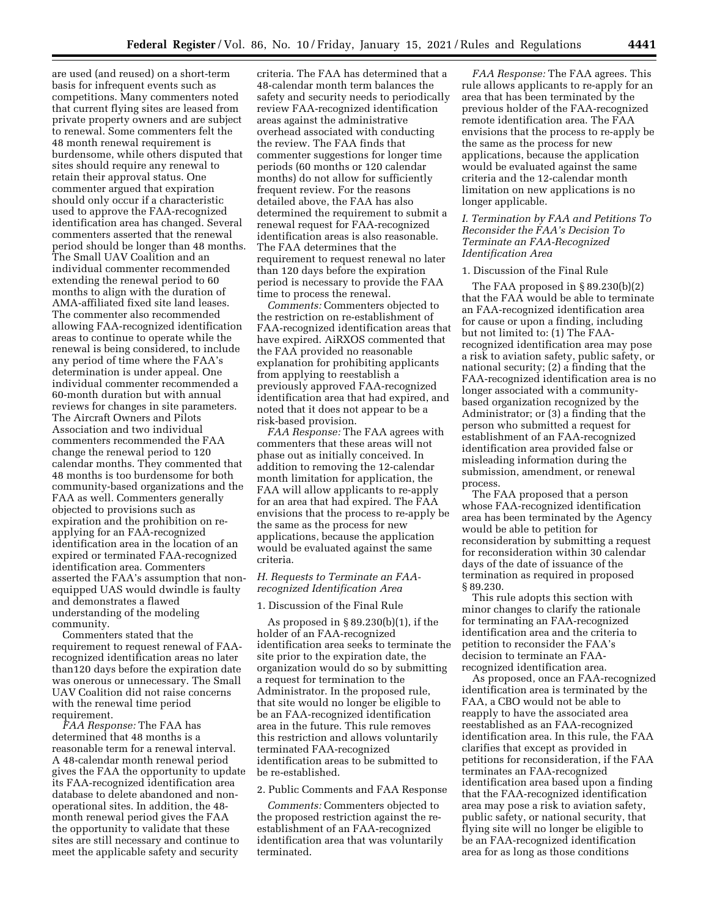are used (and reused) on a short-term basis for infrequent events such as competitions. Many commenters noted that current flying sites are leased from private property owners and are subject to renewal. Some commenters felt the 48 month renewal requirement is burdensome, while others disputed that sites should require any renewal to retain their approval status. One commenter argued that expiration should only occur if a characteristic used to approve the FAA-recognized identification area has changed. Several commenters asserted that the renewal period should be longer than 48 months. The Small UAV Coalition and an individual commenter recommended extending the renewal period to 60 months to align with the duration of AMA-affiliated fixed site land leases. The commenter also recommended allowing FAA-recognized identification areas to continue to operate while the renewal is being considered, to include any period of time where the FAA's determination is under appeal. One individual commenter recommended a 60-month duration but with annual reviews for changes in site parameters. The Aircraft Owners and Pilots Association and two individual commenters recommended the FAA change the renewal period to 120 calendar months. They commented that 48 months is too burdensome for both community-based organizations and the FAA as well. Commenters generally objected to provisions such as expiration and the prohibition on reapplying for an FAA-recognized identification area in the location of an expired or terminated FAA-recognized identification area. Commenters asserted the FAA's assumption that nonequipped UAS would dwindle is faulty and demonstrates a flawed understanding of the modeling community.

Commenters stated that the requirement to request renewal of FAArecognized identification areas no later than120 days before the expiration date was onerous or unnecessary. The Small UAV Coalition did not raise concerns with the renewal time period requirement.

*FAA Response:* The FAA has determined that 48 months is a reasonable term for a renewal interval. A 48-calendar month renewal period gives the FAA the opportunity to update its FAA-recognized identification area database to delete abandoned and nonoperational sites. In addition, the 48 month renewal period gives the FAA the opportunity to validate that these sites are still necessary and continue to meet the applicable safety and security

criteria. The FAA has determined that a 48-calendar month term balances the safety and security needs to periodically review FAA-recognized identification areas against the administrative overhead associated with conducting the review. The FAA finds that commenter suggestions for longer time periods (60 months or 120 calendar months) do not allow for sufficiently frequent review. For the reasons detailed above, the FAA has also determined the requirement to submit a renewal request for FAA-recognized identification areas is also reasonable. The FAA determines that the requirement to request renewal no later than 120 days before the expiration period is necessary to provide the FAA time to process the renewal.

*Comments:* Commenters objected to the restriction on re-establishment of FAA-recognized identification areas that have expired. AiRXOS commented that the FAA provided no reasonable explanation for prohibiting applicants from applying to reestablish a previously approved FAA-recognized identification area that had expired, and noted that it does not appear to be a risk-based provision.

*FAA Response:* The FAA agrees with commenters that these areas will not phase out as initially conceived. In addition to removing the 12-calendar month limitation for application, the FAA will allow applicants to re-apply for an area that had expired. The FAA envisions that the process to re-apply be the same as the process for new applications, because the application would be evaluated against the same criteria.

### *H. Requests to Terminate an FAArecognized Identification Area*

### 1. Discussion of the Final Rule

As proposed in § 89.230(b)(1), if the holder of an FAA-recognized identification area seeks to terminate the site prior to the expiration date, the organization would do so by submitting a request for termination to the Administrator. In the proposed rule, that site would no longer be eligible to be an FAA-recognized identification area in the future. This rule removes this restriction and allows voluntarily terminated FAA-recognized identification areas to be submitted to be re-established.

### 2. Public Comments and FAA Response

*Comments:* Commenters objected to the proposed restriction against the reestablishment of an FAA-recognized identification area that was voluntarily terminated.

*FAA Response:* The FAA agrees. This rule allows applicants to re-apply for an area that has been terminated by the previous holder of the FAA-recognized remote identification area. The FAA envisions that the process to re-apply be the same as the process for new applications, because the application would be evaluated against the same criteria and the 12-calendar month limitation on new applications is no longer applicable.

## *I. Termination by FAA and Petitions To Reconsider the FAA's Decision To Terminate an FAA-Recognized Identification Area*

#### 1. Discussion of the Final Rule

The FAA proposed in § 89.230(b)(2) that the FAA would be able to terminate an FAA-recognized identification area for cause or upon a finding, including but not limited to: (1) The FAArecognized identification area may pose a risk to aviation safety, public safety, or national security; (2) a finding that the FAA-recognized identification area is no longer associated with a communitybased organization recognized by the Administrator; or (3) a finding that the person who submitted a request for establishment of an FAA-recognized identification area provided false or misleading information during the submission, amendment, or renewal process.

The FAA proposed that a person whose FAA-recognized identification area has been terminated by the Agency would be able to petition for reconsideration by submitting a request for reconsideration within 30 calendar days of the date of issuance of the termination as required in proposed § 89.230.

This rule adopts this section with minor changes to clarify the rationale for terminating an FAA-recognized identification area and the criteria to petition to reconsider the FAA's decision to terminate an FAArecognized identification area.

As proposed, once an FAA-recognized identification area is terminated by the FAA, a CBO would not be able to reapply to have the associated area reestablished as an FAA-recognized identification area. In this rule, the FAA clarifies that except as provided in petitions for reconsideration, if the FAA terminates an FAA-recognized identification area based upon a finding that the FAA-recognized identification area may pose a risk to aviation safety, public safety, or national security, that flying site will no longer be eligible to be an FAA-recognized identification area for as long as those conditions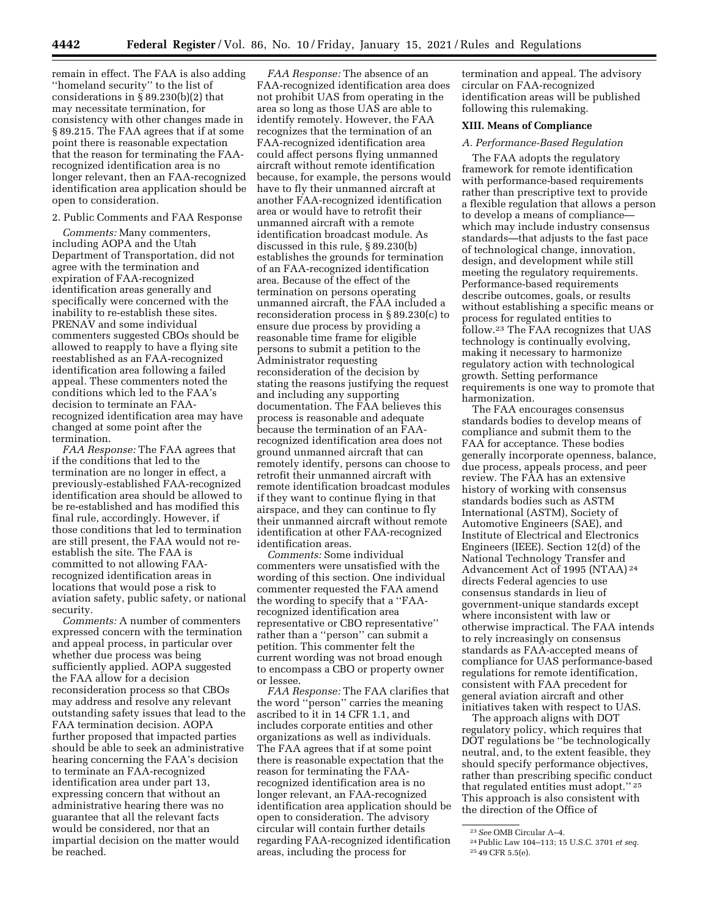remain in effect. The FAA is also adding ''homeland security'' to the list of considerations in § 89.230(b)(2) that may necessitate termination, for consistency with other changes made in § 89.215. The FAA agrees that if at some point there is reasonable expectation that the reason for terminating the FAArecognized identification area is no longer relevant, then an FAA-recognized identification area application should be open to consideration.

## 2. Public Comments and FAA Response

*Comments:* Many commenters, including AOPA and the Utah Department of Transportation, did not agree with the termination and expiration of FAA-recognized identification areas generally and specifically were concerned with the inability to re-establish these sites. PRENAV and some individual commenters suggested CBOs should be allowed to reapply to have a flying site reestablished as an FAA-recognized identification area following a failed appeal. These commenters noted the conditions which led to the FAA's decision to terminate an FAArecognized identification area may have changed at some point after the termination.

*FAA Response:* The FAA agrees that if the conditions that led to the termination are no longer in effect, a previously-established FAA-recognized identification area should be allowed to be re-established and has modified this final rule, accordingly. However, if those conditions that led to termination are still present, the FAA would not reestablish the site. The FAA is committed to not allowing FAArecognized identification areas in locations that would pose a risk to aviation safety, public safety, or national security.

*Comments:* A number of commenters expressed concern with the termination and appeal process, in particular over whether due process was being sufficiently applied. AOPA suggested the FAA allow for a decision reconsideration process so that CBOs may address and resolve any relevant outstanding safety issues that lead to the FAA termination decision. AOPA further proposed that impacted parties should be able to seek an administrative hearing concerning the FAA's decision to terminate an FAA-recognized identification area under part 13, expressing concern that without an administrative hearing there was no guarantee that all the relevant facts would be considered, nor that an impartial decision on the matter would be reached.

*FAA Response:* The absence of an FAA-recognized identification area does not prohibit UAS from operating in the area so long as those UAS are able to identify remotely. However, the FAA recognizes that the termination of an FAA-recognized identification area could affect persons flying unmanned aircraft without remote identification because, for example, the persons would have to fly their unmanned aircraft at another FAA-recognized identification area or would have to retrofit their unmanned aircraft with a remote identification broadcast module. As discussed in this rule, § 89.230(b) establishes the grounds for termination of an FAA-recognized identification area. Because of the effect of the termination on persons operating unmanned aircraft, the FAA included a reconsideration process in § 89.230(c) to ensure due process by providing a reasonable time frame for eligible persons to submit a petition to the Administrator requesting reconsideration of the decision by stating the reasons justifying the request and including any supporting documentation. The FAA believes this process is reasonable and adequate because the termination of an FAArecognized identification area does not ground unmanned aircraft that can remotely identify, persons can choose to retrofit their unmanned aircraft with remote identification broadcast modules if they want to continue flying in that airspace, and they can continue to fly their unmanned aircraft without remote identification at other FAA-recognized identification areas.

*Comments:* Some individual commenters were unsatisfied with the wording of this section. One individual commenter requested the FAA amend the wording to specify that a ''FAArecognized identification area representative or CBO representative'' rather than a ''person'' can submit a petition. This commenter felt the current wording was not broad enough to encompass a CBO or property owner or lessee.

*FAA Response:* The FAA clarifies that the word ''person'' carries the meaning ascribed to it in 14 CFR 1.1, and includes corporate entities and other organizations as well as individuals. The FAA agrees that if at some point there is reasonable expectation that the reason for terminating the FAArecognized identification area is no longer relevant, an FAA-recognized identification area application should be open to consideration. The advisory circular will contain further details regarding FAA-recognized identification areas, including the process for

termination and appeal. The advisory circular on FAA-recognized identification areas will be published following this rulemaking.

### **XIII. Means of Compliance**

#### *A. Performance-Based Regulation*

The FAA adopts the regulatory framework for remote identification with performance-based requirements rather than prescriptive text to provide a flexible regulation that allows a person to develop a means of compliance which may include industry consensus standards—that adjusts to the fast pace of technological change, innovation, design, and development while still meeting the regulatory requirements. Performance-based requirements describe outcomes, goals, or results without establishing a specific means or process for regulated entities to follow.23 The FAA recognizes that UAS technology is continually evolving, making it necessary to harmonize regulatory action with technological growth. Setting performance requirements is one way to promote that harmonization.

The FAA encourages consensus standards bodies to develop means of compliance and submit them to the FAA for acceptance. These bodies generally incorporate openness, balance, due process, appeals process, and peer review. The FAA has an extensive history of working with consensus standards bodies such as ASTM International (ASTM), Society of Automotive Engineers (SAE), and Institute of Electrical and Electronics Engineers (IEEE). Section 12(d) of the National Technology Transfer and Advancement Act of 1995 (NTAA) 24 directs Federal agencies to use consensus standards in lieu of government-unique standards except where inconsistent with law or otherwise impractical. The FAA intends to rely increasingly on consensus standards as FAA-accepted means of compliance for UAS performance-based regulations for remote identification, consistent with FAA precedent for general aviation aircraft and other initiatives taken with respect to UAS.

The approach aligns with DOT regulatory policy, which requires that DOT regulations be ''be technologically neutral, and, to the extent feasible, they should specify performance objectives, rather than prescribing specific conduct that regulated entities must adopt.'' 25 This approach is also consistent with the direction of the Office of

<sup>23</sup>*See* OMB Circular A–4. 24Public Law 104–113; 15 U.S.C. 3701 *et seq.* 25 49 CFR 5.5(e).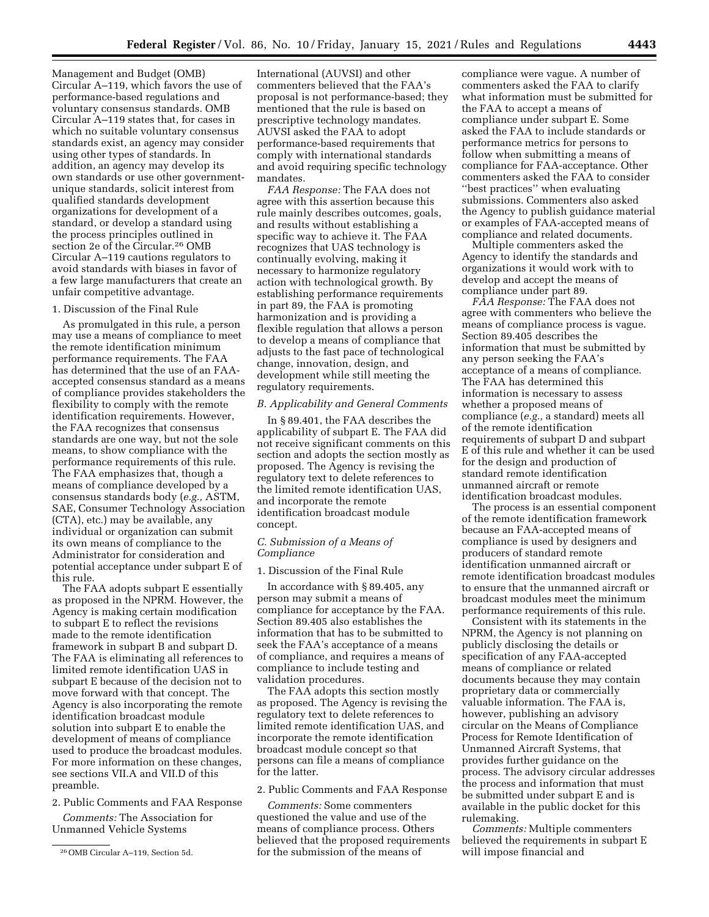Management and Budget (OMB) Circular A–119, which favors the use of performance-based regulations and voluntary consensus standards. OMB Circular A–119 states that, for cases in which no suitable voluntary consensus standards exist, an agency may consider using other types of standards. In addition, an agency may develop its own standards or use other governmentunique standards, solicit interest from qualified standards development organizations for development of a standard, or develop a standard using the process principles outlined in section 2e of the Circular.26 OMB Circular A–119 cautions regulators to avoid standards with biases in favor of a few large manufacturers that create an unfair competitive advantage.

## 1. Discussion of the Final Rule

As promulgated in this rule, a person may use a means of compliance to meet the remote identification minimum performance requirements. The FAA has determined that the use of an FAAaccepted consensus standard as a means of compliance provides stakeholders the flexibility to comply with the remote identification requirements. However, the FAA recognizes that consensus standards are one way, but not the sole means, to show compliance with the performance requirements of this rule. The FAA emphasizes that, though a means of compliance developed by a consensus standards body (*e.g.,* ASTM, SAE, Consumer Technology Association (CTA), etc.) may be available, any individual or organization can submit its own means of compliance to the Administrator for consideration and potential acceptance under subpart E of this rule.

The FAA adopts subpart E essentially as proposed in the NPRM. However, the Agency is making certain modification to subpart E to reflect the revisions made to the remote identification framework in subpart B and subpart D. The FAA is eliminating all references to limited remote identification UAS in subpart E because of the decision not to move forward with that concept. The Agency is also incorporating the remote identification broadcast module solution into subpart E to enable the development of means of compliance used to produce the broadcast modules. For more information on these changes, see sections VII.A and VII.D of this preamble.

# 2. Public Comments and FAA Response

*Comments:* The Association for Unmanned Vehicle Systems

International (AUVSI) and other commenters believed that the FAA's proposal is not performance-based; they mentioned that the rule is based on prescriptive technology mandates. AUVSI asked the FAA to adopt performance-based requirements that comply with international standards and avoid requiring specific technology mandates.

*FAA Response:* The FAA does not agree with this assertion because this rule mainly describes outcomes, goals, and results without establishing a specific way to achieve it. The FAA recognizes that UAS technology is continually evolving, making it necessary to harmonize regulatory action with technological growth. By establishing performance requirements in part 89, the FAA is promoting harmonization and is providing a flexible regulation that allows a person to develop a means of compliance that adjusts to the fast pace of technological change, innovation, design, and development while still meeting the regulatory requirements.

## *B. Applicability and General Comments*

In § 89.401, the FAA describes the applicability of subpart E. The FAA did not receive significant comments on this section and adopts the section mostly as proposed. The Agency is revising the regulatory text to delete references to the limited remote identification UAS, and incorporate the remote identification broadcast module concept.

## *C. Submission of a Means of Compliance*

#### 1. Discussion of the Final Rule

In accordance with § 89.405, any person may submit a means of compliance for acceptance by the FAA. Section 89.405 also establishes the information that has to be submitted to seek the FAA's acceptance of a means of compliance, and requires a means of compliance to include testing and validation procedures.

The FAA adopts this section mostly as proposed. The Agency is revising the regulatory text to delete references to limited remote identification UAS, and incorporate the remote identification broadcast module concept so that persons can file a means of compliance for the latter.

### 2. Public Comments and FAA Response

*Comments:* Some commenters questioned the value and use of the means of compliance process. Others believed that the proposed requirements for the submission of the means of

compliance were vague. A number of commenters asked the FAA to clarify what information must be submitted for the FAA to accept a means of compliance under subpart E. Some asked the FAA to include standards or performance metrics for persons to follow when submitting a means of compliance for FAA-acceptance. Other commenters asked the FAA to consider ''best practices'' when evaluating submissions. Commenters also asked the Agency to publish guidance material or examples of FAA-accepted means of compliance and related documents.

Multiple commenters asked the Agency to identify the standards and organizations it would work with to develop and accept the means of compliance under part 89.

*FAA Response:* The FAA does not agree with commenters who believe the means of compliance process is vague. Section 89.405 describes the information that must be submitted by any person seeking the FAA's acceptance of a means of compliance. The FAA has determined this information is necessary to assess whether a proposed means of compliance (*e.g.,* a standard) meets all of the remote identification requirements of subpart D and subpart E of this rule and whether it can be used for the design and production of standard remote identification unmanned aircraft or remote identification broadcast modules.

The process is an essential component of the remote identification framework because an FAA-accepted means of compliance is used by designers and producers of standard remote identification unmanned aircraft or remote identification broadcast modules to ensure that the unmanned aircraft or broadcast modules meet the minimum performance requirements of this rule.

Consistent with its statements in the NPRM, the Agency is not planning on publicly disclosing the details or specification of any FAA-accepted means of compliance or related documents because they may contain proprietary data or commercially valuable information. The FAA is, however, publishing an advisory circular on the Means of Compliance Process for Remote Identification of Unmanned Aircraft Systems, that provides further guidance on the process. The advisory circular addresses the process and information that must be submitted under subpart E and is available in the public docket for this rulemaking.

*Comments:* Multiple commenters believed the requirements in subpart E will impose financial and

<sup>26</sup>OMB Circular A–119, Section 5d.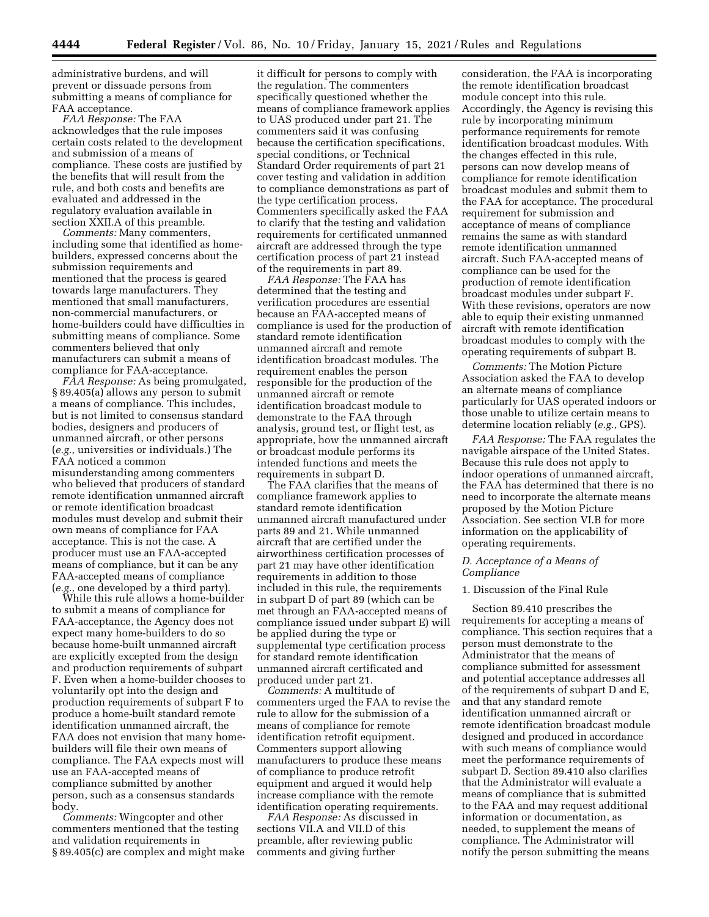administrative burdens, and will prevent or dissuade persons from submitting a means of compliance for FAA acceptance.

*FAA Response:* The FAA acknowledges that the rule imposes certain costs related to the development and submission of a means of compliance. These costs are justified by the benefits that will result from the rule, and both costs and benefits are evaluated and addressed in the regulatory evaluation available in section XXII.A of this preamble.

*Comments:* Many commenters, including some that identified as homebuilders, expressed concerns about the submission requirements and mentioned that the process is geared towards large manufacturers. They mentioned that small manufacturers, non-commercial manufacturers, or home-builders could have difficulties in submitting means of compliance. Some commenters believed that only manufacturers can submit a means of compliance for FAA-acceptance.

*FAA Response:* As being promulgated, § 89.405(a) allows any person to submit a means of compliance. This includes, but is not limited to consensus standard bodies, designers and producers of unmanned aircraft, or other persons (*e.g.,* universities or individuals.) The FAA noticed a common misunderstanding among commenters who believed that producers of standard remote identification unmanned aircraft or remote identification broadcast modules must develop and submit their own means of compliance for FAA acceptance. This is not the case. A producer must use an FAA-accepted means of compliance, but it can be any FAA-accepted means of compliance (*e.g.,* one developed by a third party).

While this rule allows a home-builder to submit a means of compliance for FAA-acceptance, the Agency does not expect many home-builders to do so because home-built unmanned aircraft are explicitly excepted from the design and production requirements of subpart F. Even when a home-builder chooses to voluntarily opt into the design and production requirements of subpart F to produce a home-built standard remote identification unmanned aircraft, the FAA does not envision that many homebuilders will file their own means of compliance. The FAA expects most will use an FAA-accepted means of compliance submitted by another person, such as a consensus standards body.

*Comments:* Wingcopter and other commenters mentioned that the testing and validation requirements in § 89.405(c) are complex and might make

it difficult for persons to comply with the regulation. The commenters specifically questioned whether the means of compliance framework applies to UAS produced under part 21. The commenters said it was confusing because the certification specifications, special conditions, or Technical Standard Order requirements of part 21 cover testing and validation in addition to compliance demonstrations as part of the type certification process. Commenters specifically asked the FAA to clarify that the testing and validation requirements for certificated unmanned aircraft are addressed through the type certification process of part 21 instead of the requirements in part 89.

*FAA Response:* The FAA has determined that the testing and verification procedures are essential because an FAA-accepted means of compliance is used for the production of standard remote identification unmanned aircraft and remote identification broadcast modules. The requirement enables the person responsible for the production of the unmanned aircraft or remote identification broadcast module to demonstrate to the FAA through analysis, ground test, or flight test, as appropriate, how the unmanned aircraft or broadcast module performs its intended functions and meets the requirements in subpart D.

The FAA clarifies that the means of compliance framework applies to standard remote identification unmanned aircraft manufactured under parts 89 and 21. While unmanned aircraft that are certified under the airworthiness certification processes of part 21 may have other identification requirements in addition to those included in this rule, the requirements in subpart D of part 89 (which can be met through an FAA-accepted means of compliance issued under subpart E) will be applied during the type or supplemental type certification process for standard remote identification unmanned aircraft certificated and produced under part 21.

*Comments:* A multitude of commenters urged the FAA to revise the rule to allow for the submission of a means of compliance for remote identification retrofit equipment. Commenters support allowing manufacturers to produce these means of compliance to produce retrofit equipment and argued it would help increase compliance with the remote identification operating requirements.

*FAA Response:* As discussed in sections VII.A and VII.D of this preamble, after reviewing public comments and giving further

consideration, the FAA is incorporating the remote identification broadcast module concept into this rule. Accordingly, the Agency is revising this rule by incorporating minimum performance requirements for remote identification broadcast modules. With the changes effected in this rule, persons can now develop means of compliance for remote identification broadcast modules and submit them to the FAA for acceptance. The procedural requirement for submission and acceptance of means of compliance remains the same as with standard remote identification unmanned aircraft. Such FAA-accepted means of compliance can be used for the production of remote identification broadcast modules under subpart F. With these revisions, operators are now able to equip their existing unmanned aircraft with remote identification broadcast modules to comply with the operating requirements of subpart B.

*Comments:* The Motion Picture Association asked the FAA to develop an alternate means of compliance particularly for UAS operated indoors or those unable to utilize certain means to determine location reliably (*e.g.,* GPS).

*FAA Response:* The FAA regulates the navigable airspace of the United States. Because this rule does not apply to indoor operations of unmanned aircraft, the FAA has determined that there is no need to incorporate the alternate means proposed by the Motion Picture Association. See section VI.B for more information on the applicability of operating requirements.

## *D. Acceptance of a Means of Compliance*

### 1. Discussion of the Final Rule

Section 89.410 prescribes the requirements for accepting a means of compliance. This section requires that a person must demonstrate to the Administrator that the means of compliance submitted for assessment and potential acceptance addresses all of the requirements of subpart D and E, and that any standard remote identification unmanned aircraft or remote identification broadcast module designed and produced in accordance with such means of compliance would meet the performance requirements of subpart D. Section 89.410 also clarifies that the Administrator will evaluate a means of compliance that is submitted to the FAA and may request additional information or documentation, as needed, to supplement the means of compliance. The Administrator will notify the person submitting the means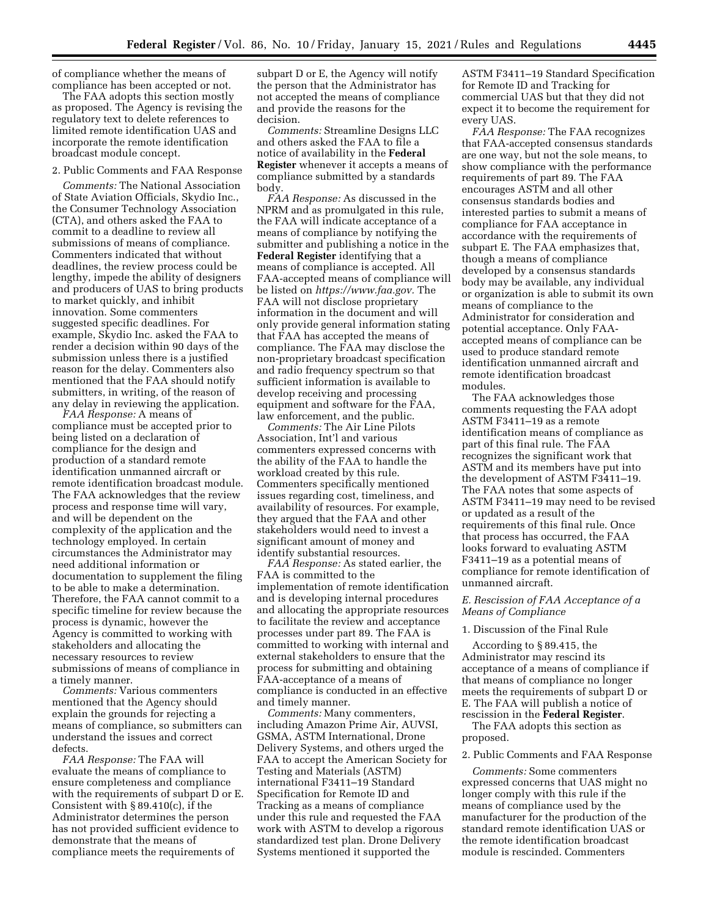of compliance whether the means of compliance has been accepted or not.

The FAA adopts this section mostly as proposed. The Agency is revising the regulatory text to delete references to limited remote identification UAS and incorporate the remote identification broadcast module concept.

2. Public Comments and FAA Response

*Comments:* The National Association of State Aviation Officials, Skydio Inc., the Consumer Technology Association (CTA), and others asked the FAA to commit to a deadline to review all submissions of means of compliance. Commenters indicated that without deadlines, the review process could be lengthy, impede the ability of designers and producers of UAS to bring products to market quickly, and inhibit innovation. Some commenters suggested specific deadlines. For example, Skydio Inc. asked the FAA to render a decision within 90 days of the submission unless there is a justified reason for the delay. Commenters also mentioned that the FAA should notify submitters, in writing, of the reason of any delay in reviewing the application.

*FAA Response:* A means of compliance must be accepted prior to being listed on a declaration of compliance for the design and production of a standard remote identification unmanned aircraft or remote identification broadcast module. The FAA acknowledges that the review process and response time will vary, and will be dependent on the complexity of the application and the technology employed. In certain circumstances the Administrator may need additional information or documentation to supplement the filing to be able to make a determination. Therefore, the FAA cannot commit to a specific timeline for review because the process is dynamic, however the Agency is committed to working with stakeholders and allocating the necessary resources to review submissions of means of compliance in a timely manner.

*Comments:* Various commenters mentioned that the Agency should explain the grounds for rejecting a means of compliance, so submitters can understand the issues and correct defects.

*FAA Response:* The FAA will evaluate the means of compliance to ensure completeness and compliance with the requirements of subpart D or E. Consistent with § 89.410(c), if the Administrator determines the person has not provided sufficient evidence to demonstrate that the means of compliance meets the requirements of

subpart D or E, the Agency will notify the person that the Administrator has not accepted the means of compliance and provide the reasons for the decision.

*Comments:* Streamline Designs LLC and others asked the FAA to file a notice of availability in the **Federal Register** whenever it accepts a means of compliance submitted by a standards body.

*FAA Response:* As discussed in the NPRM and as promulgated in this rule, the FAA will indicate acceptance of a means of compliance by notifying the submitter and publishing a notice in the **Federal Register** identifying that a means of compliance is accepted. All FAA-accepted means of compliance will be listed on *https://www.faa.gov.* The FAA will not disclose proprietary information in the document and will only provide general information stating that FAA has accepted the means of compliance. The FAA may disclose the non-proprietary broadcast specification and radio frequency spectrum so that sufficient information is available to develop receiving and processing equipment and software for the FAA, law enforcement, and the public.

*Comments:* The Air Line Pilots Association, Int'l and various commenters expressed concerns with the ability of the FAA to handle the workload created by this rule. Commenters specifically mentioned issues regarding cost, timeliness, and availability of resources. For example, they argued that the FAA and other stakeholders would need to invest a significant amount of money and identify substantial resources.

*FAA Response:* As stated earlier, the FAA is committed to the implementation of remote identification and is developing internal procedures and allocating the appropriate resources to facilitate the review and acceptance processes under part 89. The FAA is committed to working with internal and external stakeholders to ensure that the process for submitting and obtaining FAA-acceptance of a means of compliance is conducted in an effective and timely manner.

*Comments:* Many commenters, including Amazon Prime Air, AUVSI, GSMA, ASTM International, Drone Delivery Systems, and others urged the FAA to accept the American Society for Testing and Materials (ASTM) international F3411–19 Standard Specification for Remote ID and Tracking as a means of compliance under this rule and requested the FAA work with ASTM to develop a rigorous standardized test plan. Drone Delivery Systems mentioned it supported the

ASTM F3411–19 Standard Specification for Remote ID and Tracking for commercial UAS but that they did not expect it to become the requirement for every UAS.

*FAA Response:* The FAA recognizes that FAA-accepted consensus standards are one way, but not the sole means, to show compliance with the performance requirements of part 89. The FAA encourages ASTM and all other consensus standards bodies and interested parties to submit a means of compliance for FAA acceptance in accordance with the requirements of subpart E. The FAA emphasizes that, though a means of compliance developed by a consensus standards body may be available, any individual or organization is able to submit its own means of compliance to the Administrator for consideration and potential acceptance. Only FAAaccepted means of compliance can be used to produce standard remote identification unmanned aircraft and remote identification broadcast modules.

The FAA acknowledges those comments requesting the FAA adopt ASTM F3411–19 as a remote identification means of compliance as part of this final rule. The FAA recognizes the significant work that ASTM and its members have put into the development of ASTM F3411–19. The FAA notes that some aspects of ASTM F3411–19 may need to be revised or updated as a result of the requirements of this final rule. Once that process has occurred, the FAA looks forward to evaluating ASTM F3411–19 as a potential means of compliance for remote identification of unmanned aircraft.

# *E. Rescission of FAA Acceptance of a Means of Compliance*

## 1. Discussion of the Final Rule

According to § 89.415, the Administrator may rescind its acceptance of a means of compliance if that means of compliance no longer meets the requirements of subpart D or E. The FAA will publish a notice of rescission in the **Federal Register**.

The FAA adopts this section as proposed.

### 2. Public Comments and FAA Response

*Comments:* Some commenters expressed concerns that UAS might no longer comply with this rule if the means of compliance used by the manufacturer for the production of the standard remote identification UAS or the remote identification broadcast module is rescinded. Commenters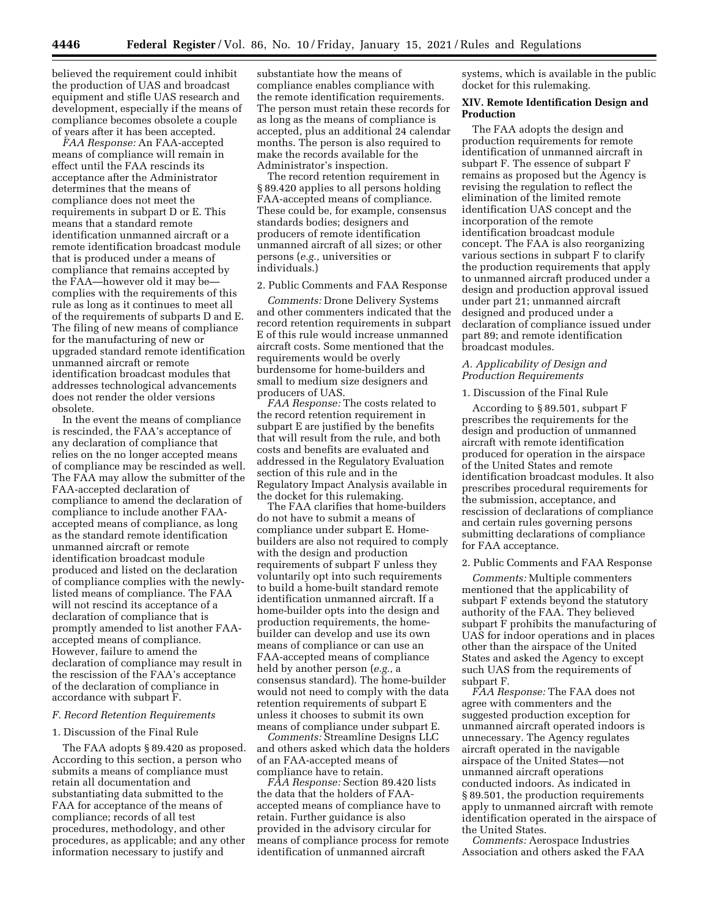believed the requirement could inhibit the production of UAS and broadcast equipment and stifle UAS research and development, especially if the means of compliance becomes obsolete a couple of years after it has been accepted.

*FAA Response:* An FAA-accepted means of compliance will remain in effect until the FAA rescinds its acceptance after the Administrator determines that the means of compliance does not meet the requirements in subpart D or E. This means that a standard remote identification unmanned aircraft or a remote identification broadcast module that is produced under a means of compliance that remains accepted by the FAA—however old it may be complies with the requirements of this rule as long as it continues to meet all of the requirements of subparts D and E. The filing of new means of compliance for the manufacturing of new or upgraded standard remote identification unmanned aircraft or remote identification broadcast modules that addresses technological advancements does not render the older versions obsolete.

In the event the means of compliance is rescinded, the FAA's acceptance of any declaration of compliance that relies on the no longer accepted means of compliance may be rescinded as well. The FAA may allow the submitter of the FAA-accepted declaration of compliance to amend the declaration of compliance to include another FAAaccepted means of compliance, as long as the standard remote identification unmanned aircraft or remote identification broadcast module produced and listed on the declaration of compliance complies with the newlylisted means of compliance. The FAA will not rescind its acceptance of a declaration of compliance that is promptly amended to list another FAAaccepted means of compliance. However, failure to amend the declaration of compliance may result in the rescission of the FAA's acceptance of the declaration of compliance in accordance with subpart F.

### *F. Record Retention Requirements*

### 1. Discussion of the Final Rule

The FAA adopts § 89.420 as proposed. According to this section, a person who submits a means of compliance must retain all documentation and substantiating data submitted to the FAA for acceptance of the means of compliance; records of all test procedures, methodology, and other procedures, as applicable; and any other information necessary to justify and

substantiate how the means of compliance enables compliance with the remote identification requirements. The person must retain these records for as long as the means of compliance is accepted, plus an additional 24 calendar months. The person is also required to make the records available for the Administrator's inspection.

The record retention requirement in § 89.420 applies to all persons holding FAA-accepted means of compliance. These could be, for example, consensus standards bodies; designers and producers of remote identification unmanned aircraft of all sizes; or other persons (*e.g.,* universities or individuals.)

#### 2. Public Comments and FAA Response

*Comments:* Drone Delivery Systems and other commenters indicated that the record retention requirements in subpart E of this rule would increase unmanned aircraft costs. Some mentioned that the requirements would be overly burdensome for home-builders and small to medium size designers and producers of UAS.

*FAA Response:* The costs related to the record retention requirement in subpart E are justified by the benefits that will result from the rule, and both costs and benefits are evaluated and addressed in the Regulatory Evaluation section of this rule and in the Regulatory Impact Analysis available in the docket for this rulemaking.

The FAA clarifies that home-builders do not have to submit a means of compliance under subpart E. Homebuilders are also not required to comply with the design and production requirements of subpart F unless they voluntarily opt into such requirements to build a home-built standard remote identification unmanned aircraft. If a home-builder opts into the design and production requirements, the homebuilder can develop and use its own means of compliance or can use an FAA-accepted means of compliance held by another person (*e.g.,* a consensus standard). The home-builder would not need to comply with the data retention requirements of subpart E unless it chooses to submit its own means of compliance under subpart E.

*Comments:* Streamline Designs LLC and others asked which data the holders of an FAA-accepted means of compliance have to retain.

*FAA Response:* Section 89.420 lists the data that the holders of FAAaccepted means of compliance have to retain. Further guidance is also provided in the advisory circular for means of compliance process for remote identification of unmanned aircraft

systems, which is available in the public docket for this rulemaking.

## **XIV. Remote Identification Design and Production**

The FAA adopts the design and production requirements for remote identification of unmanned aircraft in subpart F. The essence of subpart F remains as proposed but the Agency is revising the regulation to reflect the elimination of the limited remote identification UAS concept and the incorporation of the remote identification broadcast module concept. The FAA is also reorganizing various sections in subpart F to clarify the production requirements that apply to unmanned aircraft produced under a design and production approval issued under part 21; unmanned aircraft designed and produced under a declaration of compliance issued under part 89; and remote identification broadcast modules.

## *A. Applicability of Design and Production Requirements*

### 1. Discussion of the Final Rule

According to § 89.501, subpart F prescribes the requirements for the design and production of unmanned aircraft with remote identification produced for operation in the airspace of the United States and remote identification broadcast modules. It also prescribes procedural requirements for the submission, acceptance, and rescission of declarations of compliance and certain rules governing persons submitting declarations of compliance for FAA acceptance.

# 2. Public Comments and FAA Response

*Comments:* Multiple commenters mentioned that the applicability of subpart F extends beyond the statutory authority of the FAA. They believed subpart F prohibits the manufacturing of UAS for indoor operations and in places other than the airspace of the United States and asked the Agency to except such UAS from the requirements of subpart F.

*FAA Response:* The FAA does not agree with commenters and the suggested production exception for unmanned aircraft operated indoors is unnecessary. The Agency regulates aircraft operated in the navigable airspace of the United States—not unmanned aircraft operations conducted indoors. As indicated in § 89.501, the production requirements apply to unmanned aircraft with remote identification operated in the airspace of the United States.

*Comments:* Aerospace Industries Association and others asked the FAA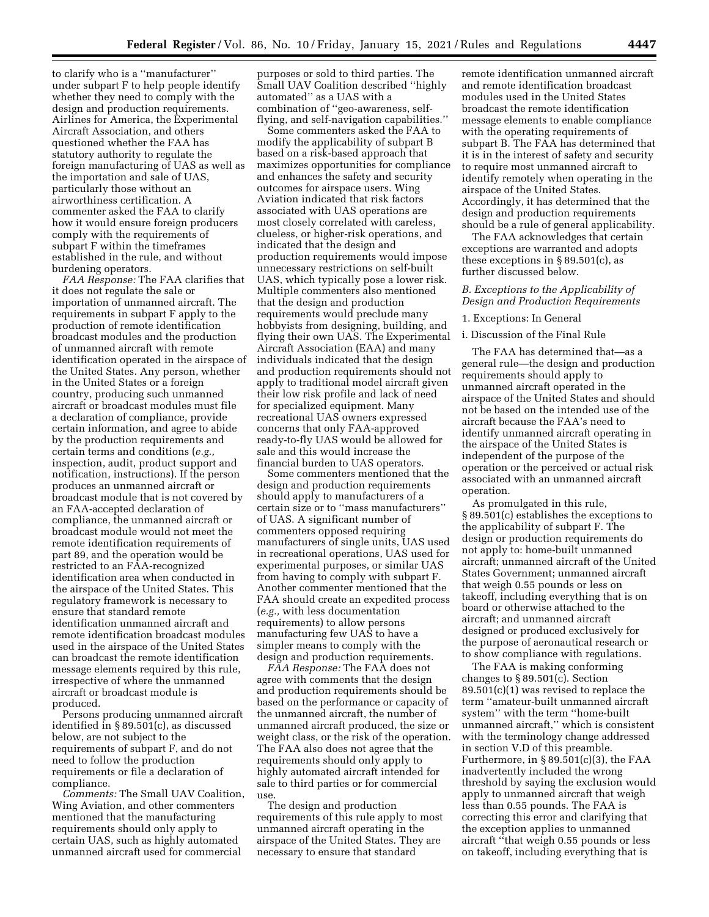to clarify who is a ''manufacturer'' under subpart F to help people identify whether they need to comply with the design and production requirements. Airlines for America, the Experimental Aircraft Association, and others questioned whether the FAA has statutory authority to regulate the foreign manufacturing of UAS as well as the importation and sale of UAS, particularly those without an airworthiness certification. A commenter asked the FAA to clarify how it would ensure foreign producers comply with the requirements of subpart F within the timeframes established in the rule, and without burdening operators.

*FAA Response:* The FAA clarifies that it does not regulate the sale or importation of unmanned aircraft. The requirements in subpart F apply to the production of remote identification broadcast modules and the production of unmanned aircraft with remote identification operated in the airspace of the United States. Any person, whether in the United States or a foreign country, producing such unmanned aircraft or broadcast modules must file a declaration of compliance, provide certain information, and agree to abide by the production requirements and certain terms and conditions (*e.g.,*  inspection, audit, product support and notification, instructions). If the person produces an unmanned aircraft or broadcast module that is not covered by an FAA-accepted declaration of compliance, the unmanned aircraft or broadcast module would not meet the remote identification requirements of part 89, and the operation would be restricted to an FAA-recognized identification area when conducted in the airspace of the United States. This regulatory framework is necessary to ensure that standard remote identification unmanned aircraft and remote identification broadcast modules used in the airspace of the United States can broadcast the remote identification message elements required by this rule, irrespective of where the unmanned aircraft or broadcast module is produced.

Persons producing unmanned aircraft identified in § 89.501(c), as discussed below, are not subject to the requirements of subpart F, and do not need to follow the production requirements or file a declaration of compliance.

*Comments:* The Small UAV Coalition, Wing Aviation, and other commenters mentioned that the manufacturing requirements should only apply to certain UAS, such as highly automated unmanned aircraft used for commercial

purposes or sold to third parties. The Small UAV Coalition described ''highly automated'' as a UAS with a combination of ''geo-awareness, selfflying, and self-navigation capabilities.''

Some commenters asked the FAA to modify the applicability of subpart B based on a risk-based approach that maximizes opportunities for compliance and enhances the safety and security outcomes for airspace users. Wing Aviation indicated that risk factors associated with UAS operations are most closely correlated with careless, clueless, or higher-risk operations, and indicated that the design and production requirements would impose unnecessary restrictions on self-built UAS, which typically pose a lower risk. Multiple commenters also mentioned that the design and production requirements would preclude many hobbyists from designing, building, and flying their own UAS. The Experimental Aircraft Association (EAA) and many individuals indicated that the design and production requirements should not apply to traditional model aircraft given their low risk profile and lack of need for specialized equipment. Many recreational UAS owners expressed concerns that only FAA-approved ready-to-fly UAS would be allowed for sale and this would increase the financial burden to UAS operators.

Some commenters mentioned that the design and production requirements should apply to manufacturers of a certain size or to ''mass manufacturers'' of UAS. A significant number of commenters opposed requiring manufacturers of single units, UAS used in recreational operations, UAS used for experimental purposes, or similar UAS from having to comply with subpart F. Another commenter mentioned that the FAA should create an expedited process (*e.g.,* with less documentation requirements) to allow persons manufacturing few UAS to have a simpler means to comply with the design and production requirements.

*FAA Response:* The FAA does not agree with comments that the design and production requirements should be based on the performance or capacity of the unmanned aircraft, the number of unmanned aircraft produced, the size or weight class, or the risk of the operation. The FAA also does not agree that the requirements should only apply to highly automated aircraft intended for sale to third parties or for commercial use.

The design and production requirements of this rule apply to most unmanned aircraft operating in the airspace of the United States. They are necessary to ensure that standard

remote identification unmanned aircraft and remote identification broadcast modules used in the United States broadcast the remote identification message elements to enable compliance with the operating requirements of subpart B. The FAA has determined that it is in the interest of safety and security to require most unmanned aircraft to identify remotely when operating in the airspace of the United States. Accordingly, it has determined that the design and production requirements should be a rule of general applicability.

The FAA acknowledges that certain exceptions are warranted and adopts these exceptions in § 89.501(c), as further discussed below.

## *B. Exceptions to the Applicability of Design and Production Requirements*

1. Exceptions: In General

# i. Discussion of the Final Rule

The FAA has determined that—as a general rule—the design and production requirements should apply to unmanned aircraft operated in the airspace of the United States and should not be based on the intended use of the aircraft because the FAA's need to identify unmanned aircraft operating in the airspace of the United States is independent of the purpose of the operation or the perceived or actual risk associated with an unmanned aircraft operation.

As promulgated in this rule, § 89.501(c) establishes the exceptions to the applicability of subpart F. The design or production requirements do not apply to: home-built unmanned aircraft; unmanned aircraft of the United States Government; unmanned aircraft that weigh 0.55 pounds or less on takeoff, including everything that is on board or otherwise attached to the aircraft; and unmanned aircraft designed or produced exclusively for the purpose of aeronautical research or to show compliance with regulations.

The FAA is making conforming changes to § 89.501(c). Section 89.501(c)(1) was revised to replace the term ''amateur-built unmanned aircraft system'' with the term ''home-built unmanned aircraft,'' which is consistent with the terminology change addressed in section V.D of this preamble. Furthermore, in § 89.501(c)(3), the FAA inadvertently included the wrong threshold by saying the exclusion would apply to unmanned aircraft that weigh less than 0.55 pounds. The FAA is correcting this error and clarifying that the exception applies to unmanned aircraft ''that weigh 0.55 pounds or less on takeoff, including everything that is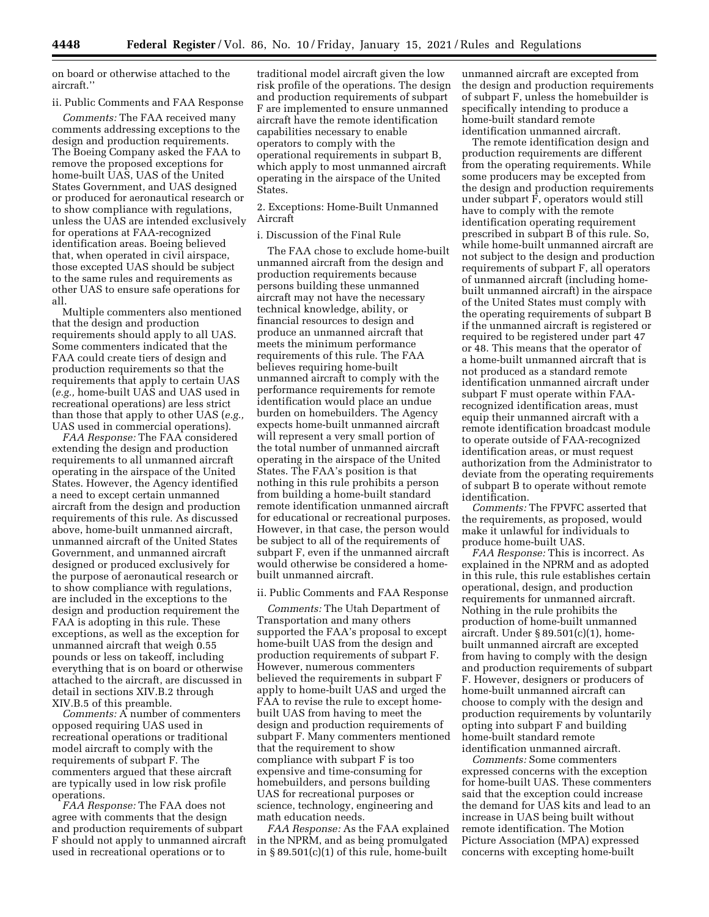on board or otherwise attached to the aircraft.''

### ii. Public Comments and FAA Response

*Comments:* The FAA received many comments addressing exceptions to the design and production requirements. The Boeing Company asked the FAA to remove the proposed exceptions for home-built UAS, UAS of the United States Government, and UAS designed or produced for aeronautical research or to show compliance with regulations, unless the UAS are intended exclusively for operations at FAA-recognized identification areas. Boeing believed that, when operated in civil airspace, those excepted UAS should be subject to the same rules and requirements as other UAS to ensure safe operations for all.

Multiple commenters also mentioned that the design and production requirements should apply to all UAS. Some commenters indicated that the FAA could create tiers of design and production requirements so that the requirements that apply to certain UAS (*e.g.,* home-built UAS and UAS used in recreational operations) are less strict than those that apply to other UAS (*e.g.,*  UAS used in commercial operations).

*FAA Response:* The FAA considered extending the design and production requirements to all unmanned aircraft operating in the airspace of the United States. However, the Agency identified a need to except certain unmanned aircraft from the design and production requirements of this rule. As discussed above, home-built unmanned aircraft, unmanned aircraft of the United States Government, and unmanned aircraft designed or produced exclusively for the purpose of aeronautical research or to show compliance with regulations, are included in the exceptions to the design and production requirement the FAA is adopting in this rule. These exceptions, as well as the exception for unmanned aircraft that weigh 0.55 pounds or less on takeoff, including everything that is on board or otherwise attached to the aircraft, are discussed in detail in sections XIV.B.2 through XIV.B.5 of this preamble.

*Comments:* A number of commenters opposed requiring UAS used in recreational operations or traditional model aircraft to comply with the requirements of subpart F. The commenters argued that these aircraft are typically used in low risk profile operations.

*FAA Response:* The FAA does not agree with comments that the design and production requirements of subpart F should not apply to unmanned aircraft used in recreational operations or to

traditional model aircraft given the low risk profile of the operations. The design and production requirements of subpart F are implemented to ensure unmanned aircraft have the remote identification capabilities necessary to enable operators to comply with the operational requirements in subpart B, which apply to most unmanned aircraft operating in the airspace of the United States.

2. Exceptions: Home-Built Unmanned Aircraft

### i. Discussion of the Final Rule

The FAA chose to exclude home-built unmanned aircraft from the design and production requirements because persons building these unmanned aircraft may not have the necessary technical knowledge, ability, or financial resources to design and produce an unmanned aircraft that meets the minimum performance requirements of this rule. The FAA believes requiring home-built unmanned aircraft to comply with the performance requirements for remote identification would place an undue burden on homebuilders. The Agency expects home-built unmanned aircraft will represent a very small portion of the total number of unmanned aircraft operating in the airspace of the United States. The FAA's position is that nothing in this rule prohibits a person from building a home-built standard remote identification unmanned aircraft for educational or recreational purposes. However, in that case, the person would be subject to all of the requirements of subpart F, even if the unmanned aircraft would otherwise be considered a homebuilt unmanned aircraft.

### ii. Public Comments and FAA Response

*Comments:* The Utah Department of Transportation and many others supported the FAA's proposal to except home-built UAS from the design and production requirements of subpart F. However, numerous commenters believed the requirements in subpart F apply to home-built UAS and urged the FAA to revise the rule to except homebuilt UAS from having to meet the design and production requirements of subpart F. Many commenters mentioned that the requirement to show compliance with subpart F is too expensive and time-consuming for homebuilders, and persons building UAS for recreational purposes or science, technology, engineering and math education needs.

*FAA Response:* As the FAA explained in the NPRM, and as being promulgated in § 89.501(c)(1) of this rule, home-built

unmanned aircraft are excepted from the design and production requirements of subpart F, unless the homebuilder is specifically intending to produce a home-built standard remote identification unmanned aircraft.

The remote identification design and production requirements are different from the operating requirements. While some producers may be excepted from the design and production requirements under subpart F, operators would still have to comply with the remote identification operating requirement prescribed in subpart B of this rule. So, while home-built unmanned aircraft are not subject to the design and production requirements of subpart F, all operators of unmanned aircraft (including homebuilt unmanned aircraft) in the airspace of the United States must comply with the operating requirements of subpart B if the unmanned aircraft is registered or required to be registered under part 47 or 48. This means that the operator of a home-built unmanned aircraft that is not produced as a standard remote identification unmanned aircraft under subpart F must operate within FAArecognized identification areas, must equip their unmanned aircraft with a remote identification broadcast module to operate outside of FAA-recognized identification areas, or must request authorization from the Administrator to deviate from the operating requirements of subpart B to operate without remote identification.

*Comments:* The FPVFC asserted that the requirements, as proposed, would make it unlawful for individuals to produce home-built UAS.

*FAA Response:* This is incorrect. As explained in the NPRM and as adopted in this rule, this rule establishes certain operational, design, and production requirements for unmanned aircraft. Nothing in the rule prohibits the production of home-built unmanned aircraft. Under § 89.501(c)(1), homebuilt unmanned aircraft are excepted from having to comply with the design and production requirements of subpart F. However, designers or producers of home-built unmanned aircraft can choose to comply with the design and production requirements by voluntarily opting into subpart F and building home-built standard remote identification unmanned aircraft.

*Comments:* Some commenters expressed concerns with the exception for home-built UAS. These commenters said that the exception could increase the demand for UAS kits and lead to an increase in UAS being built without remote identification. The Motion Picture Association (MPA) expressed concerns with excepting home-built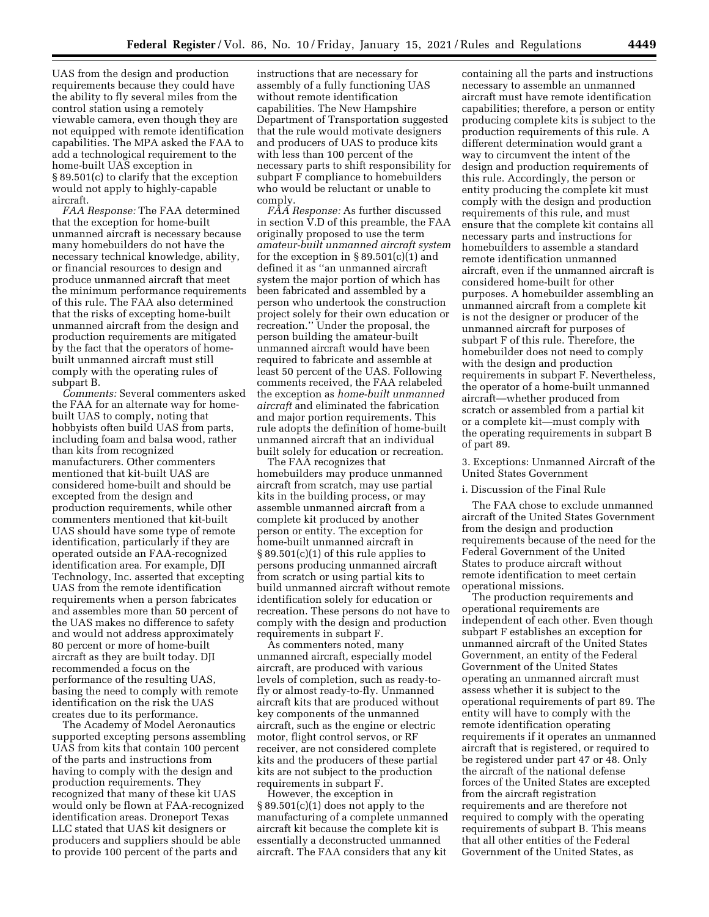UAS from the design and production requirements because they could have the ability to fly several miles from the control station using a remotely viewable camera, even though they are not equipped with remote identification capabilities. The MPA asked the FAA to add a technological requirement to the home-built UAS exception in § 89.501(c) to clarify that the exception would not apply to highly-capable aircraft.

*FAA Response:* The FAA determined that the exception for home-built unmanned aircraft is necessary because many homebuilders do not have the necessary technical knowledge, ability, or financial resources to design and produce unmanned aircraft that meet the minimum performance requirements of this rule. The FAA also determined that the risks of excepting home-built unmanned aircraft from the design and production requirements are mitigated by the fact that the operators of homebuilt unmanned aircraft must still comply with the operating rules of subpart B.

*Comments:* Several commenters asked the FAA for an alternate way for homebuilt UAS to comply, noting that hobbyists often build UAS from parts, including foam and balsa wood, rather than kits from recognized manufacturers. Other commenters mentioned that kit-built UAS are considered home-built and should be excepted from the design and production requirements, while other commenters mentioned that kit-built UAS should have some type of remote identification, particularly if they are operated outside an FAA-recognized identification area. For example, DJI Technology, Inc. asserted that excepting UAS from the remote identification requirements when a person fabricates and assembles more than 50 percent of the UAS makes no difference to safety and would not address approximately 80 percent or more of home-built aircraft as they are built today. DJI recommended a focus on the performance of the resulting UAS, basing the need to comply with remote identification on the risk the UAS creates due to its performance.

The Academy of Model Aeronautics supported excepting persons assembling UAS from kits that contain 100 percent of the parts and instructions from having to comply with the design and production requirements. They recognized that many of these kit UAS would only be flown at FAA-recognized identification areas. Droneport Texas LLC stated that UAS kit designers or producers and suppliers should be able to provide 100 percent of the parts and

instructions that are necessary for assembly of a fully functioning UAS without remote identification capabilities. The New Hampshire Department of Transportation suggested that the rule would motivate designers and producers of UAS to produce kits with less than 100 percent of the necessary parts to shift responsibility for subpart F compliance to homebuilders who would be reluctant or unable to comply.

*FAA Response:* As further discussed in section V.D of this preamble, the FAA originally proposed to use the term *amateur-built unmanned aircraft system*  for the exception in § 89.501(c)(1) and defined it as ''an unmanned aircraft system the major portion of which has been fabricated and assembled by a person who undertook the construction project solely for their own education or recreation.'' Under the proposal, the person building the amateur-built unmanned aircraft would have been required to fabricate and assemble at least 50 percent of the UAS. Following comments received, the FAA relabeled the exception as *home-built unmanned aircraft* and eliminated the fabrication and major portion requirements. This rule adopts the definition of home-built unmanned aircraft that an individual built solely for education or recreation.

The FAA recognizes that homebuilders may produce unmanned aircraft from scratch, may use partial kits in the building process, or may assemble unmanned aircraft from a complete kit produced by another person or entity. The exception for home-built unmanned aircraft in § 89.501(c)(1) of this rule applies to persons producing unmanned aircraft from scratch or using partial kits to build unmanned aircraft without remote identification solely for education or recreation. These persons do not have to comply with the design and production requirements in subpart F.

As commenters noted, many unmanned aircraft, especially model aircraft, are produced with various levels of completion, such as ready-tofly or almost ready-to-fly. Unmanned aircraft kits that are produced without key components of the unmanned aircraft, such as the engine or electric motor, flight control servos, or RF receiver, are not considered complete kits and the producers of these partial kits are not subject to the production requirements in subpart F.

However, the exception in § 89.501(c)(1) does not apply to the manufacturing of a complete unmanned aircraft kit because the complete kit is essentially a deconstructed unmanned aircraft. The FAA considers that any kit

containing all the parts and instructions necessary to assemble an unmanned aircraft must have remote identification capabilities; therefore, a person or entity producing complete kits is subject to the production requirements of this rule. A different determination would grant a way to circumvent the intent of the design and production requirements of this rule. Accordingly, the person or entity producing the complete kit must comply with the design and production requirements of this rule, and must ensure that the complete kit contains all necessary parts and instructions for homebuilders to assemble a standard remote identification unmanned aircraft, even if the unmanned aircraft is considered home-built for other purposes. A homebuilder assembling an unmanned aircraft from a complete kit is not the designer or producer of the unmanned aircraft for purposes of subpart F of this rule. Therefore, the homebuilder does not need to comply with the design and production requirements in subpart F. Nevertheless, the operator of a home-built unmanned aircraft—whether produced from scratch or assembled from a partial kit or a complete kit—must comply with the operating requirements in subpart B of part 89.

3. Exceptions: Unmanned Aircraft of the United States Government

### i. Discussion of the Final Rule

The FAA chose to exclude unmanned aircraft of the United States Government from the design and production requirements because of the need for the Federal Government of the United States to produce aircraft without remote identification to meet certain operational missions.

The production requirements and operational requirements are independent of each other. Even though subpart F establishes an exception for unmanned aircraft of the United States Government, an entity of the Federal Government of the United States operating an unmanned aircraft must assess whether it is subject to the operational requirements of part 89. The entity will have to comply with the remote identification operating requirements if it operates an unmanned aircraft that is registered, or required to be registered under part 47 or 48. Only the aircraft of the national defense forces of the United States are excepted from the aircraft registration requirements and are therefore not required to comply with the operating requirements of subpart B. This means that all other entities of the Federal Government of the United States, as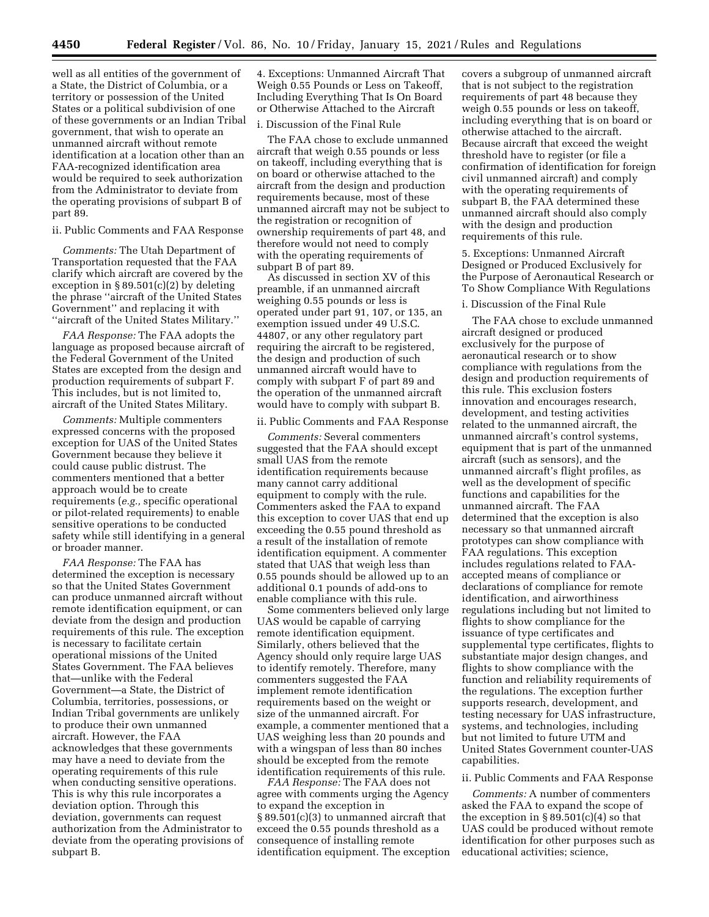well as all entities of the government of a State, the District of Columbia, or a territory or possession of the United States or a political subdivision of one of these governments or an Indian Tribal government, that wish to operate an unmanned aircraft without remote identification at a location other than an FAA-recognized identification area would be required to seek authorization from the Administrator to deviate from the operating provisions of subpart B of part 89.

#### ii. Public Comments and FAA Response

*Comments:* The Utah Department of Transportation requested that the FAA clarify which aircraft are covered by the exception in § 89.501(c)(2) by deleting the phrase ''aircraft of the United States Government'' and replacing it with ''aircraft of the United States Military.''

*FAA Response:* The FAA adopts the language as proposed because aircraft of the Federal Government of the United States are excepted from the design and production requirements of subpart F. This includes, but is not limited to, aircraft of the United States Military.

*Comments:* Multiple commenters expressed concerns with the proposed exception for UAS of the United States Government because they believe it could cause public distrust. The commenters mentioned that a better approach would be to create requirements (*e.g.,* specific operational or pilot-related requirements) to enable sensitive operations to be conducted safety while still identifying in a general or broader manner.

*FAA Response:* The FAA has determined the exception is necessary so that the United States Government can produce unmanned aircraft without remote identification equipment, or can deviate from the design and production requirements of this rule. The exception is necessary to facilitate certain operational missions of the United States Government. The FAA believes that—unlike with the Federal Government—a State, the District of Columbia, territories, possessions, or Indian Tribal governments are unlikely to produce their own unmanned aircraft. However, the FAA acknowledges that these governments may have a need to deviate from the operating requirements of this rule when conducting sensitive operations. This is why this rule incorporates a deviation option. Through this deviation, governments can request authorization from the Administrator to deviate from the operating provisions of subpart B.

4. Exceptions: Unmanned Aircraft That Weigh 0.55 Pounds or Less on Takeoff, Including Everything That Is On Board or Otherwise Attached to the Aircraft

#### i. Discussion of the Final Rule

The FAA chose to exclude unmanned aircraft that weigh 0.55 pounds or less on takeoff, including everything that is on board or otherwise attached to the aircraft from the design and production requirements because, most of these unmanned aircraft may not be subject to the registration or recognition of ownership requirements of part 48, and therefore would not need to comply with the operating requirements of subpart B of part 89.

As discussed in section XV of this preamble, if an unmanned aircraft weighing 0.55 pounds or less is operated under part 91, 107, or 135, an exemption issued under 49 U.S.C. 44807, or any other regulatory part requiring the aircraft to be registered, the design and production of such unmanned aircraft would have to comply with subpart F of part 89 and the operation of the unmanned aircraft would have to comply with subpart B.

### ii. Public Comments and FAA Response

*Comments:* Several commenters suggested that the FAA should except small UAS from the remote identification requirements because many cannot carry additional equipment to comply with the rule. Commenters asked the FAA to expand this exception to cover UAS that end up exceeding the 0.55 pound threshold as a result of the installation of remote identification equipment. A commenter stated that UAS that weigh less than 0.55 pounds should be allowed up to an additional 0.1 pounds of add-ons to enable compliance with this rule.

Some commenters believed only large UAS would be capable of carrying remote identification equipment. Similarly, others believed that the Agency should only require large UAS to identify remotely. Therefore, many commenters suggested the FAA implement remote identification requirements based on the weight or size of the unmanned aircraft. For example, a commenter mentioned that a UAS weighing less than 20 pounds and with a wingspan of less than 80 inches should be excepted from the remote identification requirements of this rule.

*FAA Response:* The FAA does not agree with comments urging the Agency to expand the exception in § 89.501(c)(3) to unmanned aircraft that exceed the 0.55 pounds threshold as a consequence of installing remote identification equipment. The exception

covers a subgroup of unmanned aircraft that is not subject to the registration requirements of part 48 because they weigh 0.55 pounds or less on takeoff, including everything that is on board or otherwise attached to the aircraft. Because aircraft that exceed the weight threshold have to register (or file a confirmation of identification for foreign civil unmanned aircraft) and comply with the operating requirements of subpart B, the FAA determined these unmanned aircraft should also comply with the design and production requirements of this rule.

5. Exceptions: Unmanned Aircraft Designed or Produced Exclusively for the Purpose of Aeronautical Research or To Show Compliance With Regulations

## i. Discussion of the Final Rule

The FAA chose to exclude unmanned aircraft designed or produced exclusively for the purpose of aeronautical research or to show compliance with regulations from the design and production requirements of this rule. This exclusion fosters innovation and encourages research, development, and testing activities related to the unmanned aircraft, the unmanned aircraft's control systems, equipment that is part of the unmanned aircraft (such as sensors), and the unmanned aircraft's flight profiles, as well as the development of specific functions and capabilities for the unmanned aircraft. The FAA determined that the exception is also necessary so that unmanned aircraft prototypes can show compliance with FAA regulations. This exception includes regulations related to FAAaccepted means of compliance or declarations of compliance for remote identification, and airworthiness regulations including but not limited to flights to show compliance for the issuance of type certificates and supplemental type certificates, flights to substantiate major design changes, and flights to show compliance with the function and reliability requirements of the regulations. The exception further supports research, development, and testing necessary for UAS infrastructure, systems, and technologies, including but not limited to future UTM and United States Government counter-UAS capabilities.

### ii. Public Comments and FAA Response

*Comments:* A number of commenters asked the FAA to expand the scope of the exception in  $\S 89.501(c)(4)$  so that UAS could be produced without remote identification for other purposes such as educational activities; science,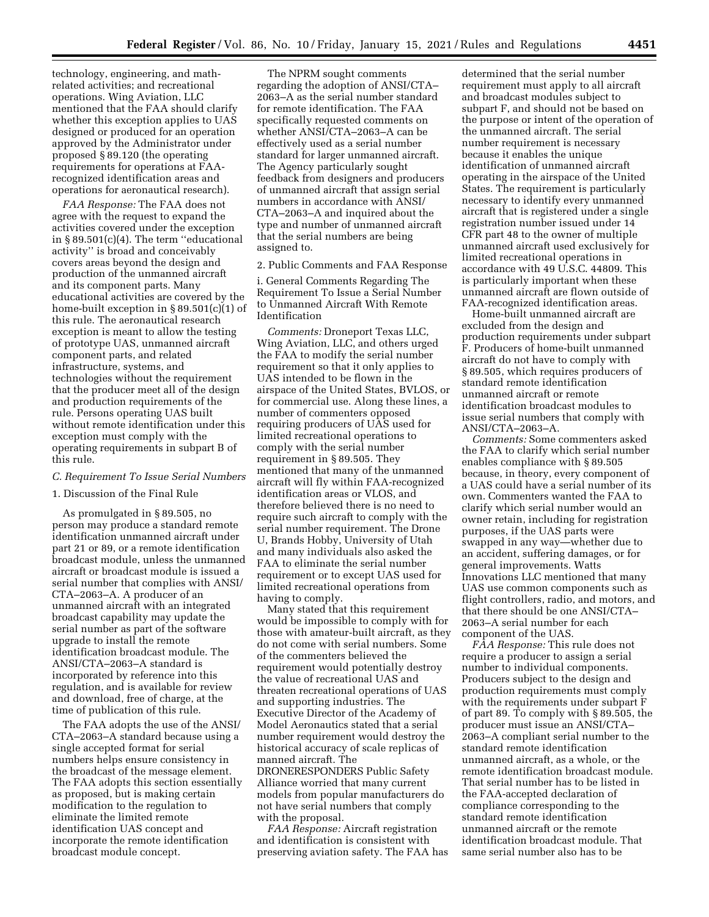technology, engineering, and mathrelated activities; and recreational operations. Wing Aviation, LLC mentioned that the FAA should clarify whether this exception applies to UAS designed or produced for an operation approved by the Administrator under proposed § 89.120 (the operating requirements for operations at FAArecognized identification areas and operations for aeronautical research).

*FAA Response:* The FAA does not agree with the request to expand the activities covered under the exception in § 89.501(c)(4). The term ''educational activity'' is broad and conceivably covers areas beyond the design and production of the unmanned aircraft and its component parts. Many educational activities are covered by the home-built exception in § 89.501(c)(1) of this rule. The aeronautical research exception is meant to allow the testing of prototype UAS, unmanned aircraft component parts, and related infrastructure, systems, and technologies without the requirement that the producer meet all of the design and production requirements of the rule. Persons operating UAS built without remote identification under this exception must comply with the operating requirements in subpart B of this rule.

## *C. Requirement To Issue Serial Numbers*

## 1. Discussion of the Final Rule

As promulgated in § 89.505, no person may produce a standard remote identification unmanned aircraft under part 21 or 89, or a remote identification broadcast module, unless the unmanned aircraft or broadcast module is issued a serial number that complies with ANSI/ CTA–2063–A. A producer of an unmanned aircraft with an integrated broadcast capability may update the serial number as part of the software upgrade to install the remote identification broadcast module. The ANSI/CTA–2063–A standard is incorporated by reference into this regulation, and is available for review and download, free of charge, at the time of publication of this rule.

The FAA adopts the use of the ANSI/ CTA–2063–A standard because using a single accepted format for serial numbers helps ensure consistency in the broadcast of the message element. The FAA adopts this section essentially as proposed, but is making certain modification to the regulation to eliminate the limited remote identification UAS concept and incorporate the remote identification broadcast module concept.

The NPRM sought comments regarding the adoption of ANSI/CTA– 2063–A as the serial number standard for remote identification. The FAA specifically requested comments on whether ANSI/CTA–2063–A can be effectively used as a serial number standard for larger unmanned aircraft. The Agency particularly sought feedback from designers and producers of unmanned aircraft that assign serial numbers in accordance with ANSI/ CTA–2063–A and inquired about the type and number of unmanned aircraft that the serial numbers are being assigned to.

## 2. Public Comments and FAA Response

i. General Comments Regarding The Requirement To Issue a Serial Number to Unmanned Aircraft With Remote Identification

*Comments:* Droneport Texas LLC, Wing Aviation, LLC, and others urged the FAA to modify the serial number requirement so that it only applies to UAS intended to be flown in the airspace of the United States, BVLOS, or for commercial use. Along these lines, a number of commenters opposed requiring producers of UAS used for limited recreational operations to comply with the serial number requirement in § 89.505. They mentioned that many of the unmanned aircraft will fly within FAA-recognized identification areas or VLOS, and therefore believed there is no need to require such aircraft to comply with the serial number requirement. The Drone U, Brands Hobby, University of Utah and many individuals also asked the FAA to eliminate the serial number requirement or to except UAS used for limited recreational operations from having to comply.

Many stated that this requirement would be impossible to comply with for those with amateur-built aircraft, as they do not come with serial numbers. Some of the commenters believed the requirement would potentially destroy the value of recreational UAS and threaten recreational operations of UAS and supporting industries. The Executive Director of the Academy of Model Aeronautics stated that a serial number requirement would destroy the historical accuracy of scale replicas of manned aircraft. The DRONERESPONDERS Public Safety Alliance worried that many current models from popular manufacturers do not have serial numbers that comply with the proposal.

*FAA Response:* Aircraft registration and identification is consistent with preserving aviation safety. The FAA has

determined that the serial number requirement must apply to all aircraft and broadcast modules subject to subpart F, and should not be based on the purpose or intent of the operation of the unmanned aircraft. The serial number requirement is necessary because it enables the unique identification of unmanned aircraft operating in the airspace of the United States. The requirement is particularly necessary to identify every unmanned aircraft that is registered under a single registration number issued under 14 CFR part 48 to the owner of multiple unmanned aircraft used exclusively for limited recreational operations in accordance with 49 U.S.C. 44809. This is particularly important when these unmanned aircraft are flown outside of FAA-recognized identification areas.

Home-built unmanned aircraft are excluded from the design and production requirements under subpart F. Producers of home-built unmanned aircraft do not have to comply with § 89.505, which requires producers of standard remote identification unmanned aircraft or remote identification broadcast modules to issue serial numbers that comply with ANSI/CTA–2063–A.

*Comments:* Some commenters asked the FAA to clarify which serial number enables compliance with § 89.505 because, in theory, every component of a UAS could have a serial number of its own. Commenters wanted the FAA to clarify which serial number would an owner retain, including for registration purposes, if the UAS parts were swapped in any way—whether due to an accident, suffering damages, or for general improvements. Watts Innovations LLC mentioned that many UAS use common components such as flight controllers, radio, and motors, and that there should be one ANSI/CTA– 2063–A serial number for each component of the UAS.

*FAA Response:* This rule does not require a producer to assign a serial number to individual components. Producers subject to the design and production requirements must comply with the requirements under subpart F of part 89. To comply with § 89.505, the producer must issue an ANSI/CTA– 2063–A compliant serial number to the standard remote identification unmanned aircraft, as a whole, or the remote identification broadcast module. That serial number has to be listed in the FAA-accepted declaration of compliance corresponding to the standard remote identification unmanned aircraft or the remote identification broadcast module. That same serial number also has to be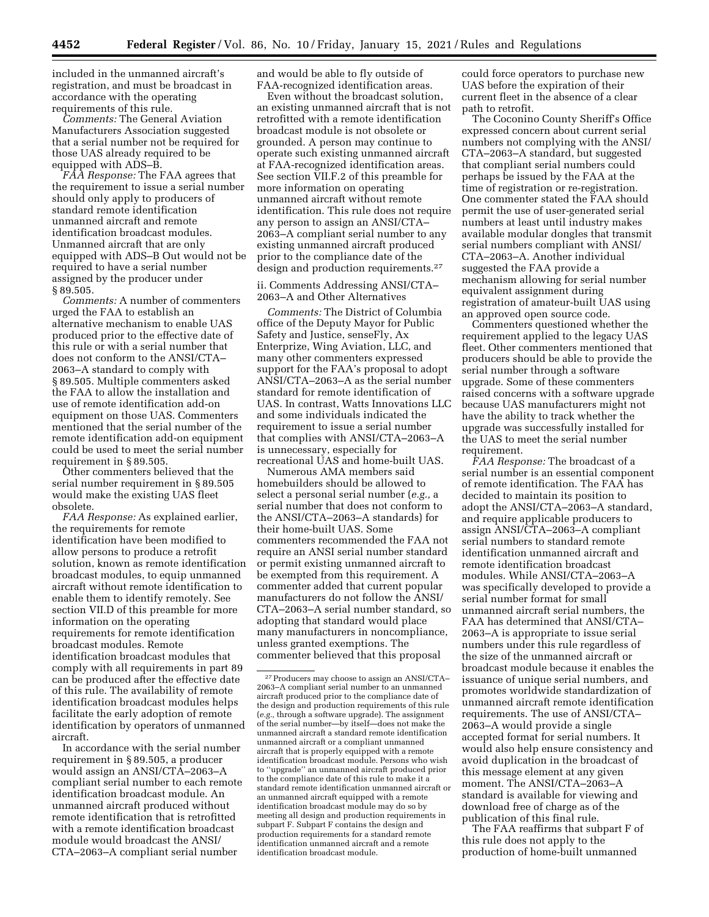included in the unmanned aircraft's registration, and must be broadcast in accordance with the operating requirements of this rule.

*Comments:* The General Aviation Manufacturers Association suggested that a serial number not be required for those UAS already required to be equipped with ADS–B.

*FAA Response:* The FAA agrees that the requirement to issue a serial number should only apply to producers of standard remote identification unmanned aircraft and remote identification broadcast modules. Unmanned aircraft that are only equipped with ADS–B Out would not be required to have a serial number assigned by the producer under § 89.505.

*Comments:* A number of commenters urged the FAA to establish an alternative mechanism to enable UAS produced prior to the effective date of this rule or with a serial number that does not conform to the ANSI/CTA– 2063–A standard to comply with § 89.505. Multiple commenters asked the FAA to allow the installation and use of remote identification add-on equipment on those UAS. Commenters mentioned that the serial number of the remote identification add-on equipment could be used to meet the serial number requirement in § 89.505.

Other commenters believed that the serial number requirement in § 89.505 would make the existing UAS fleet obsolete.

*FAA Response:* As explained earlier, the requirements for remote identification have been modified to allow persons to produce a retrofit solution, known as remote identification broadcast modules, to equip unmanned aircraft without remote identification to enable them to identify remotely. See section VII.D of this preamble for more information on the operating requirements for remote identification broadcast modules. Remote identification broadcast modules that comply with all requirements in part 89 can be produced after the effective date of this rule. The availability of remote identification broadcast modules helps facilitate the early adoption of remote identification by operators of unmanned aircraft.

In accordance with the serial number requirement in § 89.505, a producer would assign an ANSI/CTA–2063–A compliant serial number to each remote identification broadcast module. An unmanned aircraft produced without remote identification that is retrofitted with a remote identification broadcast module would broadcast the ANSI/ CTA–2063–A compliant serial number

and would be able to fly outside of FAA-recognized identification areas.

Even without the broadcast solution, an existing unmanned aircraft that is not retrofitted with a remote identification broadcast module is not obsolete or grounded. A person may continue to operate such existing unmanned aircraft at FAA-recognized identification areas. See section VII.F.2 of this preamble for more information on operating unmanned aircraft without remote identification. This rule does not require any person to assign an ANSI/CTA– 2063–A compliant serial number to any existing unmanned aircraft produced prior to the compliance date of the design and production requirements.<sup>27</sup>

ii. Comments Addressing ANSI/CTA– 2063–A and Other Alternatives

*Comments:* The District of Columbia office of the Deputy Mayor for Public Safety and Justice, senseFly, Ax Enterprize, Wing Aviation, LLC, and many other commenters expressed support for the FAA's proposal to adopt ANSI/CTA–2063–A as the serial number standard for remote identification of UAS. In contrast, Watts Innovations LLC and some individuals indicated the requirement to issue a serial number that complies with ANSI/CTA–2063–A is unnecessary, especially for recreational UAS and home-built UAS.

Numerous AMA members said homebuilders should be allowed to select a personal serial number (*e.g.,* a serial number that does not conform to the ANSI/CTA–2063–A standards) for their home-built UAS. Some commenters recommended the FAA not require an ANSI serial number standard or permit existing unmanned aircraft to be exempted from this requirement. A commenter added that current popular manufacturers do not follow the ANSI/ CTA–2063–A serial number standard, so adopting that standard would place many manufacturers in noncompliance, unless granted exemptions. The commenter believed that this proposal

could force operators to purchase new UAS before the expiration of their current fleet in the absence of a clear path to retrofit.

The Coconino County Sheriff's Office expressed concern about current serial numbers not complying with the ANSI/ CTA–2063–A standard, but suggested that compliant serial numbers could perhaps be issued by the FAA at the time of registration or re-registration. One commenter stated the FAA should permit the use of user-generated serial numbers at least until industry makes available modular dongles that transmit serial numbers compliant with ANSI/ CTA–2063–A. Another individual suggested the FAA provide a mechanism allowing for serial number equivalent assignment during registration of amateur-built UAS using an approved open source code.

Commenters questioned whether the requirement applied to the legacy UAS fleet. Other commenters mentioned that producers should be able to provide the serial number through a software upgrade. Some of these commenters raised concerns with a software upgrade because UAS manufacturers might not have the ability to track whether the upgrade was successfully installed for the UAS to meet the serial number requirement.

*FAA Response:* The broadcast of a serial number is an essential component of remote identification. The FAA has decided to maintain its position to adopt the ANSI/CTA–2063–A standard, and require applicable producers to assign ANSI/CTA–2063–A compliant serial numbers to standard remote identification unmanned aircraft and remote identification broadcast modules. While ANSI/CTA–2063–A was specifically developed to provide a serial number format for small unmanned aircraft serial numbers, the FAA has determined that ANSI/CTA– 2063–A is appropriate to issue serial numbers under this rule regardless of the size of the unmanned aircraft or broadcast module because it enables the issuance of unique serial numbers, and promotes worldwide standardization of unmanned aircraft remote identification requirements. The use of ANSI/CTA– 2063–A would provide a single accepted format for serial numbers. It would also help ensure consistency and avoid duplication in the broadcast of this message element at any given moment. The ANSI/CTA–2063–A standard is available for viewing and download free of charge as of the publication of this final rule.

The FAA reaffirms that subpart F of this rule does not apply to the production of home-built unmanned

<sup>27</sup>Producers may choose to assign an ANSI/CTA– 2063–A compliant serial number to an unmanned aircraft produced prior to the compliance date of the design and production requirements of this rule (*e.g.,* through a software upgrade). The assignment of the serial number—by itself—does not make the unmanned aircraft a standard remote identification unmanned aircraft or a compliant unmanned aircraft that is properly equipped with a remote identification broadcast module. Persons who wish to ''upgrade'' an unmanned aircraft produced prior to the compliance date of this rule to make it a standard remote identification unmanned aircraft or an unmanned aircraft equipped with a remote identification broadcast module may do so by meeting all design and production requirements in subpart F. Subpart F contains the design and production requirements for a standard remote identification unmanned aircraft and a remote identification broadcast module.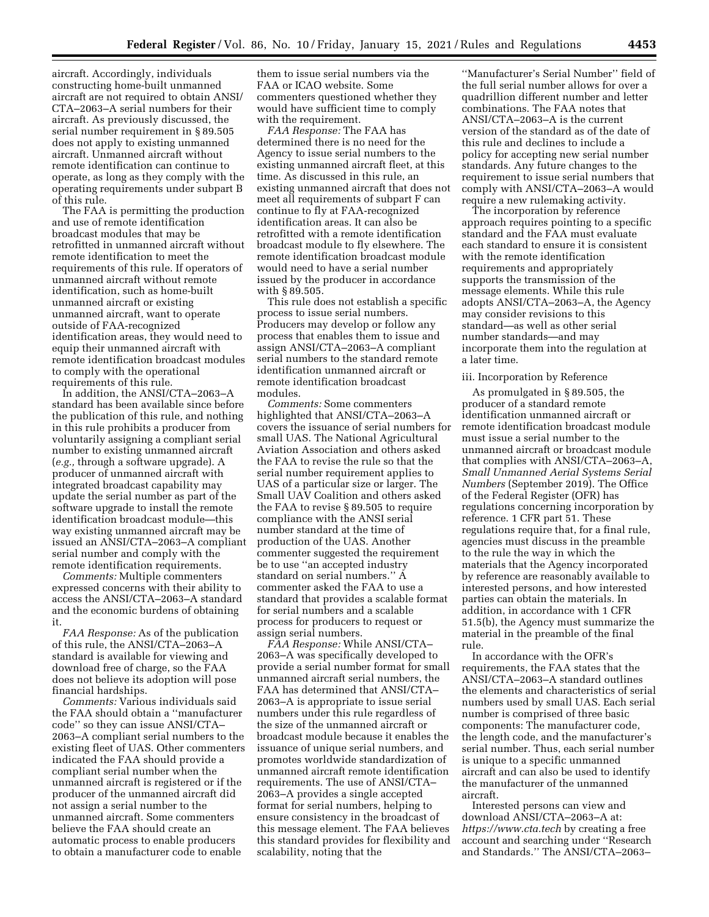aircraft. Accordingly, individuals constructing home-built unmanned aircraft are not required to obtain ANSI/ CTA–2063–A serial numbers for their aircraft. As previously discussed, the serial number requirement in § 89.505 does not apply to existing unmanned aircraft. Unmanned aircraft without remote identification can continue to operate, as long as they comply with the operating requirements under subpart B of this rule.

The FAA is permitting the production and use of remote identification broadcast modules that may be retrofitted in unmanned aircraft without remote identification to meet the requirements of this rule. If operators of unmanned aircraft without remote identification, such as home-built unmanned aircraft or existing unmanned aircraft, want to operate outside of FAA-recognized identification areas, they would need to equip their unmanned aircraft with remote identification broadcast modules to comply with the operational requirements of this rule.

In addition, the ANSI/CTA–2063–A standard has been available since before the publication of this rule, and nothing in this rule prohibits a producer from voluntarily assigning a compliant serial number to existing unmanned aircraft (*e.g.,* through a software upgrade). A producer of unmanned aircraft with integrated broadcast capability may update the serial number as part of the software upgrade to install the remote identification broadcast module—this way existing unmanned aircraft may be issued an ANSI/CTA–2063–A compliant serial number and comply with the remote identification requirements.

*Comments:* Multiple commenters expressed concerns with their ability to access the ANSI/CTA–2063–A standard and the economic burdens of obtaining it.

*FAA Response:* As of the publication of this rule, the ANSI/CTA–2063–A standard is available for viewing and download free of charge, so the FAA does not believe its adoption will pose financial hardships.

*Comments:* Various individuals said the FAA should obtain a ''manufacturer code'' so they can issue ANSI/CTA– 2063–A compliant serial numbers to the existing fleet of UAS. Other commenters indicated the FAA should provide a compliant serial number when the unmanned aircraft is registered or if the producer of the unmanned aircraft did not assign a serial number to the unmanned aircraft. Some commenters believe the FAA should create an automatic process to enable producers to obtain a manufacturer code to enable

them to issue serial numbers via the FAA or ICAO website. Some commenters questioned whether they would have sufficient time to comply with the requirement.

*FAA Response:* The FAA has determined there is no need for the Agency to issue serial numbers to the existing unmanned aircraft fleet, at this time. As discussed in this rule, an existing unmanned aircraft that does not meet all requirements of subpart F can continue to fly at FAA-recognized identification areas. It can also be retrofitted with a remote identification broadcast module to fly elsewhere. The remote identification broadcast module would need to have a serial number issued by the producer in accordance with § 89.505.

This rule does not establish a specific process to issue serial numbers. Producers may develop or follow any process that enables them to issue and assign ANSI/CTA–2063–A compliant serial numbers to the standard remote identification unmanned aircraft or remote identification broadcast modules.

*Comments:* Some commenters highlighted that ANSI/CTA–2063–A covers the issuance of serial numbers for small UAS. The National Agricultural Aviation Association and others asked the FAA to revise the rule so that the serial number requirement applies to UAS of a particular size or larger. The Small UAV Coalition and others asked the FAA to revise § 89.505 to require compliance with the ANSI serial number standard at the time of production of the UAS. Another commenter suggested the requirement be to use ''an accepted industry standard on serial numbers.'' A commenter asked the FAA to use a standard that provides a scalable format for serial numbers and a scalable process for producers to request or assign serial numbers.

*FAA Response:* While ANSI/CTA– 2063–A was specifically developed to provide a serial number format for small unmanned aircraft serial numbers, the FAA has determined that ANSI/CTA– 2063–A is appropriate to issue serial numbers under this rule regardless of the size of the unmanned aircraft or broadcast module because it enables the issuance of unique serial numbers, and promotes worldwide standardization of unmanned aircraft remote identification requirements. The use of ANSI/CTA– 2063–A provides a single accepted format for serial numbers, helping to ensure consistency in the broadcast of this message element. The FAA believes this standard provides for flexibility and scalability, noting that the

''Manufacturer's Serial Number'' field of the full serial number allows for over a quadrillion different number and letter combinations. The FAA notes that ANSI/CTA–2063–A is the current version of the standard as of the date of this rule and declines to include a policy for accepting new serial number standards. Any future changes to the requirement to issue serial numbers that comply with ANSI/CTA–2063–A would require a new rulemaking activity.

The incorporation by reference approach requires pointing to a specific standard and the FAA must evaluate each standard to ensure it is consistent with the remote identification requirements and appropriately supports the transmission of the message elements. While this rule adopts ANSI/CTA–2063–A, the Agency may consider revisions to this standard—as well as other serial number standards—and may incorporate them into the regulation at a later time.

#### iii. Incorporation by Reference

As promulgated in § 89.505, the producer of a standard remote identification unmanned aircraft or remote identification broadcast module must issue a serial number to the unmanned aircraft or broadcast module that complies with ANSI/CTA–2063–A, *Small Unmanned Aerial Systems Serial Numbers* (September 2019). The Office of the Federal Register (OFR) has regulations concerning incorporation by reference. 1 CFR part 51. These regulations require that, for a final rule, agencies must discuss in the preamble to the rule the way in which the materials that the Agency incorporated by reference are reasonably available to interested persons, and how interested parties can obtain the materials. In addition, in accordance with 1 CFR 51.5(b), the Agency must summarize the material in the preamble of the final rule.

In accordance with the OFR's requirements, the FAA states that the ANSI/CTA–2063–A standard outlines the elements and characteristics of serial numbers used by small UAS. Each serial number is comprised of three basic components: The manufacturer code, the length code, and the manufacturer's serial number. Thus, each serial number is unique to a specific unmanned aircraft and can also be used to identify the manufacturer of the unmanned aircraft.

Interested persons can view and download ANSI/CTA–2063–A at: *https://www.cta.tech* by creating a free account and searching under ''Research and Standards.'' The ANSI/CTA–2063–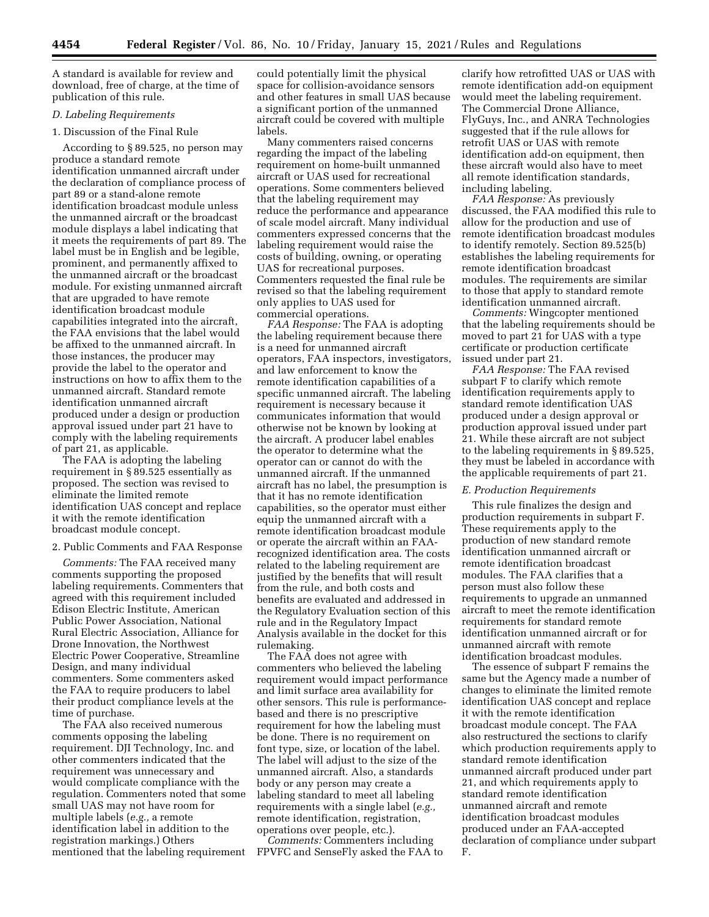A standard is available for review and download, free of charge, at the time of publication of this rule.

## *D. Labeling Requirements*

# 1. Discussion of the Final Rule

According to § 89.525, no person may produce a standard remote identification unmanned aircraft under the declaration of compliance process of part 89 or a stand-alone remote identification broadcast module unless the unmanned aircraft or the broadcast module displays a label indicating that it meets the requirements of part 89. The label must be in English and be legible, prominent, and permanently affixed to the unmanned aircraft or the broadcast module. For existing unmanned aircraft that are upgraded to have remote identification broadcast module capabilities integrated into the aircraft, the FAA envisions that the label would be affixed to the unmanned aircraft. In those instances, the producer may provide the label to the operator and instructions on how to affix them to the unmanned aircraft. Standard remote identification unmanned aircraft produced under a design or production approval issued under part 21 have to comply with the labeling requirements of part 21, as applicable.

The FAA is adopting the labeling requirement in § 89.525 essentially as proposed. The section was revised to eliminate the limited remote identification UAS concept and replace it with the remote identification broadcast module concept.

2. Public Comments and FAA Response

*Comments:* The FAA received many comments supporting the proposed labeling requirements. Commenters that agreed with this requirement included Edison Electric Institute, American Public Power Association, National Rural Electric Association, Alliance for Drone Innovation, the Northwest Electric Power Cooperative, Streamline Design, and many individual commenters. Some commenters asked the FAA to require producers to label their product compliance levels at the time of purchase.

The FAA also received numerous comments opposing the labeling requirement. DJI Technology, Inc. and other commenters indicated that the requirement was unnecessary and would complicate compliance with the regulation. Commenters noted that some small UAS may not have room for multiple labels (*e.g.,* a remote identification label in addition to the registration markings.) Others mentioned that the labeling requirement could potentially limit the physical space for collision-avoidance sensors and other features in small UAS because a significant portion of the unmanned aircraft could be covered with multiple labels.

Many commenters raised concerns regarding the impact of the labeling requirement on home-built unmanned aircraft or UAS used for recreational operations. Some commenters believed that the labeling requirement may reduce the performance and appearance of scale model aircraft. Many individual commenters expressed concerns that the labeling requirement would raise the costs of building, owning, or operating UAS for recreational purposes. Commenters requested the final rule be revised so that the labeling requirement only applies to UAS used for commercial operations.

*FAA Response:* The FAA is adopting the labeling requirement because there is a need for unmanned aircraft operators, FAA inspectors, investigators, and law enforcement to know the remote identification capabilities of a specific unmanned aircraft. The labeling requirement is necessary because it communicates information that would otherwise not be known by looking at the aircraft. A producer label enables the operator to determine what the operator can or cannot do with the unmanned aircraft. If the unmanned aircraft has no label, the presumption is that it has no remote identification capabilities, so the operator must either equip the unmanned aircraft with a remote identification broadcast module or operate the aircraft within an FAArecognized identification area. The costs related to the labeling requirement are justified by the benefits that will result from the rule, and both costs and benefits are evaluated and addressed in the Regulatory Evaluation section of this rule and in the Regulatory Impact Analysis available in the docket for this rulemaking.

The FAA does not agree with commenters who believed the labeling requirement would impact performance and limit surface area availability for other sensors. This rule is performancebased and there is no prescriptive requirement for how the labeling must be done. There is no requirement on font type, size, or location of the label. The label will adjust to the size of the unmanned aircraft. Also, a standards body or any person may create a labeling standard to meet all labeling requirements with a single label (*e.g.,*  remote identification, registration, operations over people, etc.).

*Comments:* Commenters including FPVFC and SenseFly asked the FAA to clarify how retrofitted UAS or UAS with remote identification add-on equipment would meet the labeling requirement. The Commercial Drone Alliance, FlyGuys, Inc., and ANRA Technologies suggested that if the rule allows for retrofit UAS or UAS with remote identification add-on equipment, then these aircraft would also have to meet all remote identification standards, including labeling.

*FAA Response:* As previously discussed, the FAA modified this rule to allow for the production and use of remote identification broadcast modules to identify remotely. Section 89.525(b) establishes the labeling requirements for remote identification broadcast modules. The requirements are similar to those that apply to standard remote identification unmanned aircraft.

*Comments:* Wingcopter mentioned that the labeling requirements should be moved to part 21 for UAS with a type certificate or production certificate issued under part 21.

*FAA Response:* The FAA revised subpart F to clarify which remote identification requirements apply to standard remote identification UAS produced under a design approval or production approval issued under part 21. While these aircraft are not subject to the labeling requirements in § 89.525, they must be labeled in accordance with the applicable requirements of part 21.

### *E. Production Requirements*

This rule finalizes the design and production requirements in subpart F. These requirements apply to the production of new standard remote identification unmanned aircraft or remote identification broadcast modules. The FAA clarifies that a person must also follow these requirements to upgrade an unmanned aircraft to meet the remote identification requirements for standard remote identification unmanned aircraft or for unmanned aircraft with remote identification broadcast modules.

The essence of subpart F remains the same but the Agency made a number of changes to eliminate the limited remote identification UAS concept and replace it with the remote identification broadcast module concept. The FAA also restructured the sections to clarify which production requirements apply to standard remote identification unmanned aircraft produced under part 21, and which requirements apply to standard remote identification unmanned aircraft and remote identification broadcast modules produced under an FAA-accepted declaration of compliance under subpart F.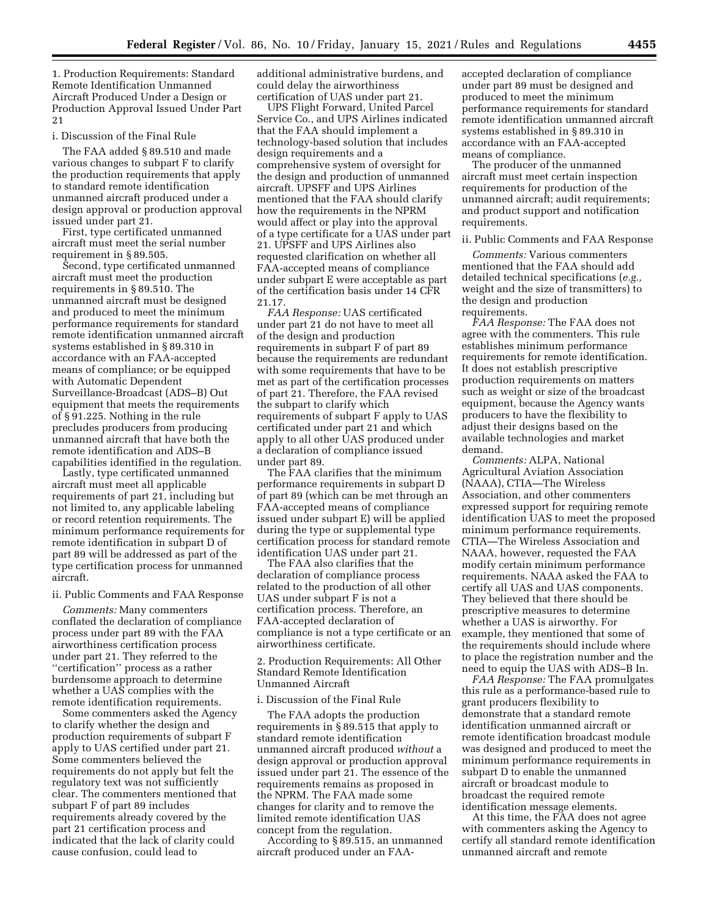1. Production Requirements: Standard Remote Identification Unmanned Aircraft Produced Under a Design or Production Approval Issued Under Part 21

#### i. Discussion of the Final Rule

The FAA added § 89.510 and made various changes to subpart F to clarify the production requirements that apply to standard remote identification unmanned aircraft produced under a design approval or production approval issued under part 21.

First, type certificated unmanned aircraft must meet the serial number requirement in § 89.505.

Second, type certificated unmanned aircraft must meet the production requirements in § 89.510. The unmanned aircraft must be designed and produced to meet the minimum performance requirements for standard remote identification unmanned aircraft systems established in § 89.310 in accordance with an FAA-accepted means of compliance; or be equipped with Automatic Dependent Surveillance-Broadcast (ADS–B) Out equipment that meets the requirements of § 91.225. Nothing in the rule precludes producers from producing unmanned aircraft that have both the remote identification and ADS–B capabilities identified in the regulation.

Lastly, type certificated unmanned aircraft must meet all applicable requirements of part 21, including but not limited to, any applicable labeling or record retention requirements. The minimum performance requirements for remote identification in subpart D of part 89 will be addressed as part of the type certification process for unmanned aircraft.

#### ii. Public Comments and FAA Response

*Comments:* Many commenters conflated the declaration of compliance process under part 89 with the FAA airworthiness certification process under part 21. They referred to the ''certification'' process as a rather burdensome approach to determine whether a UAS complies with the remote identification requirements.

Some commenters asked the Agency to clarify whether the design and production requirements of subpart F apply to UAS certified under part 21. Some commenters believed the requirements do not apply but felt the regulatory text was not sufficiently clear. The commenters mentioned that subpart F of part 89 includes requirements already covered by the part 21 certification process and indicated that the lack of clarity could cause confusion, could lead to

additional administrative burdens, and could delay the airworthiness certification of UAS under part 21.

UPS Flight Forward, United Parcel Service Co., and UPS Airlines indicated that the FAA should implement a technology-based solution that includes design requirements and a comprehensive system of oversight for the design and production of unmanned aircraft. UPSFF and UPS Airlines mentioned that the FAA should clarify how the requirements in the NPRM would affect or play into the approval of a type certificate for a UAS under part 21. UPSFF and UPS Airlines also requested clarification on whether all FAA-accepted means of compliance under subpart E were acceptable as part of the certification basis under 14 CFR 21.17.

*FAA Response:* UAS certificated under part 21 do not have to meet all of the design and production requirements in subpart F of part 89 because the requirements are redundant with some requirements that have to be met as part of the certification processes of part 21. Therefore, the FAA revised the subpart to clarify which requirements of subpart F apply to UAS certificated under part 21 and which apply to all other UAS produced under a declaration of compliance issued under part 89.

The FAA clarifies that the minimum performance requirements in subpart D of part 89 (which can be met through an FAA-accepted means of compliance issued under subpart E) will be applied during the type or supplemental type certification process for standard remote identification UAS under part 21.

The FAA also clarifies that the declaration of compliance process related to the production of all other UAS under subpart F is not a certification process. Therefore, an FAA-accepted declaration of compliance is not a type certificate or an airworthiness certificate.

2. Production Requirements: All Other Standard Remote Identification Unmanned Aircraft

#### i. Discussion of the Final Rule

The FAA adopts the production requirements in § 89.515 that apply to standard remote identification unmanned aircraft produced *without* a design approval or production approval issued under part 21. The essence of the requirements remains as proposed in the NPRM. The FAA made some changes for clarity and to remove the limited remote identification UAS concept from the regulation.

According to § 89.515, an unmanned aircraft produced under an FAA-

accepted declaration of compliance under part 89 must be designed and produced to meet the minimum performance requirements for standard remote identification unmanned aircraft systems established in § 89.310 in accordance with an FAA-accepted means of compliance.

The producer of the unmanned aircraft must meet certain inspection requirements for production of the unmanned aircraft; audit requirements; and product support and notification requirements.

### ii. Public Comments and FAA Response

*Comments:* Various commenters mentioned that the FAA should add detailed technical specifications (*e.g.,*  weight and the size of transmitters) to the design and production requirements.

*FAA Response:* The FAA does not agree with the commenters. This rule establishes minimum performance requirements for remote identification. It does not establish prescriptive production requirements on matters such as weight or size of the broadcast equipment, because the Agency wants producers to have the flexibility to adjust their designs based on the available technologies and market demand.

*Comments:* ALPA, National Agricultural Aviation Association (NAAA), CTIA—The Wireless Association, and other commenters expressed support for requiring remote identification UAS to meet the proposed minimum performance requirements. CTIA—The Wireless Association and NAAA, however, requested the FAA modify certain minimum performance requirements. NAAA asked the FAA to certify all UAS and UAS components. They believed that there should be prescriptive measures to determine whether a UAS is airworthy. For example, they mentioned that some of the requirements should include where to place the registration number and the need to equip the UAS with ADS–B In.

*FAA Response:* The FAA promulgates this rule as a performance-based rule to grant producers flexibility to demonstrate that a standard remote identification unmanned aircraft or remote identification broadcast module was designed and produced to meet the minimum performance requirements in subpart D to enable the unmanned aircraft or broadcast module to broadcast the required remote identification message elements.

At this time, the FAA does not agree with commenters asking the Agency to certify all standard remote identification unmanned aircraft and remote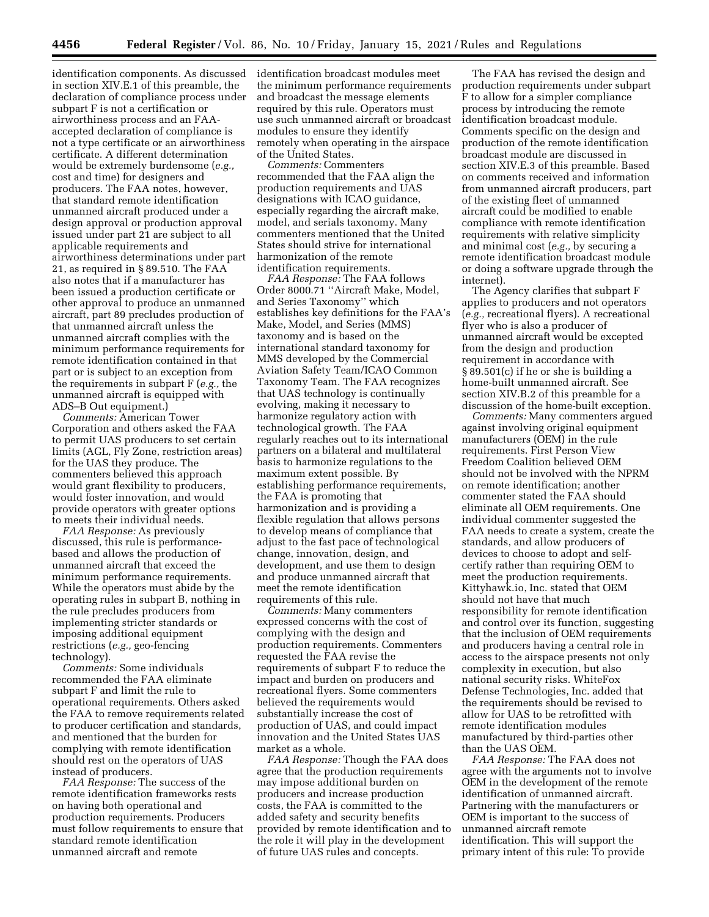identification components. As discussed in section XIV.E.1 of this preamble, the declaration of compliance process under subpart F is not a certification or airworthiness process and an FAAaccepted declaration of compliance is not a type certificate or an airworthiness certificate. A different determination would be extremely burdensome (*e.g.,*  cost and time) for designers and producers. The FAA notes, however, that standard remote identification unmanned aircraft produced under a design approval or production approval issued under part 21 are subject to all applicable requirements and airworthiness determinations under part 21, as required in § 89.510. The FAA also notes that if a manufacturer has been issued a production certificate or other approval to produce an unmanned aircraft, part 89 precludes production of that unmanned aircraft unless the unmanned aircraft complies with the minimum performance requirements for remote identification contained in that part or is subject to an exception from the requirements in subpart F (*e.g.,* the unmanned aircraft is equipped with ADS–B Out equipment.)

*Comments:* American Tower Corporation and others asked the FAA to permit UAS producers to set certain limits (AGL, Fly Zone, restriction areas) for the UAS they produce. The commenters believed this approach would grant flexibility to producers, would foster innovation, and would provide operators with greater options to meets their individual needs.

*FAA Response:* As previously discussed, this rule is performancebased and allows the production of unmanned aircraft that exceed the minimum performance requirements. While the operators must abide by the operating rules in subpart B, nothing in the rule precludes producers from implementing stricter standards or imposing additional equipment restrictions (*e.g.,* geo-fencing technology).

*Comments:* Some individuals recommended the FAA eliminate subpart F and limit the rule to operational requirements. Others asked the FAA to remove requirements related to producer certification and standards, and mentioned that the burden for complying with remote identification should rest on the operators of UAS instead of producers.

*FAA Response:* The success of the remote identification frameworks rests on having both operational and production requirements. Producers must follow requirements to ensure that standard remote identification unmanned aircraft and remote

identification broadcast modules meet the minimum performance requirements and broadcast the message elements required by this rule. Operators must use such unmanned aircraft or broadcast modules to ensure they identify remotely when operating in the airspace of the United States.

*Comments:* Commenters recommended that the FAA align the production requirements and UAS designations with ICAO guidance, especially regarding the aircraft make, model, and serials taxonomy. Many commenters mentioned that the United States should strive for international harmonization of the remote identification requirements.

*FAA Response:* The FAA follows Order 8000.71 ''Aircraft Make, Model, and Series Taxonomy'' which establishes key definitions for the FAA's Make, Model, and Series (MMS) taxonomy and is based on the international standard taxonomy for MMS developed by the Commercial Aviation Safety Team/ICAO Common Taxonomy Team. The FAA recognizes that UAS technology is continually evolving, making it necessary to harmonize regulatory action with technological growth. The FAA regularly reaches out to its international partners on a bilateral and multilateral basis to harmonize regulations to the maximum extent possible. By establishing performance requirements, the FAA is promoting that harmonization and is providing a flexible regulation that allows persons to develop means of compliance that adjust to the fast pace of technological change, innovation, design, and development, and use them to design and produce unmanned aircraft that meet the remote identification requirements of this rule.

*Comments:* Many commenters expressed concerns with the cost of complying with the design and production requirements. Commenters requested the FAA revise the requirements of subpart F to reduce the impact and burden on producers and recreational flyers. Some commenters believed the requirements would substantially increase the cost of production of UAS, and could impact innovation and the United States UAS market as a whole.

*FAA Response:* Though the FAA does agree that the production requirements may impose additional burden on producers and increase production costs, the FAA is committed to the added safety and security benefits provided by remote identification and to the role it will play in the development of future UAS rules and concepts.

The FAA has revised the design and production requirements under subpart F to allow for a simpler compliance process by introducing the remote identification broadcast module. Comments specific on the design and production of the remote identification broadcast module are discussed in section XIV.E.3 of this preamble. Based on comments received and information from unmanned aircraft producers, part of the existing fleet of unmanned aircraft could be modified to enable compliance with remote identification requirements with relative simplicity and minimal cost (*e.g.,* by securing a remote identification broadcast module or doing a software upgrade through the internet).

The Agency clarifies that subpart F applies to producers and not operators (*e.g.,* recreational flyers). A recreational flyer who is also a producer of unmanned aircraft would be excepted from the design and production requirement in accordance with § 89.501(c) if he or she is building a home-built unmanned aircraft. See section XIV.B.2 of this preamble for a discussion of the home-built exception.

*Comments:* Many commenters argued against involving original equipment manufacturers (OEM) in the rule requirements. First Person View Freedom Coalition believed OEM should not be involved with the NPRM on remote identification; another commenter stated the FAA should eliminate all OEM requirements. One individual commenter suggested the FAA needs to create a system, create the standards, and allow producers of devices to choose to adopt and selfcertify rather than requiring OEM to meet the production requirements. Kittyhawk.io, Inc. stated that OEM should not have that much responsibility for remote identification and control over its function, suggesting that the inclusion of OEM requirements and producers having a central role in access to the airspace presents not only complexity in execution, but also national security risks. WhiteFox Defense Technologies, Inc. added that the requirements should be revised to allow for UAS to be retrofitted with remote identification modules manufactured by third-parties other than the UAS OEM.

*FAA Response:* The FAA does not agree with the arguments not to involve OEM in the development of the remote identification of unmanned aircraft. Partnering with the manufacturers or OEM is important to the success of unmanned aircraft remote identification. This will support the primary intent of this rule: To provide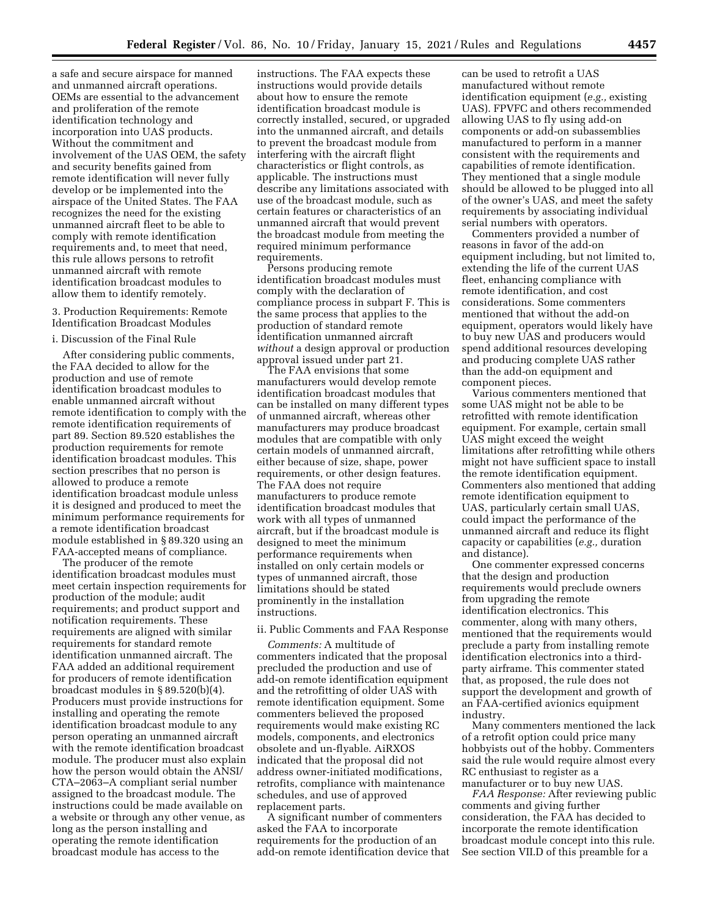a safe and secure airspace for manned and unmanned aircraft operations. OEMs are essential to the advancement and proliferation of the remote identification technology and incorporation into UAS products. Without the commitment and involvement of the UAS OEM, the safety and security benefits gained from remote identification will never fully develop or be implemented into the airspace of the United States. The FAA recognizes the need for the existing unmanned aircraft fleet to be able to comply with remote identification requirements and, to meet that need, this rule allows persons to retrofit unmanned aircraft with remote identification broadcast modules to allow them to identify remotely.

3. Production Requirements: Remote Identification Broadcast Modules

## i. Discussion of the Final Rule

After considering public comments, the FAA decided to allow for the production and use of remote identification broadcast modules to enable unmanned aircraft without remote identification to comply with the remote identification requirements of part 89. Section 89.520 establishes the production requirements for remote identification broadcast modules. This section prescribes that no person is allowed to produce a remote identification broadcast module unless it is designed and produced to meet the minimum performance requirements for a remote identification broadcast module established in § 89.320 using an FAA-accepted means of compliance.

The producer of the remote identification broadcast modules must meet certain inspection requirements for production of the module; audit requirements; and product support and notification requirements. These requirements are aligned with similar requirements for standard remote identification unmanned aircraft. The FAA added an additional requirement for producers of remote identification broadcast modules in § 89.520(b)(4). Producers must provide instructions for installing and operating the remote identification broadcast module to any person operating an unmanned aircraft with the remote identification broadcast module. The producer must also explain how the person would obtain the ANSI/ CTA–2063–A compliant serial number assigned to the broadcast module. The instructions could be made available on a website or through any other venue, as long as the person installing and operating the remote identification broadcast module has access to the

instructions. The FAA expects these instructions would provide details about how to ensure the remote identification broadcast module is correctly installed, secured, or upgraded into the unmanned aircraft, and details to prevent the broadcast module from interfering with the aircraft flight characteristics or flight controls, as applicable. The instructions must describe any limitations associated with use of the broadcast module, such as certain features or characteristics of an unmanned aircraft that would prevent the broadcast module from meeting the required minimum performance requirements.

Persons producing remote identification broadcast modules must comply with the declaration of compliance process in subpart F. This is the same process that applies to the production of standard remote identification unmanned aircraft *without* a design approval or production approval issued under part 21.

The FAA envisions that some manufacturers would develop remote identification broadcast modules that can be installed on many different types of unmanned aircraft, whereas other manufacturers may produce broadcast modules that are compatible with only certain models of unmanned aircraft, either because of size, shape, power requirements, or other design features. The FAA does not require manufacturers to produce remote identification broadcast modules that work with all types of unmanned aircraft, but if the broadcast module is designed to meet the minimum performance requirements when installed on only certain models or types of unmanned aircraft, those limitations should be stated prominently in the installation instructions.

## ii. Public Comments and FAA Response

*Comments:* A multitude of commenters indicated that the proposal precluded the production and use of add-on remote identification equipment and the retrofitting of older UAS with remote identification equipment. Some commenters believed the proposed requirements would make existing RC models, components, and electronics obsolete and un-flyable. AiRXOS indicated that the proposal did not address owner-initiated modifications, retrofits, compliance with maintenance schedules, and use of approved replacement parts.

A significant number of commenters asked the FAA to incorporate requirements for the production of an add-on remote identification device that

can be used to retrofit a UAS manufactured without remote identification equipment (*e.g.,* existing UAS). FPVFC and others recommended allowing UAS to fly using add-on components or add-on subassemblies manufactured to perform in a manner consistent with the requirements and capabilities of remote identification. They mentioned that a single module should be allowed to be plugged into all of the owner's UAS, and meet the safety requirements by associating individual serial numbers with operators.

Commenters provided a number of reasons in favor of the add-on equipment including, but not limited to, extending the life of the current UAS fleet, enhancing compliance with remote identification, and cost considerations. Some commenters mentioned that without the add-on equipment, operators would likely have to buy new UAS and producers would spend additional resources developing and producing complete UAS rather than the add-on equipment and component pieces.

Various commenters mentioned that some UAS might not be able to be retrofitted with remote identification equipment. For example, certain small UAS might exceed the weight limitations after retrofitting while others might not have sufficient space to install the remote identification equipment. Commenters also mentioned that adding remote identification equipment to UAS, particularly certain small UAS, could impact the performance of the unmanned aircraft and reduce its flight capacity or capabilities (*e.g.,* duration and distance).

One commenter expressed concerns that the design and production requirements would preclude owners from upgrading the remote identification electronics. This commenter, along with many others, mentioned that the requirements would preclude a party from installing remote identification electronics into a thirdparty airframe. This commenter stated that, as proposed, the rule does not support the development and growth of an FAA-certified avionics equipment industry.

Many commenters mentioned the lack of a retrofit option could price many hobbyists out of the hobby. Commenters said the rule would require almost every RC enthusiast to register as a manufacturer or to buy new UAS.

*FAA Response:* After reviewing public comments and giving further consideration, the FAA has decided to incorporate the remote identification broadcast module concept into this rule. See section VII.D of this preamble for a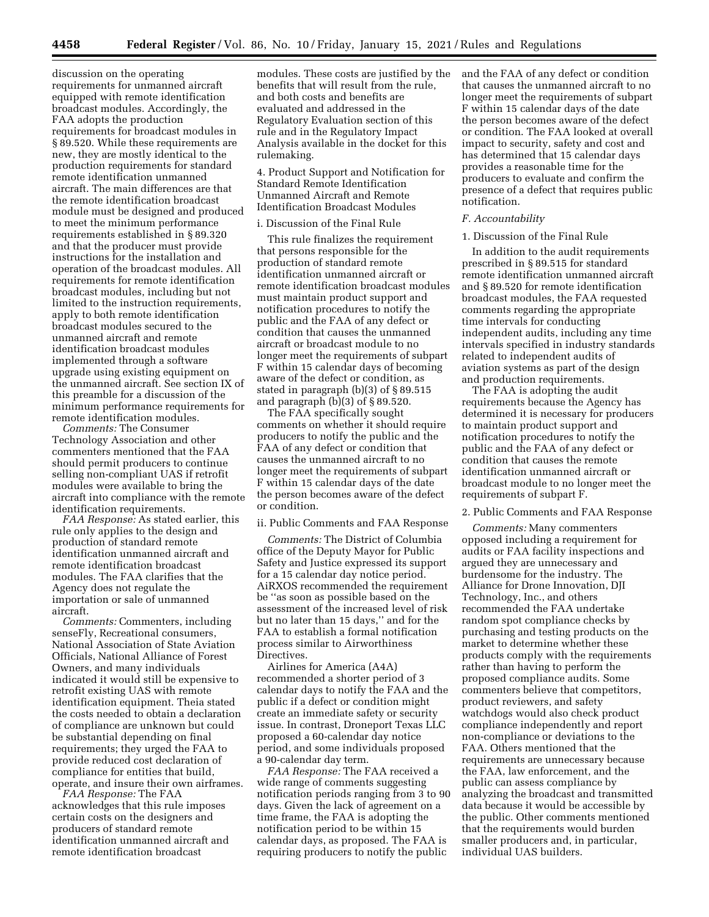discussion on the operating requirements for unmanned aircraft equipped with remote identification broadcast modules. Accordingly, the FAA adopts the production requirements for broadcast modules in § 89.520. While these requirements are new, they are mostly identical to the production requirements for standard remote identification unmanned aircraft. The main differences are that the remote identification broadcast module must be designed and produced to meet the minimum performance requirements established in § 89.320 and that the producer must provide instructions for the installation and operation of the broadcast modules. All requirements for remote identification broadcast modules, including but not limited to the instruction requirements, apply to both remote identification broadcast modules secured to the unmanned aircraft and remote identification broadcast modules implemented through a software upgrade using existing equipment on the unmanned aircraft. See section IX of this preamble for a discussion of the minimum performance requirements for remote identification modules.

*Comments:* The Consumer Technology Association and other commenters mentioned that the FAA should permit producers to continue selling non-compliant UAS if retrofit modules were available to bring the aircraft into compliance with the remote identification requirements.

*FAA Response:* As stated earlier, this rule only applies to the design and production of standard remote identification unmanned aircraft and remote identification broadcast modules. The FAA clarifies that the Agency does not regulate the importation or sale of unmanned aircraft.

*Comments:* Commenters, including senseFly, Recreational consumers, National Association of State Aviation Officials, National Alliance of Forest Owners, and many individuals indicated it would still be expensive to retrofit existing UAS with remote identification equipment. Theia stated the costs needed to obtain a declaration of compliance are unknown but could be substantial depending on final requirements; they urged the FAA to provide reduced cost declaration of compliance for entities that build, operate, and insure their own airframes.

*FAA Response:* The FAA acknowledges that this rule imposes certain costs on the designers and producers of standard remote identification unmanned aircraft and remote identification broadcast

modules. These costs are justified by the benefits that will result from the rule, and both costs and benefits are evaluated and addressed in the Regulatory Evaluation section of this rule and in the Regulatory Impact Analysis available in the docket for this rulemaking.

4. Product Support and Notification for Standard Remote Identification Unmanned Aircraft and Remote Identification Broadcast Modules

#### i. Discussion of the Final Rule

This rule finalizes the requirement that persons responsible for the production of standard remote identification unmanned aircraft or remote identification broadcast modules must maintain product support and notification procedures to notify the public and the FAA of any defect or condition that causes the unmanned aircraft or broadcast module to no longer meet the requirements of subpart F within 15 calendar days of becoming aware of the defect or condition, as stated in paragraph (b)(3) of § 89.515 and paragraph (b)(3) of § 89.520.

The FAA specifically sought comments on whether it should require producers to notify the public and the FAA of any defect or condition that causes the unmanned aircraft to no longer meet the requirements of subpart F within 15 calendar days of the date the person becomes aware of the defect or condition.

### ii. Public Comments and FAA Response

*Comments:* The District of Columbia office of the Deputy Mayor for Public Safety and Justice expressed its support for a 15 calendar day notice period. AiRXOS recommended the requirement be ''as soon as possible based on the assessment of the increased level of risk but no later than 15 days,'' and for the FAA to establish a formal notification process similar to Airworthiness Directives.

Airlines for America (A4A) recommended a shorter period of 3 calendar days to notify the FAA and the public if a defect or condition might create an immediate safety or security issue. In contrast, Droneport Texas LLC proposed a 60-calendar day notice period, and some individuals proposed a 90-calendar day term.

*FAA Response:* The FAA received a wide range of comments suggesting notification periods ranging from 3 to 90 days. Given the lack of agreement on a time frame, the FAA is adopting the notification period to be within 15 calendar days, as proposed. The FAA is requiring producers to notify the public

and the FAA of any defect or condition that causes the unmanned aircraft to no longer meet the requirements of subpart F within 15 calendar days of the date the person becomes aware of the defect or condition. The FAA looked at overall impact to security, safety and cost and has determined that 15 calendar days provides a reasonable time for the producers to evaluate and confirm the presence of a defect that requires public notification.

#### *F. Accountability*

## 1. Discussion of the Final Rule

In addition to the audit requirements prescribed in § 89.515 for standard remote identification unmanned aircraft and § 89.520 for remote identification broadcast modules, the FAA requested comments regarding the appropriate time intervals for conducting independent audits, including any time intervals specified in industry standards related to independent audits of aviation systems as part of the design and production requirements.

The FAA is adopting the audit requirements because the Agency has determined it is necessary for producers to maintain product support and notification procedures to notify the public and the FAA of any defect or condition that causes the remote identification unmanned aircraft or broadcast module to no longer meet the requirements of subpart F.

#### 2. Public Comments and FAA Response

*Comments:* Many commenters opposed including a requirement for audits or FAA facility inspections and argued they are unnecessary and burdensome for the industry. The Alliance for Drone Innovation, DJI Technology, Inc., and others recommended the FAA undertake random spot compliance checks by purchasing and testing products on the market to determine whether these products comply with the requirements rather than having to perform the proposed compliance audits. Some commenters believe that competitors, product reviewers, and safety watchdogs would also check product compliance independently and report non-compliance or deviations to the FAA. Others mentioned that the requirements are unnecessary because the FAA, law enforcement, and the public can assess compliance by analyzing the broadcast and transmitted data because it would be accessible by the public. Other comments mentioned that the requirements would burden smaller producers and, in particular, individual UAS builders.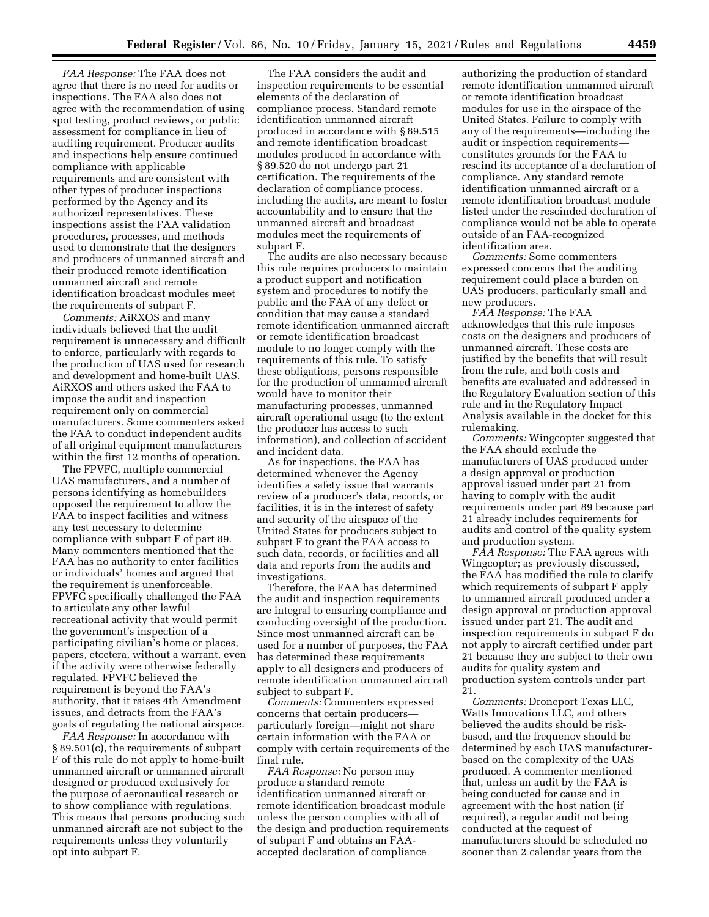*FAA Response:* The FAA does not agree that there is no need for audits or inspections. The FAA also does not agree with the recommendation of using spot testing, product reviews, or public assessment for compliance in lieu of auditing requirement. Producer audits and inspections help ensure continued compliance with applicable requirements and are consistent with other types of producer inspections performed by the Agency and its authorized representatives. These inspections assist the FAA validation procedures, processes, and methods used to demonstrate that the designers and producers of unmanned aircraft and their produced remote identification unmanned aircraft and remote identification broadcast modules meet the requirements of subpart F.

*Comments:* AiRXOS and many individuals believed that the audit requirement is unnecessary and difficult to enforce, particularly with regards to the production of UAS used for research and development and home-built UAS. AiRXOS and others asked the FAA to impose the audit and inspection requirement only on commercial manufacturers. Some commenters asked the FAA to conduct independent audits of all original equipment manufacturers within the first 12 months of operation.

The FPVFC, multiple commercial UAS manufacturers, and a number of persons identifying as homebuilders opposed the requirement to allow the FAA to inspect facilities and witness any test necessary to determine compliance with subpart F of part 89. Many commenters mentioned that the FAA has no authority to enter facilities or individuals' homes and argued that the requirement is unenforceable. FPVFC specifically challenged the FAA to articulate any other lawful recreational activity that would permit the government's inspection of a participating civilian's home or places, papers, etcetera, without a warrant, even if the activity were otherwise federally regulated. FPVFC believed the requirement is beyond the FAA's authority, that it raises 4th Amendment issues, and detracts from the FAA's goals of regulating the national airspace.

*FAA Response:* In accordance with § 89.501(c), the requirements of subpart F of this rule do not apply to home-built unmanned aircraft or unmanned aircraft designed or produced exclusively for the purpose of aeronautical research or to show compliance with regulations. This means that persons producing such unmanned aircraft are not subject to the requirements unless they voluntarily opt into subpart F.

The FAA considers the audit and inspection requirements to be essential elements of the declaration of compliance process. Standard remote identification unmanned aircraft produced in accordance with § 89.515 and remote identification broadcast modules produced in accordance with § 89.520 do not undergo part 21 certification. The requirements of the declaration of compliance process, including the audits, are meant to foster accountability and to ensure that the unmanned aircraft and broadcast modules meet the requirements of subpart F.

The audits are also necessary because this rule requires producers to maintain a product support and notification system and procedures to notify the public and the FAA of any defect or condition that may cause a standard remote identification unmanned aircraft or remote identification broadcast module to no longer comply with the requirements of this rule. To satisfy these obligations, persons responsible for the production of unmanned aircraft would have to monitor their manufacturing processes, unmanned aircraft operational usage (to the extent the producer has access to such information), and collection of accident and incident data.

As for inspections, the FAA has determined whenever the Agency identifies a safety issue that warrants review of a producer's data, records, or facilities, it is in the interest of safety and security of the airspace of the United States for producers subject to subpart F to grant the FAA access to such data, records, or facilities and all data and reports from the audits and investigations.

Therefore, the FAA has determined the audit and inspection requirements are integral to ensuring compliance and conducting oversight of the production. Since most unmanned aircraft can be used for a number of purposes, the FAA has determined these requirements apply to all designers and producers of remote identification unmanned aircraft subject to subpart F.

*Comments:* Commenters expressed concerns that certain producers particularly foreign—might not share certain information with the FAA or comply with certain requirements of the final rule.

*FAA Response:* No person may produce a standard remote identification unmanned aircraft or remote identification broadcast module unless the person complies with all of the design and production requirements of subpart F and obtains an FAAaccepted declaration of compliance

authorizing the production of standard remote identification unmanned aircraft or remote identification broadcast modules for use in the airspace of the United States. Failure to comply with any of the requirements—including the audit or inspection requirements constitutes grounds for the FAA to rescind its acceptance of a declaration of compliance. Any standard remote identification unmanned aircraft or a remote identification broadcast module listed under the rescinded declaration of compliance would not be able to operate outside of an FAA-recognized identification area.

*Comments:* Some commenters expressed concerns that the auditing requirement could place a burden on UAS producers, particularly small and new producers.

*FAA Response:* The FAA acknowledges that this rule imposes costs on the designers and producers of unmanned aircraft. These costs are justified by the benefits that will result from the rule, and both costs and benefits are evaluated and addressed in the Regulatory Evaluation section of this rule and in the Regulatory Impact Analysis available in the docket for this rulemaking.

*Comments:* Wingcopter suggested that the FAA should exclude the manufacturers of UAS produced under a design approval or production approval issued under part 21 from having to comply with the audit requirements under part 89 because part 21 already includes requirements for audits and control of the quality system and production system.

*FAA Response:* The FAA agrees with Wingcopter; as previously discussed, the FAA has modified the rule to clarify which requirements of subpart F apply to unmanned aircraft produced under a design approval or production approval issued under part 21. The audit and inspection requirements in subpart F do not apply to aircraft certified under part 21 because they are subject to their own audits for quality system and production system controls under part 21.

*Comments:* Droneport Texas LLC, Watts Innovations LLC, and others believed the audits should be riskbased, and the frequency should be determined by each UAS manufacturerbased on the complexity of the UAS produced. A commenter mentioned that, unless an audit by the FAA is being conducted for cause and in agreement with the host nation (if required), a regular audit not being conducted at the request of manufacturers should be scheduled no sooner than 2 calendar years from the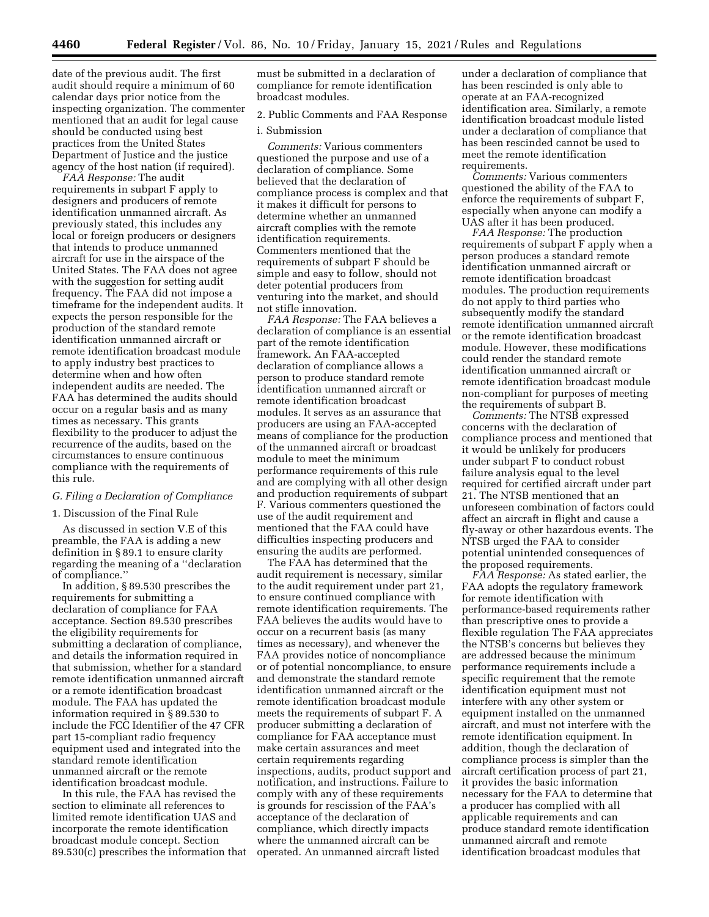date of the previous audit. The first audit should require a minimum of 60 calendar days prior notice from the inspecting organization. The commenter mentioned that an audit for legal cause should be conducted using best practices from the United States Department of Justice and the justice agency of the host nation (if required).

*FAA Response:* The audit requirements in subpart F apply to designers and producers of remote identification unmanned aircraft. As previously stated, this includes any local or foreign producers or designers that intends to produce unmanned aircraft for use in the airspace of the United States. The FAA does not agree with the suggestion for setting audit frequency. The FAA did not impose a timeframe for the independent audits. It expects the person responsible for the production of the standard remote identification unmanned aircraft or remote identification broadcast module to apply industry best practices to determine when and how often independent audits are needed. The FAA has determined the audits should occur on a regular basis and as many times as necessary. This grants flexibility to the producer to adjust the recurrence of the audits, based on the circumstances to ensure continuous compliance with the requirements of this rule.

# *G. Filing a Declaration of Compliance*

## 1. Discussion of the Final Rule

As discussed in section V.E of this preamble, the FAA is adding a new definition in § 89.1 to ensure clarity regarding the meaning of a ''declaration of compliance.''

In addition, § 89.530 prescribes the requirements for submitting a declaration of compliance for FAA acceptance. Section 89.530 prescribes the eligibility requirements for submitting a declaration of compliance, and details the information required in that submission, whether for a standard remote identification unmanned aircraft or a remote identification broadcast module. The FAA has updated the information required in § 89.530 to include the FCC Identifier of the 47 CFR part 15-compliant radio frequency equipment used and integrated into the standard remote identification unmanned aircraft or the remote identification broadcast module.

In this rule, the FAA has revised the section to eliminate all references to limited remote identification UAS and incorporate the remote identification broadcast module concept. Section 89.530(c) prescribes the information that must be submitted in a declaration of compliance for remote identification broadcast modules.

## 2. Public Comments and FAA Response

## i. Submission

*Comments:* Various commenters questioned the purpose and use of a declaration of compliance. Some believed that the declaration of compliance process is complex and that it makes it difficult for persons to determine whether an unmanned aircraft complies with the remote identification requirements. Commenters mentioned that the requirements of subpart F should be simple and easy to follow, should not deter potential producers from venturing into the market, and should not stifle innovation.

*FAA Response:* The FAA believes a declaration of compliance is an essential part of the remote identification framework. An FAA-accepted declaration of compliance allows a person to produce standard remote identification unmanned aircraft or remote identification broadcast modules. It serves as an assurance that producers are using an FAA-accepted means of compliance for the production of the unmanned aircraft or broadcast module to meet the minimum performance requirements of this rule and are complying with all other design and production requirements of subpart F. Various commenters questioned the use of the audit requirement and mentioned that the FAA could have difficulties inspecting producers and ensuring the audits are performed.

The FAA has determined that the audit requirement is necessary, similar to the audit requirement under part 21, to ensure continued compliance with remote identification requirements. The FAA believes the audits would have to occur on a recurrent basis (as many times as necessary), and whenever the FAA provides notice of noncompliance or of potential noncompliance, to ensure and demonstrate the standard remote identification unmanned aircraft or the remote identification broadcast module meets the requirements of subpart F. A producer submitting a declaration of compliance for FAA acceptance must make certain assurances and meet certain requirements regarding inspections, audits, product support and notification, and instructions. Failure to comply with any of these requirements is grounds for rescission of the FAA's acceptance of the declaration of compliance, which directly impacts where the unmanned aircraft can be operated. An unmanned aircraft listed

under a declaration of compliance that has been rescinded is only able to operate at an FAA-recognized identification area. Similarly, a remote identification broadcast module listed under a declaration of compliance that has been rescinded cannot be used to meet the remote identification requirements.

*Comments:* Various commenters questioned the ability of the FAA to enforce the requirements of subpart F, especially when anyone can modify a UAS after it has been produced.

*FAA Response:* The production requirements of subpart F apply when a person produces a standard remote identification unmanned aircraft or remote identification broadcast modules. The production requirements do not apply to third parties who subsequently modify the standard remote identification unmanned aircraft or the remote identification broadcast module. However, these modifications could render the standard remote identification unmanned aircraft or remote identification broadcast module non-compliant for purposes of meeting the requirements of subpart B.

*Comments:* The NTSB expressed concerns with the declaration of compliance process and mentioned that it would be unlikely for producers under subpart F to conduct robust failure analysis equal to the level required for certified aircraft under part 21. The NTSB mentioned that an unforeseen combination of factors could affect an aircraft in flight and cause a fly-away or other hazardous events. The NTSB urged the FAA to consider potential unintended consequences of the proposed requirements.

*FAA Response:* As stated earlier, the FAA adopts the regulatory framework for remote identification with performance-based requirements rather than prescriptive ones to provide a flexible regulation The FAA appreciates the NTSB's concerns but believes they are addressed because the minimum performance requirements include a specific requirement that the remote identification equipment must not interfere with any other system or equipment installed on the unmanned aircraft, and must not interfere with the remote identification equipment. In addition, though the declaration of compliance process is simpler than the aircraft certification process of part 21, it provides the basic information necessary for the FAA to determine that a producer has complied with all applicable requirements and can produce standard remote identification unmanned aircraft and remote identification broadcast modules that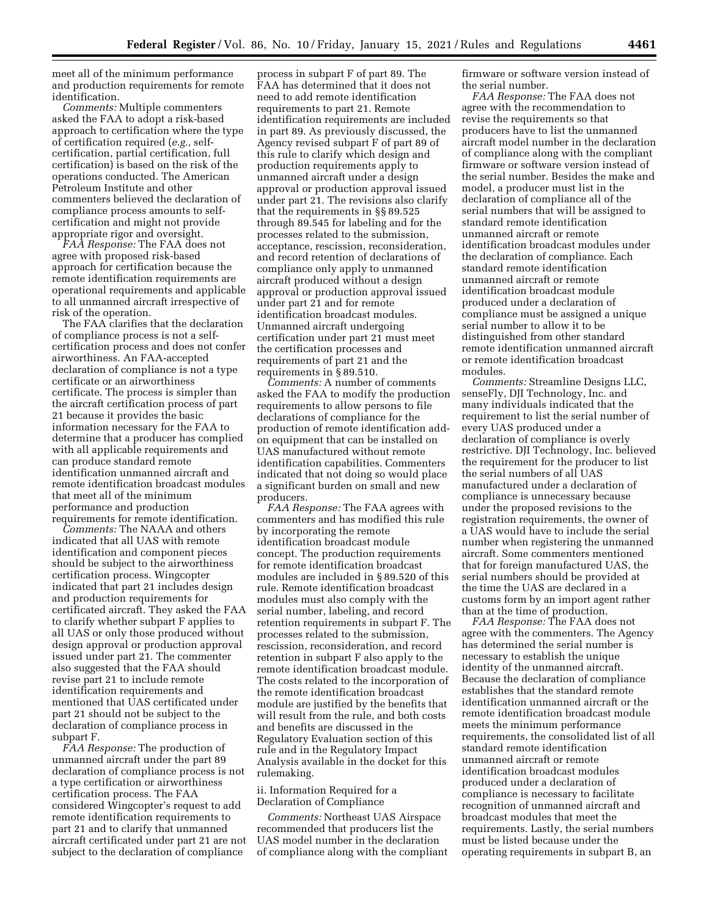meet all of the minimum performance and production requirements for remote identification.

*Comments:* Multiple commenters asked the FAA to adopt a risk-based approach to certification where the type of certification required (*e.g.,* selfcertification, partial certification, full certification) is based on the risk of the operations conducted. The American Petroleum Institute and other commenters believed the declaration of compliance process amounts to selfcertification and might not provide appropriate rigor and oversight.

*FAA Response:* The FAA does not agree with proposed risk-based approach for certification because the remote identification requirements are operational requirements and applicable to all unmanned aircraft irrespective of risk of the operation.

The FAA clarifies that the declaration of compliance process is not a selfcertification process and does not confer airworthiness. An FAA-accepted declaration of compliance is not a type certificate or an airworthiness certificate. The process is simpler than the aircraft certification process of part 21 because it provides the basic information necessary for the FAA to determine that a producer has complied with all applicable requirements and can produce standard remote identification unmanned aircraft and remote identification broadcast modules that meet all of the minimum performance and production requirements for remote identification.

*Comments:* The NAAA and others indicated that all UAS with remote identification and component pieces should be subject to the airworthiness certification process. Wingcopter indicated that part 21 includes design and production requirements for certificated aircraft. They asked the FAA to clarify whether subpart F applies to all UAS or only those produced without design approval or production approval issued under part 21. The commenter also suggested that the FAA should revise part 21 to include remote identification requirements and mentioned that UAS certificated under part 21 should not be subject to the declaration of compliance process in subpart F.

*FAA Response:* The production of unmanned aircraft under the part 89 declaration of compliance process is not a type certification or airworthiness certification process. The FAA considered Wingcopter's request to add remote identification requirements to part 21 and to clarify that unmanned aircraft certificated under part 21 are not subject to the declaration of compliance

process in subpart F of part 89. The FAA has determined that it does not need to add remote identification requirements to part 21. Remote identification requirements are included in part 89. As previously discussed, the Agency revised subpart F of part 89 of this rule to clarify which design and production requirements apply to unmanned aircraft under a design approval or production approval issued under part 21. The revisions also clarify that the requirements in §§ 89.525 through 89.545 for labeling and for the processes related to the submission, acceptance, rescission, reconsideration, and record retention of declarations of compliance only apply to unmanned aircraft produced without a design approval or production approval issued under part 21 and for remote identification broadcast modules. Unmanned aircraft undergoing certification under part 21 must meet the certification processes and requirements of part 21 and the requirements in § 89.510.

*Comments:* A number of comments asked the FAA to modify the production requirements to allow persons to file declarations of compliance for the production of remote identification addon equipment that can be installed on UAS manufactured without remote identification capabilities. Commenters indicated that not doing so would place a significant burden on small and new producers.

*FAA Response:* The FAA agrees with commenters and has modified this rule by incorporating the remote identification broadcast module concept. The production requirements for remote identification broadcast modules are included in § 89.520 of this rule. Remote identification broadcast modules must also comply with the serial number, labeling, and record retention requirements in subpart F. The processes related to the submission, rescission, reconsideration, and record retention in subpart F also apply to the remote identification broadcast module. The costs related to the incorporation of the remote identification broadcast module are justified by the benefits that will result from the rule, and both costs and benefits are discussed in the Regulatory Evaluation section of this rule and in the Regulatory Impact Analysis available in the docket for this rulemaking.

## ii. Information Required for a Declaration of Compliance

*Comments:* Northeast UAS Airspace recommended that producers list the UAS model number in the declaration of compliance along with the compliant firmware or software version instead of the serial number.

*FAA Response:* The FAA does not agree with the recommendation to revise the requirements so that producers have to list the unmanned aircraft model number in the declaration of compliance along with the compliant firmware or software version instead of the serial number. Besides the make and model, a producer must list in the declaration of compliance all of the serial numbers that will be assigned to standard remote identification unmanned aircraft or remote identification broadcast modules under the declaration of compliance. Each standard remote identification unmanned aircraft or remote identification broadcast module produced under a declaration of compliance must be assigned a unique serial number to allow it to be distinguished from other standard remote identification unmanned aircraft or remote identification broadcast modules.

*Comments:* Streamline Designs LLC, senseFly, DJI Technology, Inc. and many individuals indicated that the requirement to list the serial number of every UAS produced under a declaration of compliance is overly restrictive. DJI Technology, Inc. believed the requirement for the producer to list the serial numbers of all UAS manufactured under a declaration of compliance is unnecessary because under the proposed revisions to the registration requirements, the owner of a UAS would have to include the serial number when registering the unmanned aircraft. Some commenters mentioned that for foreign manufactured UAS, the serial numbers should be provided at the time the UAS are declared in a customs form by an import agent rather than at the time of production.

*FAA Response:* The FAA does not agree with the commenters. The Agency has determined the serial number is necessary to establish the unique identity of the unmanned aircraft. Because the declaration of compliance establishes that the standard remote identification unmanned aircraft or the remote identification broadcast module meets the minimum performance requirements, the consolidated list of all standard remote identification unmanned aircraft or remote identification broadcast modules produced under a declaration of compliance is necessary to facilitate recognition of unmanned aircraft and broadcast modules that meet the requirements. Lastly, the serial numbers must be listed because under the operating requirements in subpart B, an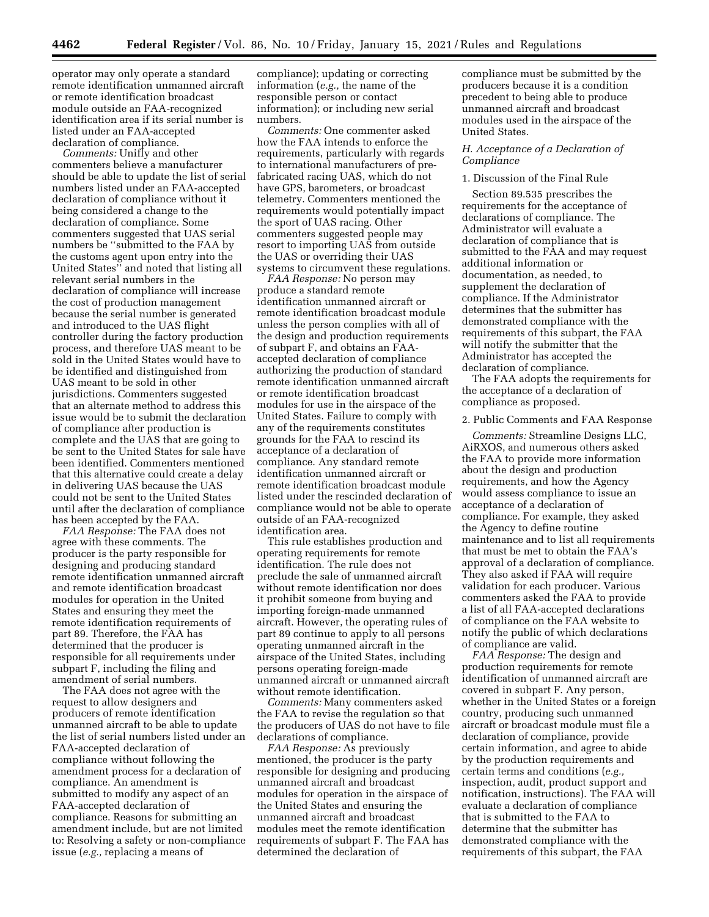operator may only operate a standard remote identification unmanned aircraft or remote identification broadcast module outside an FAA-recognized identification area if its serial number is listed under an FAA-accepted declaration of compliance.

*Comments:* Unifly and other commenters believe a manufacturer should be able to update the list of serial numbers listed under an FAA-accepted declaration of compliance without it being considered a change to the declaration of compliance. Some commenters suggested that UAS serial numbers be ''submitted to the FAA by the customs agent upon entry into the United States'' and noted that listing all relevant serial numbers in the declaration of compliance will increase the cost of production management because the serial number is generated and introduced to the UAS flight controller during the factory production process, and therefore UAS meant to be sold in the United States would have to be identified and distinguished from UAS meant to be sold in other jurisdictions. Commenters suggested that an alternate method to address this issue would be to submit the declaration of compliance after production is complete and the UAS that are going to be sent to the United States for sale have been identified. Commenters mentioned that this alternative could create a delay in delivering UAS because the UAS could not be sent to the United States until after the declaration of compliance has been accepted by the FAA.

*FAA Response:* The FAA does not agree with these comments. The producer is the party responsible for designing and producing standard remote identification unmanned aircraft and remote identification broadcast modules for operation in the United States and ensuring they meet the remote identification requirements of part 89. Therefore, the FAA has determined that the producer is responsible for all requirements under subpart F, including the filing and amendment of serial numbers.

The FAA does not agree with the request to allow designers and producers of remote identification unmanned aircraft to be able to update the list of serial numbers listed under an FAA-accepted declaration of compliance without following the amendment process for a declaration of compliance. An amendment is submitted to modify any aspect of an FAA-accepted declaration of compliance. Reasons for submitting an amendment include, but are not limited to: Resolving a safety or non-compliance issue (*e.g.,* replacing a means of

compliance); updating or correcting information (*e.g.,* the name of the responsible person or contact information); or including new serial numbers.

*Comments:* One commenter asked how the FAA intends to enforce the requirements, particularly with regards to international manufacturers of prefabricated racing UAS, which do not have GPS, barometers, or broadcast telemetry. Commenters mentioned the requirements would potentially impact the sport of UAS racing. Other commenters suggested people may resort to importing UAS from outside the UAS or overriding their UAS systems to circumvent these regulations.

*FAA Response:* No person may produce a standard remote identification unmanned aircraft or remote identification broadcast module unless the person complies with all of the design and production requirements of subpart F, and obtains an FAAaccepted declaration of compliance authorizing the production of standard remote identification unmanned aircraft or remote identification broadcast modules for use in the airspace of the United States. Failure to comply with any of the requirements constitutes grounds for the FAA to rescind its acceptance of a declaration of compliance. Any standard remote identification unmanned aircraft or remote identification broadcast module listed under the rescinded declaration of compliance would not be able to operate outside of an FAA-recognized identification area.

This rule establishes production and operating requirements for remote identification. The rule does not preclude the sale of unmanned aircraft without remote identification nor does it prohibit someone from buying and importing foreign-made unmanned aircraft. However, the operating rules of part 89 continue to apply to all persons operating unmanned aircraft in the airspace of the United States, including persons operating foreign-made unmanned aircraft or unmanned aircraft without remote identification.

*Comments:* Many commenters asked the FAA to revise the regulation so that the producers of UAS do not have to file declarations of compliance.

*FAA Response:* As previously mentioned, the producer is the party responsible for designing and producing unmanned aircraft and broadcast modules for operation in the airspace of the United States and ensuring the unmanned aircraft and broadcast modules meet the remote identification requirements of subpart F. The FAA has determined the declaration of

compliance must be submitted by the producers because it is a condition precedent to being able to produce unmanned aircraft and broadcast modules used in the airspace of the United States.

#### *H. Acceptance of a Declaration of Compliance*

## 1. Discussion of the Final Rule

Section 89.535 prescribes the requirements for the acceptance of declarations of compliance. The Administrator will evaluate a declaration of compliance that is submitted to the FAA and may request additional information or documentation, as needed, to supplement the declaration of compliance. If the Administrator determines that the submitter has demonstrated compliance with the requirements of this subpart, the FAA will notify the submitter that the Administrator has accepted the declaration of compliance.

The FAA adopts the requirements for the acceptance of a declaration of compliance as proposed.

## 2. Public Comments and FAA Response

*Comments:* Streamline Designs LLC, AiRXOS, and numerous others asked the FAA to provide more information about the design and production requirements, and how the Agency would assess compliance to issue an acceptance of a declaration of compliance. For example, they asked the Agency to define routine maintenance and to list all requirements that must be met to obtain the FAA's approval of a declaration of compliance. They also asked if FAA will require validation for each producer. Various commenters asked the FAA to provide a list of all FAA-accepted declarations of compliance on the FAA website to notify the public of which declarations of compliance are valid.

*FAA Response:* The design and production requirements for remote identification of unmanned aircraft are covered in subpart F. Any person, whether in the United States or a foreign country, producing such unmanned aircraft or broadcast module must file a declaration of compliance, provide certain information, and agree to abide by the production requirements and certain terms and conditions (*e.g.,*  inspection, audit, product support and notification, instructions). The FAA will evaluate a declaration of compliance that is submitted to the FAA to determine that the submitter has demonstrated compliance with the requirements of this subpart, the FAA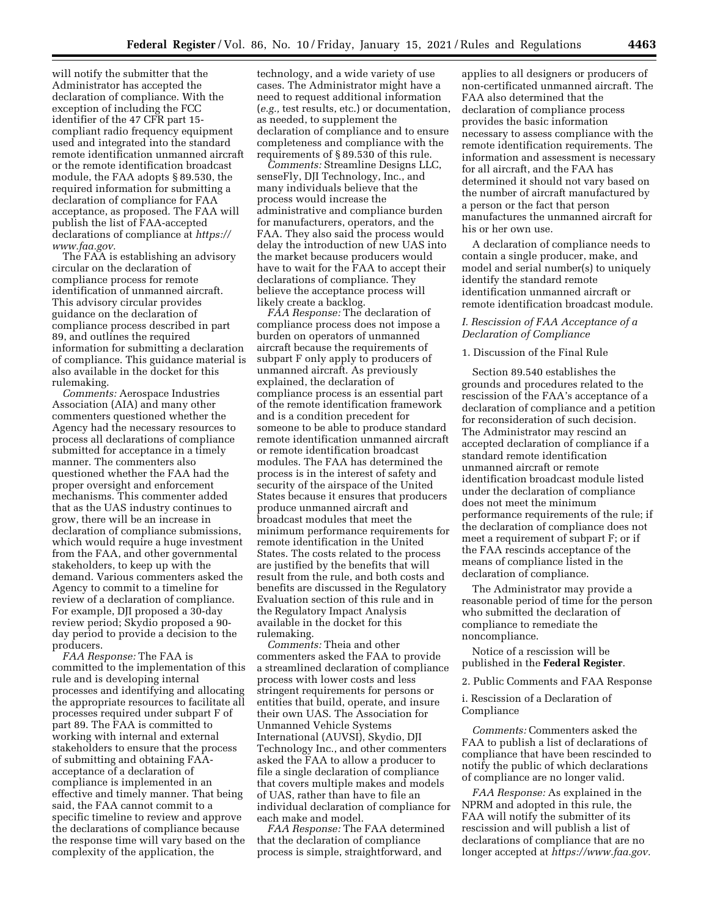will notify the submitter that the Administrator has accepted the declaration of compliance. With the exception of including the FCC identifier of the 47 CFR part 15 compliant radio frequency equipment used and integrated into the standard remote identification unmanned aircraft or the remote identification broadcast module, the FAA adopts § 89.530, the required information for submitting a declaration of compliance for FAA acceptance, as proposed. The FAA will publish the list of FAA-accepted declarations of compliance at *https:// www.faa.gov.* 

The FAA is establishing an advisory circular on the declaration of compliance process for remote identification of unmanned aircraft. This advisory circular provides guidance on the declaration of compliance process described in part 89, and outlines the required information for submitting a declaration of compliance. This guidance material is also available in the docket for this rulemaking.

*Comments:* Aerospace Industries Association (AIA) and many other commenters questioned whether the Agency had the necessary resources to process all declarations of compliance submitted for acceptance in a timely manner. The commenters also questioned whether the FAA had the proper oversight and enforcement mechanisms. This commenter added that as the UAS industry continues to grow, there will be an increase in declaration of compliance submissions, which would require a huge investment from the FAA, and other governmental stakeholders, to keep up with the demand. Various commenters asked the Agency to commit to a timeline for review of a declaration of compliance. For example, DJI proposed a 30-day review period; Skydio proposed a 90 day period to provide a decision to the producers.

*FAA Response:* The FAA is committed to the implementation of this rule and is developing internal processes and identifying and allocating the appropriate resources to facilitate all processes required under subpart F of part 89. The FAA is committed to working with internal and external stakeholders to ensure that the process of submitting and obtaining FAAacceptance of a declaration of compliance is implemented in an effective and timely manner. That being said, the FAA cannot commit to a specific timeline to review and approve the declarations of compliance because the response time will vary based on the complexity of the application, the

technology, and a wide variety of use cases. The Administrator might have a need to request additional information (*e.g.,* test results, etc.) or documentation, as needed, to supplement the declaration of compliance and to ensure completeness and compliance with the requirements of § 89.530 of this rule.

*Comments:* Streamline Designs LLC, senseFly, DJI Technology, Inc., and many individuals believe that the process would increase the administrative and compliance burden for manufacturers, operators, and the FAA. They also said the process would delay the introduction of new UAS into the market because producers would have to wait for the FAA to accept their declarations of compliance. They believe the acceptance process will likely create a backlog.

*FAA Response:* The declaration of compliance process does not impose a burden on operators of unmanned aircraft because the requirements of subpart F only apply to producers of unmanned aircraft. As previously explained, the declaration of compliance process is an essential part of the remote identification framework and is a condition precedent for someone to be able to produce standard remote identification unmanned aircraft or remote identification broadcast modules. The FAA has determined the process is in the interest of safety and security of the airspace of the United States because it ensures that producers produce unmanned aircraft and broadcast modules that meet the minimum performance requirements for remote identification in the United States. The costs related to the process are justified by the benefits that will result from the rule, and both costs and benefits are discussed in the Regulatory Evaluation section of this rule and in the Regulatory Impact Analysis available in the docket for this rulemaking.

*Comments:* Theia and other commenters asked the FAA to provide a streamlined declaration of compliance process with lower costs and less stringent requirements for persons or entities that build, operate, and insure their own UAS. The Association for Unmanned Vehicle Systems International (AUVSI), Skydio, DJI Technology Inc., and other commenters asked the FAA to allow a producer to file a single declaration of compliance that covers multiple makes and models of UAS, rather than have to file an individual declaration of compliance for each make and model.

*FAA Response:* The FAA determined that the declaration of compliance process is simple, straightforward, and

applies to all designers or producers of non-certificated unmanned aircraft. The FAA also determined that the declaration of compliance process provides the basic information necessary to assess compliance with the remote identification requirements. The information and assessment is necessary for all aircraft, and the FAA has determined it should not vary based on the number of aircraft manufactured by a person or the fact that person manufactures the unmanned aircraft for his or her own use.

A declaration of compliance needs to contain a single producer, make, and model and serial number(s) to uniquely identify the standard remote identification unmanned aircraft or remote identification broadcast module.

## *I. Rescission of FAA Acceptance of a Declaration of Compliance*

## 1. Discussion of the Final Rule

Section 89.540 establishes the grounds and procedures related to the rescission of the FAA's acceptance of a declaration of compliance and a petition for reconsideration of such decision. The Administrator may rescind an accepted declaration of compliance if a standard remote identification unmanned aircraft or remote identification broadcast module listed under the declaration of compliance does not meet the minimum performance requirements of the rule; if the declaration of compliance does not meet a requirement of subpart F; or if the FAA rescinds acceptance of the means of compliance listed in the declaration of compliance.

The Administrator may provide a reasonable period of time for the person who submitted the declaration of compliance to remediate the noncompliance.

Notice of a rescission will be published in the **Federal Register**.

2. Public Comments and FAA Response

i. Rescission of a Declaration of Compliance

*Comments:* Commenters asked the FAA to publish a list of declarations of compliance that have been rescinded to notify the public of which declarations of compliance are no longer valid.

*FAA Response:* As explained in the NPRM and adopted in this rule, the FAA will notify the submitter of its rescission and will publish a list of declarations of compliance that are no longer accepted at *https://www.faa.gov.*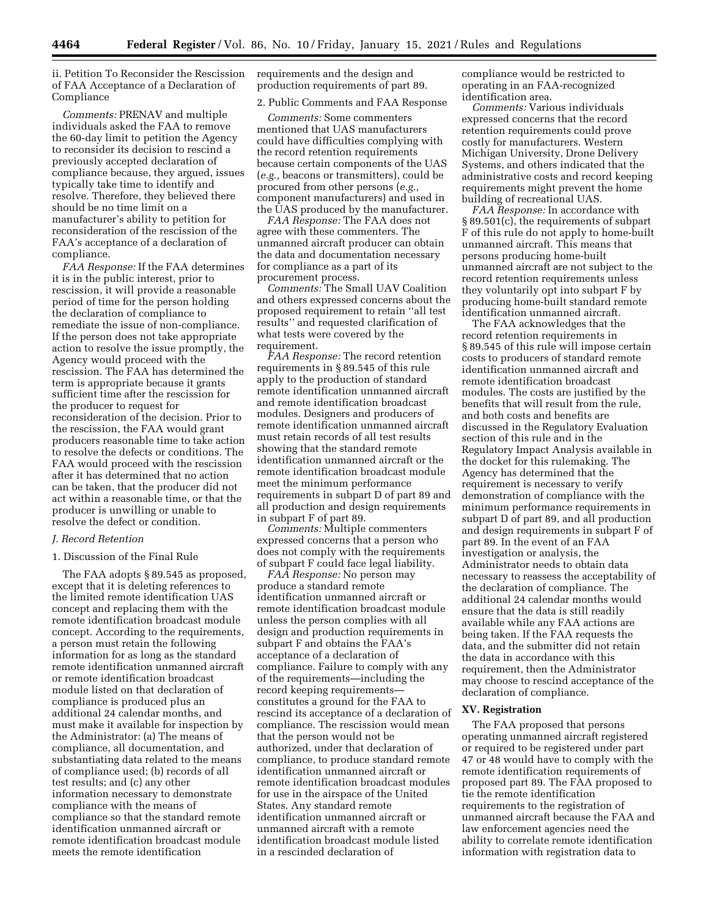ii. Petition To Reconsider the Rescission of FAA Acceptance of a Declaration of Compliance

*Comments:* PRENAV and multiple individuals asked the FAA to remove the 60-day limit to petition the Agency to reconsider its decision to rescind a previously accepted declaration of compliance because, they argued, issues typically take time to identify and resolve. Therefore, they believed there should be no time limit on a manufacturer's ability to petition for reconsideration of the rescission of the FAA's acceptance of a declaration of compliance.

*FAA Response:* If the FAA determines it is in the public interest, prior to rescission, it will provide a reasonable period of time for the person holding the declaration of compliance to remediate the issue of non-compliance. If the person does not take appropriate action to resolve the issue promptly, the Agency would proceed with the rescission. The FAA has determined the term is appropriate because it grants sufficient time after the rescission for the producer to request for reconsideration of the decision. Prior to the rescission, the FAA would grant producers reasonable time to take action to resolve the defects or conditions. The FAA would proceed with the rescission after it has determined that no action can be taken, that the producer did not act within a reasonable time, or that the producer is unwilling or unable to resolve the defect or condition.

#### *J. Record Retention*

#### 1. Discussion of the Final Rule

The FAA adopts § 89.545 as proposed, except that it is deleting references to the limited remote identification UAS concept and replacing them with the remote identification broadcast module concept. According to the requirements, a person must retain the following information for as long as the standard remote identification unmanned aircraft or remote identification broadcast module listed on that declaration of compliance is produced plus an additional 24 calendar months, and must make it available for inspection by the Administrator: (a) The means of compliance, all documentation, and substantiating data related to the means of compliance used; (b) records of all test results; and (c) any other information necessary to demonstrate compliance with the means of compliance so that the standard remote identification unmanned aircraft or remote identification broadcast module meets the remote identification

requirements and the design and production requirements of part 89.

2. Public Comments and FAA Response

*Comments:* Some commenters mentioned that UAS manufacturers could have difficulties complying with the record retention requirements because certain components of the UAS (*e.g.,* beacons or transmitters), could be procured from other persons (*e.g.,*  component manufacturers) and used in the UAS produced by the manufacturer.

*FAA Response:* The FAA does not agree with these commenters. The unmanned aircraft producer can obtain the data and documentation necessary for compliance as a part of its procurement process.

*Comments:* The Small UAV Coalition and others expressed concerns about the proposed requirement to retain ''all test results'' and requested clarification of what tests were covered by the requirement.

*FAA Response:* The record retention requirements in § 89.545 of this rule apply to the production of standard remote identification unmanned aircraft and remote identification broadcast modules. Designers and producers of remote identification unmanned aircraft must retain records of all test results showing that the standard remote identification unmanned aircraft or the remote identification broadcast module meet the minimum performance requirements in subpart D of part 89 and all production and design requirements in subpart F of part 89.

*Comments:* Multiple commenters expressed concerns that a person who does not comply with the requirements of subpart F could face legal liability.

*FAA Response:* No person may produce a standard remote identification unmanned aircraft or remote identification broadcast module unless the person complies with all design and production requirements in subpart F and obtains the FAA's acceptance of a declaration of compliance. Failure to comply with any of the requirements—including the record keeping requirements constitutes a ground for the FAA to rescind its acceptance of a declaration of compliance. The rescission would mean that the person would not be authorized, under that declaration of compliance, to produce standard remote identification unmanned aircraft or remote identification broadcast modules for use in the airspace of the United States. Any standard remote identification unmanned aircraft or unmanned aircraft with a remote identification broadcast module listed in a rescinded declaration of

compliance would be restricted to operating in an FAA-recognized identification area.

*Comments:* Various individuals expressed concerns that the record retention requirements could prove costly for manufacturers. Western Michigan University, Drone Delivery Systems, and others indicated that the administrative costs and record keeping requirements might prevent the home building of recreational UAS.

*FAA Response:* In accordance with § 89.501(c), the requirements of subpart F of this rule do not apply to home-built unmanned aircraft. This means that persons producing home-built unmanned aircraft are not subject to the record retention requirements unless they voluntarily opt into subpart F by producing home-built standard remote identification unmanned aircraft.

The FAA acknowledges that the record retention requirements in § 89.545 of this rule will impose certain costs to producers of standard remote identification unmanned aircraft and remote identification broadcast modules. The costs are justified by the benefits that will result from the rule, and both costs and benefits are discussed in the Regulatory Evaluation section of this rule and in the Regulatory Impact Analysis available in the docket for this rulemaking. The Agency has determined that the requirement is necessary to verify demonstration of compliance with the minimum performance requirements in subpart D of part 89, and all production and design requirements in subpart F of part 89. In the event of an FAA investigation or analysis, the Administrator needs to obtain data necessary to reassess the acceptability of the declaration of compliance. The additional 24 calendar months would ensure that the data is still readily available while any FAA actions are being taken. If the FAA requests the data, and the submitter did not retain the data in accordance with this requirement, then the Administrator may choose to rescind acceptance of the declaration of compliance.

#### **XV. Registration**

The FAA proposed that persons operating unmanned aircraft registered or required to be registered under part 47 or 48 would have to comply with the remote identification requirements of proposed part 89. The FAA proposed to tie the remote identification requirements to the registration of unmanned aircraft because the FAA and law enforcement agencies need the ability to correlate remote identification information with registration data to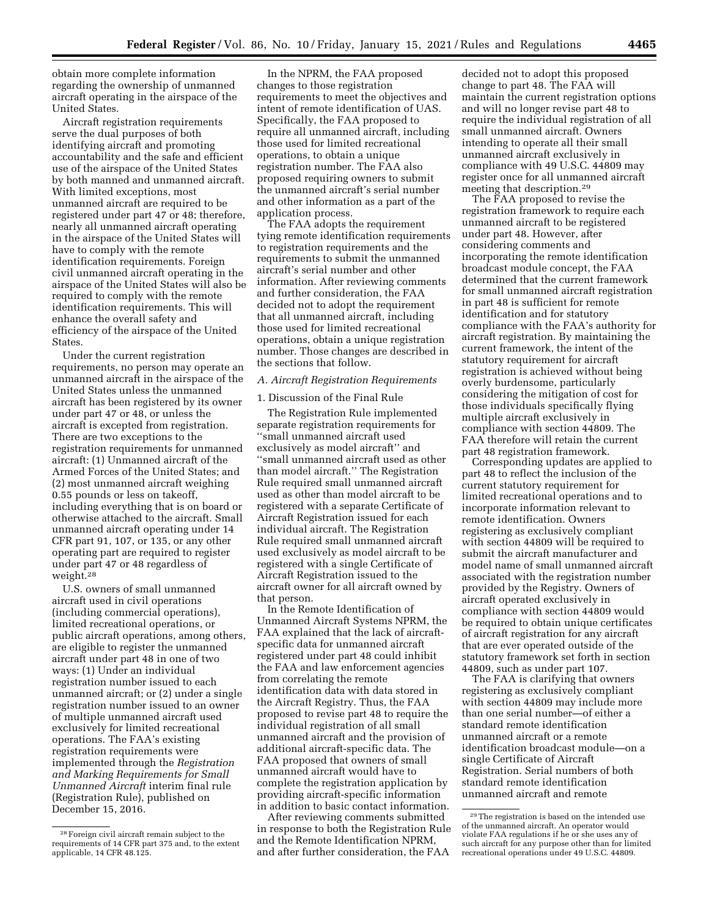obtain more complete information regarding the ownership of unmanned aircraft operating in the airspace of the United States.

Aircraft registration requirements serve the dual purposes of both identifying aircraft and promoting accountability and the safe and efficient use of the airspace of the United States by both manned and unmanned aircraft. With limited exceptions, most unmanned aircraft are required to be registered under part 47 or 48; therefore, nearly all unmanned aircraft operating in the airspace of the United States will have to comply with the remote identification requirements. Foreign civil unmanned aircraft operating in the airspace of the United States will also be required to comply with the remote identification requirements. This will enhance the overall safety and efficiency of the airspace of the United **States** 

Under the current registration requirements, no person may operate an unmanned aircraft in the airspace of the United States unless the unmanned aircraft has been registered by its owner under part 47 or 48, or unless the aircraft is excepted from registration. There are two exceptions to the registration requirements for unmanned aircraft: (1) Unmanned aircraft of the Armed Forces of the United States; and (2) most unmanned aircraft weighing 0.55 pounds or less on takeoff, including everything that is on board or otherwise attached to the aircraft. Small unmanned aircraft operating under 14 CFR part 91, 107, or 135, or any other operating part are required to register under part 47 or 48 regardless of weight.28

U.S. owners of small unmanned aircraft used in civil operations (including commercial operations), limited recreational operations, or public aircraft operations, among others, are eligible to register the unmanned aircraft under part 48 in one of two ways: (1) Under an individual registration number issued to each unmanned aircraft; or (2) under a single registration number issued to an owner of multiple unmanned aircraft used exclusively for limited recreational operations. The FAA's existing registration requirements were implemented through the *Registration and Marking Requirements for Small Unmanned Aircraft* interim final rule (Registration Rule), published on December 15, 2016.

In the NPRM, the FAA proposed changes to those registration requirements to meet the objectives and intent of remote identification of UAS. Specifically, the FAA proposed to require all unmanned aircraft, including those used for limited recreational operations, to obtain a unique registration number. The FAA also proposed requiring owners to submit the unmanned aircraft's serial number and other information as a part of the application process.

The FAA adopts the requirement tying remote identification requirements to registration requirements and the requirements to submit the unmanned aircraft's serial number and other information. After reviewing comments and further consideration, the FAA decided not to adopt the requirement that all unmanned aircraft, including those used for limited recreational operations, obtain a unique registration number. Those changes are described in the sections that follow.

## *A. Aircraft Registration Requirements*

#### 1. Discussion of the Final Rule

The Registration Rule implemented separate registration requirements for ''small unmanned aircraft used exclusively as model aircraft'' and ''small unmanned aircraft used as other than model aircraft.'' The Registration Rule required small unmanned aircraft used as other than model aircraft to be registered with a separate Certificate of Aircraft Registration issued for each individual aircraft. The Registration Rule required small unmanned aircraft used exclusively as model aircraft to be registered with a single Certificate of Aircraft Registration issued to the aircraft owner for all aircraft owned by that person.

In the Remote Identification of Unmanned Aircraft Systems NPRM, the FAA explained that the lack of aircraftspecific data for unmanned aircraft registered under part 48 could inhibit the FAA and law enforcement agencies from correlating the remote identification data with data stored in the Aircraft Registry. Thus, the FAA proposed to revise part 48 to require the individual registration of all small unmanned aircraft and the provision of additional aircraft-specific data. The FAA proposed that owners of small unmanned aircraft would have to complete the registration application by providing aircraft-specific information in addition to basic contact information.

After reviewing comments submitted in response to both the Registration Rule and the Remote Identification NPRM, and after further consideration, the FAA

decided not to adopt this proposed change to part 48. The FAA will maintain the current registration options and will no longer revise part 48 to require the individual registration of all small unmanned aircraft. Owners intending to operate all their small unmanned aircraft exclusively in compliance with 49 U.S.C. 44809 may register once for all unmanned aircraft meeting that description.29

The FAA proposed to revise the registration framework to require each unmanned aircraft to be registered under part 48. However, after considering comments and incorporating the remote identification broadcast module concept, the FAA determined that the current framework for small unmanned aircraft registration in part 48 is sufficient for remote identification and for statutory compliance with the FAA's authority for aircraft registration. By maintaining the current framework, the intent of the statutory requirement for aircraft registration is achieved without being overly burdensome, particularly considering the mitigation of cost for those individuals specifically flying multiple aircraft exclusively in compliance with section 44809. The FAA therefore will retain the current part 48 registration framework.

Corresponding updates are applied to part 48 to reflect the inclusion of the current statutory requirement for limited recreational operations and to incorporate information relevant to remote identification. Owners registering as exclusively compliant with section 44809 will be required to submit the aircraft manufacturer and model name of small unmanned aircraft associated with the registration number provided by the Registry. Owners of aircraft operated exclusively in compliance with section 44809 would be required to obtain unique certificates of aircraft registration for any aircraft that are ever operated outside of the statutory framework set forth in section 44809, such as under part 107.

The FAA is clarifying that owners registering as exclusively compliant with section 44809 may include more than one serial number—of either a standard remote identification unmanned aircraft or a remote identification broadcast module—on a single Certificate of Aircraft Registration. Serial numbers of both standard remote identification unmanned aircraft and remote

<sup>28</sup>Foreign civil aircraft remain subject to the requirements of 14 CFR part 375 and, to the extent applicable, 14 CFR 48.125.

<sup>29</sup>The registration is based on the intended use of the unmanned aircraft. An operator would violate FAA regulations if he or she uses any of such aircraft for any purpose other than for limited recreational operations under 49 U.S.C. 44809.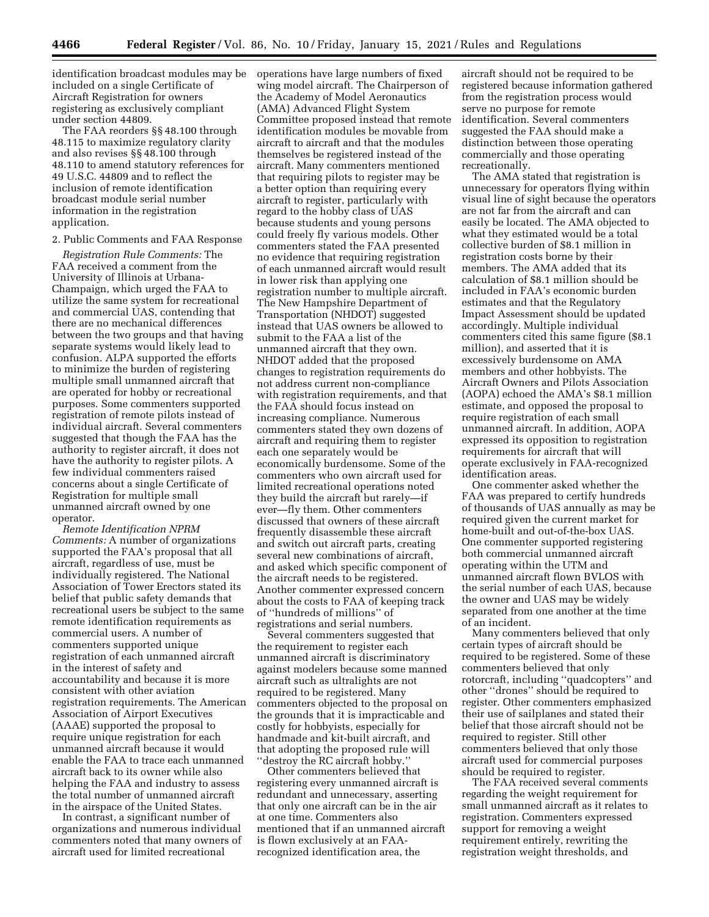identification broadcast modules may be included on a single Certificate of Aircraft Registration for owners registering as exclusively compliant under section 44809.

The FAA reorders §§ 48.100 through 48.115 to maximize regulatory clarity and also revises §§ 48.100 through 48.110 to amend statutory references for 49 U.S.C. 44809 and to reflect the inclusion of remote identification broadcast module serial number information in the registration application.

#### 2. Public Comments and FAA Response

*Registration Rule Comments:* The FAA received a comment from the University of Illinois at Urbana-Champaign, which urged the FAA to utilize the same system for recreational and commercial UAS, contending that there are no mechanical differences between the two groups and that having separate systems would likely lead to confusion. ALPA supported the efforts to minimize the burden of registering multiple small unmanned aircraft that are operated for hobby or recreational purposes. Some commenters supported registration of remote pilots instead of individual aircraft. Several commenters suggested that though the FAA has the authority to register aircraft, it does not have the authority to register pilots. A few individual commenters raised concerns about a single Certificate of Registration for multiple small unmanned aircraft owned by one operator.

*Remote Identification NPRM Comments:* A number of organizations supported the FAA's proposal that all aircraft, regardless of use, must be individually registered. The National Association of Tower Erectors stated its belief that public safety demands that recreational users be subject to the same remote identification requirements as commercial users. A number of commenters supported unique registration of each unmanned aircraft in the interest of safety and accountability and because it is more consistent with other aviation registration requirements. The American Association of Airport Executives (AAAE) supported the proposal to require unique registration for each unmanned aircraft because it would enable the FAA to trace each unmanned aircraft back to its owner while also helping the FAA and industry to assess the total number of unmanned aircraft in the airspace of the United States.

In contrast, a significant number of organizations and numerous individual commenters noted that many owners of aircraft used for limited recreational

operations have large numbers of fixed wing model aircraft. The Chairperson of the Academy of Model Aeronautics (AMA) Advanced Flight System Committee proposed instead that remote identification modules be movable from aircraft to aircraft and that the modules themselves be registered instead of the aircraft. Many commenters mentioned that requiring pilots to register may be a better option than requiring every aircraft to register, particularly with regard to the hobby class of UAS because students and young persons could freely fly various models. Other commenters stated the FAA presented no evidence that requiring registration of each unmanned aircraft would result in lower risk than applying one registration number to multiple aircraft. The New Hampshire Department of Transportation (NHDOT) suggested instead that UAS owners be allowed to submit to the FAA a list of the unmanned aircraft that they own. NHDOT added that the proposed changes to registration requirements do not address current non-compliance with registration requirements, and that the FAA should focus instead on increasing compliance. Numerous commenters stated they own dozens of aircraft and requiring them to register each one separately would be economically burdensome. Some of the commenters who own aircraft used for limited recreational operations noted they build the aircraft but rarely—if ever—fly them. Other commenters discussed that owners of these aircraft frequently disassemble these aircraft and switch out aircraft parts, creating several new combinations of aircraft, and asked which specific component of the aircraft needs to be registered. Another commenter expressed concern about the costs to FAA of keeping track of ''hundreds of millions'' of registrations and serial numbers.

Several commenters suggested that the requirement to register each unmanned aircraft is discriminatory against modelers because some manned aircraft such as ultralights are not required to be registered. Many commenters objected to the proposal on the grounds that it is impracticable and costly for hobbyists, especially for handmade and kit-built aircraft, and that adopting the proposed rule will ''destroy the RC aircraft hobby.''

Other commenters believed that registering every unmanned aircraft is redundant and unnecessary, asserting that only one aircraft can be in the air at one time. Commenters also mentioned that if an unmanned aircraft is flown exclusively at an FAArecognized identification area, the

aircraft should not be required to be registered because information gathered from the registration process would serve no purpose for remote identification. Several commenters suggested the FAA should make a distinction between those operating commercially and those operating recreationally.

The AMA stated that registration is unnecessary for operators flying within visual line of sight because the operators are not far from the aircraft and can easily be located. The AMA objected to what they estimated would be a total collective burden of \$8.1 million in registration costs borne by their members. The AMA added that its calculation of \$8.1 million should be included in FAA's economic burden estimates and that the Regulatory Impact Assessment should be updated accordingly. Multiple individual commenters cited this same figure (\$8.1 million), and asserted that it is excessively burdensome on AMA members and other hobbyists. The Aircraft Owners and Pilots Association (AOPA) echoed the AMA's \$8.1 million estimate, and opposed the proposal to require registration of each small unmanned aircraft. In addition, AOPA expressed its opposition to registration requirements for aircraft that will operate exclusively in FAA-recognized identification areas.

One commenter asked whether the FAA was prepared to certify hundreds of thousands of UAS annually as may be required given the current market for home-built and out-of-the-box UAS. One commenter supported registering both commercial unmanned aircraft operating within the UTM and unmanned aircraft flown BVLOS with the serial number of each UAS, because the owner and UAS may be widely separated from one another at the time of an incident.

Many commenters believed that only certain types of aircraft should be required to be registered. Some of these commenters believed that only rotorcraft, including ''quadcopters'' and other ''drones'' should be required to register. Other commenters emphasized their use of sailplanes and stated their belief that those aircraft should not be required to register. Still other commenters believed that only those aircraft used for commercial purposes should be required to register.

The FAA received several comments regarding the weight requirement for small unmanned aircraft as it relates to registration. Commenters expressed support for removing a weight requirement entirely, rewriting the registration weight thresholds, and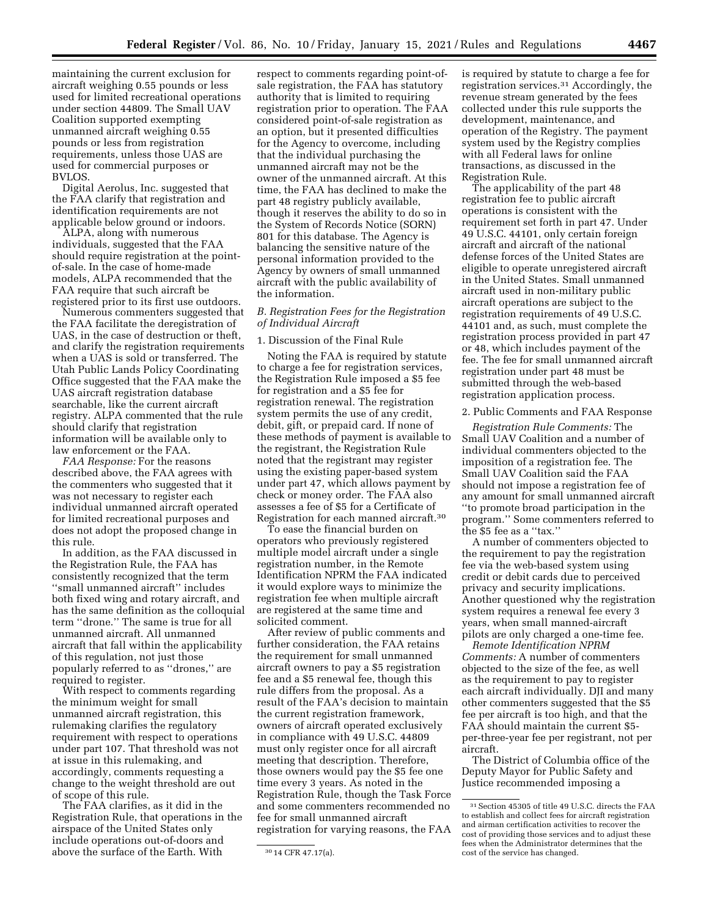maintaining the current exclusion for aircraft weighing 0.55 pounds or less used for limited recreational operations under section 44809. The Small UAV Coalition supported exempting unmanned aircraft weighing 0.55 pounds or less from registration requirements, unless those UAS are used for commercial purposes or BVLOS.

Digital Aerolus, Inc. suggested that the FAA clarify that registration and identification requirements are not applicable below ground or indoors.

ALPA, along with numerous individuals, suggested that the FAA should require registration at the pointof-sale. In the case of home-made models, ALPA recommended that the FAA require that such aircraft be registered prior to its first use outdoors.

Numerous commenters suggested that the FAA facilitate the deregistration of UAS, in the case of destruction or theft, and clarify the registration requirements when a UAS is sold or transferred. The Utah Public Lands Policy Coordinating Office suggested that the FAA make the UAS aircraft registration database searchable, like the current aircraft registry. ALPA commented that the rule should clarify that registration information will be available only to law enforcement or the FAA.

*FAA Response:* For the reasons described above, the FAA agrees with the commenters who suggested that it was not necessary to register each individual unmanned aircraft operated for limited recreational purposes and does not adopt the proposed change in this rule.

In addition, as the FAA discussed in the Registration Rule, the FAA has consistently recognized that the term ''small unmanned aircraft'' includes both fixed wing and rotary aircraft, and has the same definition as the colloquial term ''drone.'' The same is true for all unmanned aircraft. All unmanned aircraft that fall within the applicability of this regulation, not just those popularly referred to as ''drones,'' are required to register.

With respect to comments regarding the minimum weight for small unmanned aircraft registration, this rulemaking clarifies the regulatory requirement with respect to operations under part 107. That threshold was not at issue in this rulemaking, and accordingly, comments requesting a change to the weight threshold are out of scope of this rule.

The FAA clarifies, as it did in the Registration Rule, that operations in the airspace of the United States only include operations out-of-doors and above the surface of the Earth. With

respect to comments regarding point-ofsale registration, the FAA has statutory authority that is limited to requiring registration prior to operation. The FAA considered point-of-sale registration as an option, but it presented difficulties for the Agency to overcome, including that the individual purchasing the unmanned aircraft may not be the owner of the unmanned aircraft. At this time, the FAA has declined to make the part 48 registry publicly available, though it reserves the ability to do so in the System of Records Notice (SORN) 801 for this database. The Agency is balancing the sensitive nature of the personal information provided to the Agency by owners of small unmanned aircraft with the public availability of the information.

## *B. Registration Fees for the Registration of Individual Aircraft*

#### 1. Discussion of the Final Rule

Noting the FAA is required by statute to charge a fee for registration services, the Registration Rule imposed a \$5 fee for registration and a \$5 fee for registration renewal. The registration system permits the use of any credit, debit, gift, or prepaid card. If none of these methods of payment is available to the registrant, the Registration Rule noted that the registrant may register using the existing paper-based system under part 47, which allows payment by check or money order. The FAA also assesses a fee of \$5 for a Certificate of Registration for each manned aircraft.30

To ease the financial burden on operators who previously registered multiple model aircraft under a single registration number, in the Remote Identification NPRM the FAA indicated it would explore ways to minimize the registration fee when multiple aircraft are registered at the same time and solicited comment.

After review of public comments and further consideration, the FAA retains the requirement for small unmanned aircraft owners to pay a \$5 registration fee and a \$5 renewal fee, though this rule differs from the proposal. As a result of the FAA's decision to maintain the current registration framework, owners of aircraft operated exclusively in compliance with 49 U.S.C. 44809 must only register once for all aircraft meeting that description. Therefore, those owners would pay the \$5 fee one time every 3 years. As noted in the Registration Rule, though the Task Force and some commenters recommended no fee for small unmanned aircraft registration for varying reasons, the FAA is required by statute to charge a fee for registration services.31 Accordingly, the revenue stream generated by the fees collected under this rule supports the development, maintenance, and operation of the Registry. The payment system used by the Registry complies with all Federal laws for online transactions, as discussed in the Registration Rule.

The applicability of the part 48 registration fee to public aircraft operations is consistent with the requirement set forth in part 47. Under 49 U.S.C. 44101, only certain foreign aircraft and aircraft of the national defense forces of the United States are eligible to operate unregistered aircraft in the United States. Small unmanned aircraft used in non-military public aircraft operations are subject to the registration requirements of 49 U.S.C. 44101 and, as such, must complete the registration process provided in part 47 or 48, which includes payment of the fee. The fee for small unmanned aircraft registration under part 48 must be submitted through the web-based registration application process.

#### 2. Public Comments and FAA Response

*Registration Rule Comments:* The Small UAV Coalition and a number of individual commenters objected to the imposition of a registration fee. The Small UAV Coalition said the FAA should not impose a registration fee of any amount for small unmanned aircraft ''to promote broad participation in the program.'' Some commenters referred to the \$5 fee as a ''tax.''

A number of commenters objected to the requirement to pay the registration fee via the web-based system using credit or debit cards due to perceived privacy and security implications. Another questioned why the registration system requires a renewal fee every 3 years, when small manned-aircraft pilots are only charged a one-time fee.

*Remote Identification NPRM Comments:* A number of commenters objected to the size of the fee, as well as the requirement to pay to register each aircraft individually. DJI and many other commenters suggested that the \$5 fee per aircraft is too high, and that the FAA should maintain the current \$5 per-three-year fee per registrant, not per aircraft.

The District of Columbia office of the Deputy Mayor for Public Safety and Justice recommended imposing a

<sup>30</sup> 14 CFR 47.17(a).

<sup>31</sup>Section 45305 of title 49 U.S.C. directs the FAA to establish and collect fees for aircraft registration and airman certification activities to recover the cost of providing those services and to adjust these fees when the Administrator determines that the cost of the service has changed.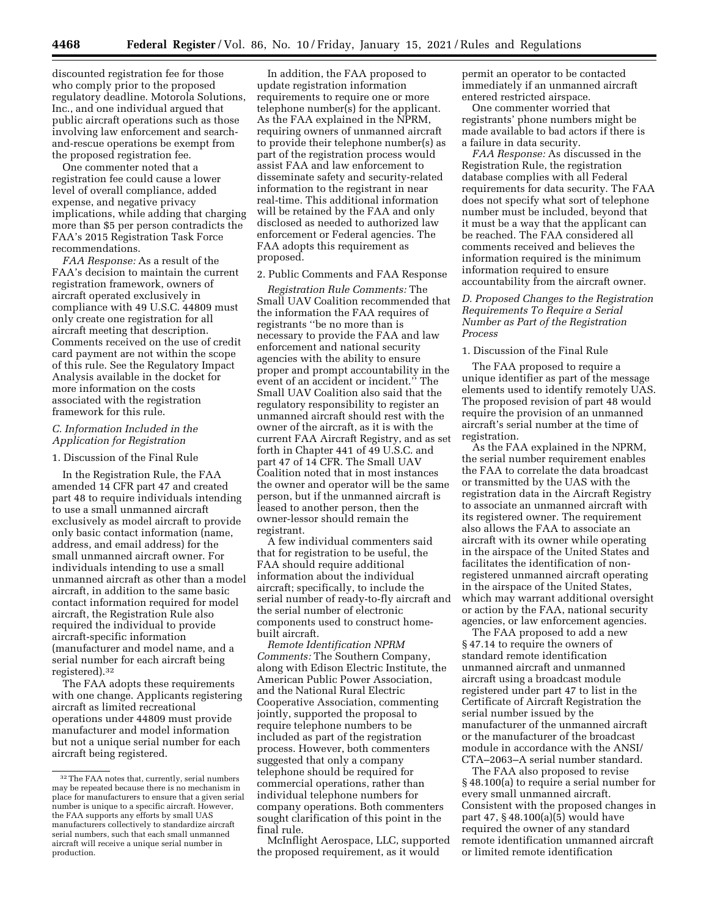discounted registration fee for those who comply prior to the proposed regulatory deadline. Motorola Solutions, Inc., and one individual argued that public aircraft operations such as those involving law enforcement and searchand-rescue operations be exempt from the proposed registration fee.

One commenter noted that a registration fee could cause a lower level of overall compliance, added expense, and negative privacy implications, while adding that charging more than \$5 per person contradicts the FAA's 2015 Registration Task Force recommendations.

*FAA Response:* As a result of the FAA's decision to maintain the current registration framework, owners of aircraft operated exclusively in compliance with 49 U.S.C. 44809 must only create one registration for all aircraft meeting that description. Comments received on the use of credit card payment are not within the scope of this rule. See the Regulatory Impact Analysis available in the docket for more information on the costs associated with the registration framework for this rule.

## *C. Information Included in the Application for Registration*

#### 1. Discussion of the Final Rule

In the Registration Rule, the FAA amended 14 CFR part 47 and created part 48 to require individuals intending to use a small unmanned aircraft exclusively as model aircraft to provide only basic contact information (name, address, and email address) for the small unmanned aircraft owner. For individuals intending to use a small unmanned aircraft as other than a model aircraft, in addition to the same basic contact information required for model aircraft, the Registration Rule also required the individual to provide aircraft-specific information (manufacturer and model name, and a serial number for each aircraft being registered).32

The FAA adopts these requirements with one change. Applicants registering aircraft as limited recreational operations under 44809 must provide manufacturer and model information but not a unique serial number for each aircraft being registered.

In addition, the FAA proposed to update registration information requirements to require one or more telephone number(s) for the applicant. As the FAA explained in the NPRM, requiring owners of unmanned aircraft to provide their telephone number(s) as part of the registration process would assist FAA and law enforcement to disseminate safety and security-related information to the registrant in near real-time. This additional information will be retained by the FAA and only disclosed as needed to authorized law enforcement or Federal agencies. The FAA adopts this requirement as proposed.

## 2. Public Comments and FAA Response

*Registration Rule Comments:* The Small UAV Coalition recommended that the information the FAA requires of registrants ''be no more than is necessary to provide the FAA and law enforcement and national security agencies with the ability to ensure proper and prompt accountability in the event of an accident or incident.'' The Small UAV Coalition also said that the regulatory responsibility to register an unmanned aircraft should rest with the owner of the aircraft, as it is with the current FAA Aircraft Registry, and as set forth in Chapter 441 of 49 U.S.C. and part 47 of 14 CFR. The Small UAV Coalition noted that in most instances the owner and operator will be the same person, but if the unmanned aircraft is leased to another person, then the owner-lessor should remain the registrant.

A few individual commenters said that for registration to be useful, the FAA should require additional information about the individual aircraft; specifically, to include the serial number of ready-to-fly aircraft and the serial number of electronic components used to construct homebuilt aircraft.

*Remote Identification NPRM Comments:* The Southern Company, along with Edison Electric Institute, the American Public Power Association, and the National Rural Electric Cooperative Association, commenting jointly, supported the proposal to require telephone numbers to be included as part of the registration process. However, both commenters suggested that only a company telephone should be required for commercial operations, rather than individual telephone numbers for company operations. Both commenters sought clarification of this point in the final rule.

McInflight Aerospace, LLC, supported the proposed requirement, as it would

permit an operator to be contacted immediately if an unmanned aircraft entered restricted airspace.

One commenter worried that registrants' phone numbers might be made available to bad actors if there is a failure in data security.

*FAA Response:* As discussed in the Registration Rule, the registration database complies with all Federal requirements for data security. The FAA does not specify what sort of telephone number must be included, beyond that it must be a way that the applicant can be reached. The FAA considered all comments received and believes the information required is the minimum information required to ensure accountability from the aircraft owner.

## *D. Proposed Changes to the Registration Requirements To Require a Serial Number as Part of the Registration Process*

#### 1. Discussion of the Final Rule

The FAA proposed to require a unique identifier as part of the message elements used to identify remotely UAS. The proposed revision of part 48 would require the provision of an unmanned aircraft's serial number at the time of registration.

As the FAA explained in the NPRM, the serial number requirement enables the FAA to correlate the data broadcast or transmitted by the UAS with the registration data in the Aircraft Registry to associate an unmanned aircraft with its registered owner. The requirement also allows the FAA to associate an aircraft with its owner while operating in the airspace of the United States and facilitates the identification of nonregistered unmanned aircraft operating in the airspace of the United States, which may warrant additional oversight or action by the FAA, national security agencies, or law enforcement agencies.

The FAA proposed to add a new § 47.14 to require the owners of standard remote identification unmanned aircraft and unmanned aircraft using a broadcast module registered under part 47 to list in the Certificate of Aircraft Registration the serial number issued by the manufacturer of the unmanned aircraft or the manufacturer of the broadcast module in accordance with the ANSI/ CTA–2063–A serial number standard.

The FAA also proposed to revise § 48.100(a) to require a serial number for every small unmanned aircraft. Consistent with the proposed changes in part 47, § 48.100(a)(5) would have required the owner of any standard remote identification unmanned aircraft or limited remote identification

<sup>32</sup>The FAA notes that, currently, serial numbers may be repeated because there is no mechanism in place for manufacturers to ensure that a given serial number is unique to a specific aircraft. However, the FAA supports any efforts by small UAS manufacturers collectively to standardize aircraft serial numbers, such that each small unmanned aircraft will receive a unique serial number in production.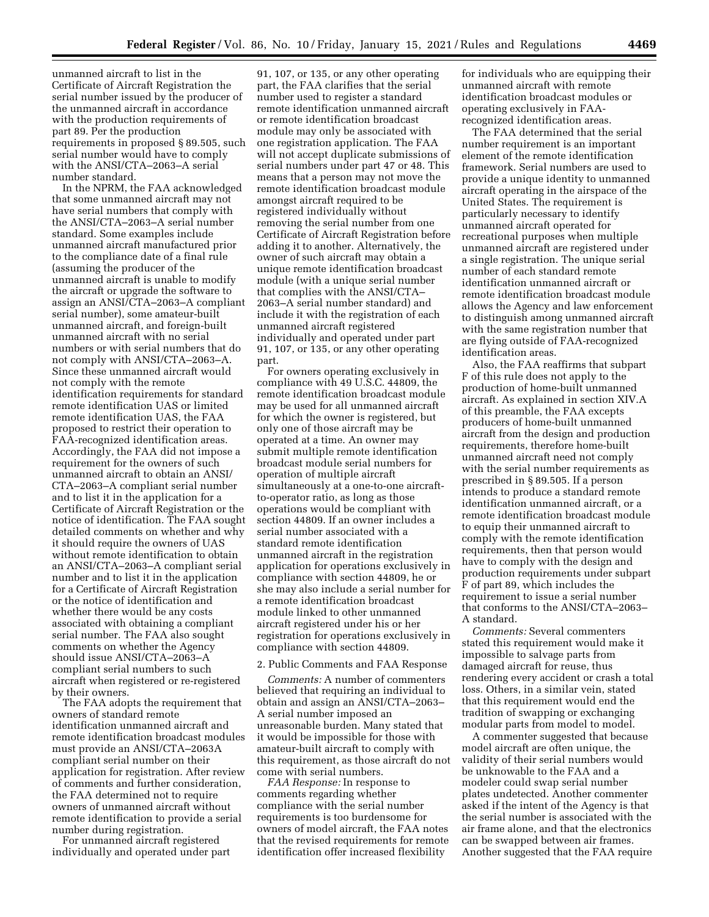unmanned aircraft to list in the Certificate of Aircraft Registration the serial number issued by the producer of the unmanned aircraft in accordance with the production requirements of part 89. Per the production requirements in proposed § 89.505, such serial number would have to comply with the ANSI/CTA–2063–A serial number standard.

In the NPRM, the FAA acknowledged that some unmanned aircraft may not have serial numbers that comply with the ANSI/CTA–2063–A serial number standard. Some examples include unmanned aircraft manufactured prior to the compliance date of a final rule (assuming the producer of the unmanned aircraft is unable to modify the aircraft or upgrade the software to assign an ANSI/CTA–2063–A compliant serial number), some amateur-built unmanned aircraft, and foreign-built unmanned aircraft with no serial numbers or with serial numbers that do not comply with ANSI/CTA–2063–A. Since these unmanned aircraft would not comply with the remote identification requirements for standard remote identification UAS or limited remote identification UAS, the FAA proposed to restrict their operation to FAA-recognized identification areas. Accordingly, the FAA did not impose a requirement for the owners of such unmanned aircraft to obtain an ANSI/ CTA–2063–A compliant serial number and to list it in the application for a Certificate of Aircraft Registration or the notice of identification. The FAA sought detailed comments on whether and why it should require the owners of UAS without remote identification to obtain an ANSI/CTA–2063–A compliant serial number and to list it in the application for a Certificate of Aircraft Registration or the notice of identification and whether there would be any costs associated with obtaining a compliant serial number. The FAA also sought comments on whether the Agency should issue ANSI/CTA–2063–A compliant serial numbers to such aircraft when registered or re-registered by their owners.

The FAA adopts the requirement that owners of standard remote identification unmanned aircraft and remote identification broadcast modules must provide an ANSI/CTA–2063A compliant serial number on their application for registration. After review of comments and further consideration, the FAA determined not to require owners of unmanned aircraft without remote identification to provide a serial number during registration.

For unmanned aircraft registered individually and operated under part

91, 107, or 135, or any other operating part, the FAA clarifies that the serial number used to register a standard remote identification unmanned aircraft or remote identification broadcast module may only be associated with one registration application. The FAA will not accept duplicate submissions of serial numbers under part 47 or 48. This means that a person may not move the remote identification broadcast module amongst aircraft required to be registered individually without removing the serial number from one Certificate of Aircraft Registration before adding it to another. Alternatively, the owner of such aircraft may obtain a unique remote identification broadcast module (with a unique serial number that complies with the ANSI/CTA– 2063–A serial number standard) and include it with the registration of each unmanned aircraft registered individually and operated under part 91, 107, or 135, or any other operating part.

For owners operating exclusively in compliance with 49 U.S.C. 44809, the remote identification broadcast module may be used for all unmanned aircraft for which the owner is registered, but only one of those aircraft may be operated at a time. An owner may submit multiple remote identification broadcast module serial numbers for operation of multiple aircraft simultaneously at a one-to-one aircraftto-operator ratio, as long as those operations would be compliant with section 44809. If an owner includes a serial number associated with a standard remote identification unmanned aircraft in the registration application for operations exclusively in compliance with section 44809, he or she may also include a serial number for a remote identification broadcast module linked to other unmanned aircraft registered under his or her registration for operations exclusively in compliance with section 44809.

#### 2. Public Comments and FAA Response

*Comments:* A number of commenters believed that requiring an individual to obtain and assign an ANSI/CTA–2063– A serial number imposed an unreasonable burden. Many stated that it would be impossible for those with amateur-built aircraft to comply with this requirement, as those aircraft do not come with serial numbers.

*FAA Response:* In response to comments regarding whether compliance with the serial number requirements is too burdensome for owners of model aircraft, the FAA notes that the revised requirements for remote identification offer increased flexibility

for individuals who are equipping their unmanned aircraft with remote identification broadcast modules or operating exclusively in FAArecognized identification areas.

The FAA determined that the serial number requirement is an important element of the remote identification framework. Serial numbers are used to provide a unique identity to unmanned aircraft operating in the airspace of the United States. The requirement is particularly necessary to identify unmanned aircraft operated for recreational purposes when multiple unmanned aircraft are registered under a single registration. The unique serial number of each standard remote identification unmanned aircraft or remote identification broadcast module allows the Agency and law enforcement to distinguish among unmanned aircraft with the same registration number that are flying outside of FAA-recognized identification areas.

Also, the FAA reaffirms that subpart F of this rule does not apply to the production of home-built unmanned aircraft. As explained in section XIV.A of this preamble, the FAA excepts producers of home-built unmanned aircraft from the design and production requirements, therefore home-built unmanned aircraft need not comply with the serial number requirements as prescribed in § 89.505. If a person intends to produce a standard remote identification unmanned aircraft, or a remote identification broadcast module to equip their unmanned aircraft to comply with the remote identification requirements, then that person would have to comply with the design and production requirements under subpart F of part 89, which includes the requirement to issue a serial number that conforms to the ANSI/CTA–2063– A standard.

*Comments:* Several commenters stated this requirement would make it impossible to salvage parts from damaged aircraft for reuse, thus rendering every accident or crash a total loss. Others, in a similar vein, stated that this requirement would end the tradition of swapping or exchanging modular parts from model to model.

A commenter suggested that because model aircraft are often unique, the validity of their serial numbers would be unknowable to the FAA and a modeler could swap serial number plates undetected. Another commenter asked if the intent of the Agency is that the serial number is associated with the air frame alone, and that the electronics can be swapped between air frames. Another suggested that the FAA require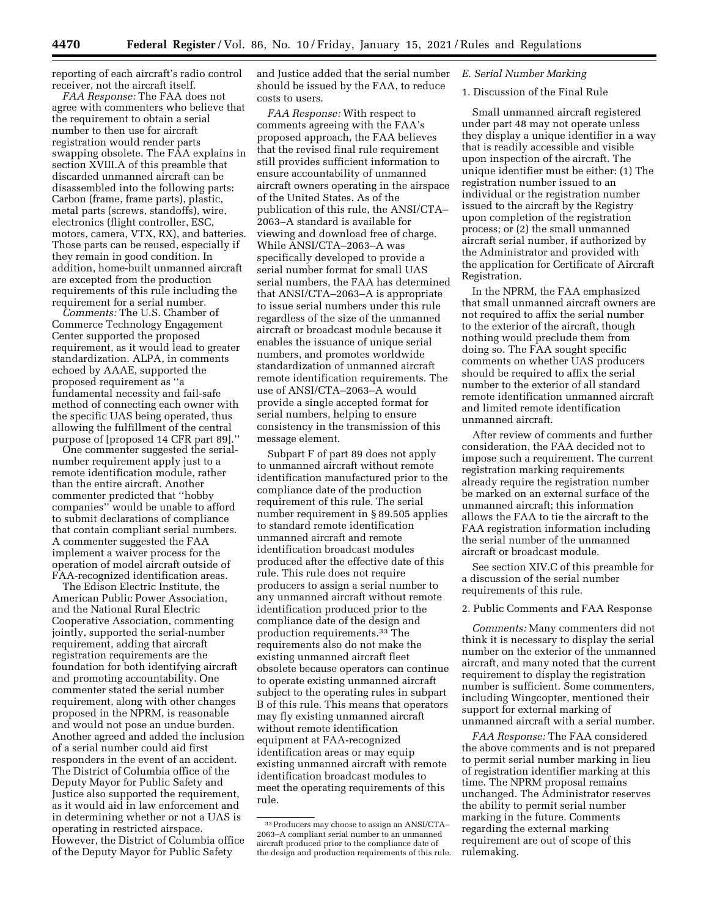reporting of each aircraft's radio control receiver, not the aircraft itself.

*FAA Response:* The FAA does not agree with commenters who believe that the requirement to obtain a serial number to then use for aircraft registration would render parts swapping obsolete. The FAA explains in section XVIII.A of this preamble that discarded unmanned aircraft can be disassembled into the following parts: Carbon (frame, frame parts), plastic, metal parts (screws, standoffs), wire, electronics (flight controller, ESC, motors, camera, VTX, RX), and batteries. Those parts can be reused, especially if they remain in good condition. In addition, home-built unmanned aircraft are excepted from the production requirements of this rule including the requirement for a serial number.

*Comments:* The U.S. Chamber of Commerce Technology Engagement Center supported the proposed requirement, as it would lead to greater standardization. ALPA, in comments echoed by AAAE, supported the proposed requirement as ''a fundamental necessity and fail-safe method of connecting each owner with the specific UAS being operated, thus allowing the fulfillment of the central purpose of [proposed 14 CFR part 89].''

One commenter suggested the serialnumber requirement apply just to a remote identification module, rather than the entire aircraft. Another commenter predicted that ''hobby companies'' would be unable to afford to submit declarations of compliance that contain compliant serial numbers. A commenter suggested the FAA implement a waiver process for the operation of model aircraft outside of FAA-recognized identification areas.

The Edison Electric Institute, the American Public Power Association, and the National Rural Electric Cooperative Association, commenting jointly, supported the serial-number requirement, adding that aircraft registration requirements are the foundation for both identifying aircraft and promoting accountability. One commenter stated the serial number requirement, along with other changes proposed in the NPRM, is reasonable and would not pose an undue burden. Another agreed and added the inclusion of a serial number could aid first responders in the event of an accident. The District of Columbia office of the Deputy Mayor for Public Safety and Justice also supported the requirement, as it would aid in law enforcement and in determining whether or not a UAS is operating in restricted airspace. However, the District of Columbia office of the Deputy Mayor for Public Safety

and Justice added that the serial number should be issued by the FAA, to reduce costs to users.

*FAA Response:* With respect to comments agreeing with the FAA's proposed approach, the FAA believes that the revised final rule requirement still provides sufficient information to ensure accountability of unmanned aircraft owners operating in the airspace of the United States. As of the publication of this rule, the ANSI/CTA– 2063–A standard is available for viewing and download free of charge. While ANSI/CTA–2063–A was specifically developed to provide a serial number format for small UAS serial numbers, the FAA has determined that ANSI/CTA–2063–A is appropriate to issue serial numbers under this rule regardless of the size of the unmanned aircraft or broadcast module because it enables the issuance of unique serial numbers, and promotes worldwide standardization of unmanned aircraft remote identification requirements. The use of ANSI/CTA–2063–A would provide a single accepted format for serial numbers, helping to ensure consistency in the transmission of this message element.

Subpart F of part 89 does not apply to unmanned aircraft without remote identification manufactured prior to the compliance date of the production requirement of this rule. The serial number requirement in § 89.505 applies to standard remote identification unmanned aircraft and remote identification broadcast modules produced after the effective date of this rule. This rule does not require producers to assign a serial number to any unmanned aircraft without remote identification produced prior to the compliance date of the design and production requirements.33 The requirements also do not make the existing unmanned aircraft fleet obsolete because operators can continue to operate existing unmanned aircraft subject to the operating rules in subpart B of this rule. This means that operators may fly existing unmanned aircraft without remote identification equipment at FAA-recognized identification areas or may equip existing unmanned aircraft with remote identification broadcast modules to meet the operating requirements of this rule.

## *E. Serial Number Marking*

#### 1. Discussion of the Final Rule

Small unmanned aircraft registered under part 48 may not operate unless they display a unique identifier in a way that is readily accessible and visible upon inspection of the aircraft. The unique identifier must be either: (1) The registration number issued to an individual or the registration number issued to the aircraft by the Registry upon completion of the registration process; or (2) the small unmanned aircraft serial number, if authorized by the Administrator and provided with the application for Certificate of Aircraft Registration.

In the NPRM, the FAA emphasized that small unmanned aircraft owners are not required to affix the serial number to the exterior of the aircraft, though nothing would preclude them from doing so. The FAA sought specific comments on whether UAS producers should be required to affix the serial number to the exterior of all standard remote identification unmanned aircraft and limited remote identification unmanned aircraft.

After review of comments and further consideration, the FAA decided not to impose such a requirement. The current registration marking requirements already require the registration number be marked on an external surface of the unmanned aircraft; this information allows the FAA to tie the aircraft to the FAA registration information including the serial number of the unmanned aircraft or broadcast module.

See section XIV.C of this preamble for a discussion of the serial number requirements of this rule.

#### 2. Public Comments and FAA Response

*Comments:* Many commenters did not think it is necessary to display the serial number on the exterior of the unmanned aircraft, and many noted that the current requirement to display the registration number is sufficient. Some commenters, including Wingcopter, mentioned their support for external marking of unmanned aircraft with a serial number.

*FAA Response:* The FAA considered the above comments and is not prepared to permit serial number marking in lieu of registration identifier marking at this time. The NPRM proposal remains unchanged. The Administrator reserves the ability to permit serial number marking in the future. Comments regarding the external marking requirement are out of scope of this rulemaking.

<sup>33</sup>Producers may choose to assign an ANSI/CTA– 2063–A compliant serial number to an unmanned aircraft produced prior to the compliance date of the design and production requirements of this rule.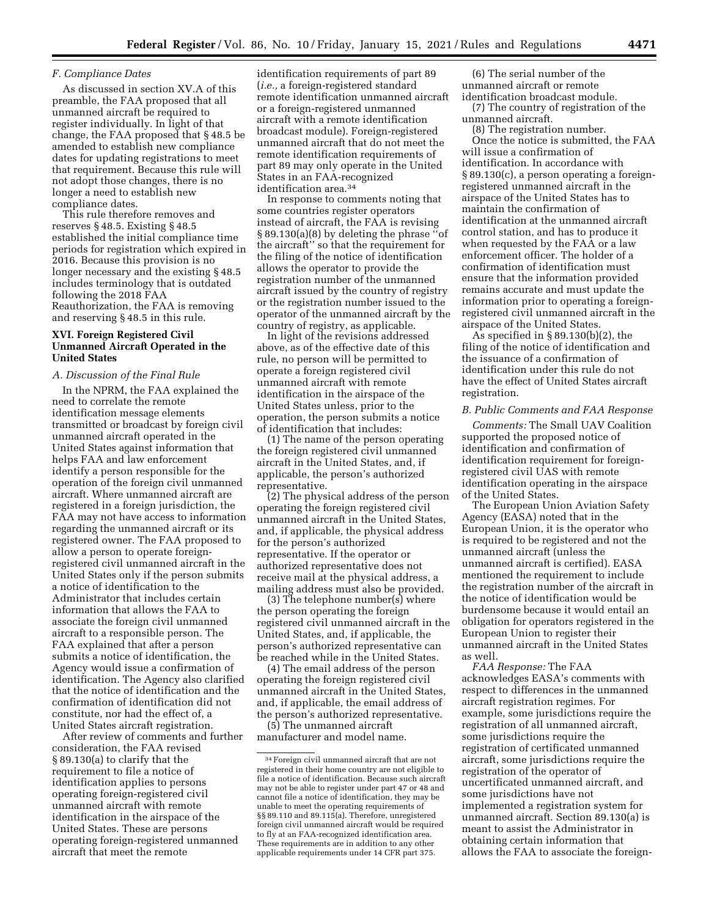## *F. Compliance Dates*

As discussed in section XV.A of this preamble, the FAA proposed that all unmanned aircraft be required to register individually. In light of that change, the FAA proposed that § 48.5 be amended to establish new compliance dates for updating registrations to meet that requirement. Because this rule will not adopt those changes, there is no longer a need to establish new compliance dates.

This rule therefore removes and reserves § 48.5. Existing § 48.5 established the initial compliance time periods for registration which expired in 2016. Because this provision is no longer necessary and the existing § 48.5 includes terminology that is outdated following the 2018 FAA Reauthorization, the FAA is removing and reserving § 48.5 in this rule.

## **XVI. Foreign Registered Civil Unmanned Aircraft Operated in the United States**

#### *A. Discussion of the Final Rule*

In the NPRM, the FAA explained the need to correlate the remote identification message elements transmitted or broadcast by foreign civil unmanned aircraft operated in the United States against information that helps FAA and law enforcement identify a person responsible for the operation of the foreign civil unmanned aircraft. Where unmanned aircraft are registered in a foreign jurisdiction, the FAA may not have access to information regarding the unmanned aircraft or its registered owner. The FAA proposed to allow a person to operate foreignregistered civil unmanned aircraft in the United States only if the person submits a notice of identification to the Administrator that includes certain information that allows the FAA to associate the foreign civil unmanned aircraft to a responsible person. The FAA explained that after a person submits a notice of identification, the Agency would issue a confirmation of identification. The Agency also clarified that the notice of identification and the confirmation of identification did not constitute, nor had the effect of, a United States aircraft registration.

After review of comments and further consideration, the FAA revised § 89.130(a) to clarify that the requirement to file a notice of identification applies to persons operating foreign-registered civil unmanned aircraft with remote identification in the airspace of the United States. These are persons operating foreign-registered unmanned aircraft that meet the remote

identification requirements of part 89 (*i.e.,* a foreign-registered standard remote identification unmanned aircraft or a foreign-registered unmanned aircraft with a remote identification broadcast module). Foreign-registered unmanned aircraft that do not meet the remote identification requirements of part 89 may only operate in the United States in an FAA-recognized identification area.34

In response to comments noting that some countries register operators instead of aircraft, the FAA is revising § 89.130(a)(8) by deleting the phrase ''of the aircraft'' so that the requirement for the filing of the notice of identification allows the operator to provide the registration number of the unmanned aircraft issued by the country of registry or the registration number issued to the operator of the unmanned aircraft by the country of registry, as applicable.

In light of the revisions addressed above, as of the effective date of this rule, no person will be permitted to operate a foreign registered civil unmanned aircraft with remote identification in the airspace of the United States unless, prior to the operation, the person submits a notice of identification that includes:

(1) The name of the person operating the foreign registered civil unmanned aircraft in the United States, and, if applicable, the person's authorized representative.

(2) The physical address of the person operating the foreign registered civil unmanned aircraft in the United States, and, if applicable, the physical address for the person's authorized representative. If the operator or authorized representative does not receive mail at the physical address, a mailing address must also be provided.

(3) The telephone number(s) where the person operating the foreign registered civil unmanned aircraft in the United States, and, if applicable, the person's authorized representative can be reached while in the United States.

(4) The email address of the person operating the foreign registered civil unmanned aircraft in the United States, and, if applicable, the email address of the person's authorized representative.

(5) The unmanned aircraft manufacturer and model name.

(6) The serial number of the unmanned aircraft or remote identification broadcast module.

(7) The country of registration of the unmanned aircraft.

(8) The registration number.

Once the notice is submitted, the FAA will issue a confirmation of identification. In accordance with § 89.130(c), a person operating a foreignregistered unmanned aircraft in the airspace of the United States has to maintain the confirmation of identification at the unmanned aircraft control station, and has to produce it when requested by the FAA or a law enforcement officer. The holder of a confirmation of identification must ensure that the information provided remains accurate and must update the information prior to operating a foreignregistered civil unmanned aircraft in the airspace of the United States.

As specified in  $\S 89.130(b)(2)$ , the filing of the notice of identification and the issuance of a confirmation of identification under this rule do not have the effect of United States aircraft registration.

#### *B. Public Comments and FAA Response*

*Comments:* The Small UAV Coalition supported the proposed notice of identification and confirmation of identification requirement for foreignregistered civil UAS with remote identification operating in the airspace of the United States.

The European Union Aviation Safety Agency (EASA) noted that in the European Union, it is the operator who is required to be registered and not the unmanned aircraft (unless the unmanned aircraft is certified). EASA mentioned the requirement to include the registration number of the aircraft in the notice of identification would be burdensome because it would entail an obligation for operators registered in the European Union to register their unmanned aircraft in the United States as well.

*FAA Response:* The FAA acknowledges EASA's comments with respect to differences in the unmanned aircraft registration regimes. For example, some jurisdictions require the registration of all unmanned aircraft, some jurisdictions require the registration of certificated unmanned aircraft, some jurisdictions require the registration of the operator of uncertificated unmanned aircraft, and some jurisdictions have not implemented a registration system for unmanned aircraft. Section 89.130(a) is meant to assist the Administrator in obtaining certain information that allows the FAA to associate the foreign-

<sup>34</sup>Foreign civil unmanned aircraft that are not registered in their home country are not eligible to file a notice of identification. Because such aircraft may not be able to register under part 47 or 48 and cannot file a notice of identification, they may be unable to meet the operating requirements of §§ 89.110 and 89.115(a). Therefore, unregistered foreign civil unmanned aircraft would be required to fly at an FAA-recognized identification area. These requirements are in addition to any other applicable requirements under 14 CFR part 375.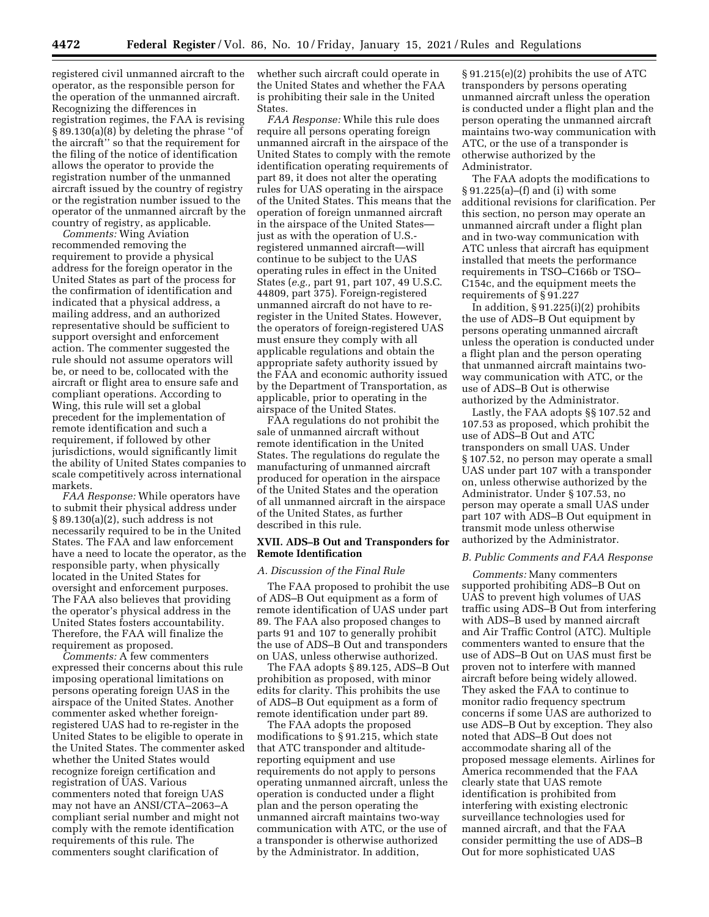registered civil unmanned aircraft to the operator, as the responsible person for the operation of the unmanned aircraft. Recognizing the differences in registration regimes, the FAA is revising § 89.130(a)(8) by deleting the phrase ''of the aircraft'' so that the requirement for the filing of the notice of identification allows the operator to provide the registration number of the unmanned aircraft issued by the country of registry or the registration number issued to the operator of the unmanned aircraft by the country of registry, as applicable.

*Comments:* Wing Aviation recommended removing the requirement to provide a physical address for the foreign operator in the United States as part of the process for the confirmation of identification and indicated that a physical address, a mailing address, and an authorized representative should be sufficient to support oversight and enforcement action. The commenter suggested the rule should not assume operators will be, or need to be, collocated with the aircraft or flight area to ensure safe and compliant operations. According to Wing, this rule will set a global precedent for the implementation of remote identification and such a requirement, if followed by other jurisdictions, would significantly limit the ability of United States companies to scale competitively across international markets.

*FAA Response:* While operators have to submit their physical address under § 89.130(a)(2), such address is not necessarily required to be in the United States. The FAA and law enforcement have a need to locate the operator, as the responsible party, when physically located in the United States for oversight and enforcement purposes. The FAA also believes that providing the operator's physical address in the United States fosters accountability. Therefore, the FAA will finalize the requirement as proposed.

*Comments:* A few commenters expressed their concerns about this rule imposing operational limitations on persons operating foreign UAS in the airspace of the United States. Another commenter asked whether foreignregistered UAS had to re-register in the United States to be eligible to operate in the United States. The commenter asked whether the United States would recognize foreign certification and registration of UAS. Various commenters noted that foreign UAS may not have an ANSI/CTA–2063–A compliant serial number and might not comply with the remote identification requirements of this rule. The commenters sought clarification of

whether such aircraft could operate in the United States and whether the FAA is prohibiting their sale in the United States.

*FAA Response:* While this rule does require all persons operating foreign unmanned aircraft in the airspace of the United States to comply with the remote identification operating requirements of part 89, it does not alter the operating rules for UAS operating in the airspace of the United States. This means that the operation of foreign unmanned aircraft in the airspace of the United States just as with the operation of U.S. registered unmanned aircraft—will continue to be subject to the UAS operating rules in effect in the United States (*e.g.,* part 91, part 107, 49 U.S.C. 44809, part 375). Foreign-registered unmanned aircraft do not have to reregister in the United States. However, the operators of foreign-registered UAS must ensure they comply with all applicable regulations and obtain the appropriate safety authority issued by the FAA and economic authority issued by the Department of Transportation, as applicable, prior to operating in the airspace of the United States.

FAA regulations do not prohibit the sale of unmanned aircraft without remote identification in the United States. The regulations do regulate the manufacturing of unmanned aircraft produced for operation in the airspace of the United States and the operation of all unmanned aircraft in the airspace of the United States, as further described in this rule.

## **XVII. ADS–B Out and Transponders for Remote Identification**

#### *A. Discussion of the Final Rule*

The FAA proposed to prohibit the use of ADS–B Out equipment as a form of remote identification of UAS under part 89. The FAA also proposed changes to parts 91 and 107 to generally prohibit the use of ADS–B Out and transponders on UAS, unless otherwise authorized.

The FAA adopts § 89.125, ADS–B Out prohibition as proposed, with minor edits for clarity. This prohibits the use of ADS–B Out equipment as a form of remote identification under part 89.

The FAA adopts the proposed modifications to § 91.215, which state that ATC transponder and altitudereporting equipment and use requirements do not apply to persons operating unmanned aircraft, unless the operation is conducted under a flight plan and the person operating the unmanned aircraft maintains two-way communication with ATC, or the use of a transponder is otherwise authorized by the Administrator. In addition,

§ 91.215(e)(2) prohibits the use of ATC transponders by persons operating unmanned aircraft unless the operation is conducted under a flight plan and the person operating the unmanned aircraft maintains two-way communication with ATC, or the use of a transponder is otherwise authorized by the Administrator.

The FAA adopts the modifications to § 91.225(a)–(f) and (i) with some additional revisions for clarification. Per this section, no person may operate an unmanned aircraft under a flight plan and in two-way communication with ATC unless that aircraft has equipment installed that meets the performance requirements in TSO–C166b or TSO– C154c, and the equipment meets the requirements of § 91.227

In addition, § 91.225(i)(2) prohibits the use of ADS–B Out equipment by persons operating unmanned aircraft unless the operation is conducted under a flight plan and the person operating that unmanned aircraft maintains twoway communication with ATC, or the use of ADS–B Out is otherwise authorized by the Administrator.

Lastly, the FAA adopts §§ 107.52 and 107.53 as proposed, which prohibit the use of ADS–B Out and ATC transponders on small UAS. Under § 107.52, no person may operate a small UAS under part 107 with a transponder on, unless otherwise authorized by the Administrator. Under § 107.53, no person may operate a small UAS under part 107 with ADS–B Out equipment in transmit mode unless otherwise authorized by the Administrator.

#### *B. Public Comments and FAA Response*

*Comments:* Many commenters supported prohibiting ADS–B Out on UAS to prevent high volumes of UAS traffic using ADS–B Out from interfering with ADS–B used by manned aircraft and Air Traffic Control (ATC). Multiple commenters wanted to ensure that the use of ADS–B Out on UAS must first be proven not to interfere with manned aircraft before being widely allowed. They asked the FAA to continue to monitor radio frequency spectrum concerns if some UAS are authorized to use ADS–B Out by exception. They also noted that ADS–B Out does not accommodate sharing all of the proposed message elements. Airlines for America recommended that the FAA clearly state that UAS remote identification is prohibited from interfering with existing electronic surveillance technologies used for manned aircraft, and that the FAA consider permitting the use of ADS–B Out for more sophisticated UAS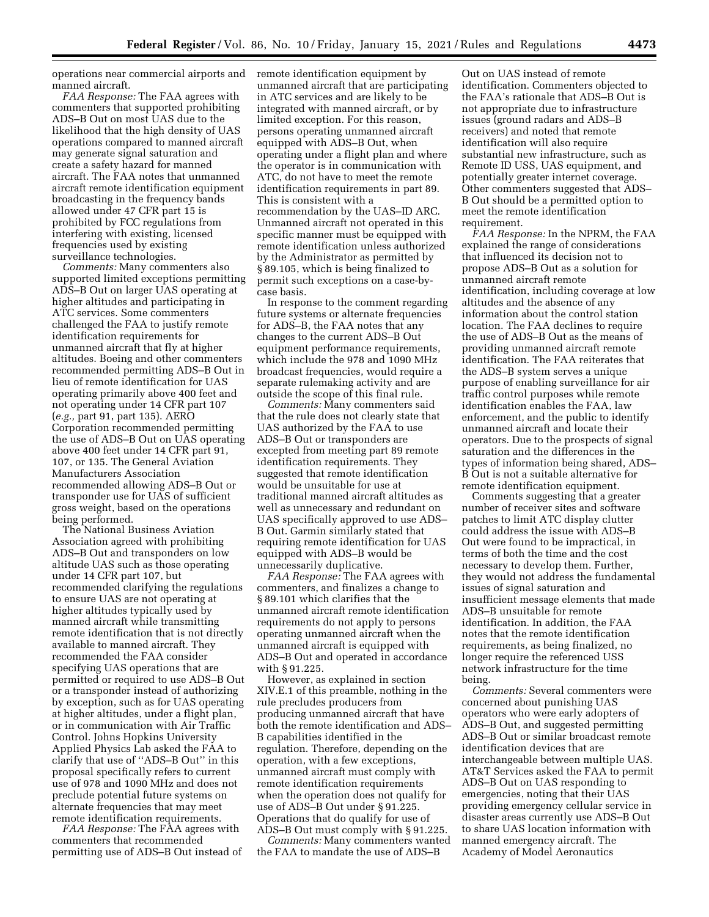operations near commercial airports and manned aircraft.

*FAA Response:* The FAA agrees with commenters that supported prohibiting ADS–B Out on most UAS due to the likelihood that the high density of UAS operations compared to manned aircraft may generate signal saturation and create a safety hazard for manned aircraft. The FAA notes that unmanned aircraft remote identification equipment broadcasting in the frequency bands allowed under 47 CFR part 15 is prohibited by FCC regulations from interfering with existing, licensed frequencies used by existing surveillance technologies.

*Comments:* Many commenters also supported limited exceptions permitting ADS–B Out on larger UAS operating at higher altitudes and participating in ATC services. Some commenters challenged the FAA to justify remote identification requirements for unmanned aircraft that fly at higher altitudes. Boeing and other commenters recommended permitting ADS–B Out in lieu of remote identification for UAS operating primarily above 400 feet and not operating under 14 CFR part 107 (*e.g.,* part 91, part 135). AERO Corporation recommended permitting the use of ADS–B Out on UAS operating above 400 feet under 14 CFR part 91, 107, or 135. The General Aviation Manufacturers Association recommended allowing ADS–B Out or transponder use for UAS of sufficient gross weight, based on the operations being performed.

The National Business Aviation Association agreed with prohibiting ADS–B Out and transponders on low altitude UAS such as those operating under 14 CFR part 107, but recommended clarifying the regulations to ensure UAS are not operating at higher altitudes typically used by manned aircraft while transmitting remote identification that is not directly available to manned aircraft. They recommended the FAA consider specifying UAS operations that are permitted or required to use ADS–B Out or a transponder instead of authorizing by exception, such as for UAS operating at higher altitudes, under a flight plan, or in communication with Air Traffic Control. Johns Hopkins University Applied Physics Lab asked the FAA to clarify that use of ''ADS–B Out'' in this proposal specifically refers to current use of 978 and 1090 MHz and does not preclude potential future systems on alternate frequencies that may meet remote identification requirements.

*FAA Response:* The FAA agrees with commenters that recommended permitting use of ADS–B Out instead of remote identification equipment by unmanned aircraft that are participating in ATC services and are likely to be integrated with manned aircraft, or by limited exception. For this reason, persons operating unmanned aircraft equipped with ADS–B Out, when operating under a flight plan and where the operator is in communication with ATC, do not have to meet the remote identification requirements in part 89. This is consistent with a recommendation by the UAS–ID ARC. Unmanned aircraft not operated in this specific manner must be equipped with remote identification unless authorized by the Administrator as permitted by § 89.105, which is being finalized to permit such exceptions on a case-bycase basis.

In response to the comment regarding future systems or alternate frequencies for ADS–B, the FAA notes that any changes to the current ADS–B Out equipment performance requirements, which include the 978 and 1090 MHz broadcast frequencies, would require a separate rulemaking activity and are outside the scope of this final rule.

*Comments:* Many commenters said that the rule does not clearly state that UAS authorized by the FAA to use ADS–B Out or transponders are excepted from meeting part 89 remote identification requirements. They suggested that remote identification would be unsuitable for use at traditional manned aircraft altitudes as well as unnecessary and redundant on UAS specifically approved to use ADS– B Out. Garmin similarly stated that requiring remote identification for UAS equipped with ADS–B would be unnecessarily duplicative.

*FAA Response:* The FAA agrees with commenters, and finalizes a change to § 89.101 which clarifies that the unmanned aircraft remote identification requirements do not apply to persons operating unmanned aircraft when the unmanned aircraft is equipped with ADS–B Out and operated in accordance with § 91.225.

However, as explained in section XIV.E.1 of this preamble, nothing in the rule precludes producers from producing unmanned aircraft that have both the remote identification and ADS– B capabilities identified in the regulation. Therefore, depending on the operation, with a few exceptions, unmanned aircraft must comply with remote identification requirements when the operation does not qualify for use of ADS–B Out under § 91.225. Operations that do qualify for use of ADS–B Out must comply with § 91.225.

*Comments:* Many commenters wanted the FAA to mandate the use of ADS–B

Out on UAS instead of remote identification. Commenters objected to the FAA's rationale that ADS–B Out is not appropriate due to infrastructure issues (ground radars and ADS–B receivers) and noted that remote identification will also require substantial new infrastructure, such as Remote ID USS, UAS equipment, and potentially greater internet coverage. Other commenters suggested that ADS– B Out should be a permitted option to meet the remote identification requirement.

*FAA Response:* In the NPRM, the FAA explained the range of considerations that influenced its decision not to propose ADS–B Out as a solution for unmanned aircraft remote identification, including coverage at low altitudes and the absence of any information about the control station location. The FAA declines to require the use of ADS–B Out as the means of providing unmanned aircraft remote identification. The FAA reiterates that the ADS–B system serves a unique purpose of enabling surveillance for air traffic control purposes while remote identification enables the FAA, law enforcement, and the public to identify unmanned aircraft and locate their operators. Due to the prospects of signal saturation and the differences in the types of information being shared, ADS– B Out is not a suitable alternative for remote identification equipment.

Comments suggesting that a greater number of receiver sites and software patches to limit ATC display clutter could address the issue with ADS–B Out were found to be impractical, in terms of both the time and the cost necessary to develop them. Further, they would not address the fundamental issues of signal saturation and insufficient message elements that made ADS–B unsuitable for remote identification. In addition, the FAA notes that the remote identification requirements, as being finalized, no longer require the referenced USS network infrastructure for the time being.

*Comments:* Several commenters were concerned about punishing UAS operators who were early adopters of ADS–B Out, and suggested permitting ADS–B Out or similar broadcast remote identification devices that are interchangeable between multiple UAS. AT&T Services asked the FAA to permit ADS–B Out on UAS responding to emergencies, noting that their UAS providing emergency cellular service in disaster areas currently use ADS–B Out to share UAS location information with manned emergency aircraft. The Academy of Model Aeronautics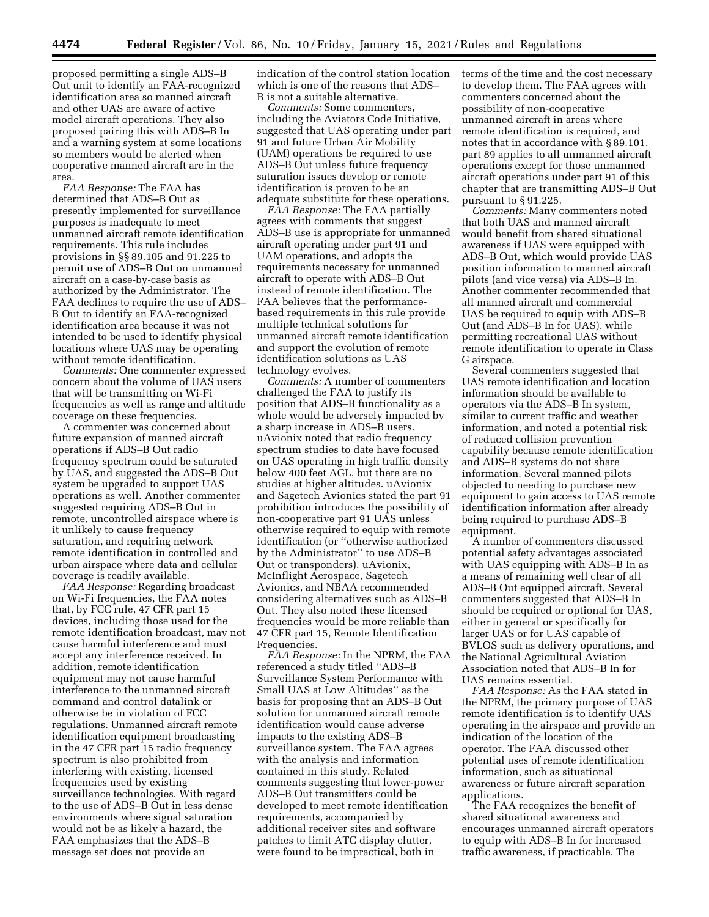proposed permitting a single ADS–B Out unit to identify an FAA-recognized identification area so manned aircraft and other UAS are aware of active model aircraft operations. They also proposed pairing this with ADS–B In and a warning system at some locations so members would be alerted when cooperative manned aircraft are in the area.

*FAA Response:* The FAA has determined that ADS–B Out as presently implemented for surveillance purposes is inadequate to meet unmanned aircraft remote identification requirements. This rule includes provisions in §§ 89.105 and 91.225 to permit use of ADS–B Out on unmanned aircraft on a case-by-case basis as authorized by the Administrator. The FAA declines to require the use of ADS– B Out to identify an FAA-recognized identification area because it was not intended to be used to identify physical locations where UAS may be operating without remote identification.

*Comments:* One commenter expressed concern about the volume of UAS users that will be transmitting on Wi-Fi frequencies as well as range and altitude coverage on these frequencies.

A commenter was concerned about future expansion of manned aircraft operations if ADS–B Out radio frequency spectrum could be saturated by UAS, and suggested the ADS–B Out system be upgraded to support UAS operations as well. Another commenter suggested requiring ADS–B Out in remote, uncontrolled airspace where is it unlikely to cause frequency saturation, and requiring network remote identification in controlled and urban airspace where data and cellular coverage is readily available.

*FAA Response:* Regarding broadcast on Wi-Fi frequencies, the FAA notes that, by FCC rule, 47 CFR part 15 devices, including those used for the remote identification broadcast, may not cause harmful interference and must accept any interference received. In addition, remote identification equipment may not cause harmful interference to the unmanned aircraft command and control datalink or otherwise be in violation of FCC regulations. Unmanned aircraft remote identification equipment broadcasting in the 47 CFR part 15 radio frequency spectrum is also prohibited from interfering with existing, licensed frequencies used by existing surveillance technologies. With regard to the use of ADS–B Out in less dense environments where signal saturation would not be as likely a hazard, the FAA emphasizes that the ADS–B message set does not provide an

indication of the control station location which is one of the reasons that ADS– B is not a suitable alternative.

*Comments:* Some commenters, including the Aviators Code Initiative, suggested that UAS operating under part 91 and future Urban Air Mobility (UAM) operations be required to use ADS–B Out unless future frequency saturation issues develop or remote identification is proven to be an adequate substitute for these operations.

*FAA Response:* The FAA partially agrees with comments that suggest ADS–B use is appropriate for unmanned aircraft operating under part 91 and UAM operations, and adopts the requirements necessary for unmanned aircraft to operate with ADS–B Out instead of remote identification. The FAA believes that the performancebased requirements in this rule provide multiple technical solutions for unmanned aircraft remote identification and support the evolution of remote identification solutions as UAS technology evolves.

*Comments:* A number of commenters challenged the FAA to justify its position that ADS–B functionality as a whole would be adversely impacted by a sharp increase in ADS–B users. uAvionix noted that radio frequency spectrum studies to date have focused on UAS operating in high traffic density below 400 feet AGL, but there are no studies at higher altitudes. uAvionix and Sagetech Avionics stated the part 91 prohibition introduces the possibility of non-cooperative part 91 UAS unless otherwise required to equip with remote identification (or ''otherwise authorized by the Administrator'' to use ADS–B Out or transponders). uAvionix, McInflight Aerospace, Sagetech Avionics, and NBAA recommended considering alternatives such as ADS–B Out. They also noted these licensed frequencies would be more reliable than 47 CFR part 15, Remote Identification Frequencies.

*FAA Response:* In the NPRM, the FAA referenced a study titled ''ADS–B Surveillance System Performance with Small UAS at Low Altitudes'' as the basis for proposing that an ADS–B Out solution for unmanned aircraft remote identification would cause adverse impacts to the existing ADS–B surveillance system. The FAA agrees with the analysis and information contained in this study. Related comments suggesting that lower-power ADS–B Out transmitters could be developed to meet remote identification requirements, accompanied by additional receiver sites and software patches to limit ATC display clutter, were found to be impractical, both in

terms of the time and the cost necessary to develop them. The FAA agrees with commenters concerned about the possibility of non-cooperative unmanned aircraft in areas where remote identification is required, and notes that in accordance with § 89.101, part 89 applies to all unmanned aircraft operations except for those unmanned aircraft operations under part 91 of this chapter that are transmitting ADS–B Out pursuant to § 91.225.

*Comments:* Many commenters noted that both UAS and manned aircraft would benefit from shared situational awareness if UAS were equipped with ADS–B Out, which would provide UAS position information to manned aircraft pilots (and vice versa) via ADS–B In. Another commenter recommended that all manned aircraft and commercial UAS be required to equip with ADS–B Out (and ADS–B In for UAS), while permitting recreational UAS without remote identification to operate in Class G airspace.

Several commenters suggested that UAS remote identification and location information should be available to operators via the ADS–B In system, similar to current traffic and weather information, and noted a potential risk of reduced collision prevention capability because remote identification and ADS–B systems do not share information. Several manned pilots objected to needing to purchase new equipment to gain access to UAS remote identification information after already being required to purchase ADS–B equipment.

A number of commenters discussed potential safety advantages associated with UAS equipping with ADS–B In as a means of remaining well clear of all ADS–B Out equipped aircraft. Several commenters suggested that ADS–B In should be required or optional for UAS, either in general or specifically for larger UAS or for UAS capable of BVLOS such as delivery operations, and the National Agricultural Aviation Association noted that ADS–B In for UAS remains essential.

*FAA Response:* As the FAA stated in the NPRM, the primary purpose of UAS remote identification is to identify UAS operating in the airspace and provide an indication of the location of the operator. The FAA discussed other potential uses of remote identification information, such as situational awareness or future aircraft separation applications.

The FAA recognizes the benefit of shared situational awareness and encourages unmanned aircraft operators to equip with ADS–B In for increased traffic awareness, if practicable. The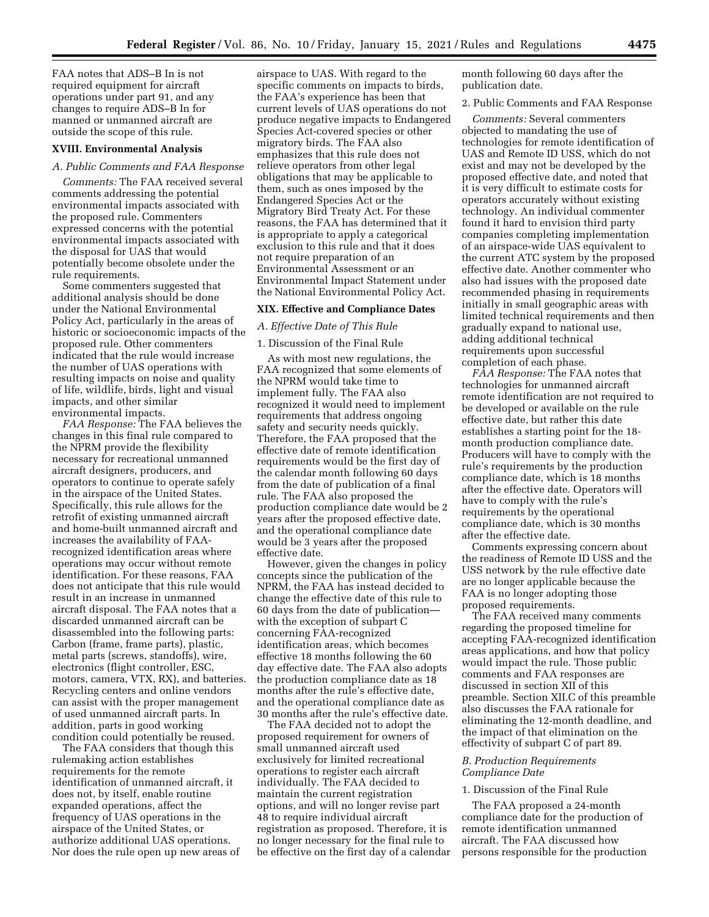FAA notes that ADS–B In is not required equipment for aircraft operations under part 91, and any changes to require ADS–B In for manned or unmanned aircraft are outside the scope of this rule.

## **XVIII. Environmental Analysis**

#### *A. Public Comments and FAA Response*

*Comments:* The FAA received several comments addressing the potential environmental impacts associated with the proposed rule. Commenters expressed concerns with the potential environmental impacts associated with the disposal for UAS that would potentially become obsolete under the rule requirements.

Some commenters suggested that additional analysis should be done under the National Environmental Policy Act, particularly in the areas of historic or socioeconomic impacts of the proposed rule. Other commenters indicated that the rule would increase the number of UAS operations with resulting impacts on noise and quality of life, wildlife, birds, light and visual impacts, and other similar environmental impacts.

*FAA Response:* The FAA believes the changes in this final rule compared to the NPRM provide the flexibility necessary for recreational unmanned aircraft designers, producers, and operators to continue to operate safely in the airspace of the United States. Specifically, this rule allows for the retrofit of existing unmanned aircraft and home-built unmanned aircraft and increases the availability of FAArecognized identification areas where operations may occur without remote identification. For these reasons, FAA does not anticipate that this rule would result in an increase in unmanned aircraft disposal. The FAA notes that a discarded unmanned aircraft can be disassembled into the following parts: Carbon (frame, frame parts), plastic, metal parts (screws, standoffs), wire, electronics (flight controller, ESC, motors, camera, VTX, RX), and batteries. Recycling centers and online vendors can assist with the proper management of used unmanned aircraft parts. In addition, parts in good working condition could potentially be reused.

The FAA considers that though this rulemaking action establishes requirements for the remote identification of unmanned aircraft, it does not, by itself, enable routine expanded operations, affect the frequency of UAS operations in the airspace of the United States, or authorize additional UAS operations. Nor does the rule open up new areas of

airspace to UAS. With regard to the specific comments on impacts to birds, the FAA's experience has been that current levels of UAS operations do not produce negative impacts to Endangered Species Act-covered species or other migratory birds. The FAA also emphasizes that this rule does not relieve operators from other legal obligations that may be applicable to them, such as ones imposed by the Endangered Species Act or the Migratory Bird Treaty Act. For these reasons, the FAA has determined that it is appropriate to apply a categorical exclusion to this rule and that it does not require preparation of an Environmental Assessment or an Environmental Impact Statement under the National Environmental Policy Act.

# **XIX. Effective and Compliance Dates**

## *A. Effective Date of This Rule*

1. Discussion of the Final Rule

As with most new regulations, the FAA recognized that some elements of the NPRM would take time to implement fully. The FAA also recognized it would need to implement requirements that address ongoing safety and security needs quickly. Therefore, the FAA proposed that the effective date of remote identification requirements would be the first day of the calendar month following 60 days from the date of publication of a final rule. The FAA also proposed the production compliance date would be 2 years after the proposed effective date, and the operational compliance date would be 3 years after the proposed effective date.

However, given the changes in policy concepts since the publication of the NPRM, the FAA has instead decided to change the effective date of this rule to 60 days from the date of publication with the exception of subpart C concerning FAA-recognized identification areas, which becomes effective 18 months following the 60 day effective date. The FAA also adopts the production compliance date as 18 months after the rule's effective date, and the operational compliance date as 30 months after the rule's effective date.

The FAA decided not to adopt the proposed requirement for owners of small unmanned aircraft used exclusively for limited recreational operations to register each aircraft individually. The FAA decided to maintain the current registration options, and will no longer revise part 48 to require individual aircraft registration as proposed. Therefore, it is no longer necessary for the final rule to be effective on the first day of a calendar month following 60 days after the publication date.

#### 2. Public Comments and FAA Response

*Comments:* Several commenters objected to mandating the use of technologies for remote identification of UAS and Remote ID USS, which do not exist and may not be developed by the proposed effective date, and noted that it is very difficult to estimate costs for operators accurately without existing technology. An individual commenter found it hard to envision third party companies completing implementation of an airspace-wide UAS equivalent to the current ATC system by the proposed effective date. Another commenter who also had issues with the proposed date recommended phasing in requirements initially in small geographic areas with limited technical requirements and then gradually expand to national use, adding additional technical requirements upon successful completion of each phase.

*FAA Response:* The FAA notes that technologies for unmanned aircraft remote identification are not required to be developed or available on the rule effective date, but rather this date establishes a starting point for the 18 month production compliance date. Producers will have to comply with the rule's requirements by the production compliance date, which is 18 months after the effective date. Operators will have to comply with the rule's requirements by the operational compliance date, which is 30 months after the effective date.

Comments expressing concern about the readiness of Remote ID USS and the USS network by the rule effective date are no longer applicable because the FAA is no longer adopting those proposed requirements.

The FAA received many comments regarding the proposed timeline for accepting FAA-recognized identification areas applications, and how that policy would impact the rule. Those public comments and FAA responses are discussed in section XII of this preamble. Section XII.C of this preamble also discusses the FAA rationale for eliminating the 12-month deadline, and the impact of that elimination on the effectivity of subpart C of part 89.

## *B. Production Requirements Compliance Date*

## 1. Discussion of the Final Rule

The FAA proposed a 24-month compliance date for the production of remote identification unmanned aircraft. The FAA discussed how persons responsible for the production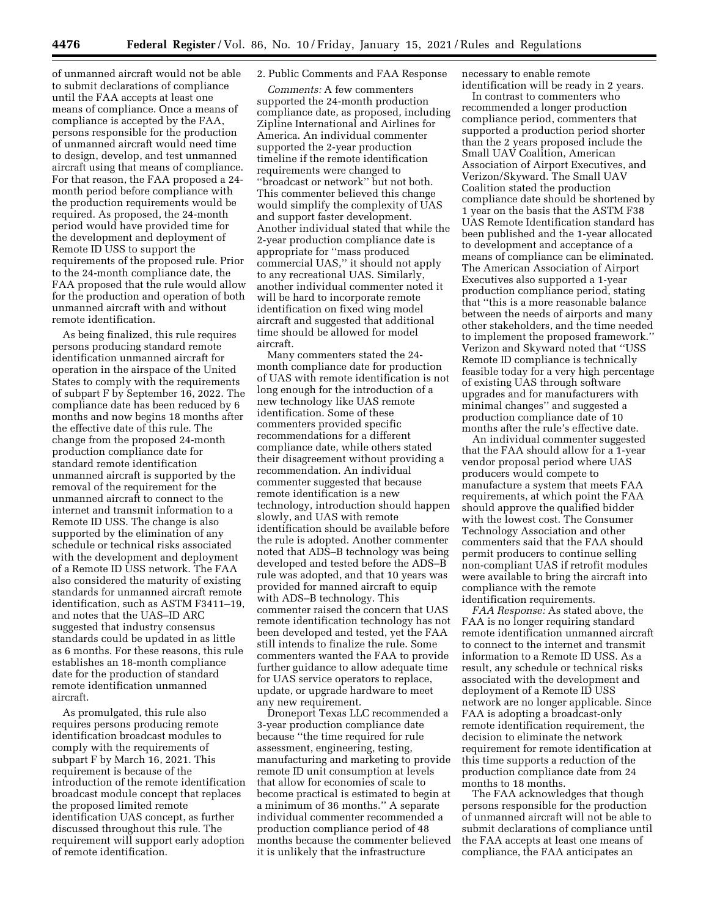of unmanned aircraft would not be able to submit declarations of compliance until the FAA accepts at least one means of compliance. Once a means of compliance is accepted by the FAA, persons responsible for the production of unmanned aircraft would need time to design, develop, and test unmanned aircraft using that means of compliance. For that reason, the FAA proposed a 24 month period before compliance with the production requirements would be required. As proposed, the 24-month period would have provided time for the development and deployment of Remote ID USS to support the requirements of the proposed rule. Prior to the 24-month compliance date, the FAA proposed that the rule would allow for the production and operation of both unmanned aircraft with and without remote identification.

As being finalized, this rule requires persons producing standard remote identification unmanned aircraft for operation in the airspace of the United States to comply with the requirements of subpart F by September 16, 2022. The compliance date has been reduced by 6 months and now begins 18 months after the effective date of this rule. The change from the proposed 24-month production compliance date for standard remote identification unmanned aircraft is supported by the removal of the requirement for the unmanned aircraft to connect to the internet and transmit information to a Remote ID USS. The change is also supported by the elimination of any schedule or technical risks associated with the development and deployment of a Remote ID USS network. The FAA also considered the maturity of existing standards for unmanned aircraft remote identification, such as ASTM F3411–19, and notes that the UAS–ID ARC suggested that industry consensus standards could be updated in as little as 6 months. For these reasons, this rule establishes an 18-month compliance date for the production of standard remote identification unmanned aircraft.

As promulgated, this rule also requires persons producing remote identification broadcast modules to comply with the requirements of subpart F by March 16, 2021. This requirement is because of the introduction of the remote identification broadcast module concept that replaces the proposed limited remote identification UAS concept, as further discussed throughout this rule. The requirement will support early adoption of remote identification.

## 2. Public Comments and FAA Response

*Comments:* A few commenters supported the 24-month production compliance date, as proposed, including Zipline International and Airlines for America. An individual commenter supported the 2-year production timeline if the remote identification requirements were changed to ''broadcast or network'' but not both. This commenter believed this change would simplify the complexity of UAS and support faster development. Another individual stated that while the 2-year production compliance date is appropriate for ''mass produced commercial UAS,'' it should not apply to any recreational UAS. Similarly, another individual commenter noted it will be hard to incorporate remote identification on fixed wing model aircraft and suggested that additional time should be allowed for model aircraft.

Many commenters stated the 24 month compliance date for production of UAS with remote identification is not long enough for the introduction of a new technology like UAS remote identification. Some of these commenters provided specific recommendations for a different compliance date, while others stated their disagreement without providing a recommendation. An individual commenter suggested that because remote identification is a new technology, introduction should happen slowly, and UAS with remote identification should be available before the rule is adopted. Another commenter noted that ADS–B technology was being developed and tested before the ADS–B rule was adopted, and that 10 years was provided for manned aircraft to equip with ADS–B technology. This commenter raised the concern that UAS remote identification technology has not been developed and tested, yet the FAA still intends to finalize the rule. Some commenters wanted the FAA to provide further guidance to allow adequate time for UAS service operators to replace, update, or upgrade hardware to meet any new requirement.

Droneport Texas LLC recommended a 3-year production compliance date because ''the time required for rule assessment, engineering, testing, manufacturing and marketing to provide remote ID unit consumption at levels that allow for economies of scale to become practical is estimated to begin at a minimum of 36 months.'' A separate individual commenter recommended a production compliance period of 48 months because the commenter believed it is unlikely that the infrastructure

necessary to enable remote identification will be ready in 2 years.

In contrast to commenters who recommended a longer production compliance period, commenters that supported a production period shorter than the 2 years proposed include the Small UAV Coalition, American Association of Airport Executives, and Verizon/Skyward. The Small UAV Coalition stated the production compliance date should be shortened by 1 year on the basis that the ASTM F38 UAS Remote Identification standard has been published and the 1-year allocated to development and acceptance of a means of compliance can be eliminated. The American Association of Airport Executives also supported a 1-year production compliance period, stating that ''this is a more reasonable balance between the needs of airports and many other stakeholders, and the time needed to implement the proposed framework.'' Verizon and Skyward noted that ''USS Remote ID compliance is technically feasible today for a very high percentage of existing UAS through software upgrades and for manufacturers with minimal changes'' and suggested a production compliance date of 10 months after the rule's effective date.

An individual commenter suggested that the FAA should allow for a 1-year vendor proposal period where UAS producers would compete to manufacture a system that meets FAA requirements, at which point the FAA should approve the qualified bidder with the lowest cost. The Consumer Technology Association and other commenters said that the FAA should permit producers to continue selling non-compliant UAS if retrofit modules were available to bring the aircraft into compliance with the remote identification requirements.

*FAA Response:* As stated above, the FAA is no longer requiring standard remote identification unmanned aircraft to connect to the internet and transmit information to a Remote ID USS. As a result, any schedule or technical risks associated with the development and deployment of a Remote ID USS network are no longer applicable. Since FAA is adopting a broadcast-only remote identification requirement, the decision to eliminate the network requirement for remote identification at this time supports a reduction of the production compliance date from 24 months to 18 months.

The FAA acknowledges that though persons responsible for the production of unmanned aircraft will not be able to submit declarations of compliance until the FAA accepts at least one means of compliance, the FAA anticipates an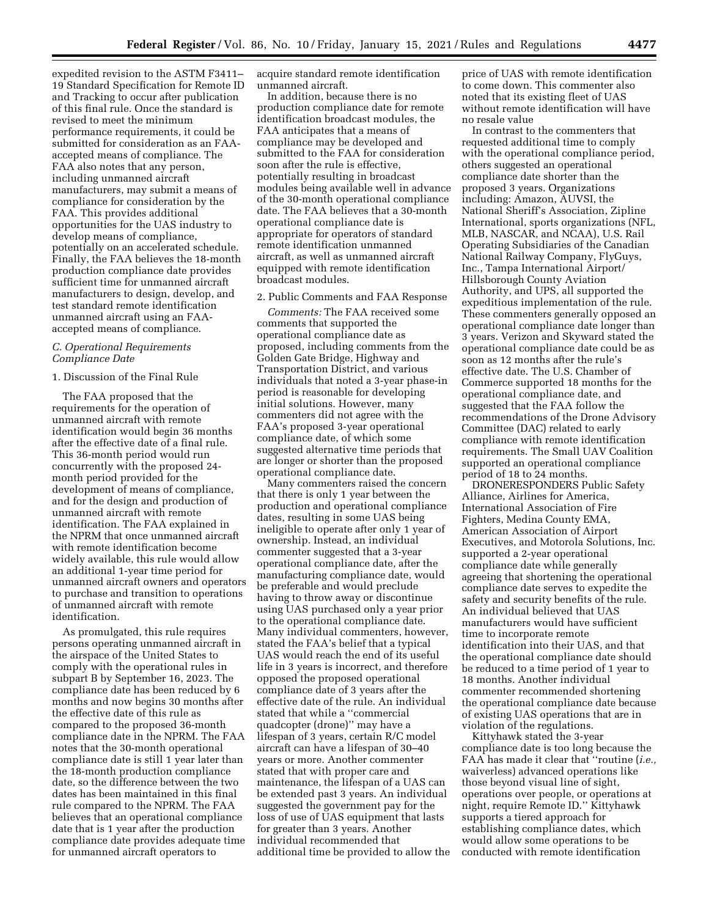expedited revision to the ASTM F3411– 19 Standard Specification for Remote ID and Tracking to occur after publication of this final rule. Once the standard is revised to meet the minimum performance requirements, it could be submitted for consideration as an FAAaccepted means of compliance. The FAA also notes that any person, including unmanned aircraft manufacturers, may submit a means of compliance for consideration by the FAA. This provides additional opportunities for the UAS industry to develop means of compliance, potentially on an accelerated schedule. Finally, the FAA believes the 18-month production compliance date provides sufficient time for unmanned aircraft manufacturers to design, develop, and test standard remote identification unmanned aircraft using an FAAaccepted means of compliance.

#### *C. Operational Requirements Compliance Date*

#### 1. Discussion of the Final Rule

The FAA proposed that the requirements for the operation of unmanned aircraft with remote identification would begin 36 months after the effective date of a final rule. This 36-month period would run concurrently with the proposed 24 month period provided for the development of means of compliance, and for the design and production of unmanned aircraft with remote identification. The FAA explained in the NPRM that once unmanned aircraft with remote identification become widely available, this rule would allow an additional 1-year time period for unmanned aircraft owners and operators to purchase and transition to operations of unmanned aircraft with remote identification.

As promulgated, this rule requires persons operating unmanned aircraft in the airspace of the United States to comply with the operational rules in subpart B by September 16, 2023. The compliance date has been reduced by 6 months and now begins 30 months after the effective date of this rule as compared to the proposed 36-month compliance date in the NPRM. The FAA notes that the 30-month operational compliance date is still 1 year later than the 18-month production compliance date, so the difference between the two dates has been maintained in this final rule compared to the NPRM. The FAA believes that an operational compliance date that is 1 year after the production compliance date provides adequate time for unmanned aircraft operators to

acquire standard remote identification unmanned aircraft.

In addition, because there is no production compliance date for remote identification broadcast modules, the FAA anticipates that a means of compliance may be developed and submitted to the FAA for consideration soon after the rule is effective, potentially resulting in broadcast modules being available well in advance of the 30-month operational compliance date. The FAA believes that a 30-month operational compliance date is appropriate for operators of standard remote identification unmanned aircraft, as well as unmanned aircraft equipped with remote identification broadcast modules.

#### 2. Public Comments and FAA Response

*Comments:* The FAA received some comments that supported the operational compliance date as proposed, including comments from the Golden Gate Bridge, Highway and Transportation District, and various individuals that noted a 3-year phase-in period is reasonable for developing initial solutions. However, many commenters did not agree with the FAA's proposed 3-year operational compliance date, of which some suggested alternative time periods that are longer or shorter than the proposed operational compliance date.

Many commenters raised the concern that there is only 1 year between the production and operational compliance dates, resulting in some UAS being ineligible to operate after only 1 year of ownership. Instead, an individual commenter suggested that a 3-year operational compliance date, after the manufacturing compliance date, would be preferable and would preclude having to throw away or discontinue using UAS purchased only a year prior to the operational compliance date. Many individual commenters, however, stated the FAA's belief that a typical UAS would reach the end of its useful life in 3 years is incorrect, and therefore opposed the proposed operational compliance date of 3 years after the effective date of the rule. An individual stated that while a ''commercial quadcopter (drone)'' may have a lifespan of 3 years, certain R/C model aircraft can have a lifespan of 30–40 years or more. Another commenter stated that with proper care and maintenance, the lifespan of a UAS can be extended past 3 years. An individual suggested the government pay for the loss of use of UAS equipment that lasts for greater than 3 years. Another individual recommended that additional time be provided to allow the

price of UAS with remote identification to come down. This commenter also noted that its existing fleet of UAS without remote identification will have no resale value

In contrast to the commenters that requested additional time to comply with the operational compliance period, others suggested an operational compliance date shorter than the proposed 3 years. Organizations including: Amazon, AUVSI, the National Sheriff's Association, Zipline International, sports organizations (NFL, MLB, NASCAR, and NCAA), U.S. Rail Operating Subsidiaries of the Canadian National Railway Company, FlyGuys, Inc., Tampa International Airport/ Hillsborough County Aviation Authority, and UPS, all supported the expeditious implementation of the rule. These commenters generally opposed an operational compliance date longer than 3 years. Verizon and Skyward stated the operational compliance date could be as soon as 12 months after the rule's effective date. The U.S. Chamber of Commerce supported 18 months for the operational compliance date, and suggested that the FAA follow the recommendations of the Drone Advisory Committee (DAC) related to early compliance with remote identification requirements. The Small UAV Coalition supported an operational compliance period of 18 to 24 months.

DRONERESPONDERS Public Safety Alliance, Airlines for America, International Association of Fire Fighters, Medina County EMA, American Association of Airport Executives, and Motorola Solutions, Inc. supported a 2-year operational compliance date while generally agreeing that shortening the operational compliance date serves to expedite the safety and security benefits of the rule. An individual believed that UAS manufacturers would have sufficient time to incorporate remote identification into their UAS, and that the operational compliance date should be reduced to a time period of 1 year to 18 months. Another individual commenter recommended shortening the operational compliance date because of existing UAS operations that are in violation of the regulations.

Kittyhawk stated the 3-year compliance date is too long because the FAA has made it clear that ''routine (*i.e.,*  waiverless) advanced operations like those beyond visual line of sight, operations over people, or operations at night, require Remote ID.'' Kittyhawk supports a tiered approach for establishing compliance dates, which would allow some operations to be conducted with remote identification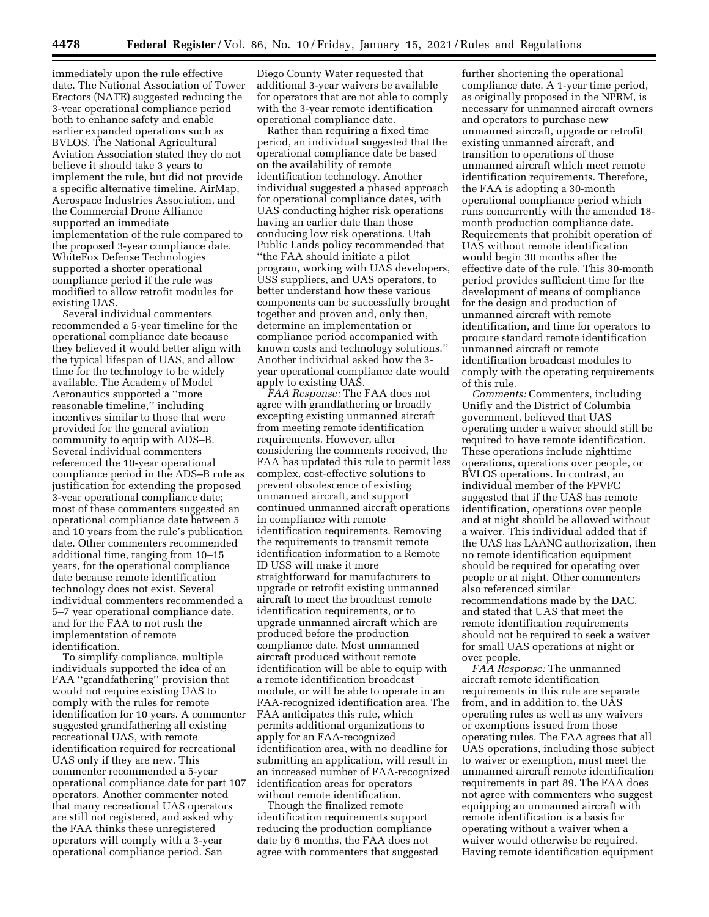immediately upon the rule effective date. The National Association of Tower Erectors (NATE) suggested reducing the 3-year operational compliance period both to enhance safety and enable earlier expanded operations such as BVLOS. The National Agricultural Aviation Association stated they do not believe it should take 3 years to implement the rule, but did not provide a specific alternative timeline. AirMap, Aerospace Industries Association, and the Commercial Drone Alliance supported an immediate implementation of the rule compared to the proposed 3-year compliance date. WhiteFox Defense Technologies supported a shorter operational compliance period if the rule was modified to allow retrofit modules for existing UAS.

Several individual commenters recommended a 5-year timeline for the operational compliance date because they believed it would better align with the typical lifespan of UAS, and allow time for the technology to be widely available. The Academy of Model Aeronautics supported a ''more reasonable timeline,'' including incentives similar to those that were provided for the general aviation community to equip with ADS–B. Several individual commenters referenced the 10-year operational compliance period in the ADS–B rule as justification for extending the proposed 3-year operational compliance date; most of these commenters suggested an operational compliance date between 5 and 10 years from the rule's publication date. Other commenters recommended additional time, ranging from 10–15 years, for the operational compliance date because remote identification technology does not exist. Several individual commenters recommended a 5–7 year operational compliance date, and for the FAA to not rush the implementation of remote identification.

To simplify compliance, multiple individuals supported the idea of an FAA ''grandfathering'' provision that would not require existing UAS to comply with the rules for remote identification for 10 years. A commenter suggested grandfathering all existing recreational UAS, with remote identification required for recreational UAS only if they are new. This commenter recommended a 5-year operational compliance date for part 107 operators. Another commenter noted that many recreational UAS operators are still not registered, and asked why the FAA thinks these unregistered operators will comply with a 3-year operational compliance period. San

Diego County Water requested that additional 3-year waivers be available for operators that are not able to comply with the 3-year remote identification operational compliance date.

Rather than requiring a fixed time period, an individual suggested that the operational compliance date be based on the availability of remote identification technology. Another individual suggested a phased approach for operational compliance dates, with UAS conducting higher risk operations having an earlier date than those conducing low risk operations. Utah Public Lands policy recommended that ''the FAA should initiate a pilot program, working with UAS developers, USS suppliers, and UAS operators, to better understand how these various components can be successfully brought together and proven and, only then, determine an implementation or compliance period accompanied with known costs and technology solutions.'' Another individual asked how the 3 year operational compliance date would apply to existing UAS.

*FAA Response:* The FAA does not agree with grandfathering or broadly excepting existing unmanned aircraft from meeting remote identification requirements. However, after considering the comments received, the FAA has updated this rule to permit less complex, cost-effective solutions to prevent obsolescence of existing unmanned aircraft, and support continued unmanned aircraft operations in compliance with remote identification requirements. Removing the requirements to transmit remote identification information to a Remote ID USS will make it more straightforward for manufacturers to upgrade or retrofit existing unmanned aircraft to meet the broadcast remote identification requirements, or to upgrade unmanned aircraft which are produced before the production compliance date. Most unmanned aircraft produced without remote identification will be able to equip with a remote identification broadcast module, or will be able to operate in an FAA-recognized identification area. The FAA anticipates this rule, which permits additional organizations to apply for an FAA-recognized identification area, with no deadline for submitting an application, will result in an increased number of FAA-recognized identification areas for operators without remote identification.

Though the finalized remote identification requirements support reducing the production compliance date by 6 months, the FAA does not agree with commenters that suggested

further shortening the operational compliance date. A 1-year time period, as originally proposed in the NPRM, is necessary for unmanned aircraft owners and operators to purchase new unmanned aircraft, upgrade or retrofit existing unmanned aircraft, and transition to operations of those unmanned aircraft which meet remote identification requirements. Therefore, the FAA is adopting a 30-month operational compliance period which runs concurrently with the amended 18 month production compliance date. Requirements that prohibit operation of UAS without remote identification would begin 30 months after the effective date of the rule. This 30-month period provides sufficient time for the development of means of compliance for the design and production of unmanned aircraft with remote identification, and time for operators to procure standard remote identification unmanned aircraft or remote identification broadcast modules to comply with the operating requirements of this rule.

*Comments:* Commenters, including Unifly and the District of Columbia government, believed that UAS operating under a waiver should still be required to have remote identification. These operations include nighttime operations, operations over people, or BVLOS operations. In contrast, an individual member of the FPVFC suggested that if the UAS has remote identification, operations over people and at night should be allowed without a waiver. This individual added that if the UAS has LAANC authorization, then no remote identification equipment should be required for operating over people or at night. Other commenters also referenced similar recommendations made by the DAC, and stated that UAS that meet the remote identification requirements should not be required to seek a waiver for small UAS operations at night or over people.

*FAA Response:* The unmanned aircraft remote identification requirements in this rule are separate from, and in addition to, the UAS operating rules as well as any waivers or exemptions issued from those operating rules. The FAA agrees that all UAS operations, including those subject to waiver or exemption, must meet the unmanned aircraft remote identification requirements in part 89. The FAA does not agree with commenters who suggest equipping an unmanned aircraft with remote identification is a basis for operating without a waiver when a waiver would otherwise be required. Having remote identification equipment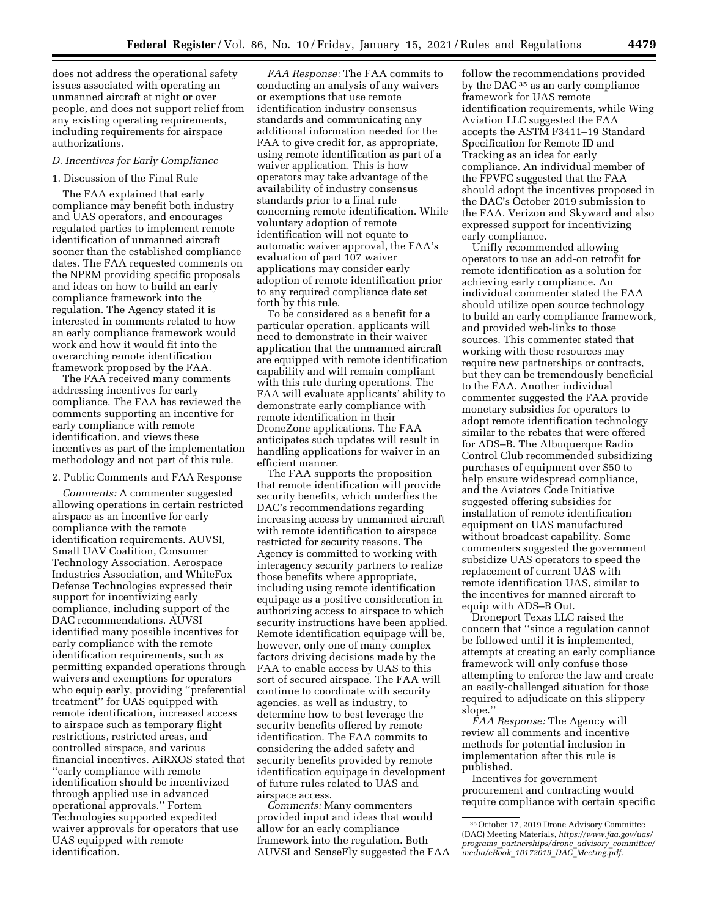does not address the operational safety issues associated with operating an unmanned aircraft at night or over people, and does not support relief from any existing operating requirements, including requirements for airspace authorizations.

#### *D. Incentives for Early Compliance*

## 1. Discussion of the Final Rule

The FAA explained that early compliance may benefit both industry and UAS operators, and encourages regulated parties to implement remote identification of unmanned aircraft sooner than the established compliance dates. The FAA requested comments on the NPRM providing specific proposals and ideas on how to build an early compliance framework into the regulation. The Agency stated it is interested in comments related to how an early compliance framework would work and how it would fit into the overarching remote identification framework proposed by the FAA.

The FAA received many comments addressing incentives for early compliance. The FAA has reviewed the comments supporting an incentive for early compliance with remote identification, and views these incentives as part of the implementation methodology and not part of this rule.

2. Public Comments and FAA Response

*Comments:* A commenter suggested allowing operations in certain restricted airspace as an incentive for early compliance with the remote identification requirements. AUVSI, Small UAV Coalition, Consumer Technology Association, Aerospace Industries Association, and WhiteFox Defense Technologies expressed their support for incentivizing early compliance, including support of the DAC recommendations. AUVSI identified many possible incentives for early compliance with the remote identification requirements, such as permitting expanded operations through waivers and exemptions for operators who equip early, providing ''preferential treatment'' for UAS equipped with remote identification, increased access to airspace such as temporary flight restrictions, restricted areas, and controlled airspace, and various financial incentives. AiRXOS stated that ''early compliance with remote identification should be incentivized through applied use in advanced operational approvals.'' Fortem Technologies supported expedited waiver approvals for operators that use UAS equipped with remote identification.

*FAA Response:* The FAA commits to conducting an analysis of any waivers or exemptions that use remote identification industry consensus standards and communicating any additional information needed for the FAA to give credit for, as appropriate, using remote identification as part of a waiver application. This is how operators may take advantage of the availability of industry consensus standards prior to a final rule concerning remote identification. While voluntary adoption of remote identification will not equate to automatic waiver approval, the FAA's evaluation of part 107 waiver applications may consider early adoption of remote identification prior to any required compliance date set forth by this rule.

To be considered as a benefit for a particular operation, applicants will need to demonstrate in their waiver application that the unmanned aircraft are equipped with remote identification capability and will remain compliant with this rule during operations. The FAA will evaluate applicants' ability to demonstrate early compliance with remote identification in their DroneZone applications. The FAA anticipates such updates will result in handling applications for waiver in an efficient manner.

The FAA supports the proposition that remote identification will provide security benefits, which underlies the DAC's recommendations regarding increasing access by unmanned aircraft with remote identification to airspace restricted for security reasons. The Agency is committed to working with interagency security partners to realize those benefits where appropriate, including using remote identification equipage as a positive consideration in authorizing access to airspace to which security instructions have been applied. Remote identification equipage will be, however, only one of many complex factors driving decisions made by the FAA to enable access by UAS to this sort of secured airspace. The FAA will continue to coordinate with security agencies, as well as industry, to determine how to best leverage the security benefits offered by remote identification. The FAA commits to considering the added safety and security benefits provided by remote identification equipage in development of future rules related to UAS and airspace access.

*Comments:* Many commenters provided input and ideas that would allow for an early compliance framework into the regulation. Both AUVSI and SenseFly suggested the FAA

follow the recommendations provided by the DAC<sup>35</sup> as an early compliance framework for UAS remote identification requirements, while Wing Aviation LLC suggested the FAA accepts the ASTM F3411–19 Standard Specification for Remote ID and Tracking as an idea for early compliance. An individual member of the FPVFC suggested that the FAA should adopt the incentives proposed in the DAC's October 2019 submission to the FAA. Verizon and Skyward and also expressed support for incentivizing early compliance.

Unifly recommended allowing operators to use an add-on retrofit for remote identification as a solution for achieving early compliance. An individual commenter stated the FAA should utilize open source technology to build an early compliance framework, and provided web-links to those sources. This commenter stated that working with these resources may require new partnerships or contracts, but they can be tremendously beneficial to the FAA. Another individual commenter suggested the FAA provide monetary subsidies for operators to adopt remote identification technology similar to the rebates that were offered for ADS–B. The Albuquerque Radio Control Club recommended subsidizing purchases of equipment over \$50 to help ensure widespread compliance, and the Aviators Code Initiative suggested offering subsidies for installation of remote identification equipment on UAS manufactured without broadcast capability. Some commenters suggested the government subsidize UAS operators to speed the replacement of current UAS with remote identification UAS, similar to the incentives for manned aircraft to equip with ADS–B Out.

Droneport Texas LLC raised the concern that ''since a regulation cannot be followed until it is implemented, attempts at creating an early compliance framework will only confuse those attempting to enforce the law and create an easily-challenged situation for those required to adjudicate on this slippery slope.''

*FAA Response:* The Agency will review all comments and incentive methods for potential inclusion in implementation after this rule is published.

Incentives for government procurement and contracting would require compliance with certain specific

<sup>35</sup>October 17, 2019 Drone Advisory Committee (DAC) Meeting Materials, *https://www.faa.gov/uas/ programs*\_*partnerships/drone*\_*advisory*\_*committee/ media/eBook*\_*10172019*\_*DAC*\_*Meeting.pdf.*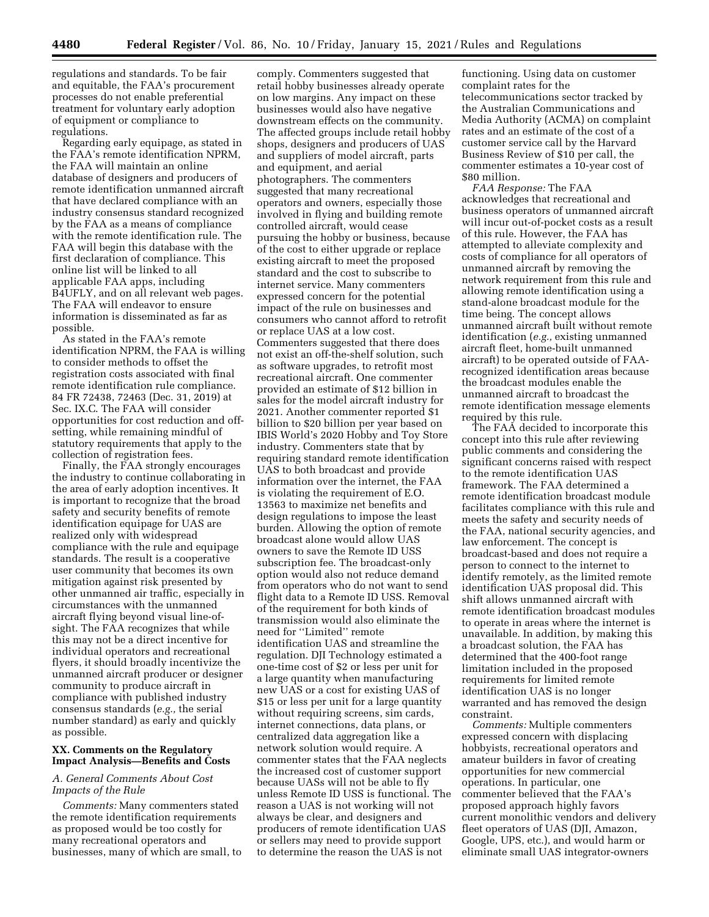regulations and standards. To be fair and equitable, the FAA's procurement processes do not enable preferential treatment for voluntary early adoption of equipment or compliance to regulations.

Regarding early equipage, as stated in the FAA's remote identification NPRM, the FAA will maintain an online database of designers and producers of remote identification unmanned aircraft that have declared compliance with an industry consensus standard recognized by the FAA as a means of compliance with the remote identification rule. The FAA will begin this database with the first declaration of compliance. This online list will be linked to all applicable FAA apps, including B4UFLY, and on all relevant web pages. The FAA will endeavor to ensure information is disseminated as far as possible.

As stated in the FAA's remote identification NPRM, the FAA is willing to consider methods to offset the registration costs associated with final remote identification rule compliance. 84 FR 72438, 72463 (Dec. 31, 2019) at Sec. IX.C. The FAA will consider opportunities for cost reduction and offsetting, while remaining mindful of statutory requirements that apply to the collection of registration fees.

Finally, the FAA strongly encourages the industry to continue collaborating in the area of early adoption incentives. It is important to recognize that the broad safety and security benefits of remote identification equipage for UAS are realized only with widespread compliance with the rule and equipage standards. The result is a cooperative user community that becomes its own mitigation against risk presented by other unmanned air traffic, especially in circumstances with the unmanned aircraft flying beyond visual line-ofsight. The FAA recognizes that while this may not be a direct incentive for individual operators and recreational flyers, it should broadly incentivize the unmanned aircraft producer or designer community to produce aircraft in compliance with published industry consensus standards (*e.g.,* the serial number standard) as early and quickly as possible.

## **XX. Comments on the Regulatory Impact Analysis—Benefits and Costs**

## *A. General Comments About Cost Impacts of the Rule*

*Comments:* Many commenters stated the remote identification requirements as proposed would be too costly for many recreational operators and businesses, many of which are small, to

comply. Commenters suggested that retail hobby businesses already operate on low margins. Any impact on these businesses would also have negative downstream effects on the community. The affected groups include retail hobby shops, designers and producers of UAS and suppliers of model aircraft, parts and equipment, and aerial photographers. The commenters suggested that many recreational operators and owners, especially those involved in flying and building remote controlled aircraft, would cease pursuing the hobby or business, because of the cost to either upgrade or replace existing aircraft to meet the proposed standard and the cost to subscribe to internet service. Many commenters expressed concern for the potential impact of the rule on businesses and consumers who cannot afford to retrofit or replace UAS at a low cost. Commenters suggested that there does not exist an off-the-shelf solution, such as software upgrades, to retrofit most recreational aircraft. One commenter provided an estimate of \$12 billion in sales for the model aircraft industry for 2021. Another commenter reported \$1 billion to \$20 billion per year based on IBIS World's 2020 Hobby and Toy Store industry. Commenters state that by requiring standard remote identification UAS to both broadcast and provide information over the internet, the FAA is violating the requirement of E.O. 13563 to maximize net benefits and design regulations to impose the least burden. Allowing the option of remote broadcast alone would allow UAS owners to save the Remote ID USS subscription fee. The broadcast-only option would also not reduce demand from operators who do not want to send flight data to a Remote ID USS. Removal of the requirement for both kinds of transmission would also eliminate the need for ''Limited'' remote identification UAS and streamline the regulation. DJI Technology estimated a one-time cost of \$2 or less per unit for a large quantity when manufacturing new UAS or a cost for existing UAS of \$15 or less per unit for a large quantity without requiring screens, sim cards, internet connections, data plans, or centralized data aggregation like a network solution would require. A commenter states that the FAA neglects the increased cost of customer support because UASs will not be able to fly unless Remote ID USS is functional. The reason a UAS is not working will not always be clear, and designers and producers of remote identification UAS or sellers may need to provide support to determine the reason the UAS is not

functioning. Using data on customer complaint rates for the telecommunications sector tracked by the Australian Communications and Media Authority (ACMA) on complaint rates and an estimate of the cost of a customer service call by the Harvard Business Review of \$10 per call, the commenter estimates a 10-year cost of \$80 million.

*FAA Response:* The FAA acknowledges that recreational and business operators of unmanned aircraft will incur out-of-pocket costs as a result of this rule. However, the FAA has attempted to alleviate complexity and costs of compliance for all operators of unmanned aircraft by removing the network requirement from this rule and allowing remote identification using a stand-alone broadcast module for the time being. The concept allows unmanned aircraft built without remote identification (*e.g.,* existing unmanned aircraft fleet, home-built unmanned aircraft) to be operated outside of FAArecognized identification areas because the broadcast modules enable the unmanned aircraft to broadcast the remote identification message elements required by this rule.

The FAA decided to incorporate this concept into this rule after reviewing public comments and considering the significant concerns raised with respect to the remote identification UAS framework. The FAA determined a remote identification broadcast module facilitates compliance with this rule and meets the safety and security needs of the FAA, national security agencies, and law enforcement. The concept is broadcast-based and does not require a person to connect to the internet to identify remotely, as the limited remote identification UAS proposal did. This shift allows unmanned aircraft with remote identification broadcast modules to operate in areas where the internet is unavailable. In addition, by making this a broadcast solution, the FAA has determined that the 400-foot range limitation included in the proposed requirements for limited remote identification UAS is no longer warranted and has removed the design constraint.

*Comments:* Multiple commenters expressed concern with displacing hobbyists, recreational operators and amateur builders in favor of creating opportunities for new commercial operations. In particular, one commenter believed that the FAA's proposed approach highly favors current monolithic vendors and delivery fleet operators of UAS (DJI, Amazon, Google, UPS, etc.), and would harm or eliminate small UAS integrator-owners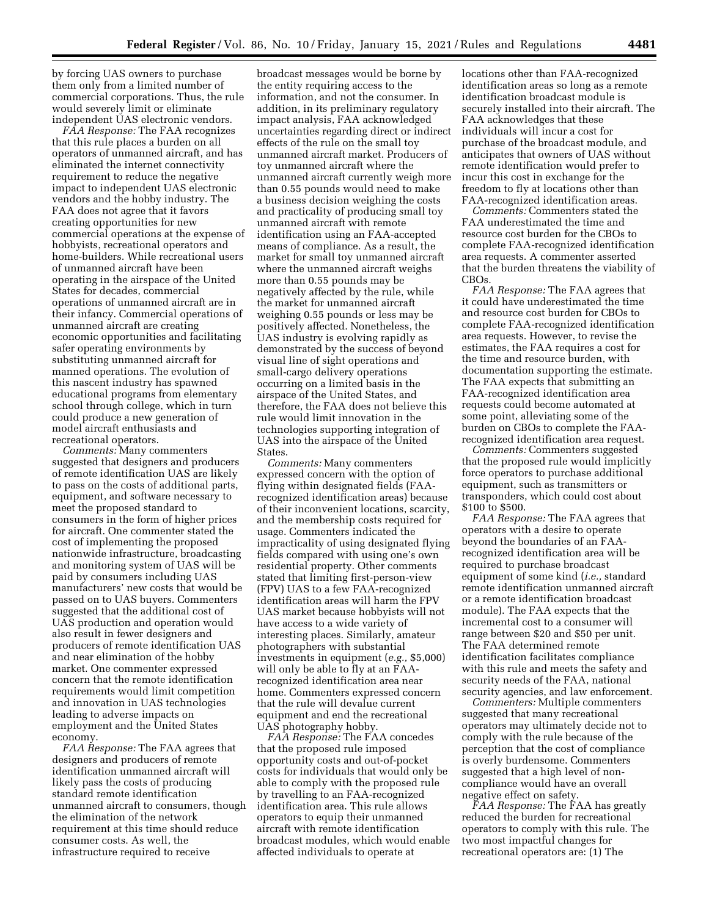by forcing UAS owners to purchase them only from a limited number of commercial corporations. Thus, the rule would severely limit or eliminate independent UAS electronic vendors.

*FAA Response:* The FAA recognizes that this rule places a burden on all operators of unmanned aircraft, and has eliminated the internet connectivity requirement to reduce the negative impact to independent UAS electronic vendors and the hobby industry. The FAA does not agree that it favors creating opportunities for new commercial operations at the expense of hobbyists, recreational operators and home-builders. While recreational users of unmanned aircraft have been operating in the airspace of the United States for decades, commercial operations of unmanned aircraft are in their infancy. Commercial operations of unmanned aircraft are creating economic opportunities and facilitating safer operating environments by substituting unmanned aircraft for manned operations. The evolution of this nascent industry has spawned educational programs from elementary school through college, which in turn could produce a new generation of model aircraft enthusiasts and recreational operators.

*Comments:* Many commenters suggested that designers and producers of remote identification UAS are likely to pass on the costs of additional parts, equipment, and software necessary to meet the proposed standard to consumers in the form of higher prices for aircraft. One commenter stated the cost of implementing the proposed nationwide infrastructure, broadcasting and monitoring system of UAS will be paid by consumers including UAS manufacturers' new costs that would be passed on to UAS buyers. Commenters suggested that the additional cost of UAS production and operation would also result in fewer designers and producers of remote identification UAS and near elimination of the hobby market. One commenter expressed concern that the remote identification requirements would limit competition and innovation in UAS technologies leading to adverse impacts on employment and the United States economy.

*FAA Response:* The FAA agrees that designers and producers of remote identification unmanned aircraft will likely pass the costs of producing standard remote identification unmanned aircraft to consumers, though the elimination of the network requirement at this time should reduce consumer costs. As well, the infrastructure required to receive

broadcast messages would be borne by the entity requiring access to the information, and not the consumer. In addition, in its preliminary regulatory impact analysis, FAA acknowledged uncertainties regarding direct or indirect effects of the rule on the small toy unmanned aircraft market. Producers of toy unmanned aircraft where the unmanned aircraft currently weigh more than 0.55 pounds would need to make a business decision weighing the costs and practicality of producing small toy unmanned aircraft with remote identification using an FAA-accepted means of compliance. As a result, the market for small toy unmanned aircraft where the unmanned aircraft weighs more than 0.55 pounds may be negatively affected by the rule, while the market for unmanned aircraft weighing 0.55 pounds or less may be positively affected. Nonetheless, the UAS industry is evolving rapidly as demonstrated by the success of beyond visual line of sight operations and small-cargo delivery operations occurring on a limited basis in the airspace of the United States, and therefore, the FAA does not believe this rule would limit innovation in the technologies supporting integration of UAS into the airspace of the United States.

*Comments:* Many commenters expressed concern with the option of flying within designated fields (FAArecognized identification areas) because of their inconvenient locations, scarcity, and the membership costs required for usage. Commenters indicated the impracticality of using designated flying fields compared with using one's own residential property. Other comments stated that limiting first-person-view (FPV) UAS to a few FAA-recognized identification areas will harm the FPV UAS market because hobbyists will not have access to a wide variety of interesting places. Similarly, amateur photographers with substantial investments in equipment (*e.g.,* \$5,000) will only be able to fly at an FAArecognized identification area near home. Commenters expressed concern that the rule will devalue current equipment and end the recreational UAS photography hobby.

*FAA Response:* The FAA concedes that the proposed rule imposed opportunity costs and out-of-pocket costs for individuals that would only be able to comply with the proposed rule by travelling to an FAA-recognized identification area. This rule allows operators to equip their unmanned aircraft with remote identification broadcast modules, which would enable affected individuals to operate at

locations other than FAA-recognized identification areas so long as a remote identification broadcast module is securely installed into their aircraft. The FAA acknowledges that these individuals will incur a cost for purchase of the broadcast module, and anticipates that owners of UAS without remote identification would prefer to incur this cost in exchange for the freedom to fly at locations other than FAA-recognized identification areas.

*Comments:* Commenters stated the FAA underestimated the time and resource cost burden for the CBOs to complete FAA-recognized identification area requests. A commenter asserted that the burden threatens the viability of CBOs.

*FAA Response:* The FAA agrees that it could have underestimated the time and resource cost burden for CBOs to complete FAA-recognized identification area requests. However, to revise the estimates, the FAA requires a cost for the time and resource burden, with documentation supporting the estimate. The FAA expects that submitting an FAA-recognized identification area requests could become automated at some point, alleviating some of the burden on CBOs to complete the FAArecognized identification area request.

*Comments:* Commenters suggested that the proposed rule would implicitly force operators to purchase additional equipment, such as transmitters or transponders, which could cost about \$100 to \$500.

*FAA Response:* The FAA agrees that operators with a desire to operate beyond the boundaries of an FAArecognized identification area will be required to purchase broadcast equipment of some kind (*i.e.,* standard remote identification unmanned aircraft or a remote identification broadcast module). The FAA expects that the incremental cost to a consumer will range between \$20 and \$50 per unit. The FAA determined remote identification facilitates compliance with this rule and meets the safety and security needs of the FAA, national security agencies, and law enforcement.

*Commenters:* Multiple commenters suggested that many recreational operators may ultimately decide not to comply with the rule because of the perception that the cost of compliance is overly burdensome. Commenters suggested that a high level of noncompliance would have an overall negative effect on safety.

*FAA Response:* The FAA has greatly reduced the burden for recreational operators to comply with this rule. The two most impactful changes for recreational operators are: (1) The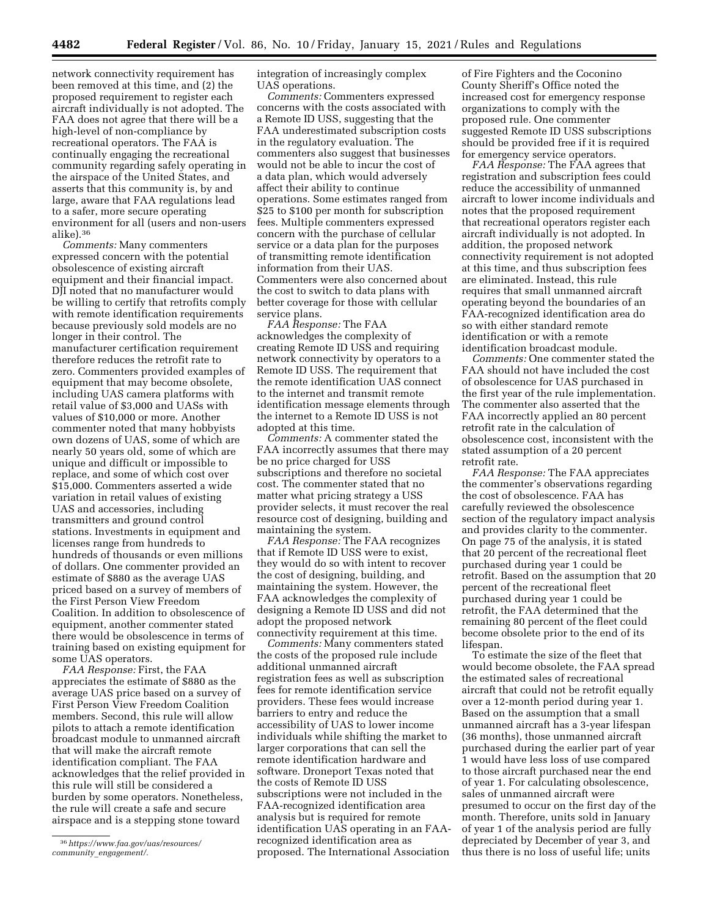network connectivity requirement has been removed at this time, and (2) the proposed requirement to register each aircraft individually is not adopted. The FAA does not agree that there will be a high-level of non-compliance by recreational operators. The FAA is continually engaging the recreational community regarding safely operating in the airspace of the United States, and asserts that this community is, by and large, aware that FAA regulations lead to a safer, more secure operating environment for all (users and non-users alike).36

*Comments:* Many commenters expressed concern with the potential obsolescence of existing aircraft equipment and their financial impact. DJI noted that no manufacturer would be willing to certify that retrofits comply with remote identification requirements because previously sold models are no longer in their control. The manufacturer certification requirement therefore reduces the retrofit rate to zero. Commenters provided examples of equipment that may become obsolete, including UAS camera platforms with retail value of \$3,000 and UASs with values of \$10,000 or more. Another commenter noted that many hobbyists own dozens of UAS, some of which are nearly 50 years old, some of which are unique and difficult or impossible to replace, and some of which cost over \$15,000. Commenters asserted a wide variation in retail values of existing UAS and accessories, including transmitters and ground control stations. Investments in equipment and licenses range from hundreds to hundreds of thousands or even millions of dollars. One commenter provided an estimate of \$880 as the average UAS priced based on a survey of members of the First Person View Freedom Coalition. In addition to obsolescence of equipment, another commenter stated there would be obsolescence in terms of training based on existing equipment for some UAS operators.

*FAA Response:* First, the FAA appreciates the estimate of \$880 as the average UAS price based on a survey of First Person View Freedom Coalition members. Second, this rule will allow pilots to attach a remote identification broadcast module to unmanned aircraft that will make the aircraft remote identification compliant. The FAA acknowledges that the relief provided in this rule will still be considered a burden by some operators. Nonetheless, the rule will create a safe and secure airspace and is a stepping stone toward

integration of increasingly complex UAS operations.

*Comments:* Commenters expressed concerns with the costs associated with a Remote ID USS, suggesting that the FAA underestimated subscription costs in the regulatory evaluation. The commenters also suggest that businesses would not be able to incur the cost of a data plan, which would adversely affect their ability to continue operations. Some estimates ranged from \$25 to \$100 per month for subscription fees. Multiple commenters expressed concern with the purchase of cellular service or a data plan for the purposes of transmitting remote identification information from their UAS. Commenters were also concerned about the cost to switch to data plans with better coverage for those with cellular service plans.

*FAA Response:* The FAA acknowledges the complexity of creating Remote ID USS and requiring network connectivity by operators to a Remote ID USS. The requirement that the remote identification UAS connect to the internet and transmit remote identification message elements through the internet to a Remote ID USS is not adopted at this time.

*Comments:* A commenter stated the FAA incorrectly assumes that there may be no price charged for USS subscriptions and therefore no societal cost. The commenter stated that no matter what pricing strategy a USS provider selects, it must recover the real resource cost of designing, building and maintaining the system.

*FAA Response:* The FAA recognizes that if Remote ID USS were to exist, they would do so with intent to recover the cost of designing, building, and maintaining the system. However, the FAA acknowledges the complexity of designing a Remote ID USS and did not adopt the proposed network connectivity requirement at this time.

*Comments:* Many commenters stated the costs of the proposed rule include additional unmanned aircraft registration fees as well as subscription fees for remote identification service providers. These fees would increase barriers to entry and reduce the accessibility of UAS to lower income individuals while shifting the market to larger corporations that can sell the remote identification hardware and software. Droneport Texas noted that the costs of Remote ID USS subscriptions were not included in the FAA-recognized identification area analysis but is required for remote identification UAS operating in an FAArecognized identification area as proposed. The International Association

of Fire Fighters and the Coconino County Sheriff's Office noted the increased cost for emergency response organizations to comply with the proposed rule. One commenter suggested Remote ID USS subscriptions should be provided free if it is required for emergency service operators.

*FAA Response:* The FAA agrees that registration and subscription fees could reduce the accessibility of unmanned aircraft to lower income individuals and notes that the proposed requirement that recreational operators register each aircraft individually is not adopted. In addition, the proposed network connectivity requirement is not adopted at this time, and thus subscription fees are eliminated. Instead, this rule requires that small unmanned aircraft operating beyond the boundaries of an FAA-recognized identification area do so with either standard remote identification or with a remote identification broadcast module.

*Comments:* One commenter stated the FAA should not have included the cost of obsolescence for UAS purchased in the first year of the rule implementation. The commenter also asserted that the FAA incorrectly applied an 80 percent retrofit rate in the calculation of obsolescence cost, inconsistent with the stated assumption of a 20 percent retrofit rate.

*FAA Response:* The FAA appreciates the commenter's observations regarding the cost of obsolescence. FAA has carefully reviewed the obsolescence section of the regulatory impact analysis and provides clarity to the commenter. On page 75 of the analysis, it is stated that 20 percent of the recreational fleet purchased during year 1 could be retrofit. Based on the assumption that 20 percent of the recreational fleet purchased during year 1 could be retrofit, the FAA determined that the remaining 80 percent of the fleet could become obsolete prior to the end of its lifespan.

To estimate the size of the fleet that would become obsolete, the FAA spread the estimated sales of recreational aircraft that could not be retrofit equally over a 12-month period during year 1. Based on the assumption that a small unmanned aircraft has a 3-year lifespan (36 months), those unmanned aircraft purchased during the earlier part of year 1 would have less loss of use compared to those aircraft purchased near the end of year 1. For calculating obsolescence, sales of unmanned aircraft were presumed to occur on the first day of the month. Therefore, units sold in January of year 1 of the analysis period are fully depreciated by December of year 3, and thus there is no loss of useful life; units

<sup>36</sup>*https://www.faa.gov/uas/resources/ community*\_*engagement/.*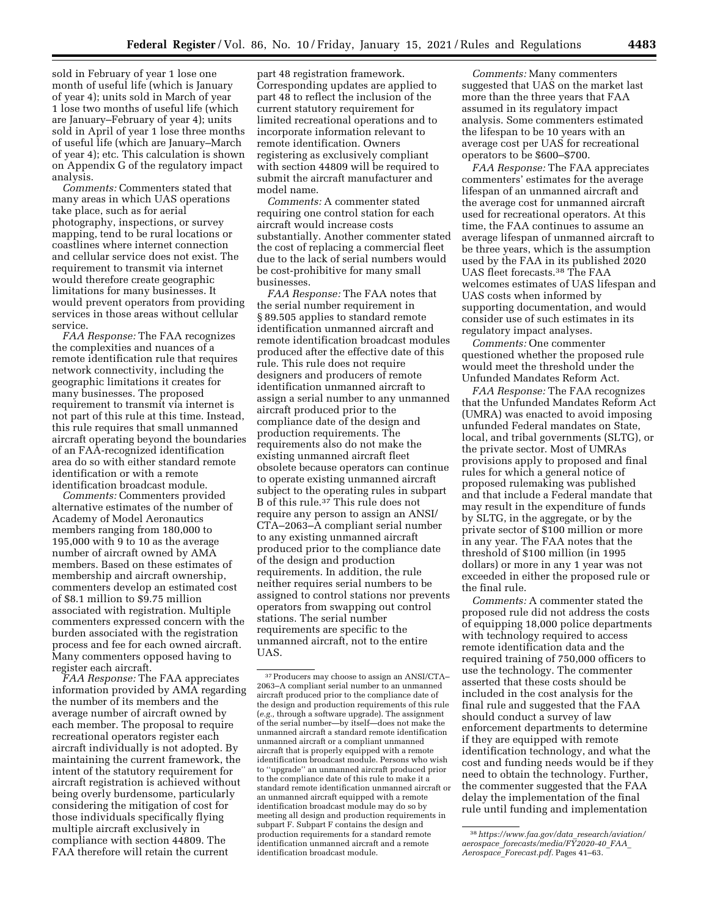sold in February of year 1 lose one month of useful life (which is January of year 4); units sold in March of year 1 lose two months of useful life (which are January–February of year 4); units sold in April of year 1 lose three months of useful life (which are January–March of year 4); etc. This calculation is shown on Appendix G of the regulatory impact analysis.

*Comments:* Commenters stated that many areas in which UAS operations take place, such as for aerial photography, inspections, or survey mapping, tend to be rural locations or coastlines where internet connection and cellular service does not exist. The requirement to transmit via internet would therefore create geographic limitations for many businesses. It would prevent operators from providing services in those areas without cellular service.

*FAA Response:* The FAA recognizes the complexities and nuances of a remote identification rule that requires network connectivity, including the geographic limitations it creates for many businesses. The proposed requirement to transmit via internet is not part of this rule at this time. Instead, this rule requires that small unmanned aircraft operating beyond the boundaries of an FAA-recognized identification area do so with either standard remote identification or with a remote identification broadcast module.

*Comments:* Commenters provided alternative estimates of the number of Academy of Model Aeronautics members ranging from 180,000 to 195,000 with 9 to 10 as the average number of aircraft owned by AMA members. Based on these estimates of membership and aircraft ownership, commenters develop an estimated cost of \$8.1 million to \$9.75 million associated with registration. Multiple commenters expressed concern with the burden associated with the registration process and fee for each owned aircraft. Many commenters opposed having to register each aircraft.

*FAA Response:* The FAA appreciates information provided by AMA regarding the number of its members and the average number of aircraft owned by each member. The proposal to require recreational operators register each aircraft individually is not adopted. By maintaining the current framework, the intent of the statutory requirement for aircraft registration is achieved without being overly burdensome, particularly considering the mitigation of cost for those individuals specifically flying multiple aircraft exclusively in compliance with section 44809. The FAA therefore will retain the current

part 48 registration framework. Corresponding updates are applied to part 48 to reflect the inclusion of the current statutory requirement for limited recreational operations and to incorporate information relevant to remote identification. Owners registering as exclusively compliant with section 44809 will be required to submit the aircraft manufacturer and model name.

*Comments:* A commenter stated requiring one control station for each aircraft would increase costs substantially. Another commenter stated the cost of replacing a commercial fleet due to the lack of serial numbers would be cost-prohibitive for many small businesses.

*FAA Response:* The FAA notes that the serial number requirement in § 89.505 applies to standard remote identification unmanned aircraft and remote identification broadcast modules produced after the effective date of this rule. This rule does not require designers and producers of remote identification unmanned aircraft to assign a serial number to any unmanned aircraft produced prior to the compliance date of the design and production requirements. The requirements also do not make the existing unmanned aircraft fleet obsolete because operators can continue to operate existing unmanned aircraft subject to the operating rules in subpart B of this rule.37 This rule does not require any person to assign an ANSI/ CTA–2063–A compliant serial number to any existing unmanned aircraft produced prior to the compliance date of the design and production requirements. In addition, the rule neither requires serial numbers to be assigned to control stations nor prevents operators from swapping out control stations. The serial number requirements are specific to the unmanned aircraft, not to the entire UAS.

*Comments:* Many commenters suggested that UAS on the market last more than the three years that FAA assumed in its regulatory impact analysis. Some commenters estimated the lifespan to be 10 years with an average cost per UAS for recreational operators to be \$600–\$700.

*FAA Response:* The FAA appreciates commenters' estimates for the average lifespan of an unmanned aircraft and the average cost for unmanned aircraft used for recreational operators. At this time, the FAA continues to assume an average lifespan of unmanned aircraft to be three years, which is the assumption used by the FAA in its published 2020 UAS fleet forecasts.38 The FAA welcomes estimates of UAS lifespan and UAS costs when informed by supporting documentation, and would consider use of such estimates in its regulatory impact analyses.

*Comments:* One commenter questioned whether the proposed rule would meet the threshold under the Unfunded Mandates Reform Act.

*FAA Response:* The FAA recognizes that the Unfunded Mandates Reform Act (UMRA) was enacted to avoid imposing unfunded Federal mandates on State, local, and tribal governments (SLTG), or the private sector. Most of UMRAs provisions apply to proposed and final rules for which a general notice of proposed rulemaking was published and that include a Federal mandate that may result in the expenditure of funds by SLTG, in the aggregate, or by the private sector of \$100 million or more in any year. The FAA notes that the threshold of \$100 million (in 1995 dollars) or more in any 1 year was not exceeded in either the proposed rule or the final rule.

*Comments:* A commenter stated the proposed rule did not address the costs of equipping 18,000 police departments with technology required to access remote identification data and the required training of 750,000 officers to use the technology. The commenter asserted that these costs should be included in the cost analysis for the final rule and suggested that the FAA should conduct a survey of law enforcement departments to determine if they are equipped with remote identification technology, and what the cost and funding needs would be if they need to obtain the technology. Further, the commenter suggested that the FAA delay the implementation of the final rule until funding and implementation

<sup>37</sup>Producers may choose to assign an ANSI/CTA– 2063–A compliant serial number to an unmanned aircraft produced prior to the compliance date of the design and production requirements of this rule (*e.g.,* through a software upgrade). The assignment of the serial number—by itself—does not make the unmanned aircraft a standard remote identification unmanned aircraft or a compliant unmanned aircraft that is properly equipped with a remote identification broadcast module. Persons who wish to ''upgrade'' an unmanned aircraft produced prior to the compliance date of this rule to make it a standard remote identification unmanned aircraft or an unmanned aircraft equipped with a remote identification broadcast module may do so by meeting all design and production requirements in subpart F. Subpart F contains the design and production requirements for a standard remote identification unmanned aircraft and a remote identification broadcast module.

<sup>38</sup>*https://www.faa.gov/data*\_*research/aviation/ aerospace*\_*forecasts/media/FY2020-40*\_*FAA*\_ *Aerospace*\_*Forecast.pdf.* Pages 41–63.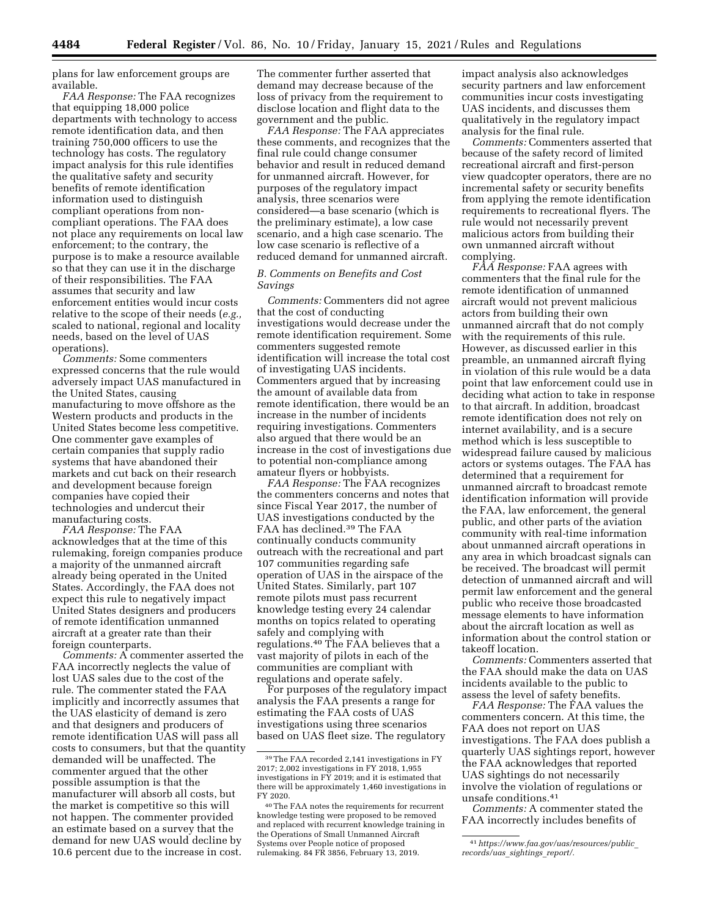plans for law enforcement groups are available.

*FAA Response:* The FAA recognizes that equipping 18,000 police departments with technology to access remote identification data, and then training 750,000 officers to use the technology has costs. The regulatory impact analysis for this rule identifies the qualitative safety and security benefits of remote identification information used to distinguish compliant operations from noncompliant operations. The FAA does not place any requirements on local law enforcement; to the contrary, the purpose is to make a resource available so that they can use it in the discharge of their responsibilities. The FAA assumes that security and law enforcement entities would incur costs relative to the scope of their needs (*e.g.,*  scaled to national, regional and locality needs, based on the level of UAS operations).

*Comments:* Some commenters expressed concerns that the rule would adversely impact UAS manufactured in the United States, causing manufacturing to move offshore as the Western products and products in the United States become less competitive. One commenter gave examples of certain companies that supply radio systems that have abandoned their markets and cut back on their research and development because foreign companies have copied their technologies and undercut their manufacturing costs.

*FAA Response:* The FAA acknowledges that at the time of this rulemaking, foreign companies produce a majority of the unmanned aircraft already being operated in the United States. Accordingly, the FAA does not expect this rule to negatively impact United States designers and producers of remote identification unmanned aircraft at a greater rate than their foreign counterparts.

*Comments:* A commenter asserted the FAA incorrectly neglects the value of lost UAS sales due to the cost of the rule. The commenter stated the FAA implicitly and incorrectly assumes that the UAS elasticity of demand is zero and that designers and producers of remote identification UAS will pass all costs to consumers, but that the quantity demanded will be unaffected. The commenter argued that the other possible assumption is that the manufacturer will absorb all costs, but the market is competitive so this will not happen. The commenter provided an estimate based on a survey that the demand for new UAS would decline by 10.6 percent due to the increase in cost.

The commenter further asserted that demand may decrease because of the loss of privacy from the requirement to disclose location and flight data to the government and the public.

*FAA Response:* The FAA appreciates these comments, and recognizes that the final rule could change consumer behavior and result in reduced demand for unmanned aircraft. However, for purposes of the regulatory impact analysis, three scenarios were considered—a base scenario (which is the preliminary estimate), a low case scenario, and a high case scenario. The low case scenario is reflective of a reduced demand for unmanned aircraft.

## *B. Comments on Benefits and Cost Savings*

*Comments:* Commenters did not agree that the cost of conducting investigations would decrease under the remote identification requirement. Some commenters suggested remote identification will increase the total cost of investigating UAS incidents. Commenters argued that by increasing the amount of available data from remote identification, there would be an increase in the number of incidents requiring investigations. Commenters also argued that there would be an increase in the cost of investigations due to potential non-compliance among amateur flyers or hobbyists.

*FAA Response:* The FAA recognizes the commenters concerns and notes that since Fiscal Year 2017, the number of UAS investigations conducted by the FAA has declined.39 The FAA continually conducts community outreach with the recreational and part 107 communities regarding safe operation of UAS in the airspace of the United States. Similarly, part 107 remote pilots must pass recurrent knowledge testing every 24 calendar months on topics related to operating safely and complying with regulations.40 The FAA believes that a vast majority of pilots in each of the communities are compliant with regulations and operate safely.

For purposes of the regulatory impact analysis the FAA presents a range for estimating the FAA costs of UAS investigations using three scenarios based on UAS fleet size. The regulatory

impact analysis also acknowledges security partners and law enforcement communities incur costs investigating UAS incidents, and discusses them qualitatively in the regulatory impact analysis for the final rule.

*Comments:* Commenters asserted that because of the safety record of limited recreational aircraft and first-person view quadcopter operators, there are no incremental safety or security benefits from applying the remote identification requirements to recreational flyers. The rule would not necessarily prevent malicious actors from building their own unmanned aircraft without complying.

*FAA Response:* FAA agrees with commenters that the final rule for the remote identification of unmanned aircraft would not prevent malicious actors from building their own unmanned aircraft that do not comply with the requirements of this rule. However, as discussed earlier in this preamble, an unmanned aircraft flying in violation of this rule would be a data point that law enforcement could use in deciding what action to take in response to that aircraft. In addition, broadcast remote identification does not rely on internet availability, and is a secure method which is less susceptible to widespread failure caused by malicious actors or systems outages. The FAA has determined that a requirement for unmanned aircraft to broadcast remote identification information will provide the FAA, law enforcement, the general public, and other parts of the aviation community with real-time information about unmanned aircraft operations in any area in which broadcast signals can be received. The broadcast will permit detection of unmanned aircraft and will permit law enforcement and the general public who receive those broadcasted message elements to have information about the aircraft location as well as information about the control station or takeoff location.

*Comments:* Commenters asserted that the FAA should make the data on UAS incidents available to the public to assess the level of safety benefits.

*FAA Response:* The FAA values the commenters concern. At this time, the FAA does not report on UAS investigations. The FAA does publish a quarterly UAS sightings report, however the FAA acknowledges that reported UAS sightings do not necessarily involve the violation of regulations or unsafe conditions.41

*Comments:* A commenter stated the FAA incorrectly includes benefits of

<sup>39</sup>The FAA recorded 2,141 investigations in FY 2017; 2,002 investigations in FY 2018, 1,955 investigations in FY 2019; and it is estimated that there will be approximately 1,460 investigations in FY 2020.

<sup>40</sup>The FAA notes the requirements for recurrent knowledge testing were proposed to be removed and replaced with recurrent knowledge training in the Operations of Small Unmanned Aircraft Systems over People notice of proposed rulemaking. 84 FR 3856, February 13, 2019.

<sup>41</sup>*https://www.faa.gov/uas/resources/public*\_ *records/uas*\_*sightings*\_*report/.*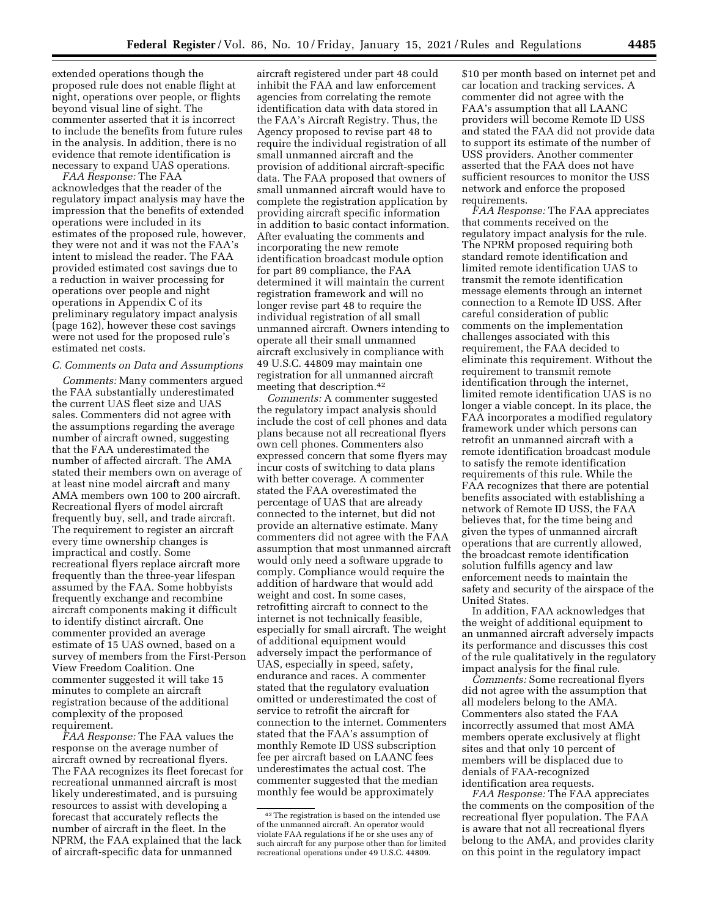extended operations though the proposed rule does not enable flight at night, operations over people, or flights beyond visual line of sight. The commenter asserted that it is incorrect to include the benefits from future rules in the analysis. In addition, there is no evidence that remote identification is necessary to expand UAS operations.

*FAA Response:* The FAA acknowledges that the reader of the regulatory impact analysis may have the impression that the benefits of extended operations were included in its estimates of the proposed rule, however, they were not and it was not the FAA's intent to mislead the reader. The FAA provided estimated cost savings due to a reduction in waiver processing for operations over people and night operations in Appendix C of its preliminary regulatory impact analysis (page 162), however these cost savings were not used for the proposed rule's estimated net costs.

#### *C. Comments on Data and Assumptions*

*Comments:* Many commenters argued the FAA substantially underestimated the current UAS fleet size and UAS sales. Commenters did not agree with the assumptions regarding the average number of aircraft owned, suggesting that the FAA underestimated the number of affected aircraft. The AMA stated their members own on average of at least nine model aircraft and many AMA members own 100 to 200 aircraft. Recreational flyers of model aircraft frequently buy, sell, and trade aircraft. The requirement to register an aircraft every time ownership changes is impractical and costly. Some recreational flyers replace aircraft more frequently than the three-year lifespan assumed by the FAA. Some hobbyists frequently exchange and recombine aircraft components making it difficult to identify distinct aircraft. One commenter provided an average estimate of 15 UAS owned, based on a survey of members from the First-Person View Freedom Coalition. One commenter suggested it will take 15 minutes to complete an aircraft registration because of the additional complexity of the proposed requirement.

*FAA Response:* The FAA values the response on the average number of aircraft owned by recreational flyers. The FAA recognizes its fleet forecast for recreational unmanned aircraft is most likely underestimated, and is pursuing resources to assist with developing a forecast that accurately reflects the number of aircraft in the fleet. In the NPRM, the FAA explained that the lack of aircraft-specific data for unmanned

aircraft registered under part 48 could inhibit the FAA and law enforcement agencies from correlating the remote identification data with data stored in the FAA's Aircraft Registry. Thus, the Agency proposed to revise part 48 to require the individual registration of all small unmanned aircraft and the provision of additional aircraft-specific data. The FAA proposed that owners of small unmanned aircraft would have to complete the registration application by providing aircraft specific information in addition to basic contact information. After evaluating the comments and incorporating the new remote identification broadcast module option for part 89 compliance, the FAA determined it will maintain the current registration framework and will no longer revise part 48 to require the individual registration of all small unmanned aircraft. Owners intending to operate all their small unmanned aircraft exclusively in compliance with 49 U.S.C. 44809 may maintain one registration for all unmanned aircraft meeting that description.42

*Comments:* A commenter suggested the regulatory impact analysis should include the cost of cell phones and data plans because not all recreational flyers own cell phones. Commenters also expressed concern that some flyers may incur costs of switching to data plans with better coverage. A commenter stated the FAA overestimated the percentage of UAS that are already connected to the internet, but did not provide an alternative estimate. Many commenters did not agree with the FAA assumption that most unmanned aircraft would only need a software upgrade to comply. Compliance would require the addition of hardware that would add weight and cost. In some cases, retrofitting aircraft to connect to the internet is not technically feasible, especially for small aircraft. The weight of additional equipment would adversely impact the performance of UAS, especially in speed, safety, endurance and races. A commenter stated that the regulatory evaluation omitted or underestimated the cost of service to retrofit the aircraft for connection to the internet. Commenters stated that the FAA's assumption of monthly Remote ID USS subscription fee per aircraft based on LAANC fees underestimates the actual cost. The commenter suggested that the median monthly fee would be approximately

\$10 per month based on internet pet and car location and tracking services. A commenter did not agree with the FAA's assumption that all LAANC providers will become Remote ID USS and stated the FAA did not provide data to support its estimate of the number of USS providers. Another commenter asserted that the FAA does not have sufficient resources to monitor the USS network and enforce the proposed requirements.

*FAA Response:* The FAA appreciates that comments received on the regulatory impact analysis for the rule. The NPRM proposed requiring both standard remote identification and limited remote identification UAS to transmit the remote identification message elements through an internet connection to a Remote ID USS. After careful consideration of public comments on the implementation challenges associated with this requirement, the FAA decided to eliminate this requirement. Without the requirement to transmit remote identification through the internet, limited remote identification UAS is no longer a viable concept. In its place, the FAA incorporates a modified regulatory framework under which persons can retrofit an unmanned aircraft with a remote identification broadcast module to satisfy the remote identification requirements of this rule. While the FAA recognizes that there are potential benefits associated with establishing a network of Remote ID USS, the FAA believes that, for the time being and given the types of unmanned aircraft operations that are currently allowed, the broadcast remote identification solution fulfills agency and law enforcement needs to maintain the safety and security of the airspace of the United States.

In addition, FAA acknowledges that the weight of additional equipment to an unmanned aircraft adversely impacts its performance and discusses this cost of the rule qualitatively in the regulatory impact analysis for the final rule.

*Comments:* Some recreational flyers did not agree with the assumption that all modelers belong to the AMA. Commenters also stated the FAA incorrectly assumed that most AMA members operate exclusively at flight sites and that only 10 percent of members will be displaced due to denials of FAA-recognized identification area requests.

*FAA Response:* The FAA appreciates the comments on the composition of the recreational flyer population. The FAA is aware that not all recreational flyers belong to the AMA, and provides clarity on this point in the regulatory impact

<sup>42</sup>The registration is based on the intended use of the unmanned aircraft. An operator would violate FAA regulations if he or she uses any of such aircraft for any purpose other than for limited recreational operations under 49 U.S.C. 44809.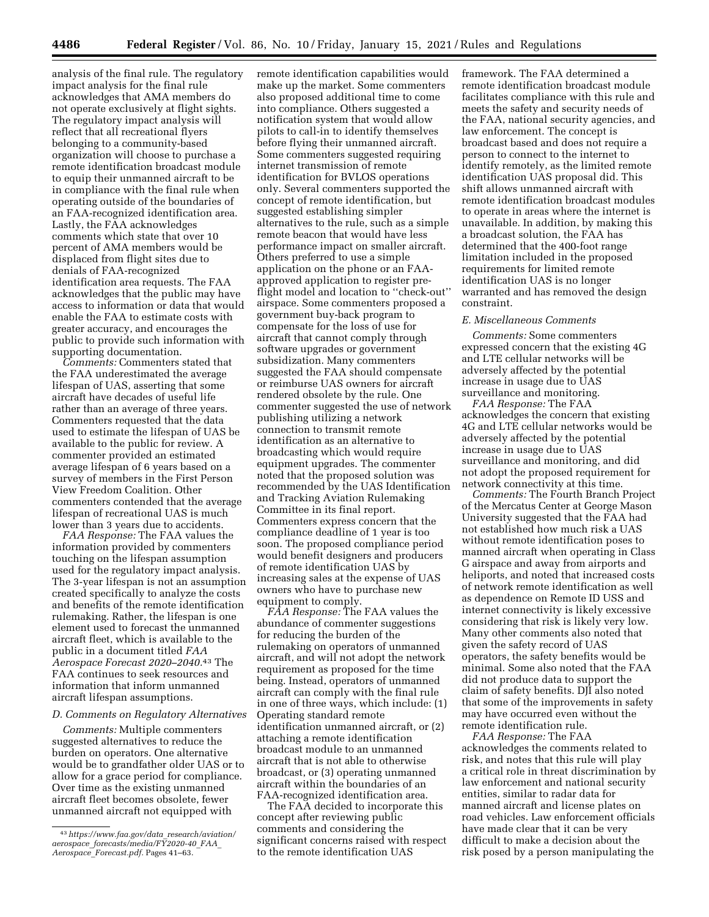analysis of the final rule. The regulatory impact analysis for the final rule acknowledges that AMA members do not operate exclusively at flight sights. The regulatory impact analysis will reflect that all recreational flyers belonging to a community-based organization will choose to purchase a remote identification broadcast module to equip their unmanned aircraft to be in compliance with the final rule when operating outside of the boundaries of an FAA-recognized identification area. Lastly, the FAA acknowledges comments which state that over 10 percent of AMA members would be displaced from flight sites due to denials of FAA-recognized identification area requests. The FAA acknowledges that the public may have access to information or data that would enable the FAA to estimate costs with greater accuracy, and encourages the public to provide such information with supporting documentation.

*Comments:* Commenters stated that the FAA underestimated the average lifespan of UAS, asserting that some aircraft have decades of useful life rather than an average of three years. Commenters requested that the data used to estimate the lifespan of UAS be available to the public for review. A commenter provided an estimated average lifespan of 6 years based on a survey of members in the First Person View Freedom Coalition. Other commenters contended that the average lifespan of recreational UAS is much lower than 3 years due to accidents.

*FAA Response:* The FAA values the information provided by commenters touching on the lifespan assumption used for the regulatory impact analysis. The 3-year lifespan is not an assumption created specifically to analyze the costs and benefits of the remote identification rulemaking. Rather, the lifespan is one element used to forecast the unmanned aircraft fleet, which is available to the public in a document titled *FAA Aerospace Forecast 2020–2040.*43 The FAA continues to seek resources and information that inform unmanned aircraft lifespan assumptions.

#### *D. Comments on Regulatory Alternatives*

*Comments:* Multiple commenters suggested alternatives to reduce the burden on operators. One alternative would be to grandfather older UAS or to allow for a grace period for compliance. Over time as the existing unmanned aircraft fleet becomes obsolete, fewer unmanned aircraft not equipped with

remote identification capabilities would make up the market. Some commenters also proposed additional time to come into compliance. Others suggested a notification system that would allow pilots to call-in to identify themselves before flying their unmanned aircraft. Some commenters suggested requiring internet transmission of remote identification for BVLOS operations only. Several commenters supported the concept of remote identification, but suggested establishing simpler alternatives to the rule, such as a simple remote beacon that would have less performance impact on smaller aircraft. Others preferred to use a simple application on the phone or an FAAapproved application to register preflight model and location to ''check-out'' airspace. Some commenters proposed a government buy-back program to compensate for the loss of use for aircraft that cannot comply through software upgrades or government subsidization. Many commenters suggested the FAA should compensate or reimburse UAS owners for aircraft rendered obsolete by the rule. One commenter suggested the use of network publishing utilizing a network connection to transmit remote identification as an alternative to broadcasting which would require equipment upgrades. The commenter noted that the proposed solution was recommended by the UAS Identification and Tracking Aviation Rulemaking Committee in its final report. Commenters express concern that the compliance deadline of 1 year is too soon. The proposed compliance period would benefit designers and producers of remote identification UAS by increasing sales at the expense of UAS owners who have to purchase new equipment to comply.

*FAA Response:* The FAA values the abundance of commenter suggestions for reducing the burden of the rulemaking on operators of unmanned aircraft, and will not adopt the network requirement as proposed for the time being. Instead, operators of unmanned aircraft can comply with the final rule in one of three ways, which include: (1) Operating standard remote identification unmanned aircraft, or (2) attaching a remote identification broadcast module to an unmanned aircraft that is not able to otherwise broadcast, or (3) operating unmanned aircraft within the boundaries of an FAA-recognized identification area.

The FAA decided to incorporate this concept after reviewing public comments and considering the significant concerns raised with respect to the remote identification UAS

framework. The FAA determined a remote identification broadcast module facilitates compliance with this rule and meets the safety and security needs of the FAA, national security agencies, and law enforcement. The concept is broadcast based and does not require a person to connect to the internet to identify remotely, as the limited remote identification UAS proposal did. This shift allows unmanned aircraft with remote identification broadcast modules to operate in areas where the internet is unavailable. In addition, by making this a broadcast solution, the FAA has determined that the 400-foot range limitation included in the proposed requirements for limited remote identification UAS is no longer warranted and has removed the design constraint.

#### *E. Miscellaneous Comments*

*Comments:* Some commenters expressed concern that the existing 4G and LTE cellular networks will be adversely affected by the potential increase in usage due to UAS surveillance and monitoring.

*FAA Response:* The FAA acknowledges the concern that existing 4G and LTE cellular networks would be adversely affected by the potential increase in usage due to UAS surveillance and monitoring, and did not adopt the proposed requirement for network connectivity at this time.

*Comments:* The Fourth Branch Project of the Mercatus Center at George Mason University suggested that the FAA had not established how much risk a UAS without remote identification poses to manned aircraft when operating in Class G airspace and away from airports and heliports, and noted that increased costs of network remote identification as well as dependence on Remote ID USS and internet connectivity is likely excessive considering that risk is likely very low. Many other comments also noted that given the safety record of UAS operators, the safety benefits would be minimal. Some also noted that the FAA did not produce data to support the claim of safety benefits. DJI also noted that some of the improvements in safety may have occurred even without the remote identification rule.

*FAA Response:* The FAA acknowledges the comments related to risk, and notes that this rule will play a critical role in threat discrimination by law enforcement and national security entities, similar to radar data for manned aircraft and license plates on road vehicles. Law enforcement officials have made clear that it can be very difficult to make a decision about the risk posed by a person manipulating the

<sup>43</sup>*https://www.faa.gov/data*\_*research/aviation/ aerospace*\_*forecasts/media/FY2020-40*\_*FAA*\_ *Aerospace*\_*Forecast.pdf.* Pages 41–63.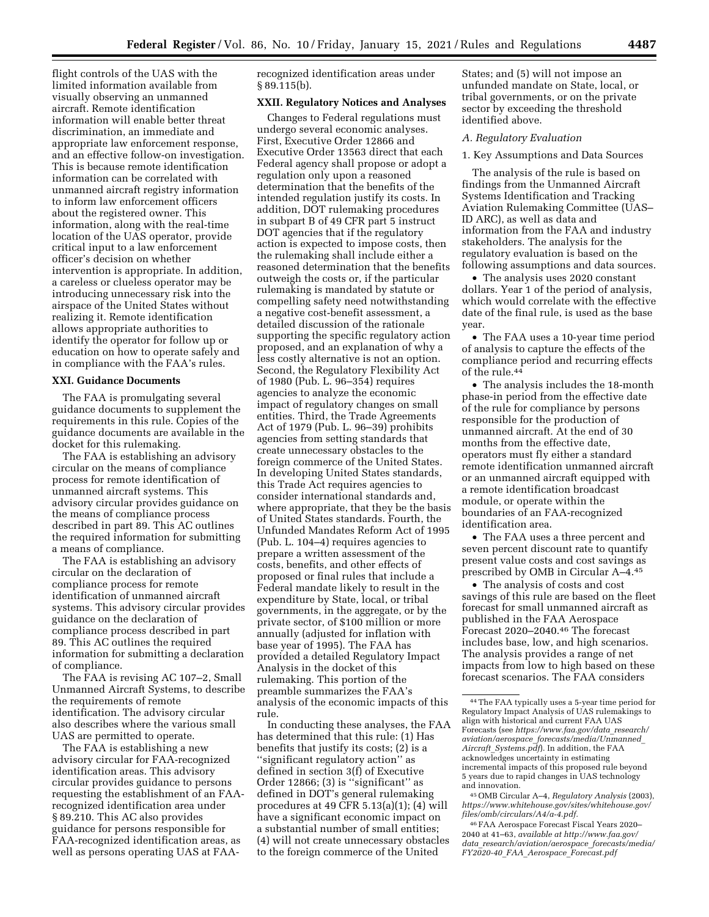flight controls of the UAS with the limited information available from visually observing an unmanned aircraft. Remote identification information will enable better threat discrimination, an immediate and appropriate law enforcement response, and an effective follow-on investigation. This is because remote identification information can be correlated with unmanned aircraft registry information to inform law enforcement officers about the registered owner. This information, along with the real-time location of the UAS operator, provide critical input to a law enforcement officer's decision on whether intervention is appropriate. In addition, a careless or clueless operator may be introducing unnecessary risk into the airspace of the United States without realizing it. Remote identification allows appropriate authorities to identify the operator for follow up or education on how to operate safely and in compliance with the FAA's rules.

## **XXI. Guidance Documents**

The FAA is promulgating several guidance documents to supplement the requirements in this rule. Copies of the guidance documents are available in the docket for this rulemaking.

The FAA is establishing an advisory circular on the means of compliance process for remote identification of unmanned aircraft systems. This advisory circular provides guidance on the means of compliance process described in part 89. This AC outlines the required information for submitting a means of compliance.

The FAA is establishing an advisory circular on the declaration of compliance process for remote identification of unmanned aircraft systems. This advisory circular provides guidance on the declaration of compliance process described in part 89. This AC outlines the required information for submitting a declaration of compliance.

The FAA is revising AC 107–2, Small Unmanned Aircraft Systems, to describe the requirements of remote identification. The advisory circular also describes where the various small UAS are permitted to operate.

The FAA is establishing a new advisory circular for FAA-recognized identification areas. This advisory circular provides guidance to persons requesting the establishment of an FAArecognized identification area under § 89.210. This AC also provides guidance for persons responsible for FAA-recognized identification areas, as well as persons operating UAS at FAA-

recognized identification areas under § 89.115(b).

## **XXII. Regulatory Notices and Analyses**

Changes to Federal regulations must undergo several economic analyses. First, Executive Order 12866 and Executive Order 13563 direct that each Federal agency shall propose or adopt a regulation only upon a reasoned determination that the benefits of the intended regulation justify its costs. In addition, DOT rulemaking procedures in subpart B of 49 CFR part 5 instruct DOT agencies that if the regulatory action is expected to impose costs, then the rulemaking shall include either a reasoned determination that the benefits outweigh the costs or, if the particular rulemaking is mandated by statute or compelling safety need notwithstanding a negative cost-benefit assessment, a detailed discussion of the rationale supporting the specific regulatory action proposed, and an explanation of why a less costly alternative is not an option. Second, the Regulatory Flexibility Act of 1980 (Pub. L. 96–354) requires agencies to analyze the economic impact of regulatory changes on small entities. Third, the Trade Agreements Act of 1979 (Pub. L. 96–39) prohibits agencies from setting standards that create unnecessary obstacles to the foreign commerce of the United States. In developing United States standards, this Trade Act requires agencies to consider international standards and, where appropriate, that they be the basis of United States standards. Fourth, the Unfunded Mandates Reform Act of 1995 (Pub. L. 104–4) requires agencies to prepare a written assessment of the costs, benefits, and other effects of proposed or final rules that include a Federal mandate likely to result in the expenditure by State, local, or tribal governments, in the aggregate, or by the private sector, of \$100 million or more annually (adjusted for inflation with base year of 1995). The FAA has provided a detailed Regulatory Impact Analysis in the docket of this rulemaking. This portion of the preamble summarizes the FAA's analysis of the economic impacts of this rule.

In conducting these analyses, the FAA has determined that this rule: (1) Has benefits that justify its costs; (2) is a ''significant regulatory action'' as defined in section 3(f) of Executive Order 12866; (3) is ''significant'' as defined in DOT's general rulemaking procedures at 49 CFR 5.13(a)(1); (4) will have a significant economic impact on a substantial number of small entities; (4) will not create unnecessary obstacles to the foreign commerce of the United

States; and (5) will not impose an unfunded mandate on State, local, or tribal governments, or on the private sector by exceeding the threshold identified above.

#### *A. Regulatory Evaluation*

#### 1. Key Assumptions and Data Sources

The analysis of the rule is based on findings from the Unmanned Aircraft Systems Identification and Tracking Aviation Rulemaking Committee (UAS– ID ARC), as well as data and information from the FAA and industry stakeholders. The analysis for the regulatory evaluation is based on the following assumptions and data sources.

• The analysis uses 2020 constant dollars. Year 1 of the period of analysis, which would correlate with the effective date of the final rule, is used as the base year.

• The FAA uses a 10-year time period of analysis to capture the effects of the compliance period and recurring effects of the rule.44

• The analysis includes the 18-month phase-in period from the effective date of the rule for compliance by persons responsible for the production of unmanned aircraft. At the end of 30 months from the effective date, operators must fly either a standard remote identification unmanned aircraft or an unmanned aircraft equipped with a remote identification broadcast module, or operate within the boundaries of an FAA-recognized identification area.

• The FAA uses a three percent and seven percent discount rate to quantify present value costs and cost savings as prescribed by OMB in Circular A–4.45

• The analysis of costs and cost savings of this rule are based on the fleet forecast for small unmanned aircraft as published in the FAA Aerospace Forecast 2020–2040.46 The forecast includes base, low, and high scenarios. The analysis provides a range of net impacts from low to high based on these forecast scenarios. The FAA considers

45OMB Circular A–4, *Regulatory Analysis* (2003), *https://www.whitehouse.gov/sites/whitehouse.gov/ files/omb/circulars/A4/a-4.pdf.* 

46FAA Aerospace Forecast Fiscal Years 2020– 2040 at 41–63, *available at http://www.faa.gov/ data*\_*research/aviation/aerospace*\_*forecasts/media/ FY2020-40*\_*FAA*\_*Aerospace*\_*Forecast.pdf* 

<sup>44</sup>The FAA typically uses a 5-year time period for Regulatory Impact Analysis of UAS rulemakings to align with historical and current FAA UAS Forecasts (see *https://www.faa.gov/data*\_*research/ aviation/aerospace*\_*forecasts/media/Unmanned*\_ *Aircraft*\_*Systems.pdf*). In addition, the FAA acknowledges uncertainty in estimating incremental impacts of this proposed rule beyond 5 years due to rapid changes in UAS technology and innovation.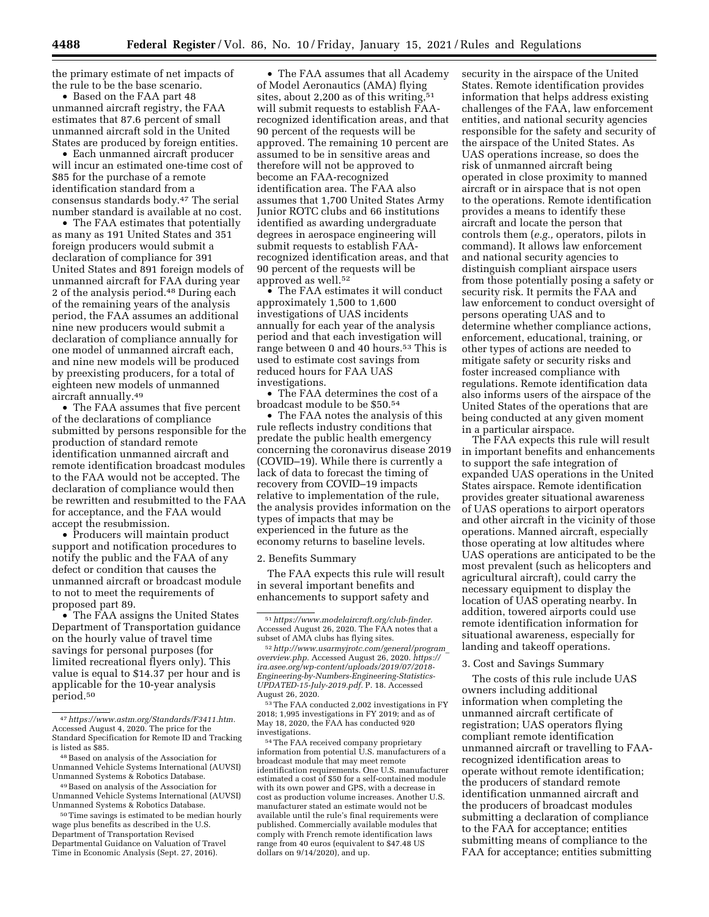the primary estimate of net impacts of the rule to be the base scenario.

• Based on the FAA part 48 unmanned aircraft registry, the FAA estimates that 87.6 percent of small unmanned aircraft sold in the United States are produced by foreign entities.

• Each unmanned aircraft producer will incur an estimated one-time cost of \$85 for the purchase of a remote identification standard from a consensus standards body.47 The serial number standard is available at no cost.

• The FAA estimates that potentially as many as 191 United States and 351 foreign producers would submit a declaration of compliance for 391 United States and 891 foreign models of unmanned aircraft for FAA during year 2 of the analysis period.48 During each of the remaining years of the analysis period, the FAA assumes an additional nine new producers would submit a declaration of compliance annually for one model of unmanned aircraft each, and nine new models will be produced by preexisting producers, for a total of eighteen new models of unmanned aircraft annually.49

• The FAA assumes that five percent of the declarations of compliance submitted by persons responsible for the production of standard remote identification unmanned aircraft and remote identification broadcast modules to the FAA would not be accepted. The declaration of compliance would then be rewritten and resubmitted to the FAA for acceptance, and the FAA would accept the resubmission.

• Producers will maintain product support and notification procedures to notify the public and the FAA of any defect or condition that causes the unmanned aircraft or broadcast module to not to meet the requirements of proposed part 89.

• The FAA assigns the United States Department of Transportation guidance on the hourly value of travel time savings for personal purposes (for limited recreational flyers only). This value is equal to \$14.37 per hour and is applicable for the 10-year analysis period.50

• The FAA assumes that all Academy of Model Aeronautics (AMA) flying sites, about 2,200 as of this writing, $51$ will submit requests to establish FAArecognized identification areas, and that 90 percent of the requests will be approved. The remaining 10 percent are assumed to be in sensitive areas and therefore will not be approved to become an FAA-recognized identification area. The FAA also assumes that 1,700 United States Army Junior ROTC clubs and 66 institutions identified as awarding undergraduate degrees in aerospace engineering will submit requests to establish FAArecognized identification areas, and that 90 percent of the requests will be approved as well.52

• The FAA estimates it will conduct approximately 1,500 to 1,600 investigations of UAS incidents annually for each year of the analysis period and that each investigation will range between 0 and 40 hours.<sup>53</sup> This is used to estimate cost savings from reduced hours for FAA UAS investigations.

• The FAA determines the cost of a broadcast module to be \$50.54

• The FAA notes the analysis of this rule reflects industry conditions that predate the public health emergency concerning the coronavirus disease 2019 (COVID–19). While there is currently a lack of data to forecast the timing of recovery from COVID–19 impacts relative to implementation of the rule, the analysis provides information on the types of impacts that may be experienced in the future as the economy returns to baseline levels.

2. Benefits Summary

The FAA expects this rule will result in several important benefits and enhancements to support safety and

54The FAA received company proprietary information from potential U.S. manufacturers of a broadcast module that may meet remote identification requirements. One U.S. manufacturer estimated a cost of \$50 for a self-contained module with its own power and GPS, with a decrease in cost as production volume increases. Another U.S. manufacturer stated an estimate would not be available until the rule's final requirements were published. Commercially available modules that comply with French remote identification laws range from 40 euros (equivalent to \$47.48 US dollars on 9/14/2020), and up.

security in the airspace of the United States. Remote identification provides information that helps address existing challenges of the FAA, law enforcement entities, and national security agencies responsible for the safety and security of the airspace of the United States. As UAS operations increase, so does the risk of unmanned aircraft being operated in close proximity to manned aircraft or in airspace that is not open to the operations. Remote identification provides a means to identify these aircraft and locate the person that controls them (*e.g.,* operators, pilots in command). It allows law enforcement and national security agencies to distinguish compliant airspace users from those potentially posing a safety or security risk. It permits the FAA and law enforcement to conduct oversight of persons operating UAS and to determine whether compliance actions, enforcement, educational, training, or other types of actions are needed to mitigate safety or security risks and foster increased compliance with regulations. Remote identification data also informs users of the airspace of the United States of the operations that are being conducted at any given moment in a particular airspace.

The FAA expects this rule will result in important benefits and enhancements to support the safe integration of expanded UAS operations in the United States airspace. Remote identification provides greater situational awareness of UAS operations to airport operators and other aircraft in the vicinity of those operations. Manned aircraft, especially those operating at low altitudes where UAS operations are anticipated to be the most prevalent (such as helicopters and agricultural aircraft), could carry the necessary equipment to display the location of UAS operating nearby. In addition, towered airports could use remote identification information for situational awareness, especially for landing and takeoff operations.

## 3. Cost and Savings Summary

The costs of this rule include UAS owners including additional information when completing the unmanned aircraft certificate of registration; UAS operators flying compliant remote identification unmanned aircraft or travelling to FAArecognized identification areas to operate without remote identification; the producers of standard remote identification unmanned aircraft and the producers of broadcast modules submitting a declaration of compliance to the FAA for acceptance; entities submitting means of compliance to the FAA for acceptance; entities submitting

<sup>47</sup>*https://www.astm.org/Standards/F3411.htm.*  Accessed August 4, 2020. The price for the Standard Specification for Remote ID and Tracking is listed as \$85.

<sup>48</sup>Based on analysis of the Association for Unmanned Vehicle Systems International (AUVSI) Unmanned Systems & Robotics Database.

<sup>49</sup>Based on analysis of the Association for Unmanned Vehicle Systems International (AUVSI) Unmanned Systems & Robotics Database.

<sup>50</sup>Time savings is estimated to be median hourly wage plus benefits as described in the U.S. Department of Transportation Revised Departmental Guidance on Valuation of Travel Time in Economic Analysis (Sept. 27, 2016).

<sup>51</sup>*https://www.modelaircraft.org/club-finder.*  Accessed August 26, 2020. The FAA notes that a subset of AMA clubs has flying sites.

<sup>52</sup>*http://www.usarmyjrotc.com/general/program*\_ *overview.php.* Accessed August 26, 2020. *https:// ira.asee.org/wp-content/uploads/2019/07/2018- Engineering-by-Numbers-Engineering-Statistics-UPDATED-15-July-2019.pdf.* P. 18. Accessed August 26, 2020.

<sup>53</sup>The FAA conducted 2,002 investigations in FY 2018; 1,995 investigations in FY 2019; and as of May 18, 2020, the FAA has conducted 920 investigations.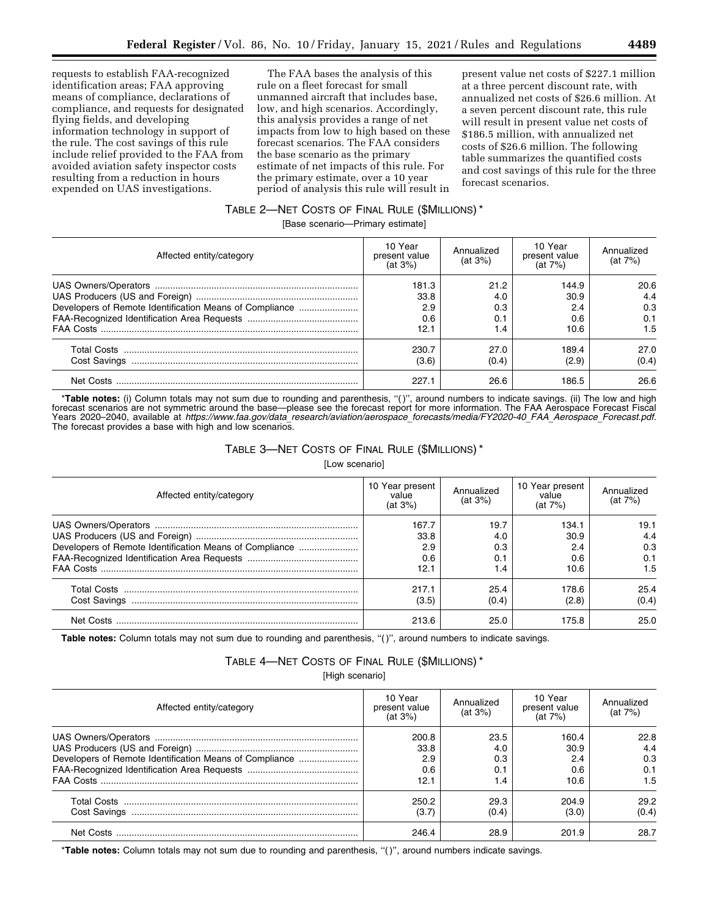requests to establish FAA-recognized identification areas; FAA approving means of compliance, declarations of compliance, and requests for designated flying fields, and developing information technology in support of the rule. The cost savings of this rule include relief provided to the FAA from avoided aviation safety inspector costs resulting from a reduction in hours expended on UAS investigations.

The FAA bases the analysis of this rule on a fleet forecast for small unmanned aircraft that includes base, low, and high scenarios. Accordingly, this analysis provides a range of net impacts from low to high based on these forecast scenarios. The FAA considers the base scenario as the primary estimate of net impacts of this rule. For the primary estimate, over a 10 year period of analysis this rule will result in

present value net costs of \$227.1 million at a three percent discount rate, with annualized net costs of \$26.6 million. At a seven percent discount rate, this rule will result in present value net costs of \$186.5 million, with annualized net costs of \$26.6 million. The following table summarizes the quantified costs and cost savings of this rule for the three forecast scenarios.

## TABLE 2—NET COSTS OF FINAL RULE (\$MILLIONS) \*

[Base scenario—Primary estimate]

| Affected entity/category                                | 10 Year<br>present value<br>(at 3%) | Annualized<br>(at 3%)            | 10 Year<br>present value<br>(at 7%) | Annualized<br>(at 7%)<br>20.6<br>4.4<br>0.3<br>0.1<br>1.5 |  |
|---------------------------------------------------------|-------------------------------------|----------------------------------|-------------------------------------|-----------------------------------------------------------|--|
| Developers of Remote Identification Means of Compliance | 181.3<br>33.8<br>2.9<br>0.6<br>12.1 | 21.2<br>4.0<br>0.3<br>0.1<br>1.4 | 144.9<br>30.9<br>2.4<br>0.6<br>10.6 |                                                           |  |
|                                                         | 230.7<br>(3.6)<br>227.1             | 27.0<br>(0.4)<br>26.6            | 189.4<br>(2.9)<br>186.5             | 27.0<br>(0.4)<br>26.6                                     |  |

\***Table notes:** (i) Column totals may not sum due to rounding and parenthesis, ''( )'', around numbers to indicate savings. (ii) The low and high forecast scenarios are not symmetric around the base—please see the forecast report for more information. The FAA Aerospace Forecast Fiscal Years 2020–2040, available at *https://www.faa.gov/data*\_*research/aviation/aerospace*\_*forecasts/media/FY2020-40*\_*FAA*\_*Aerospace*\_*Forecast.pdf.*  The forecast provides a base with high and low scenarios.

## TABLE 3—NET COSTS OF FINAL RULE (\$MILLIONS) \*

[Low scenario]

| Affected entity/category                                | 10 Year present<br>value<br>(at 3%) | Annualized<br>(at 3%) | 10 Year present<br>value<br>(at 7%) | Annualized<br>(at 7%) |  |
|---------------------------------------------------------|-------------------------------------|-----------------------|-------------------------------------|-----------------------|--|
|                                                         | 167.7<br>33.8                       | 19.7<br>4.0           | 134.1<br>30.9                       | 19.1<br>4.4           |  |
| Developers of Remote Identification Means of Compliance | 2.9                                 | 0.3                   | 2.4                                 | 0.3                   |  |
|                                                         | 0.6                                 | 0.1                   | 0.6                                 | 0.1                   |  |
|                                                         | 12.1                                | 1.4                   | 10.6                                | 1.5                   |  |
|                                                         | 217.1                               | 25.4                  | 178.6                               | 25.4                  |  |
|                                                         | (3.5)                               | (0.4)                 | (2.8)                               | (0.4)                 |  |
| Net Costs.                                              | 213.6                               | 25.0                  | 175.8                               | 25.0                  |  |

Table notes: Column totals may not sum due to rounding and parenthesis, "()", around numbers to indicate savings.

## TABLE 4—NET COSTS OF FINAL RULE (\$MILLIONS) \*

[High scenario]

| Affected entity/category                                | 10 Year<br>present value<br>(at 3%) | Annualized<br>(at 3%) | 10 Year<br>present value<br>(at 7%) | Annualized<br>(at 7%) |
|---------------------------------------------------------|-------------------------------------|-----------------------|-------------------------------------|-----------------------|
|                                                         | 200.8                               | 23.5                  | 160.4                               | 22.8                  |
|                                                         | 33.8                                | 4.0                   | 30.9                                | 4.4                   |
| Developers of Remote Identification Means of Compliance | 2.9                                 | 0.3                   | 2.4                                 | 0.3                   |
|                                                         | 0.6                                 | 0.1                   | 0.6                                 | 0.1                   |
|                                                         | 12.1                                | 1.4                   | 10.6                                | 1.5                   |
|                                                         | 250.2                               | 29.3                  | 204.9                               | 29.2                  |
|                                                         | (3.7)                               | (0.4)                 | (3.0)                               | (0.4)                 |
| Net Costs                                               | 246.4                               | 28.9                  | 201.9                               | 28.7                  |

\***Table notes:** Column totals may not sum due to rounding and parenthesis, ''( )'', around numbers indicate savings.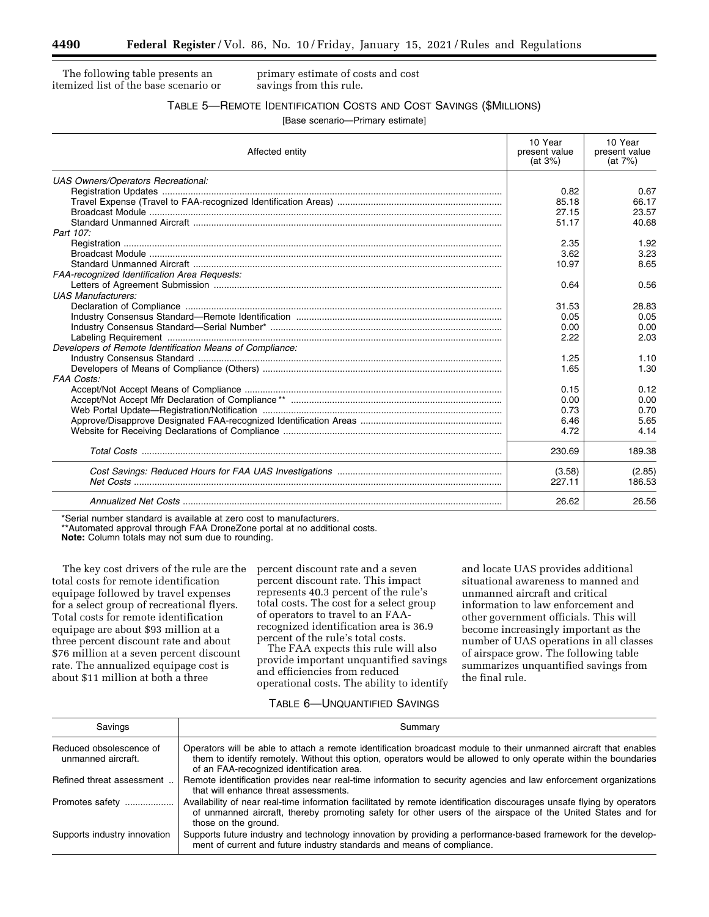The following table presents an itemized list of the base scenario or primary estimate of costs and cost savings from this rule.

## TABLE 5—REMOTE IDENTIFICATION COSTS AND COST SAVINGS (\$MILLIONS)

[Base scenario—Primary estimate]

| Affected entity                                          | 10 Year<br>present value<br>(at 3%) | 10 Year<br>present value<br>(at 7%) |  |
|----------------------------------------------------------|-------------------------------------|-------------------------------------|--|
| UAS Owners/Operators Recreational:                       |                                     |                                     |  |
|                                                          | 0.82                                | 0.67                                |  |
|                                                          | 85.18                               | 66.17                               |  |
|                                                          | 27.15                               | 23.57                               |  |
|                                                          | 51.17                               | 40.68                               |  |
| Part 107:                                                |                                     |                                     |  |
|                                                          | 2.35                                | 1.92                                |  |
|                                                          | 3.62                                | 3.23                                |  |
|                                                          | 10.97                               | 8.65                                |  |
| <b>FAA-recognized Identification Area Requests:</b>      |                                     |                                     |  |
|                                                          | 0.64                                | 0.56                                |  |
| <b>UAS Manufacturers:</b>                                |                                     |                                     |  |
|                                                          | 31.53                               | 28.83                               |  |
|                                                          | 0.05                                | 0.05                                |  |
|                                                          | 0.00                                | 0.00                                |  |
|                                                          | 2.22                                | 2.03                                |  |
| Developers of Remote Identification Means of Compliance: |                                     |                                     |  |
|                                                          | 1.25                                | 1.10                                |  |
|                                                          | 1.65                                | 1.30                                |  |
| <b>FAA Costs:</b>                                        |                                     |                                     |  |
|                                                          | 0.15                                | 0.12                                |  |
|                                                          | 0.00<br>0.73                        | 0.00<br>0.70                        |  |
|                                                          | 6.46                                | 5.65                                |  |
|                                                          | 4.72                                | 4.14                                |  |
|                                                          |                                     |                                     |  |
|                                                          | 230.69                              | 189.38                              |  |
|                                                          | (3.58)                              | (2.85)                              |  |
|                                                          | 227.11                              | 186.53                              |  |
|                                                          | 26.62                               | 26.56                               |  |

\*Serial number standard is available at zero cost to manufacturers.

\*\*Automated approval through FAA DroneZone portal at no additional costs.

**Note:** Column totals may not sum due to rounding.

The key cost drivers of the rule are the total costs for remote identification equipage followed by travel expenses for a select group of recreational flyers. Total costs for remote identification equipage are about \$93 million at a three percent discount rate and about \$76 million at a seven percent discount rate. The annualized equipage cost is about \$11 million at both a three

percent discount rate and a seven percent discount rate. This impact represents 40.3 percent of the rule's total costs. The cost for a select group of operators to travel to an FAArecognized identification area is 36.9 percent of the rule's total costs.

The FAA expects this rule will also provide important unquantified savings and efficiencies from reduced operational costs. The ability to identify and locate UAS provides additional situational awareness to manned and unmanned aircraft and critical information to law enforcement and other government officials. This will become increasingly important as the number of UAS operations in all classes of airspace grow. The following table summarizes unquantified savings from the final rule.

## TABLE 6—UNQUANTIFIED SAVINGS

| Savings                                       | Summary                                                                                                                                                                                                                                                                            |
|-----------------------------------------------|------------------------------------------------------------------------------------------------------------------------------------------------------------------------------------------------------------------------------------------------------------------------------------|
| Reduced obsolescence of<br>unmanned aircraft. | Operators will be able to attach a remote identification broadcast module to their unmanned aircraft that enables<br>them to identify remotely. Without this option, operators would be allowed to only operate within the boundaries<br>of an FAA-recognized identification area. |
| Refined threat assessment                     | Remote identification provides near real-time information to security agencies and law enforcement organizations<br>that will enhance threat assessments.                                                                                                                          |
| Promotes safety                               | Availability of near real-time information facilitated by remote identification discourages unsafe flying by operators<br>of unmanned aircraft, thereby promoting safety for other users of the airspace of the United States and for<br>those on the ground.                      |
| Supports industry innovation                  | Supports future industry and technology innovation by providing a performance-based framework for the develop-<br>ment of current and future industry standards and means of compliance.                                                                                           |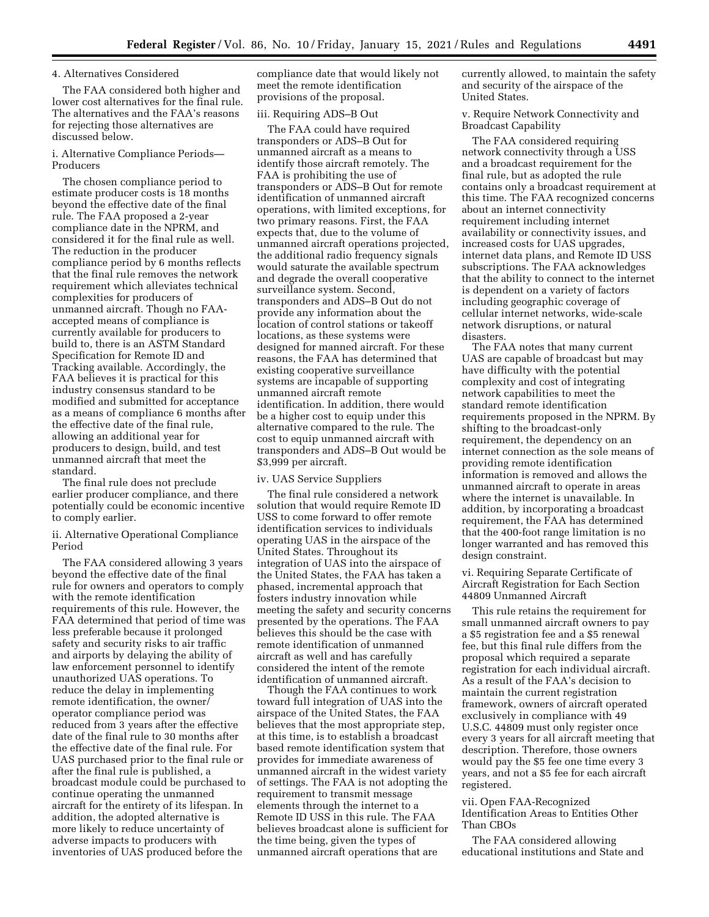#### 4. Alternatives Considered

The FAA considered both higher and lower cost alternatives for the final rule. The alternatives and the FAA's reasons for rejecting those alternatives are discussed below.

## i. Alternative Compliance Periods— Producers

The chosen compliance period to estimate producer costs is 18 months beyond the effective date of the final rule. The FAA proposed a 2-year compliance date in the NPRM, and considered it for the final rule as well. The reduction in the producer compliance period by 6 months reflects that the final rule removes the network requirement which alleviates technical complexities for producers of unmanned aircraft. Though no FAAaccepted means of compliance is currently available for producers to build to, there is an ASTM Standard Specification for Remote ID and Tracking available. Accordingly, the FAA believes it is practical for this industry consensus standard to be modified and submitted for acceptance as a means of compliance 6 months after the effective date of the final rule, allowing an additional year for producers to design, build, and test unmanned aircraft that meet the standard.

The final rule does not preclude earlier producer compliance, and there potentially could be economic incentive to comply earlier.

ii. Alternative Operational Compliance Period

The FAA considered allowing 3 years beyond the effective date of the final rule for owners and operators to comply with the remote identification requirements of this rule. However, the FAA determined that period of time was less preferable because it prolonged safety and security risks to air traffic and airports by delaying the ability of law enforcement personnel to identify unauthorized UAS operations. To reduce the delay in implementing remote identification, the owner/ operator compliance period was reduced from 3 years after the effective date of the final rule to 30 months after the effective date of the final rule. For UAS purchased prior to the final rule or after the final rule is published, a broadcast module could be purchased to continue operating the unmanned aircraft for the entirety of its lifespan. In addition, the adopted alternative is more likely to reduce uncertainty of adverse impacts to producers with inventories of UAS produced before the

compliance date that would likely not meet the remote identification provisions of the proposal.

## iii. Requiring ADS–B Out

The FAA could have required transponders or ADS–B Out for unmanned aircraft as a means to identify those aircraft remotely. The FAA is prohibiting the use of transponders or ADS–B Out for remote identification of unmanned aircraft operations, with limited exceptions, for two primary reasons. First, the FAA expects that, due to the volume of unmanned aircraft operations projected, the additional radio frequency signals would saturate the available spectrum and degrade the overall cooperative surveillance system. Second, transponders and ADS–B Out do not provide any information about the location of control stations or takeoff locations, as these systems were designed for manned aircraft. For these reasons, the FAA has determined that existing cooperative surveillance systems are incapable of supporting unmanned aircraft remote identification. In addition, there would be a higher cost to equip under this alternative compared to the rule. The cost to equip unmanned aircraft with transponders and ADS–B Out would be \$3,999 per aircraft.

#### iv. UAS Service Suppliers

The final rule considered a network solution that would require Remote ID USS to come forward to offer remote identification services to individuals operating UAS in the airspace of the United States. Throughout its integration of UAS into the airspace of the United States, the FAA has taken a phased, incremental approach that fosters industry innovation while meeting the safety and security concerns presented by the operations. The FAA believes this should be the case with remote identification of unmanned aircraft as well and has carefully considered the intent of the remote identification of unmanned aircraft.

Though the FAA continues to work toward full integration of UAS into the airspace of the United States, the FAA believes that the most appropriate step, at this time, is to establish a broadcast based remote identification system that provides for immediate awareness of unmanned aircraft in the widest variety of settings. The FAA is not adopting the requirement to transmit message elements through the internet to a Remote ID USS in this rule. The FAA believes broadcast alone is sufficient for the time being, given the types of unmanned aircraft operations that are

currently allowed, to maintain the safety and security of the airspace of the United States.

v. Require Network Connectivity and Broadcast Capability

The FAA considered requiring network connectivity through a USS and a broadcast requirement for the final rule, but as adopted the rule contains only a broadcast requirement at this time. The FAA recognized concerns about an internet connectivity requirement including internet availability or connectivity issues, and increased costs for UAS upgrades, internet data plans, and Remote ID USS subscriptions. The FAA acknowledges that the ability to connect to the internet is dependent on a variety of factors including geographic coverage of cellular internet networks, wide-scale network disruptions, or natural disasters.

The FAA notes that many current UAS are capable of broadcast but may have difficulty with the potential complexity and cost of integrating network capabilities to meet the standard remote identification requirements proposed in the NPRM. By shifting to the broadcast-only requirement, the dependency on an internet connection as the sole means of providing remote identification information is removed and allows the unmanned aircraft to operate in areas where the internet is unavailable. In addition, by incorporating a broadcast requirement, the FAA has determined that the 400-foot range limitation is no longer warranted and has removed this design constraint.

vi. Requiring Separate Certificate of Aircraft Registration for Each Section 44809 Unmanned Aircraft

This rule retains the requirement for small unmanned aircraft owners to pay a \$5 registration fee and a \$5 renewal fee, but this final rule differs from the proposal which required a separate registration for each individual aircraft. As a result of the FAA's decision to maintain the current registration framework, owners of aircraft operated exclusively in compliance with 49 U.S.C. 44809 must only register once every 3 years for all aircraft meeting that description. Therefore, those owners would pay the \$5 fee one time every 3 years, and not a \$5 fee for each aircraft registered.

vii. Open FAA-Recognized Identification Areas to Entities Other Than CBOs

The FAA considered allowing educational institutions and State and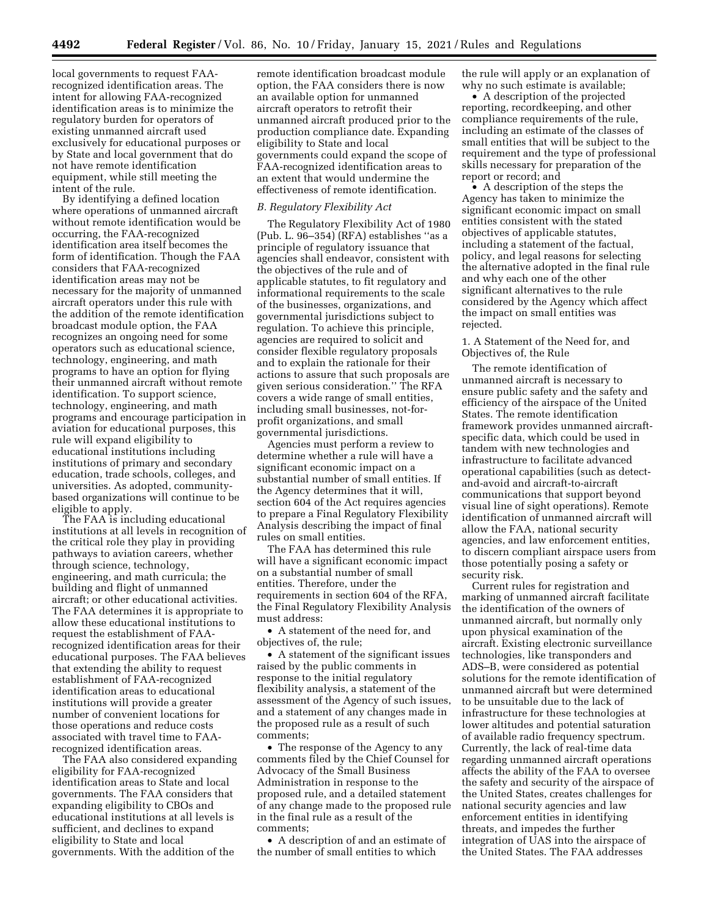local governments to request FAArecognized identification areas. The intent for allowing FAA-recognized identification areas is to minimize the regulatory burden for operators of existing unmanned aircraft used exclusively for educational purposes or by State and local government that do not have remote identification equipment, while still meeting the intent of the rule.

By identifying a defined location where operations of unmanned aircraft without remote identification would be occurring, the FAA-recognized identification area itself becomes the form of identification. Though the FAA considers that FAA-recognized identification areas may not be necessary for the majority of unmanned aircraft operators under this rule with the addition of the remote identification broadcast module option, the FAA recognizes an ongoing need for some operators such as educational science, technology, engineering, and math programs to have an option for flying their unmanned aircraft without remote identification. To support science, technology, engineering, and math programs and encourage participation in aviation for educational purposes, this rule will expand eligibility to educational institutions including institutions of primary and secondary education, trade schools, colleges, and universities. As adopted, communitybased organizations will continue to be eligible to apply.

The FAA is including educational institutions at all levels in recognition of the critical role they play in providing pathways to aviation careers, whether through science, technology, engineering, and math curricula; the building and flight of unmanned aircraft; or other educational activities. The FAA determines it is appropriate to allow these educational institutions to request the establishment of FAArecognized identification areas for their educational purposes. The FAA believes that extending the ability to request establishment of FAA-recognized identification areas to educational institutions will provide a greater number of convenient locations for those operations and reduce costs associated with travel time to FAArecognized identification areas.

The FAA also considered expanding eligibility for FAA-recognized identification areas to State and local governments. The FAA considers that expanding eligibility to CBOs and educational institutions at all levels is sufficient, and declines to expand eligibility to State and local governments. With the addition of the

remote identification broadcast module option, the FAA considers there is now an available option for unmanned aircraft operators to retrofit their unmanned aircraft produced prior to the production compliance date. Expanding eligibility to State and local governments could expand the scope of FAA-recognized identification areas to an extent that would undermine the effectiveness of remote identification.

#### *B. Regulatory Flexibility Act*

The Regulatory Flexibility Act of 1980 (Pub. L. 96–354) (RFA) establishes ''as a principle of regulatory issuance that agencies shall endeavor, consistent with the objectives of the rule and of applicable statutes, to fit regulatory and informational requirements to the scale of the businesses, organizations, and governmental jurisdictions subject to regulation. To achieve this principle, agencies are required to solicit and consider flexible regulatory proposals and to explain the rationale for their actions to assure that such proposals are given serious consideration.'' The RFA covers a wide range of small entities, including small businesses, not-forprofit organizations, and small governmental jurisdictions.

Agencies must perform a review to determine whether a rule will have a significant economic impact on a substantial number of small entities. If the Agency determines that it will, section 604 of the Act requires agencies to prepare a Final Regulatory Flexibility Analysis describing the impact of final rules on small entities.

The FAA has determined this rule will have a significant economic impact on a substantial number of small entities. Therefore, under the requirements in section 604 of the RFA, the Final Regulatory Flexibility Analysis must address:

• A statement of the need for, and objectives of, the rule;

• A statement of the significant issues raised by the public comments in response to the initial regulatory flexibility analysis, a statement of the assessment of the Agency of such issues, and a statement of any changes made in the proposed rule as a result of such comments;

• The response of the Agency to any comments filed by the Chief Counsel for Advocacy of the Small Business Administration in response to the proposed rule, and a detailed statement of any change made to the proposed rule in the final rule as a result of the comments;

• A description of and an estimate of the number of small entities to which

the rule will apply or an explanation of why no such estimate is available;

• A description of the projected reporting, recordkeeping, and other compliance requirements of the rule, including an estimate of the classes of small entities that will be subject to the requirement and the type of professional skills necessary for preparation of the report or record; and

• A description of the steps the Agency has taken to minimize the significant economic impact on small entities consistent with the stated objectives of applicable statutes, including a statement of the factual, policy, and legal reasons for selecting the alternative adopted in the final rule and why each one of the other significant alternatives to the rule considered by the Agency which affect the impact on small entities was rejected.

1. A Statement of the Need for, and Objectives of, the Rule

The remote identification of unmanned aircraft is necessary to ensure public safety and the safety and efficiency of the airspace of the United States. The remote identification framework provides unmanned aircraftspecific data, which could be used in tandem with new technologies and infrastructure to facilitate advanced operational capabilities (such as detectand-avoid and aircraft-to-aircraft communications that support beyond visual line of sight operations). Remote identification of unmanned aircraft will allow the FAA, national security agencies, and law enforcement entities, to discern compliant airspace users from those potentially posing a safety or security risk.

Current rules for registration and marking of unmanned aircraft facilitate the identification of the owners of unmanned aircraft, but normally only upon physical examination of the aircraft. Existing electronic surveillance technologies, like transponders and ADS–B, were considered as potential solutions for the remote identification of unmanned aircraft but were determined to be unsuitable due to the lack of infrastructure for these technologies at lower altitudes and potential saturation of available radio frequency spectrum. Currently, the lack of real-time data regarding unmanned aircraft operations affects the ability of the FAA to oversee the safety and security of the airspace of the United States, creates challenges for national security agencies and law enforcement entities in identifying threats, and impedes the further integration of UAS into the airspace of the United States. The FAA addresses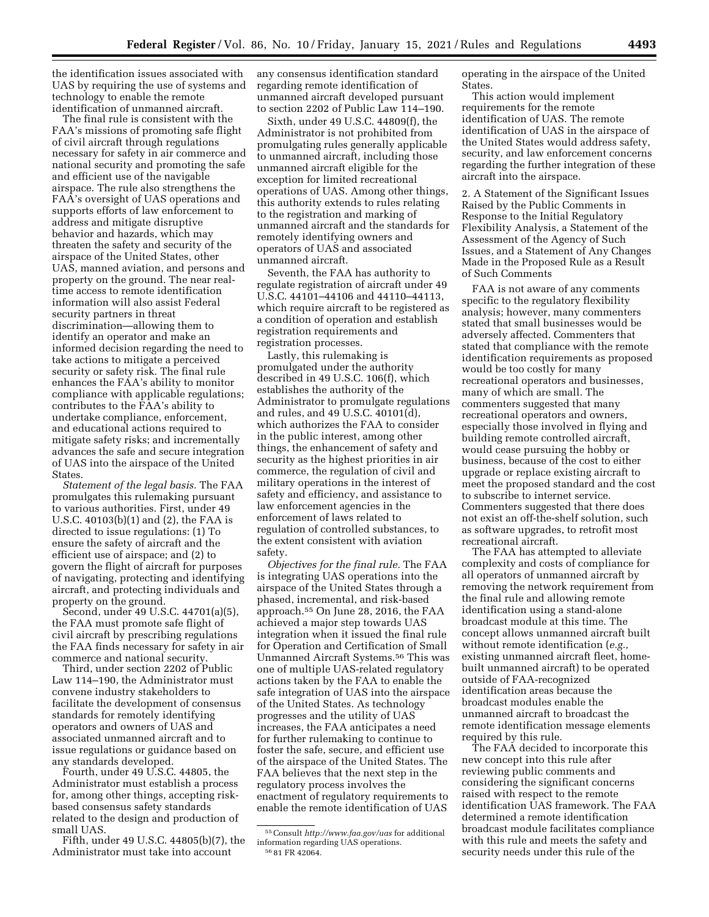the identification issues associated with UAS by requiring the use of systems and technology to enable the remote identification of unmanned aircraft.

The final rule is consistent with the FAA's missions of promoting safe flight of civil aircraft through regulations necessary for safety in air commerce and national security and promoting the safe and efficient use of the navigable airspace. The rule also strengthens the FAA's oversight of UAS operations and supports efforts of law enforcement to address and mitigate disruptive behavior and hazards, which may threaten the safety and security of the airspace of the United States, other UAS, manned aviation, and persons and property on the ground. The near realtime access to remote identification information will also assist Federal security partners in threat discrimination—allowing them to identify an operator and make an informed decision regarding the need to take actions to mitigate a perceived security or safety risk. The final rule enhances the FAA's ability to monitor compliance with applicable regulations; contributes to the FAA's ability to undertake compliance, enforcement, and educational actions required to mitigate safety risks; and incrementally advances the safe and secure integration of UAS into the airspace of the United States.

*Statement of the legal basis.* The FAA promulgates this rulemaking pursuant to various authorities. First, under 49 U.S.C. 40103(b)(1) and (2), the FAA is directed to issue regulations: (1) To ensure the safety of aircraft and the efficient use of airspace; and (2) to govern the flight of aircraft for purposes of navigating, protecting and identifying aircraft, and protecting individuals and property on the ground.

Second, under 49 U.S.C. 44701(a)(5), the FAA must promote safe flight of civil aircraft by prescribing regulations the FAA finds necessary for safety in air commerce and national security.

Third, under section 2202 of Public Law 114–190, the Administrator must convene industry stakeholders to facilitate the development of consensus standards for remotely identifying operators and owners of UAS and associated unmanned aircraft and to issue regulations or guidance based on any standards developed.

Fourth, under 49 U.S.C. 44805, the Administrator must establish a process for, among other things, accepting riskbased consensus safety standards related to the design and production of small UAS.

Fifth, under 49 U.S.C. 44805(b)(7), the Administrator must take into account

any consensus identification standard regarding remote identification of unmanned aircraft developed pursuant to section 2202 of Public Law 114–190.

Sixth, under 49 U.S.C. 44809(f), the Administrator is not prohibited from promulgating rules generally applicable to unmanned aircraft, including those unmanned aircraft eligible for the exception for limited recreational operations of UAS. Among other things, this authority extends to rules relating to the registration and marking of unmanned aircraft and the standards for remotely identifying owners and operators of UAS and associated unmanned aircraft.

Seventh, the FAA has authority to regulate registration of aircraft under 49 U.S.C. 44101–44106 and 44110–44113, which require aircraft to be registered as a condition of operation and establish registration requirements and registration processes.

Lastly, this rulemaking is promulgated under the authority described in 49 U.S.C. 106(f), which establishes the authority of the Administrator to promulgate regulations and rules, and 49 U.S.C. 40101(d), which authorizes the FAA to consider in the public interest, among other things, the enhancement of safety and security as the highest priorities in air commerce, the regulation of civil and military operations in the interest of safety and efficiency, and assistance to law enforcement agencies in the enforcement of laws related to regulation of controlled substances, to the extent consistent with aviation safety.

*Objectives for the final rule.* The FAA is integrating UAS operations into the airspace of the United States through a phased, incremental, and risk-based approach.55 On June 28, 2016, the FAA achieved a major step towards UAS integration when it issued the final rule for Operation and Certification of Small Unmanned Aircraft Systems.56 This was one of multiple UAS-related regulatory actions taken by the FAA to enable the safe integration of UAS into the airspace of the United States. As technology progresses and the utility of UAS increases, the FAA anticipates a need for further rulemaking to continue to foster the safe, secure, and efficient use of the airspace of the United States. The FAA believes that the next step in the regulatory process involves the enactment of regulatory requirements to enable the remote identification of UAS

operating in the airspace of the United States.

This action would implement requirements for the remote identification of UAS. The remote identification of UAS in the airspace of the United States would address safety, security, and law enforcement concerns regarding the further integration of these aircraft into the airspace.

2. A Statement of the Significant Issues Raised by the Public Comments in Response to the Initial Regulatory Flexibility Analysis, a Statement of the Assessment of the Agency of Such Issues, and a Statement of Any Changes Made in the Proposed Rule as a Result of Such Comments

FAA is not aware of any comments specific to the regulatory flexibility analysis; however, many commenters stated that small businesses would be adversely affected. Commenters that stated that compliance with the remote identification requirements as proposed would be too costly for many recreational operators and businesses, many of which are small. The commenters suggested that many recreational operators and owners, especially those involved in flying and building remote controlled aircraft, would cease pursuing the hobby or business, because of the cost to either upgrade or replace existing aircraft to meet the proposed standard and the cost to subscribe to internet service. Commenters suggested that there does not exist an off-the-shelf solution, such as software upgrades, to retrofit most recreational aircraft.

The FAA has attempted to alleviate complexity and costs of compliance for all operators of unmanned aircraft by removing the network requirement from the final rule and allowing remote identification using a stand-alone broadcast module at this time. The concept allows unmanned aircraft built without remote identification (*e.g.,*  existing unmanned aircraft fleet, homebuilt unmanned aircraft) to be operated outside of FAA-recognized identification areas because the broadcast modules enable the unmanned aircraft to broadcast the remote identification message elements required by this rule.

The FAA decided to incorporate this new concept into this rule after reviewing public comments and considering the significant concerns raised with respect to the remote identification UAS framework. The FAA determined a remote identification broadcast module facilitates compliance with this rule and meets the safety and security needs under this rule of the

<sup>55</sup>Consult *http://www.faa.gov/uas* for additional information regarding UAS operations. 56 81 FR 42064.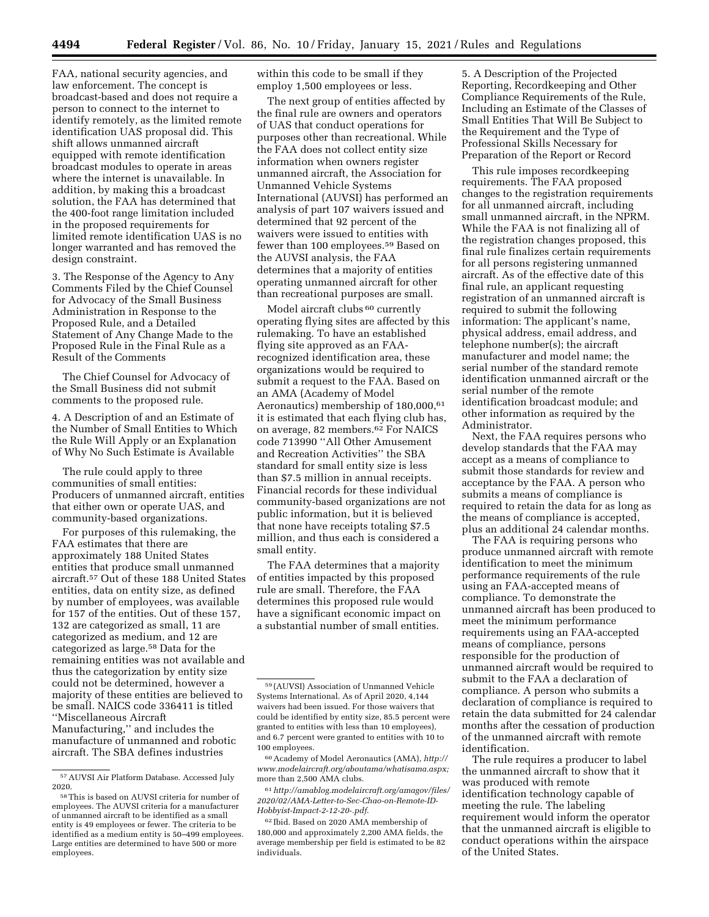FAA, national security agencies, and law enforcement. The concept is broadcast-based and does not require a person to connect to the internet to identify remotely, as the limited remote identification UAS proposal did. This shift allows unmanned aircraft equipped with remote identification broadcast modules to operate in areas where the internet is unavailable. In addition, by making this a broadcast solution, the FAA has determined that the 400-foot range limitation included in the proposed requirements for limited remote identification UAS is no longer warranted and has removed the design constraint.

3. The Response of the Agency to Any Comments Filed by the Chief Counsel for Advocacy of the Small Business Administration in Response to the Proposed Rule, and a Detailed Statement of Any Change Made to the Proposed Rule in the Final Rule as a Result of the Comments

The Chief Counsel for Advocacy of the Small Business did not submit comments to the proposed rule.

4. A Description of and an Estimate of the Number of Small Entities to Which the Rule Will Apply or an Explanation of Why No Such Estimate is Available

The rule could apply to three communities of small entities: Producers of unmanned aircraft, entities that either own or operate UAS, and community-based organizations.

For purposes of this rulemaking, the FAA estimates that there are approximately 188 United States entities that produce small unmanned aircraft.57 Out of these 188 United States entities, data on entity size, as defined by number of employees, was available for 157 of the entities. Out of these 157, 132 are categorized as small, 11 are categorized as medium, and 12 are categorized as large.58 Data for the remaining entities was not available and thus the categorization by entity size could not be determined, however a majority of these entities are believed to be small. NAICS code 336411 is titled ''Miscellaneous Aircraft Manufacturing,'' and includes the manufacture of unmanned and robotic aircraft. The SBA defines industries

within this code to be small if they employ 1,500 employees or less.

The next group of entities affected by the final rule are owners and operators of UAS that conduct operations for purposes other than recreational. While the FAA does not collect entity size information when owners register unmanned aircraft, the Association for Unmanned Vehicle Systems International (AUVSI) has performed an analysis of part 107 waivers issued and determined that 92 percent of the waivers were issued to entities with fewer than 100 employees.59 Based on the AUVSI analysis, the FAA determines that a majority of entities operating unmanned aircraft for other than recreational purposes are small.

Model aircraft clubs <sup>60</sup> currently operating flying sites are affected by this rulemaking. To have an established flying site approved as an FAArecognized identification area, these organizations would be required to submit a request to the FAA. Based on an AMA (Academy of Model Aeronautics) membership of 180,000,61 it is estimated that each flying club has, on average, 82 members.62 For NAICS code 713990 ''All Other Amusement and Recreation Activities'' the SBA standard for small entity size is less than \$7.5 million in annual receipts. Financial records for these individual community-based organizations are not public information, but it is believed that none have receipts totaling \$7.5 million, and thus each is considered a small entity.

The FAA determines that a majority of entities impacted by this proposed rule are small. Therefore, the FAA determines this proposed rule would have a significant economic impact on a substantial number of small entities.

60Academy of Model Aeronautics (AMA), *http:// www.modelaircraft.org/aboutama/whatisama.aspx;*  more than 2,500 AMA clubs.

61*http://amablog.modelaircraft.org/amagov/files/ 2020/02/AMA-Letter-to-Sec-Chao-on-Remote-ID-Hobbyist-Impact-2-12-20-.pdf*.

5. A Description of the Projected Reporting, Recordkeeping and Other Compliance Requirements of the Rule, Including an Estimate of the Classes of Small Entities That Will Be Subject to the Requirement and the Type of Professional Skills Necessary for Preparation of the Report or Record

This rule imposes recordkeeping requirements. The FAA proposed changes to the registration requirements for all unmanned aircraft, including small unmanned aircraft, in the NPRM. While the FAA is not finalizing all of the registration changes proposed, this final rule finalizes certain requirements for all persons registering unmanned aircraft. As of the effective date of this final rule, an applicant requesting registration of an unmanned aircraft is required to submit the following information: The applicant's name, physical address, email address, and telephone number(s); the aircraft manufacturer and model name; the serial number of the standard remote identification unmanned aircraft or the serial number of the remote identification broadcast module; and other information as required by the Administrator.

Next, the FAA requires persons who develop standards that the FAA may accept as a means of compliance to submit those standards for review and acceptance by the FAA. A person who submits a means of compliance is required to retain the data for as long as the means of compliance is accepted, plus an additional 24 calendar months.

The FAA is requiring persons who produce unmanned aircraft with remote identification to meet the minimum performance requirements of the rule using an FAA-accepted means of compliance. To demonstrate the unmanned aircraft has been produced to meet the minimum performance requirements using an FAA-accepted means of compliance, persons responsible for the production of unmanned aircraft would be required to submit to the FAA a declaration of compliance. A person who submits a declaration of compliance is required to retain the data submitted for 24 calendar months after the cessation of production of the unmanned aircraft with remote identification.

The rule requires a producer to label the unmanned aircraft to show that it was produced with remote identification technology capable of meeting the rule. The labeling requirement would inform the operator that the unmanned aircraft is eligible to conduct operations within the airspace of the United States.

<sup>57</sup>AUVSI Air Platform Database. Accessed July 2020.

<sup>58</sup>This is based on AUVSI criteria for number of employees. The AUVSI criteria for a manufacturer of unmanned aircraft to be identified as a small entity is 49 employees or fewer. The criteria to be identified as a medium entity is 50–499 employees. Large entities are determined to have 500 or more employees.

<sup>59</sup> (AUVSI) Association of Unmanned Vehicle Systems International. As of April 2020, 4,144 waivers had been issued. For those waivers that could be identified by entity size, 85.5 percent were granted to entities with less than 10 employees), and 6.7 percent were granted to entities with 10 to 100 employees.

<sup>62</sup> Ibid. Based on 2020 AMA membership of 180,000 and approximately 2,200 AMA fields, the average membership per field is estimated to be 82 individuals.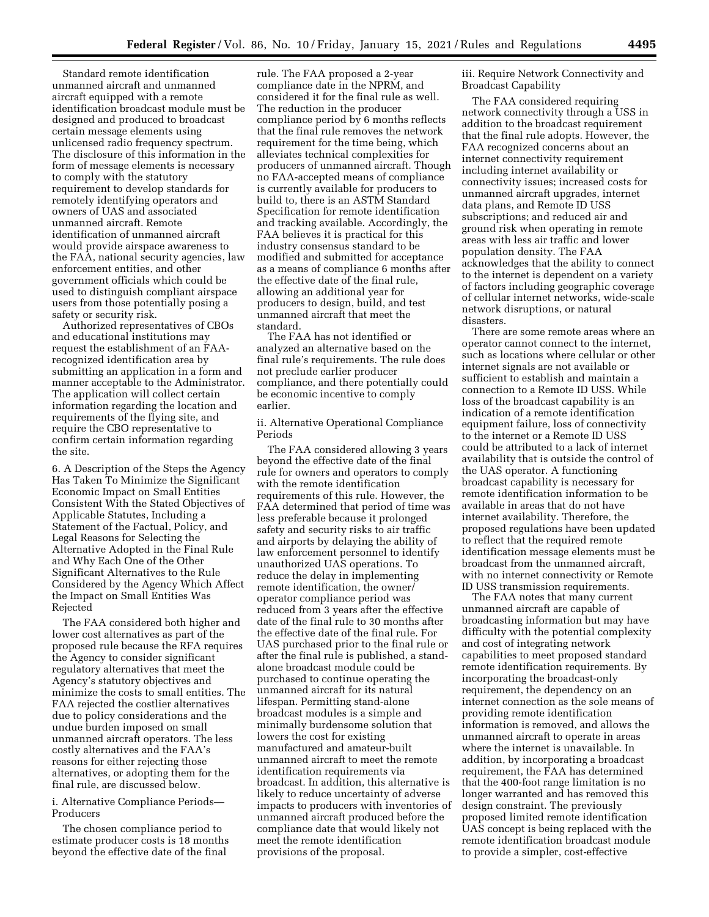Standard remote identification unmanned aircraft and unmanned aircraft equipped with a remote identification broadcast module must be designed and produced to broadcast certain message elements using unlicensed radio frequency spectrum. The disclosure of this information in the form of message elements is necessary to comply with the statutory requirement to develop standards for remotely identifying operators and owners of UAS and associated unmanned aircraft. Remote identification of unmanned aircraft would provide airspace awareness to the FAA, national security agencies, law enforcement entities, and other government officials which could be used to distinguish compliant airspace users from those potentially posing a safety or security risk.

Authorized representatives of CBOs and educational institutions may request the establishment of an FAArecognized identification area by submitting an application in a form and manner acceptable to the Administrator. The application will collect certain information regarding the location and requirements of the flying site, and require the CBO representative to confirm certain information regarding the site.

6. A Description of the Steps the Agency Has Taken To Minimize the Significant Economic Impact on Small Entities Consistent With the Stated Objectives of Applicable Statutes, Including a Statement of the Factual, Policy, and Legal Reasons for Selecting the Alternative Adopted in the Final Rule and Why Each One of the Other Significant Alternatives to the Rule Considered by the Agency Which Affect the Impact on Small Entities Was Rejected

The FAA considered both higher and lower cost alternatives as part of the proposed rule because the RFA requires the Agency to consider significant regulatory alternatives that meet the Agency's statutory objectives and minimize the costs to small entities. The FAA rejected the costlier alternatives due to policy considerations and the undue burden imposed on small unmanned aircraft operators. The less costly alternatives and the FAA's reasons for either rejecting those alternatives, or adopting them for the final rule, are discussed below.

i. Alternative Compliance Periods— Producers

The chosen compliance period to estimate producer costs is 18 months beyond the effective date of the final

rule. The FAA proposed a 2-year compliance date in the NPRM, and considered it for the final rule as well. The reduction in the producer compliance period by 6 months reflects that the final rule removes the network requirement for the time being, which alleviates technical complexities for producers of unmanned aircraft. Though no FAA-accepted means of compliance is currently available for producers to build to, there is an ASTM Standard Specification for remote identification and tracking available. Accordingly, the FAA believes it is practical for this industry consensus standard to be modified and submitted for acceptance as a means of compliance 6 months after the effective date of the final rule, allowing an additional year for producers to design, build, and test unmanned aircraft that meet the standard.

The FAA has not identified or analyzed an alternative based on the final rule's requirements. The rule does not preclude earlier producer compliance, and there potentially could be economic incentive to comply earlier.

ii. Alternative Operational Compliance Periods

The FAA considered allowing 3 years beyond the effective date of the final rule for owners and operators to comply with the remote identification requirements of this rule. However, the FAA determined that period of time was less preferable because it prolonged safety and security risks to air traffic and airports by delaying the ability of law enforcement personnel to identify unauthorized UAS operations. To reduce the delay in implementing remote identification, the owner/ operator compliance period was reduced from 3 years after the effective date of the final rule to 30 months after the effective date of the final rule. For UAS purchased prior to the final rule or after the final rule is published, a standalone broadcast module could be purchased to continue operating the unmanned aircraft for its natural lifespan. Permitting stand-alone broadcast modules is a simple and minimally burdensome solution that lowers the cost for existing manufactured and amateur-built unmanned aircraft to meet the remote identification requirements via broadcast. In addition, this alternative is likely to reduce uncertainty of adverse impacts to producers with inventories of unmanned aircraft produced before the compliance date that would likely not meet the remote identification provisions of the proposal.

iii. Require Network Connectivity and Broadcast Capability

The FAA considered requiring network connectivity through a USS in addition to the broadcast requirement that the final rule adopts. However, the FAA recognized concerns about an internet connectivity requirement including internet availability or connectivity issues; increased costs for unmanned aircraft upgrades, internet data plans, and Remote ID USS subscriptions; and reduced air and ground risk when operating in remote areas with less air traffic and lower population density. The FAA acknowledges that the ability to connect to the internet is dependent on a variety of factors including geographic coverage of cellular internet networks, wide-scale network disruptions, or natural disasters.

There are some remote areas where an operator cannot connect to the internet, such as locations where cellular or other internet signals are not available or sufficient to establish and maintain a connection to a Remote ID USS. While loss of the broadcast capability is an indication of a remote identification equipment failure, loss of connectivity to the internet or a Remote ID USS could be attributed to a lack of internet availability that is outside the control of the UAS operator. A functioning broadcast capability is necessary for remote identification information to be available in areas that do not have internet availability. Therefore, the proposed regulations have been updated to reflect that the required remote identification message elements must be broadcast from the unmanned aircraft, with no internet connectivity or Remote ID USS transmission requirements.

The FAA notes that many current unmanned aircraft are capable of broadcasting information but may have difficulty with the potential complexity and cost of integrating network capabilities to meet proposed standard remote identification requirements. By incorporating the broadcast-only requirement, the dependency on an internet connection as the sole means of providing remote identification information is removed, and allows the unmanned aircraft to operate in areas where the internet is unavailable. In addition, by incorporating a broadcast requirement, the FAA has determined that the 400-foot range limitation is no longer warranted and has removed this design constraint. The previously proposed limited remote identification UAS concept is being replaced with the remote identification broadcast module to provide a simpler, cost-effective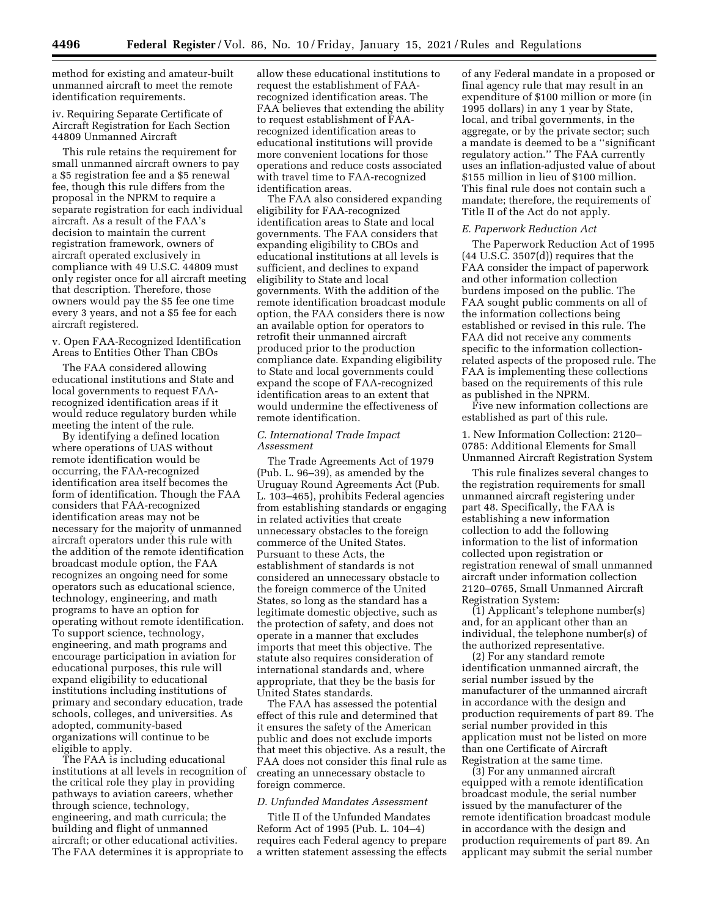method for existing and amateur-built unmanned aircraft to meet the remote identification requirements.

iv. Requiring Separate Certificate of Aircraft Registration for Each Section 44809 Unmanned Aircraft

This rule retains the requirement for small unmanned aircraft owners to pay a \$5 registration fee and a \$5 renewal fee, though this rule differs from the proposal in the NPRM to require a separate registration for each individual aircraft. As a result of the FAA's decision to maintain the current registration framework, owners of aircraft operated exclusively in compliance with 49 U.S.C. 44809 must only register once for all aircraft meeting that description. Therefore, those owners would pay the \$5 fee one time every 3 years, and not a \$5 fee for each aircraft registered.

#### v. Open FAA-Recognized Identification Areas to Entities Other Than CBOs

The FAA considered allowing educational institutions and State and local governments to request FAArecognized identification areas if it would reduce regulatory burden while meeting the intent of the rule.

By identifying a defined location where operations of UAS without remote identification would be occurring, the FAA-recognized identification area itself becomes the form of identification. Though the FAA considers that FAA-recognized identification areas may not be necessary for the majority of unmanned aircraft operators under this rule with the addition of the remote identification broadcast module option, the FAA recognizes an ongoing need for some operators such as educational science, technology, engineering, and math programs to have an option for operating without remote identification. To support science, technology, engineering, and math programs and encourage participation in aviation for educational purposes, this rule will expand eligibility to educational institutions including institutions of primary and secondary education, trade schools, colleges, and universities. As adopted, community-based organizations will continue to be eligible to apply.

The FAA is including educational institutions at all levels in recognition of the critical role they play in providing pathways to aviation careers, whether through science, technology, engineering, and math curricula; the building and flight of unmanned aircraft; or other educational activities. The FAA determines it is appropriate to

allow these educational institutions to request the establishment of FAArecognized identification areas. The FAA believes that extending the ability to request establishment of FAArecognized identification areas to educational institutions will provide more convenient locations for those operations and reduce costs associated with travel time to FAA-recognized identification areas.

The FAA also considered expanding eligibility for FAA-recognized identification areas to State and local governments. The FAA considers that expanding eligibility to CBOs and educational institutions at all levels is sufficient, and declines to expand eligibility to State and local governments. With the addition of the remote identification broadcast module option, the FAA considers there is now an available option for operators to retrofit their unmanned aircraft produced prior to the production compliance date. Expanding eligibility to State and local governments could expand the scope of FAA-recognized identification areas to an extent that would undermine the effectiveness of remote identification.

### *C. International Trade Impact Assessment*

The Trade Agreements Act of 1979 (Pub. L. 96–39), as amended by the Uruguay Round Agreements Act (Pub. L. 103–465), prohibits Federal agencies from establishing standards or engaging in related activities that create unnecessary obstacles to the foreign commerce of the United States. Pursuant to these Acts, the establishment of standards is not considered an unnecessary obstacle to the foreign commerce of the United States, so long as the standard has a legitimate domestic objective, such as the protection of safety, and does not operate in a manner that excludes imports that meet this objective. The statute also requires consideration of international standards and, where appropriate, that they be the basis for United States standards.

The FAA has assessed the potential effect of this rule and determined that it ensures the safety of the American public and does not exclude imports that meet this objective. As a result, the FAA does not consider this final rule as creating an unnecessary obstacle to foreign commerce.

#### *D. Unfunded Mandates Assessment*

Title II of the Unfunded Mandates Reform Act of 1995 (Pub. L. 104–4) requires each Federal agency to prepare a written statement assessing the effects

of any Federal mandate in a proposed or final agency rule that may result in an expenditure of \$100 million or more (in 1995 dollars) in any 1 year by State, local, and tribal governments, in the aggregate, or by the private sector; such a mandate is deemed to be a ''significant regulatory action.'' The FAA currently uses an inflation-adjusted value of about \$155 million in lieu of \$100 million. This final rule does not contain such a mandate; therefore, the requirements of Title II of the Act do not apply.

#### *E. Paperwork Reduction Act*

The Paperwork Reduction Act of 1995 (44 U.S.C. 3507(d)) requires that the FAA consider the impact of paperwork and other information collection burdens imposed on the public. The FAA sought public comments on all of the information collections being established or revised in this rule. The FAA did not receive any comments specific to the information collectionrelated aspects of the proposed rule. The FAA is implementing these collections based on the requirements of this rule as published in the NPRM.

Five new information collections are established as part of this rule.

1. New Information Collection: 2120– 0785: Additional Elements for Small Unmanned Aircraft Registration System

This rule finalizes several changes to the registration requirements for small unmanned aircraft registering under part 48. Specifically, the FAA is establishing a new information collection to add the following information to the list of information collected upon registration or registration renewal of small unmanned aircraft under information collection 2120–0765, Small Unmanned Aircraft Registration System:

(1) Applicant's telephone number(s) and, for an applicant other than an individual, the telephone number(s) of the authorized representative.

(2) For any standard remote identification unmanned aircraft, the serial number issued by the manufacturer of the unmanned aircraft in accordance with the design and production requirements of part 89. The serial number provided in this application must not be listed on more than one Certificate of Aircraft Registration at the same time.

(3) For any unmanned aircraft equipped with a remote identification broadcast module, the serial number issued by the manufacturer of the remote identification broadcast module in accordance with the design and production requirements of part 89. An applicant may submit the serial number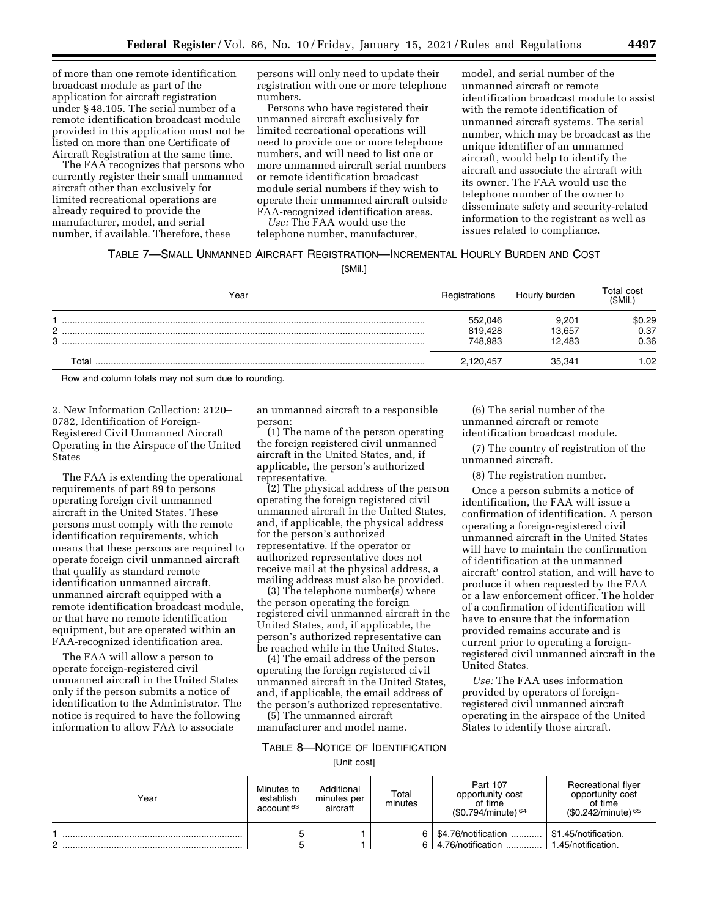of more than one remote identification broadcast module as part of the application for aircraft registration under § 48.105. The serial number of a remote identification broadcast module provided in this application must not be listed on more than one Certificate of Aircraft Registration at the same time.

The FAA recognizes that persons who currently register their small unmanned aircraft other than exclusively for limited recreational operations are already required to provide the manufacturer, model, and serial number, if available. Therefore, these

persons will only need to update their registration with one or more telephone numbers.

Persons who have registered their unmanned aircraft exclusively for limited recreational operations will need to provide one or more telephone numbers, and will need to list one or more unmanned aircraft serial numbers or remote identification broadcast module serial numbers if they wish to operate their unmanned aircraft outside FAA-recognized identification areas.

*Use:* The FAA would use the telephone number, manufacturer, model, and serial number of the unmanned aircraft or remote identification broadcast module to assist with the remote identification of unmanned aircraft systems. The serial number, which may be broadcast as the unique identifier of an unmanned aircraft, would help to identify the aircraft and associate the aircraft with its owner. The FAA would use the telephone number of the owner to disseminate safety and security-related information to the registrant as well as issues related to compliance.

## TABLE 7—SMALL UNMANNED AIRCRAFT REGISTRATION—INCREMENTAL HOURLY BURDEN AND COST

[\$Mil.]

|                     | Year        | Registrations                 | Hourly burden             | Total cost<br>(\$Mil.  |
|---------------------|-------------|-------------------------------|---------------------------|------------------------|
| C.<br><u>_</u><br>3 |             | 552,046<br>819,428<br>748,983 | 9.201<br>13.657<br>12,483 | \$0.29<br>0.37<br>0.36 |
|                     | $\tau$ otal | 2,120,457                     | 35,341                    | .02                    |

Row and column totals may not sum due to rounding.

2. New Information Collection: 2120– 0782, Identification of Foreign-Registered Civil Unmanned Aircraft Operating in the Airspace of the United States

The FAA is extending the operational requirements of part 89 to persons operating foreign civil unmanned aircraft in the United States. These persons must comply with the remote identification requirements, which means that these persons are required to operate foreign civil unmanned aircraft that qualify as standard remote identification unmanned aircraft, unmanned aircraft equipped with a remote identification broadcast module, or that have no remote identification equipment, but are operated within an FAA-recognized identification area.

The FAA will allow a person to operate foreign-registered civil unmanned aircraft in the United States only if the person submits a notice of identification to the Administrator. The notice is required to have the following information to allow FAA to associate

an unmanned aircraft to a responsible person:

(1) The name of the person operating the foreign registered civil unmanned aircraft in the United States, and, if applicable, the person's authorized representative.

(2) The physical address of the person operating the foreign registered civil unmanned aircraft in the United States, and, if applicable, the physical address for the person's authorized representative. If the operator or authorized representative does not receive mail at the physical address, a mailing address must also be provided.

(3) The telephone number(s) where the person operating the foreign registered civil unmanned aircraft in the United States, and, if applicable, the person's authorized representative can be reached while in the United States.

(4) The email address of the person operating the foreign registered civil unmanned aircraft in the United States, and, if applicable, the email address of the person's authorized representative.

(5) The unmanned aircraft manufacturer and model name.

TABLE 8—NOTICE OF IDENTIFICATION

[Unit cost]

| Year | Minutes to<br>establish<br>account <sup>63</sup> | Additional<br>minutes per<br>aircraft | Total<br>minutes | Part 107<br>opportunity cost<br>of time<br>$(S0.794/minute)$ <sup>64</sup> | Recreational flyer<br>opportunity cost<br>of time<br>$$0.242/minute)$ <sup>65</sup> |
|------|--------------------------------------------------|---------------------------------------|------------------|----------------------------------------------------------------------------|-------------------------------------------------------------------------------------|
|      |                                                  |                                       | 6                | \$4.76/notification<br>$6 \mid 4.76$ /notification                         | \$1.45/notification.<br>1.45/notification.                                          |

(6) The serial number of the unmanned aircraft or remote identification broadcast module.

(7) The country of registration of the unmanned aircraft.

(8) The registration number.

Once a person submits a notice of identification, the FAA will issue a confirmation of identification. A person operating a foreign-registered civil unmanned aircraft in the United States will have to maintain the confirmation of identification at the unmanned aircraft' control station, and will have to produce it when requested by the FAA or a law enforcement officer. The holder of a confirmation of identification will have to ensure that the information provided remains accurate and is current prior to operating a foreignregistered civil unmanned aircraft in the United States.

*Use:* The FAA uses information provided by operators of foreignregistered civil unmanned aircraft operating in the airspace of the United States to identify those aircraft.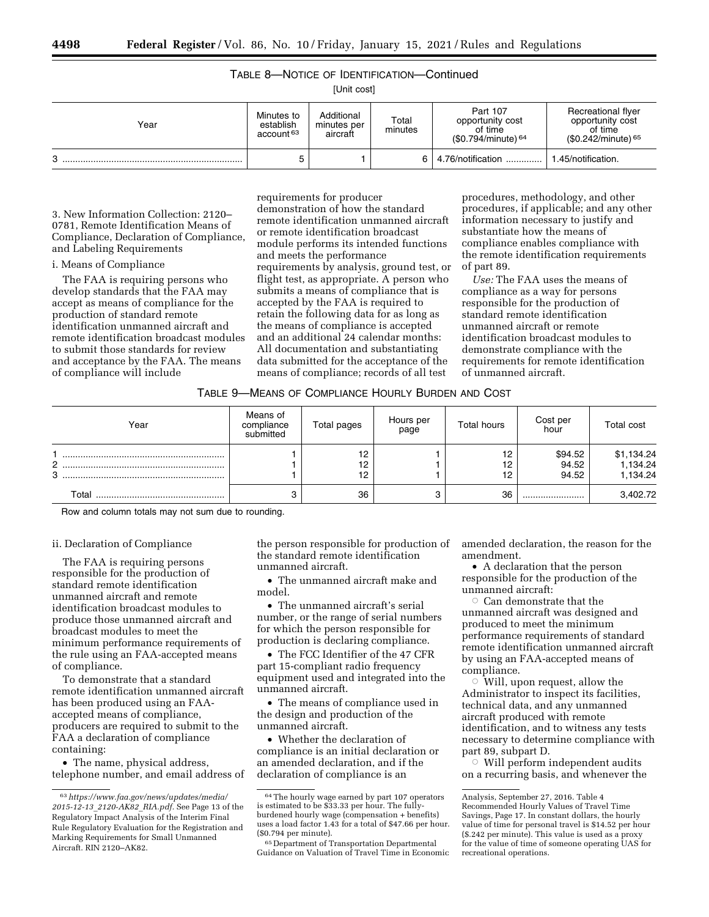# TABLE 8—NOTICE OF IDENTIFICATION—Continued

[Unit cost]

| Year | Minutes to<br>establish<br>account <sup>63</sup> | Additional<br>minutes per<br>aircraft | Total<br>minutes | Part 107<br>opportunity cost<br>of time<br>$(S0.794/minute)$ <sup>64</sup> | Recreational flyer<br>opportunity cost<br>of time<br>$$0.242/minute)$ <sup>65</sup> |
|------|--------------------------------------------------|---------------------------------------|------------------|----------------------------------------------------------------------------|-------------------------------------------------------------------------------------|
| 3    |                                                  |                                       |                  | 4.76/notification                                                          | .45/notification.                                                                   |

3. New Information Collection: 2120– 0781, Remote Identification Means of Compliance, Declaration of Compliance, and Labeling Requirements

## i. Means of Compliance

The FAA is requiring persons who develop standards that the FAA may accept as means of compliance for the production of standard remote identification unmanned aircraft and remote identification broadcast modules to submit those standards for review and acceptance by the FAA. The means of compliance will include

requirements for producer demonstration of how the standard remote identification unmanned aircraft or remote identification broadcast module performs its intended functions and meets the performance requirements by analysis, ground test, or flight test, as appropriate. A person who submits a means of compliance that is accepted by the FAA is required to retain the following data for as long as the means of compliance is accepted and an additional 24 calendar months: All documentation and substantiating data submitted for the acceptance of the means of compliance; records of all test

procedures, methodology, and other procedures, if applicable; and any other information necessary to justify and substantiate how the means of compliance enables compliance with the remote identification requirements of part 89.

*Use:* The FAA uses the means of compliance as a way for persons responsible for the production of standard remote identification unmanned aircraft or remote identification broadcast modules to demonstrate compliance with the requirements for remote identification of unmanned aircraft.

| TABLE 9—MEANS OF COMPLIANCE HOURLY BURDEN AND COST |  |
|----------------------------------------------------|--|
|----------------------------------------------------|--|

| Year   | Means of<br>compliance<br>submitted | Total pages    | Hours per<br>page | <b>Total hours</b> | Cost per<br>hour          | Total cost                         |
|--------|-------------------------------------|----------------|-------------------|--------------------|---------------------------|------------------------------------|
| 2<br>3 |                                     | 12<br>12<br>12 |                   | 12<br>12<br>12     | \$94.52<br>94.52<br>94.52 | \$1,134.24<br>1,134.24<br>1,134.24 |
| Total  |                                     | 36             |                   | 36                 |                           | 3,402.72                           |

Row and column totals may not sum due to rounding.

#### ii. Declaration of Compliance

The FAA is requiring persons responsible for the production of standard remote identification unmanned aircraft and remote identification broadcast modules to produce those unmanned aircraft and broadcast modules to meet the minimum performance requirements of the rule using an FAA-accepted means of compliance.

To demonstrate that a standard remote identification unmanned aircraft has been produced using an FAAaccepted means of compliance, producers are required to submit to the FAA a declaration of compliance containing:

• The name, physical address, telephone number, and email address of the person responsible for production of the standard remote identification unmanned aircraft.

• The unmanned aircraft make and model.

• The unmanned aircraft's serial number, or the range of serial numbers for which the person responsible for production is declaring compliance.

• The FCC Identifier of the 47 CFR part 15-compliant radio frequency equipment used and integrated into the unmanned aircraft.

The means of compliance used in the design and production of the unmanned aircraft.

• Whether the declaration of compliance is an initial declaration or an amended declaration, and if the declaration of compliance is an

amended declaration, the reason for the amendment.

• A declaration that the person responsible for the production of the unmanned aircraft:

 $\circ$  Can demonstrate that the unmanned aircraft was designed and produced to meet the minimum performance requirements of standard remote identification unmanned aircraft by using an FAA-accepted means of compliance.

 $\circ$  Will, upon request, allow the Administrator to inspect its facilities, technical data, and any unmanned aircraft produced with remote identification, and to witness any tests necessary to determine compliance with part 89, subpart D.

 $\circ$  Will perform independent audits on a recurring basis, and whenever the

<sup>63</sup>*https://www.faa.gov/news/updates/media/ 2015-12-13*\_*2120-AK82*\_*RIA.pdf.* See Page 13 of the Regulatory Impact Analysis of the Interim Final Rule Regulatory Evaluation for the Registration and Marking Requirements for Small Unmanned Aircraft. RIN 2120–AK82.

<sup>64</sup>The hourly wage earned by part 107 operators is estimated to be \$33.33 per hour. The fullyburdened hourly wage (compensation + benefits) uses a load factor 1.43 for a total of \$47.66 per hour. (\$0.794 per minute).

<sup>65</sup> Department of Transportation Departmental Guidance on Valuation of Travel Time in Economic

Analysis, September 27, 2016. Table 4 Recommended Hourly Values of Travel Time Savings, Page 17. In constant dollars, the hourly value of time for personal travel is \$14.52 per hour (\$.242 per minute). This value is used as a proxy for the value of time of someone operating UAS for recreational operations.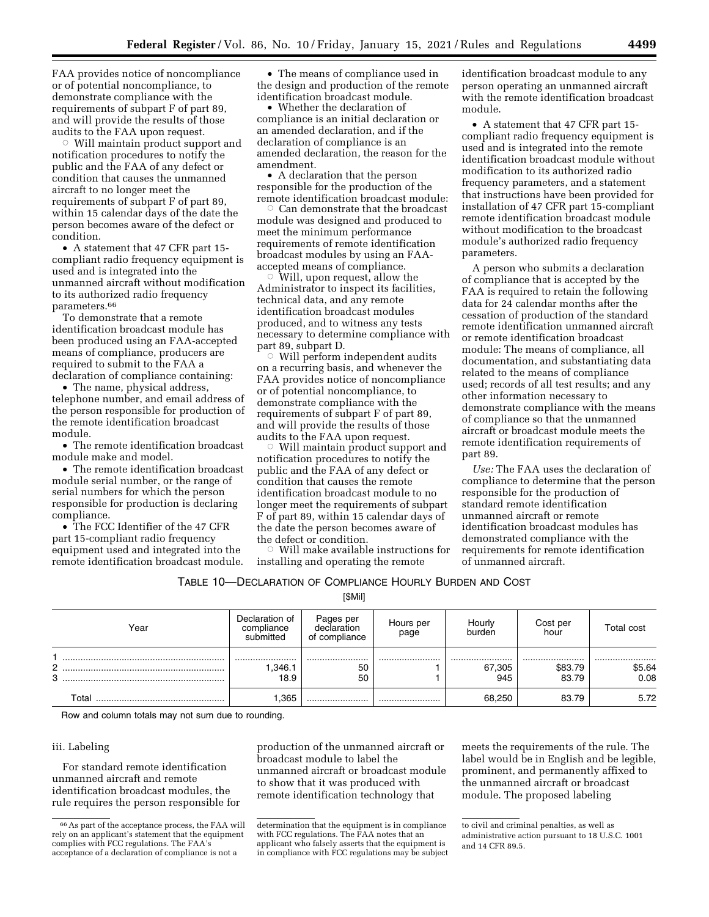FAA provides notice of noncompliance or of potential noncompliance, to demonstrate compliance with the requirements of subpart F of part 89, and will provide the results of those audits to the FAA upon request.

 $\circ$  Will maintain product support and notification procedures to notify the public and the FAA of any defect or condition that causes the unmanned aircraft to no longer meet the requirements of subpart F of part 89, within 15 calendar days of the date the person becomes aware of the defect or condition.

• A statement that 47 CFR part 15 compliant radio frequency equipment is used and is integrated into the unmanned aircraft without modification to its authorized radio frequency parameters.66

To demonstrate that a remote identification broadcast module has been produced using an FAA-accepted means of compliance, producers are required to submit to the FAA a declaration of compliance containing:

• The name, physical address, telephone number, and email address of the person responsible for production of the remote identification broadcast module.

• The remote identification broadcast module make and model.

• The remote identification broadcast module serial number, or the range of serial numbers for which the person responsible for production is declaring compliance.

• The FCC Identifier of the 47 CFR part 15-compliant radio frequency equipment used and integrated into the remote identification broadcast module.

• The means of compliance used in the design and production of the remote identification broadcast module.

• Whether the declaration of compliance is an initial declaration or an amended declaration, and if the declaration of compliance is an amended declaration, the reason for the amendment.

• A declaration that the person responsible for the production of the remote identification broadcast module:

 $\circ$  Can demonstrate that the broadcast module was designed and produced to meet the minimum performance requirements of remote identification broadcast modules by using an FAAaccepted means of compliance.

 $\circ$  Will, upon request, allow the Administrator to inspect its facilities, technical data, and any remote identification broadcast modules produced, and to witness any tests necessary to determine compliance with part 89, subpart D.

 $\circ$  Will perform independent audits on a recurring basis, and whenever the FAA provides notice of noncompliance or of potential noncompliance, to demonstrate compliance with the requirements of subpart F of part 89, and will provide the results of those audits to the FAA upon request.

 $\circ$  Will maintain product support and notification procedures to notify the public and the FAA of any defect or condition that causes the remote identification broadcast module to no longer meet the requirements of subpart F of part 89, within 15 calendar days of the date the person becomes aware of the defect or condition.

 $\circ$  Will make available instructions for installing and operating the remote

identification broadcast module to any person operating an unmanned aircraft with the remote identification broadcast module.

• A statement that 47 CFR part 15 compliant radio frequency equipment is used and is integrated into the remote identification broadcast module without modification to its authorized radio frequency parameters, and a statement that instructions have been provided for installation of 47 CFR part 15-compliant remote identification broadcast module without modification to the broadcast module's authorized radio frequency parameters.

A person who submits a declaration of compliance that is accepted by the FAA is required to retain the following data for 24 calendar months after the cessation of production of the standard remote identification unmanned aircraft or remote identification broadcast module: The means of compliance, all documentation, and substantiating data related to the means of compliance used; records of all test results; and any other information necessary to demonstrate compliance with the means of compliance so that the unmanned aircraft or broadcast module meets the remote identification requirements of part 89.

*Use:* The FAA uses the declaration of compliance to determine that the person responsible for the production of standard remote identification unmanned aircraft or remote identification broadcast modules has demonstrated compliance with the requirements for remote identification of unmanned aircraft.

|  | Table 10—Declaration of Compliance Hourly Burden and Cost |  |
|--|-----------------------------------------------------------|--|
|--|-----------------------------------------------------------|--|

[\$Mil]

| Year                | Declaration of<br>compliance<br>submitted | Pages per<br>declaration<br>of compliance | Hours per<br>page | Hourly<br>burden  | Cost per<br>hour     | Total cost         |
|---------------------|-------------------------------------------|-------------------------------------------|-------------------|-------------------|----------------------|--------------------|
| C.<br><u>_</u><br>3 | <br>.346.1<br>18.9                        | <br>50<br>50                              |                   | <br>67,305<br>945 | <br>\$83.79<br>83.79 | <br>\$5.64<br>0.08 |
| ⊤otal               | .365                                      |                                           |                   | 68.250            | 83.79                | 5.72               |

Row and column totals may not sum due to rounding.

#### iii. Labeling

For standard remote identification unmanned aircraft and remote identification broadcast modules, the rule requires the person responsible for

production of the unmanned aircraft or broadcast module to label the unmanned aircraft or broadcast module to show that it was produced with remote identification technology that

meets the requirements of the rule. The label would be in English and be legible, prominent, and permanently affixed to the unmanned aircraft or broadcast module. The proposed labeling

<sup>66</sup>As part of the acceptance process, the FAA will rely on an applicant's statement that the equipment complies with FCC regulations. The FAA's acceptance of a declaration of compliance is not a

determination that the equipment is in compliance with FCC regulations. The FAA notes that an applicant who falsely asserts that the equipment is in compliance with FCC regulations may be subject

to civil and criminal penalties, as well as administrative action pursuant to 18 U.S.C. 1001 and 14 CFR 89.5.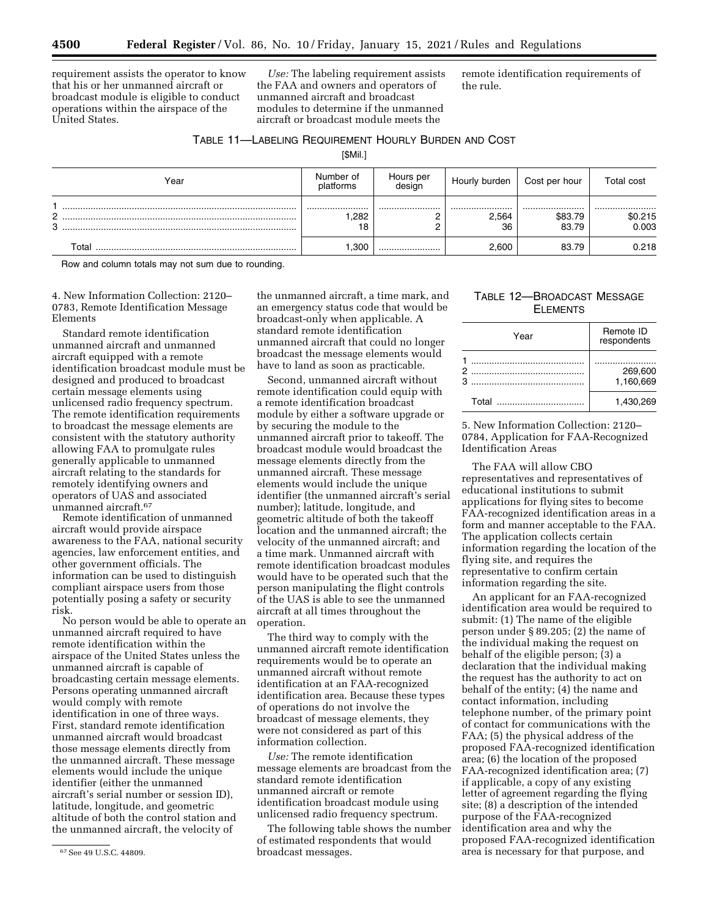requirement assists the operator to know that his or her unmanned aircraft or broadcast module is eligible to conduct operations within the airspace of the United States.

*Use:* The labeling requirement assists the FAA and owners and operators of unmanned aircraft and broadcast modules to determine if the unmanned aircraft or broadcast module meets the

remote identification requirements of the rule.

## TABLE 11—LABELING REQUIREMENT HOURLY BURDEN AND COST

[\$Mil.]

| Year               | Number of<br>platforms | Hours per<br>design | Hourly burden   | Cost per hour        | Total cost           |
|--------------------|------------------------|---------------------|-----------------|----------------------|----------------------|
| C<br><u>.</u><br>3 | <br>.282<br>18         |                     | <br>2.564<br>36 | <br>\$83.79<br>83.79 | <br>\$0.215<br>0.003 |
| Total              | ,300                   |                     | 2.600           | 83.79                | 0.218                |

Row and column totals may not sum due to rounding.

4. New Information Collection: 2120– 0783, Remote Identification Message Elements

Standard remote identification unmanned aircraft and unmanned aircraft equipped with a remote identification broadcast module must be designed and produced to broadcast certain message elements using unlicensed radio frequency spectrum. The remote identification requirements to broadcast the message elements are consistent with the statutory authority allowing FAA to promulgate rules generally applicable to unmanned aircraft relating to the standards for remotely identifying owners and operators of UAS and associated unmanned aircraft.67

Remote identification of unmanned aircraft would provide airspace awareness to the FAA, national security agencies, law enforcement entities, and other government officials. The information can be used to distinguish compliant airspace users from those potentially posing a safety or security risk.

No person would be able to operate an unmanned aircraft required to have remote identification within the airspace of the United States unless the unmanned aircraft is capable of broadcasting certain message elements. Persons operating unmanned aircraft would comply with remote identification in one of three ways. First, standard remote identification unmanned aircraft would broadcast those message elements directly from the unmanned aircraft. These message elements would include the unique identifier (either the unmanned aircraft's serial number or session ID), latitude, longitude, and geometric altitude of both the control station and the unmanned aircraft, the velocity of

the unmanned aircraft, a time mark, and an emergency status code that would be broadcast-only when applicable. A standard remote identification unmanned aircraft that could no longer broadcast the message elements would have to land as soon as practicable.

Second, unmanned aircraft without remote identification could equip with a remote identification broadcast module by either a software upgrade or by securing the module to the unmanned aircraft prior to takeoff. The broadcast module would broadcast the message elements directly from the unmanned aircraft. These message elements would include the unique identifier (the unmanned aircraft's serial number); latitude, longitude, and geometric altitude of both the takeoff location and the unmanned aircraft; the velocity of the unmanned aircraft; and a time mark. Unmanned aircraft with remote identification broadcast modules would have to be operated such that the person manipulating the flight controls of the UAS is able to see the unmanned aircraft at all times throughout the operation.

The third way to comply with the unmanned aircraft remote identification requirements would be to operate an unmanned aircraft without remote identification at an FAA-recognized identification area. Because these types of operations do not involve the broadcast of message elements, they were not considered as part of this information collection.

*Use:* The remote identification message elements are broadcast from the standard remote identification unmanned aircraft or remote identification broadcast module using unlicensed radio frequency spectrum.

The following table shows the number of estimated respondents that would broadcast messages.

## TABLE 12—BROADCAST MESSAGE ELEMENTS

| Year | Remote ID<br>respondents |
|------|--------------------------|
|      | 269,600<br>1.160.669     |
|      | 1,430,269                |

5. New Information Collection: 2120– 0784, Application for FAA-Recognized Identification Areas

The FAA will allow CBO representatives and representatives of educational institutions to submit applications for flying sites to become FAA-recognized identification areas in a form and manner acceptable to the FAA. The application collects certain information regarding the location of the flying site, and requires the representative to confirm certain information regarding the site.

An applicant for an FAA-recognized identification area would be required to submit: (1) The name of the eligible person under § 89.205; (2) the name of the individual making the request on behalf of the eligible person; (3) a declaration that the individual making the request has the authority to act on behalf of the entity; (4) the name and contact information, including telephone number, of the primary point of contact for communications with the FAA; (5) the physical address of the proposed FAA-recognized identification area; (6) the location of the proposed FAA-recognized identification area; (7) if applicable, a copy of any existing letter of agreement regarding the flying site; (8) a description of the intended purpose of the FAA-recognized identification area and why the proposed FAA-recognized identification area is necessary for that purpose, and

<sup>67</sup>See 49 U.S.C. 44809.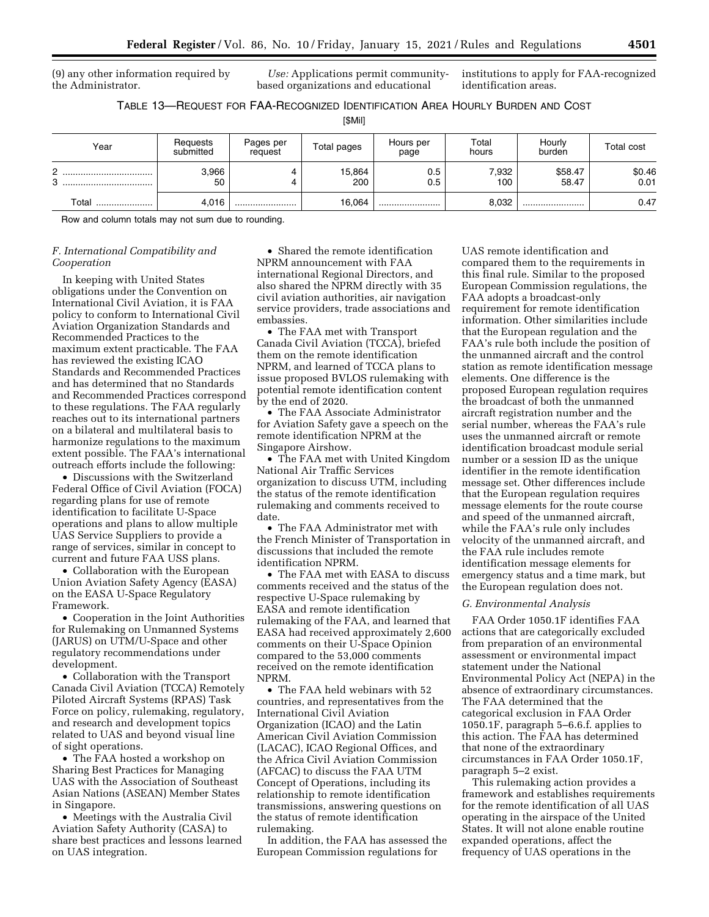(9) any other information required by the Administrator.

*Use:* Applications permit communitybased organizations and educational

institutions to apply for FAA-recognized identification areas.

TABLE 13—REQUEST FOR FAA-RECOGNIZED IDENTIFICATION AREA HOURLY BURDEN AND COST

[\$Mil]

| Year   | Requests<br>submitted | Pages per<br>request | Total pages   | Hours per<br>page | Total<br>hours | Hourly<br>burden | <b>Total cost</b> |
|--------|-----------------------|----------------------|---------------|-------------------|----------------|------------------|-------------------|
| C<br>3 | 3,966<br>50           |                      | 15,864<br>200 | 0.5<br>0.5        | 7,932<br>100   | \$58.47<br>58.47 | \$0.46<br>0.01    |
| Total  | 4.016                 |                      | 16,064        |                   | 8,032          |                  | 0.47              |

Row and column totals may not sum due to rounding.

## *F. International Compatibility and Cooperation*

In keeping with United States obligations under the Convention on International Civil Aviation, it is FAA policy to conform to International Civil Aviation Organization Standards and Recommended Practices to the maximum extent practicable. The FAA has reviewed the existing ICAO Standards and Recommended Practices and has determined that no Standards and Recommended Practices correspond to these regulations. The FAA regularly reaches out to its international partners on a bilateral and multilateral basis to harmonize regulations to the maximum extent possible. The FAA's international outreach efforts include the following:

• Discussions with the Switzerland Federal Office of Civil Aviation (FOCA) regarding plans for use of remote identification to facilitate U-Space operations and plans to allow multiple UAS Service Suppliers to provide a range of services, similar in concept to current and future FAA USS plans.

• Collaboration with the European Union Aviation Safety Agency (EASA) on the EASA U-Space Regulatory Framework.

• Cooperation in the Joint Authorities for Rulemaking on Unmanned Systems (JARUS) on UTM/U-Space and other regulatory recommendations under development.

• Collaboration with the Transport Canada Civil Aviation (TCCA) Remotely Piloted Aircraft Systems (RPAS) Task Force on policy, rulemaking, regulatory, and research and development topics related to UAS and beyond visual line of sight operations.

• The FAA hosted a workshop on Sharing Best Practices for Managing UAS with the Association of Southeast Asian Nations (ASEAN) Member States in Singapore.

• Meetings with the Australia Civil Aviation Safety Authority (CASA) to share best practices and lessons learned on UAS integration.

• Shared the remote identification NPRM announcement with FAA international Regional Directors, and also shared the NPRM directly with 35 civil aviation authorities, air navigation service providers, trade associations and embassies.

• The FAA met with Transport Canada Civil Aviation (TCCA), briefed them on the remote identification NPRM, and learned of TCCA plans to issue proposed BVLOS rulemaking with potential remote identification content by the end of 2020.

• The FAA Associate Administrator for Aviation Safety gave a speech on the remote identification NPRM at the Singapore Airshow.

• The FAA met with United Kingdom National Air Traffic Services organization to discuss UTM, including the status of the remote identification rulemaking and comments received to date

• The FAA Administrator met with the French Minister of Transportation in discussions that included the remote identification NPRM.

• The FAA met with EASA to discuss comments received and the status of the respective U-Space rulemaking by EASA and remote identification rulemaking of the FAA, and learned that EASA had received approximately 2,600 comments on their U-Space Opinion compared to the 53,000 comments received on the remote identification NPRM.

• The FAA held webinars with 52 countries, and representatives from the International Civil Aviation Organization (ICAO) and the Latin American Civil Aviation Commission (LACAC), ICAO Regional Offices, and the Africa Civil Aviation Commission (AFCAC) to discuss the FAA UTM Concept of Operations, including its relationship to remote identification transmissions, answering questions on the status of remote identification rulemaking.

In addition, the FAA has assessed the European Commission regulations for

UAS remote identification and compared them to the requirements in this final rule. Similar to the proposed European Commission regulations, the FAA adopts a broadcast-only requirement for remote identification information. Other similarities include that the European regulation and the FAA's rule both include the position of the unmanned aircraft and the control station as remote identification message elements. One difference is the proposed European regulation requires the broadcast of both the unmanned aircraft registration number and the serial number, whereas the FAA's rule uses the unmanned aircraft or remote identification broadcast module serial number or a session ID as the unique identifier in the remote identification message set. Other differences include that the European regulation requires message elements for the route course and speed of the unmanned aircraft, while the FAA's rule only includes velocity of the unmanned aircraft, and the FAA rule includes remote identification message elements for emergency status and a time mark, but the European regulation does not.

#### *G. Environmental Analysis*

FAA Order 1050.1F identifies FAA actions that are categorically excluded from preparation of an environmental assessment or environmental impact statement under the National Environmental Policy Act (NEPA) in the absence of extraordinary circumstances. The FAA determined that the categorical exclusion in FAA Order 1050.1F, paragraph 5–6.6.f. applies to this action. The FAA has determined that none of the extraordinary circumstances in FAA Order 1050.1F, paragraph 5–2 exist.

This rulemaking action provides a framework and establishes requirements for the remote identification of all UAS operating in the airspace of the United States. It will not alone enable routine expanded operations, affect the frequency of UAS operations in the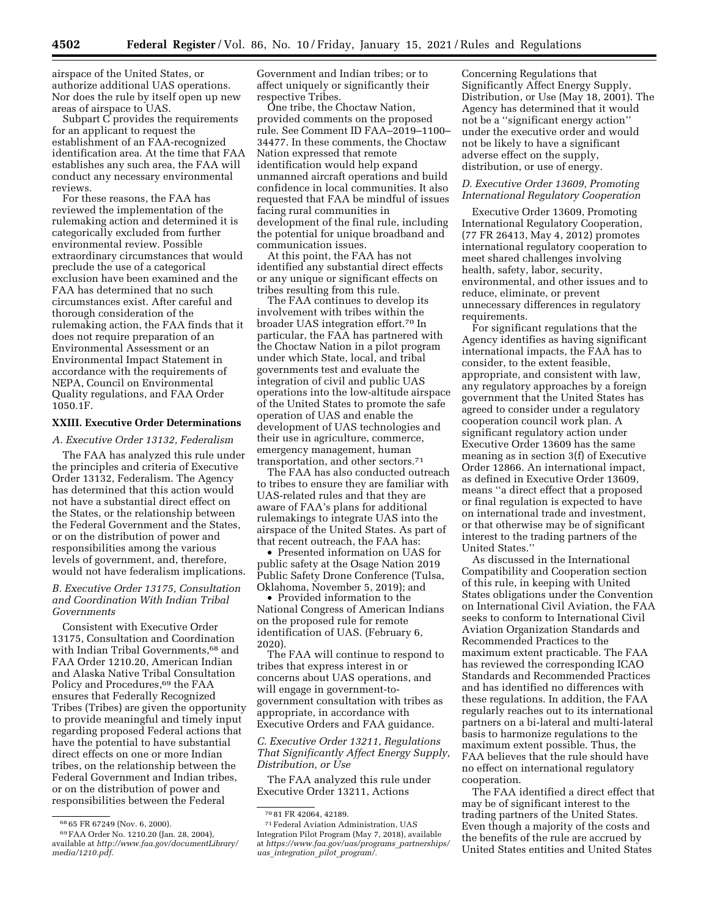airspace of the United States, or authorize additional UAS operations. Nor does the rule by itself open up new areas of airspace to UAS.

Subpart C provides the requirements for an applicant to request the establishment of an FAA-recognized identification area. At the time that FAA establishes any such area, the FAA will conduct any necessary environmental reviews.

For these reasons, the FAA has reviewed the implementation of the rulemaking action and determined it is categorically excluded from further environmental review. Possible extraordinary circumstances that would preclude the use of a categorical exclusion have been examined and the FAA has determined that no such circumstances exist. After careful and thorough consideration of the rulemaking action, the FAA finds that it does not require preparation of an Environmental Assessment or an Environmental Impact Statement in accordance with the requirements of NEPA, Council on Environmental Quality regulations, and FAA Order 1050.1F.

## **XXIII. Executive Order Determinations**

*A. Executive Order 13132, Federalism* 

The FAA has analyzed this rule under the principles and criteria of Executive Order 13132, Federalism. The Agency has determined that this action would not have a substantial direct effect on the States, or the relationship between the Federal Government and the States, or on the distribution of power and responsibilities among the various levels of government, and, therefore, would not have federalism implications.

## *B. Executive Order 13175, Consultation and Coordination With Indian Tribal Governments*

Consistent with Executive Order 13175, Consultation and Coordination with Indian Tribal Governments,<sup>68</sup> and FAA Order 1210.20, American Indian and Alaska Native Tribal Consultation Policy and Procedures,<sup>69</sup> the FAA ensures that Federally Recognized Tribes (Tribes) are given the opportunity to provide meaningful and timely input regarding proposed Federal actions that have the potential to have substantial direct effects on one or more Indian tribes, on the relationship between the Federal Government and Indian tribes, or on the distribution of power and responsibilities between the Federal

Government and Indian tribes; or to affect uniquely or significantly their respective Tribes.

One tribe, the Choctaw Nation, provided comments on the proposed rule. See Comment ID FAA–2019–1100– 34477. In these comments, the Choctaw Nation expressed that remote identification would help expand unmanned aircraft operations and build confidence in local communities. It also requested that FAA be mindful of issues facing rural communities in development of the final rule, including the potential for unique broadband and communication issues.

At this point, the FAA has not identified any substantial direct effects or any unique or significant effects on tribes resulting from this rule.

The FAA continues to develop its involvement with tribes within the broader UAS integration effort.70 In particular, the FAA has partnered with the Choctaw Nation in a pilot program under which State, local, and tribal governments test and evaluate the integration of civil and public UAS operations into the low-altitude airspace of the United States to promote the safe operation of UAS and enable the development of UAS technologies and their use in agriculture, commerce, emergency management, human transportation, and other sectors.71

The FAA has also conducted outreach to tribes to ensure they are familiar with UAS-related rules and that they are aware of FAA's plans for additional rulemakings to integrate UAS into the airspace of the United States. As part of that recent outreach, the FAA has:

• Presented information on UAS for public safety at the Osage Nation 2019 Public Safety Drone Conference (Tulsa, Oklahoma, November 5, 2019); and

• Provided information to the National Congress of American Indians on the proposed rule for remote identification of UAS. (February 6, 2020).

The FAA will continue to respond to tribes that express interest in or concerns about UAS operations, and will engage in government-togovernment consultation with tribes as appropriate, in accordance with Executive Orders and FAA guidance.

*C. Executive Order 13211, Regulations That Significantly Affect Energy Supply, Distribution, or Use* 

The FAA analyzed this rule under Executive Order 13211, Actions

Concerning Regulations that Significantly Affect Energy Supply, Distribution, or Use (May 18, 2001). The Agency has determined that it would not be a ''significant energy action'' under the executive order and would not be likely to have a significant adverse effect on the supply, distribution, or use of energy.

## *D. Executive Order 13609, Promoting International Regulatory Cooperation*

Executive Order 13609, Promoting International Regulatory Cooperation, (77 FR 26413, May 4, 2012) promotes international regulatory cooperation to meet shared challenges involving health, safety, labor, security, environmental, and other issues and to reduce, eliminate, or prevent unnecessary differences in regulatory requirements.

For significant regulations that the Agency identifies as having significant international impacts, the FAA has to consider, to the extent feasible, appropriate, and consistent with law, any regulatory approaches by a foreign government that the United States has agreed to consider under a regulatory cooperation council work plan. A significant regulatory action under Executive Order 13609 has the same meaning as in section 3(f) of Executive Order 12866. An international impact, as defined in Executive Order 13609, means ''a direct effect that a proposed or final regulation is expected to have on international trade and investment, or that otherwise may be of significant interest to the trading partners of the United States.''

As discussed in the International Compatibility and Cooperation section of this rule, in keeping with United States obligations under the Convention on International Civil Aviation, the FAA seeks to conform to International Civil Aviation Organization Standards and Recommended Practices to the maximum extent practicable. The FAA has reviewed the corresponding ICAO Standards and Recommended Practices and has identified no differences with these regulations. In addition, the FAA regularly reaches out to its international partners on a bi-lateral and multi-lateral basis to harmonize regulations to the maximum extent possible. Thus, the FAA believes that the rule should have no effect on international regulatory cooperation.

The FAA identified a direct effect that may be of significant interest to the trading partners of the United States. Even though a majority of the costs and the benefits of the rule are accrued by United States entities and United States

<sup>68</sup> 65 FR 67249 (Nov. 6, 2000).

<sup>69</sup>FAA Order No. 1210.20 (Jan. 28, 2004), available at *http://www.faa.gov/documentLibrary/ media/1210.pdf.* 

<sup>70</sup> 81 FR 42064, 42189.

<sup>71</sup>Federal Aviation Administration, UAS Integration Pilot Program (May 7, 2018), available at *https://www.faa.gov/uas/programs*\_*partnerships/ uas*\_*integration*\_*pilot*\_*program/.*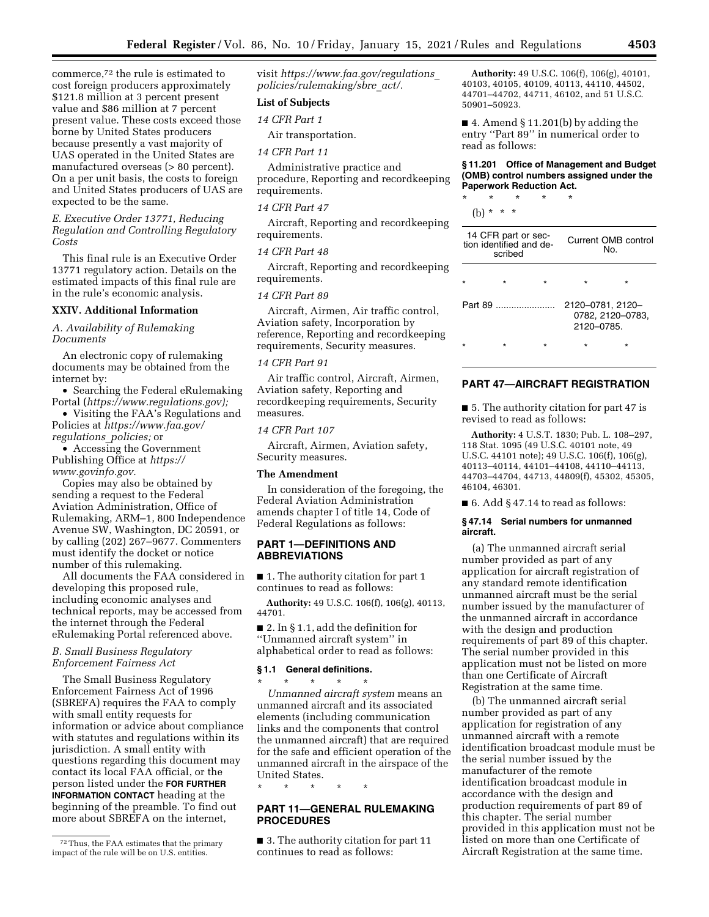commerce,72 the rule is estimated to cost foreign producers approximately \$121.8 million at 3 percent present value and \$86 million at 7 percent present value. These costs exceed those borne by United States producers because presently a vast majority of UAS operated in the United States are manufactured overseas (> 80 percent). On a per unit basis, the costs to foreign and United States producers of UAS are expected to be the same.

*E. Executive Order 13771, Reducing Regulation and Controlling Regulatory Costs* 

This final rule is an Executive Order 13771 regulatory action. Details on the estimated impacts of this final rule are in the rule's economic analysis.

### **XXIV. Additional Information**

### *A. Availability of Rulemaking Documents*

An electronic copy of rulemaking documents may be obtained from the internet by:

• Searching the Federal eRulemaking Portal (*https://www.regulations.gov);* 

• Visiting the FAA's Regulations and Policies at *https://www.faa.gov/ regulations*\_*policies;* or

• Accessing the Government Publishing Office at *https:// www.govinfo.gov.* 

Copies may also be obtained by sending a request to the Federal Aviation Administration, Office of Rulemaking, ARM–1, 800 Independence Avenue SW, Washington, DC 20591, or by calling (202) 267–9677. Commenters must identify the docket or notice number of this rulemaking.

All documents the FAA considered in developing this proposed rule, including economic analyses and technical reports, may be accessed from the internet through the Federal eRulemaking Portal referenced above.

#### *B. Small Business Regulatory Enforcement Fairness Act*

The Small Business Regulatory Enforcement Fairness Act of 1996 (SBREFA) requires the FAA to comply with small entity requests for information or advice about compliance with statutes and regulations within its jurisdiction. A small entity with questions regarding this document may contact its local FAA official, or the person listed under the **FOR FURTHER INFORMATION CONTACT** heading at the beginning of the preamble. To find out more about SBREFA on the internet,

visit *https://www.faa.gov/regulations*\_ *policies/rulemaking/sbre*\_*act/.* 

## **List of Subjects**

## *14 CFR Part 1*

Air transportation.

### *14 CFR Part 11*

Administrative practice and procedure, Reporting and recordkeeping requirements.

#### *14 CFR Part 47*

Aircraft, Reporting and recordkeeping requirements.

#### *14 CFR Part 48*

Aircraft, Reporting and recordkeeping requirements.

### *14 CFR Part 89*

Aircraft, Airmen, Air traffic control, Aviation safety, Incorporation by reference, Reporting and recordkeeping requirements, Security measures.

## *14 CFR Part 91*

Air traffic control, Aircraft, Airmen, Aviation safety, Reporting and recordkeeping requirements, Security measures.

#### *14 CFR Part 107*

Aircraft, Airmen, Aviation safety, Security measures.

#### **The Amendment**

In consideration of the foregoing, the Federal Aviation Administration amends chapter I of title 14, Code of Federal Regulations as follows:

### **PART 1—DEFINITIONS AND ABBREVIATIONS**

■ 1. The authority citation for part 1 continues to read as follows:

**Authority:** 49 U.S.C. 106(f), 106(g), 40113, 44701.

■ 2. In § 1.1, add the definition for ''Unmanned aircraft system'' in alphabetical order to read as follows:

## **§ 1.1 General definitions.**

\* \* \* \* \* *Unmanned aircraft system* means an unmanned aircraft and its associated elements (including communication links and the components that control the unmanned aircraft) that are required for the safe and efficient operation of the unmanned aircraft in the airspace of the United States.

\* \* \* \* \*

## **PART 11—GENERAL RULEMAKING PROCEDURES**

■ 3. The authority citation for part 11 continues to read as follows:

**Authority:** 49 U.S.C. 106(f), 106(g), 40101, 40103, 40105, 40109, 40113, 44110, 44502, 44701–44702, 44711, 46102, and 51 U.S.C. 50901–50923.

■ 4. Amend § 11.201(b) by adding the entry ''Part 89'' in numerical order to read as follows:

### **§ 11.201 Office of Management and Budget (OMB) control numbers assigned under the Paperwork Reduction Act.**

\* \* \* \* \* (b) \* \* \*

| 14 CFR part or sec-<br>tion identified and de-<br>scribed |  |  |                                | Current OMB control<br>No. |
|-----------------------------------------------------------|--|--|--------------------------------|----------------------------|
|                                                           |  |  | $\star$                        | $\star$                    |
| Part 89                                                   |  |  | 2120-0781, 2120-<br>2120-0785. | 0782, 2120-0783,           |
|                                                           |  |  |                                |                            |

#### **PART 47—AIRCRAFT REGISTRATION**

■ 5. The authority citation for part 47 is revised to read as follows:

**Authority:** 4 U.S.T. 1830; Pub. L. 108–297, 118 Stat. 1095 (49 U.S.C. 40101 note, 49 U.S.C. 44101 note); 49 U.S.C. 106(f), 106(g), 40113–40114, 44101–44108, 44110–44113, 44703–44704, 44713, 44809(f), 45302, 45305, 46104, 46301.

 $\blacksquare$  6. Add § 47.14 to read as follows:

#### **§ 47.14 Serial numbers for unmanned aircraft.**

(a) The unmanned aircraft serial number provided as part of any application for aircraft registration of any standard remote identification unmanned aircraft must be the serial number issued by the manufacturer of the unmanned aircraft in accordance with the design and production requirements of part 89 of this chapter. The serial number provided in this application must not be listed on more than one Certificate of Aircraft Registration at the same time.

(b) The unmanned aircraft serial number provided as part of any application for registration of any unmanned aircraft with a remote identification broadcast module must be the serial number issued by the manufacturer of the remote identification broadcast module in accordance with the design and production requirements of part 89 of this chapter. The serial number provided in this application must not be listed on more than one Certificate of Aircraft Registration at the same time.

<sup>72</sup>Thus, the FAA estimates that the primary impact of the rule will be on U.S. entities.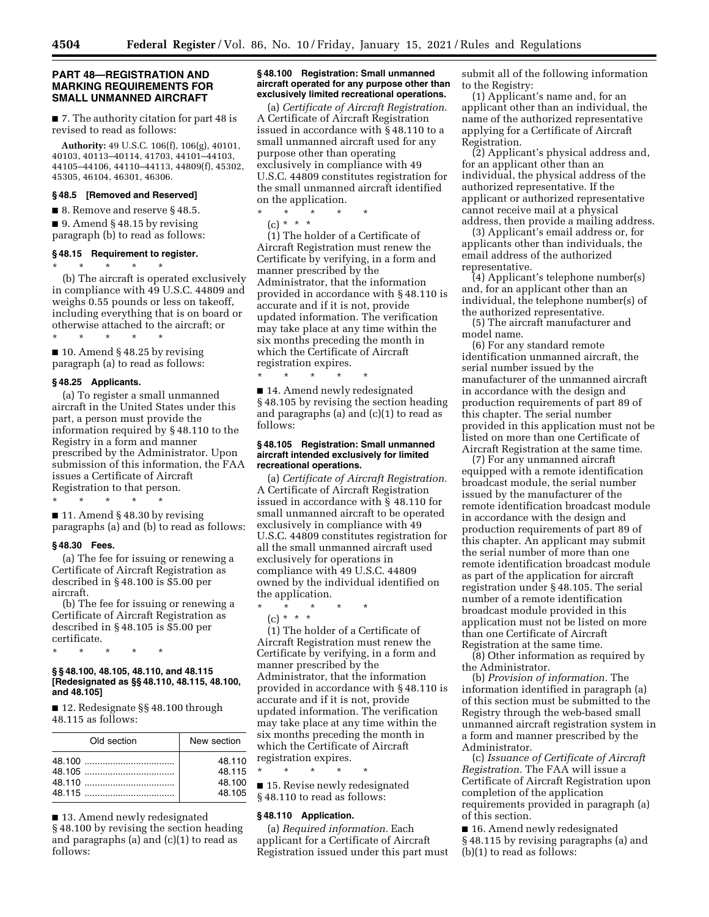## **PART 48—REGISTRATION AND MARKING REQUIREMENTS FOR SMALL UNMANNED AIRCRAFT**

■ 7. The authority citation for part 48 is revised to read as follows:

**Authority:** 49 U.S.C. 106(f), 106(g), 40101, 40103, 40113–40114, 41703, 44101–44103, 44105–44106, 44110–44113, 44809(f), 45302, 45305, 46104, 46301, 46306.

## **§ 48.5 [Removed and Reserved]**

■ 8. Remove and reserve § 48.5.

■ 9. Amend § 48.15 by revising paragraph (b) to read as follows:

#### **§ 48.15 Requirement to register.**

\* \* \* \* \* (b) The aircraft is operated exclusively in compliance with 49 U.S.C. 44809 and weighs 0.55 pounds or less on takeoff, including everything that is on board or otherwise attached to the aircraft; or

\* \* \* \* \*  $\blacksquare$  10. Amend § 48.25 by revising paragraph (a) to read as follows:

### **§ 48.25 Applicants.**

(a) To register a small unmanned aircraft in the United States under this part, a person must provide the information required by § 48.110 to the Registry in a form and manner prescribed by the Administrator. Upon submission of this information, the FAA issues a Certificate of Aircraft Registration to that person.

\* \* \* \* \*

■ 11. Amend § 48.30 by revising paragraphs (a) and (b) to read as follows:

## **§ 48.30 Fees.**

(a) The fee for issuing or renewing a Certificate of Aircraft Registration as described in § 48.100 is \$5.00 per aircraft.

(b) The fee for issuing or renewing a Certificate of Aircraft Registration as described in § 48.105 is \$5.00 per certificate.

\* \* \* \* \*

#### **§ § 48.100, 48.105, 48.110, and 48.115 [Redesignated as §§ 48.110, 48.115, 48.100, and 48.105]**

■ 12. Redesignate §§ 48.100 through 48.115 as follows:

| Old section | New section |
|-------------|-------------|
|             | 48.110      |
|             | 48.115      |
|             | 48.100      |
|             | 48.105      |

■ 13. Amend newly redesignated

§ 48.100 by revising the section heading and paragraphs (a) and (c)(1) to read as follows:

#### **§ 48.100 Registration: Small unmanned aircraft operated for any purpose other than exclusively limited recreational operations.**

(a) *Certificate of Aircraft Registration.*  A Certificate of Aircraft Registration issued in accordance with § 48.110 to a small unmanned aircraft used for any purpose other than operating exclusively in compliance with 49 U.S.C. 44809 constitutes registration for the small unmanned aircraft identified on the application.

\* \* \* \* \* (c) \* \* \*

\* \* \* \* \*

(1) The holder of a Certificate of Aircraft Registration must renew the Certificate by verifying, in a form and manner prescribed by the Administrator, that the information provided in accordance with § 48.110 is accurate and if it is not, provide updated information. The verification may take place at any time within the six months preceding the month in which the Certificate of Aircraft registration expires.

■ 14. Amend newly redesignated § 48.105 by revising the section heading and paragraphs (a) and (c)(1) to read as follows:

#### **§ 48.105 Registration: Small unmanned aircraft intended exclusively for limited recreational operations.**

(a) *Certificate of Aircraft Registration.*  A Certificate of Aircraft Registration issued in accordance with § 48.110 for small unmanned aircraft to be operated exclusively in compliance with 49 U.S.C. 44809 constitutes registration for all the small unmanned aircraft used exclusively for operations in compliance with 49 U.S.C. 44809 owned by the individual identified on the application.

\* \* \* \* \* (c) \* \* \*

(1) The holder of a Certificate of Aircraft Registration must renew the Certificate by verifying, in a form and manner prescribed by the Administrator, that the information provided in accordance with § 48.110 is accurate and if it is not, provide updated information. The verification may take place at any time within the six months preceding the month in which the Certificate of Aircraft registration expires.

\* \* \* \* \* ■ 15. Revise newly redesignated

§ 48.110 to read as follows:

## **§ 48.110 Application.**

(a) *Required information.* Each applicant for a Certificate of Aircraft Registration issued under this part must

submit all of the following information to the Registry:

(1) Applicant's name and, for an applicant other than an individual, the name of the authorized representative applying for a Certificate of Aircraft Registration.

(2) Applicant's physical address and, for an applicant other than an individual, the physical address of the authorized representative. If the applicant or authorized representative cannot receive mail at a physical address, then provide a mailing address.

(3) Applicant's email address or, for applicants other than individuals, the email address of the authorized representative.

(4) Applicant's telephone number(s) and, for an applicant other than an individual, the telephone number(s) of the authorized representative.

(5) The aircraft manufacturer and model name.

(6) For any standard remote identification unmanned aircraft, the serial number issued by the manufacturer of the unmanned aircraft in accordance with the design and production requirements of part 89 of this chapter. The serial number provided in this application must not be listed on more than one Certificate of Aircraft Registration at the same time.

(7) For any unmanned aircraft equipped with a remote identification broadcast module, the serial number issued by the manufacturer of the remote identification broadcast module in accordance with the design and production requirements of part 89 of this chapter. An applicant may submit the serial number of more than one remote identification broadcast module as part of the application for aircraft registration under § 48.105. The serial number of a remote identification broadcast module provided in this application must not be listed on more than one Certificate of Aircraft Registration at the same time.

(8) Other information as required by the Administrator.

(b) *Provision of information.* The information identified in paragraph (a) of this section must be submitted to the Registry through the web-based small unmanned aircraft registration system in a form and manner prescribed by the Administrator.

(c) *Issuance of Certificate of Aircraft Registration.* The FAA will issue a Certificate of Aircraft Registration upon completion of the application requirements provided in paragraph (a) of this section.

■ 16. Amend newly redesignated § 48.115 by revising paragraphs (a) and (b)(1) to read as follows: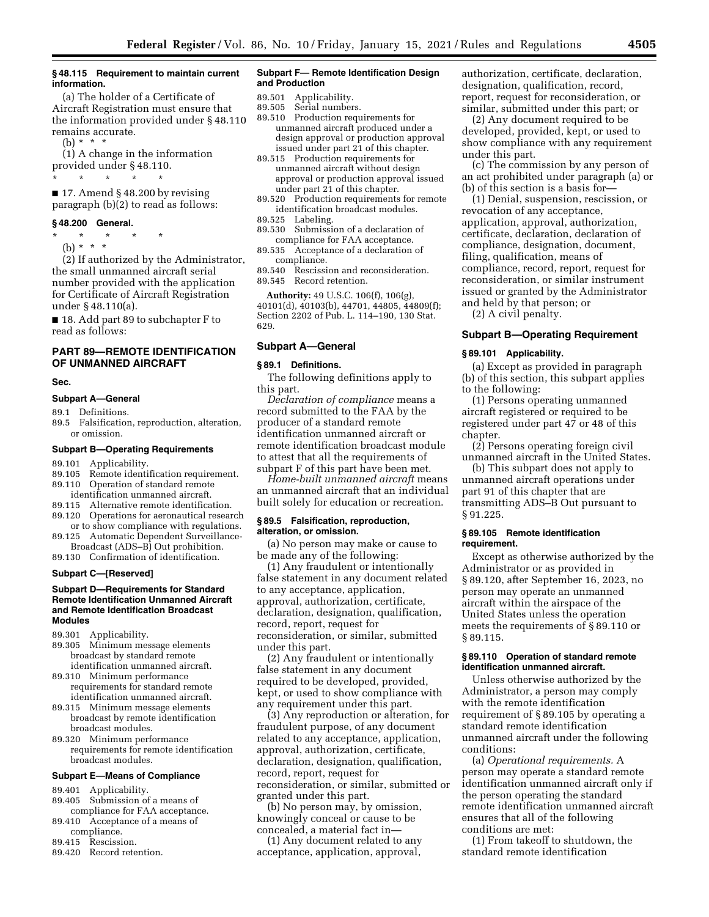#### **§ 48.115 Requirement to maintain current information.**

(a) The holder of a Certificate of Aircraft Registration must ensure that the information provided under § 48.110 remains accurate.

(b) \* \* \*

(1) A change in the information provided under § 48.110.

\* \* \* \* \*

 $\blacksquare$  17. Amend § 48.200 by revising paragraph (b)(2) to read as follows:

#### **§ 48.200 General.**

- \* \* \* \* \*
- (b)  $* * * *$

(2) If authorized by the Administrator, the small unmanned aircraft serial number provided with the application for Certificate of Aircraft Registration under § 48.110(a).

■ 18. Add part 89 to subchapter F to read as follows:

## **PART 89—REMOTE IDENTIFICATION OF UNMANNED AIRCRAFT**

## **Sec.**

#### **Subpart A—General**

89.1 Definitions.

89.5 Falsification, reproduction, alteration, or omission.

#### **Subpart B—Operating Requirements**

- 89.101 Applicability.
- 89.105 Remote identification requirement. 89.110 Operation of standard remote
- identification unmanned aircraft.
- 89.115 Alternative remote identification.
- 89.120 Operations for aeronautical research or to show compliance with regulations.
- 89.125 Automatic Dependent Surveillance-Broadcast (ADS–B) Out prohibition. 89.130 Confirmation of identification.

#### **Subpart C—[Reserved]**

#### **Subpart D—Requirements for Standard Remote Identification Unmanned Aircraft and Remote Identification Broadcast Modules**

89.301 Applicability.

- 89.305 Minimum message elements broadcast by standard remote identification unmanned aircraft.
- 89.310 Minimum performance requirements for standard remote identification unmanned aircraft.
- 89.315 Minimum message elements broadcast by remote identification broadcast modules.
- 89.320 Minimum performance requirements for remote identification broadcast modules.

## **Subpart E—Means of Compliance**

- 89.401 Applicability.<br>89.405 Submission of
- Submission of a means of
- compliance for FAA acceptance. 89.410 Acceptance of a means of
- compliance.
- 89.415 Rescission.
- 89.420 Record retention.

#### **Subpart F— Remote Identification Design and Production**

- 89.501 Applicability.
- Serial numbers.
- 89.510 Production requirements for unmanned aircraft produced under a design approval or production approval issued under part 21 of this chapter.
- 89.515 Production requirements for unmanned aircraft without design approval or production approval issued under part 21 of this chapter.
- 89.520 Production requirements for remote identification broadcast modules.
- 89.525 Labeling.
- 89.530 Submission of a declaration of compliance for FAA acceptance.
- 89.535 Acceptance of a declaration of compliance.
- 89.540 Rescission and reconsideration. 89.545 Record retention.

**Authority:** 49 U.S.C. 106(f), 106(g), 40101(d), 40103(b), 44701, 44805, 44809(f); Section 2202 of Pub. L. 114–190, 130 Stat. 629.

#### **Subpart A—General**

#### **§ 89.1 Definitions.**

The following definitions apply to this part.

*Declaration of compliance* means a record submitted to the FAA by the producer of a standard remote identification unmanned aircraft or remote identification broadcast module to attest that all the requirements of subpart F of this part have been met.

*Home-built unmanned aircraft* means an unmanned aircraft that an individual built solely for education or recreation.

#### **§ 89.5 Falsification, reproduction, alteration, or omission.**

(a) No person may make or cause to be made any of the following:

(1) Any fraudulent or intentionally false statement in any document related to any acceptance, application, approval, authorization, certificate, declaration, designation, qualification, record, report, request for reconsideration, or similar, submitted under this part.

(2) Any fraudulent or intentionally false statement in any document required to be developed, provided, kept, or used to show compliance with any requirement under this part.

(3) Any reproduction or alteration, for fraudulent purpose, of any document related to any acceptance, application, approval, authorization, certificate, declaration, designation, qualification, record, report, request for reconsideration, or similar, submitted or granted under this part.

(b) No person may, by omission, knowingly conceal or cause to be concealed, a material fact in—

(1) Any document related to any acceptance, application, approval,

authorization, certificate, declaration, designation, qualification, record, report, request for reconsideration, or similar, submitted under this part; or

(2) Any document required to be developed, provided, kept, or used to show compliance with any requirement under this part.

(c) The commission by any person of an act prohibited under paragraph (a) or (b) of this section is a basis for—

(1) Denial, suspension, rescission, or revocation of any acceptance, application, approval, authorization, certificate, declaration, declaration of compliance, designation, document, filing, qualification, means of compliance, record, report, request for reconsideration, or similar instrument issued or granted by the Administrator and held by that person; or

(2) A civil penalty.

#### **Subpart B—Operating Requirement**

#### **§ 89.101 Applicability.**

(a) Except as provided in paragraph (b) of this section, this subpart applies to the following:

(1) Persons operating unmanned aircraft registered or required to be registered under part 47 or 48 of this chapter.

(2) Persons operating foreign civil unmanned aircraft in the United States.

(b) This subpart does not apply to unmanned aircraft operations under part 91 of this chapter that are transmitting ADS–B Out pursuant to § 91.225.

#### **§ 89.105 Remote identification requirement.**

Except as otherwise authorized by the Administrator or as provided in § 89.120, after September 16, 2023, no person may operate an unmanned aircraft within the airspace of the United States unless the operation meets the requirements of § 89.110 or § 89.115.

### **§ 89.110 Operation of standard remote identification unmanned aircraft.**

Unless otherwise authorized by the Administrator, a person may comply with the remote identification requirement of § 89.105 by operating a standard remote identification unmanned aircraft under the following conditions:

(a) *Operational requirements.* A person may operate a standard remote identification unmanned aircraft only if the person operating the standard remote identification unmanned aircraft ensures that all of the following conditions are met:

(1) From takeoff to shutdown, the standard remote identification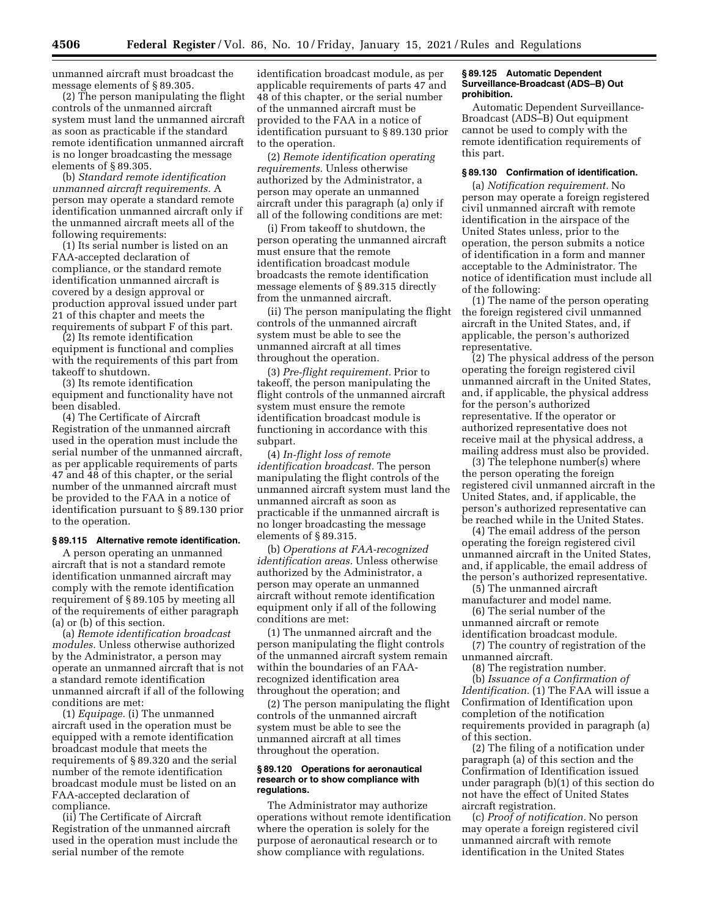unmanned aircraft must broadcast the message elements of § 89.305.

(2) The person manipulating the flight controls of the unmanned aircraft system must land the unmanned aircraft as soon as practicable if the standard remote identification unmanned aircraft is no longer broadcasting the message elements of § 89.305.

(b) *Standard remote identification unmanned aircraft requirements.* A person may operate a standard remote identification unmanned aircraft only if the unmanned aircraft meets all of the following requirements:

(1) Its serial number is listed on an FAA-accepted declaration of compliance, or the standard remote identification unmanned aircraft is covered by a design approval or production approval issued under part 21 of this chapter and meets the requirements of subpart F of this part.

(2) Its remote identification equipment is functional and complies with the requirements of this part from takeoff to shutdown.

(3) Its remote identification equipment and functionality have not been disabled.

(4) The Certificate of Aircraft Registration of the unmanned aircraft used in the operation must include the serial number of the unmanned aircraft, as per applicable requirements of parts 47 and 48 of this chapter, or the serial number of the unmanned aircraft must be provided to the FAA in a notice of identification pursuant to § 89.130 prior to the operation.

#### **§ 89.115 Alternative remote identification.**

A person operating an unmanned aircraft that is not a standard remote identification unmanned aircraft may comply with the remote identification requirement of § 89.105 by meeting all of the requirements of either paragraph (a) or (b) of this section.

(a) *Remote identification broadcast modules.* Unless otherwise authorized by the Administrator, a person may operate an unmanned aircraft that is not a standard remote identification unmanned aircraft if all of the following conditions are met:

(1) *Equipage.* (i) The unmanned aircraft used in the operation must be equipped with a remote identification broadcast module that meets the requirements of § 89.320 and the serial number of the remote identification broadcast module must be listed on an FAA-accepted declaration of compliance.

(ii) The Certificate of Aircraft Registration of the unmanned aircraft used in the operation must include the serial number of the remote

identification broadcast module, as per applicable requirements of parts 47 and 48 of this chapter, or the serial number of the unmanned aircraft must be provided to the FAA in a notice of identification pursuant to § 89.130 prior to the operation.

(2) *Remote identification operating requirements.* Unless otherwise authorized by the Administrator, a person may operate an unmanned aircraft under this paragraph (a) only if all of the following conditions are met:

(i) From takeoff to shutdown, the person operating the unmanned aircraft must ensure that the remote identification broadcast module broadcasts the remote identification message elements of § 89.315 directly from the unmanned aircraft.

(ii) The person manipulating the flight controls of the unmanned aircraft system must be able to see the unmanned aircraft at all times throughout the operation.

(3) *Pre-flight requirement.* Prior to takeoff, the person manipulating the flight controls of the unmanned aircraft system must ensure the remote identification broadcast module is functioning in accordance with this subpart.

(4) *In-flight loss of remote identification broadcast.* The person manipulating the flight controls of the unmanned aircraft system must land the unmanned aircraft as soon as practicable if the unmanned aircraft is no longer broadcasting the message elements of § 89.315.

(b) *Operations at FAA-recognized identification areas.* Unless otherwise authorized by the Administrator, a person may operate an unmanned aircraft without remote identification equipment only if all of the following conditions are met:

(1) The unmanned aircraft and the person manipulating the flight controls of the unmanned aircraft system remain within the boundaries of an FAArecognized identification area throughout the operation; and

(2) The person manipulating the flight controls of the unmanned aircraft system must be able to see the unmanned aircraft at all times throughout the operation.

#### **§ 89.120 Operations for aeronautical research or to show compliance with regulations.**

The Administrator may authorize operations without remote identification where the operation is solely for the purpose of aeronautical research or to show compliance with regulations.

## **§ 89.125 Automatic Dependent Surveillance-Broadcast (ADS–B) Out prohibition.**

Automatic Dependent Surveillance-Broadcast (ADS–B) Out equipment cannot be used to comply with the remote identification requirements of this part.

## **§ 89.130 Confirmation of identification.**

(a) *Notification requirement.* No person may operate a foreign registered civil unmanned aircraft with remote identification in the airspace of the United States unless, prior to the operation, the person submits a notice of identification in a form and manner acceptable to the Administrator. The notice of identification must include all of the following:

(1) The name of the person operating the foreign registered civil unmanned aircraft in the United States, and, if applicable, the person's authorized representative.

(2) The physical address of the person operating the foreign registered civil unmanned aircraft in the United States, and, if applicable, the physical address for the person's authorized representative. If the operator or authorized representative does not receive mail at the physical address, a mailing address must also be provided.

(3) The telephone number(s) where the person operating the foreign registered civil unmanned aircraft in the United States, and, if applicable, the person's authorized representative can be reached while in the United States.

(4) The email address of the person operating the foreign registered civil unmanned aircraft in the United States, and, if applicable, the email address of the person's authorized representative.

(5) The unmanned aircraft manufacturer and model name.

(6) The serial number of the unmanned aircraft or remote identification broadcast module.

(7) The country of registration of the unmanned aircraft.

(8) The registration number. (b) *Issuance of a Confirmation of Identification.* (1) The FAA will issue a Confirmation of Identification upon completion of the notification requirements provided in paragraph (a) of this section.

(2) The filing of a notification under paragraph (a) of this section and the Confirmation of Identification issued under paragraph (b)(1) of this section do not have the effect of United States aircraft registration.

(c) *Proof of notification.* No person may operate a foreign registered civil unmanned aircraft with remote identification in the United States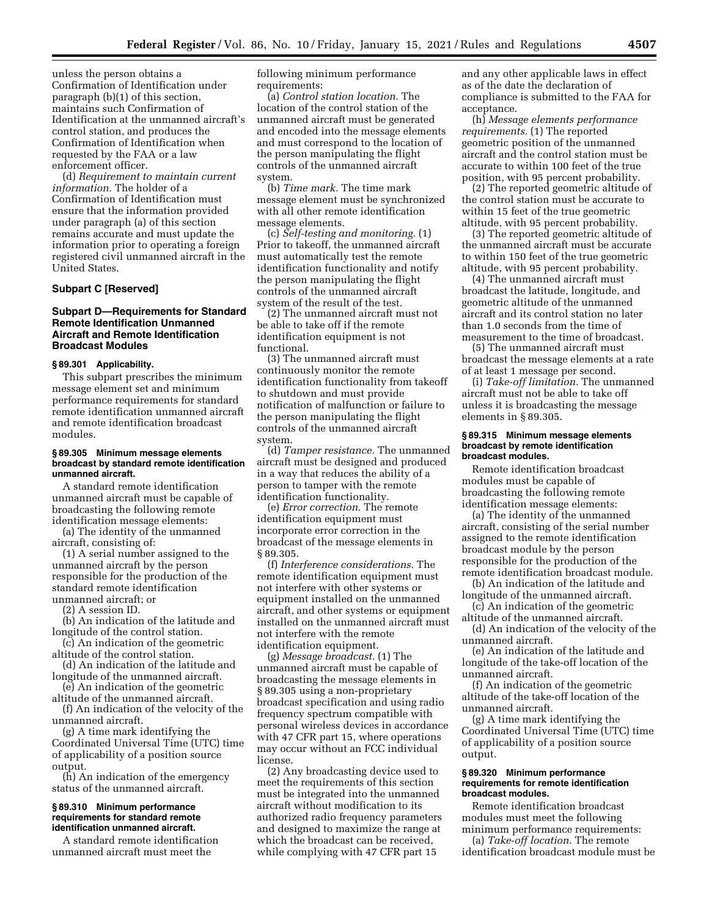unless the person obtains a Confirmation of Identification under paragraph (b)(1) of this section, maintains such Confirmation of Identification at the unmanned aircraft's control station, and produces the Confirmation of Identification when requested by the FAA or a law enforcement officer.

(d) *Requirement to maintain current information.* The holder of a Confirmation of Identification must ensure that the information provided under paragraph (a) of this section remains accurate and must update the information prior to operating a foreign registered civil unmanned aircraft in the United States.

#### **Subpart C [Reserved]**

## **Subpart D—Requirements for Standard Remote Identification Unmanned Aircraft and Remote Identification Broadcast Modules**

#### **§ 89.301 Applicability.**

This subpart prescribes the minimum message element set and minimum performance requirements for standard remote identification unmanned aircraft and remote identification broadcast modules.

#### **§ 89.305 Minimum message elements broadcast by standard remote identification unmanned aircraft.**

A standard remote identification unmanned aircraft must be capable of broadcasting the following remote identification message elements:

(a) The identity of the unmanned aircraft, consisting of:

(1) A serial number assigned to the unmanned aircraft by the person responsible for the production of the standard remote identification unmanned aircraft; or

(2) A session ID.

(b) An indication of the latitude and longitude of the control station.

- (c) An indication of the geometric altitude of the control station.
- (d) An indication of the latitude and longitude of the unmanned aircraft.

(e) An indication of the geometric altitude of the unmanned aircraft.

(f) An indication of the velocity of the unmanned aircraft.

(g) A time mark identifying the Coordinated Universal Time (UTC) time of applicability of a position source output.

(h) An indication of the emergency status of the unmanned aircraft.

#### **§ 89.310 Minimum performance requirements for standard remote identification unmanned aircraft.**

A standard remote identification unmanned aircraft must meet the

following minimum performance requirements:

(a) *Control station location.* The location of the control station of the unmanned aircraft must be generated and encoded into the message elements and must correspond to the location of the person manipulating the flight controls of the unmanned aircraft system.

(b) *Time mark.* The time mark message element must be synchronized with all other remote identification message elements.

(c) *Self-testing and monitoring.* (1) Prior to takeoff, the unmanned aircraft must automatically test the remote identification functionality and notify the person manipulating the flight controls of the unmanned aircraft system of the result of the test.

(2) The unmanned aircraft must not be able to take off if the remote identification equipment is not functional.

(3) The unmanned aircraft must continuously monitor the remote identification functionality from takeoff to shutdown and must provide notification of malfunction or failure to the person manipulating the flight controls of the unmanned aircraft system.

(d) *Tamper resistance.* The unmanned aircraft must be designed and produced in a way that reduces the ability of a person to tamper with the remote identification functionality.

(e) *Error correction.* The remote identification equipment must incorporate error correction in the broadcast of the message elements in § 89.305.

(f) *Interference considerations.* The remote identification equipment must not interfere with other systems or equipment installed on the unmanned aircraft, and other systems or equipment installed on the unmanned aircraft must not interfere with the remote identification equipment.

(g) *Message broadcast.* (1) The unmanned aircraft must be capable of broadcasting the message elements in § 89.305 using a non-proprietary broadcast specification and using radio frequency spectrum compatible with personal wireless devices in accordance with 47 CFR part 15, where operations may occur without an FCC individual license.

(2) Any broadcasting device used to meet the requirements of this section must be integrated into the unmanned aircraft without modification to its authorized radio frequency parameters and designed to maximize the range at which the broadcast can be received, while complying with 47 CFR part 15

and any other applicable laws in effect as of the date the declaration of compliance is submitted to the FAA for acceptance.

(h) *Message elements performance requirements.* (1) The reported geometric position of the unmanned aircraft and the control station must be accurate to within 100 feet of the true position, with 95 percent probability.

(2) The reported geometric altitude of the control station must be accurate to within 15 feet of the true geometric altitude, with 95 percent probability.

(3) The reported geometric altitude of the unmanned aircraft must be accurate to within 150 feet of the true geometric altitude, with 95 percent probability.

(4) The unmanned aircraft must broadcast the latitude, longitude, and geometric altitude of the unmanned aircraft and its control station no later than 1.0 seconds from the time of measurement to the time of broadcast.

(5) The unmanned aircraft must broadcast the message elements at a rate of at least 1 message per second.

(i) *Take-off limitation.* The unmanned aircraft must not be able to take off unless it is broadcasting the message elements in § 89.305.

#### **§ 89.315 Minimum message elements broadcast by remote identification broadcast modules.**

Remote identification broadcast modules must be capable of broadcasting the following remote identification message elements:

(a) The identity of the unmanned aircraft, consisting of the serial number assigned to the remote identification broadcast module by the person responsible for the production of the remote identification broadcast module.

(b) An indication of the latitude and longitude of the unmanned aircraft.

(c) An indication of the geometric altitude of the unmanned aircraft.

(d) An indication of the velocity of the unmanned aircraft.

(e) An indication of the latitude and longitude of the take-off location of the unmanned aircraft.

(f) An indication of the geometric altitude of the take-off location of the unmanned aircraft.

(g) A time mark identifying the Coordinated Universal Time (UTC) time of applicability of a position source output.

#### **§ 89.320 Minimum performance requirements for remote identification broadcast modules.**

Remote identification broadcast modules must meet the following minimum performance requirements:

(a) *Take-off location.* The remote identification broadcast module must be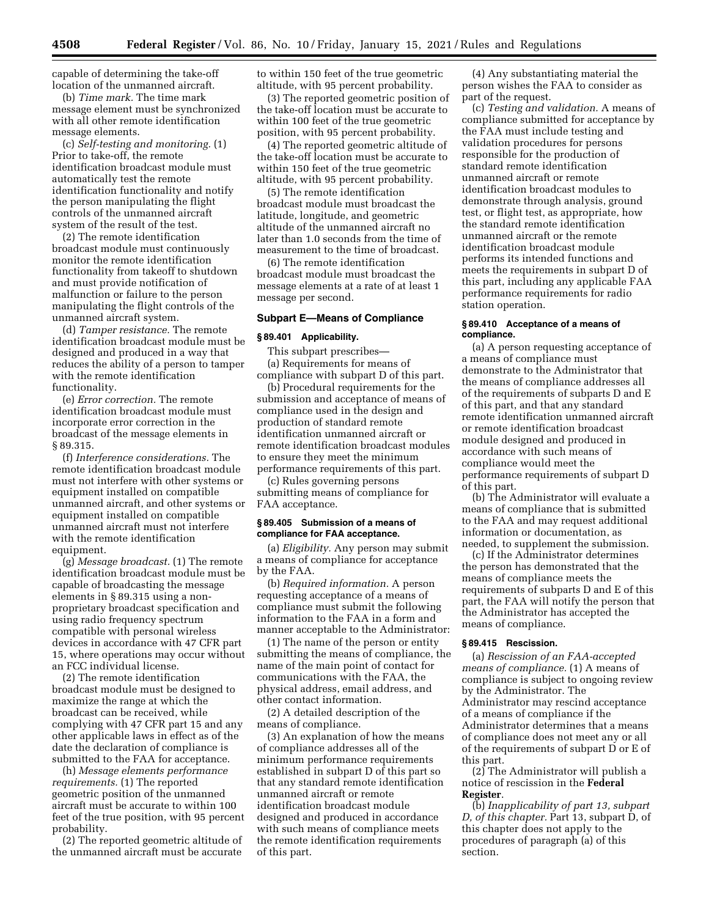capable of determining the take-off location of the unmanned aircraft.

(b) *Time mark.* The time mark message element must be synchronized with all other remote identification message elements.

(c) *Self-testing and monitoring.* (1) Prior to take-off, the remote identification broadcast module must automatically test the remote identification functionality and notify the person manipulating the flight controls of the unmanned aircraft system of the result of the test.

(2) The remote identification broadcast module must continuously monitor the remote identification functionality from takeoff to shutdown and must provide notification of malfunction or failure to the person manipulating the flight controls of the unmanned aircraft system.

(d) *Tamper resistance.* The remote identification broadcast module must be designed and produced in a way that reduces the ability of a person to tamper with the remote identification functionality.

(e) *Error correction.* The remote identification broadcast module must incorporate error correction in the broadcast of the message elements in § 89.315.

(f) *Interference considerations.* The remote identification broadcast module must not interfere with other systems or equipment installed on compatible unmanned aircraft, and other systems or equipment installed on compatible unmanned aircraft must not interfere with the remote identification equipment.

(g) *Message broadcast.* (1) The remote identification broadcast module must be capable of broadcasting the message elements in § 89.315 using a nonproprietary broadcast specification and using radio frequency spectrum compatible with personal wireless devices in accordance with 47 CFR part 15, where operations may occur without an FCC individual license.

(2) The remote identification broadcast module must be designed to maximize the range at which the broadcast can be received, while complying with 47 CFR part 15 and any other applicable laws in effect as of the date the declaration of compliance is submitted to the FAA for acceptance.

(h) *Message elements performance requirements.* (1) The reported geometric position of the unmanned aircraft must be accurate to within 100 feet of the true position, with 95 percent probability.

(2) The reported geometric altitude of the unmanned aircraft must be accurate to within 150 feet of the true geometric altitude, with 95 percent probability.

(3) The reported geometric position of the take-off location must be accurate to within 100 feet of the true geometric position, with 95 percent probability.

(4) The reported geometric altitude of the take-off location must be accurate to within 150 feet of the true geometric altitude, with 95 percent probability.

(5) The remote identification broadcast module must broadcast the latitude, longitude, and geometric altitude of the unmanned aircraft no later than 1.0 seconds from the time of measurement to the time of broadcast.

(6) The remote identification broadcast module must broadcast the message elements at a rate of at least 1 message per second.

## **Subpart E—Means of Compliance**

#### **§ 89.401 Applicability.**

This subpart prescribes—

(a) Requirements for means of compliance with subpart D of this part.

(b) Procedural requirements for the submission and acceptance of means of compliance used in the design and production of standard remote identification unmanned aircraft or remote identification broadcast modules to ensure they meet the minimum performance requirements of this part.

(c) Rules governing persons submitting means of compliance for FAA acceptance.

#### **§ 89.405 Submission of a means of compliance for FAA acceptance.**

(a) *Eligibility.* Any person may submit a means of compliance for acceptance by the FAA.

(b) *Required information.* A person requesting acceptance of a means of compliance must submit the following information to the FAA in a form and manner acceptable to the Administrator:

(1) The name of the person or entity submitting the means of compliance, the name of the main point of contact for communications with the FAA, the physical address, email address, and other contact information.

(2) A detailed description of the means of compliance.

(3) An explanation of how the means of compliance addresses all of the minimum performance requirements established in subpart D of this part so that any standard remote identification unmanned aircraft or remote identification broadcast module designed and produced in accordance with such means of compliance meets the remote identification requirements of this part.

(4) Any substantiating material the person wishes the FAA to consider as part of the request.

(c) *Testing and validation.* A means of compliance submitted for acceptance by the FAA must include testing and validation procedures for persons responsible for the production of standard remote identification unmanned aircraft or remote identification broadcast modules to demonstrate through analysis, ground test, or flight test, as appropriate, how the standard remote identification unmanned aircraft or the remote identification broadcast module performs its intended functions and meets the requirements in subpart D of this part, including any applicable FAA performance requirements for radio station operation.

#### **§ 89.410 Acceptance of a means of compliance.**

(a) A person requesting acceptance of a means of compliance must demonstrate to the Administrator that the means of compliance addresses all of the requirements of subparts D and E of this part, and that any standard remote identification unmanned aircraft or remote identification broadcast module designed and produced in accordance with such means of compliance would meet the performance requirements of subpart D of this part.

(b) The Administrator will evaluate a means of compliance that is submitted to the FAA and may request additional information or documentation, as needed, to supplement the submission.

(c) If the Administrator determines the person has demonstrated that the means of compliance meets the requirements of subparts D and E of this part, the FAA will notify the person that the Administrator has accepted the means of compliance.

## **§ 89.415 Rescission.**

(a) *Rescission of an FAA-accepted means of compliance.* (1) A means of compliance is subject to ongoing review by the Administrator. The Administrator may rescind acceptance of a means of compliance if the Administrator determines that a means of compliance does not meet any or all of the requirements of subpart D or E of this part.

(2) The Administrator will publish a notice of rescission in the **Federal Register**.

(b) *Inapplicability of part 13, subpart D, of this chapter.* Part 13, subpart D, of this chapter does not apply to the procedures of paragraph (a) of this section.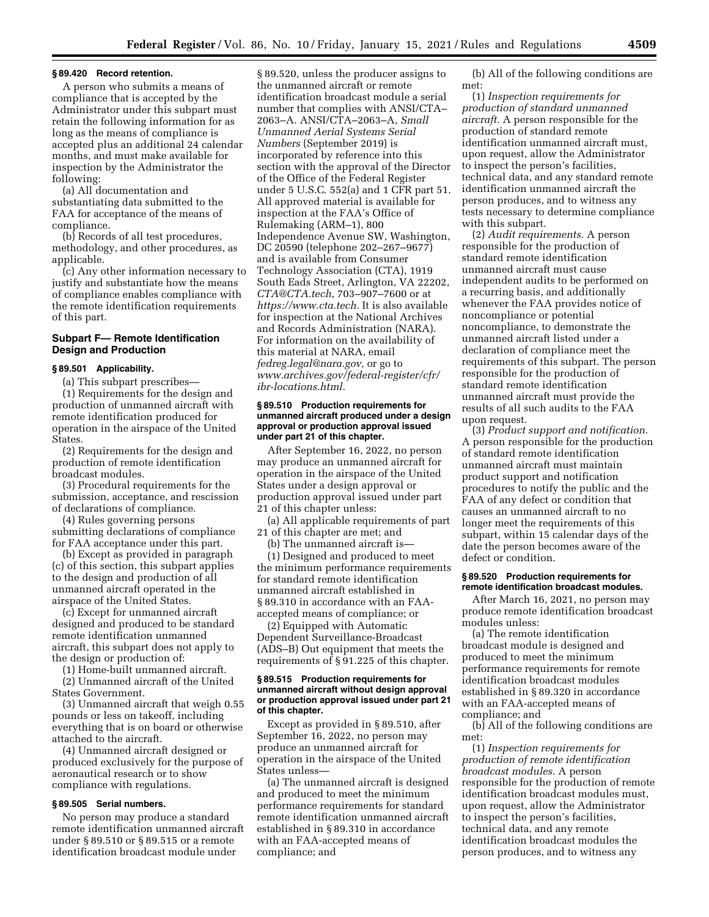#### **§ 89.420 Record retention.**

A person who submits a means of compliance that is accepted by the Administrator under this subpart must retain the following information for as long as the means of compliance is accepted plus an additional 24 calendar months, and must make available for inspection by the Administrator the following:

(a) All documentation and substantiating data submitted to the FAA for acceptance of the means of compliance.

(b) Records of all test procedures, methodology, and other procedures, as applicable.

(c) Any other information necessary to justify and substantiate how the means of compliance enables compliance with the remote identification requirements of this part.

## **Subpart F— Remote Identification Design and Production**

#### **§ 89.501 Applicability.**

(a) This subpart prescribes—

(1) Requirements for the design and production of unmanned aircraft with remote identification produced for operation in the airspace of the United States.

(2) Requirements for the design and production of remote identification broadcast modules.

(3) Procedural requirements for the submission, acceptance, and rescission of declarations of compliance.

(4) Rules governing persons submitting declarations of compliance for FAA acceptance under this part.

(b) Except as provided in paragraph (c) of this section, this subpart applies to the design and production of all unmanned aircraft operated in the airspace of the United States.

(c) Except for unmanned aircraft designed and produced to be standard remote identification unmanned aircraft, this subpart does not apply to the design or production of:

(1) Home-built unmanned aircraft.

(2) Unmanned aircraft of the United States Government.

(3) Unmanned aircraft that weigh 0.55 pounds or less on takeoff, including everything that is on board or otherwise attached to the aircraft.

(4) Unmanned aircraft designed or produced exclusively for the purpose of aeronautical research or to show compliance with regulations.

## **§ 89.505 Serial numbers.**

No person may produce a standard remote identification unmanned aircraft under § 89.510 or § 89.515 or a remote identification broadcast module under

§ 89.520, unless the producer assigns to the unmanned aircraft or remote identification broadcast module a serial number that complies with ANSI/CTA– 2063–A. ANSI/CTA–2063–A, *Small Unmanned Aerial Systems Serial Numbers* (September 2019) is incorporated by reference into this section with the approval of the Director of the Office of the Federal Register under 5 U.S.C. 552(a) and 1 CFR part 51. All approved material is available for inspection at the FAA's Office of Rulemaking (ARM–1), 800 Independence Avenue SW, Washington, DC 20590 (telephone 202–267–9677) and is available from Consumer Technology Association (CTA), 1919 South Eads Street, Arlington, VA 22202, *CTA@CTA.tech*, 703–907–7600 or at *https://www.cta.tech.* It is also available for inspection at the National Archives and Records Administration (NARA). For information on the availability of this material at NARA, email *fedreg.legal@nara.gov,* or go to *www.archives.gov/federal-register/cfr/ ibr-locations.html.* 

#### **§ 89.510 Production requirements for unmanned aircraft produced under a design approval or production approval issued under part 21 of this chapter.**

After September 16, 2022, no person may produce an unmanned aircraft for operation in the airspace of the United States under a design approval or production approval issued under part 21 of this chapter unless:

(a) All applicable requirements of part 21 of this chapter are met; and

(b) The unmanned aircraft is—

(1) Designed and produced to meet the minimum performance requirements for standard remote identification unmanned aircraft established in § 89.310 in accordance with an FAAaccepted means of compliance; or

(2) Equipped with Automatic Dependent Surveillance-Broadcast (ADS–B) Out equipment that meets the requirements of § 91.225 of this chapter.

#### **§ 89.515 Production requirements for unmanned aircraft without design approval or production approval issued under part 21 of this chapter.**

Except as provided in § 89.510, after September 16, 2022, no person may produce an unmanned aircraft for operation in the airspace of the United States unless—

(a) The unmanned aircraft is designed and produced to meet the minimum performance requirements for standard remote identification unmanned aircraft established in § 89.310 in accordance with an FAA-accepted means of compliance; and

(b) All of the following conditions are met:

(1) *Inspection requirements for production of standard unmanned aircraft.* A person responsible for the production of standard remote identification unmanned aircraft must, upon request, allow the Administrator to inspect the person's facilities, technical data, and any standard remote identification unmanned aircraft the person produces, and to witness any tests necessary to determine compliance with this subpart.

(2) *Audit requirements.* A person responsible for the production of standard remote identification unmanned aircraft must cause independent audits to be performed on a recurring basis, and additionally whenever the FAA provides notice of noncompliance or potential noncompliance, to demonstrate the unmanned aircraft listed under a declaration of compliance meet the requirements of this subpart. The person responsible for the production of standard remote identification unmanned aircraft must provide the results of all such audits to the FAA upon request.

(3) *Product support and notification.*  A person responsible for the production of standard remote identification unmanned aircraft must maintain product support and notification procedures to notify the public and the FAA of any defect or condition that causes an unmanned aircraft to no longer meet the requirements of this subpart, within 15 calendar days of the date the person becomes aware of the defect or condition.

### **§ 89.520 Production requirements for remote identification broadcast modules.**

After March 16, 2021, no person may produce remote identification broadcast modules unless:

(a) The remote identification broadcast module is designed and produced to meet the minimum performance requirements for remote identification broadcast modules established in § 89.320 in accordance with an FAA-accepted means of compliance; and

(b) All of the following conditions are met:

(1) *Inspection requirements for production of remote identification broadcast modules.* A person responsible for the production of remote identification broadcast modules must, upon request, allow the Administrator to inspect the person's facilities, technical data, and any remote identification broadcast modules the person produces, and to witness any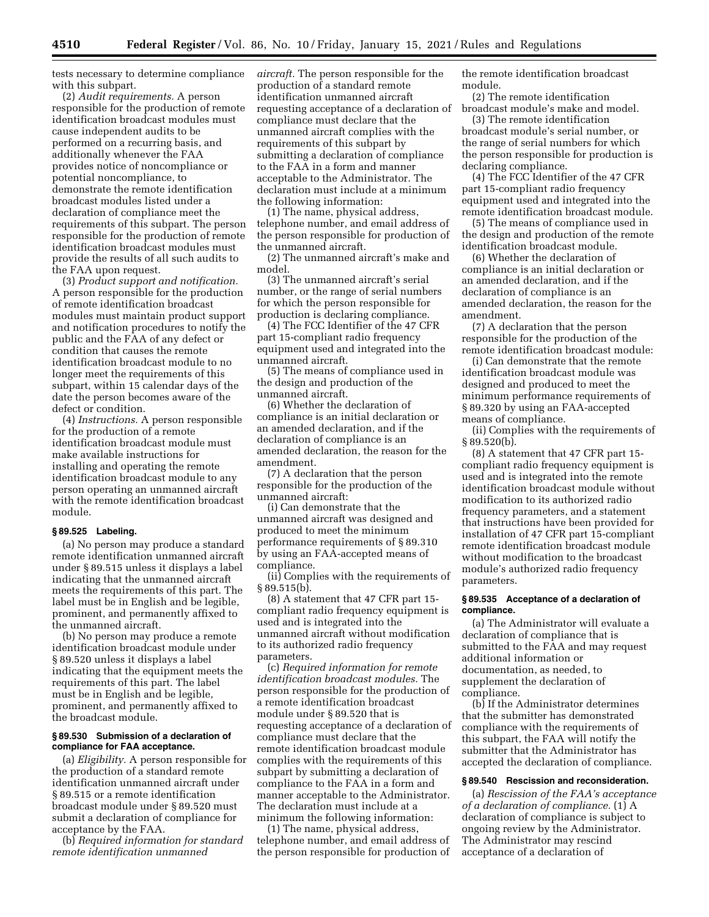tests necessary to determine compliance with this subpart.

(2) *Audit requirements.* A person responsible for the production of remote identification broadcast modules must cause independent audits to be performed on a recurring basis, and additionally whenever the FAA provides notice of noncompliance or potential noncompliance, to demonstrate the remote identification broadcast modules listed under a declaration of compliance meet the requirements of this subpart. The person responsible for the production of remote identification broadcast modules must provide the results of all such audits to the FAA upon request.

(3) *Product support and notification.*  A person responsible for the production of remote identification broadcast modules must maintain product support and notification procedures to notify the public and the FAA of any defect or condition that causes the remote identification broadcast module to no longer meet the requirements of this subpart, within 15 calendar days of the date the person becomes aware of the defect or condition.

(4) *Instructions.* A person responsible for the production of a remote identification broadcast module must make available instructions for installing and operating the remote identification broadcast module to any person operating an unmanned aircraft with the remote identification broadcast module.

#### **§ 89.525 Labeling.**

(a) No person may produce a standard remote identification unmanned aircraft under § 89.515 unless it displays a label indicating that the unmanned aircraft meets the requirements of this part. The label must be in English and be legible, prominent, and permanently affixed to the unmanned aircraft.

(b) No person may produce a remote identification broadcast module under § 89.520 unless it displays a label indicating that the equipment meets the requirements of this part. The label must be in English and be legible, prominent, and permanently affixed to the broadcast module.

## **§ 89.530 Submission of a declaration of compliance for FAA acceptance.**

(a) *Eligibility.* A person responsible for the production of a standard remote identification unmanned aircraft under § 89.515 or a remote identification broadcast module under § 89.520 must submit a declaration of compliance for acceptance by the FAA.

(b) *Required information for standard remote identification unmanned* 

*aircraft.* The person responsible for the production of a standard remote identification unmanned aircraft requesting acceptance of a declaration of compliance must declare that the unmanned aircraft complies with the requirements of this subpart by submitting a declaration of compliance to the FAA in a form and manner acceptable to the Administrator. The declaration must include at a minimum the following information:

(1) The name, physical address, telephone number, and email address of the person responsible for production of the unmanned aircraft.

(2) The unmanned aircraft's make and model.

(3) The unmanned aircraft's serial number, or the range of serial numbers for which the person responsible for production is declaring compliance.

(4) The FCC Identifier of the 47 CFR part 15-compliant radio frequency equipment used and integrated into the unmanned aircraft.

(5) The means of compliance used in the design and production of the unmanned aircraft.

(6) Whether the declaration of compliance is an initial declaration or an amended declaration, and if the declaration of compliance is an amended declaration, the reason for the amendment.

(7) A declaration that the person responsible for the production of the unmanned aircraft:

(i) Can demonstrate that the unmanned aircraft was designed and produced to meet the minimum performance requirements of § 89.310 by using an FAA-accepted means of compliance.

(ii) Complies with the requirements of  $§ 89.515(b).$ 

(8) A statement that 47 CFR part 15 compliant radio frequency equipment is used and is integrated into the unmanned aircraft without modification to its authorized radio frequency parameters.

(c) *Required information for remote identification broadcast modules.* The person responsible for the production of a remote identification broadcast module under § 89.520 that is requesting acceptance of a declaration of compliance must declare that the remote identification broadcast module complies with the requirements of this subpart by submitting a declaration of compliance to the FAA in a form and manner acceptable to the Administrator. The declaration must include at a minimum the following information:

(1) The name, physical address, telephone number, and email address of the person responsible for production of the remote identification broadcast module.

(2) The remote identification broadcast module's make and model.

(3) The remote identification broadcast module's serial number, or the range of serial numbers for which the person responsible for production is declaring compliance.

(4) The FCC Identifier of the 47 CFR part 15-compliant radio frequency equipment used and integrated into the remote identification broadcast module.

(5) The means of compliance used in the design and production of the remote identification broadcast module.

(6) Whether the declaration of compliance is an initial declaration or an amended declaration, and if the declaration of compliance is an amended declaration, the reason for the amendment.

(7) A declaration that the person responsible for the production of the remote identification broadcast module:

(i) Can demonstrate that the remote identification broadcast module was designed and produced to meet the minimum performance requirements of § 89.320 by using an FAA-accepted means of compliance.

(ii) Complies with the requirements of § 89.520(b).

(8) A statement that 47 CFR part 15 compliant radio frequency equipment is used and is integrated into the remote identification broadcast module without modification to its authorized radio frequency parameters, and a statement that instructions have been provided for installation of 47 CFR part 15-compliant remote identification broadcast module without modification to the broadcast module's authorized radio frequency parameters.

## **§ 89.535 Acceptance of a declaration of compliance.**

(a) The Administrator will evaluate a declaration of compliance that is submitted to the FAA and may request additional information or documentation, as needed, to supplement the declaration of compliance.

(b) If the Administrator determines that the submitter has demonstrated compliance with the requirements of this subpart, the FAA will notify the submitter that the Administrator has accepted the declaration of compliance.

#### **§ 89.540 Rescission and reconsideration.**

(a) *Rescission of the FAA's acceptance of a declaration of compliance.* (1) A declaration of compliance is subject to ongoing review by the Administrator. The Administrator may rescind acceptance of a declaration of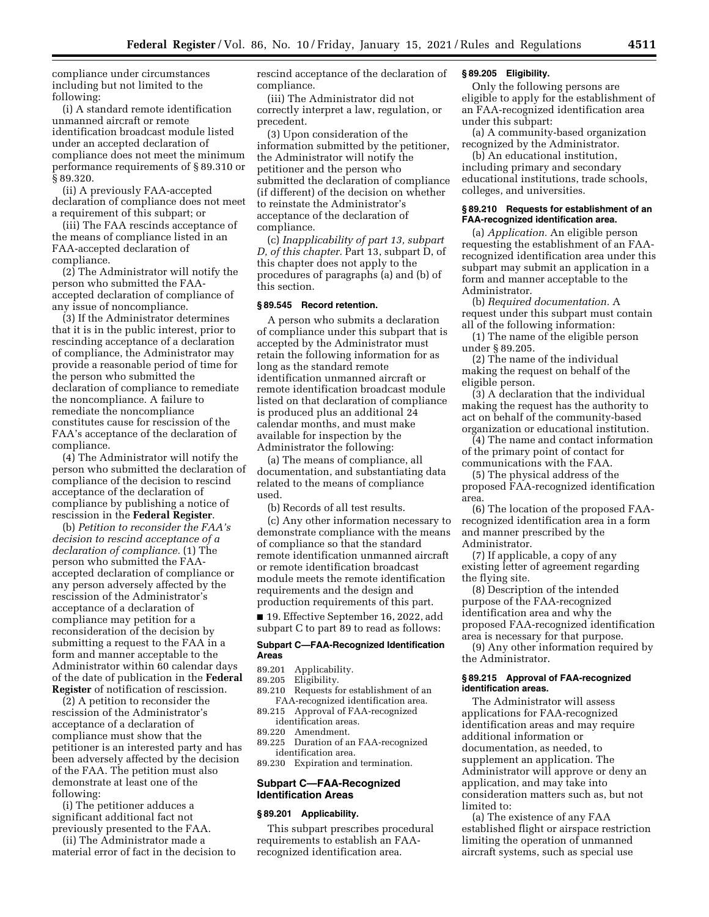compliance under circumstances including but not limited to the following:

(i) A standard remote identification unmanned aircraft or remote identification broadcast module listed under an accepted declaration of compliance does not meet the minimum performance requirements of § 89.310 or § 89.320.

(ii) A previously FAA-accepted declaration of compliance does not meet a requirement of this subpart; or

(iii) The FAA rescinds acceptance of the means of compliance listed in an FAA-accepted declaration of compliance.

(2) The Administrator will notify the person who submitted the FAAaccepted declaration of compliance of any issue of noncompliance.

(3) If the Administrator determines that it is in the public interest, prior to rescinding acceptance of a declaration of compliance, the Administrator may provide a reasonable period of time for the person who submitted the declaration of compliance to remediate the noncompliance. A failure to remediate the noncompliance constitutes cause for rescission of the FAA's acceptance of the declaration of compliance.

(4) The Administrator will notify the person who submitted the declaration of compliance of the decision to rescind acceptance of the declaration of compliance by publishing a notice of rescission in the **Federal Register**.

(b) *Petition to reconsider the FAA's decision to rescind acceptance of a declaration of compliance.* (1) The person who submitted the FAAaccepted declaration of compliance or any person adversely affected by the rescission of the Administrator's acceptance of a declaration of compliance may petition for a reconsideration of the decision by submitting a request to the FAA in a form and manner acceptable to the Administrator within 60 calendar days of the date of publication in the **Federal Register** of notification of rescission.

(2) A petition to reconsider the rescission of the Administrator's acceptance of a declaration of compliance must show that the petitioner is an interested party and has been adversely affected by the decision of the FAA. The petition must also demonstrate at least one of the following:

(i) The petitioner adduces a significant additional fact not previously presented to the FAA.

(ii) The Administrator made a material error of fact in the decision to rescind acceptance of the declaration of compliance.

(iii) The Administrator did not correctly interpret a law, regulation, or precedent.

(3) Upon consideration of the information submitted by the petitioner, the Administrator will notify the petitioner and the person who submitted the declaration of compliance (if different) of the decision on whether to reinstate the Administrator's acceptance of the declaration of compliance.

(c) *Inapplicability of part 13, subpart D, of this chapter.* Part 13, subpart D, of this chapter does not apply to the procedures of paragraphs (a) and (b) of this section.

### **§ 89.545 Record retention.**

A person who submits a declaration of compliance under this subpart that is accepted by the Administrator must retain the following information for as long as the standard remote identification unmanned aircraft or remote identification broadcast module listed on that declaration of compliance is produced plus an additional 24 calendar months, and must make available for inspection by the Administrator the following:

(a) The means of compliance, all documentation, and substantiating data related to the means of compliance used.

(b) Records of all test results.

(c) Any other information necessary to demonstrate compliance with the means of compliance so that the standard remote identification unmanned aircraft or remote identification broadcast module meets the remote identification requirements and the design and production requirements of this part.

■ 19. Effective September 16, 2022, add subpart C to part 89 to read as follows:

### **Subpart C—FAA-Recognized Identification Areas**

- 89.201 Applicability.
- 89.205 Eligibility.
- 89.210 Requests for establishment of an FAA-recognized identification area.
- 89.215 Approval of FAA-recognized identification areas.
- 89.220 Amendment.
- 89.225 Duration of an FAA-recognized identification area.

89.230 Expiration and termination.

## **Subpart C—FAA-Recognized Identification Areas**

#### **§ 89.201 Applicability.**

This subpart prescribes procedural requirements to establish an FAArecognized identification area.

### **§ 89.205 Eligibility.**

Only the following persons are eligible to apply for the establishment of an FAA-recognized identification area under this subpart:

(a) A community-based organization recognized by the Administrator.

(b) An educational institution, including primary and secondary educational institutions, trade schools, colleges, and universities.

#### **§ 89.210 Requests for establishment of an FAA-recognized identification area.**

(a) *Application.* An eligible person requesting the establishment of an FAArecognized identification area under this subpart may submit an application in a form and manner acceptable to the Administrator.

(b) *Required documentation.* A request under this subpart must contain all of the following information:

(1) The name of the eligible person under § 89.205.

(2) The name of the individual making the request on behalf of the eligible person.

(3) A declaration that the individual making the request has the authority to act on behalf of the community-based organization or educational institution.

(4) The name and contact information of the primary point of contact for communications with the FAA.

(5) The physical address of the proposed FAA-recognized identification area.

(6) The location of the proposed FAArecognized identification area in a form and manner prescribed by the Administrator.

(7) If applicable, a copy of any existing letter of agreement regarding the flying site.

(8) Description of the intended purpose of the FAA-recognized identification area and why the proposed FAA-recognized identification area is necessary for that purpose.

(9) Any other information required by the Administrator.

#### **§ 89.215 Approval of FAA-recognized identification areas.**

The Administrator will assess applications for FAA-recognized identification areas and may require additional information or documentation, as needed, to supplement an application. The Administrator will approve or deny an application, and may take into consideration matters such as, but not limited to:

(a) The existence of any FAA established flight or airspace restriction limiting the operation of unmanned aircraft systems, such as special use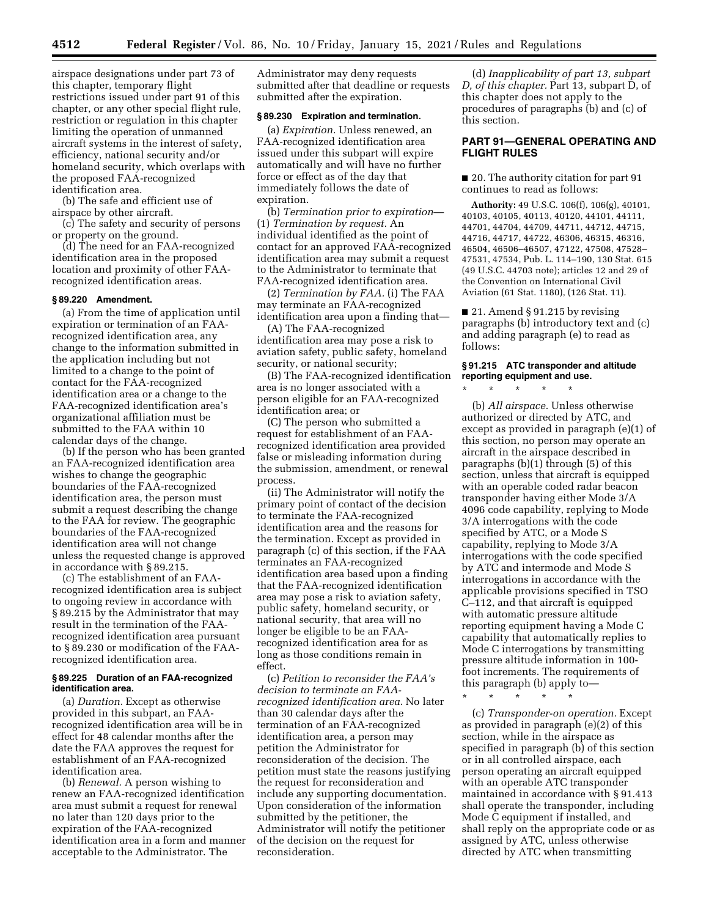airspace designations under part 73 of this chapter, temporary flight restrictions issued under part 91 of this chapter, or any other special flight rule, restriction or regulation in this chapter limiting the operation of unmanned aircraft systems in the interest of safety, efficiency, national security and/or homeland security, which overlaps with the proposed FAA-recognized identification area.

(b) The safe and efficient use of airspace by other aircraft.

(c) The safety and security of persons or property on the ground.

(d) The need for an FAA-recognized identification area in the proposed location and proximity of other FAArecognized identification areas.

## **§ 89.220 Amendment.**

(a) From the time of application until expiration or termination of an FAArecognized identification area, any change to the information submitted in the application including but not limited to a change to the point of contact for the FAA-recognized identification area or a change to the FAA-recognized identification area's organizational affiliation must be submitted to the FAA within 10 calendar days of the change.

(b) If the person who has been granted an FAA-recognized identification area wishes to change the geographic boundaries of the FAA-recognized identification area, the person must submit a request describing the change to the FAA for review. The geographic boundaries of the FAA-recognized identification area will not change unless the requested change is approved in accordance with § 89.215.

(c) The establishment of an FAArecognized identification area is subject to ongoing review in accordance with § 89.215 by the Administrator that may result in the termination of the FAArecognized identification area pursuant to § 89.230 or modification of the FAArecognized identification area.

## **§ 89.225 Duration of an FAA-recognized identification area.**

(a) *Duration.* Except as otherwise provided in this subpart, an FAArecognized identification area will be in effect for 48 calendar months after the date the FAA approves the request for establishment of an FAA-recognized identification area.

(b) *Renewal.* A person wishing to renew an FAA-recognized identification area must submit a request for renewal no later than 120 days prior to the expiration of the FAA-recognized identification area in a form and manner acceptable to the Administrator. The

Administrator may deny requests submitted after that deadline or requests submitted after the expiration.

### **§ 89.230 Expiration and termination.**

(a) *Expiration.* Unless renewed, an FAA-recognized identification area issued under this subpart will expire automatically and will have no further force or effect as of the day that immediately follows the date of expiration.

(b) *Termination prior to expiration*— (1) *Termination by request.* An individual identified as the point of contact for an approved FAA-recognized identification area may submit a request to the Administrator to terminate that FAA-recognized identification area.

(2) *Termination by FAA.* (i) The FAA may terminate an FAA-recognized identification area upon a finding that—

(A) The FAA-recognized identification area may pose a risk to aviation safety, public safety, homeland security, or national security;

(B) The FAA-recognized identification area is no longer associated with a person eligible for an FAA-recognized identification area; or

(C) The person who submitted a request for establishment of an FAArecognized identification area provided false or misleading information during the submission, amendment, or renewal process.

(ii) The Administrator will notify the primary point of contact of the decision to terminate the FAA-recognized identification area and the reasons for the termination. Except as provided in paragraph (c) of this section, if the FAA terminates an FAA-recognized identification area based upon a finding that the FAA-recognized identification area may pose a risk to aviation safety, public safety, homeland security, or national security, that area will no longer be eligible to be an FAArecognized identification area for as long as those conditions remain in effect.

(c) *Petition to reconsider the FAA's decision to terminate an FAArecognized identification area.* No later than 30 calendar days after the termination of an FAA-recognized identification area, a person may petition the Administrator for reconsideration of the decision. The petition must state the reasons justifying the request for reconsideration and include any supporting documentation. Upon consideration of the information submitted by the petitioner, the Administrator will notify the petitioner of the decision on the request for reconsideration.

(d) *Inapplicability of part 13, subpart D, of this chapter.* Part 13, subpart D, of this chapter does not apply to the procedures of paragraphs (b) and (c) of this section.

## **PART 91—GENERAL OPERATING AND FLIGHT RULES**

■ 20. The authority citation for part 91 continues to read as follows:

**Authority:** 49 U.S.C. 106(f), 106(g), 40101, 40103, 40105, 40113, 40120, 44101, 44111, 44701, 44704, 44709, 44711, 44712, 44715, 44716, 44717, 44722, 46306, 46315, 46316, 46504, 46506–46507, 47122, 47508, 47528– 47531, 47534, Pub. L. 114–190, 130 Stat. 615 (49 U.S.C. 44703 note); articles 12 and 29 of the Convention on International Civil Aviation (61 Stat. 1180), (126 Stat. 11).

■ 21. Amend § 91.215 by revising paragraphs (b) introductory text and (c) and adding paragraph (e) to read as follows:

#### **§ 91.215 ATC transponder and altitude reporting equipment and use.**

\* \* \* \* \*

(b) *All airspace.* Unless otherwise authorized or directed by ATC, and except as provided in paragraph (e)(1) of this section, no person may operate an aircraft in the airspace described in paragraphs (b)(1) through (5) of this section, unless that aircraft is equipped with an operable coded radar beacon transponder having either Mode 3/A 4096 code capability, replying to Mode 3/A interrogations with the code specified by ATC, or a Mode S capability, replying to Mode 3/A interrogations with the code specified by ATC and intermode and Mode S interrogations in accordance with the applicable provisions specified in TSO C–112, and that aircraft is equipped with automatic pressure altitude reporting equipment having a Mode C capability that automatically replies to Mode C interrogations by transmitting pressure altitude information in 100 foot increments. The requirements of this paragraph (b) apply to—

\* \* \* \* \*

(c) *Transponder-on operation.* Except as provided in paragraph (e)(2) of this section, while in the airspace as specified in paragraph (b) of this section or in all controlled airspace, each person operating an aircraft equipped with an operable ATC transponder maintained in accordance with § 91.413 shall operate the transponder, including Mode C equipment if installed, and shall reply on the appropriate code or as assigned by ATC, unless otherwise directed by ATC when transmitting